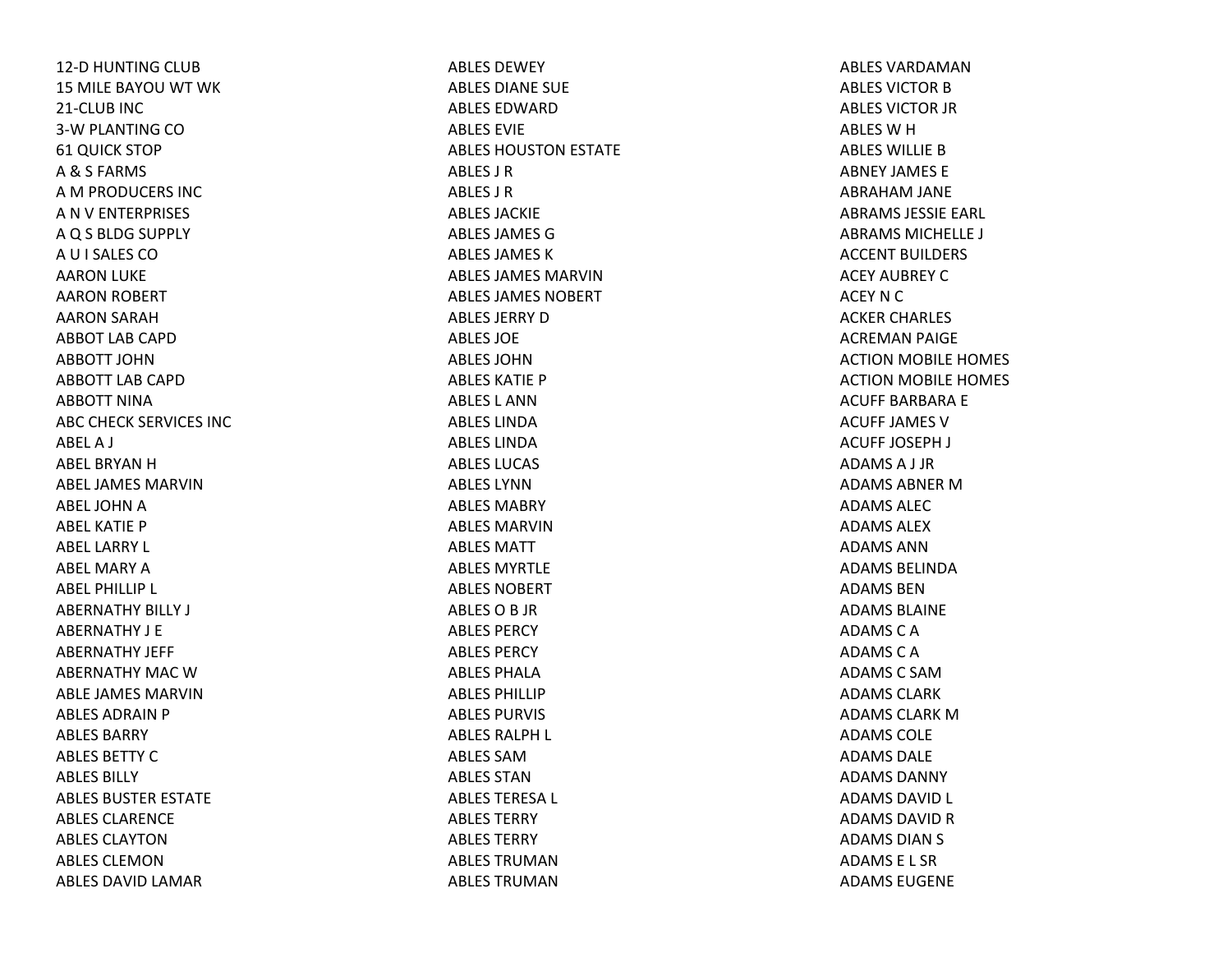12‐D HUNTING CLUB 15 MILE BAYOU WT WK 21‐CLUB INC 3‐W PLANTING CO 61 QUICK STOP A& S FARMS AM PRODUCERS INC ANV ENTERPRISES AQ S BLDG SUPPLY AU I SALES COAARON LUKE AARON ROBERT AARON SARAH ABBOT LAB CAPDABBOTT JOHNABBOTT LAB CAPDABBOTT NINAABC CHECK SERVICES INC ABELA J ABEL BRYAN H ABEL JAMES MARVINABEL JOHN A ABEL KATIE PABEL LARRY L ABEL MARY A ABEL PHILLIP L ABERNATHY BILLY J ABERNATHY J EABERNATHY JEFF ABERNATHY MAC W ABLE JAMES MARVINABLES ADRAIN P ABLES BARRYABLES BETTY C ABLES BILLYABLES BUSTER ESTATE ABLES CLARENCEABLES CLAYTONABLES CLEMONABLES DAVID LAMAR

ABLES DEWEYABLES DIANE SUE ABLES EDWARDABLES EVIEABLES HOUSTON ESTATE ABLES J RABLES J RABLES JACKIEABLES JAMES GABLES JAMES KABLES JAMES MARVINABLES JAMES NOBERTABLES JERRY D ABLES JOEABLES JOHNABLES KATIE PABLES L ANNABLES LINDAABLES LINDAABLES LUCAS ABLES LYNNABLES MABRYABLES MARVINABLES MATTABLES MYRTLEABLES NOBERTABLESOB JR ABLES PERCYABLES PERCYABLES PHALAABLES PHILLIPABLES PURVIS ABLES RALPH L ABLES SAMABLES STANABLES TERESA L ABLES TERRYABLES TERRYABLES TRUMANABLES TRUMAN

ABLES VARDAMANABLES VICTOR B ABLES VICTOR JR ABLES W H ABLES WILLIE B ABNEY JAMES EABRAHAM JANE ABRAMS JESSIE EARL ABRAMS MICHELLE J ACCENT BUILDERS ACEY AUBREY CACEY N C ACKER CHARLES ACREMAN PAIGE ACTION MOBILE HOMES ACTION MOBILE HOMES ACUFF BARBARA E ACUFF JAMES VACUFF JOSEPH J ADAMSA J JR ADAMS ABNER M ADAMS ALECADAMS ALEXADAMS ANNADAMS BELINDAADAMS BENADAMS BLAINEADAMSCAADAMSCAADAMSC SAMADAMS CLARKADAMS CLARK M ADAMS COLEADAMS DALEADAMS DANNYADAMS DAVID L ADAMS DAVID R ADAMS DIAN S ADAMS E L SRADAMS EUGENE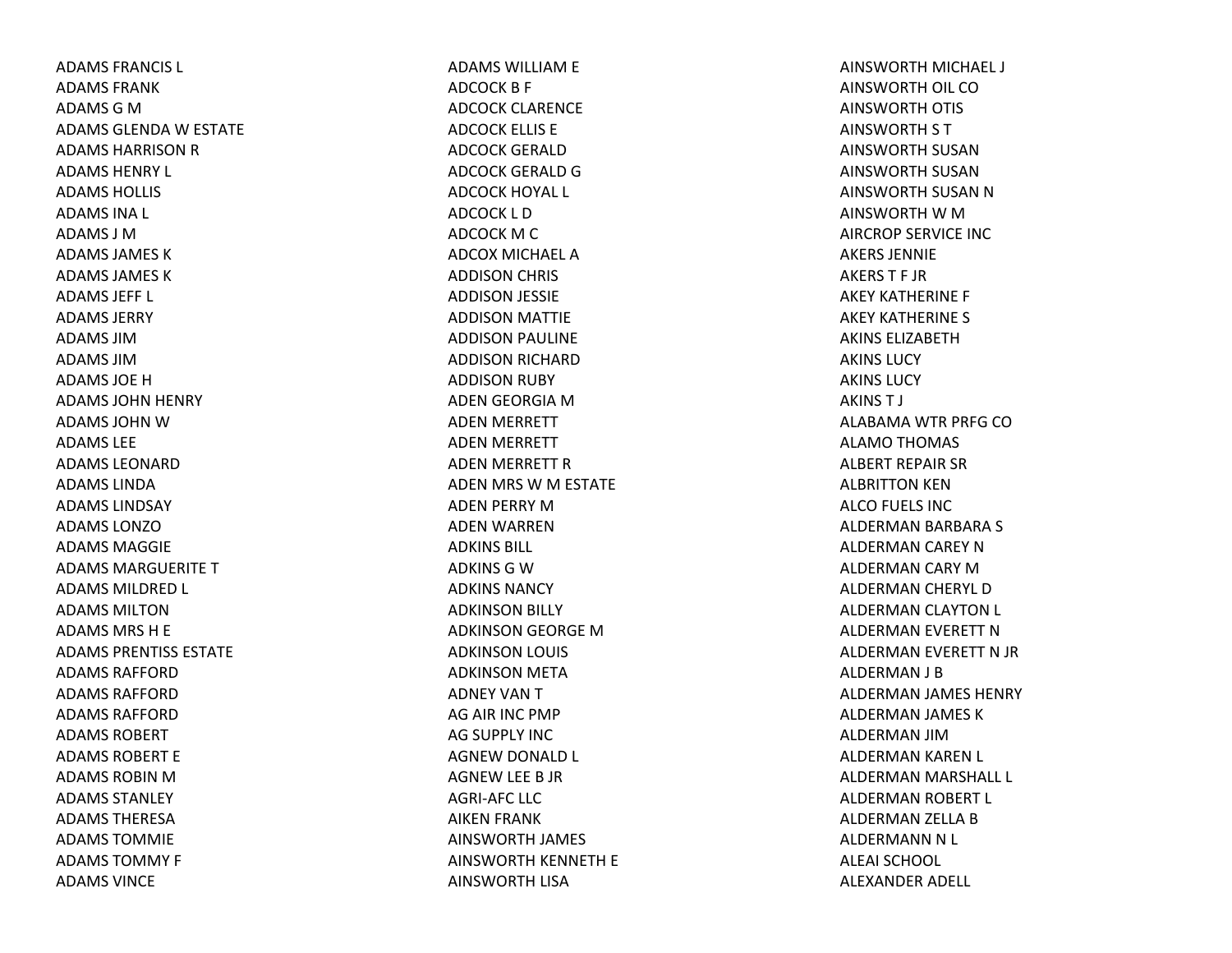ADAMS FRANCIS L ADAMS FRANKADAMS G M ADAMS GLENDA W ESTATE ADAMS HARRISON R ADAMS HENRY L ADAMS HOLLIS ADAMS INA L ADAMS J MADAMS JAMES KADAMS JAMES KADAMS JEFF L ADAMS JERRYADAMS JIMADAMS JIMADAMS JOEHADAMS JOHN HENRY ADAMS JOHN W ADAMS LEEADAMS LEONARDADAMS LINDAADAMS LINDSAYADAMS LONZOADAMS MAGGIEADAMS MARGUERITE T ADAMS MILDRED L ADAMS MILTONADAMS MRS H E ADAMS PRENTISS ESTATEADAMS RAFFORDADAMS RAFFORDADAMS RAFFORDADAMS ROBERTADAMS ROBERT EADAMS ROBIN M ADAMS STANLEYADAMS THERESAADAMS TOMMIEADAMS TOMMY F ADAMS VINCE

ADAMS WILLIAM E ADCOCK B F ADCOCK CLARENCE ADCOCK ELLIS E ADCOCK GERALDADCOCK GERALD G ADCOCK HOYAL L ADCOCK L DADCOCK M C ADCOX MICHAEL AADDISON CHRIS ADDISON JESSIE ADDISON MATTIE ADDISON PAULINE ADDISON RICHARD ADDISON RUBY ADEN GEORGIA MADEN MERRETT ADEN MERRETT ADEN MERRETT RADEN MRS WM ESTATE ADEN PERRY MADEN WARREN ADKINS BILL ADKINS G W ADKINS NANCYADKINSON BILLY ADKINSON GEORGE MADKINSON LOUIS ADKINSON META ADNEY VANTAG AIR INC PMP AG SUPPLY INC AGNEW DONALD L AGNEW LEE B JR AGRI‐AFC LLC AIKEN FRANK AINSWORTH JAMES AINSWORTH KENNETH E AINSWORTH LISA

AINSWORTH MICHAEL J AINSWORTH OIL COAINSWORTH OTIS AINSWORTH S T AINSWORTH SUSANAINSWORTH SUSANAINSWORTH SUSAN N AINSWORTH W M AIRCROP SERVICE INCAKERS JENNIEAKERST F JRAKEY KATHERINE F AKEY KATHERINE S AKINS ELIZABETHAKINS LUCYAKINS LUCYAKINST J ALABAMA WTR PRFG COALAMO THOMAS ALBERT REPAIR SR ALBRITTON KEN ALCO FUELS INC ALDERMAN BARBARA S ALDERMAN CAREY NALDERMAN CARY MALDERMAN CHERYL DALDERMAN CLAYTON L ALDERMAN EVERETT NALDERMAN EVERETT N JR ALDERMAN J B ALDERMAN JAMES HENRY ALDERMAN JAMES KALDERMAN JIMALDERMAN KAREN L ALDERMAN MARSHALL L ALDERMAN ROBERT L ALDERMAN ZELLA BALDERMANN N L ALEAI SCHOOLALEXANDER ADELL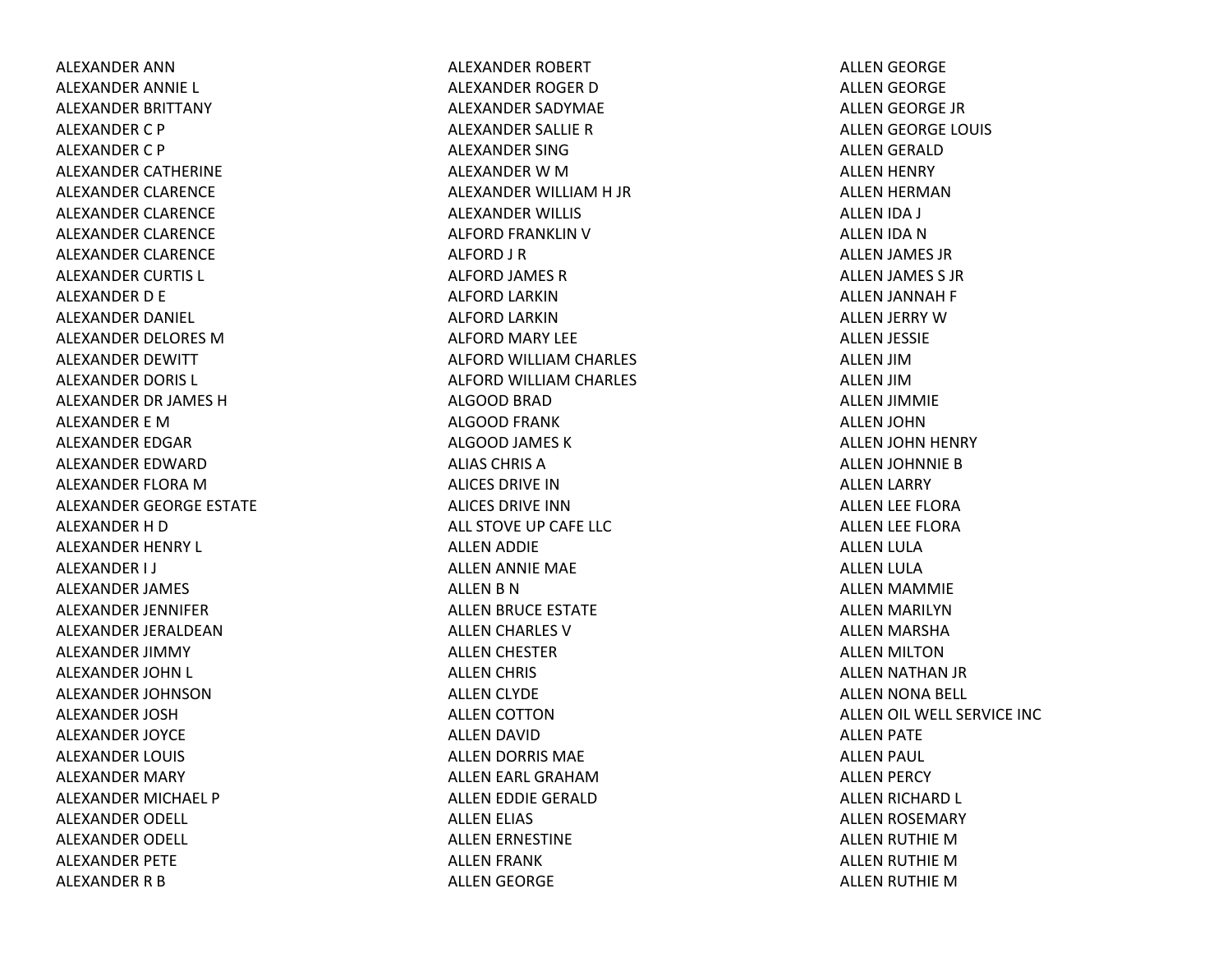ALEXANDER ANNALEXANDER ANNIE L ALEXANDER BRITTANY ALEXANDER C P ALEXANDER C P ALEXANDER CATHERINE ALEXANDER CLARENCE ALEXANDER CLARENCE ALEXANDER CLARENCE ALEXANDER CLARENCE ALEXANDER CURTIS L ALEXANDER D E ALEXANDER DANIEL ALEXANDER DELORES MALEXANDER DEWITT ALEXANDER DORIS L ALEXANDER DR JAMES HALEXANDER E MALEXANDER EDGAR ALEXANDER EDWARDALEXANDER FLORA MALEXANDER GEORGE ESTATE ALEXANDER H D ALEXANDER HENRY L ALEXANDER I J ALEXANDER JAMES ALEXANDER JENNIFER ALEXANDER JERALDEANALEXANDER JIMMY ALEXANDER JOHN L ALEXANDER JOHNSONALEXANDER JOSHALEXANDER JOYCE ALEXANDER LOUIS ALEXANDER MARY ALEXANDER MICHAEL P ALEXANDER ODELL ALEXANDER ODELL ALEXANDER PETE ALEXANDER R B

ALEXANDER ROBERT ALEXANDER ROGER DALEXANDER SADYMAE ALEXANDER SALLIE R ALEXANDER SINGALEXANDER W M ALEXANDER WILLIAM H JR ALEXANDER WILLIS ALFORD FRANKLIN V ALFORD J R ALFORD JAMES R ALFORD LARKINALFORD LARKINALFORD MARY LEE ALFORD WILLIAM CHARLES ALFORD WILLIAM CHARLES ALGOOD BRAD ALGOOD FRANK ALGOOD JAMES K ALIAS CHRIS AALICES DRIVE INALICES DRIVE INNALL STOVE UP CAFE LLCALLEN ADDIE ALLEN ANNIE MAE ALLEN B N ALLEN BRUCE ESTATE ALLEN CHARLES V ALLEN CHESTER ALLEN CHRIS ALLEN CLYDE ALLEN COTTON ALLEN DAVID ALLEN DORRIS MAE ALLEN EARL GRAHAMALLEN EDDIE GERALD ALLEN ELIAS ALLEN ERNESTINE ALLEN FRANK ALLEN GEORGE

ALLEN GEORGE ALLEN GEORGE ALLEN GEORGE JR ALLEN GEORGE LOUIS ALLEN GERALD ALLEN HENRY ALLEN HERMAN ALLEN IDA J ALLEN IDA N ALLEN JAMES JR ALLEN JAMES S JR ALLEN JANNAH F ALLEN JERRY WALLEN JESSIE ALLEN JIMALLEN JIMALLEN JIMMIE ALLEN JOHN ALLEN JOHN HENRY ALLEN JOHNNIE B ALLEN LARRY ALLEN LEE FLORA ALLEN LEE FLORA ALLEN LULA ALLEN LULA ALLEN MAMMIE ALLEN MARILYN ALLEN MARSHA ALLEN MILTON ALLEN NATHAN JR ALLEN NONA BELL ALLEN OIL WELL SERVICE INC ALLEN PATE ALLEN PAUL ALLEN PERCY ALLEN RICHARD L ALLEN ROSEMARY ALLEN RUTHIE MALLEN RUTHIE MALLEN RUTHIE M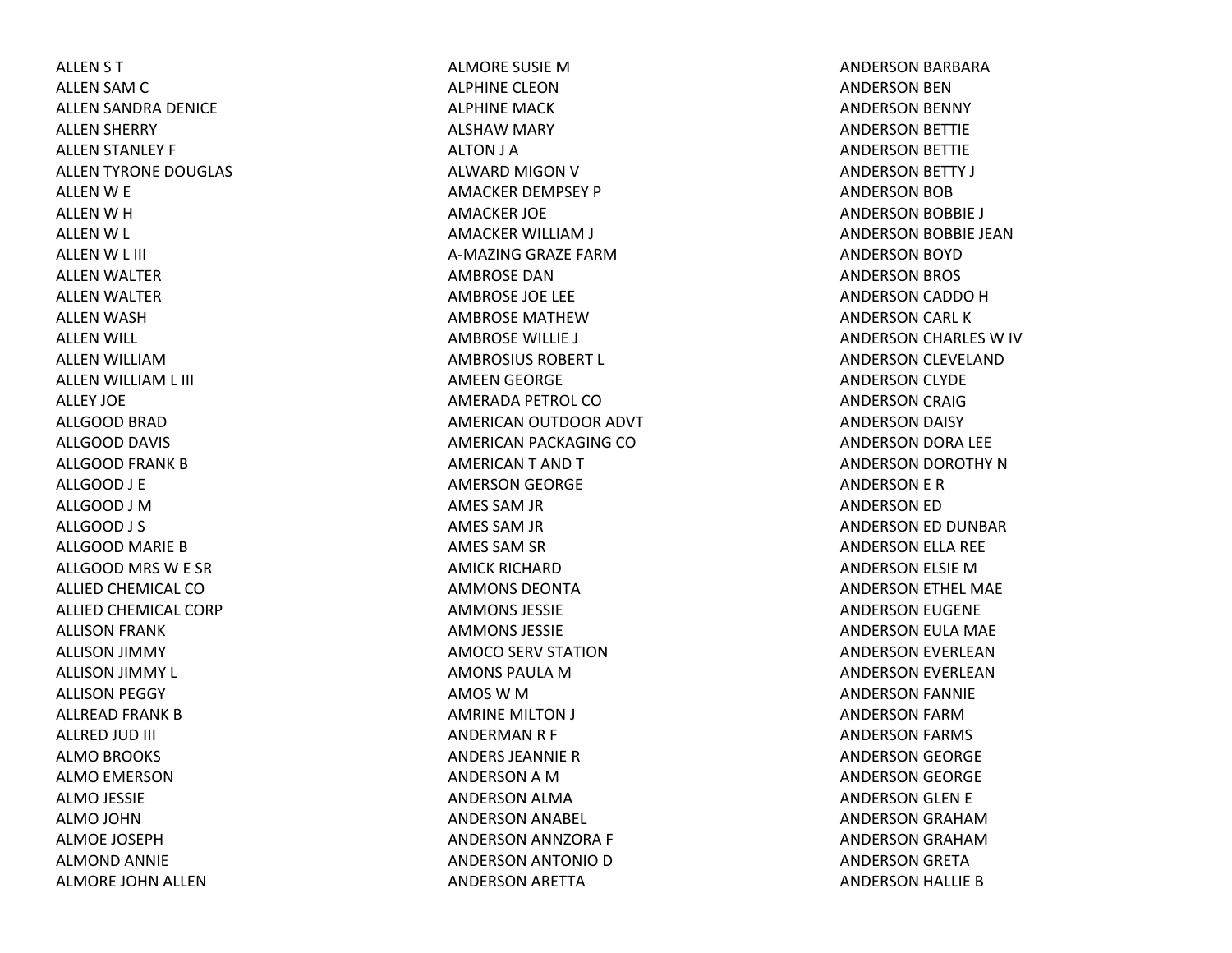ALLEN S T ALLEN SAM C ALLEN SANDRA DENICE ALLEN SHERRY ALLEN STANLEY F ALLEN TYRONE DOUGLAS ALLEN W E ALLEN W H ALLEN W L ALLEN W L III ALLEN WALTER ALLEN WALTER ALLEN WASH ALLEN WILL ALLEN WILLIAMALLEN WILLIAM L III ALLEY JOEALLGOOD BRAD ALLGOOD DAVIS ALLGOOD FRANK BALLGOOD J E ALLGOOD J MALLGOOD J S ALLGOOD MARIE BALLGOOD MRS W E SR ALLIED CHEMICAL COALLIED CHEMICAL CORP ALLISON FRANK ALLISON JIMMY ALLISON JIMMY L ALLISON PEGGY ALLREAD FRANK B ALLRED JUD III ALMO BROOKS ALMO EMERSON ALMO JESSIE ALMO JOHN ALMOE JOSEPHALMOND ANNIE ALMORE JOHN ALLEN

ALMORE SUSIE MALPHINE CLEONALPHINE MACKALSHAW MARY ALTON J A ALWARD MIGON V AMACKER DEMPSEY P AMACKER JOE AMACKER WILLIAM J A‐MAZING GRAZE FARMAMBROSE DANAMBROSE JOE LEE AMBROSE MATHEWAMBROSE WILLIE J AMBROSIUS ROBERT L AMEEN GEORGE AMERADA PETROL COAMERICAN OUTDOOR ADVT AMERICAN PACKAGING COAMERICANT ANDTAMERSON GEORGE AMES SAM JR AMES SAM JR AMES SAM SR AMICK RICHARDAMMONS DEONTAAMMONS JESSIEAMMONS JESSIEAMOCO SERV STATION AMONS PAULA M AMOS W M AMRINE MILTON J ANDERMAN R F ANDERS JEANNIERANDERSON A M ANDERSON ALMA ANDERSON ANABEL ANDERSON ANNZORA F ANDERSON ANTONIO D ANDERSON ARETTA

ANDERSON BARBARA ANDERSON BEN ANDERSON BENNY ANDERSON BETTIE ANDERSON BETTIE ANDERSON BETTY J ANDERSON BOB ANDERSON BOBBIE J ANDERSON BOBBIE JEAN ANDERSON BOYD ANDERSON BROS ANDERSON CADDO H ANDERSON CARL KANDERSON CHARLES W IV ANDERSON CLEVELAND ANDERSON CLYDE ANDERSON CRAIG ANDERSON DAISY ANDERSON DORA LEE ANDERSON DOROTHY NANDERSON E R ANDERSON ED ANDERSON ED DUNBAR ANDERSON ELLA REE ANDERSON ELSIE MANDERSON ETHEL MAE ANDERSON EUGENE ANDERSON EULA MAE ANDERSON EVERLEAN ANDERSON EVERLEAN ANDERSON FANNIE ANDERSON FARMANDERSON FARMS ANDERSON GEORGE ANDERSON GEORGE ANDERSON GLEN E ANDERSON GRAHAMANDERSON GRAHAMANDERSON GRETA ANDERSON HALLIE B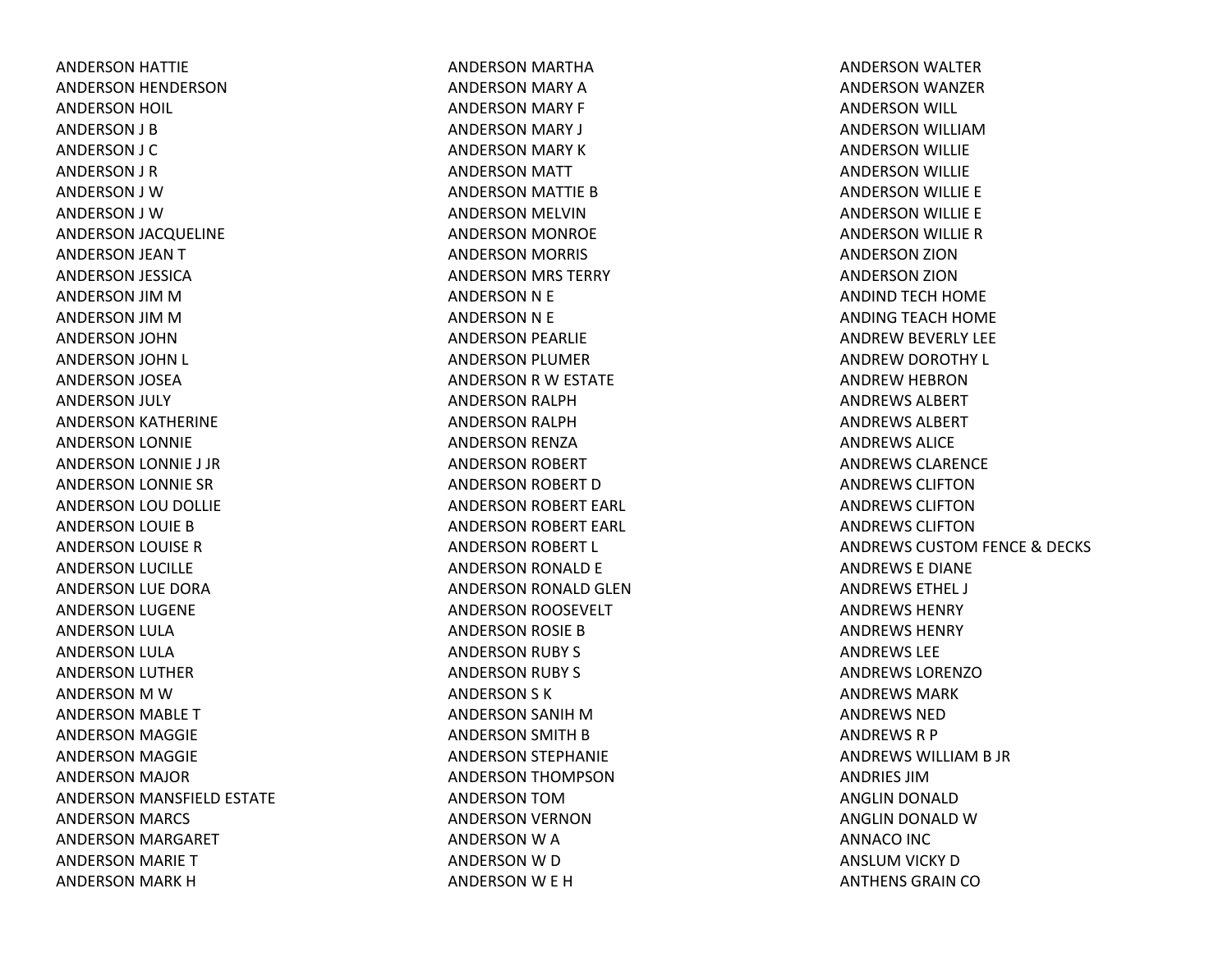ANDERSON HATTIE ANDERSON HENDERSON ANDERSON HOIL ANDERSON J B ANDERSON J C ANDERSON J R ANDERSON J WANDERSON J WANDERSON JACQUELINE ANDERSON JEAN T ANDERSON JESSICA ANDERSON JIM M ANDERSON JIM M ANDERSON JOHN ANDERSON JOHN L ANDERSON JOSEA ANDERSON JULY ANDERSON KATHERINE ANDERSON LONNIE ANDERSON LONNIE J JR ANDERSON LONNIE SR ANDERSON LOU DOLLIE ANDERSON LOUIE B ANDERSON LOUISE R ANDERSON LUCILLE ANDERSON LUE DORA ANDERSON LUGENE ANDERSON LULA ANDERSON LULA ANDERSON LUTHER ANDERSON M WANDERSON MABLE T ANDERSON MAGGIE ANDERSON MAGGIE ANDERSON MAJOR ANDERSON MANSFIELD ESTATE ANDERSON MARCS ANDERSON MARGARET ANDERSON MARIE T ANDERSON MARK H

ANDERSON MARTHA ANDERSON MARY A ANDERSON MARY F ANDERSON MARY J ANDERSON MARY K ANDERSON MATT ANDERSON MATTIE B ANDERSON MELVIN ANDERSON MONROE ANDERSON MORRIS ANDERSON MRS TERRY ANDERSON N E ANDERSON N E ANDERSON PEARLIE ANDERSON PLUMER ANDERSON R W ESTATE ANDERSON RALPH ANDERSON RALPH ANDERSON RENZA ANDERSON ROBERT ANDERSON ROBERT D ANDERSON ROBERT EARL ANDERSON ROBERT EARL ANDERSON ROBERT L ANDERSON RONALD E ANDERSON RONALD GLEN ANDERSON ROOSEVELT ANDERSON ROSIE B ANDERSON RUBY S ANDERSON RUBY S ANDERSON S K ANDERSON SANIH MANDERSON SMITH B ANDERSON STEPHANIE ANDERSON THOMPSON ANDERSON TOMANDERSON VERNON ANDERSON W A ANDERSON W D ANDERSON W E H

ANDERSON WALTER ANDERSON WANZER ANDERSON WILL ANDERSON WILLIAMANDERSON WILLIE ANDERSON WILLIE ANDERSON WILLIE E ANDERSON WILLIE E ANDERSON WILLIE R ANDERSON ZION ANDERSON ZION ANDIND TECH HOME ANDING TEACH HOME ANDREW BEVERLY LEE ANDREW DOROTHY L ANDREW HEBRON ANDREWS ALBERTANDREWS ALBERTANDREWS ALICEANDREWS CLARENCEANDREWS CLIFTONANDREWS CLIFTONANDREWS CLIFTONANDREWS CUSTOM FENCE & DECKS ANDREWS E DIANE ANDREWS ETHEL J ANDREWS HENRYANDREWS HENRYANDREWS LEEANDREWS LORENZOANDREWS MARKANDREWS NEDANDREWS R P ANDREWS WILLIAM B JR ANDRIES JIMANGLIN DONALD ANGLIN DONALD WANNACO INC ANSLUM VICKY D ANTHENS GRAIN CO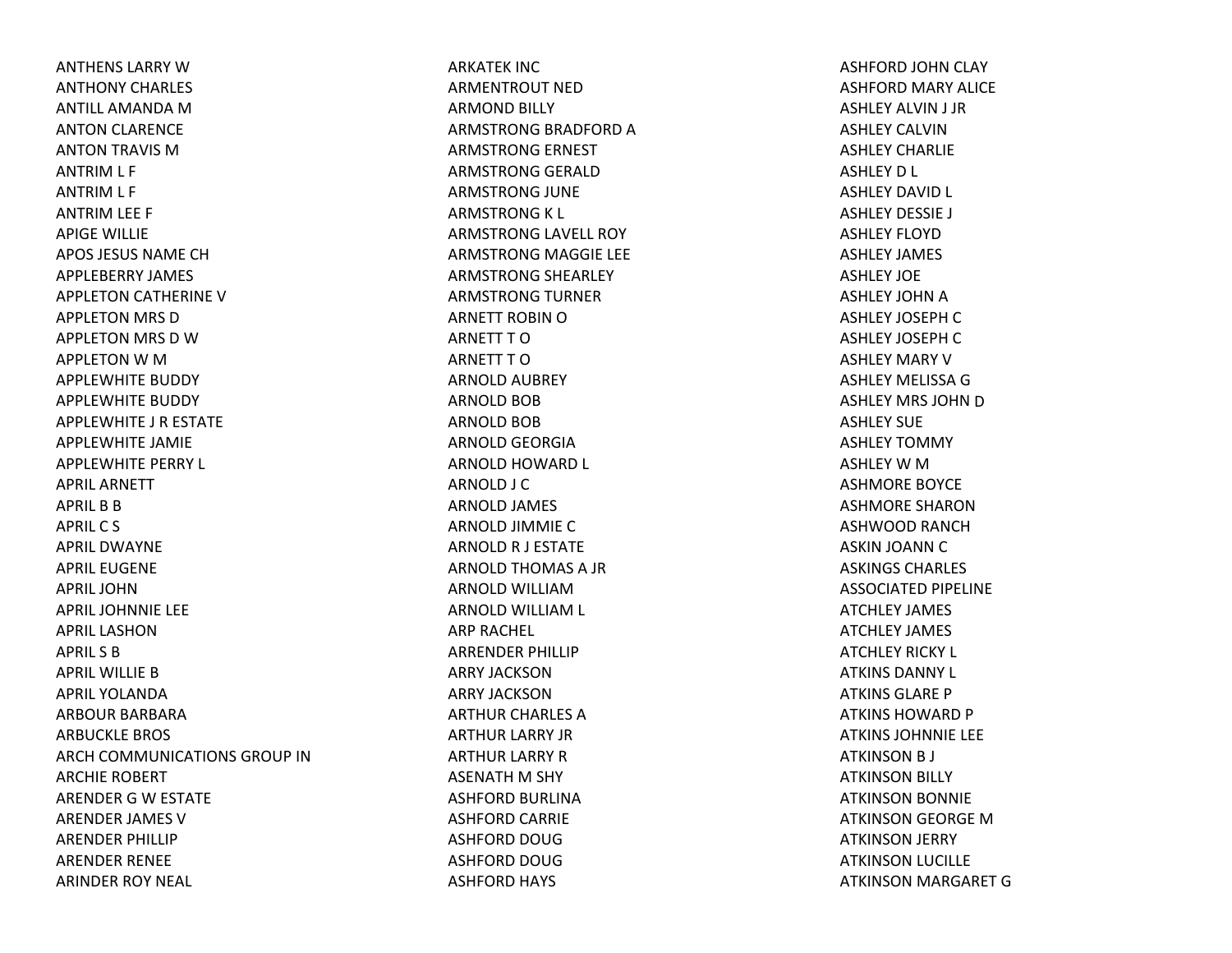ANTHENS LARRY WANTHONY CHARLES ANTILL AMANDA MANTON CLARENCE ANTON TRAVIS MANTRIM L F ANTRIM L F ANTRIM LEE F APIGE WILLIE APOS JESUS NAME CHAPPLEBERRY JAMES APPLETON CATHERINE V APPLETON MRS D APPLETON MRS D WAPPLETON W M APPLEWHITE BUDDY APPLEWHITE BUDDY APPLEWHITE J R ESTATE APPLEWHITE JAMIE APPLEWHITE PERRY L APRIL ARNETTAPRIL B B APRIL C S APRIL DWAYNEAPRIL EUGENEAPRIL JOHNAPRIL JOHNNIE LEE APRIL LASHONAPRIL S BAPRIL WILLIE BAPRIL YOLANDAARBOUR BARBARAARBUCKLE BROS ARCH COMMUNICATIONS GROUP INARCHIE ROBERT ARENDER G W ESTATE ARENDER JAMES VARENDER PHILLIP ARENDER RENEE ARINDER ROY NEAL

ARKATEK INCARMENTROUT NEDARMOND BILLY ARMSTRONG BRADFORD A ARMSTRONG ERNEST ARMSTRONG GERALD ARMSTRONG JUNE ARMSTRONG K L ARMSTRONG LAVELL ROY ARMSTRONG MAGGIE LEE ARMSTRONG SHEARLEY ARMSTRONG TURNER ARNETT ROBIN OARNETT T OARNETT T OARNOLD AUBREY ARNOLD BOB ARNOLD BOB ARNOLD GEORGIA ARNOLD HOWARD L ARNOLD J C ARNOLD JAMES ARNOLD JIMMIE C ARNOLD R J ESTATE ARNOLD THOMAS A JR ARNOLD WILLIAMARNOLD WILLIAM L ARP RACHEL ARRENDER PHILLIP ARRY JACKSONARRY JACKSONARTHUR CHARLES A ARTHUR LARRY JR ARTHUR LARRY R ASENATH M SHY ASHFORD BURLINA ASHFORD CARRIE ASHFORD DOUGASHFORD DOUGASHFORD HAYS

ASHFORD JOHN CLAY ASHFORD MARY ALICE ASHLEY ALVIN J JR ASHLEY CALVINASHLEY CHARLIEASHLEY D L ASHLEY DAVID L ASHLEY DESSIE J ASHLEY FLOYDASHLEY JAMES ASHLEY JOEASHLEY JOHN A ASHLEY JOSEPH C ASHLEY JOSEPH C ASHLEY MARY VASHLEY MELISSA GASHLEY MRS JOHN D ASHLEY SUEASHLEY TOMMY ASHLEY W M ASHMORE BOYCE ASHMORE SHARONASHWOOD RANCHASKIN JOANN C ASKINGS CHARLES ASSOCIATED PIPELINE ATCHLEY JAMES ATCHLEY JAMES ATCHLEY RICKY L ATKINS DANNY L ATKINS GLARE PATKINS HOWARD P ATKINS JOHNNIE LEE ATKINSON B J ATKINSON BILLY ATKINSON BONNIE ATKINSON GEORGE MATKINSON JERRY ATKINSON LUCILLE ATKINSON MARGARET G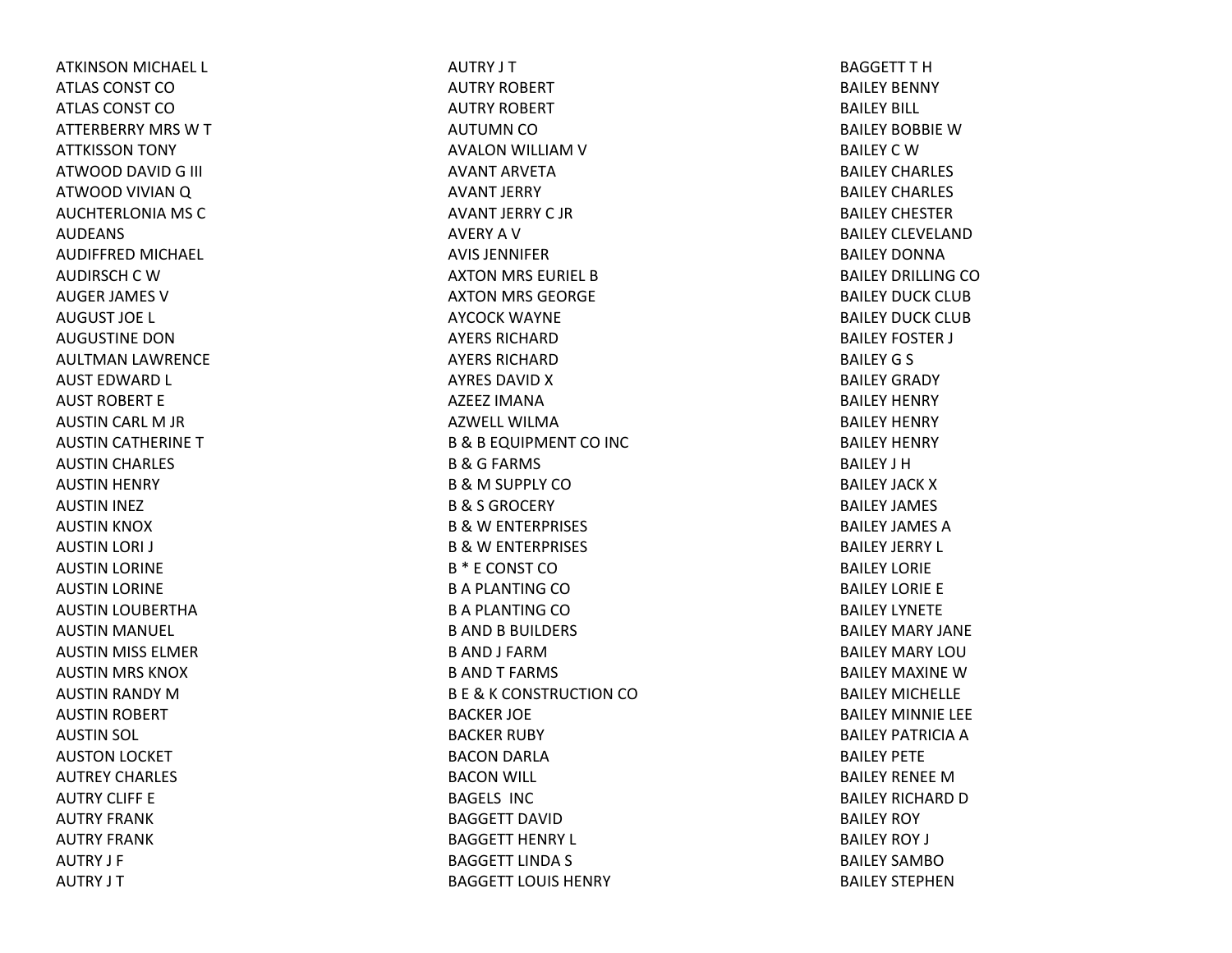ATKINSON MICHAEL L ATLAS CONST COATLAS CONST COATTERBERRY MRS WTATTKISSON TONY ATWOOD DAVID G III ATWOOD VIVIANQ AUCHTERLONIA MS CAUDEANSAUDIFFRED MICHAEL AUDIRSCH C W AUGER JAMES VAUGUST JOE L AUGUSTINE DONAULTMAN LAWRENCE AUST EDWARD L AUST ROBERT EAUSTIN CARL M JR AUSTIN CATHERINE TAUSTIN CHARLES AUSTIN HENRY AUSTIN INEZ AUSTIN KNOX AUSTIN LORI J AUSTIN LORINE AUSTIN LORINE AUSTIN LOUBERTHA AUSTIN MANUEL AUSTIN MISS ELMER AUSTIN MRS KNOX AUSTIN RANDY MAUSTIN ROBERT AUSTIN SOL AUSTON LOCKET AUTREY CHARLES AUTRY CLIFF EAUTRY FRANKAUTRY FRANKAUTRY J F AUTRY J T

AUTRY J T AUTRY ROBERT AUTRY ROBERT AUTUMN CO AVALON WILLIAM V AVANT ARVETAAVANT JERRY AVANT JERRY C JRAVERY A V AVIS JENNIFERAXTON MRS EURIEL BAXTON MRS GEORGE AYCOCK WAYNE AYERS RICHARDAYERS RICHARDAYRES DAVID X AZEEZ IMANAAZWELL WILMAB&B EQUIPMENT CO INC B&G FARMS B&M SUPPLY CO B& S GROCERY B&W ENTERPRISES B&W ENTERPRISES B \* E CONST COBA PLANTING COBA PLANTING CO**B AND B BUILDERS** B AND J FARMB ANDT FARMS B E & K CONSTRUCTION CO BACKER JOE BACKER RUBY BACON DARLA BACON WILL BAGELS INCBAGGETT DAVIDBAGGETT HENRY L BAGGETT LINDA S BAGGETT LOUIS HENRY

BAGGETT T H BAILEY BENNY BAILEY BILL BAILEY BOBBIEWBAILEY C W BAILEY CHARLES BAILEY CHARLES BAILEY CHESTERBAILEY CLEVELANDBAILEY DONNABAILEY DRILLING COBAILEY DUCK CLUBBAILEY DUCK CLUBBAILEY FOSTER J BAILEY G S BAILEY GRADY BAILEY HENRY BAILEY HENRY BAILEY HENRY BAILEY J HBAILEY JACK X BAILEY JAMES BAILEY JAMES ABAILEY JERRY L BAILEY LORIEBAILEY LORIE E BAILEY LYNETEBAILEY MARY JANEBAILEY MARY LOUBAILEY MAXINE W BAILEY MICHELLEBAILEY MINNIE LEE BAILEY PATRICIA A BAILEY PETEBAILEY RENEE M BAILEY RICHARD D BAILEY ROY BAILEY ROY J BAILEY SAMBOBAILEY STEPHEN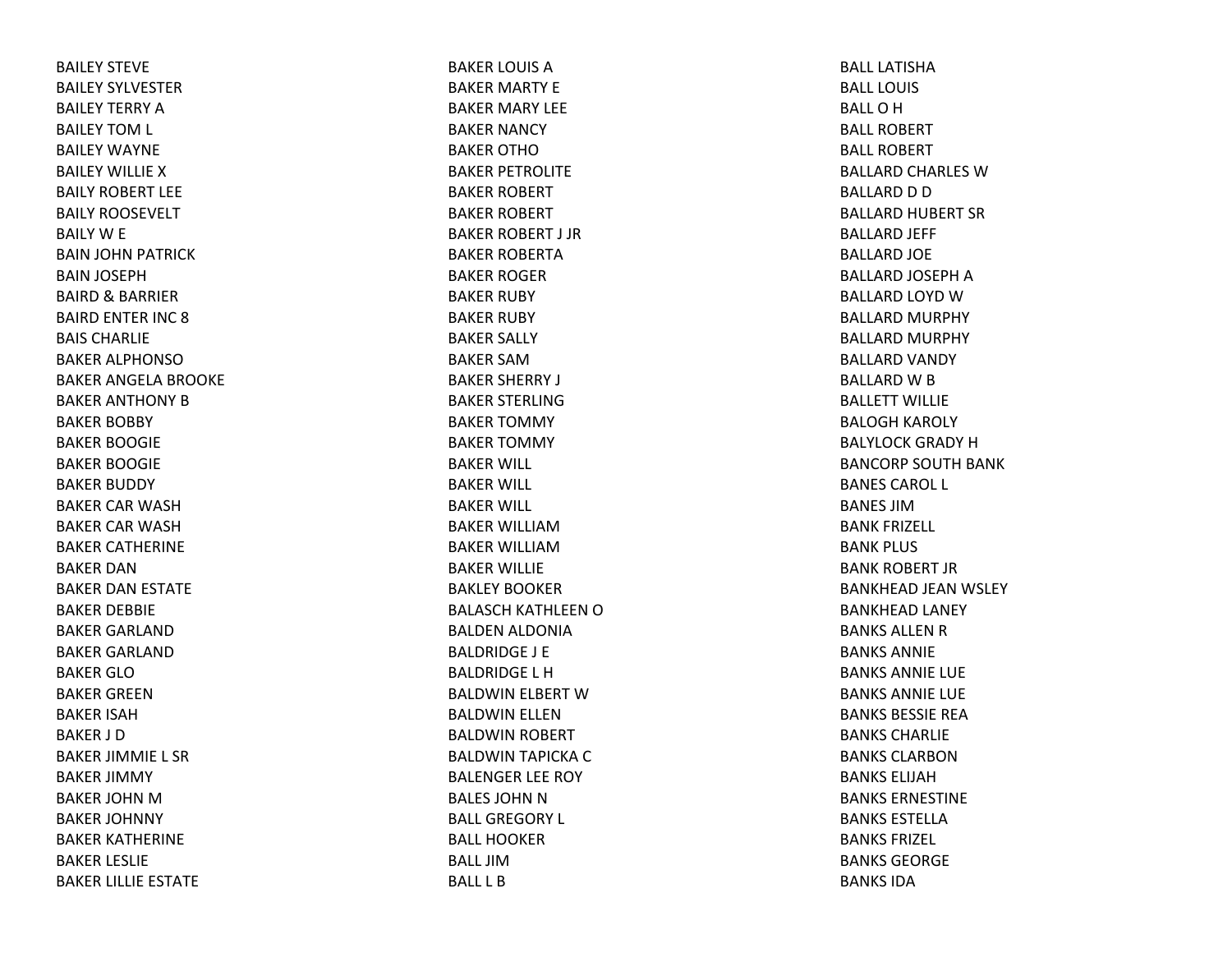BAILEY STEVEBAILEY SYLVESTERBAILEY TERRY ABAILEY TOM L BAILEY WAYNEBAILEY WILLIEXBAILY ROBERT LEEBAILY ROOSEVELT BAILY W E BAIN JOHN PATRICK BAIN JOSEPH BAIRD& BARRIER BAIRD ENTER INC 8BAIS CHARLIEBAKER ALPHONSOBAKER ANGELA BROOKE BAKER ANTHONY BBAKER BOBBY BAKER BOOGIE BAKER BOOGIE BAKER BUDDY BAKER CAR WASHBAKER CAR WASHBAKER CATHERINE BAKER DANBAKER DAN ESTATE BAKER DEBBIE BAKER GARLANDBAKER GARLANDBAKER GLOBAKER GREENBAKER ISAHBAKER J DBAKER JIMMIE L SR BAKER JIMMY BAKER JOHN M BAKER JOHNNY BAKER KATHERINE BAKER LESLIE BAKER LILLIE ESTATE

BAKER LOUIS ABAKER MARTY E BAKER MARY LEE BAKER NANCY BAKER OTHOBAKER PETROLITE BAKER ROBERT BAKER ROBERT BAKER ROBERT J JR BAKER ROBERTABAKER ROGER BAKER RUBY BAKER RUBY BAKER SALLY BAKER SAMBAKER SHERRY J BAKER STERLINGBAKER TOMMY BAKER TOMMY BAKER WILL BAKER WILL BAKER WILL BAKER WILLIAMBAKER WILLIAMBAKER WILLIE BAKLEY BOOKERBALASCH KATHLEEN O BALDEN ALDONIA BALDRIDGE J E BALDRIDGE L HBALDWIN ELBERT WBALDWIN ELLEN BALDWIN ROBERT BALDWIN TAPICKA CBALENGER LEE ROY BALES JOHN N BALL GREGORY L BALL HOOKERBALL JIMBALL L B

BALL LATISHABALL LOUISBALLOHBALL ROBERTBALL ROBERTBALLARD CHARLES WBALLARD D D BALLARD HUBERT SR BALLARD JEFF BALLARD JOE BALLARD JOSEPH A BALLARD LOYD WBALLARD MURPHY BALLARD MURPHY BALLARD VANDY BALLARD W B BALLETT WILLIEBALOGH KAROLY BALYLOCK GRADY HBANCORP SOUTH BANK BANES CAROL L BANES JIMBANK FRIZELL BANK PLUS BANK ROBERT JRBANKHEAD JEAN WSLEY BANKHEAD LANEY BANKS ALLEN R BANKS ANNIEBANKS ANNIE LUE BANKS ANNIE LUE BANKS BESSIE REABANKS CHARLIEBANKS CLARBONBANKS ELIJAHBANKS ERNESTINEBANKS ESTELLABANKS FRIZEL BANKS GEORGEBANKS IDA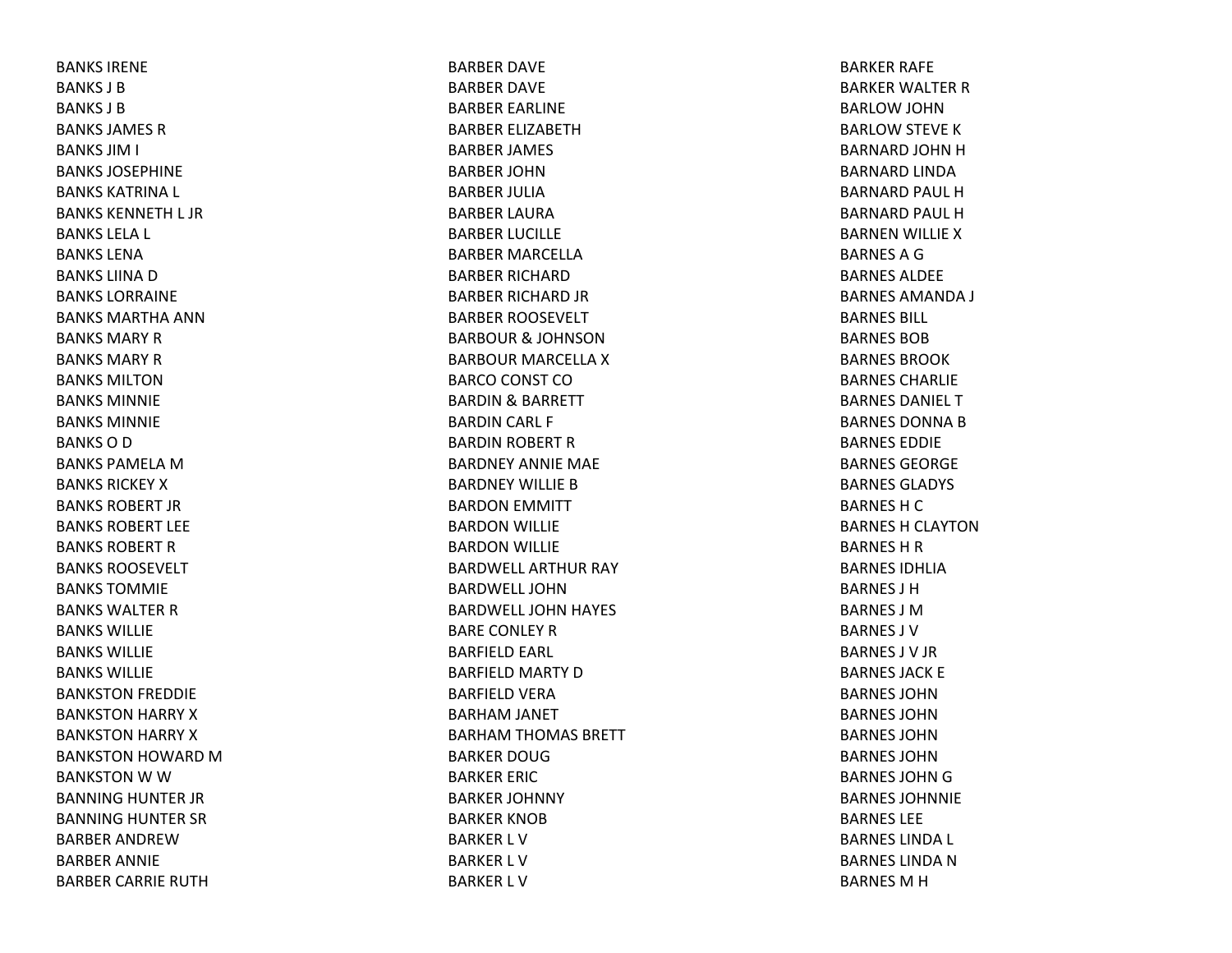BANKS IRENEBANKS J BBANKS J BBANKS JAMES RBANKS JIM I BANKS JOSEPHINEBANKS KATRINA L BANKS KENNETH L JR BANKS LELA L BANKS LENABANKS LIINA D BANKS LORRAINEBANKS MARTHA ANNBANKS MARY R BANKS MARY R BANKS MILTONBANKS MINNIEBANKS MINNIEBANKS O D BANKS PAMELA M BANKS RICKEY X BANKS ROBERT JRBANKS ROBERT LEEBANKS ROBERT R BANKS ROOSEVELTBANKS TOMMIEBANKS WALTER R BANKS WILLIEBANKS WILLIEBANKS WILLIEBANKSTON FREDDIE BANKSTON HARRY XBANKSTON HARRY XBANKSTON HOWARD MBANKSTON W W BANNING HUNTER JR BANNING HUNTER SR BARBER ANDREWBARBER ANNIE BARBER CARRIE RUTH

BARBER DAVE BARBER DAVE BARBER EARLINE BARBER ELIZABETHBARBER JAMES BARBER JOHNBARBER JULIABARBER LAURABARBER LUCILLE BARBER MARCELLABARBER RICHARDBARBER RICHARD JR BARBER ROOSEVELT BARBOUR& JOHNSON BARBOUR MARCELLA X BARCO CONST CO BARDIN& BARRETT BARDIN CARL F BARDIN ROBERT RBARDNEY ANNIE MAE BARDNEY WILLIE B BARDON EMMITT BARDON WILLIE BARDON WILLIE BARDWELL ARTHUR RAY BARDWELL JOHNBARDWELL JOHN HAYES BARE CONLEY RBARFIELD EARL BARFIELD MARTY DBARFIELD VERA BARHAM JANET BARHAM THOMAS BRETT BARKER DOUGBARKER ERIC BARKER JOHNNY BARKER KNOBBARKER L VBARKER L VBARKER L V

BARKER RAFE BARKER WALTER RBARLOW JOHN BARLOW STEVE KBARNARD JOHN H BARNARD LINDA BARNARD PAUL HBARNARD PAUL HBARNEN WILLIE XBARNESAGBARNES ALDEEBARNES AMANDA J BARNES BILL BARNES BOBBARNES BROOKBARNES CHARLIEBARNES DANIEL TBARNES DONNA B BARNES EDDIEBARNES GEORGEBARNES GLADYS BARNES H C BARNES H CLAYTON BARNES H R BARNES IDHLIABARNES J HBARNES J MBARNES J VBARNES J V JR BARNES JACK E BARNES JOHNBARNES JOHNBARNES JOHNBARNES JOHNBARNES JOHN G BARNES JOHNNIEBARNES LEEBARNES LINDA L BARNES LINDA N BARNES M H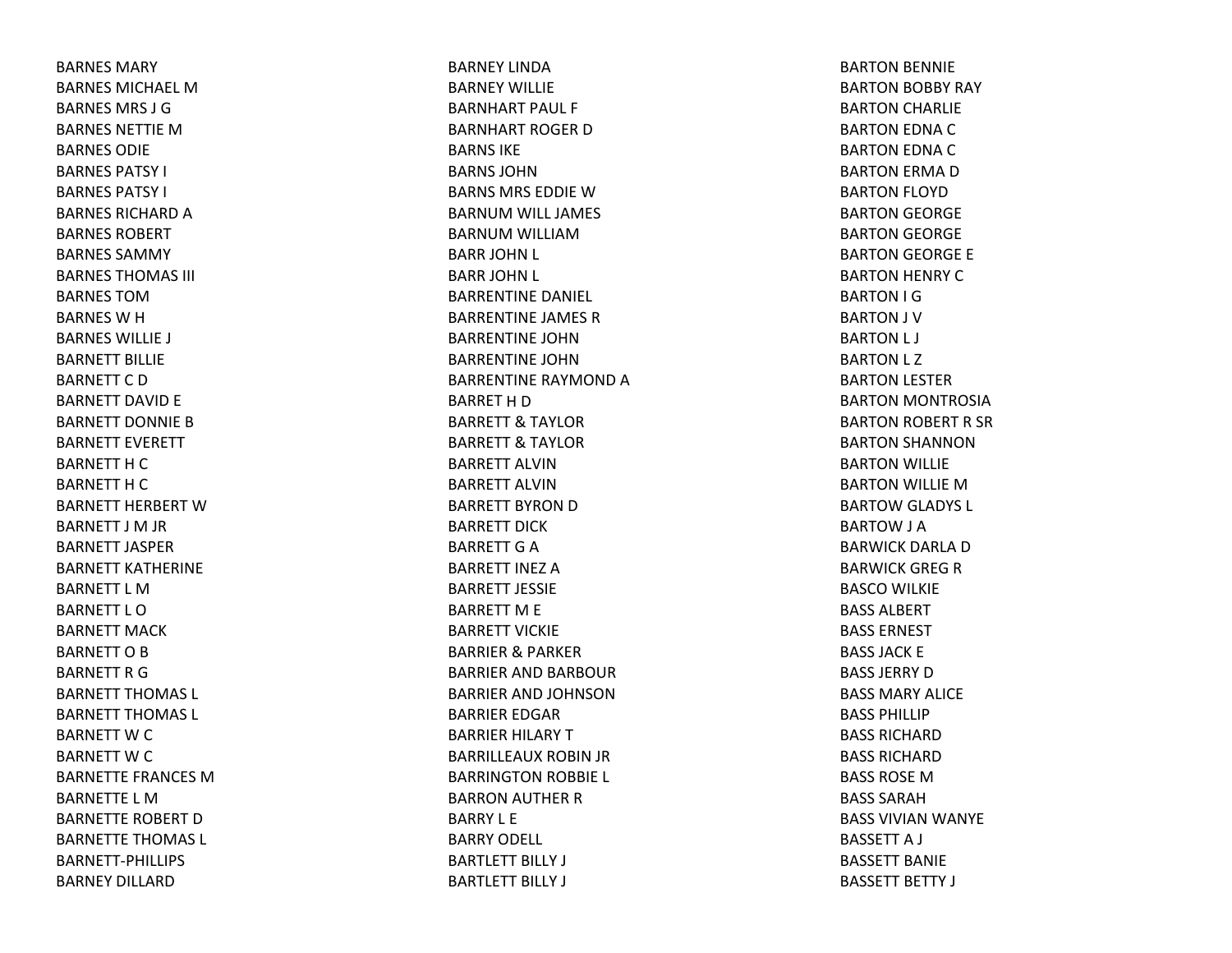BARNES MARYBARNES MICHAEL MBARNES MRS J GBARNES NETTIE M BARNES ODIEBARNES PATSY I BARNES PATSY I BARNES RICHARD A BARNES ROBERTBARNES SAMMYBARNES THOMAS III BARNES TOMBARNES W H BARNES WILLIE J BARNETT BILLIEBARNETT C D BARNETT DAVID E BARNETT DONNIE B BARNETT EVERETT BARNETT H C BARNETT H C BARNETT HERBERT WBARNETT J M JR BARNETT JASPERBARNETT KATHERINEBARNETT L MBARNETT L OBARNETT MACKBARNETT O B BARNETT R G BARNETT THOMAS L BARNETT THOMAS L BARNETT W C BARNETT W C BARNETTE FRANCES MBARNETTE L MBARNETTE ROBERT D BARNETTE THOMAS L BARNETT‐PHILLIPSBARNEY DILLARD

BARNEY LINDABARNEY WILLIEBARNHART PAUL F BARNHART ROGER D BARNS IKEBARNS JOHNBARNS MRS EDDIE W BARNUM WILL JAMES BARNUM WILLIAM BARR JOHN L BARR JOHN L BARRENTINE DANIEL BARRENTINE JAMES RBARRENTINE JOHNBARRENTINE JOHNBARRENTINE RAYMONDABARRET H D BARRETT& TAYLOR BARRETT& TAYLOR BARRETT ALVINBARRETT ALVINBARRETT BYRON D BARRETT DICKBARRETT G A BARRETT INEZ ABARRETT JESSIEBARRETT M E BARRETT VICKIEBARRIER& PARKER BARRIER AND BARBOUR BARRIER AND JOHNSONBARRIER EDGAR BARRIER HILARY TBARRILLEAUX ROBIN JR BARRINGTON ROBBIE L BARRON AUTHER RBARRY L EBARRY ODELL BARTLETT BILLY J BARTLETT BILLY J

BARTON BENNIE BARTON BOBBY RAY BARTON CHARLIE BARTON EDNA CBARTON EDNA CBARTON ERMA DBARTON FLOYD BARTON GEORGE BARTON GEORGE BARTON GEORGE E BARTON HENRY CBARTON I G BARTON J V BARTON L J BARTON L Z BARTON LESTER BARTON MONTROSIA BARTON ROBERT R SR BARTON SHANNON BARTON WILLIE BARTON WILLIE MBARTOW GLADYS L BARTOW J A BARWICK DARLA D BARWICK GREG R BASCO WILKIE BASS ALBERTBASS ERNESTBASS JACK E BASS JERRY D BASS MARY ALICEBASS PHILLIPBASS RICHARDBASS RICHARDBASS ROSE M BASS SARAHBASS VIVIAN WANYE BASSETT A J BASSETT BANIEBASSETT BETTY J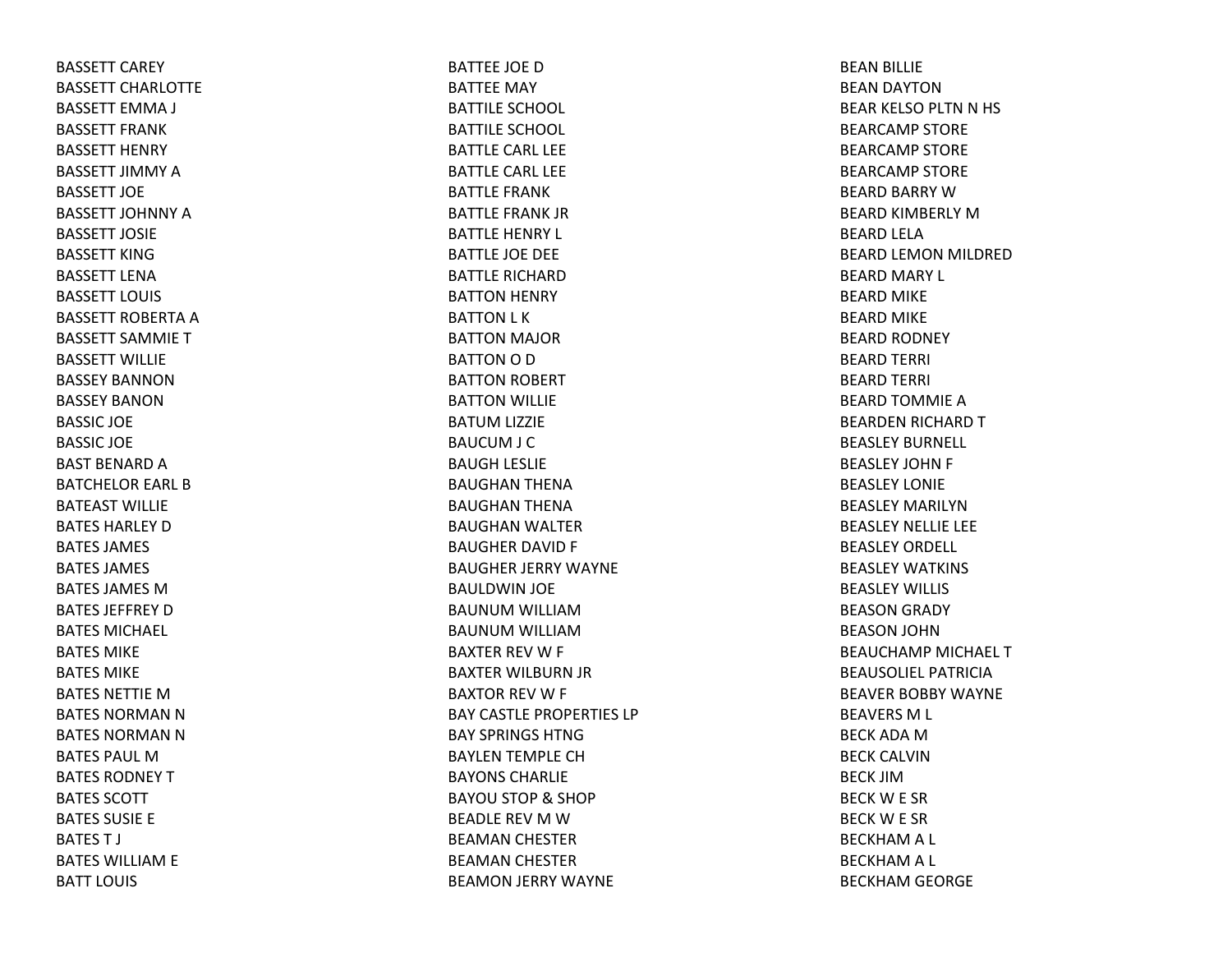BASSETT CAREY BASSETT CHARLOTTEBASSETT EMMA J BASSETT FRANKBASSETT HENRY BASSETT JIMMY ABASSETT JOEBASSETT JOHNNY ABASSETT JOSIEBASSETT KINGBASSETT LENABASSETT LOUIS BASSETT ROBERTA A BASSETT SAMMIETBASSETT WILLIEBASSEY BANNONBASSEY BANONBASSIC JOE BASSIC JOE BAST BENARD A BATCHELOR EARL BBATEAST WILLIEBATES HARLEY D BATES JAMES BATES JAMES BATES JAMES MBATES JEFFREY D BATES MICHAEL BATES MIKEBATES MIKEBATES NETTIE M BATES NORMAN N BATES NORMAN N BATES PAUL MBATES RODNEY T BATES SCOTTBATES SUSIE E BATEST J BATES WILLIAM E BATT LOUIS

BATTEE JOE DBATTEE MAY BATTILE SCHOOL BATTILE SCHOOL BATTLE CARL LEE BATTLE CARL LEE BATTLE FRANKBATTLE FRANK JRBATTLE HENRY L BATTLE JOE DEE BATTLE RICHARDBATTON HENRY BATTON L K BATTON MAJOR BATTON O D BATTON ROBERT BATTON WILLIE BATUM LIZZIE BAUCUM J C BAUGH LESLIE BAUGHAN THENA BAUGHAN THENA BAUGHAN WALTER BAUGHER DAVID F BAUGHER JERRY WAYNE BAULDWIN JOE BAUNUM WILLIAM BAUNUM WILLIAM BAXTER REV W F BAXTER WILBURN JR BAXTOR REV W F BAY CASTLE PROPERTIES LPBAY SPRINGS HTNGBAYLEN TEMPLE CH BAYONS CHARLIEBAYOU STOP & SHOP BEADLE REV M W BEAMAN CHESTER BEAMAN CHESTER BEAMON JERRY WAYNE

BEAN BILLIE BEAN DAYTON BEAR KELSO PLTN N HS BEARCAMP STORE BEARCAMP STORE BEARCAMP STORE BEARD BARRY WBEARD KIMBERLY MBEARD LELA BEARD LEMON MILDRED BEARD MARY L BEARD MIKE BEARD MIKE BEARD RODNEY BEARD TERRI BEARD TERRI BEARD TOMMIE ABEARDEN RICHARD TBEASLEY BURNELL BEASLEY JOHN F BEASLEY LONIEBEASLEY MARILYNBEASLEY NELLIE LEE BEASLEY ORDELL BEASLEY WATKINS BEASLEY WILLIS BEASON GRADY BEASON JOHN BEAUCHAMP MICHAEL TBEAUSOLIEL PATRICIABEAVER BOBBY WAYNE BEAVERS M L BECK ADA M BECK CALVINBECK JIMBECKW E SR BECKW E SR BECKHAM A L BECKHAM A L BECKHAM GEORGE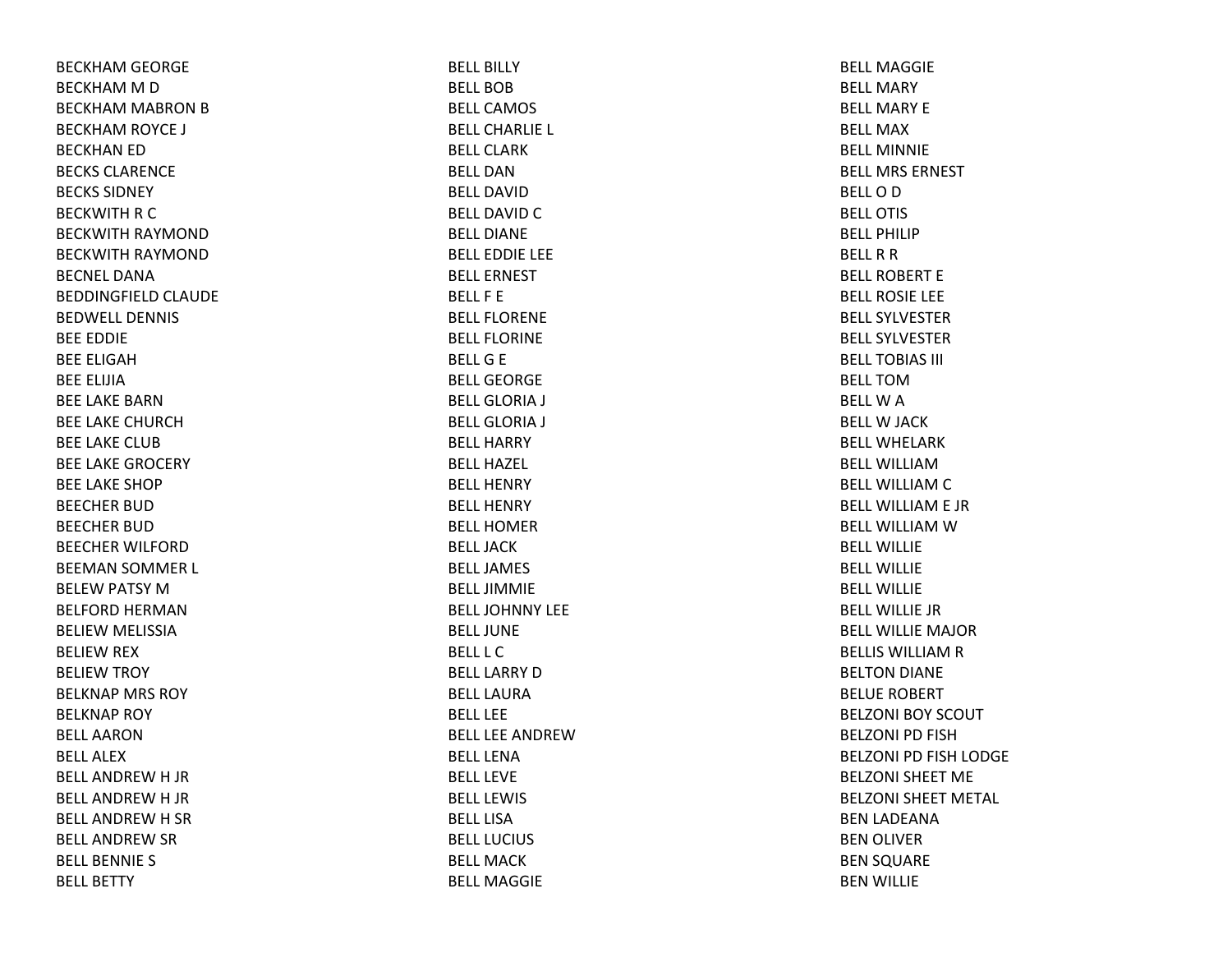BECKHAM GEORGE BECKHAM M D BECKHAM MABRON BBECKHAM ROYCE J BECKHAN ED BECKS CLARENCEBECKS SIDNEYBECKWITH R C BECKWITH RAYMOND BECKWITH RAYMOND BECNEL DANABEDDINGFIELD CLAUDE BEDWELL DENNISBEE EDDIE BEE ELIGAHBEE ELIJIABEE LAKE BARNBEE LAKE CHURCHBEE LAKE CLUBBEE LAKE GROCERY BEE LAKE SHOPBEECHER BUDBEECHER BUDBEECHER WILFORDBEEMAN SOMMER L BELEW PATSY MBELFORD HERMANBELIEW MELISSIA BELIEW REX BELIEW TROY BELKNAP MRS ROY BELKNAP ROY BELL AARONBELL ALEXBELL ANDREW H JR BELL ANDREW H JR BELL ANDREW H SR BELL ANDREW SR BELL BENNIE S BELL BETTY

BELL BILLYBELL BOBBELL CAMOSBELL CHARLIE L BELL CLARKBELL DANBELL DAVIDBELL DAVID C BELL DIANEBELL EDDIE LEE BELL ERNESTBELL F EBELL FLORENEBELL FLORINEBELLG E BELL GEORGEBELL GLORIA J BELL GLORIA J BELL HARRYBELL HAZEL BELL HENRYBELL HENRYBELL HOMERBELL JACKBELL JAMESBELL JIMMIEBELL JOHNNY LEEBELL JUNEBELL L CBELL LARRY D BELL LAURABELL LEEBELL LEE ANDREWBELL LENABELL LEVEBELL LEWISBELL LISABELL LUCIUSBELL MACKBELL MAGGIE

BELL MAGGIEBELL MARYBELL MARY EBELL MAXBELL MINNIEBELL MRS ERNESTBELLODBELL OTISBELL PHILIPBELLRRBELL ROBERT EBELL ROSIE LEE BELL SYLVESTERBELL SYLVESTERBELL TOBIAS III BELL TOMBELLWABELLW JACK BELL WHELARKBELL WILLIAMBELL WILLIAM C BELL WILLIAM E JR BELL WILLIAM W BELL WILLIE BELL WILLIEBELL WILLIEBELL WILLIE JRBELL WILLIE MAJORBELLIS WILLIAM R BELTON DIANE BELUE ROBERT BELZONI BOY SCOUT BELZONI PD FISHBELZONI PD FISH LODGE BELZONI SHEET MEBELZONI SHEET METAL BEN LADEANA BEN OLIVER BEN SQUARE BEN WILLIE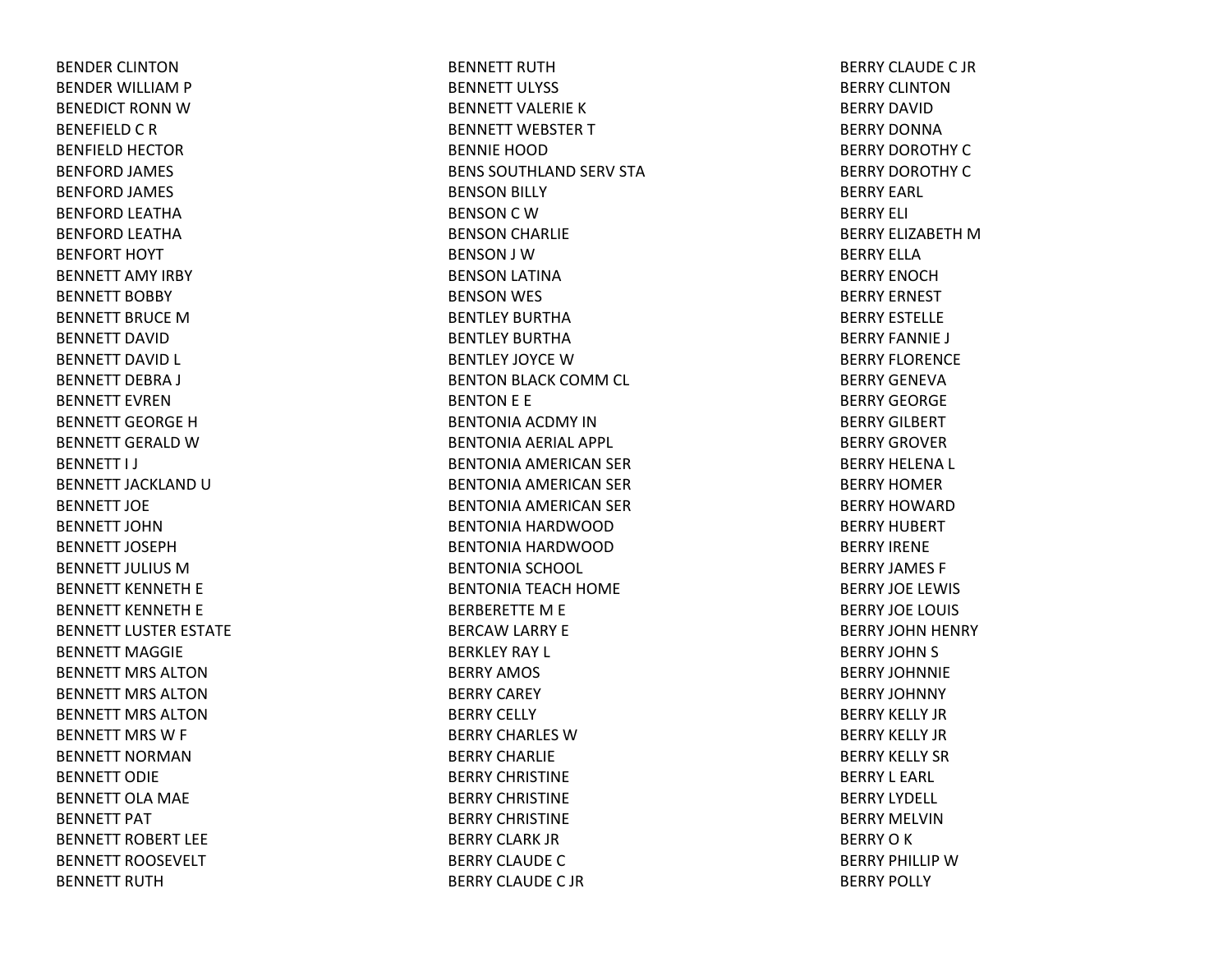BENDER CLINTONBENDER WILLIAM P BENEDICT RONN W BENEFIELD C R BENFIELD HECTOR BENFORD JAMES BENFORD JAMES BENFORD LEATHA BENFORD LEATHA BENFORT HOYT BENNETT AMY IRBY BENNETT BOBBY BENNETT BRUCE M BENNETT DAVIDBENNETT DAVID L BENNETT DEBRA J BENNETT EVRENBENNETT GEORGE H BENNETT GERALD W BENNETT I J BENNETT JACKLAND U BENNETT JOEBENNETT JOHNBENNETT JOSEPHBENNETT JULIUS MBENNETT KENNETH E BENNETT KENNETH E BENNETT LUSTER ESTATE BENNETT MAGGIEBENNETT MRS ALTONBENNETT MRS ALTONBENNETT MRS ALTONBENNETT MRS W F BENNETT NORMANBENNETT ODIEBENNETT OLA MAE BENNETT PAT BENNETT ROBERT LEEBENNETT ROOSEVELT BENNETT RUTH

BENNETT RUTHBENNETT ULYSS BENNETT VALERIEKBENNETT WEBSTER T BENNIE HOODBENS SOUTHLAND SERV STA BENSON BILLY BENSON C W BENSON CHARLIE BENSON J WBENSON LATINA BENSON WES BENTLEY BURTHABENTLEY BURTHABENTLEY JOYCE W BENTON BLACK COMM CL BENTON E E BENTONIA ACDMY INBENTONIA AERIAL APPL BENTONIA AMERICAN SER BENTONIA AMERICAN SER BENTONIA AMERICAN SER BENTONIA HARDWOODBENTONIA HARDWOODBENTONIA SCHOOL BENTONIA TEACH HOME BERBERETTE M E BERCAW LARRY E BERKLEY RAY L BERRY AMOS BERRY CAREY BERRY CELLY BERRY CHARLES WBERRY CHARLIEBERRY CHRISTINEBERRY CHRISTINEBERRY CHRISTINEBERRY CLARK JRBERRY CLAUDE C BERRY CLAUDE C JR

BERRY CLAUDE C JR BERRY CLINTONBERRY DAVIDBERRY DONNABERRY DOROTHY CBERRY DOROTHY CBERRY EARL BERRY ELI BERRY ELIZABETH M BERRY ELLABERRY ENOCHBERRY ERNEST BERRY ESTELLEBERRY FANNIE J BERRY FLORENCEBERRY GENEVABERRY GEORGEBERRY GILBERT BERRY GROVERBERRY HELENA L BERRY HOMERBERRY HOWARDBERRY HUBERT BERRY IRENEBERRY JAMES F BERRY JOE LEWIS BERRY JOE LOUIS BERRY JOHN HENRY BERRY JOHN S BERRY JOHNNIEBERRY JOHNNY BERRY KELLY JRBERRY KELLY JRBERRY KELLY SRBERRY L EARL BERRY LYDELL BERRY MELVINBERRYOKBERRY PHILLIP W BERRY POLLY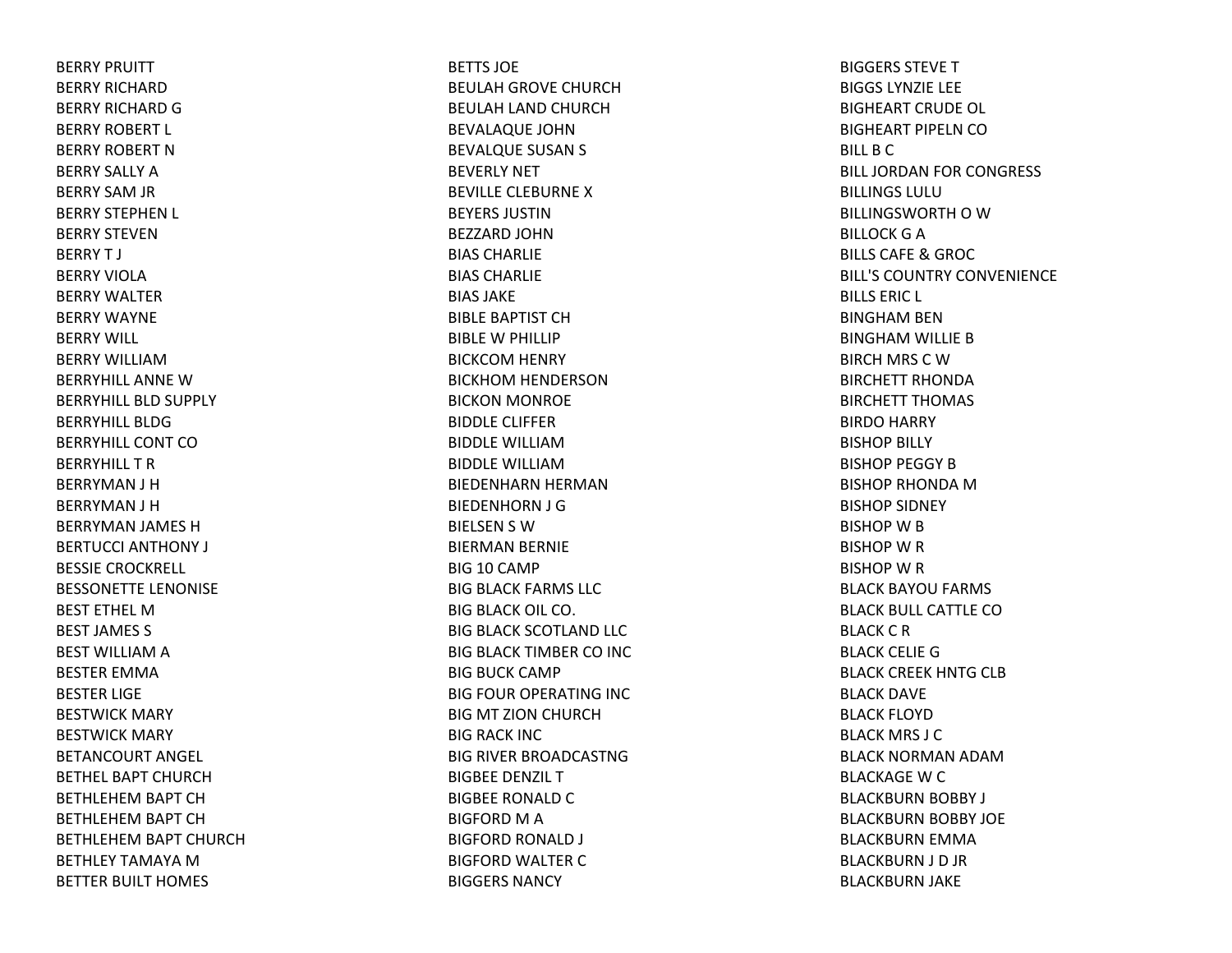BERRY PRUITT BERRY RICHARDBERRY RICHARD G BERRY ROBERT L BERRY ROBERT NBERRY SALLY ABERRY SAM JR BERRY STEPHEN L BERRY STEVENBERRYT J BERRY VIOLABERRY WALTERBERRY WAYNEBERRY WILL BERRY WILLIAMBERRYHILL ANNE W BERRYHILL BLD SUPPLY BERRYHILL BLDGBERRYHILL CONT COBERRYHILL T R BERRYMAN J H BERRYMAN J H BERRYMAN JAMES HBERTUCCI ANTHONY J BESSIE CROCKRELL BESSONETTE LENONISE BEST ETHEL MBEST JAMES S BEST WILLIAM A BESTER EMMABESTER LIGE BESTWICK MARY BESTWICK MARY BETANCOURT ANGEL BETHEL BAPT CHURCHBETHLEHEM BAPT CH BETHLEHEM BAPT CH BETHLEHEM BAPT CHURCH BETHLEY TAMAYA M BETTER BUILT HOMES

BETTS JOEBEULAH GROVE CHURCH BEULAH LAND CHURCH BEVALAQUE JOHN BEVALQUE SUSAN S BEVERLY NET BEVILLE CLEBURNE XBEYERS JUSTINBEZZARD JOHNBIAS CHARLIEBIAS CHARLIEBIAS JAKEBIBLE BAPTIST CHBIBLE W PHILLIP BICKCOM HENRY BICKHOM HENDERSON BICKON MONROE BIDDLE CLIFFERBIDDLE WILLIAMBIDDLE WILLIAMBIEDENHARN HERMAN BIEDENHORN J G BIELSEN S WBIERMAN BERNIE BIG 10 CAMP BIG BLACK FARMS LLC BIG BLACK OIL CO. BIG BLACK SCOTLAND LLC BIG BLACK TIMBER CO INC BIG BUCK CAMP BIG FOUR OPERATING INC BIG MT ZION CHURCH BIG RACK INC BIG RIVER BROADCASTNG BIGBEE DENZIL TBIGBEE RONALD C BIGFORD M A BIGFORD RONALD J BIGFORD WALTER CBIGGERS NANCY

BIGGERS STEVETBIGGS LYNZIE LEE BIGHEART CRUDE OL BIGHEART PIPELN COBILL B C BILL JORDAN FOR CONGRESS BILLINGS LULUBILLINGSWORTH O W BILLOCK G A BILLS CAFE& GROC BILL'S COUNTRY CONVENIENCEBILLS ERIC L BINGHAM BEN BINGHAM WILLIE BBIRCH MRS CWBIRCHETT RHONDABIRCHETT THOMAS BIRDO HARRY BISHOP BILLY BISHOP PEGGY BBISHOP RHONDA M BISHOP SIDNEY BISHOP W B BISHOP W R BISHOP W R BLACK BAYOU FARMS BLACK BULL CATTLE COBLACK C R BLACK CELIE GBLACK CREEK HNTG CLB BLACK DAVE BLACK FLOYD BLACK MRS J CBLACK NORMAN ADAMBLACKAGE W C BLACKBURN BOBBY J BLACKBURN BOBBY JOE BLACKBURN EMMA BLACKBURN J D JR BLACKBURN JAKE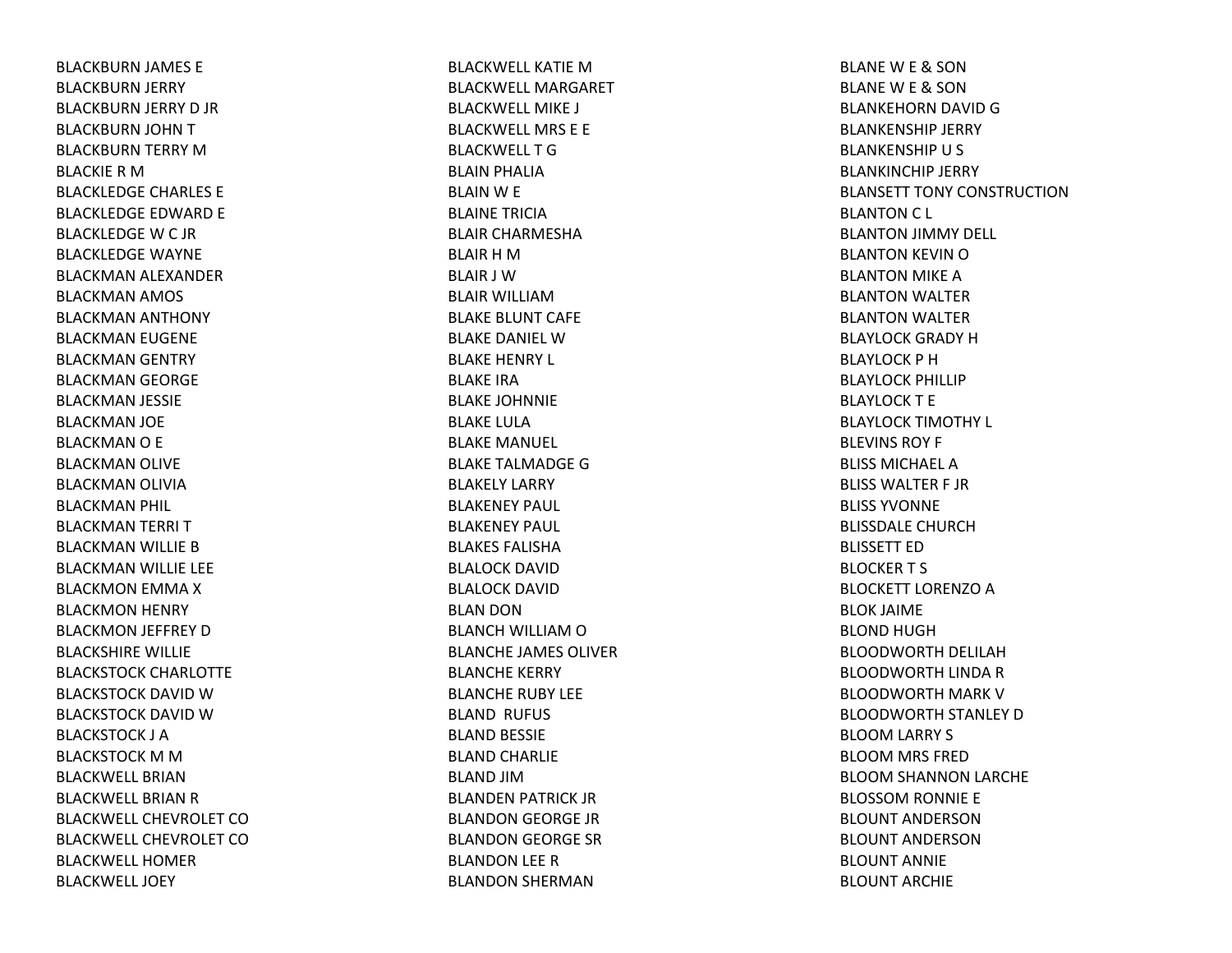BLACKBURN JAMES E BLACKBURN JERRY BLACKBURN JERRY D JR BLACKBURN JOHN TBLACKBURN TERRY MBLACKIE R M BLACKLEDGE CHARLES E BLACKLEDGE EDWARD E BLACKLEDGE W C JR BLACKLEDGE WAYNE BLACKMAN ALEXANDER BLACKMAN AMOS BLACKMAN ANTHONY BLACKMAN EUGENE BLACKMAN GENTRY BLACKMAN GEORGE BLACKMAN JESSIE BLACKMAN JOE BLACKMANO E BLACKMAN OLIVE BLACKMAN OLIVIA BLACKMAN PHIL BLACKMAN TERRI TBLACKMAN WILLIE BBLACKMAN WILLIE LEE BLACKMON EMMA XBLACKMON HENRY BLACKMON JEFFREY DBLACKSHIRE WILLIE BLACKSTOCK CHARLOTTE BLACKSTOCK DAVID W BLACKSTOCK DAVID W BLACKSTOCK J ABLACKSTOCK M M BLACKWELL BRIANBLACKWELL BRIAN R BLACKWELL CHEVROLET COBLACKWELL CHEVROLET COBLACKWELL HOMERBLACKWELL JOEY

BLACKWELL KATIE M BLACKWELL MARGARETBLACKWELL MIKE J BLACKWELL MRS E E BLACKWELLTGBLAIN PHALIA BLAIN W E BLAINE TRICIABLAIR CHARMESHABLAIR H M BLAIR J WBLAIR WILLIAMBLAKE BLUNT CAFE BLAKE DANIEL WBLAKE HENRY L BLAKE IRABLAKE JOHNNIE BLAKE LULABLAKE MANUEL BLAKE TALMADGE GBLAKELY LARRY BLAKENEY PAUL BLAKENEY PAUL BLAKES FALISHABLALOCK DAVIDBLALOCK DAVIDBLAN DON BLANCH WILLIAM O BLANCHE JAMES OLIVERBLANCHE KERRY BLANCHE RUBY LEE BLAND RUFUS BLAND BESSIE BLAND CHARLIE BLAND JIMBLANDEN PATRICK JR BLANDON GEORGE JR BLANDON GEORGE SR BLANDON LEE RBLANDON SHERMAN

BLANEW E & SON BLANEW E & SON BLANKEHORN DAVID GBLANKENSHIP JERRY BLANKENSHIP U S BLANKINCHIP JERRY BLANSETT TONY CONSTRUCTIONBLANTON C L BLANTON JIMMY DELL BLANTON KEVIN OBLANTON MIKE ABLANTON WALTER BLANTON WALTER BLAYLOCK GRADY HBLAYLOCK P HBLAYLOCK PHILLIP BLAYLOCKT EBLAYLOCK TIMOTHY L BLEVINS ROY F BLISS MICHAEL ABLISS WALTER F JR BLISS YVONNEBLISSDALE CHURCHBLISSETT EDBLOCKERT S BLOCKETT LORENZO A BLOK JAIME BLOND HUGHBLOODWORTH DELILAH BLOODWORTH LINDA RBLOODWORTH MARK VBLOODWORTH STANLEY DBLOOM LARRY S BLOOM MRS FRED BLOOM SHANNON LARCHE BLOSSOM RONNIE E BLOUNT ANDERSONBLOUNT ANDERSONBLOUNT ANNIEBLOUNT ARCHIE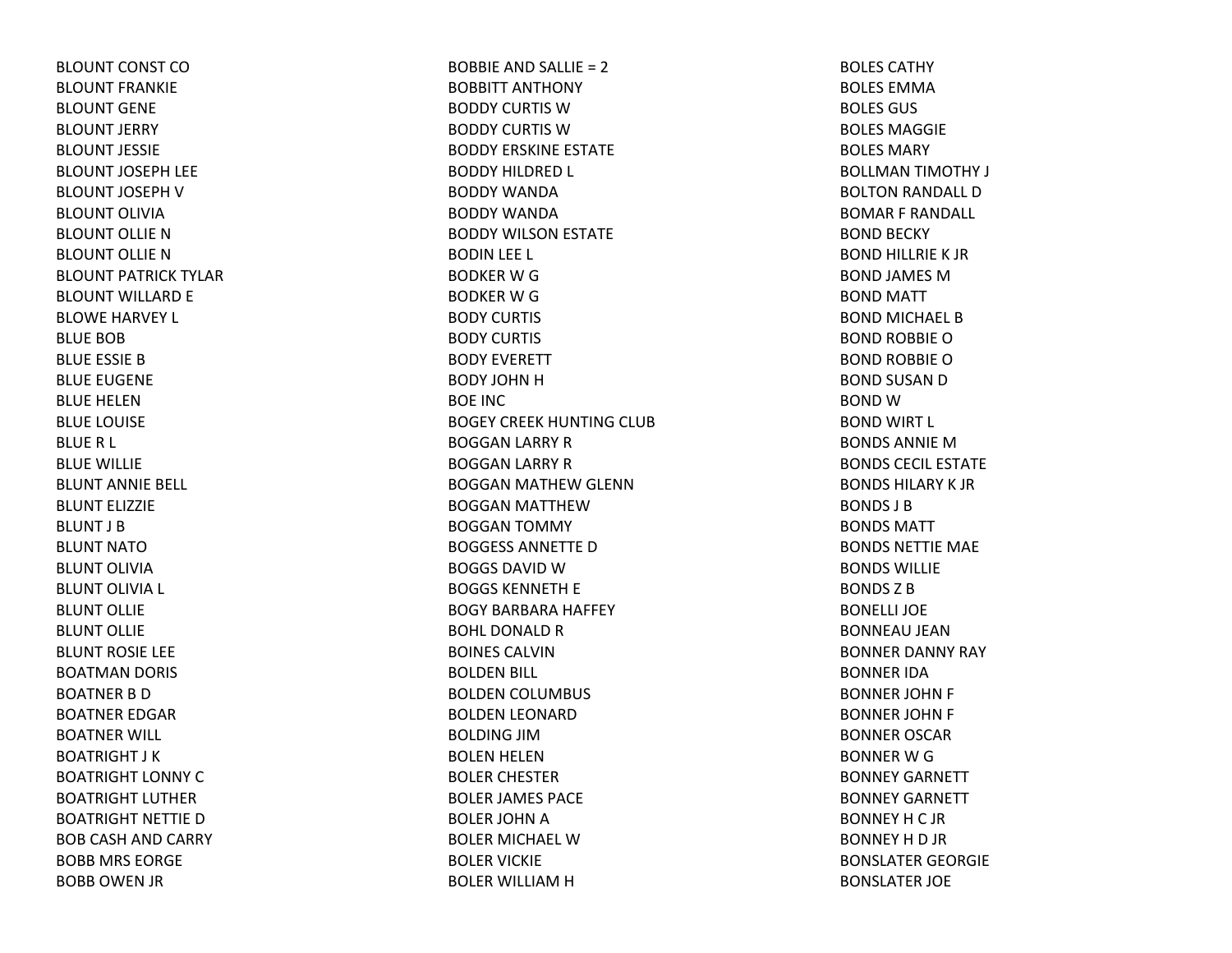BLOUNT CONST COBLOUNT FRANKIEBLOUNT GENEBLOUNT JERRY BLOUNT JESSIEBLOUNT JOSEPH LEE BLOUNT JOSEPH V BLOUNT OLIVIABLOUNT OLLIE NBLOUNT OLLIE NBLOUNT PATRICK TYLARBLOUNT WILLARD E BLOWE HARVEY L BLUE BOBBLUE ESSIE BBLUE EUGENE BLUE HELENBLUE LOUISE BLUE R L BLUE WILLIE BLUNT ANNIE BELL BLUNT ELIZZIEBLUNT J BBLUNT NATOBLUNT OLIVIABLUNT OLIVIA L BLUNT OLLIEBLUNT OLLIEBLUNT ROSIE LEE BOATMAN DORIS BOATNER B DBOATNER EDGAR BOATNER WILL BOATRIGHT J KBOATRIGHT LONNY CBOATRIGHT LUTHERBOATRIGHT NETTIE DBOB CASH AND CARRY BOBB MRS EORGE BOBB OWEN JR

BOBBIE AND SALLIE <sup>=</sup> 2 BOBBITT ANTHONY BODDY CURTIS WBODDY CURTIS WBODDY ERSKINE ESTATE BODDY HILDRED L BODDY WANDABODDY WANDABODDY WILSON ESTATE BODIN LEE L BODKER W G BODKER W G BODY CURTIS BODY CURTIS BODY EVERETT BODY JOHN H BOE INCBOGEY CREEK HUNTING CLUB BOGGAN LARRY R BOGGAN LARRY R BOGGAN MATHEW GLENN BOGGAN MATTHEWBOGGAN TOMMY BOGGESS ANNETTE DBOGGS DAVID WBOGGS KENNETH E BOGY BARBARA HAFFEY BOHL DONALD R BOINES CALVINBOLDEN BILL BOLDEN COLUMBUS BOLDEN LEONARD BOLDING JIMBOLEN HELEN BOLER CHESTER BOLER JAMES PACE BOLER JOHN A BOLER MICHAEL WBOLER VICKIE BOLER WILLIAM H

BOLES CATHYBOLES EMMABOLES GUS BOLES MAGGIEBOLES MARYBOLLMAN TIMOTHY J BOLTON RANDALL D BOMAR F RANDALL BOND BECKY BOND HILLRIE K JR BOND JAMES MBOND MATT BOND MICHAEL B BOND ROBBIE OBOND ROBBIE OBOND SUSAN D BOND WBOND WIRT L BONDS ANNIE MBONDS CECIL ESTATEBONDS HILARY K JRBONDS J BBONDS MATTBONDS NETTIE MAE BONDS WILLIEBONDS Z BBONELLI JOEBONNEAU JEANBONNER DANNY RAY BONNER IDABONNER JOHN F BONNER JOHN F BONNER OSCAR BONNER W G BONNEY GARNETT BONNEY GARNETT BONNEY H C JR BONNEY H D JR BONSLATER GEORGIE BONSLATER JOE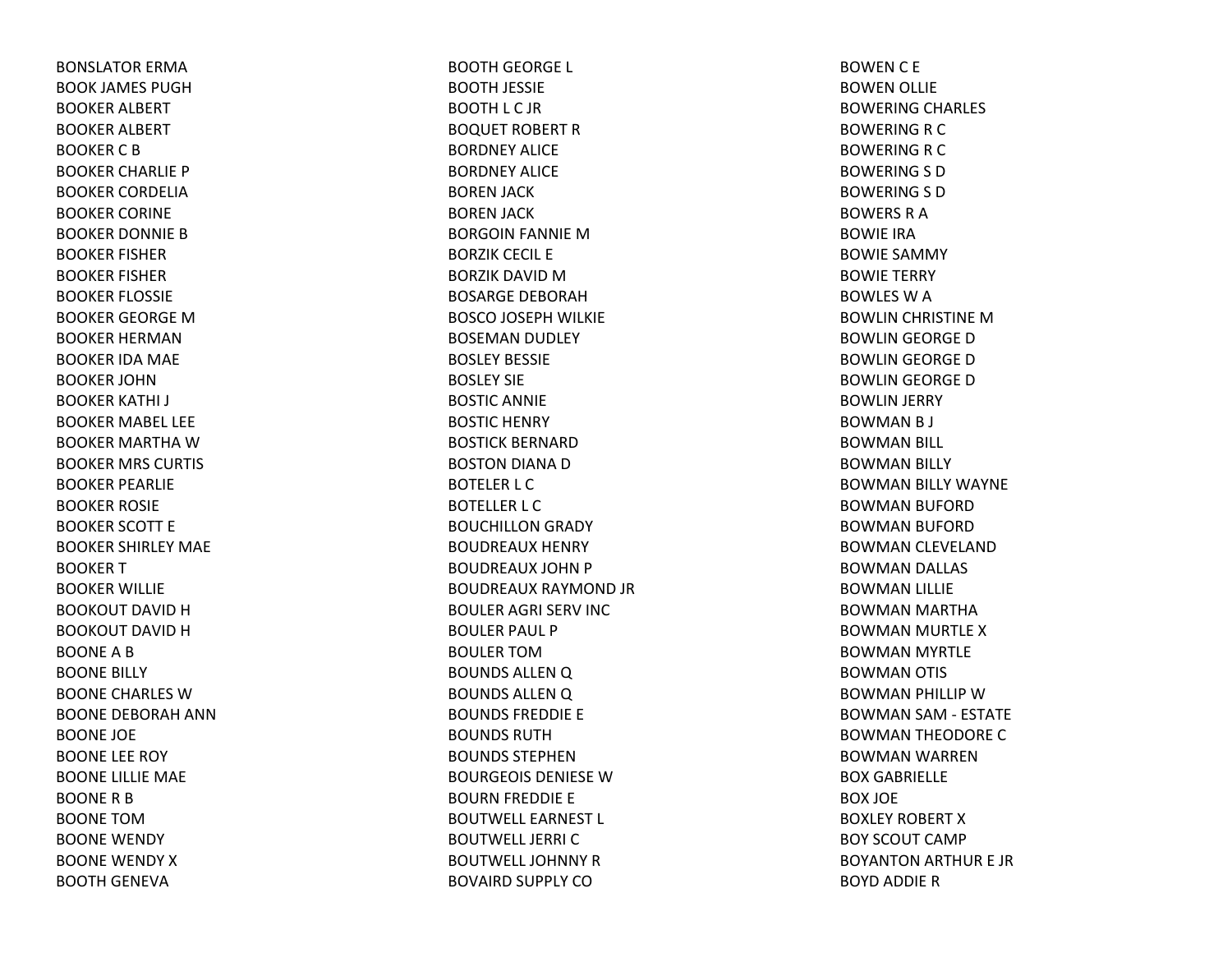BONSLATOR ERMABOOK JAMES PUGHBOOKER ALBERT BOOKER ALBERT BOOKER C B BOOKER CHARLIE P BOOKER CORDELIABOOKER CORINE BOOKER DONNIE BBOOKER FISHER BOOKER FISHER BOOKER FLOSSIE BOOKER GEORGE MBOOKER HERMANBOOKER IDA MAE BOOKER JOHNBOOKER KATHI J BOOKER MABEL LEE BOOKER MARTHA W BOOKER MRS CURTIS BOOKER PEARLIE BOOKER ROSIE BOOKER SCOTT E BOOKER SHIRLEY MAE BOOKER T BOOKER WILLIE BOOKOUT DAVID H BOOKOUT DAVID H BOONEABBOONE BILLY BOONE CHARLES WBOONE DEBORAH ANNBOONE JOE BOONE LEE ROY BOONE LILLIE MAE BOONE R B BOONE TOMBOONE WENDY BOONE WENDY XBOOTH GENEVA

BOOTH GEORGE L BOOTH JESSIE BOOTH L C JR BOQUET ROBERT RBORDNEY ALICEBORDNEY ALICEBOREN JACK BOREN JACK BORGOIN FANNIE MBORZIK CECIL E BORZIK DAVID M BOSARGE DEBORAHBOSCO JOSEPH WILKIE BOSEMAN DUDLEY BOSLEY BESSIEBOSLEY SIEBOSTIC ANNIE BOSTIC HENRY BOSTICK BERNARDBOSTON DIANA DBOTELER L C BOTELLER L C BOUCHILLON GRADY BOUDREAUX HENRY BOUDREAUX JOHN P BOUDREAUX RAYMOND JR BOULER AGRI SERV INC BOULER PAUL P BOULER TOMBOUNDS ALLEN Q BOUNDS ALLEN Q BOUNDS FREDDIE E BOUNDS RUTHBOUNDS STEPHENBOURGEOIS DENIESE W BOURN FREDDIE E BOUTWELL EARNEST L BOUTWELL JERRI CBOUTWELL JOHNNY R BOVAIRD SUPPLY CO

BOWENC E BOWEN OLLIE BOWERING CHARLES BOWERING R C BOWERING R C BOWERING S D BOWERING S D BOWERS R A BOWIE IRABOWIE SAMMY BOWIE TERRY BOWLES W A BOWLIN CHRISTINE MBOWLIN GEORGE DBOWLIN GEORGE DBOWLIN GEORGE DBOWLIN JERRY BOWMANB J BOWMAN BILL BOWMAN BILLY BOWMAN BILLY WAYNE BOWMAN BUFORD BOWMAN BUFORD BOWMAN CLEVELAND BOWMAN DALLAS BOWMAN LILLIE BOWMAN MARTHA BOWMAN MURTLE XBOWMAN MYRTLE BOWMAN OTIS BOWMAN PHILLIP WBOWMAN SAM ‐ ESTATE BOWMAN THEODORE CBOWMAN WARREN BOX GABRIELLE BOX JOE BOXLEY ROBERT XBOY SCOUT CAMPBOYANTON ARTHUR E JR BOYD ADDIE R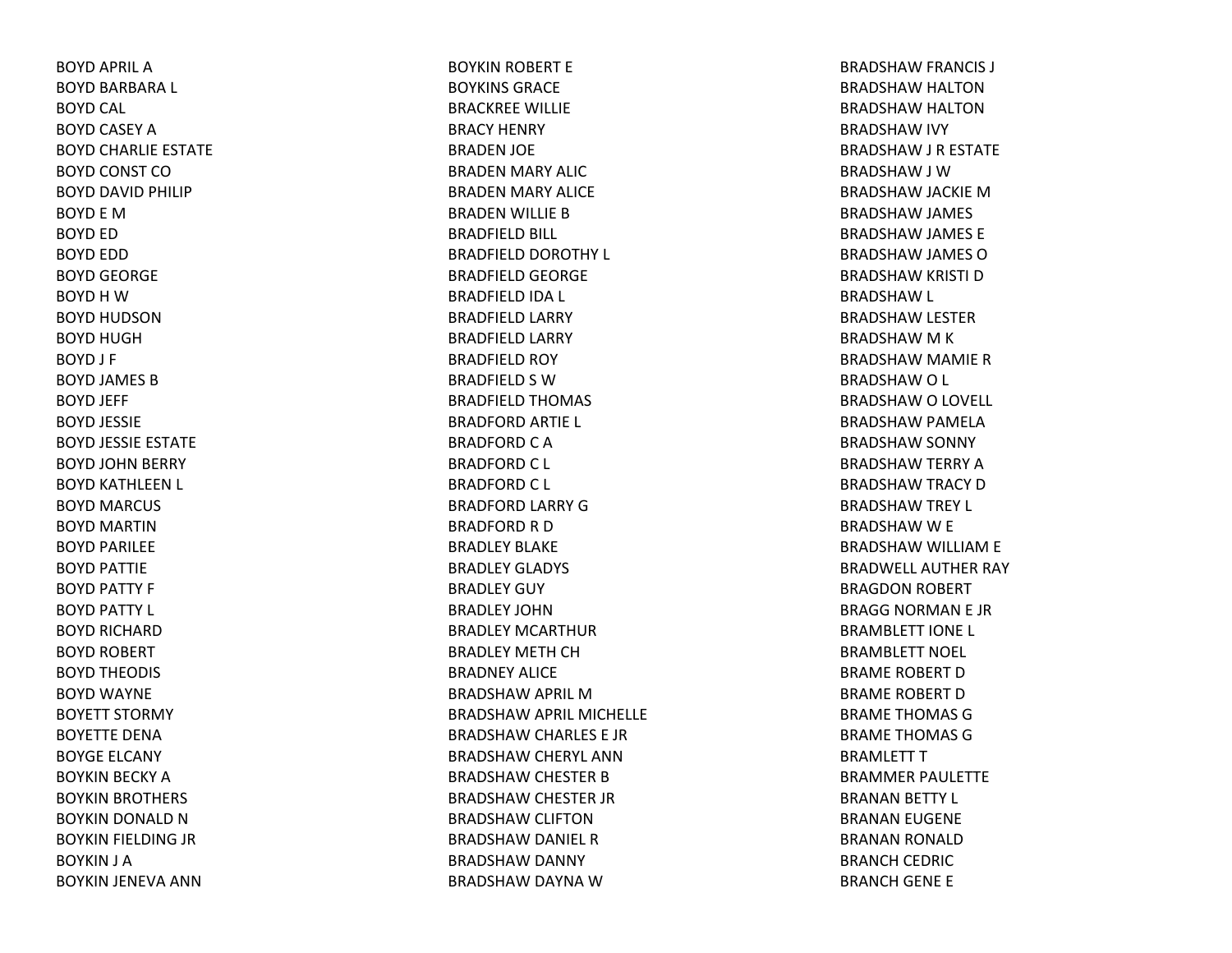BOYD APRIL ABOYD BARBARA L BOYD CAL BOYD CASEY ABOYD CHARLIE ESTATE BOYD CONST COBOYD DAVID PHILIP BOYD E MBOYD ED BOYD EDD BOYD GEORGE BOYD H W BOYD HUDSONBOYD HUGHBOYD J F BOYD JAMES BBOYD JEFF BOYD JESSIE BOYD JESSIE ESTATE BOYD JOHN BERRY BOYD KATHLEEN L BOYD MARCUS BOYD MARTINBOYD PARILEE BOYD PATTIE BOYD PATTY F BOYD PATTY L BOYD RICHARD BOYD ROBERT BOYD THEODIS BOYD WAYNE BOYETT STORMY BOYETTE DENABOYGE ELCANY BOYKIN BECKY ABOYKIN BROTHERS BOYKIN DONALD NBOYKIN FIELDING JR BOYKIN J A BOYKIN JENEVA ANN

BOYKIN ROBERT E BOYKINS GRACEBRACKREE WILLIE BRACY HENRY BRADEN JOE BRADEN MARY ALIC BRADEN MARY ALICE BRADEN WILLIE BBRADFIELD BILL BRADFIELD DOROTHY L BRADFIELD GEORGE BRADFIELD IDA L BRADFIELD LARRY BRADFIELD LARRY BRADFIELD ROY BRADFIELD S WBRADFIELD THOMAS BRADFORD ARTIE L BRADFORD C A BRADFORD C L BRADFORD C L BRADFORD LARRY GBRADFORD R D BRADLEY BLAKEBRADLEY GLADYS BRADLEY GUY BRADLEY JOHNBRADLEY MCARTHURBRADLEY METH CH BRADNEY ALICEBRADSHAW APRIL MBRADSHAW APRIL MICHELLE BRADSHAW CHARLES E JR BRADSHAW CHERYL ANN BRADSHAW CHESTER BBRADSHAW CHESTER JR BRADSHAW CLIFTON BRADSHAW DANIEL RBRADSHAW DANNY BRADSHAW DAYNA W

BRADSHAW FRANCIS J BRADSHAW HALTON BRADSHAW HALTON BRADSHAW IVY BRADSHAW J R ESTATE BRADSHAW J W BRADSHAW JACKIE MBRADSHAW JAMES BRADSHAW JAMES E BRADSHAW JAMES OBRADSHAW KRISTI DBRADSHAW L BRADSHAW LESTER BRADSHAW M K BRADSHAW MAMIE RBRADSHAWO L BRADSHAW O LOVELL BRADSHAW PAMELA BRADSHAW SONNY BRADSHAW TERRY ABRADSHAW TRACY DBRADSHAW TREY L BRADSHAW W E BRADSHAW WILLIAM E BRADWELL AUTHER RAY BRAGDON ROBERT BRAGG NORMAN E JR BRAMBLETT IONE L BRAMBLETT NOEL BRAME ROBERT DBRAME ROBERT DBRAME THOMAS GBRAME THOMAS GBRAMLETT T BRAMMER PAULETTE BRANAN BETTY L BRANAN EUGENE BRANAN RONALD BRANCH CEDRIC BRANCH GENE E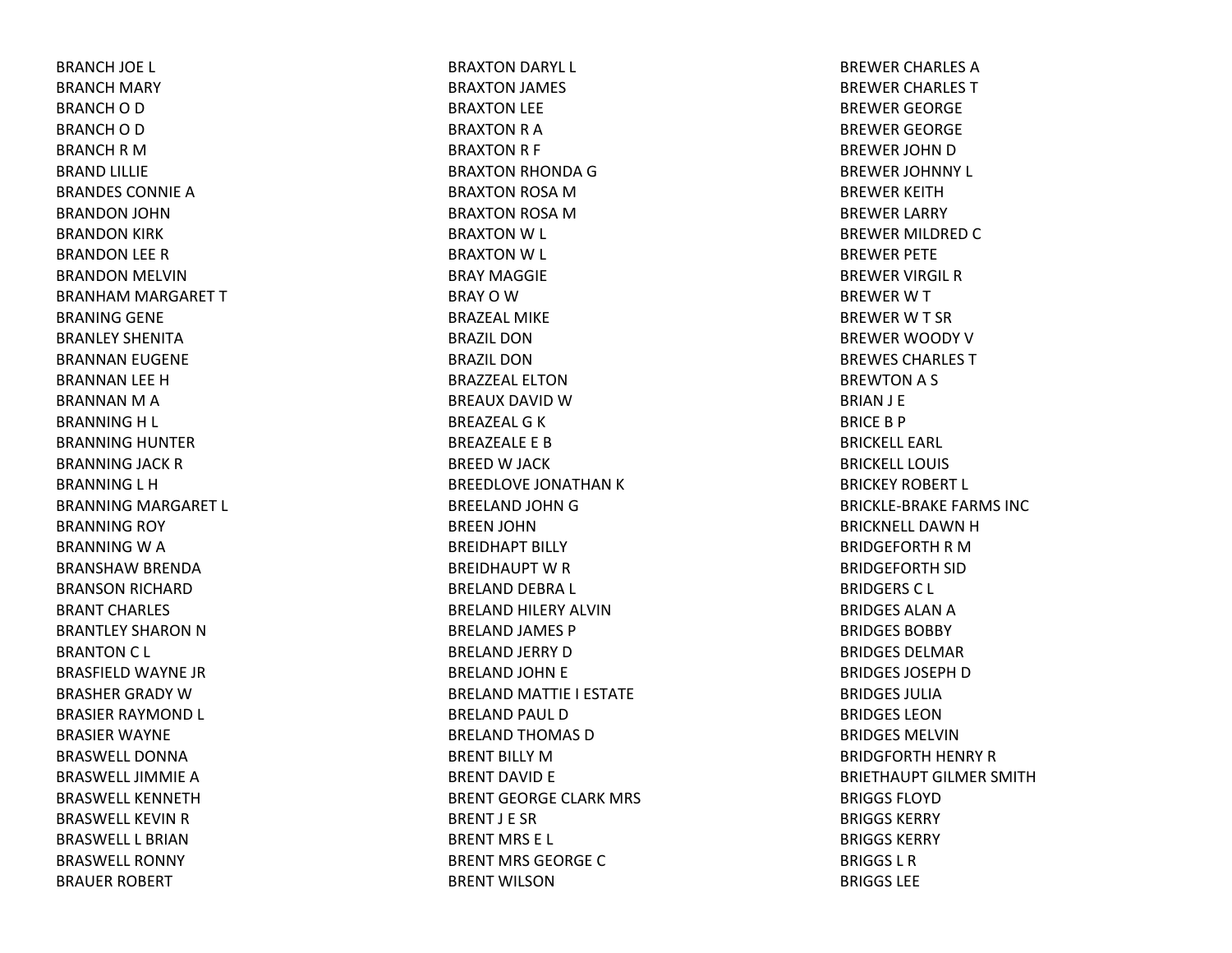BRANCH JOE L BRANCH MARY BRANCH O D BRANCH O D BRANCH R M BRAND LILLIE BRANDES CONNIE A BRANDON JOHN BRANDON KIRK BRANDON LEE RBRANDON MELVIN BRANHAM MARGARET TBRANING GENE BRANLEY SHENITABRANNAN EUGENE BRANNAN LEE HBRANNAN M A BRANNING H L BRANNING HUNTER BRANNING JACK RBRANNING L H BRANNING MARGARET L BRANNING ROY BRANNING W A BRANSHAW BRENDA BRANSON RICHARD BRANT CHARLES BRANTLEY SHARON N BRANTON C L BRASFIELD WAYNE JR BRASHER GRADY WBRASIER RAYMOND L BRASIER WAYNE BRASWELL DONNABRASWELL JIMMIE A BRASWELL KENNETHBRASWELL KEVIN R BRASWELL L BRIANBRASWELL RONNYBRAUER ROBERT

BRAXTON DARYL L BRAXTON JAMES BRAXTON LEE BRAXTON R A BRAXTON R F BRAXTON RHONDA GBRAXTON ROSA MBRAXTON ROSA MBRAXTON W L BRAXTON W L BRAY MAGGIEBRAYOWBRAZEAL MIKEBRAZIL DONBRAZIL DONBRAZZEAL ELTONBREAUX DAVID W BREAZEAL G K BREAZEALE E BBREED W JACK BREEDLOVE JONATHAN K BREELAND JOHN G BREEN JOHN BREIDHAPT BILLY BREIDHAUPT W R BRELAND DEBRA L BRELAND HILERY ALVINBRELAND JAMES P BRELAND JERRY DBRELAND JOHN E BRELAND MATTIE I ESTATE BRELAND PAUL DBRELAND THOMAS DBRENT BILLY MBRENT DAVID E BRENT GEORGE CLARK MRS BRENT J E SRBRENT MRS E L BRENT MRS GEORGE C BRENT WILSON

BREWER CHARLES ABREWER CHARLES TBREWER GEORGE BREWER GEORGE BREWER JOHN D BREWER JOHNNY L BREWER KEITHBREWER LARRY BREWER MILDRED C BREWER PETE BREWER VIRGIL RBREWERWTBREWERWT SRBREWER WOODY VBREWES CHARLES TBREWTON A S BRIAN J E BRICEB P BRICKELL EARL BRICKELL LOUISBRICKEY ROBERT L BRICKLE‐BRAKE FARMS INCBRICKNELL DAWN H BRIDGEFORTH R M BRIDGEFORTH SID BRIDGERS C L BRIDGES ALAN A BRIDGES BOBBYBRIDGES DELMARBRIDGES JOSEPH D BRIDGES JULIABRIDGES LEONBRIDGES MELVINBRIDGFORTH HENRY RBRIETHAUPT GILMER SMITHBRIGGS FLOYDBRIGGS KERRYBRIGGS KERRYBRIGGS L RBRIGGS LEE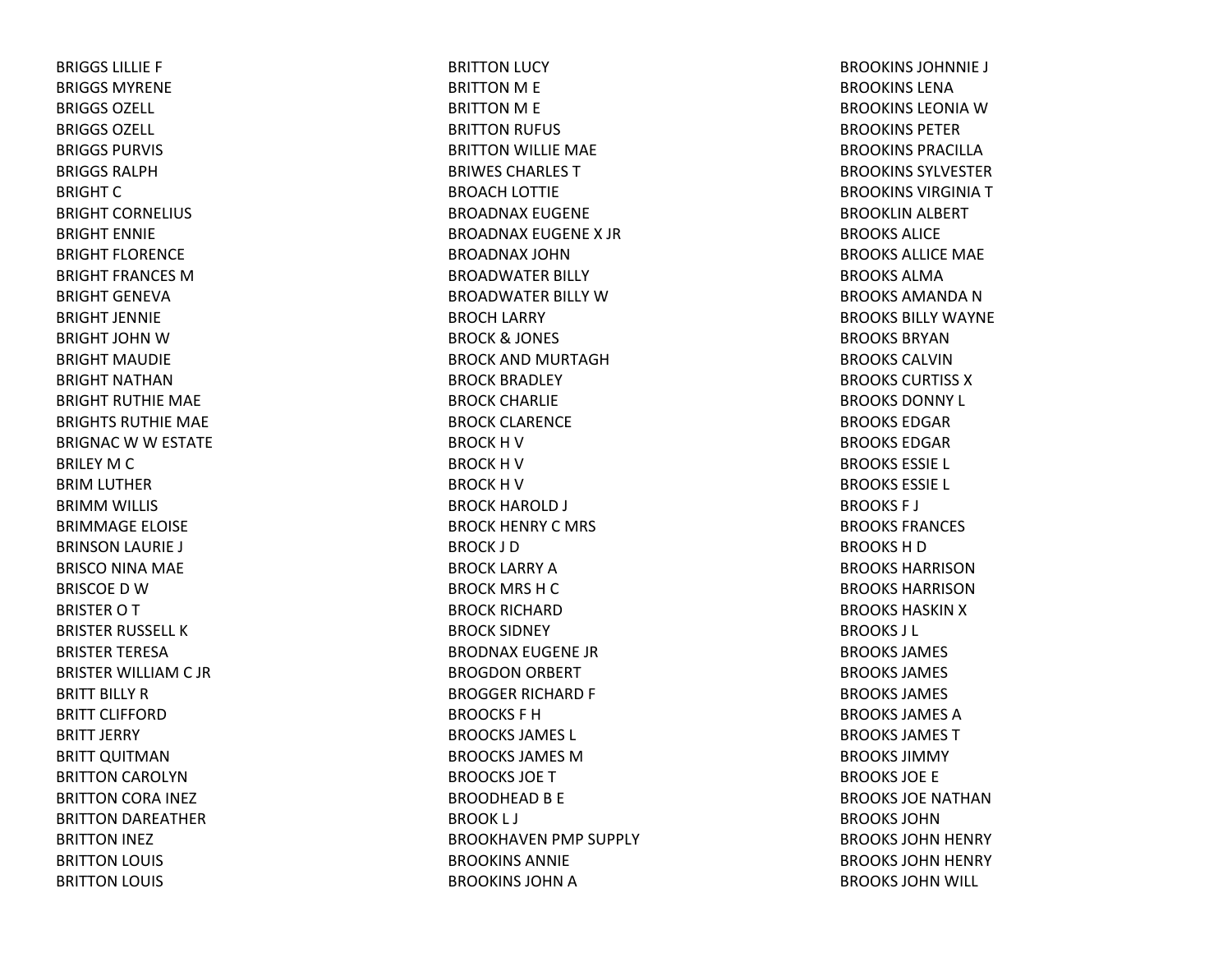BRIGGS LILLIE F BRIGGS MYRENEBRIGGS OZELL BRIGGS OZELL BRIGGS PURVIS BRIGGS RALPHBRIGHT C BRIGHT CORNELIUS BRIGHT ENNIEBRIGHT FLORENCEBRIGHT FRANCES MBRIGHT GENEVABRIGHT JENNIEBRIGHT JOHN W BRIGHT MAUDIEBRIGHT NATHANBRIGHT RUTHIE MAE BRIGHTS RUTHIE MAE BRIGNAC W W ESTATE BRILEY M C BRIM LUTHER BRIMM WILLIS BRIMMAGE ELOISE BRINSON LAURIE J BRISCO NINA MAE BRISCOE D W BRISTER O T BRISTER RUSSELL KBRISTER TERESABRISTER WILLIAM C JR BRITT BILLY RBRITT CLIFFORDBRITT JERRY BRITT QUITMAN BRITTON CAROLYN BRITTON CORA INEZ BRITTON DAREATHER BRITTON INEZ BRITTON LOUIS BRITTON LOUIS

BRITTON LUCY BRITTON M E BRITTON M E BRITTON RUFUS BRITTON WILLIE MAE BRIWES CHARLES TBROACH LOTTIE BROADNAX EUGENE BROADNAX EUGENE X JRBROADNAX JOHNBROADWATER BILLY BROADWATER BILLY WBROCH LARRY BROCK& JONES BROCK AND MURTAGHBROCK BRADLEY BROCK CHARLIE BROCK CLARENCE BROCK H V BROCK H V BROCK H V BROCK HAROLD J BROCK HENRY C MRS BROCK J DBROCK LARRY ABROCK MRS HCBROCK RICHARDBROCK SIDNEY BRODNAX EUGENE JRBROGDON ORBERT BROGGER RICHARD F BROOCKS F HBROOCKS JAMES L BROOCKS JAMES MBROOCKS JOETBROODHEAD B E BROOK L J BROOKHAVEN PMP SUPPLY BROOKINS ANNIEBROOKINS JOHN A

BROOKINS JOHNNIE J BROOKINS LENABROOKINS LEONIA W BROOKINS PETERBROOKINS PRACILLABROOKINS SYLVESTERBROOKINS VIRGINIA T BROOKLIN ALBERT BROOKS ALICEBROOKS ALLICE MAE BROOKS ALMABROOKS AMANDA N BROOKS BILLY WAYNEBROOKS BRYANBROOKS CALVINBROOKS CURTISS XBROOKS DONNY L BROOKS EDGARBROOKS EDGARBROOKS ESSIE L BROOKS ESSIE L BROOKS F J BROOKS FRANCES BROOKS H D BROOKS HARRISONBROOKS HARRISONBROOKS HASKIN X BROOKS J L BROOKS JAMES BROOKS JAMES BROOKS JAMES BROOKS JAMES ABROOKS JAMES TBROOKS JIMMYBROOKS JOE E BROOKS JOE NATHANBROOKS JOHNBROOKS JOHN HENRY BROOKS JOHN HENRY BROOKS JOHN WILL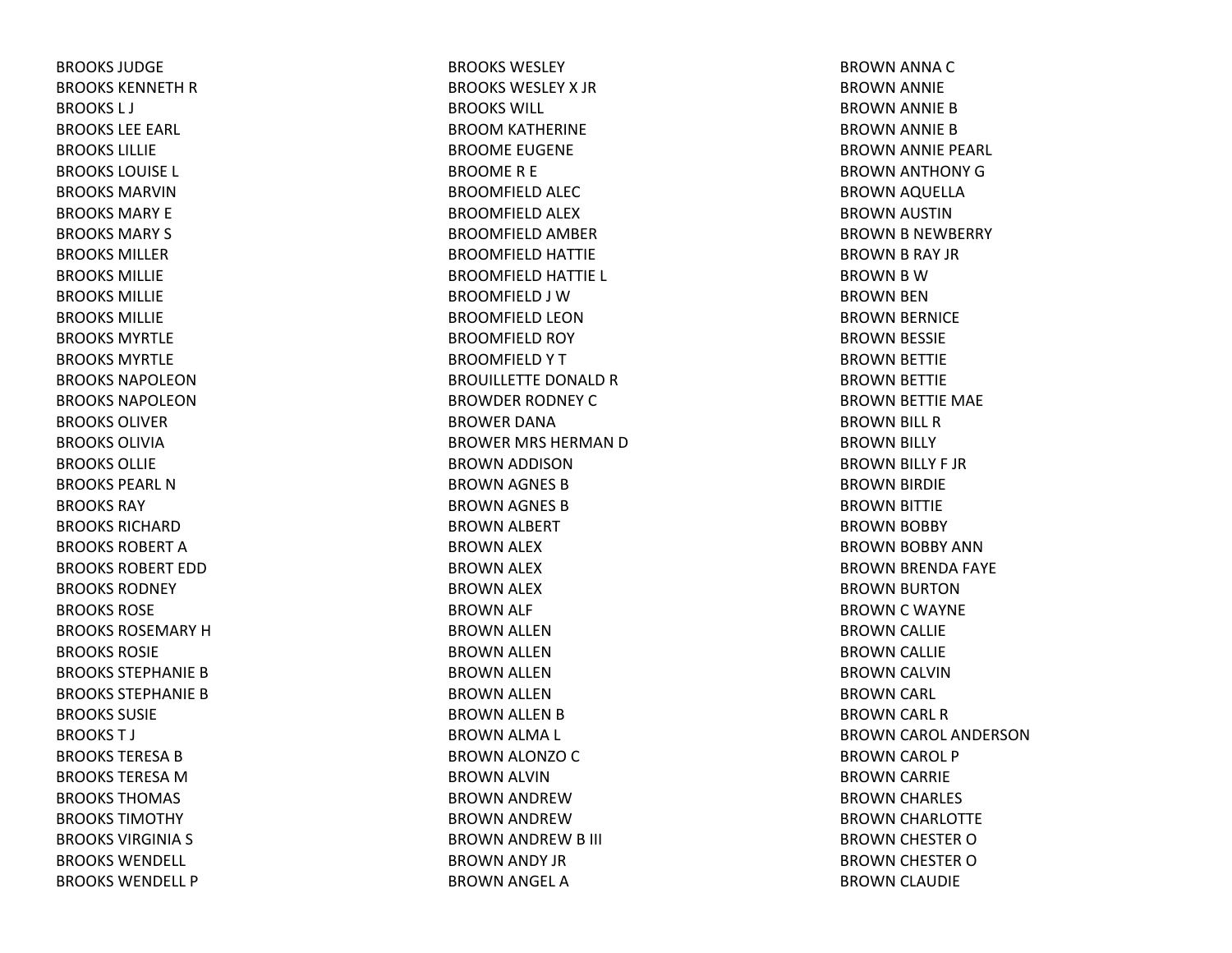BROOKS JUDGEBROOKS KENNETH R BROOKS L J BROOKS LEE EARL BROOKS LILLIEBROOKS LOUISE L BROOKS MARVINBROOKS MARY EBROOKS MARY S BROOKS MILLERBROOKS MILLIEBROOKS MILLIEBROOKS MILLIEBROOKS MYRTLEBROOKS MYRTLEBROOKS NAPOLEONBROOKS NAPOLEONBROOKS OLIVERBROOKS OLIVIABROOKS OLLIEBROOKS PEARL NBROOKS RAYBROOKS RICHARDBROOKS ROBERT A BROOKS ROBERT EDDBROOKS RODNEYBROOKS ROSEBROOKS ROSEMARY H BROOKS ROSIEBROOKS STEPHANIE B BROOKS STEPHANIE B BROOKS SUSIEBROOKST J BROOKS TERESA B BROOKS TERESA M BROOKS THOMAS BROOKS TIMOTHYBROOKS VIRGINIA S BROOKS WENDELL BROOKS WENDELL P

BROOKS WESLEYBROOKS WESLEY X JR BROOKS WILL BROOM KATHERINE BROOME EUGENE BROOMER E BROOMFIELD ALEC BROOMFIELD ALEX BROOMFIELD AMBER BROOMFIELD HATTIE BROOMFIELD HATTIE L BROOMFIELD J WBROOMFIELD LEONBROOMFIELD ROY BROOMFIELDYTBROUILLETTE DONALD R BROWDER RODNEY CBROWER DANABROWER MRS HERMAN D BROWN ADDISON BROWN AGNES BBROWN AGNES BBROWN ALBERT BROWN ALEX BROWN ALEX BROWN ALEX BROWN ALF BROWN ALLEN BROWN ALLEN BROWN ALLEN BROWN ALLEN BROWN ALLEN BBROWN ALMA L BROWN ALONZO C BROWN ALVIN BROWN ANDREWBROWN ANDREWBROWN ANDREW B III BROWN ANDY JR BROWN ANGEL A

BROWN ANNA CBROWN ANNIE BROWN ANNIE BBROWN ANNIE BBROWN ANNIE PEARL BROWN ANTHONY GBROWN AQUELLA BROWN AUSTIN BROWN B NEWBERRY BROWN B RAY JR BROWN B W BROWN BEN BROWN BERNICE BROWN BESSIE BROWN BETTIE BROWN BETTIE BROWN BETTIE MAE BROWN BILL RBROWN BILLY BROWN BILLY F JR BROWN BIRDIE BROWN BITTIE BROWN BOBBY BROWN BOBBY ANN BROWN BRENDA FAYE BROWN BURTON BROWN C WAYNE BROWN CALLIE BROWN CALLIE BROWN CALVIN BROWN CARL BROWN CARL RBROWN CAROL ANDERSON BROWN CAROL P BROWN CARRIE BROWN CHARLES BROWN CHARLOTTE BROWN CHESTER OBROWN CHESTER OBROWN CLAUDIE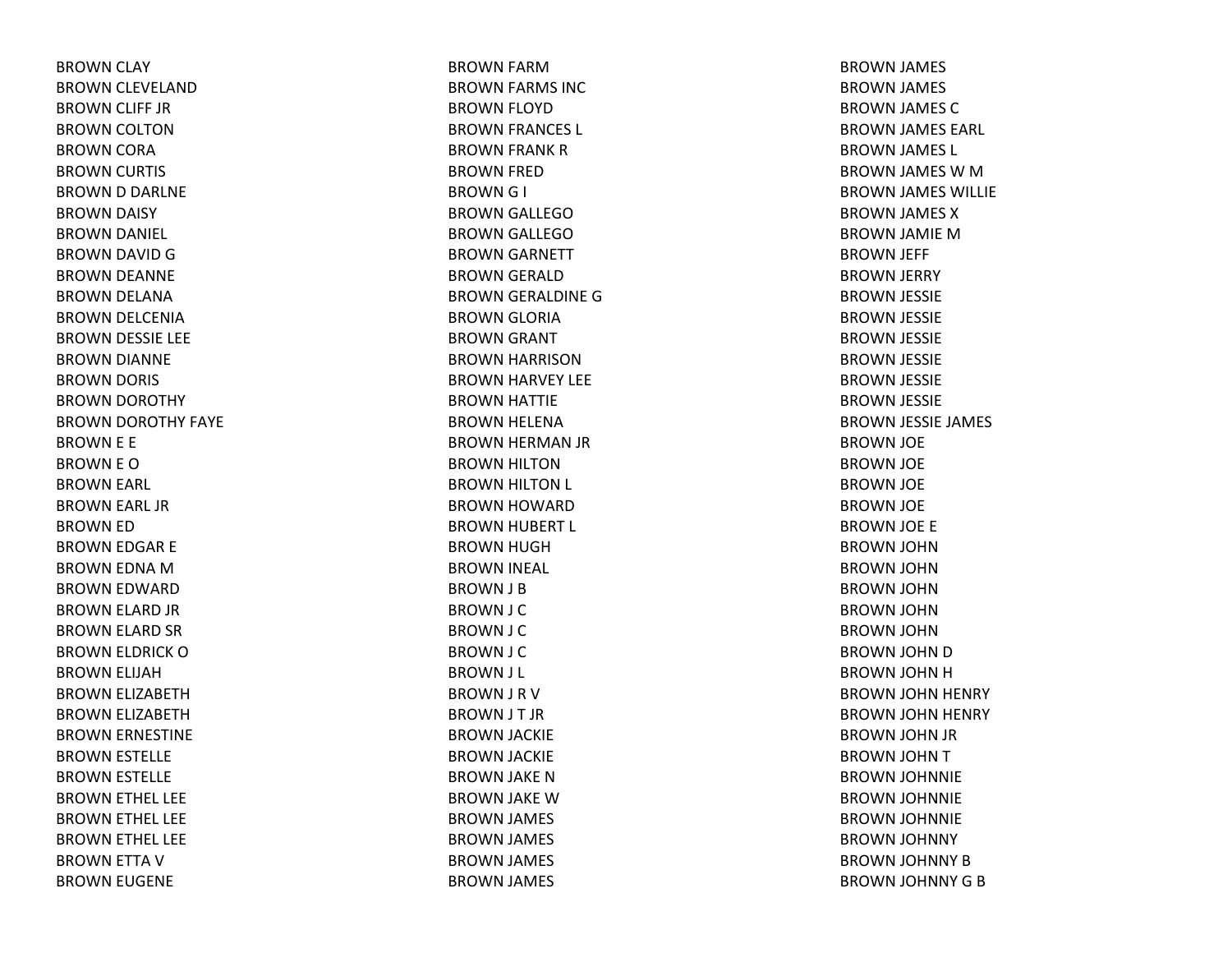BROWN CLAY BROWN CLEVELAND BROWN CLIFF JR BROWN COLTON BROWN CORA BROWN CURTIS BROWN D DARLNE BROWN DAISY BROWN DANIEL BROWN DAVID GBROWN DEANNE BROWN DELANA BROWN DELCENIA BROWN DESSIE LEE BROWN DIANNE BROWN DORIS BROWN DOROTHY BROWN DOROTHY FAYE BROWN E E BROWN E OBROWN EARL BROWN EARL JR BROWN ED BROWN EDGAR E BROWN EDNA MBROWN EDWARD BROWN ELARD JR BROWN ELARD SR BROWN ELDRICK OBROWN ELIJAH BROWN ELIZABETH BROWN ELIZABETH BROWN ERNESTINE BROWN ESTELLE BROWN ESTELLE BROWN ETHEL LEE BROWN ETHEL LEE BROWN ETHEL LEE BROWN ETTA VBROWN EUGENE

BROWN FARMBROWN FARMS INC BROWN FLOYD BROWN FRANCES L BROWN FRANK RBROWN FRED BROWNG I BROWN GALLEGOBROWN GALLEGOBROWN GARNETT BROWN GERALD BROWN GERALDINE GBROWN GLORIA BROWN GRANT BROWN HARRISON BROWN HARVEY LEE BROWN HATTIE BROWN HELENA BROWN HERMAN JR BROWN HILTON BROWN HILTON L BROWN HOWARD BROWN HUBERT L BROWN HUGH BROWN INEAL BROWN J B BROWN J C BROWN J C BROWN J C BROWN J L BROWN J R VBROWN J T JR BROWN JACKIE BROWN JACKIE BROWN JAKE NBROWN JAKE WBROWN JAMES BROWN JAMES BROWN JAMES BROWN JAMES

BROWN JAMES BROWN JAMES BROWN JAMES CBROWN JAMES EARL BROWN JAMES L BROWN JAMES W M BROWN JAMES WILLIE BROWN JAMES XBROWN JAMIE MBROWN JEFF BROWN JERRY BROWN JESSIE BROWN JESSIE BROWN JESSIE BROWN JESSIE BROWN JESSIE BROWN JESSIE BROWN JESSIE JAMES BROWN JOE BROWN JOE BROWN JOE BROWN JOE BROWN JOE E BROWN JOHN BROWN JOHN BROWN JOHN BROWN JOHN BROWN JOHN BROWN JOHN DBROWN JOHN HBROWN JOHN HENRY BROWN JOHN HENRY BROWN JOHN JR BROWN JOHN TBROWN JOHNNIE BROWN JOHNNIE BROWN JOHNNIE BROWN JOHNNY BROWN JOHNNY BBROWN JOHNNY GB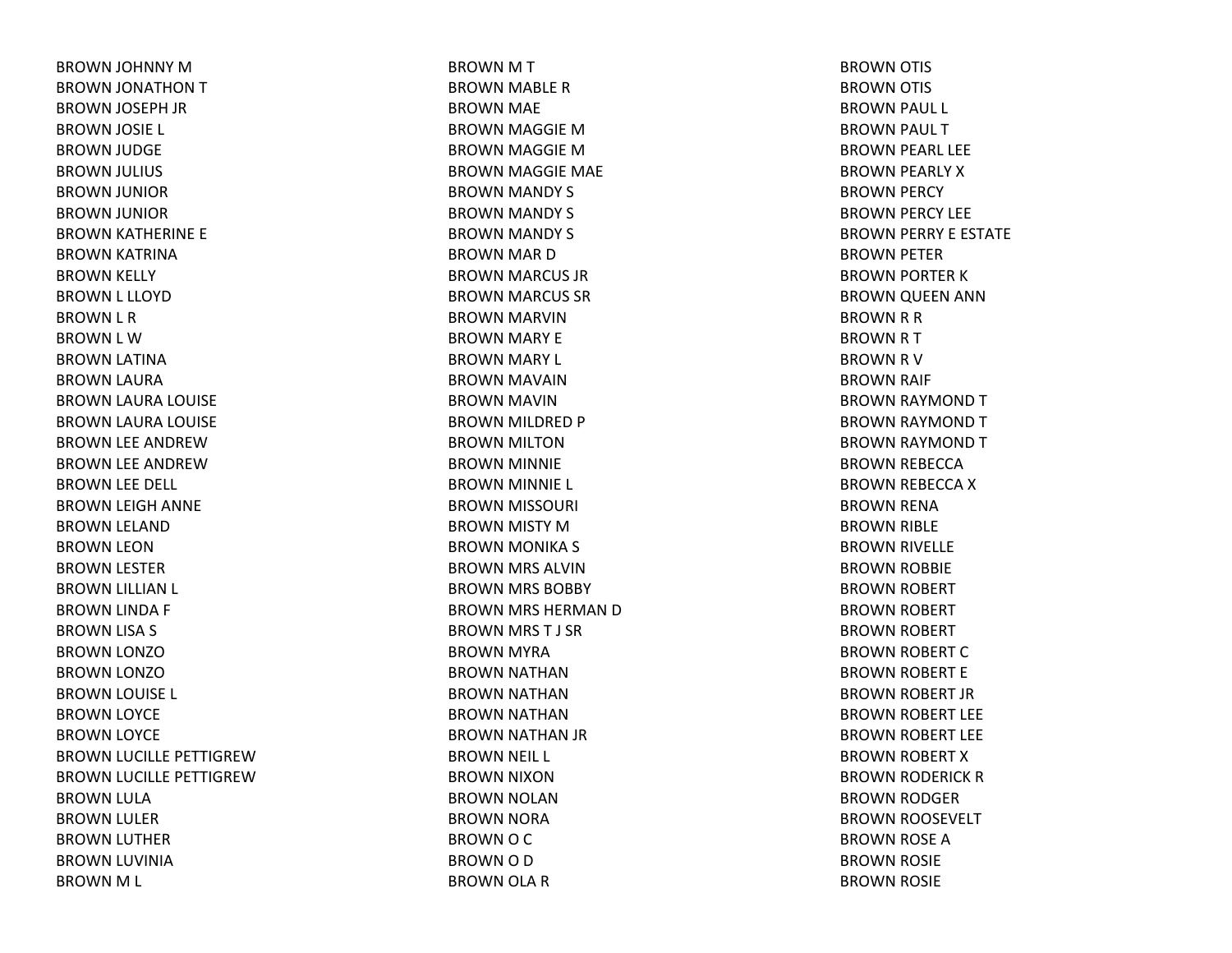BROWN JOHNNY MBROWN JONATHON TBROWN JOSEPH JR BROWN JOSIE L BROWN JUDGE BROWN JULIUS BROWN JUNIOR BROWN JUNIOR BROWN KATHERINE E BROWN KATRINA BROWN KELLY BROWN L LLOYD BROWN L R BROWN L WBROWN LATINA BROWN LAURA BROWN LAURA LOUISE BROWN LAURA LOUISE BROWN LEE ANDREWBROWN LEE ANDREWBROWN LEE DELL BROWN LEIGH ANNE BROWN LELAND BROWN LEON BROWN LESTER BROWN LILLIAN L BROWN LINDA F BROWN LISA S BROWN LONZOBROWN LONZOBROWN LOUISE L BROWN LOYCE BROWN LOYCE BROWN LUCILLE PETTIGREWBROWN LUCILLE PETTIGREWBROWN LULA BROWN LULER BROWN LUTHER BROWN LUVINIA BROWN M L

BROWN M T BROWN MABLE RBROWN MAE BROWN MAGGIE MBROWN MAGGIE MBROWN MAGGIE MAE BROWN MANDY S BROWN MANDY S BROWN MANDY S BROWN MAR DBROWN MARCUS JR BROWN MARCUS SR BROWN MARVIN BROWN MARY E BROWN MARY L BROWN MAVAIN BROWN MAVIN BROWN MILDRED P BROWN MILTONBROWN MINNIE BROWN MINNIE L BROWN MISSOURI BROWN MISTY MBROWN MONIKA S BROWN MRS ALVIN BROWN MRS BOBBY BROWN MRS HERMAN DBROWN MRS T J SRBROWN MYRA BROWN NATHAN BROWN NATHAN BROWN NATHAN BROWN NATHAN JR BROWN NEIL L BROWN NIXON BROWN NOLAN BROWN NORA BROWN O C BROWN O D BROWN OLA R

BROWN OTIS BROWN OTIS BROWN PAUL L BROWN PAUL TBROWN PEARL LEE BROWN PEARLY XBROWN PERCY BROWN PERCY LEE BROWN PERRY E ESTATE BROWN PETER BROWN PORTER KBROWN QUEEN ANN BROWN R R BROWNRTBROWN R V BROWN RAIF BROWN RAYMOND TBROWN RAYMOND TBROWN RAYMOND TBROWN REBECCA BROWN REBECCA XBROWN RENA BROWN RIBLE BROWN RIVELLE BROWN ROBBIE BROWN ROBERT BROWN ROBERT BROWN ROBERT BROWN ROBERT CBROWN ROBERT E BROWN ROBERT JR BROWN ROBERT LEE BROWN ROBERT LEE BROWN ROBERT XBROWN RODERICK RBROWN RODGER BROWN ROOSEVELT BROWN ROSE ABROWN ROSIE BROWN ROSIE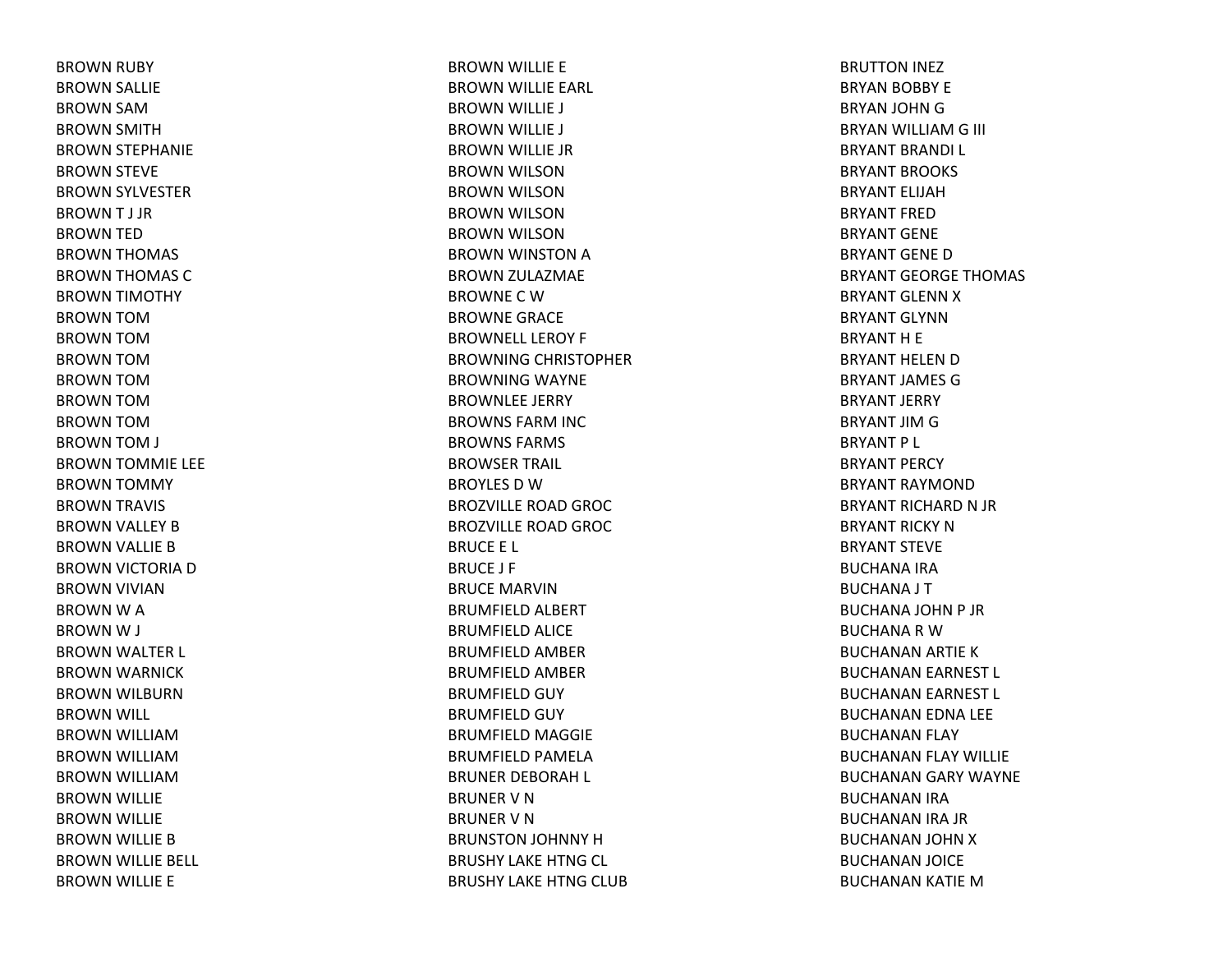BROWN RUBY BROWN SALLIE BROWN SAMBROWN SMITH BROWN STEPHANIE BROWN STEVE BROWN SYLVESTER BROWNT J JRBROWN TED BROWN THOMAS BROWN THOMAS CBROWN TIMOTHY BROWN TOMBROWN TOMBROWN TOMBROWN TOMBROWN TOMBROWN TOMBROWN TOM J BROWN TOMMIE LEE BROWN TOMMY BROWN TRAVIS BROWN VALLEY BBROWN VALLIE BBROWN VICTORIA DBROWN VIVIAN BROWN W A BROWN W J BROWN WALTER L BROWN WARNICK BROWN WILBURN BROWN WILL BROWN WILLIAMBROWN WILLIAMBROWN WILLIAMBROWN WILLIE BROWN WILLIE BROWN WILLIE BBROWN WILLIE BELL BROWN WILLIE E

BROWN WILLIE E BROWN WILLIE EARL BROWN WILLIE J BROWN WILLIE J BROWN WILLIE JR BROWN WILSON BROWN WILSON BROWN WILSON BROWN WILSON BROWN WINSTON ABROWN ZULAZMAE BROWNE C W BROWNE GRACE BROWNELL LEROY F BROWNING CHRISTOPHER BROWNING WAYNE BROWNLEE JERRY BROWNS FARM INC BROWNS FARMS BROWSER TRAIL BROYLES D W BROZVILLE ROAD GROC BROZVILLE ROAD GROC BRUCE E L BRUCE J F BRUCE MARVINBRUMFIELD ALBERT BRUMFIELD ALICE BRUMFIELD AMBER BRUMFIELD AMBER BRUMFIELD GUY BRUMFIELD GUY BRUMFIELD MAGGIE BRUMFIELD PAMELA BRUNER DEBORAH L BRUNER V N BRUNER V N BRUNSTON JOHNNY HBRUSHY LAKE HTNG CL BRUSHY LAKE HTNG CLUB

BRUTTON INEZ BRYAN BOBBY E BRYAN JOHN G BRYAN WILLIAM G III BRYANT BRANDI L BRYANT BROOKS BRYANT ELIJAHBRYANT FREDBRYANT GENEBRYANT GENEDBRYANT GEORGE THOMAS BRYANT GLENN X BRYANT GLYNNBRYANT H E BRYANT HELEN D BRYANT JAMES GBRYANT JERRY BRYANT JIM G BRYANT P L BRYANT PERCY BRYANT RAYMONDBRYANT RICHARD N JR BRYANT RICKY NBRYANT STEVEBUCHANA IRA BUCHANA J T BUCHANA JOHN P JR BUCHANA R W BUCHANAN ARTIE KBUCHANAN EARNEST L BUCHANAN EARNEST L BUCHANAN EDNA LEE BUCHANAN FLAY BUCHANAN FLAY WILLIE BUCHANAN GARY WAYNE BUCHANAN IRA BUCHANAN IRA JR BUCHANAN JOHN XBUCHANAN JOICE BUCHANAN KATIE M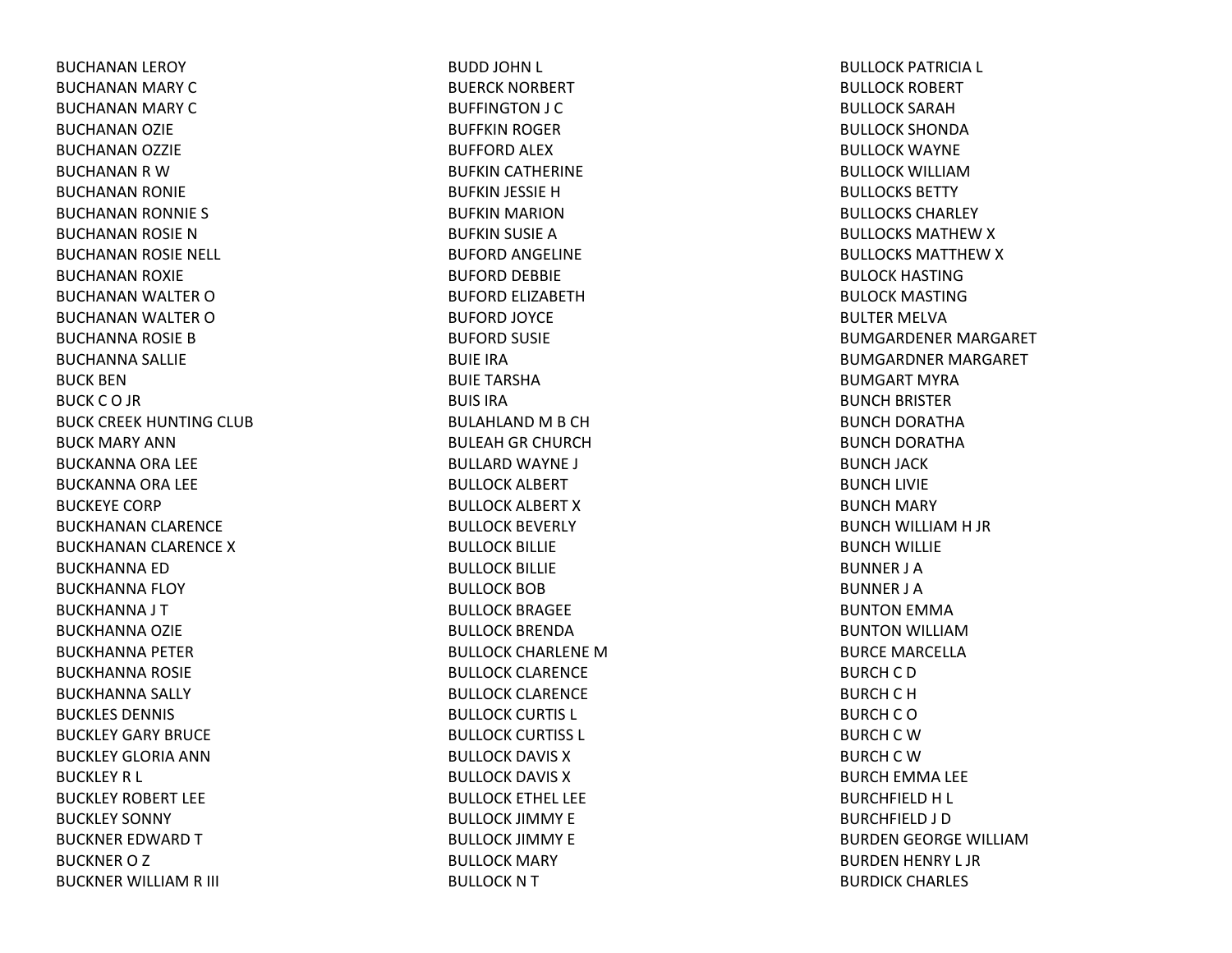BUCHANAN LEROY BUCHANAN MARY CBUCHANAN MARY CBUCHANAN OZIE BUCHANAN OZZIE BUCHANAN R W BUCHANAN RONIE BUCHANAN RONNIE S BUCHANAN ROSIE NBUCHANAN ROSIE NELL BUCHANAN ROXIE BUCHANAN WALTER OBUCHANAN WALTER OBUCHANNA ROSIE BBUCHANNA SALLIE BUCK BENBUCK C O JR BUCK CREEK HUNTING CLUB BUCK MARY ANNBUCKANNA ORA LEE BUCKANNA ORA LEE BUCKEYE CORPBUCKHANAN CLARENCE BUCKHANAN CLARENCE XBUCKHANNA EDBUCKHANNA FLOY BUCKHANNA J T BUCKHANNA OZIE BUCKHANNA PETER BUCKHANNA ROSIE BUCKHANNA SALLY BUCKLES DENNIS BUCKLEY GARY BRUCEBUCKLEY GLORIA ANNBUCKLEY R L BUCKLEY ROBERT LEEBUCKLEY SONNY BUCKNER EDWARD T BUCKNER O Z BUCKNER WILLIAM R III

BUDD JOHN L BUERCK NORBERT BUFFINGTON J C BUFFKIN ROGER BUFFORD ALEX BUFKIN CATHERINE BUFKIN JESSIE HBUFKIN MARION BUFKIN SUSIE ABUFORD ANGELINE BUFORD DEBBIE BUFORD ELIZABETHBUFORD JOYCE BUFORD SUSIE BUIE IRABUIE TARSHABUIS IRABULAHLAND M B CH BULEAH GR CHURCH BULLARD WAYNE J BULLOCK ALBERT BULLOCK ALBERT XBULLOCK BEVERLY BULLOCK BILLIE BULLOCK BILLIE BULLOCK BOBBULLOCK BRAGEE BULLOCK BRENDABULLOCK CHARLENE MBULLOCK CLARENCE BULLOCK CLARENCE BULLOCK CURTIS L BULLOCK CURTISS L BULLOCK DAVIS XBULLOCK DAVIS XBULLOCK ETHEL LEE BULLOCK JIMMY E BULLOCK JIMMY E BULLOCK MARY BULLOCK N T

BULLOCK PATRICIA L BULLOCK ROBERT BULLOCK SARAHBULLOCK SHONDABULLOCK WAYNE BULLOCK WILLIAMBULLOCKS BETTYBULLOCKS CHARLEYBULLOCKS MATHEW X BULLOCKS MATTHEW X BULOCK HASTINGBULOCK MASTINGBULTER MELVABUMGARDENER MARGARET BUMGARDNER MARGARET BUMGART MYRABUNCH BRISTER BUNCH DORATHA BUNCH DORATHA BUNCH JACK BUNCH LIVIE BUNCH MARY BUNCH WILLIAM H JR BUNCH WILLIE BUNNER J ABUNNER J ABUNTON EMMA BUNTON WILLIAMBURCE MARCELLABURCH C D BURCH C H BURCH C O BURCH C W BURCH C W BURCH EMMA LEE BURCHFIELD H L BURCHFIELD J D BURDEN GEORGE WILLIAMBURDEN HENRY L JR BURDICK CHARLES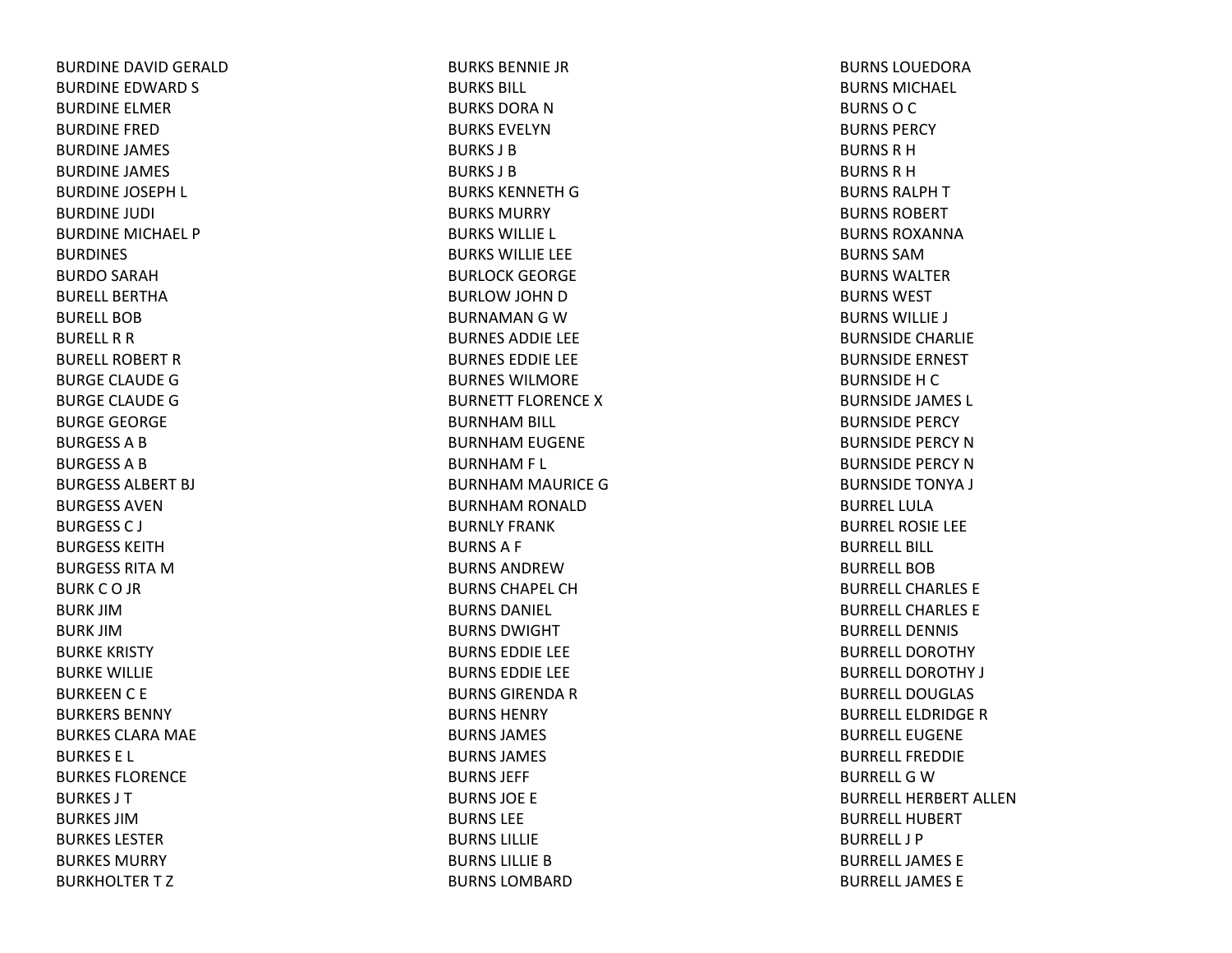BURDINE DAVID GERALD BURDINE EDWARD S BURDINE ELMERBURDINE FREDBURDINE JAMES BURDINE JAMES BURDINE JOSEPH L BURDINE JUDI BURDINE MICHAEL P**BURDINES** BURDO SARAH BURELL BERTHABURELL BOBBURELL R R BURELL ROBERT R BURGE CLAUDE GBURGE CLAUDE GBURGE GEORGE BURGESSABBURGESSABBURGESS ALBERT BJ BURGESS AVENBURGESS C J BURGESS KEITHBURGESS RITA M BURKCO JR BURK JIMBURK JIMBURKE KRISTY BURKE WILLIE BURKEEN C E BURKERS BENNYBURKES CLARA MAE BURKES E L BURKES FLORENCEBURKES J TBURKES JIMBURKES LESTERBURKES MURRYBURKHOLTERTZ

BURKS BENNIE JRBURKS BILL BURKS DORA N BURKS EVELYNBURKS J BBURKS J BBURKS KENNETH G BURKS MURRYBURKS WILLIE L BURKS WILLIE LEE BURLOCK GEORGE BURLOW JOHN DBURNAMAN G W BURNES ADDIE LEE BURNES EDDIE LEE BURNES WILMOREBURNETT FLORENCE X BURNHAM BILL BURNHAM EUGENE BURNHAM F L BURNHAM MAURICE GBURNHAM RONALD BURNLY FRANKBURNSA F BURNS ANDREWBURNS CHAPEL CHBURNS DANIEL BURNS DWIGHTBURNS EDDIE LEE BURNS EDDIE LEE BURNS GIRENDA R BURNS HENRYBURNS JAMES BURNS JAMES BURNS JEFF BURNS JOE E BURNS LEEBURNS LILLIEBURNS LILLIE B BURNS LOMBARD

BURNS LOUEDORABURNS MICHAEL BURNS O C BURNS PERCYBURNS R H BURNS R H BURNS RALPH T BURNS ROBERTBURNS ROXANNABURNS SAMBURNS WALTERBURNS WESTBURNS WILLIE J BURNSIDE CHARLIE BURNSIDE ERNEST BURNSIDE H C BURNSIDE JAMES L BURNSIDE PERCY BURNSIDE PERCY NBURNSIDE PERCY NBURNSIDE TONYA J BURREL LULABURREL ROSIE LEE BURRELL BILL BURRELL BOBBURRELL CHARLES EBURRELL CHARLES EBURRELL DENNISBURRELL DOROTHYBURRELL DOROTHY J BURRELL DOUGLASBURRELL ELDRIDGE R BURRELL EUGENEBURRELL FREDDIEBURRELL G W BURRELL HERBERT ALLENBURRELL HUBERTBURRELL J PBURRELL JAMES EBURRELL JAMES E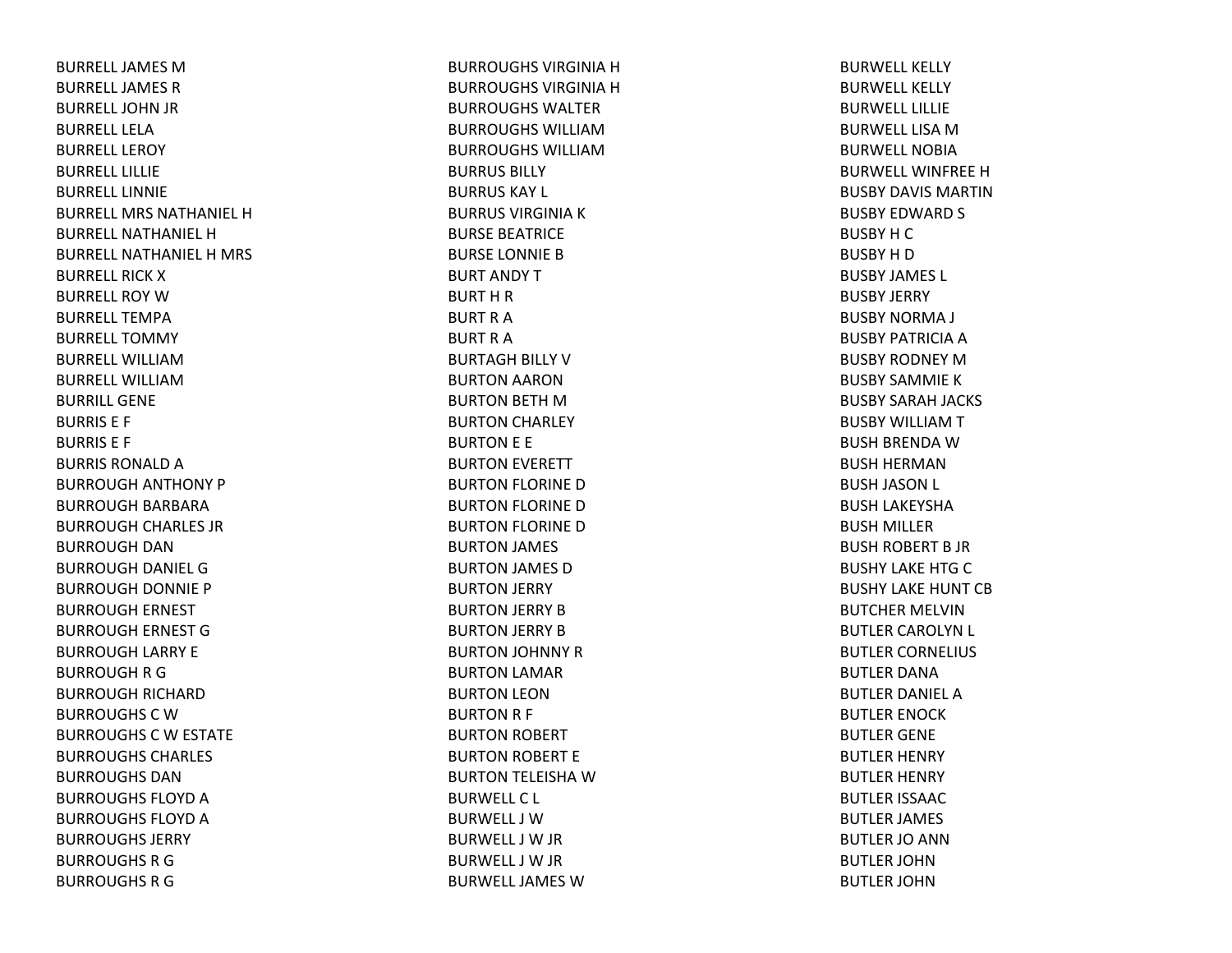BURRELL JAMES M BURRELL JAMES R BURRELL JOHN JR BURRELL LELABURRELL LEROYBURRELL LILLIEBURRELL LINNIEBURRELL MRS NATHANIEL HBURRELL NATHANIEL HBURRELL NATHANIEL H MRS BURRELL RICK X BURRELL ROY W BURRELL TEMPABURRELL TOMMYBURRELL WILLIAMBURRELL WILLIAMBURRILL GENEBURRIS E F BURRIS E F BURRIS RONALD A BURROUGH ANTHONY P BURROUGH BARBARA BURROUGH CHARLES JR BURROUGH DANBURROUGH DANIEL GBURROUGH DONNIE P BURROUGH ERNEST BURROUGH ERNEST GBURROUGH LARRY E BURROUGH R G BURROUGH RICHARD BURROUGHS C W BURROUGHS C W ESTATE BURROUGHS CHARLES BURROUGHS DANBURROUGHS FLOYD A BURROUGHS FLOYD A BURROUGHS JERRYBURROUGHS R G BURROUGHS R G

BURROUGHS VIRGINIA H BURROUGHS VIRGINIA H BURROUGHS WALTERBURROUGHS WILLIAMBURROUGHS WILLIAMBURRUS BILLYBURRUS KAY L BURRUS VIRGINIA K BURSE BEATRICE BURSE LONNIE BBURT ANDY TBURT H R BURT R A BURT R A BURTAGH BILLY VBURTON AARON BURTON BETH MBURTON CHARLEY BURTON E E BURTON EVERETT BURTON FLORINE DBURTON FLORINE DBURTON FLORINE DBURTON JAMES BURTON JAMES DBURTON JERRY BURTON JERRY BBURTON JERRY BBURTON JOHNNY RBURTON LAMAR BURTON LEON BURTON R F BURTON ROBERT BURTON ROBERT E BURTON TELEISHA WBURWELLC L BURWELL J WBURWELL J W JR BURWELL J W JR BURWELL JAMES W

BURWELL KELLYBURWELL KELLYBURWELL LILLIEBURWELL LISA M BURWELL NOBIABURWELL WINFREEHBUSBY DAVIS MARTINBUSBY EDWARD S BUSBY H C BUSBY H D BUSBY JAMES L BUSBY JERRY BUSBY NORMA J BUSBY PATRICIA A BUSBY RODNEY MBUSBY SAMMIEKBUSBY SARAH JACKS BUSBY WILLIAMTBUSH BRENDA WBUSH HERMANBUSH JASON L BUSH LAKEYSHA BUSH MILLER BUSH ROBERT B JR BUSHY LAKE HTG C BUSHY LAKE HUNT CBBUTCHER MELVINBUTLER CAROLYN L BUTLER CORNELIUS BUTLER DANABUTLER DANIEL ABUTLER ENOCK BUTLER GENE BUTLER HENRY BUTLER HENRY BUTLER ISSAAC BUTLER JAMES BUTLER JO ANN BUTLER JOHNBUTLER JOHN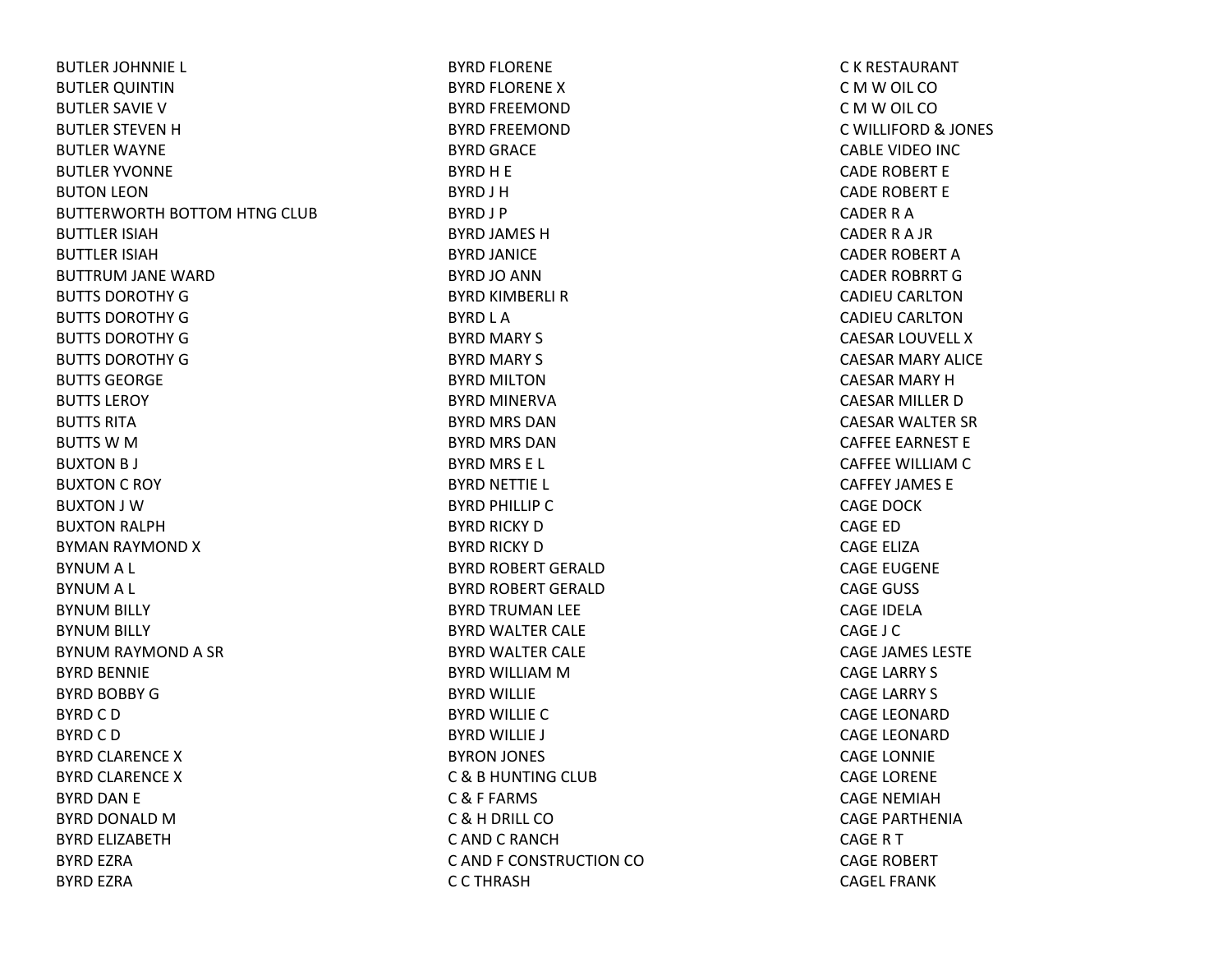BUTLER JOHNNIE L BUTLER QUINTIN BUTLER SAVIE VBUTLER STEVEN H BUTLER WAYNE BUTLER YVONNE BUTON LEON BUTTERWORTH BOTTOM HTNG CLUB BUTTLER ISIAHBUTTLER ISIAHBUTTRUM JANE WARD BUTTS DOROTHY GBUTTS DOROTHY GBUTTS DOROTHY GBUTTS DOROTHY GBUTTS GEORGEBUTTS LEROYBUTTS RITABUTTS W M BUXTON B J BUXTON C ROY BUXTON J WBUXTON RALPH BYMAN RAYMOND X BYNUM A L BYNUM A L BYNUM BILLY BYNUM BILLY BYNUM RAYMOND A SR BYRD BENNIE BYRD BOBBY GBYRD C D BYRD C D BYRD CLARENCE X BYRD CLARENCE X BYRD DAN E BYRD DONALD MBYRD ELIZABETHBYRD EZRA BYRD EZRA

BYRD FLORENE BYRD FLORENE X BYRD FREEMOND BYRD FREEMOND BYRD GRACE BYRD H E BYRD J HBYRD J P BYRD JAMES HBYRD JANICE BYRD JO ANN BYRD KIMBERLI R BYRD L A BYRD MARY S BYRD MARY S BYRD MILTONBYRD MINERVA BYRD MRS DANBYRD MRS DANBYRD MRS E L BYRD NETTIE L BYRD PHILLIP C BYRD RICKY D BYRD RICKY D BYRD ROBERT GERALD BYRD ROBERT GERALD BYRD TRUMAN LEE BYRD WALTER CALE BYRD WALTER CALE BYRD WILLIAM M BYRD WILLIE BYRD WILLIE C BYRD WILLIE J BYRON JONES C & B HUNTING CLUB C & F FARMS C & H DRILL CO C AND C RANCHC AND F CONSTRUCTION COC C THRASH

C K RESTAURANT C M W OIL CO C M W OIL CO C WILLIFORD & JONES CABLE VIDEO INC CADE ROBERT E CADE ROBERT E CADER R ACADER R A JR CADER ROBERT ACADER ROBRRT GCADIEU CARLTONCADIEU CARLTONCAESAR LOUVELL X CAESAR MARY ALICE CAESAR MARY HCAESAR MILLER DCAESAR WALTER SR CAFFEE EARNEST E CAFFEE WILLIAM C CAFFEY JAMES ECAGE DOCKCAGE EDCAGE ELIZACAGE EUGENE CAGE GUSS CAGE IDELACAGE J CCAGE JAMES LESTE CAGE LARRY S CAGE LARRY S CAGE LEONARDCAGE LEONARDCAGE LONNIE CAGE LORENE CAGE NEMIAHCAGE PARTHENIACAGE R T CAGE ROBERT CAGEL FRANK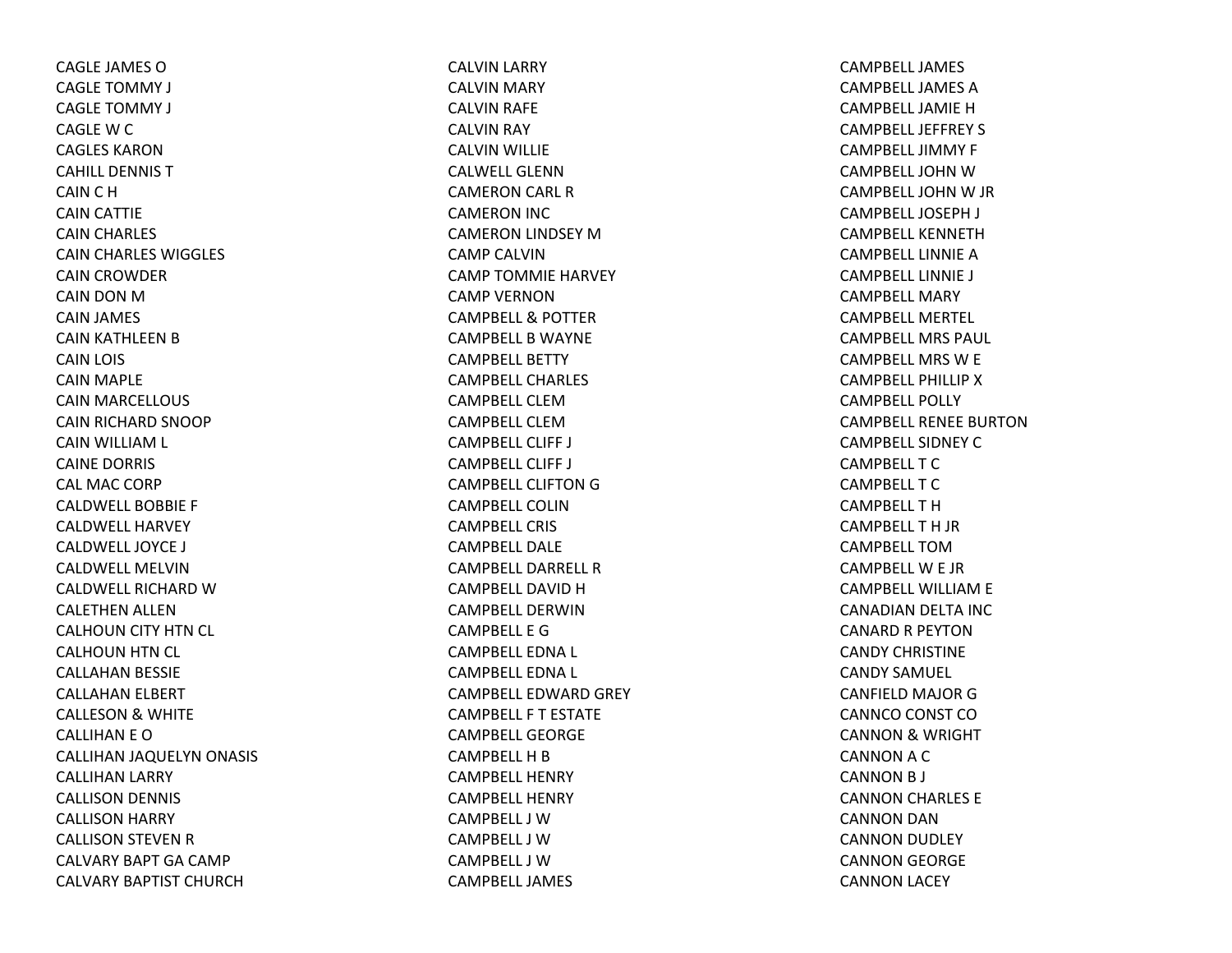CAGLE JAMES OCAGLE TOMMY J CAGLE TOMMY J CAGLE W C CAGLES KARONCAHILL DENNIS TCAIN C H CAIN CATTIE CAIN CHARLES CAIN CHARLES WIGGLES CAIN CROWDER CAIN DON MCAIN JAMES CAIN KATHLEEN B CAIN LOIS CAIN MAPLE CAIN MARCELLOUS CAIN RICHARD SNOOP CAIN WILLIAM L CAINE DORRIS CAL MAC CORP CALDWELL BOBBIE F CALDWELL HARVEYCALDWELL JOYCE J CALDWELL MELVINCALDWELL RICHARD WCALETHEN ALLEN CALHOUN CITY HTN CL CALHOUN HTN CL CALLAHAN BESSIE CALLAHAN ELBERT CALLESON & WHITE CALLIHAN E OCALLIHAN JAQUELYN ONASIS CALLIHAN LARRY CALLISON DENNIS CALLISON HARRY CALLISON STEVEN R CALVARY BAPT GA CAMP CALVARY BAPTIST CHURCH

CALVIN LARRY CALVIN MARY CALVIN RAFE CALVIN RAY CALVIN WILLIE CALWELL GLENNCAMERON CARL R CAMERON INC CAMERON LINDSEY MCAMP CALVINCAMP TOMMIE HARVEY CAMP VERNONCAMPBELL & POTTER CAMPBELL B WAYNE CAMPBELL BETTYCAMPBELL CHARLESCAMPBELL CLEMCAMPBELL CLEMCAMPBELL CLIFF J CAMPBELL CLIFF J CAMPBELL CLIFTON G CAMPBELL COLINCAMPBELL CRISCAMPBELL DALECAMPBELL DARRELL RCAMPBELL DAVID HCAMPBELL DERWINCAMPBELL E GCAMPBELL EDNA L CAMPBELL EDNA L CAMPBELL EDWARD GREY CAMPBELL F T ESTATECAMPBELL GEORGECAMPBELL H B CAMPBELL HENRYCAMPBELL HENRYCAMPBELL J WCAMPBELL J WCAMPBELL J WCAMPBELL JAMES

CAMPBELL JAMESCAMPBELL JAMES ACAMPBELL JAMIE HCAMPBELL JEFFREY S CAMPBELL JIMMY F CAMPBELL JOHN WCAMPBELL JOHN W JR CAMPBELL JOSEPH J CAMPBELL KENNETHCAMPBELL LINNIE ACAMPBELL LINNIE J CAMPBELL MARYCAMPBELL MERTEL CAMPBELL MRS PAUL CAMPBELL MRS W E CAMPBELL PHILLIP XCAMPBELL POLLYCAMPBELL RENEE BURTONCAMPBELL SIDNEY CCAMPBELL T CCAMPBELL T CCAMPBELL T HCAMPBELL T H JR CAMPBELL TOMCAMPBELL W E JR CAMPBELL WILLIAM E CANADIAN DELTA INC CANARD R PEYTONCANDY CHRISTINECANDY SAMUEL CANFIELD MAJOR GCANNCO CONST CO CANNON & WRIGHT CANNON A C CANNON B J CANNON CHARLES E CANNON DAN CANNON DUDLEY CANNON GEORGE CANNON LACEY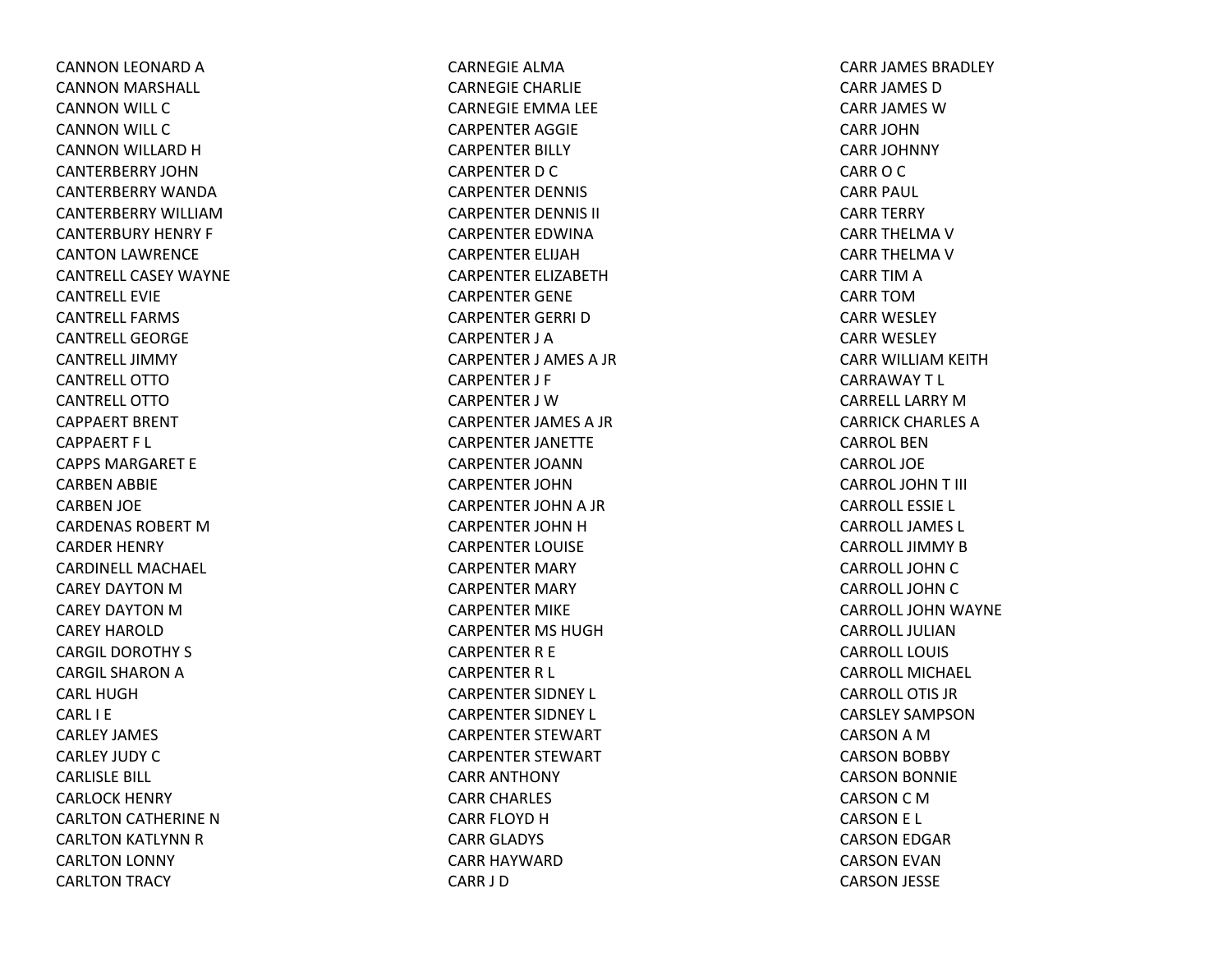CANNON LEONARD ACANNON MARSHALL CANNON WILL CCANNON WILL CCANNON WILLARD HCANTERBERRY JOHNCANTERBERRY WANDACANTERBERRY WILLIAMCANTERBURY HENRY F CANTON LAWRENCE CANTRELL CASEY WAYNECANTRELL EVIECANTRELL FARMSCANTRELL GEORGECANTRELL JIMMYCANTRELL OTTOCANTRELL OTTOCAPPAERT BRENT CAPPAERT F L CAPPS MARGARET ECARBEN ABBIE CARBEN JOE CARDENAS ROBERT M CARDER HENRY CARDINELL MACHAEL CAREY DAYTON M CAREY DAYTON M CAREY HAROLDCARGIL DOROTHY S CARGIL SHARON A CARL HUGHCARL I ECARLEY JAMES CARLEY JUDY CCARLISLE BILL CARLOCK HENRY CARLTON CATHERINE NCARLTON KATLYNN RCARLTON LONNY CARLTON TRACY

CARNEGIE ALMACARNEGIE CHARLIE CARNEGIE EMMA LEE CARPENTER AGGIE CARPENTER BILLY CARPENTER D C CARPENTER DENNIS CARPENTER DENNIS II CARPENTER EDWINACARPENTER ELIJAHCARPENTER ELIZABETHCARPENTER GENE CARPENTER GERRI DCARPENTER J ACARPENTER J AMES A JR CARPENTER J F CARPENTER J WCARPENTER JAMES A JR CARPENTER JANETTE CARPENTER JOANNCARPENTER JOHNCARPENTER JOHN A JR CARPENTER JOHN H CARPENTER LOUISE CARPENTER MARY CARPENTER MARY CARPENTER MIKE CARPENTER MS HUGHCARPENTER R E CARPENTER R L CARPENTER SIDNEY L CARPENTER SIDNEY L CARPENTER STEWART CARPENTER STEWART CARR ANTHONY CARR CHARLES CARR FLOYD H CARR GLADYS CARR HAYWARDCARR J D

CARR JAMES BRADLEY CARR JAMES DCARR JAMES WCARR JOHNCARR JOHNNY CARROCCARR PAUL CARR TERRY CARR THELMA V CARR THELMA V CARR TIM A CARR TOMCARR WESLEY CARR WESLEY CARR WILLIAM KEITH CARRAWAYT L CARRELL LARRY M CARRICK CHARLES ACARROL BENCARROL JOECARROL JOHNT III CARROLL ESSIE L CARROLL JAMES L CARROLL JIMMY B CARROLL JOHN C CARROLL JOHN C CARROLL JOHN WAYNE CARROLL JULIANCARROLL LOUISCARROLL MICHAEL CARROLL OTIS JRCARSLEY SAMPSONCARSON A M CARSON BOBBY CARSON BONNIE CARSON C M CARSON E L CARSON EDGAR CARSON EVAN CARSON JESSE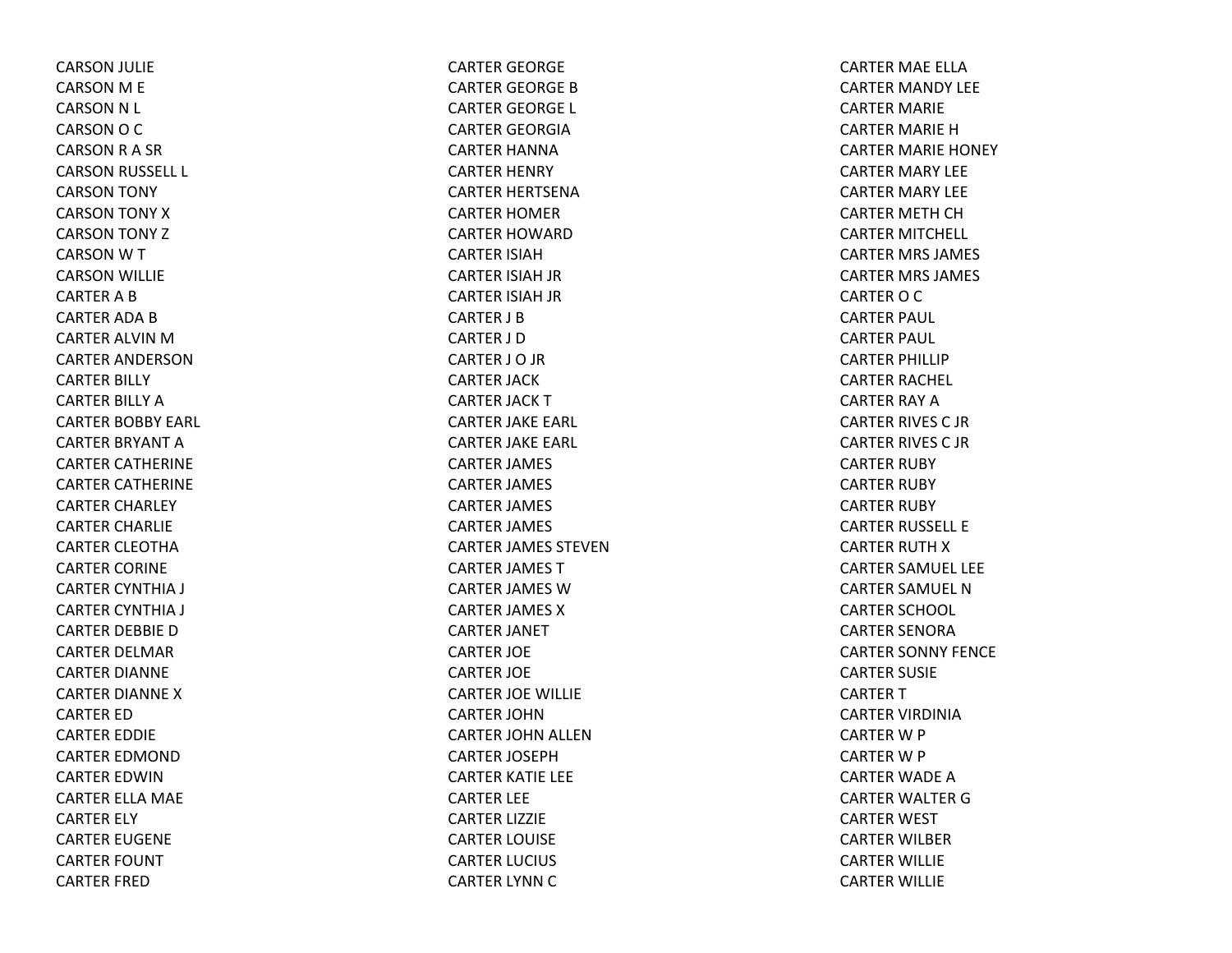CARSON JULIE CARSON M E CARSON N L CARSON O C CARSON R A SR CARSON RUSSELL L CARSON TONY CARSON TONY XCARSON TONY ZCARSON W T CARSON WILLIE CARTER A B CARTER ADA B CARTER ALVIN M CARTER ANDERSONCARTER BILLY CARTER BILLY ACARTER BOBBY EARL CARTER BRYANT ACARTER CATHERINE CARTER CATHERINE CARTER CHARLEY CARTER CHARLIE CARTER CLEOTHACARTER CORINE CARTER CYNTHIA J CARTER CYNTHIA J CARTER DEBBIE DCARTER DELMAR CARTER DIANNE CARTER DIANNE XCARTER EDCARTER EDDIE CARTER EDMONDCARTER EDWINCARTER ELLA MAE CARTER ELY CARTER EUGENE CARTER FOUNT CARTER FRED

CARTER GEORGE CARTER GEORGE BCARTER GEORGE L CARTER GEORGIACARTER HANNACARTER HENRY CARTER HERTSENACARTER HOMER CARTER HOWARDCARTER ISIAHCARTER ISIAH JR CARTER ISIAH JR CARTER J BCARTER J DCARTER J O JR CARTER JACK CARTER JACK TCARTER JAKE EARL CARTER JAKE EARL CARTER JAMES CARTER JAMES CARTER JAMES CARTER JAMES CARTER JAMES STEVENCARTER JAMES TCARTER JAMES WCARTER JAMES XCARTER JANET CARTER JOE CARTER JOE CARTER JOE WILLIE CARTER JOHNCARTER JOHN ALLEN CARTER JOSEPHCARTER KATIE LEE CARTER LEE CARTER LIZZIE CARTER LOUISE CARTER LUCIUS CARTER LYNN C

CARTER MAE ELLACARTER MANDY LEE CARTER MARIE CARTER MARIE HCARTER MARIE HONEY CARTER MARY LEE CARTER MARY LEE CARTER METH CH CARTER MITCHELL CARTER MRS JAMES CARTER MRS JAMES CARTER O C CARTER PAUL CARTER PAUL CARTER PHILLIP CARTER RACHEL CARTER RAY ACARTER RIVES C JRCARTER RIVES C JRCARTER RUBY CARTER RUBY CARTER RUBY CARTER RUSSELL E CARTER RUTH X CARTER SAMUEL LEE CARTER SAMUEL NCARTER SCHOOL CARTER SENORACARTER SONNY FENCE CARTER SUSIE CARTER T CARTER VIRDINIACARTER W P CARTER W P CARTER WADE ACARTER WALTER GCARTER WEST CARTER WILBER CARTER WILLIE CARTER WILLIE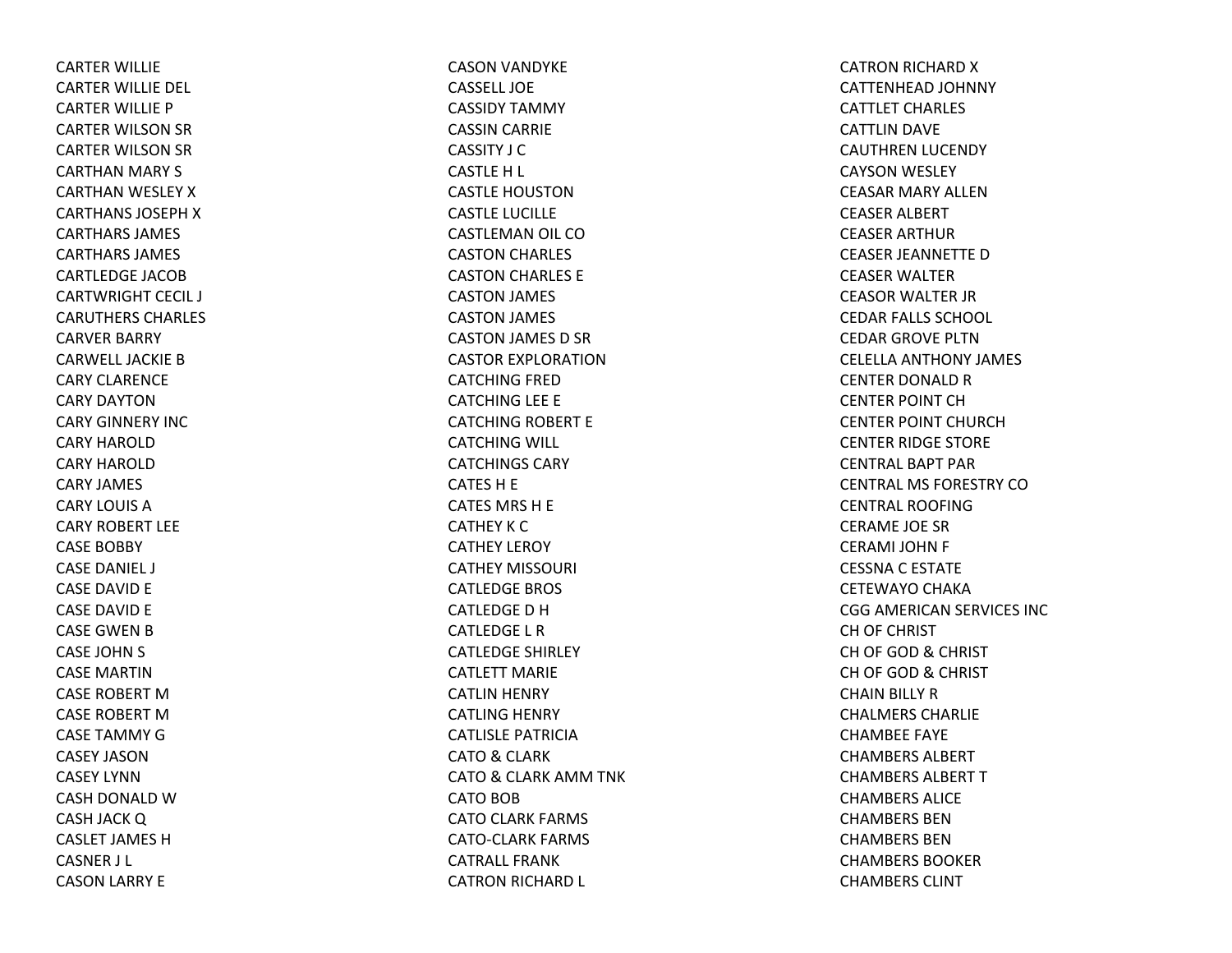CARTER WILLIE CARTER WILLIE DEL CARTER WILLIE P CARTER WILSON SR CARTER WILSON SR CARTHAN MARY S CARTHAN WESLEY XCARTHANS JOSEPHXCARTHARS JAMES CARTHARS JAMES CARTLEDGE JACOBCARTWRIGHT CECIL J CARUTHERS CHARLES CARVER BARRY CARWELL JACKIE B CARY CLARENCECARY DAYTONCARY GINNERY INCCARY HAROLDCARY HAROLDCARY JAMES CARY LOUIS ACARY ROBERT LEECASE BOBBY CASE DANIEL J CASE DAVID E CASE DAVID E CASE GWEN B CASE JOHN S CASE MARTINCASE ROBERT MCASE ROBERT MCASE TAMMY GCASEY JASONCASEY LYNNCASH DONALD WCASH JACK Q CASLET JAMES HCASNER J L CASON LARRY E

CASON VANDYKE CASSELL JOECASSIDY TAMMY CASSIN CARRIE CASSITY J CCASTLE H L CASTLE HOUSTONCASTLE LUCILLE CASTLEMAN OIL COCASTON CHARLES CASTON CHARLES E CASTON JAMES CASTON JAMES CASTON JAMES D SR CASTOR EXPLORATIONCATCHING FRED CATCHING LEE E CATCHING ROBERT E CATCHING WILL CATCHINGS CARYCATES H E CATES MRS H E CATHEY K C CATHEY LEROY CATHEY MISSOURI CATLEDGE BROS CATLEDGEDHCATLEDGE L RCATLEDGE SHIRLEY CATLETT MARIECATLIN HENRY CATLING HENRY CATLISLE PATRICIACATO& CLARK CATO& CLARK AMM TNK CATO BOB CATO CLARK FARMS CATO‐CLARK FARMS CATRALL FRANKCATRON RICHARD L

CATRON RICHARD XCATTENHEAD JOHNNY CATTLET CHARLES CATTLIN DAVE CAUTHREN LUCENDY CAYSON WESLEY CEASAR MARY ALLENCEASER ALBERT CEASER ARTHUR CEASER JEANNETTE DCEASER WALTER CEASOR WALTER JR CEDAR FALLS SCHOOL CEDAR GROVE PLTNCELELLA ANTHONY JAMES CENTER DONALD R CENTER POINT CHCENTER POINT CHURCHCENTER RIDGE STORE CENTRAL BAPT PARCENTRAL MS FORESTRY COCENTRAL ROOFINGCERAME JOE SRCERAMI JOHN F CESSNA C ESTATE CETEWAYO CHAKA CGG AMERICAN SERVICES INC CH OF CHRIST CH OF GOD & CHRIST CH OF GOD & CHRIST CHAIN BILLY RCHALMERS CHARLIECHAMBEE FAYE CHAMBERS ALBERTCHAMBERS ALBERT T CHAMBERS ALICECHAMBERS BENCHAMBERS BENCHAMBERS BOOKERCHAMBERS CLINT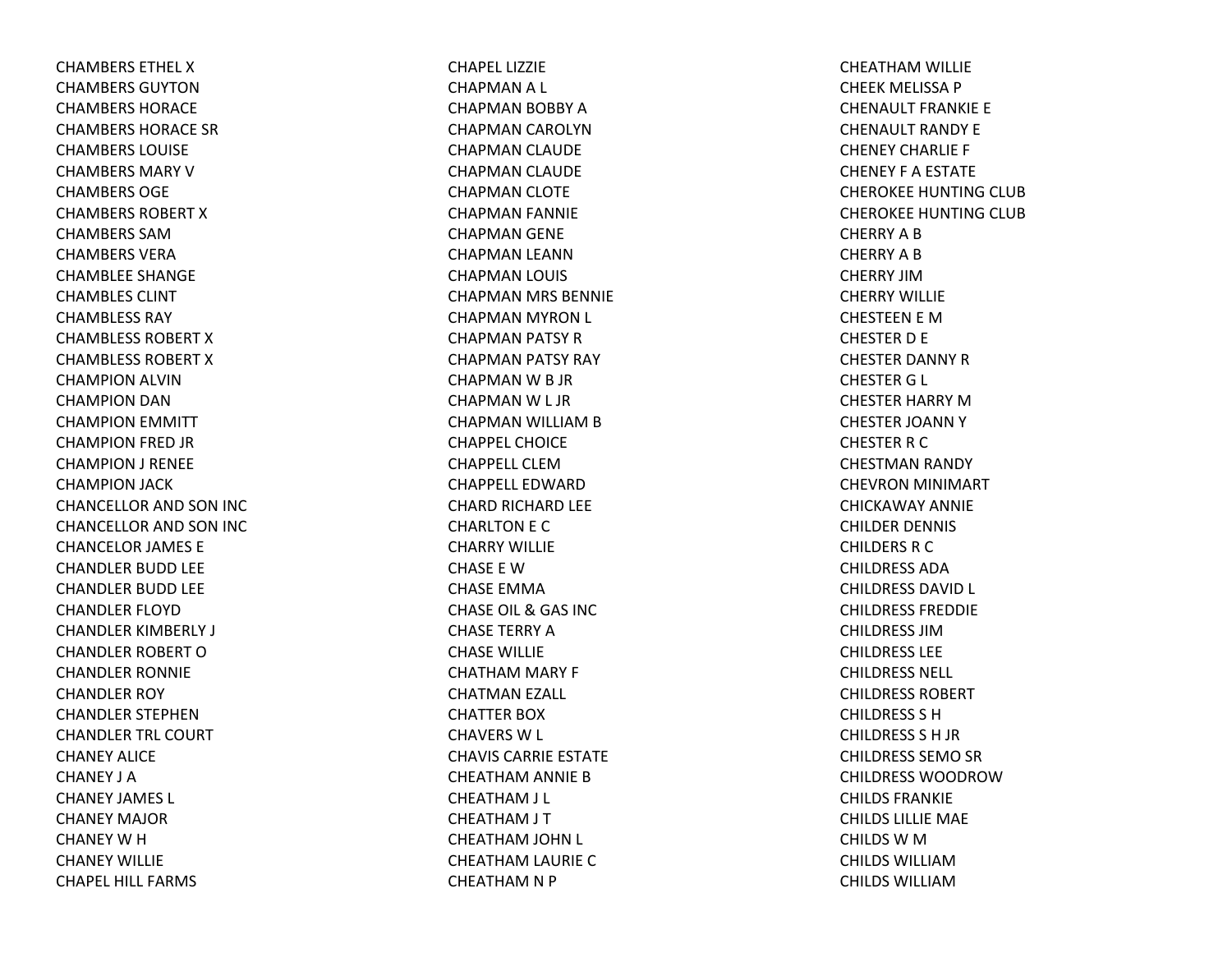CHAMBERS ETHEL XCHAMBERS GUYTONCHAMBERS HORACECHAMBERS HORACE SRCHAMBERS LOUISECHAMBERS MARY V CHAMBERS OGECHAMBERS ROBERT X CHAMBERS SAMCHAMBERS VERACHAMBLEE SHANGE CHAMBLES CLINTCHAMBLESS RAYCHAMBLESS ROBERT X CHAMBLESS ROBERT X CHAMPION ALVIN CHAMPION DAN CHAMPION EMMITT CHAMPION FRED JR CHAMPION J RENEE CHAMPION JACK CHANCELLOR AND SON INC CHANCELLOR AND SON INC CHANCELOR JAMES E CHANDLER BUDD LEE CHANDLER BUDD LEE CHANDLER FLOYDCHANDLER KIMBERLY J CHANDLER ROBERT OCHANDLER RONNIE CHANDLER ROY CHANDLER STEPHENCHANDLER TRL COURT CHANEY ALICECHANEY J ACHANEY JAMES L CHANEY MAJORCHANEY W H CHANEY WILLIECHAPEL HILL FARMS

CHAPEL LIZZIECHAPMANA L CHAPMAN BOBBY ACHAPMAN CAROLYN CHAPMAN CLAUDE CHAPMAN CLAUDE CHAPMAN CLOTE CHAPMAN FANNIE CHAPMAN GENE CHAPMAN LEANN CHAPMAN LOUIS CHAPMAN MRS BENNIE CHAPMAN MYRON L CHAPMAN PATSY RCHAPMAN PATSY RAY CHAPMAN W B JR CHAPMAN W L JR CHAPMAN WILLIAM B CHAPPEL CHOICECHAPPELL CLEMCHAPPELL EDWARDCHARD RICHARD LEE CHARLTON E C CHARRY WILLIECHASE E WCHASE EMMACHASE OIL & GAS INC CHASE TERRY ACHASE WILLIE CHATHAM MARY F CHATMAN EZALL CHATTER BOX CHAVERS W L CHAVIS CARRIE ESTATE CHEATHAM ANNIE BCHEATHAM J L CHEATHAM J T CHEATHAM JOHN L CHEATHAM LAURIE CCHEATHAM N P

CHEATHAM WILLIE CHEEK MELISSA P CHENAULT FRANKIE E CHENAULT RANDY ECHENEY CHARLIE F CHENEY F A ESTATE CHEROKEE HUNTING CLUB CHEROKEE HUNTING CLUB CHERRY A B CHERRY A B CHERRY JIMCHERRY WILLIECHESTEEN E MCHESTER D E CHESTER DANNY RCHESTER G L CHESTER HARRY MCHESTER JOANNYCHESTER R C CHESTMAN RANDY CHEVRON MINIMART CHICKAWAY ANNIECHILDER DENNIS CHILDERS R C CHILDRESS ADACHILDRESS DAVID L CHILDRESS FREDDIECHILDRESS JIMCHILDRESS LEECHILDRESS NELL CHILDRESS ROBERTCHILDRESS S HCHILDRESS S H JR CHILDRESS SEMO SR CHILDRESS WOODROWCHILDS FRANKIECHILDS LILLIE MAE CHILDS W M CHILDS WILLIAMCHILDS WILLIAM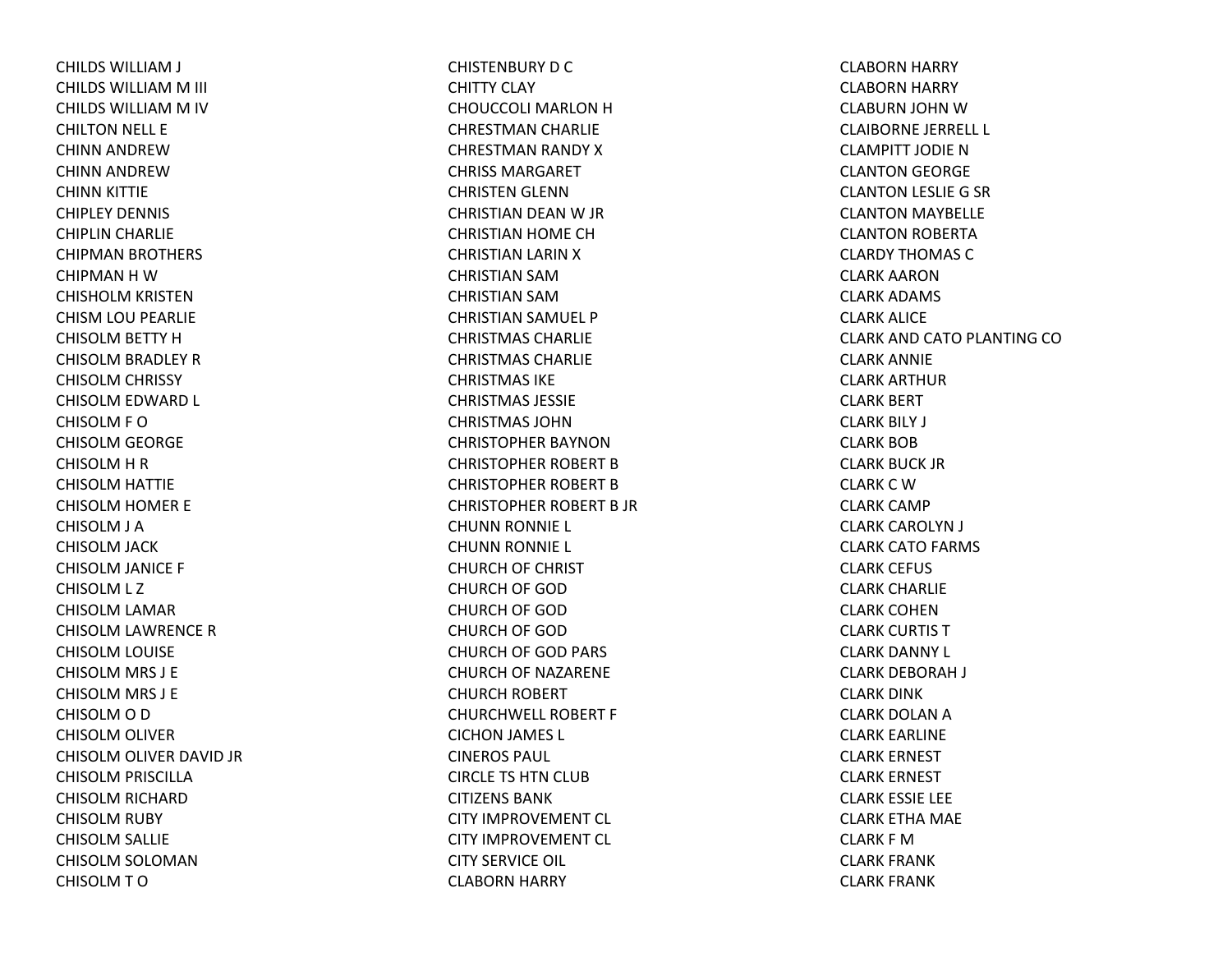CHILDS WILLIAM J CHILDS WILLIAM M III CHILDS WILLIAM M IV CHILTON NELL E CHINN ANDREWCHINN ANDREWCHINN KITTIE CHIPLEY DENNIS CHIPLIN CHARLIE CHIPMAN BROTHERS CHIPMANHWCHISHOLM KRISTEN CHISM LOU PEARLIE CHISOLM BETTY HCHISOLM BRADLEY RCHISOLM CHRISSY CHISOLM EDWARD L CHISOLM F O CHISOLM GEORGE CHISOLM H R CHISOLM HATTIE CHISOLM HOMER E CHISOLM J A CHISOLM JACK CHISOLM JANICE F CHISOLM L Z CHISOLM LAMAR CHISOLM LAWRENCE RCHISOLM LOUISE CHISOLM MRS J E CHISOLM MRS J E CHISOLM O D CHISOLM OLIVER CHISOLM OLIVER DAVID JR CHISOLM PRISCILLA CHISOLM RICHARD CHISOLM RUBY CHISOLM SALLIE CHISOLM SOLOMAN CHISOLMTO

CHISTENBURY D C CHITTY CLAY CHOUCCOLI MARLON H CHRESTMAN CHARLIE CHRESTMAN RANDY XCHRISS MARGARETCHRISTEN GLENN CHRISTIAN DEAN W JR CHRISTIAN HOME CH CHRISTIAN LARIN XCHRISTIAN SAMCHRISTIAN SAMCHRISTIAN SAMUEL P CHRISTMAS CHARLIECHRISTMAS CHARLIECHRISTMAS IKECHRISTMAS JESSIECHRISTMAS JOHNCHRISTOPHER BAYNONCHRISTOPHER ROBERT BCHRISTOPHER ROBERT BCHRISTOPHER ROBERT B JR CHUNN RONNIE L CHUNN RONNIE L CHURCH OF CHRIST CHURCH OF GOD CHURCH OF GOD CHURCH OF GOD CHURCH OF GOD PARS CHURCH OF NAZARENE CHURCH ROBERT CHURCHWELL ROBERT F CICHON JAMES L CINEROS PAUL CIRCLE TS HTN CLUB CITIZENS BANKCITY IMPROVEMENT CL CITY IMPROVEMENT CL CITY SERVICE OIL CLABORN HARRY

CLABORN HARRY CLABORN HARRY CLABURN JOHN WCLAIBORNE JERRELL L CLAMPITT JODIE N CLANTON GEORGE CLANTON LESLIE G SR CLANTON MAYBELLE CLANTON ROBERTA CLARDY THOMAS CCLARK AARONCLARK ADAMS CLARK ALICE CLARK AND CATO PLANTING CO CLARK ANNIE CLARK ARTHURCLARK BERT CLARK BILY J CLARK BOBCLARK BUCK JRCLARK C W CLARK CAMP CLARK CAROLYN J CLARK CATO FARMS CLARK CEFUS CLARK CHARLIE CLARK COHENCLARK CURTIS TCLARK DANNY L CLARK DEBORAH J CLARK DINK CLARK DOLAN A CLARK EARLINE CLARK ERNEST CLARK ERNEST CLARK ESSIE LEE CLARK ETHA MAE CLARK F MCLARK FRANK CLARK FRANK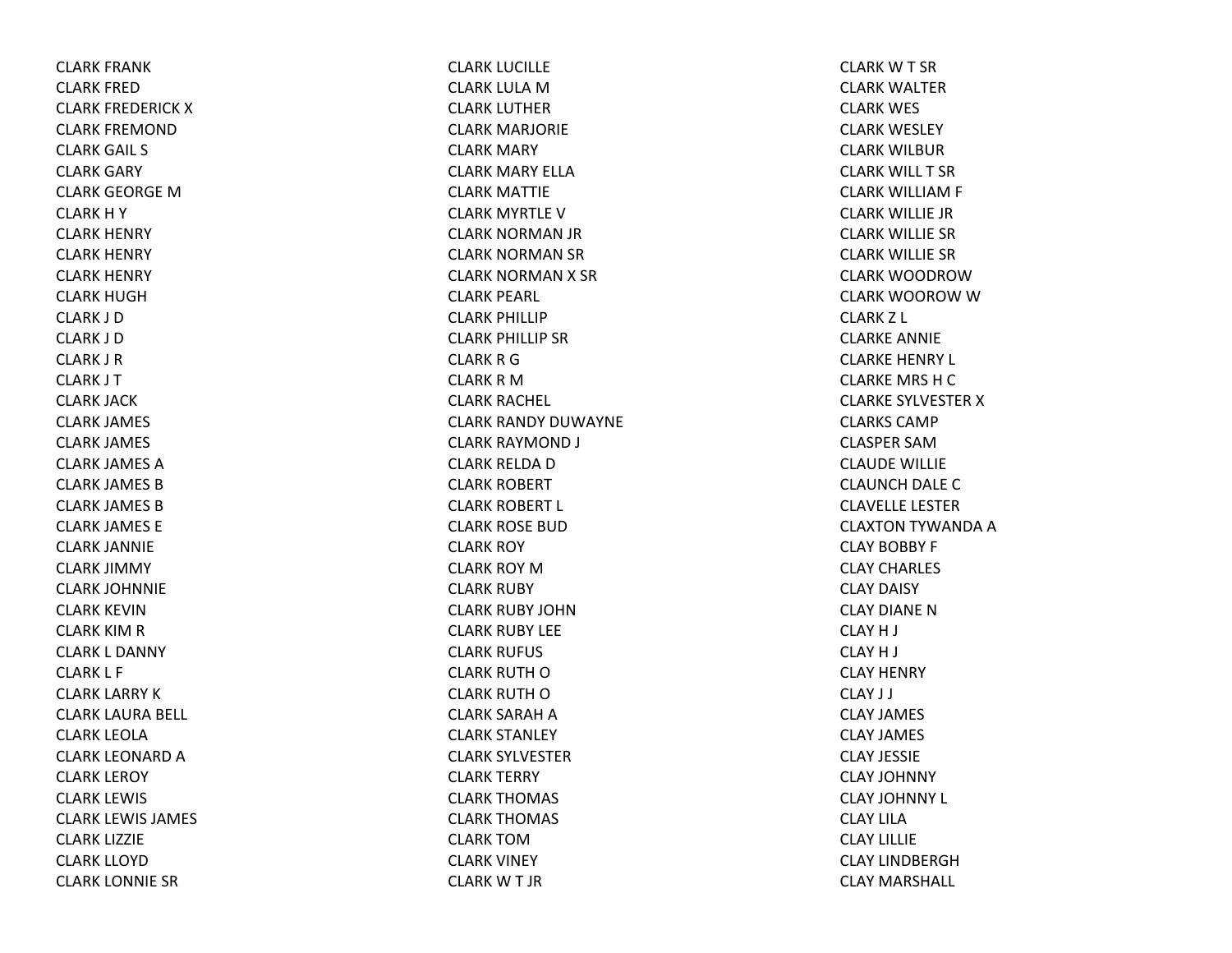CLARK FRANK CLARK FREDCLARK FREDERICK XCLARK FREMONDCLARK GAIL S CLARK GARY CLARK GEORGE MCLARK H Y CLARK HENRY CLARK HENRY CLARK HENRY CLARK HUGHCLARK J DCLARK J DCLARK J RCLARK J T CLARK JACK CLARK JAMES CLARK JAMES CLARK JAMES ACLARK JAMES BCLARK JAMES BCLARK JAMES E CLARK JANNIE CLARK JIMMY CLARK JOHNNIE CLARK KEVINCLARK KIM R CLARK L DANNY CLARK L F CLARK LARRY KCLARK LAURA BELL CLARK LEOLACLARK LEONARD A CLARK LEROY CLARK LEWIS CLARK LEWIS JAMES CLARK LIZZIE CLARK LLOYDCLARK LONNIE SR

CLARK LUCILLE CLARK LULA M CLARK LUTHERCLARK MARJORIE CLARK MARY CLARK MARY ELLACLARK MATTIE CLARK MYRTLE VCLARK NORMAN JR CLARK NORMAN SR CLARK NORMAN X SR CLARK PEARL CLARK PHILLIP CLARK PHILLIP SRCLARK R G CLARK R M CLARK RACHEL CLARK RANDY DUWAYNE CLARK RAYMOND J CLARK RELDA D CLARK ROBERT CLARK ROBERT L CLARK ROSE BUDCLARK ROY CLARK ROY MCLARK RUBY CLARK RUBY JOHNCLARK RUBY LEE CLARK RUFUS CLARK RUTH O CLARK RUTH O CLARK SARAH A CLARK STANLEY CLARK SYLVESTERCLARK TERRY CLARK THOMAS CLARK THOMAS CLARK TOMCLARK VINEY CLARKWT JR

CLARK W T SR CLARK WALTERCLARK WES CLARK WESLEY CLARK WILBURCLARK WILL T SRCLARK WILLIAM F CLARK WILLIE JRCLARK WILLIE SRCLARK WILLIE SRCLARK WOODROWCLARK WOOROW W CLARKZ L CLARKE ANNIE CLARKE HENRY L CLARKE MRS HCCLARKE SYLVESTERXCLARKS CAMPCLASPER SAMCLAUDE WILLIE CLAUNCH DALE CCLAVELLE LESTERCLAXTON TYWANDA ACLAY BOBBY F CLAY CHARLES CLAY DAISY CLAY DIANE N CLAYH J CLAYH J CLAY HENRY CLAY J J CLAY JAMES CLAY JAMES CLAY JESSIECLAY JOHNNY CLAY JOHNNY L CLAY LILACLAY LILLIECLAY LINDBERGHCLAY MARSHALL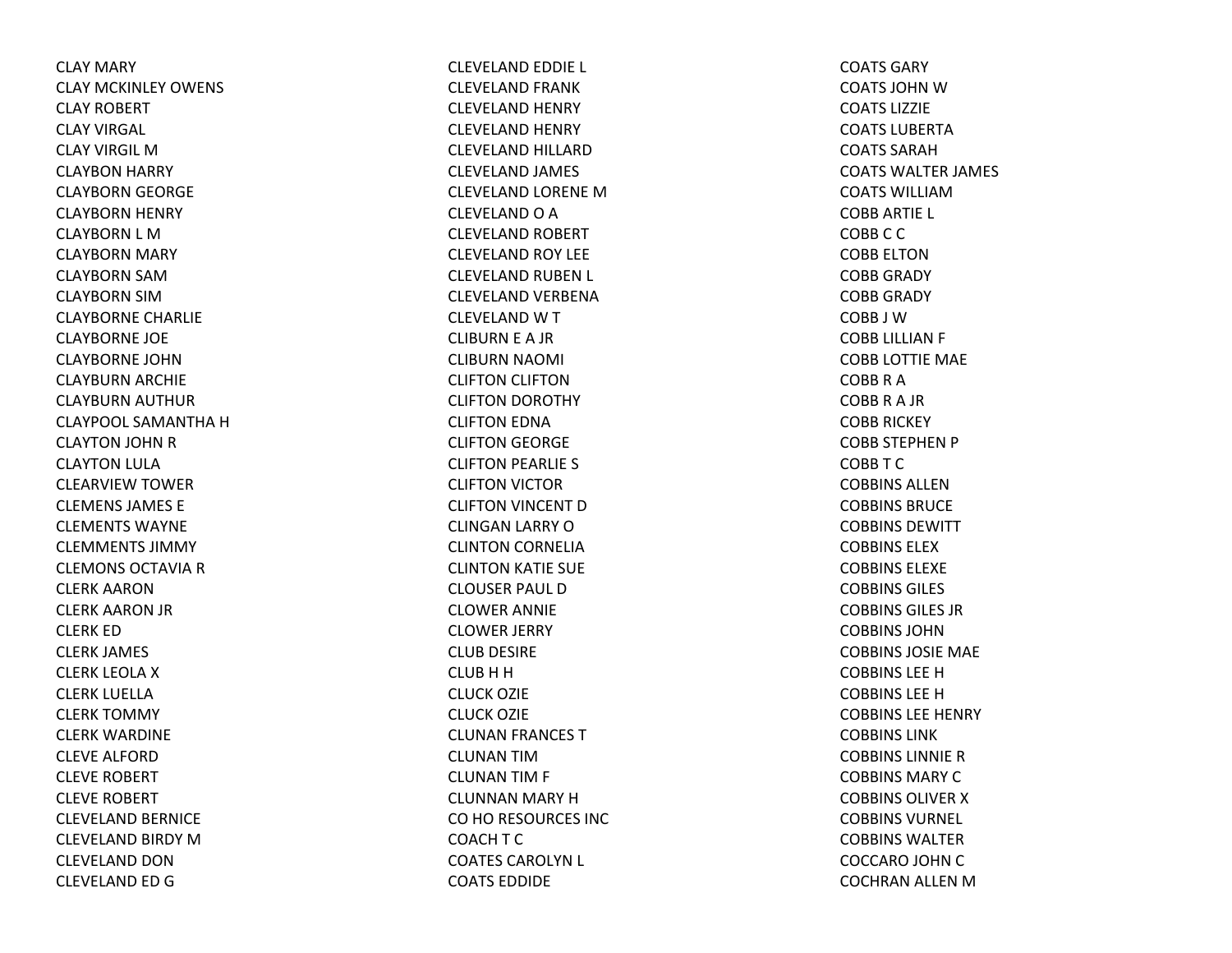CLAY MARY CLAY MCKINLEY OWENS CLAY ROBERT CLAY VIRGAL CLAY VIRGIL MCLAYBON HARRY CLAYBORN GEORGE CLAYBORN HENRY CLAYBORN L MCLAYBORN MARY CLAYBORN SAMCLAYBORN SIMCLAYBORNE CHARLIE CLAYBORNE JOE CLAYBORNE JOHNCLAYBURN ARCHIE CLAYBURN AUTHUR CLAYPOOL SAMANTHA H CLAYTON JOHN RCLAYTON LULA CLEARVIEW TOWER CLEMENS JAMES ECLEMENTS WAYNECLEMMENTS JIMMYCLEMONS OCTAVIA R CLERK AARONCLERK AARON JR CLERK EDCLERK JAMES CLERK LEOLA X CLERK LUELLACLERK TOMMY CLERK WARDINE CLEVE ALFORDCLEVE ROBERT CLEVE ROBERT CLEVELAND BERNICE CLEVELAND BIRDY MCLEVELAND DONCLEVELAND ED G

CLEVELAND EDDIE L CLEVELAND FRANK CLEVELAND HENRY CLEVELAND HENRY CLEVELAND HILLARDCLEVELAND JAMES CLEVELAND LORENE MCLEVELAND O A CLEVELAND ROBERT CLEVELAND ROY LEE CLEVELAND RUBEN L CLEVELAND VERBENA CLEVELAND W T CLIBURN E A JR CLIBURN NAOMI CLIFTON CLIFTON CLIFTON DOROTHY CLIFTON EDNA CLIFTON GEORGE CLIFTON PEARLIE S CLIFTON VICTOR CLIFTON VINCENT DCLINGAN LARRY OCLINTON CORNELIA CLINTON KATIE SUE CLOUSER PAUL DCLOWER ANNIE CLOWER JERRY CLUB DESIRE CLUB H H CLUCK OZIE CLUCK OZIE CLUNAN FRANCES TCLUNAN TIMCLUNAN TIM F CLUNNAN MARY HCO HO RESOURCES INC COACH T C COATES CAROLYN L COATS EDDIDE

COATS GARYCOATS JOHN W COATS LIZZIECOATS LUBERTACOATS SARAHCOATS WALTER JAMES COATS WILLIAMCOBB ARTIE L COBBCCCOBB ELTONCOBB GRADY COBB GRADY COBB J WCOBB LILLIAN F COBB LOTTIE MAE COBBRACOBBRA JR COBB RICKEY COBB STEPHEN P COBBTCCOBBINS ALLENCOBBINS BRUCECOBBINS DEWITTCOBBINS ELEXCOBBINS ELEXECOBBINS GILES COBBINS GILES JRCOBBINS JOHNCOBBINS JOSIE MAE COBBINS LEE H COBBINS LEE H COBBINS LEE HENRY COBBINS LINKCOBBINS LINNIERCOBBINS MARY C COBBINS OLIVER X COBBINS VURNEL COBBINS WALTERCOCCARO JOHN CCOCHRAN ALLEN M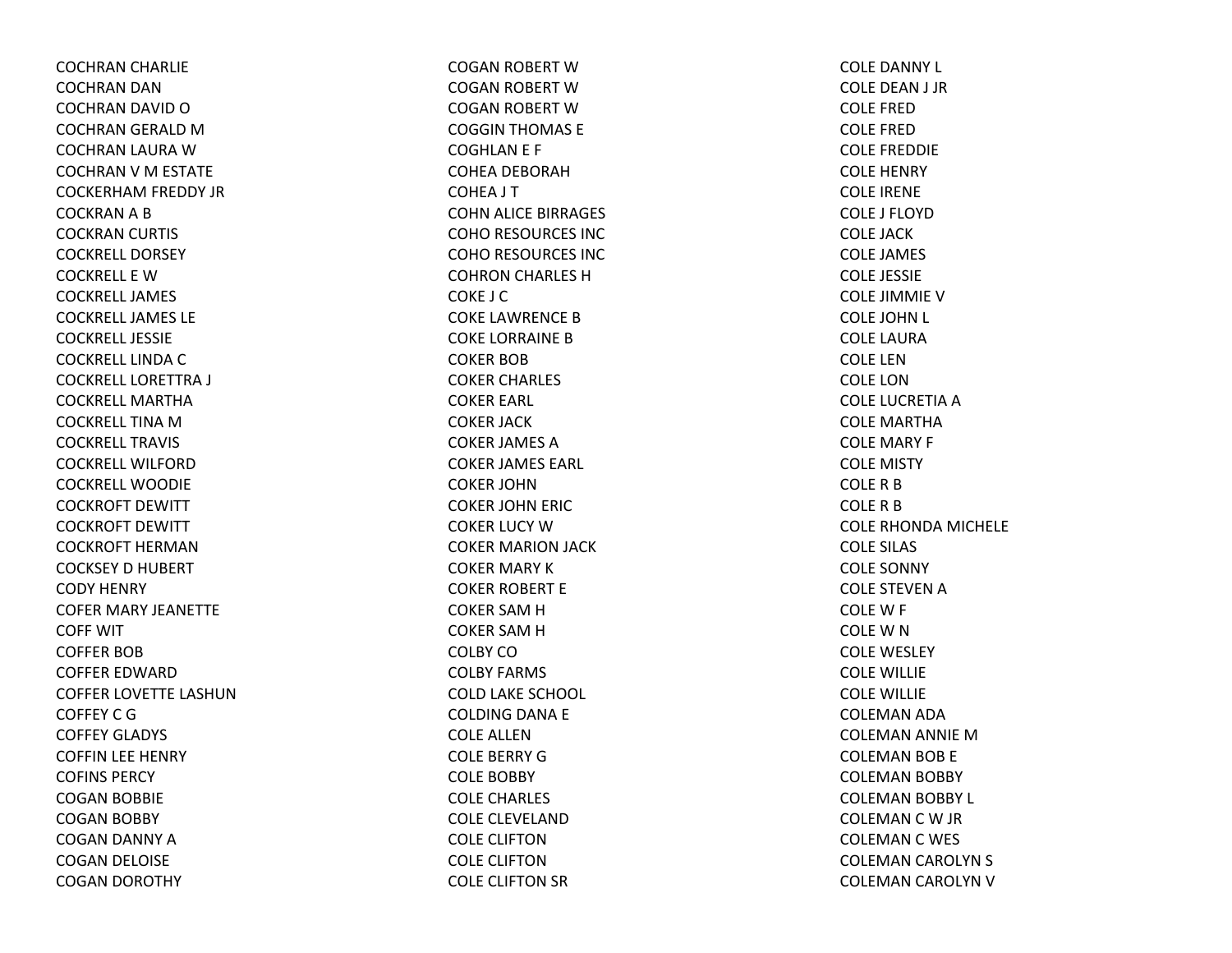COCHRAN CHARLIE COCHRAN DAN COCHRAN DAVID OCOCHRAN GERALD MCOCHRAN LAURA WCOCHRAN V M ESTATE COCKERHAM FREDDY JR COCKRAN A B COCKRAN CURTIS COCKRELL DORSEYCOCKRELL E WCOCKRELL JAMESCOCKRELL JAMES LECOCKRELL JESSIECOCKRELL LINDA C COCKRELL LORETTRA J COCKRELL MARTHACOCKRELL TINA M COCKRELL TRAVISCOCKRELL WILFORDCOCKRELL WOODIECOCKROFT DEWITT COCKROFT DEWITT COCKROFT HERMANCOCKSEY D HUBERT CODY HENRY COFER MARY JEANETTE COFF WITCOFFER BOBCOFFER EDWARDCOFFER LOVETTE LASHUNCOFFEY C G COFFEY GLADYS COFFIN LEE HENRY COFINS PERCYCOGAN BOBBIE COGAN BOBBY COGAN DANNY ACOGAN DELOISE COGAN DOROTHY

COGAN ROBERT WCOGAN ROBERT WCOGAN ROBERT WCOGGIN THOMAS E COGHLAN E F COHEA DEBORAHCOHEA J T COHN ALICE BIRRAGES COHO RESOURCES INC COHO RESOURCES INC COHRON CHARLES HCOKE J CCOKE LAWRENCE BCOKE LORRAINE BCOKER BOBCOKER CHARLES COKER EARL COKER JACK COKER JAMES ACOKER JAMES EARL COKER JOHNCOKER JOHN ERIC COKER LUCY WCOKER MARION JACK COKER MARY KCOKER ROBERT E COKER SAM H COKER SAM H COLBY COCOLBY FARMS COLD LAKE SCHOOL COLDING DANA E COLE ALLENCOLE BERRY GCOLE BOBBY COLE CHARLES COLE CLEVELANDCOLE CLIFTONCOLE CLIFTONCOLE CLIFTON SR

COLE DANNY L COLE DEAN J JR COLE FREDCOLE FREDCOLE FREDDIE COLE HENRY COLE IRENE COLE J FLOYDCOLE JACKCOLE JAMES COLE JESSIE COLE JIMMIE VCOLE JOHN L COLE LAURACOLE LENCOLE LONCOLE LUCRETIA A COLE MARTHACOLE MARY F COLE MISTY COLERBCOLERBCOLE RHONDA MICHELE COLE SILAS COLE SONNY COLE STEVEN A COLEW F COLEWNCOLE WESLEY COLE WILLIE COLE WILLIE COLEMAN ADA COLEMAN ANNIE MCOLEMAN BOB E COLEMAN BOBBY COLEMAN BOBBY L COLEMAN C W JR COLEMAN C WES COLEMAN CAROLYN S COLEMAN CAROLYN V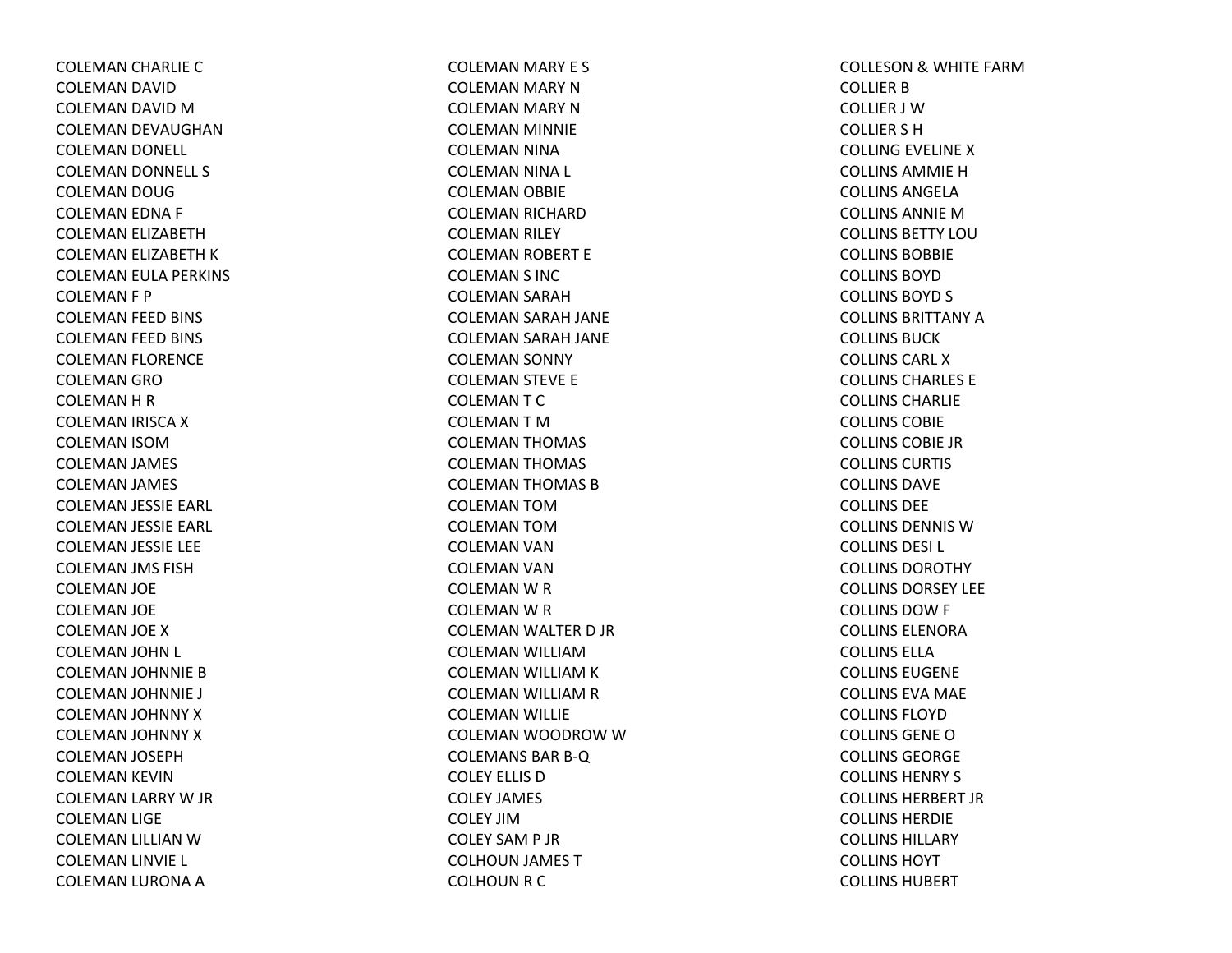COLEMAN CHARLIE CCOLEMAN DAVID COLEMAN DAVID MCOLEMAN DEVAUGHAN COLEMAN DONELL COLEMAN DONNELL S COLEMAN DOUG COLEMAN EDNA F COLEMAN ELIZABETH COLEMAN ELIZABETH KCOLEMAN EULA PERKINS COLEMAN F P COLEMAN FEED BINS COLEMAN FEED BINS COLEMAN FLORENCE COLEMAN GROCOLEMAN H R COLEMAN IRISCA XCOLEMAN ISOMCOLEMAN JAMES COLEMAN JAMES COLEMAN JESSIE EARL COLEMAN JESSIE EARL COLEMAN JESSIE LEE COLEMAN JMS FISH COLEMAN JOE COLEMAN JOE COLEMAN JOE XCOLEMAN JOHN L COLEMAN JOHNNIE BCOLEMAN JOHNNIE J COLEMAN JOHNNY XCOLEMAN JOHNNY XCOLEMAN JOSEPH COLEMAN KEVIN COLEMAN LARRY W JR COLEMAN LIGE COLEMAN LILLIAN WCOLEMAN LINVIE L COLEMAN LURONA A

COLEMAN MARY E S COLEMAN MARY NCOLEMAN MARY NCOLEMAN MINNIE COLEMAN NINA COLEMAN NINA L COLEMAN OBBIE COLEMAN RICHARD COLEMAN RILEY COLEMAN ROBERT E COLEMAN S INC COLEMAN SARAH COLEMAN SARAH JANE COLEMAN SARAH JANE COLEMAN SONNY COLEMAN STEVE E COLEMANTCCOLEMANTMCOLEMAN THOMAS COLEMAN THOMAS COLEMAN THOMAS BCOLEMAN TOMCOLEMAN TOMCOLEMAN VAN COLEMAN VAN COLEMAN W R COLEMAN W R COLEMAN WALTER D JR COLEMAN WILLIAMCOLEMAN WILLIAM K COLEMAN WILLIAM R COLEMAN WILLIE COLEMAN WOODROW W COLEMANS BARB‐Q COLEY ELLIS DCOLEY JAMES COLEY JIMCOLEY SAM P JR COLHOUN JAMES TCOLHOUN R C

COLLESON& WHITE FARMCOLLIER B COLLIER J WCOLLIER S HCOLLING EVELINE XCOLLINS AMMIE H COLLINS ANGELACOLLINS ANNIE M COLLINS BETTY LOUCOLLINS BOBBIECOLLINS BOYDCOLLINS BOYD S COLLINS BRITTANY A COLLINS BUCKCOLLINS CARL XCOLLINS CHARLES ECOLLINS CHARLIECOLLINS COBIECOLLINS COBIE JRCOLLINS CURTIS COLLINS DAVECOLLINS DEECOLLINS DENNIS WCOLLINS DESI L COLLINS DOROTHYCOLLINS DORSEY LEECOLLINS DOW F COLLINS ELENORACOLLINS ELLACOLLINS EUGENECOLLINS EVA MAE COLLINS FLOYDCOLLINS GENEOCOLLINS GEORGECOLLINS HENRY S COLLINS HERBERT JRCOLLINS HERDIECOLLINS HILLARYCOLLINS HOYTCOLLINS HUBERT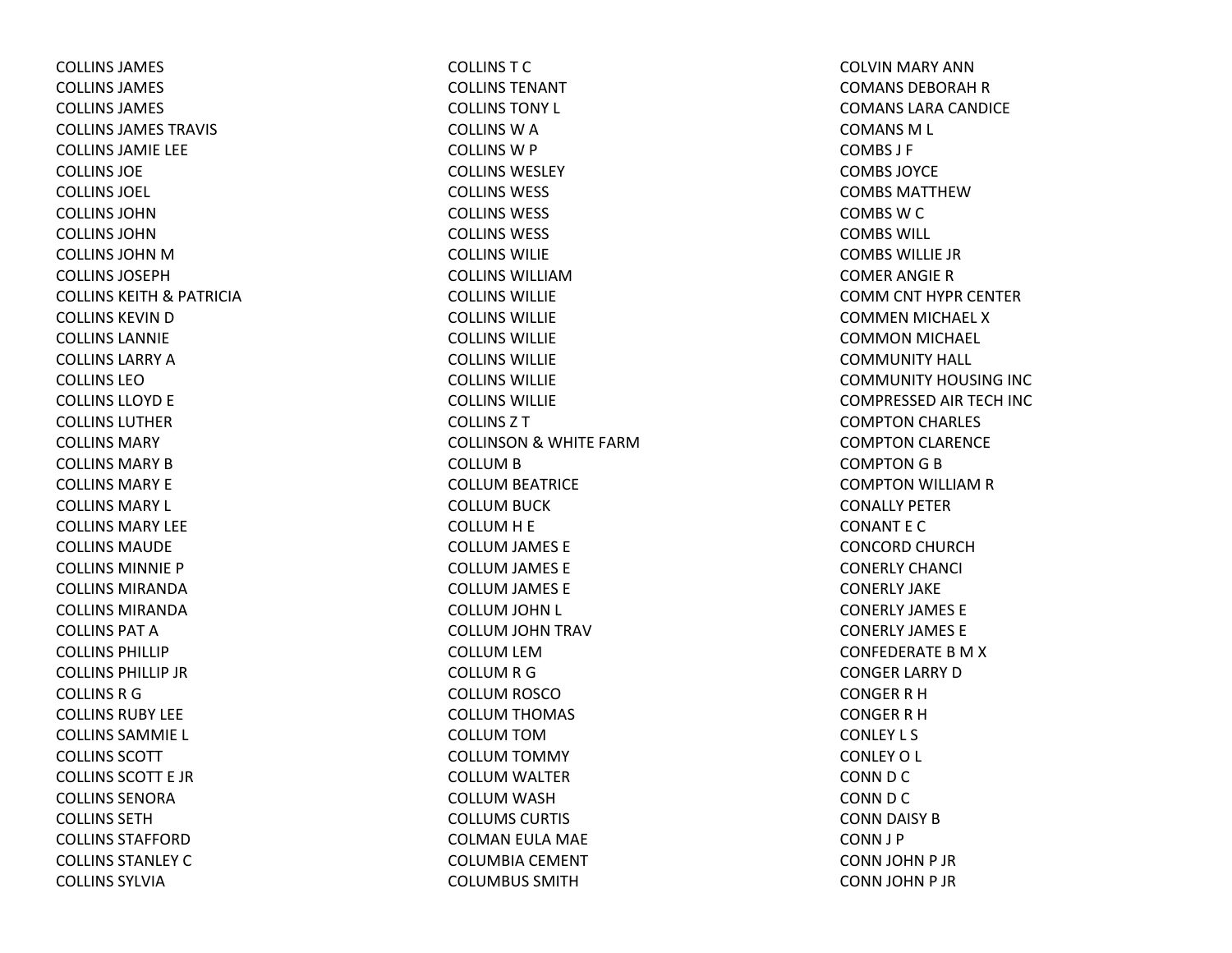COLLINS JAMES COLLINS JAMES COLLINS JAMES COLLINS JAMES TRAVIS COLLINS JAMIE LEE COLLINS JOECOLLINS JOEL COLLINS JOHNCOLLINS JOHNCOLLINS JOHN M COLLINS JOSEPHCOLLINS KEITH& PATRICIA COLLINS KEVIN D COLLINS LANNIECOLLINS LARRY A COLLINS LEOCOLLINS LLOYD E COLLINS LUTHERCOLLINS MARYCOLLINS MARY B COLLINS MARY ECOLLINS MARY L COLLINS MARY LEECOLLINS MAUDE COLLINS MINNIE PCOLLINS MIRANDACOLLINS MIRANDACOLLINS PAT A COLLINS PHILLIPCOLLINS PHILLIP JRCOLLINS R G COLLINS RUBY LEECOLLINS SAMMIE L COLLINS SCOTTCOLLINS SCOTT E JRCOLLINS SENORACOLLINS SETHCOLLINS STAFFORDCOLLINS STANLEY C COLLINS SYLVIA

COLLINSTCCOLLINS TENANTCOLLINS TONY L COLLINS W A COLLINS W P COLLINS WESLEYCOLLINS WESS COLLINS WESS COLLINS WESS COLLINS WILIECOLLINS WILLIAMCOLLINS WILLIECOLLINS WILLIECOLLINS WILLIECOLLINS WILLIECOLLINS WILLIECOLLINS WILLIECOLLINSZTCOLLINSON& WHITE FARMCOLLUM B COLLUM BEATRICE COLLUM BUCK COLLUMH E COLLUM JAMES E COLLUM JAMES E COLLUM JAMES E COLLUM JOHN L COLLUM JOHN TRAV COLLUM LEM COLLUM R G COLLUM ROSCO COLLUM THOMAS COLLUM TOM COLLUM TOMMY COLLUM WALTER COLLUM WASH COLLUMS CURTIS COLMAN EULA MAE COLUMBIA CEMENT COLUMBUS SMITH

COLVIN MARY ANN COMANS DEBORAH R COMANS LARA CANDICE COMANS M L COMBS J F COMBS JOYCECOMBS MATTHEWCOMBSWCCOMBS WILL COMBS WILLIE JRCOMER ANGIE RCOMM CNT HYPR CENTER COMMEN MICHAEL XCOMMON MICHAEL COMMUNITY HALL COMMUNITY HOUSING INC COMPRESSED AIR TECH INC COMPTON CHARLES COMPTON CLARENCE COMPTON G B COMPTON WILLIAM R CONALLY PETERCONANT E CCONCORD CHURCHCONERLY CHANCI CONERLY JAKECONERLY JAMES ECONERLY JAMES ECONFEDERATE B M X CONGER LARRY DCONGER R H CONGER R H CONLEY L S CONLEY O L CONN D C CONN D C CONN DAISY BCONN J P CONN JOHN P JR CONN JOHN P JR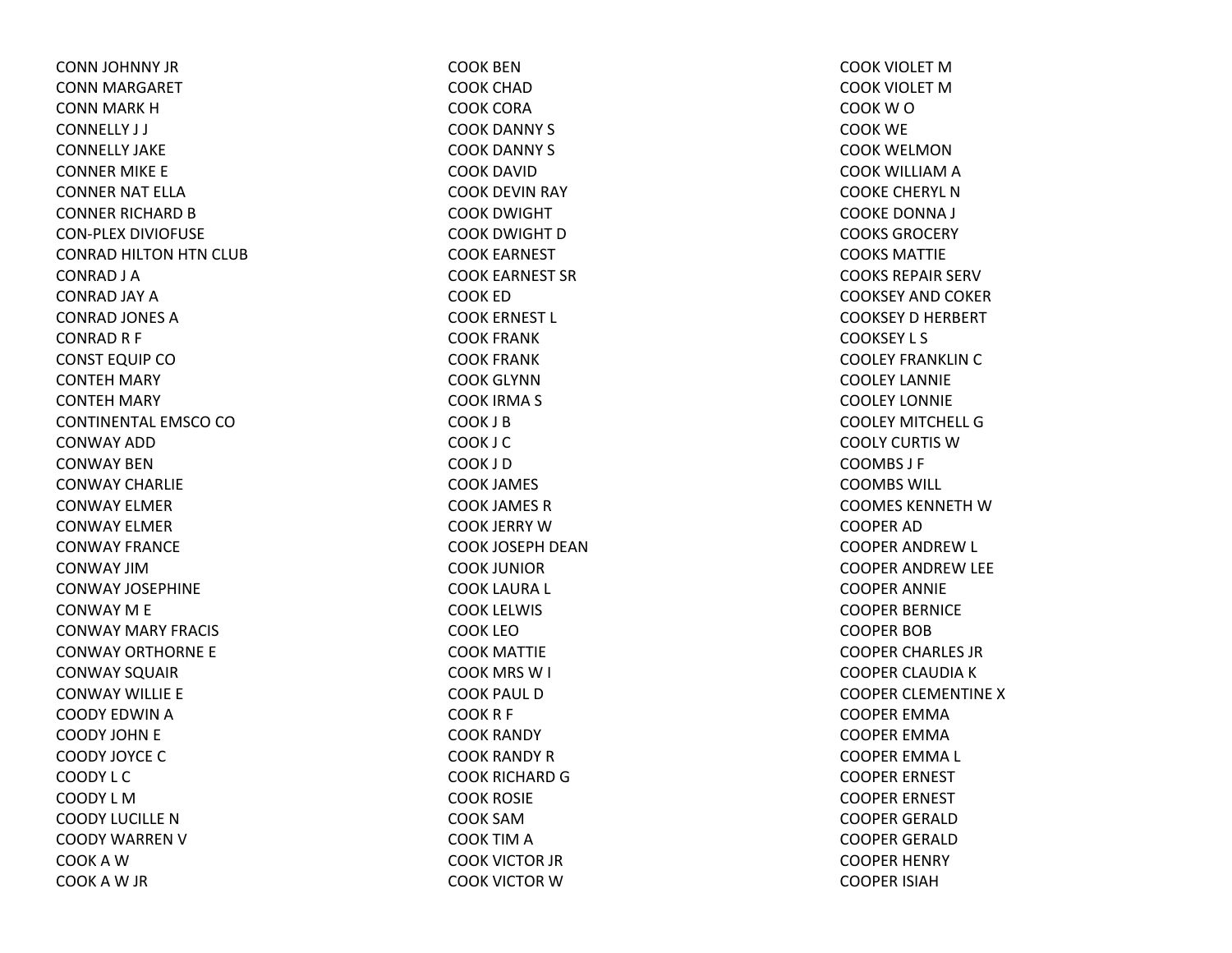CONN JOHNNY JR CONN MARGARET CONN MARK HCONNELLY J J CONNELLY JAKECONNER MIKE E CONNER NAT ELLACONNER RICHARD B CON‐PLEX DIVIOFUSE CONRAD HILTON HTN CLUB CONRAD J A CONRAD JAY ACONRAD JONES ACONRAD R F CONST EQUIP CO CONTEH MARY CONTEH MARY CONTINENTAL EMSCO CO CONWAY ADDCONWAY BENCONWAY CHARLIECONWAY ELMERCONWAY ELMERCONWAY FRANCECONWAY JIMCONWAY JOSEPHINECONWAY M E CONWAY MARY FRACIS CONWAY ORTHORNE E CONWAY SQUAIR CONWAY WILLIE E COODY EDWIN A COODY JOHN E COODY JOYCE C COODY L CCOODY L MCOODY LUCILLE N COODY WARREN V COOKAWCOOKAW JR

COOK BENCOOK CHADCOOK CORACOOK DANNY S COOK DANNY S COOK DAVIDCOOK DEVIN RAY COOK DWIGHT COOK DWIGHT DCOOK EARNEST COOK EARNEST SRCOOK EDCOOK ERNEST L COOK FRANK COOK FRANK COOK GLYNNCOOK IRMA S COOK J BCOOK J CCOOK J DCOOK JAMES COOK JAMES RCOOK JERRY WCOOK JOSEPH DEANCOOK JUNIORCOOK LAURA L COOK LELWIS COOK LEOCOOK MATTIE COOK MRS W I COOK PAUL DCOOKR F COOK RANDY COOK RANDY RCOOK RICHARD G COOK ROSIE COOK SAMCOOK TIM A COOK VICTOR JR COOK VICTOR W

COOK VIOLET MCOOK VIOLET MCOOKWOCOOK WE COOK WELMONCOOK WILLIAM A COOKE CHERYL NCOOKE DONNA J COOKS GROCERYCOOKS MATTIECOOKS REPAIR SERVCOOKSEY AND COKER COOKSEY D HERBERT COOKSEY L S COOLEY FRANKLIN C COOLEY LANNIECOOLEY LONNIECOOLEY MITCHELL GCOOLY CURTIS WCOOMBS J F COOMBS WILL COOMES KENNETH W COOPER ADCOOPER ANDREW L COOPER ANDREW LEE COOPER ANNIE COOPER BERNICE COOPER BOBCOOPER CHARLES JR COOPER CLAUDIA K COOPER CLEMENTINE XCOOPER EMMACOOPER EMMACOOPER EMMA L COOPER ERNEST COOPER ERNEST COOPER GERALDCOOPER GERALDCOOPER HENRY COOPER ISIAH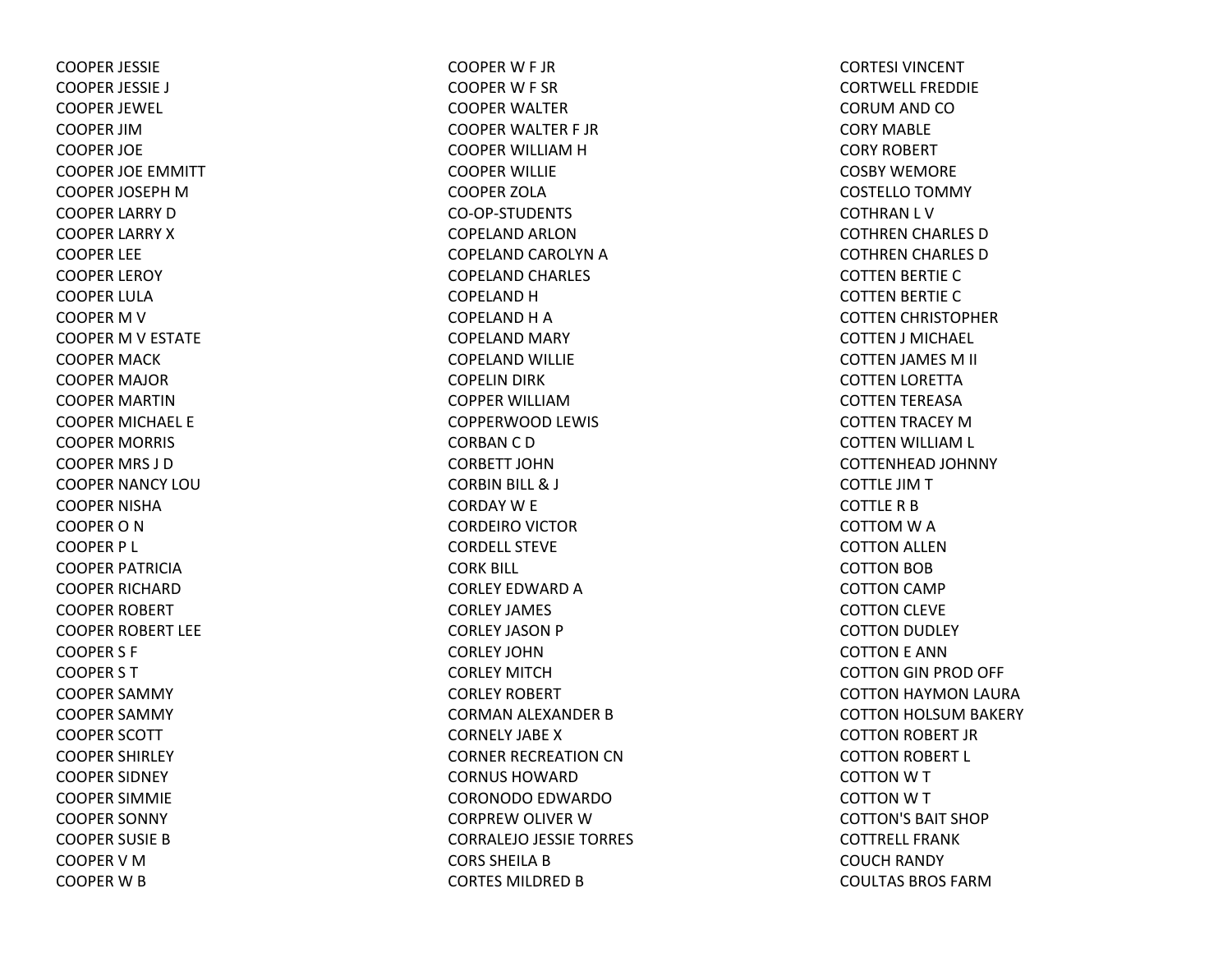COOPER JESSIE COOPER JESSIE J COOPER JEWEL COOPER JIMCOOPER JOE COOPER JOE EMMITT COOPER JOSEPH M COOPER LARRY DCOOPER LARRY XCOOPER LEE COOPER LEROY COOPER LULACOOPER M V COOPER M V ESTATE COOPER MACK COOPER MAJOR COOPER MARTINCOOPER MICHAEL E COOPER MORRIS COOPER MRS J DCOOPER NANCY LOUCOOPER NISHACOOPERONCOOPER P L COOPER PATRICIACOOPER RICHARDCOOPER ROBERT COOPER ROBERT LEE COOPER S F COOPER S T COOPER SAMMY COOPER SAMMY COOPER SCOTT COOPER SHIRLEY COOPER SIDNEY COOPER SIMMIE COOPER SONNY COOPER SUSIE BCOOPERVMCOOPER W B

COOPERW F JR COOPERW F SR COOPER WALTER COOPER WALTER F JR COOPER WILLIAM H COOPER WILLIE COOPER ZOLACO‐OP‐STUDENTSCOPELAND ARLONCOPELAND CAROLYN A COPELAND CHARLES COPELAND H COPELAND H A COPELAND MARY COPELAND WILLIE COPELIN DIRK COPPER WILLIAMCOPPERWOOD LEWIS CORBAN C D CORBETT JOHNCORBIN BILL & J CORDAY W E CORDEIRO VICTOR CORDELL STEVECORK BILL CORLEY EDWARD A CORLEY JAMES CORLEY JASON P CORLEY JOHNCORLEY MITCHCORLEY ROBERT CORMAN ALEXANDER B CORNELY JABEXCORNER RECREATION CN CORNUS HOWARDCORONODO EDWARDO CORPREW OLIVER WCORRALEJO JESSIE TORRES CORS SHEILA B CORTES MILDRED B

CORTESI VINCENTCORTWELL FREDDIECORUM AND CO CORY MABLECORY ROBERT COSBY WEMORECOSTELLO TOMMY COTHRAN L V COTHREN CHARLES DCOTHREN CHARLES DCOTTEN BERTIE CCOTTEN BERTIE CCOTTEN CHRISTOPHER COTTEN J MICHAEL COTTEN JAMES M II COTTEN LORETTA COTTEN TEREASA COTTEN TRACEY MCOTTEN WILLIAM L COTTENHEAD JOHNNY COTTLE JIMTCOTTLE R B COTTOM W A COTTON ALLEN COTTON BOB COTTON CAMP COTTON CLEVE COTTON DUDLEY COTTON E ANN COTTON GIN PROD OFF COTTON HAYMON LAURA COTTON HOLSUM BAKERY COTTON ROBERT JR COTTON ROBERT L COTTON W T COTTON W T COTTON'S BAIT SHOPCOTTRELL FRANKCOUCH RANDY COULTAS BROS FARM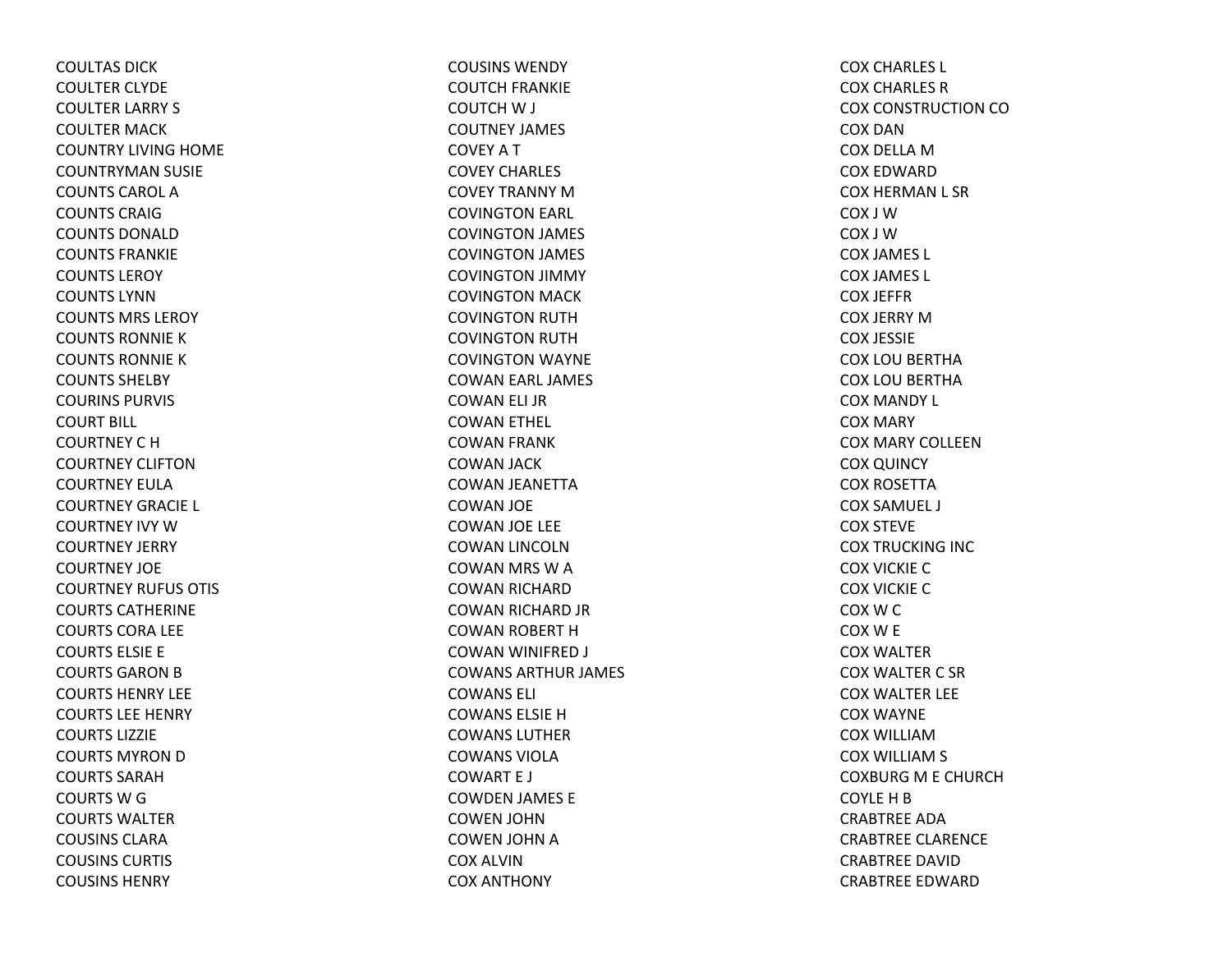COULTAS DICKCOULTER CLYDE COULTER LARRY S COULTER MACK COUNTRY LIVING HOME COUNTRYMAN SUSIE COUNTS CAROL ACOUNTS CRAIGCOUNTS DONALDCOUNTS FRANKIECOUNTS LEROYCOUNTS LYNNCOUNTS MRS LEROYCOUNTS RONNIEKCOUNTS RONNIEKCOUNTS SHELBYCOURINS PURVIS COURT BILL COURTNEY C H COURTNEY CLIFTONCOURTNEY EULACOURTNEY GRACIE L COURTNEY IVY WCOURTNEY JERRY COURTNEY JOECOURTNEY RUFUS OTIS COURTS CATHERINECOURTS CORA LEE COURTS ELSIE E COURTS GARON B COURTS HENRY LEECOURTS LEE HENRY COURTS LIZZIECOURTS MYRON D COURTS SARAHCOURTS W G COURTS WALTERCOUSINS CLARACOUSINS CURTIS COUSINS HENRY

COUSINS WENDYCOUTCH FRANKIE COUTCH W J COUTNEY JAMES COVEY A T COVEY CHARLES COVEY TRANNY MCOVINGTON EARL COVINGTON JAMES COVINGTON JAMES COVINGTON JIMMY COVINGTON MACK COVINGTON RUTH COVINGTON RUTH COVINGTON WAYNE COWAN EARL JAMES COWAN ELI JR COWAN ETHEL COWAN FRANK COWAN JACK COWAN JEANETTA COWAN JOE COWAN JOE LEE COWAN LINCOLN COWAN MRS WACOWAN RICHARD COWAN RICHARD JR COWAN ROBERT HCOWAN WINIFRED J COWANS ARTHUR JAMES COWANS ELI COWANS ELSIE H COWANS LUTHERCOWANS VIOLACOWART E J COWDEN JAMES E COWEN JOHN COWEN JOHN ACOX ALVINCOX ANTHONY

COX CHARLES L COX CHARLES RCOX CONSTRUCTION COCOX DANCOX DELLA M COX EDWARDCOX HERMAN L SR COX J WCOX J WCOX JAMES L COX JAMES L COX JEFFRCOX JERRY MCOX JESSIE COX LOU BERTHA COX LOU BERTHA COX MANDY L COX MARY COX MARY COLLEENCOX QUINCY COX ROSETTACOX SAMUEL J COX STEVE COX TRUCKING INC COX VICKIE CCOX VICKIE CCOXWCCOXW E COX WALTERCOX WALTER C SR COX WALTER LEE COX WAYNE COX WILLIAMCOX WILLIAM S COXBURG M E CHURCH COYLE H B CRABTREE ADACRABTREE CLARENCE CRABTREE DAVIDCRABTREE EDWARD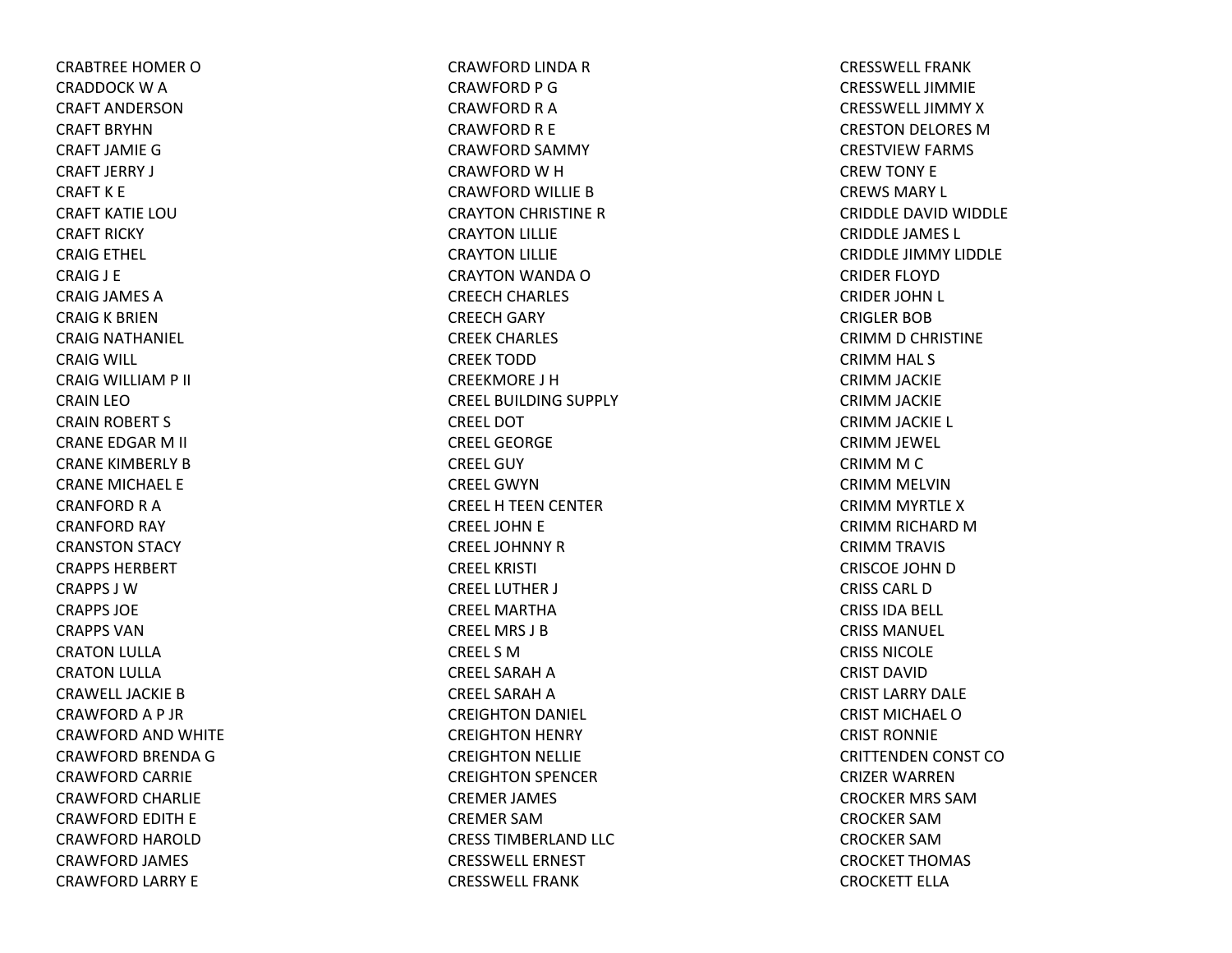CRABTREE HOMER O CRADDOCK W A CRAFT ANDERSONCRAFT BRYHNCRAFT JAMIE G CRAFT JERRY J CRAFT K E CRAFT KATIE LOUCRAFT RICKY CRAIG ETHEL CRAIG J E CRAIG JAMES ACRAIG K BRIEN CRAIG NATHANIEL CRAIG WILL CRAIG WILLIAM P II CRAIN LEOCRAIN ROBERT S CRANE EDGAR M II CRANE KIMBERLY BCRANE MICHAEL E CRANFORD R A CRANFORD RAY CRANSTON STACY CRAPPS HERBERTCRAPPS J WCRAPPS JOECRAPPS VANCRATON LULLA CRATON LULLA CRAWELL JACKIE B CRAWFORDA P JR CRAWFORD AND WHITE CRAWFORD BRENDA GCRAWFORD CARRIE CRAWFORD CHARLIE CRAWFORD EDITH E CRAWFORD HAROLD CRAWFORD JAMES CRAWFORD LARRY E

CRAWFORD LINDA RCRAWFORD P GCRAWFORD R A CRAWFORD R E CRAWFORD SAMMY CRAWFORD W H CRAWFORD WILLIE BCRAYTON CHRISTINE RCRAYTON LILLIE CRAYTON LILLIE CRAYTON WANDA OCREECH CHARLES CREECH GARY CREEK CHARLES CREEK TODDCREEKMORE J HCREEL BUILDING SUPPLY CREEL DOTCREEL GEORGECREEL GUYCREEL GWYNCREELH TEEN CENTER CREEL JOHN E CREEL JOHNNY R CREEL KRISTI CREEL LUTHER J CREEL MARTHACREEL MRS J BCREEL S MCREEL SARAH A CREEL SARAH A CREIGHTON DANIEL CREIGHTON HENRY CREIGHTON NELLIE CREIGHTON SPENCER CREMER JAMES CREMER SAMCRESS TIMBERLAND LLC CRESSWELL ERNESTCRESSWELL FRANK

CRESSWELL FRANKCRESSWELL JIMMIECRESSWELL JIMMYXCRESTON DELORES MCRESTVIEW FARMS CREW TONY E CREWS MARY L CRIDDLE DAVID WIDDLE CRIDDLE JAMES L CRIDDLE JIMMY LIDDLE CRIDER FLOYDCRIDER JOHN L CRIGLER BOBCRIMM D CHRISTINE CRIMM HAL S CRIMM JACKIE CRIMM JACKIE CRIMM JACKIE L CRIMM JEWEL CRIMM M C CRIMM MELVIN CRIMM MYRTLE XCRIMM RICHARD MCRIMM TRAVIS CRISCOE JOHN D CRISS CARL DCRISS IDA BELL CRISS MANUEL CRISS NICOLECRIST DAVIDCRIST LARRY DALECRIST MICHAEL OCRIST RONNIECRITTENDEN CONST COCRIZER WARRENCROCKER MRS SAMCROCKER SAMCROCKER SAMCROCKET THOMAS CROCKETT ELLA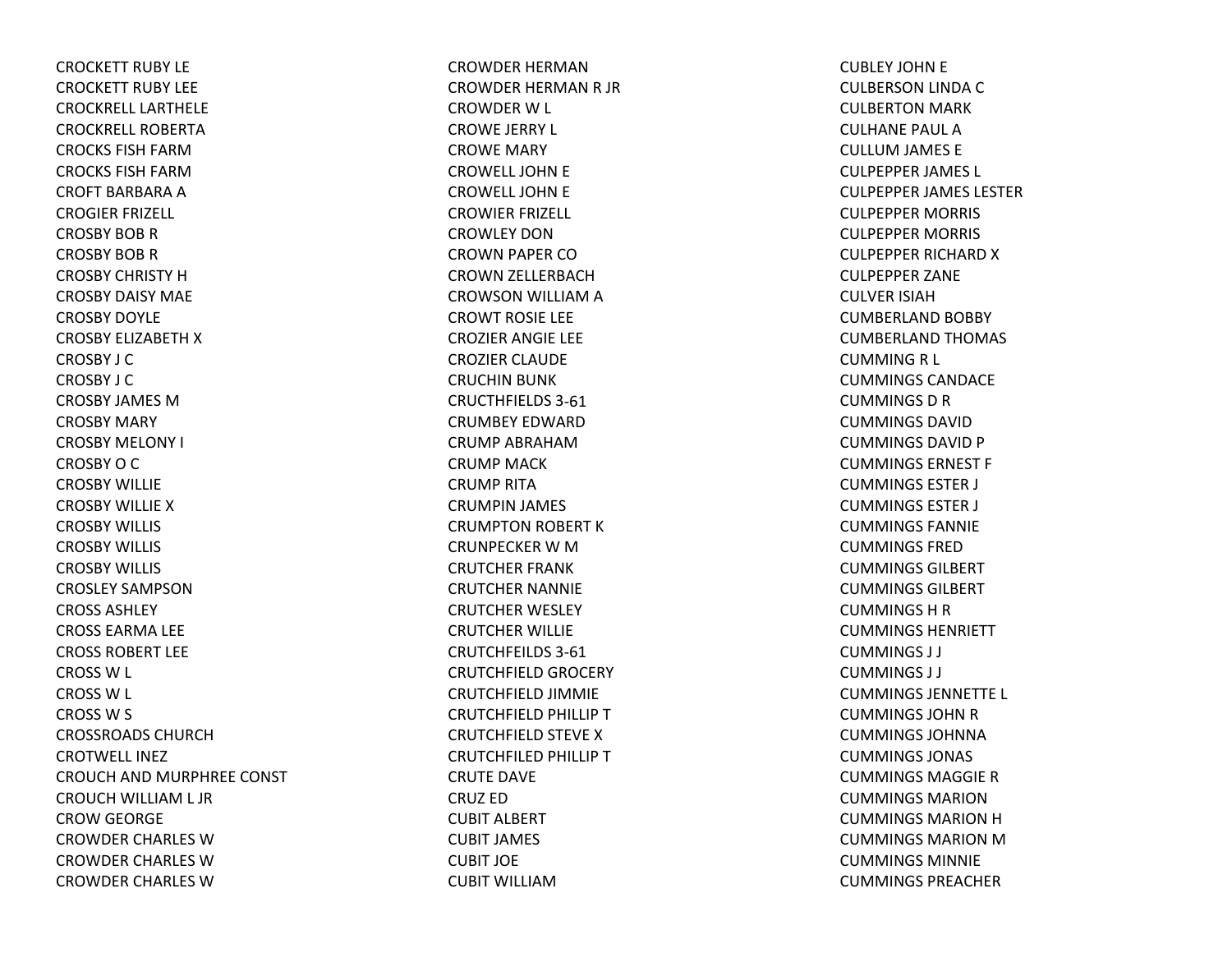CROCKETT RUBY LECROCKETT RUBY LEECROCKRELL LARTHELECROCKRELL ROBERTACROCKS FISH FARMCROCKS FISH FARMCROFT BARBARA A CROGIER FRIZELL CROSBY BOB R CROSBY BOB R CROSBY CHRISTY HCROSBY DAISY MAECROSBY DOYLECROSBY ELIZABETH X CROSBY J CCROSBY J CCROSBY JAMES MCROSBY MARY CROSBY MELONY I CROSBY O C CROSBY WILLIECROSBY WILLIE XCROSBY WILLIS CROSBY WILLIS CROSBY WILLIS CROSLEY SAMPSONCROSS ASHLEYCROSS EARMA LEE CROSS ROBERT LEECROSS W L CROSS W L CROSS W S CROSSROADS CHURCHCROTWELL INEZCROUCH AND MURPHREE CONST CROUCH WILLIAM L JR CROW GEORGE CROWDER CHARLES WCROWDER CHARLES WCROWDER CHARLES W

CROWDER HERMANCROWDER HERMAN R JR CROWDER W L CROWE JERRY L CROWE MARY CROWELL JOHN E CROWELL JOHN E CROWIER FRIZELL CROWLEY DONCROWN PAPER COCROWN ZELLERBACH CROWSON WILLIAM A CROWT ROSIE LEE CROZIER ANGIE LEE CROZIER CLAUDE CRUCHIN BUNK CRUCTHFIELDS 3‐61CRUMBEY EDWARDCRUMP ABRAHAMCRUMP MACKCRUMP RITACRUMPIN JAMES CRUMPTON ROBERT K CRUNPECKER W M CRUTCHER FRANK CRUTCHER NANNIE CRUTCHER WESLEY CRUTCHER WILLIE CRUTCHFEILDS 3‐61CRUTCHFIELD GROCERY CRUTCHFIELD JIMMIE CRUTCHFIELD PHILLIP T CRUTCHFIELD STEVE X CRUTCHFILED PHILLIP T CRUTE DAVE CRUZ EDCUBIT ALBERT CUBIT JAMES CUBIT JOECUBIT WILLIAM

CUBLEY JOHN E CULBERSON LINDA C CULBERTON MARK CULHANE PAUL ACULLUM JAMES E CULPEPPER JAMES L CULPEPPER JAMES LESTER CULPEPPER MORRIS CULPEPPER MORRIS CULPEPPER RICHARD X CULPEPPER ZANE CULVER ISIAHCUMBERLAND BOBBY CUMBERLAND THOMAS CUMMING R L CUMMINGS CANDACECUMMINGS D R CUMMINGS DAVIDCUMMINGS DAVID P CUMMINGS ERNEST F CUMMINGS ESTER J CUMMINGS ESTER J CUMMINGS FANNIECUMMINGS FREDCUMMINGS GILBERTCUMMINGS GILBERTCUMMINGS H R CUMMINGS HENRIETTCUMMINGS J J CUMMINGS J J CUMMINGS JENNETTE L CUMMINGS JOHN R CUMMINGS JOHNNACUMMINGS JONAS CUMMINGS MAGGIE RCUMMINGS MARIONCUMMINGS MARION H CUMMINGS MARION MCUMMINGS MINNIECUMMINGS PREACHER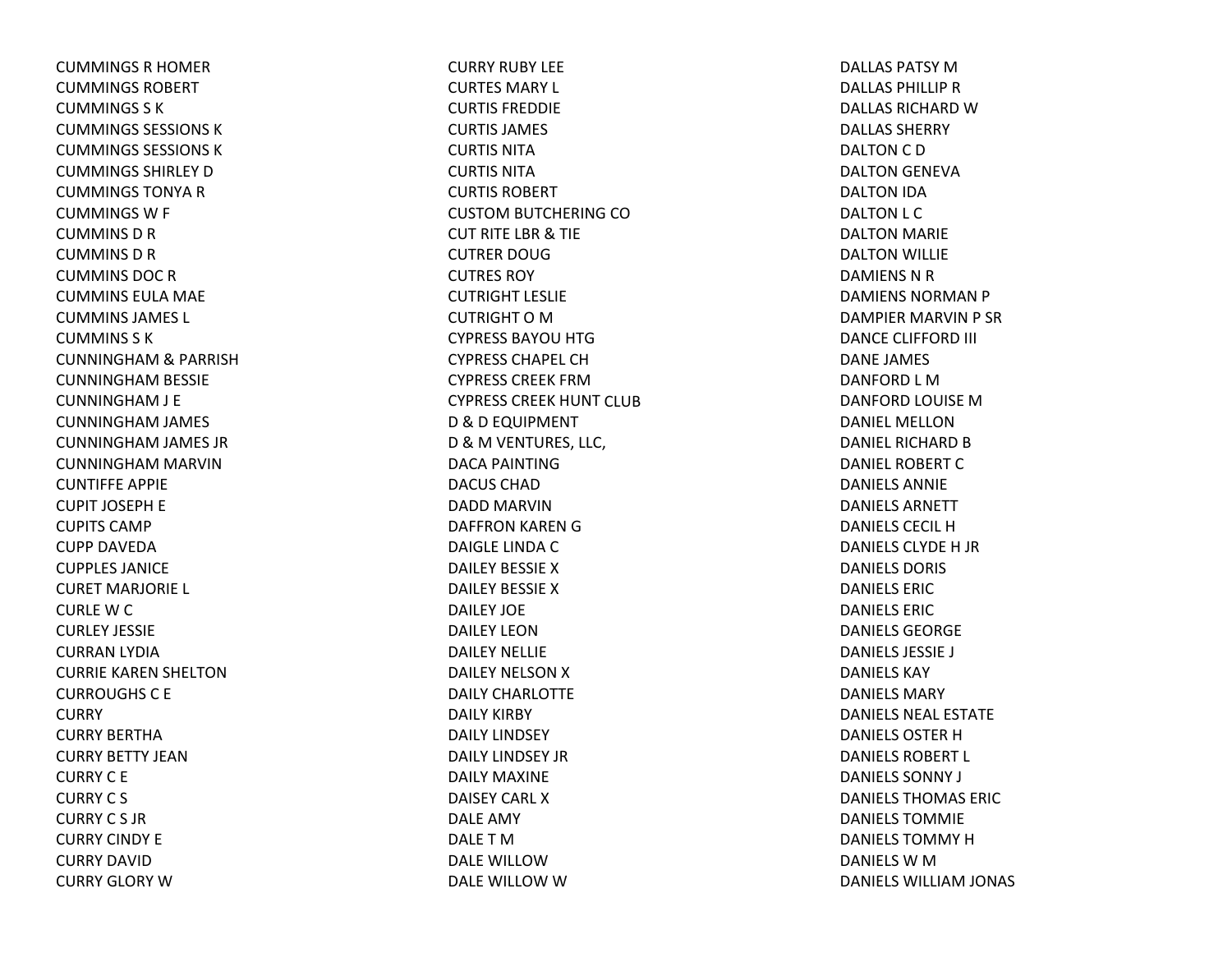CUMMINGS R HOMER CUMMINGS ROBERTCUMMINGS S KCUMMINGS SESSIONS KCUMMINGS SESSIONS KCUMMINGS SHIRLEY D CUMMINGS TONYA R CUMMINGSW F CUMMINSDRCUMMINSDRCUMMINS DOC R CUMMINS EULA MAE CUMMINS JAMES L CUMMINS S KCUNNINGHAM& PARRISH CUNNINGHAM BESSIE CUNNINGHAM J E CUNNINGHAM JAMES CUNNINGHAM JAMES JR CUNNINGHAM MARVIN CUNTIFFE APPIE CUPIT JOSEPH E CUPITS CAMPCUPP DAVEDACUPPLES JANICECURET MARJORIE L CURLE W C CURLEY JESSIECURRAN LYDIA CURRIE KAREN SHELTON CURROUGHSC E **CURRY** CURRY BERTHACURRY BETTY JEANCURRY C E CURRYC S CURRYC S JRCURRY CINDY ECURRY DAVIDCURRY GLORY W

CURRY RUBY LEECURTES MARY L CURTIS FREDDIECURTIS JAMES CURTIS NITACURTIS NITACURTIS ROBERTCUSTOM BUTCHERING CO CUT RITE LBR& TIE CUTRER DOUGCUTRES ROYCUTRIGHT LESLIECUTRIGHT O M CYPRESS BAYOU HTG CYPRESS CHAPEL CHCYPRESS CREEK FRMCYPRESS CREEK HUNT CLUBD&D EQUIPMENT D&M VENTURES, LLC, DACA PAINTINGDACUS CHADDADD MARVINDAFFRON KAREN GDAIGLE LINDA C DAILEY BESSIE X DAILEY BESSIE X DAILEY JOEDAILEY LEONDAILEY NELLIEDAILEY NELSON X DAILY CHARLOTTEDAILY KIRBY DAILY LINDSEY DAILY LINDSEY JRDAILY MAXINEDAISEY CARL XDALE AMY DALETMDALE WILLOWDALE WILLOW W

DALLAS PATSY M DALLAS PHILLIP R DALLAS RICHARD W DALLAS SHERRYDALTON C D DALTON GENEVA DALTON IDA DALTON L C DALTON MARIE DALTON WILLIE DAMIENS N R DAMIENS NORMAN P DAMPIER MARVIN P SR DANCE CLIFFORD III DANE JAMES DANFORD L MDANFORD LOUISE MDANIEL MELLONDANIEL RICHARD B DANIEL ROBERT C DANIELS ANNIEDANIELS ARNETTDANIELS CECIL HDANIELS CLYDE H JR DANIELS DORIS DANIELS ERICDANIELS ERICDANIELS GEORGEDANIELS JESSIE J DANIELS KAYDANIELS MARYDANIELS NEAL ESTATE DANIELS OSTER H DANIELS ROBERT L DANIELS SONNY J DANIELS THOMAS ERICDANIELS TOMMIEDANIELS TOMMY H DANIELS W M DANIELS WILLIAM JONAS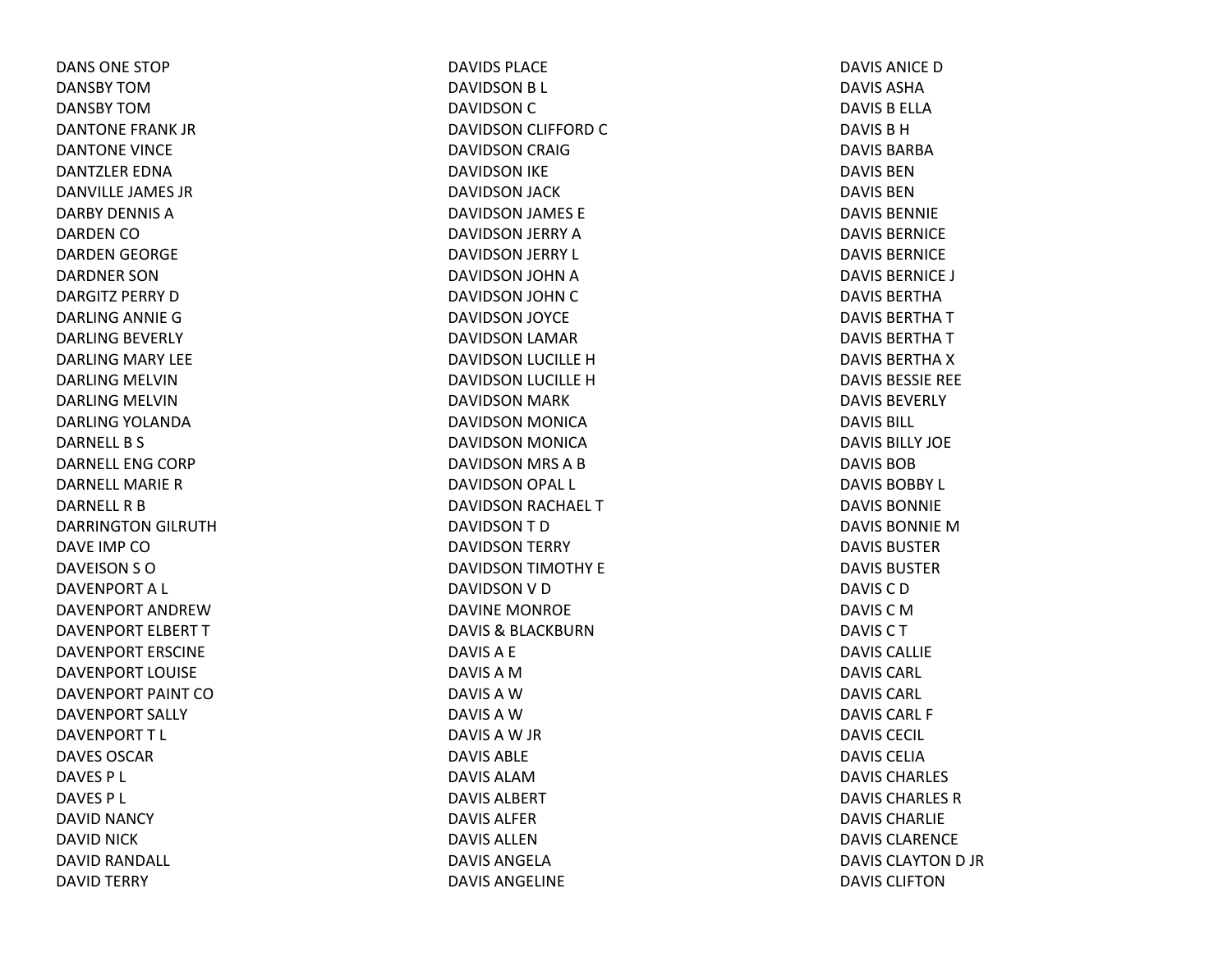DANS ONE STOPDANSBY TOMDANSBY TOMDANTONE FRANK JRDANTONE VINCE DANTZLER EDNADANVILLE JAMES JRDARBY DENNIS ADARDEN CODARDEN GEORGE DARDNER SONDARGITZ PERRY D DARLING ANNIE GDARLING BEVERLY DARLING MARY LEE DARLING MELVINDARLING MELVINDARLING YOLANDA DARNELL B S DARNELL ENG CORP DARNELL MARIERDARNELL R B DARRINGTON GILRUTH DAVE IMP CODAVEISON S ODAVENPORTA L DAVENPORT ANDREWDAVENPORT ELBERT TDAVENPORT ERSCINEDAVENPORT LOUISEDAVENPORT PAINT CODAVENPORT SALLY DAVENPORTT L DAVES OSCARDAVES P L DAVES P L DAVID NANCY DAVID NICK DAVID RANDALL DAVID TERRY

DAVIDS PLACEDAVIDSON B L DAVIDSON C DAVIDSON CLIFFORD CDAVIDSON CRAIG DAVIDSON IKE DAVIDSON JACK DAVIDSON JAMES E DAVIDSON JERRY ADAVIDSON JERRY L DAVIDSON JOHN ADAVIDSON JOHN CDAVIDSON JOYCE DAVIDSON LAMAR DAVIDSON LUCILLE HDAVIDSON LUCILLE HDAVIDSON MARK DAVIDSON MONICA DAVIDSON MONICA DAVIDSON MRS ABDAVIDSON OPAL L DAVIDSON RACHAEL TDAVIDSONTDDAVIDSON TERRY DAVIDSON TIMOTHY E DAVIDSON V D DAVINE MONROE DAVIS& BLACKBURN DAVISA E DAVISAMDAVISAWDAVISAWDAVISAW JR DAVIS ABLEDAVIS ALAMDAVIS ALBERTDAVIS ALFERDAVIS ALLENDAVIS ANGELADAVIS ANGELINE

DAVIS ANICE D DAVIS ASHADAVIS B ELLA DAVIS B H DAVIS BARBADAVIS BENDAVIS BENDAVIS BENNIEDAVIS BERNICEDAVIS BERNICEDAVIS BERNICE J DAVIS BERTHADAVIS BERTHA T DAVIS BERTHA T DAVIS BERTHA X DAVIS BESSIE REE DAVIS BEVERLYDAVIS BILL DAVIS BILLY JOEDAVIS BOBDAVIS BOBBY L DAVIS BONNIEDAVIS BONNIE M DAVIS BUSTERDAVIS BUSTERDAVISCDDAVIS C M DAVISCTDAVIS CALLIEDAVIS CARL DAVIS CARL DAVIS CARL F DAVIS CECIL DAVIS CELIADAVIS CHARLES DAVIS CHARLES RDAVIS CHARLIEDAVIS CLARENCEDAVIS CLAYTON D JR DAVIS CLIFTON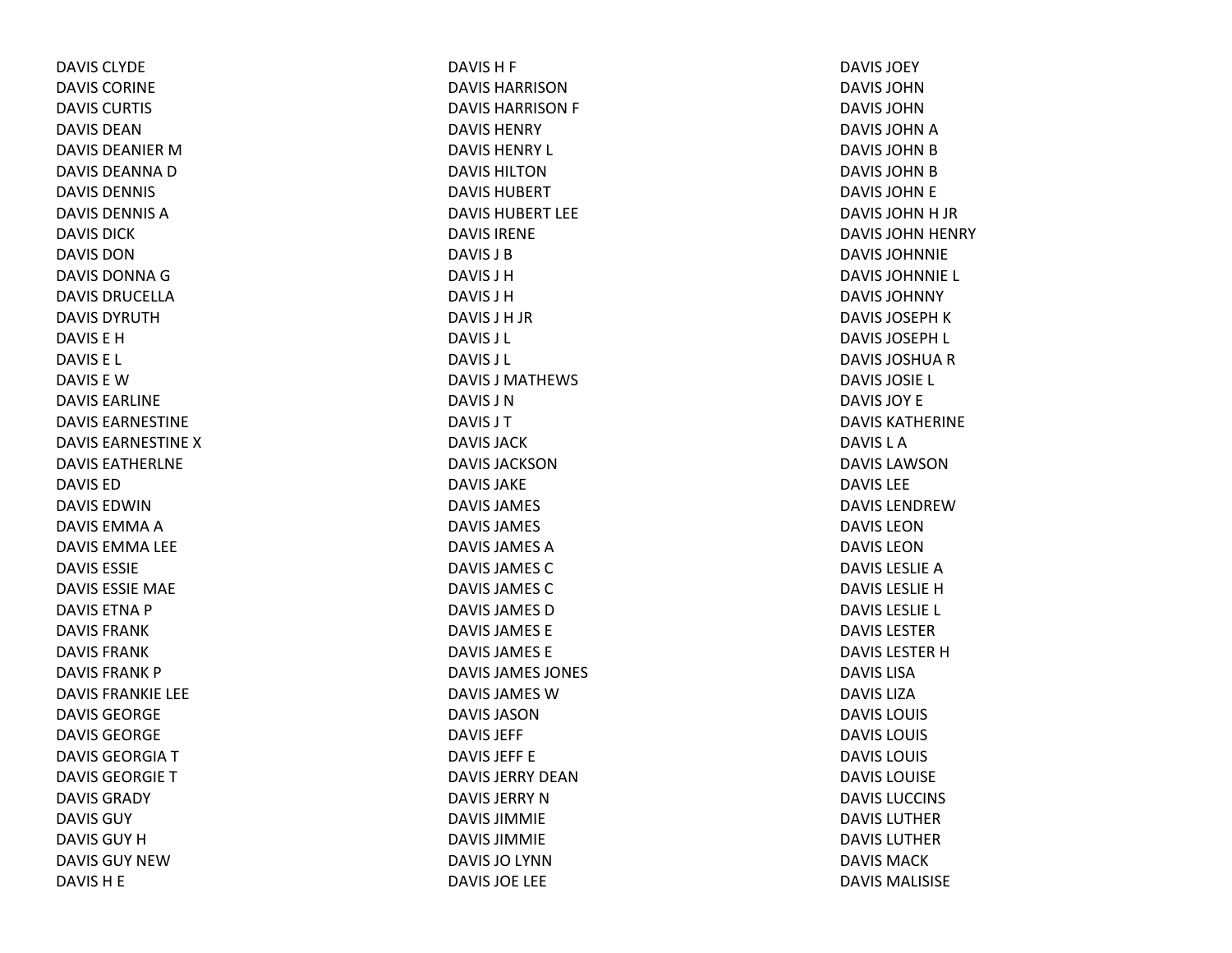DAVIS CLYDEDAVIS CORINEDAVIS CURTIS DAVIS DEANDAVIS DEANIER M DAVIS DEANNA D DAVIS DENNIS DAVIS DENNIS ADAVIS DICKDAVIS DONDAVIS DONNAGDAVIS DRUCELLADAVIS DYRUTHDAVIS E HDAVIS E L DAVIS E WDAVIS EARLINEDAVIS EARNESTINEDAVIS EARNESTINE X DAVIS EATHERLNEDAVIS EDDAVIS EDWINDAVIS EMMA A DAVIS EMMA LEE DAVIS ESSIEDAVIS ESSIE MAE DAVIS ETNA P DAVIS FRANKDAVIS FRANKDAVIS FRANK P DAVIS FRANKIE LEE DAVIS GEORGEDAVIS GEORGEDAVIS GEORGIA T DAVIS GEORGIE T DAVIS GRADYDAVIS GUYDAVIS GUY H DAVIS GUY NEWDAVISH E

DAVIS H F DAVIS HARRISONDAVIS HARRISON F DAVIS HENRYDAVIS HENRY L DAVIS HILTONDAVIS HUBERTDAVIS HUBERT LEEDAVIS IRENEDAVIS J BDAVIS J HDAVIS J HDAVIS J H JR DAVIS J L DAVIS J L DAVIS J MATHEWS DAVIS J NDAVIS J TDAVIS JACKDAVIS JACKSONDAVIS JAKEDAVIS JAMES DAVIS JAMES DAVIS JAMES ADAVIS JAMES CDAVIS JAMES CDAVIS JAMES DDAVIS JAMES EDAVIS JAMES EDAVIS JAMES JONES DAVIS JAMES WDAVIS JASONDAVIS JEFF DAVIS JEFF EDAVIS JERRY DEANDAVIS JERRY N DAVIS JIMMIEDAVIS JIMMIEDAVIS JO LYNN DAVIS JOE LEE

DAVIS JOEYDAVIS JOHNDAVIS JOHNDAVIS JOHN A DAVIS JOHN B DAVIS JOHN B DAVIS JOHN E DAVIS JOHN H JR DAVIS JOHN HENRY DAVIS JOHNNIEDAVIS JOHNNIE L DAVIS JOHNNYDAVIS JOSEPH K DAVIS JOSEPH L DAVIS JOSHUA R DAVIS JOSIE L DAVIS JOY EDAVIS KATHERINEDAVIS L ADAVIS LAWSONDAVIS LEEDAVIS LENDREWDAVIS LEONDAVIS LEONDAVIS LESLIE A DAVIS LESLIE H DAVIS LESLIE L DAVIS LESTERDAVIS LESTER H DAVIS LISADAVIS LIZADAVIS LOUIS DAVIS LOUIS DAVIS LOUIS DAVIS LOUISEDAVIS LUCCINS DAVIS LUTHERDAVIS LUTHERDAVIS MACKDAVIS MALISISE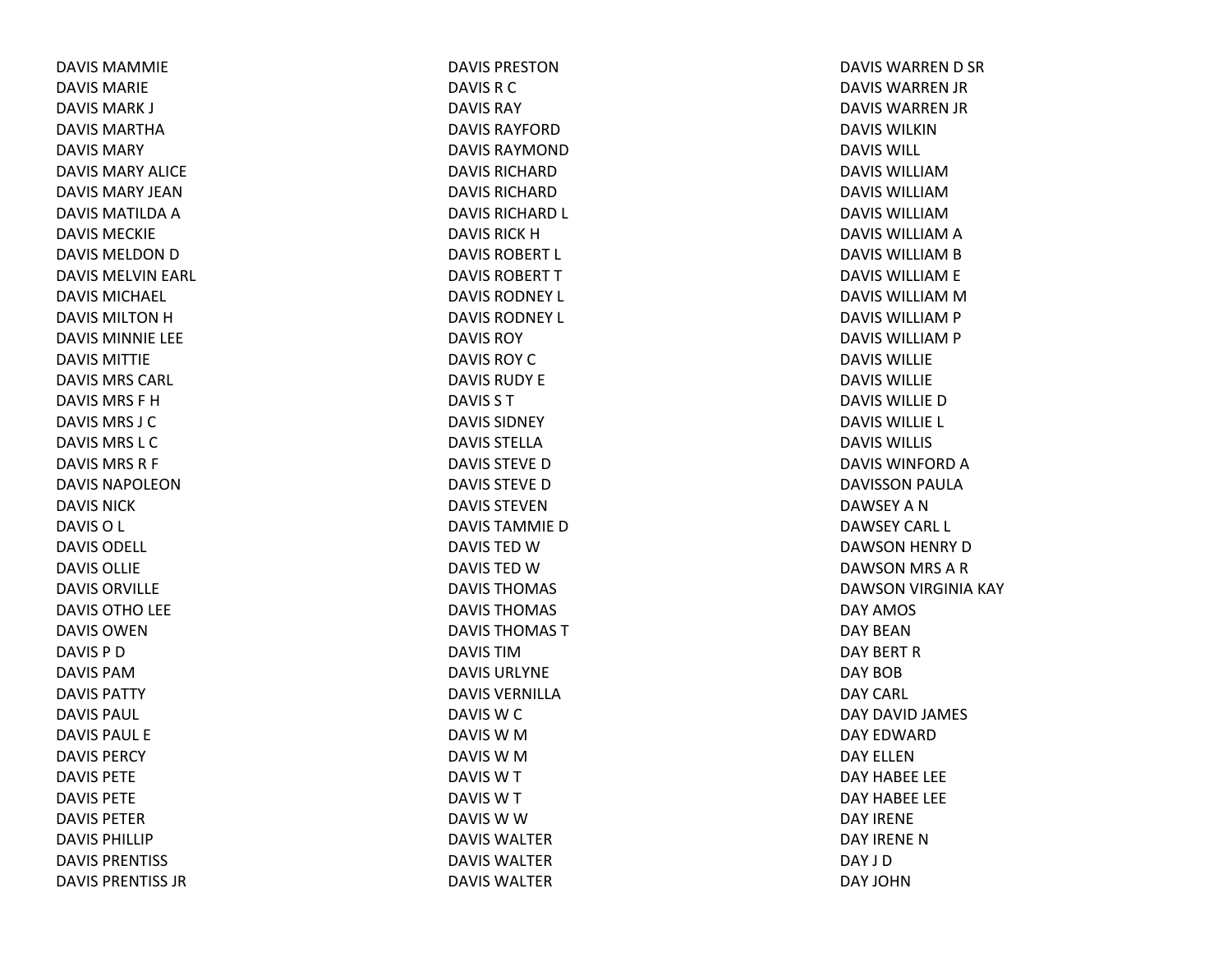DAVIS MAMMIEDAVIS MARIEDAVIS MARK J DAVIS MARTHADAVIS MARYDAVIS MARY ALICEDAVIS MARY JEANDAVIS MATILDA A DAVIS MECKIEDAVIS MELDON D DAVIS MELVIN EARL DAVIS MICHAEL DAVIS MILTON H DAVIS MINNIE LEE DAVIS MITTIEDAVIS MRS CARL DAVIS MRS F HDAVIS MRS J CDAVIS MRS L CDAVIS MRS R F DAVIS NAPOLEONDAVIS NICKDAVISO L DAVIS ODELL DAVIS OLLIEDAVIS ORVILLEDAVIS OTHO LEE DAVIS OWENDAVIS P DDAVIS PAMDAVIS PATTYDAVIS PAUL DAVIS PAUL EDAVIS PERCYDAVIS PETEDAVIS PETEDAVIS PETERDAVIS PHILLIPDAVIS PRENTISS DAVIS PRENTISS JR

DAVIS PRESTONDAVIS R C DAVIS RAYDAVIS RAYFORDDAVIS RAYMONDDAVIS RICHARDDAVIS RICHARDDAVIS RICHARD L DAVIS RICK H DAVIS ROBERT L DAVIS ROBERT T DAVIS RODNEY L DAVIS RODNEY L DAVIS ROYDAVIS ROY C DAVIS RUDY EDAVIS S TDAVIS SIDNEYDAVIS STELLADAVIS STEVE D DAVIS STEVE D DAVIS STEVENDAVIS TAMMIE D DAVIS TED W DAVIS TED W DAVIS THOMAS DAVIS THOMAS DAVIS THOMAS TDAVIS TIMDAVIS URLYNEDAVIS VERNILLADAVIS W C DAVIS W M DAVIS W M DAVIS W T DAVIS W T DAVIS W W DAVIS WALTERDAVIS WALTERDAVIS WALTER

DAVIS WARREN D SR DAVIS WARREN JR DAVIS WARREN JR DAVIS WILKINDAVIS WILL DAVIS WILLIAMDAVIS WILLIAMDAVIS WILLIAMDAVIS WILLIAM A DAVIS WILLIAM B DAVIS WILLIAM E DAVIS WILLIAM M DAVIS WILLIAM P DAVIS WILLIAM P DAVIS WILLIEDAVIS WILLIEDAVIS WILLIE D DAVIS WILLIE L DAVIS WILLISDAVIS WINFORD A DAVISSON PAULA DAWSEY A N DAWSEY CARL L DAWSON HENRY DDAWSON MRS ARDAWSON VIRGINIA KAY DAY AMOS DAY BEANDAY BERT RDAY BOBDAY CARL DAY DAVID JAMES DAY EDWARDDAY ELLENDAY HABEE LEE DAY HABEE LEE DAY IRENEDAY IRENE N DAY J DDAY JOHN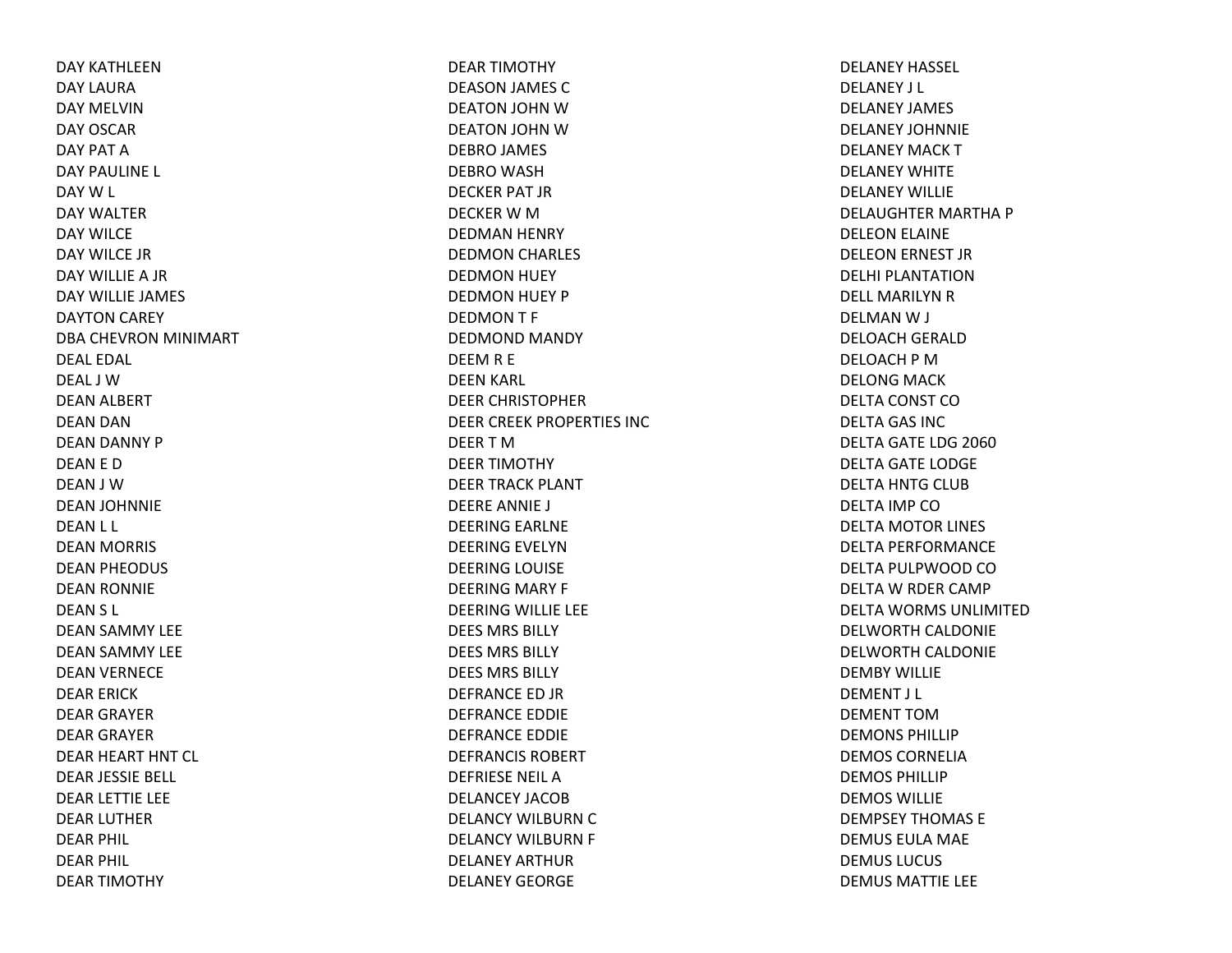DAY KATHLEENDAY LAURADAY MELVINDAY OSCARDAY PAT ADAY PAULINE L DAY W L DAY WALTERDAY WILCEDAY WILCE JRDAY WILLIE A JR DAY WILLIE JAMES DAYTON CAREY DBA CHEVRON MINIMART DEAL EDAL DEAL J WDEAN ALBERT DEAN DAN DEAN DANNY P DEAN E D DEAN J WDEAN JOHNNIE DEAN L L DEAN MORRIS DEAN PHEODUS DEAN RONNIE DEAN S L DEAN SAMMY LEE DEAN SAMMY LEE DEAN VERNECE DEAR ERICK DEAR GRAYER DEAR GRAYER DEAR HEART HNT CL DEAR JESSIE BELL DEAR LETTIE LEE DEAR LUTHER DEAR PHIL DEAR PHIL DEAR TIMOTHY

DEAR TIMOTHY DEASON JAMES C DEATON JOHN WDEATON JOHN WDEBRO JAMES DEBRO WASH DECKER PAT JR DECKER W M DEDMAN HENRY DEDMON CHARLES DEDMON HUEY DEDMON HUEY P DEDMON T F DEDMOND MANDY DEEM R E DEEN KARL DEER CHRISTOPHER DEER CREEK PROPERTIES INC DEER T MDEER TIMOTHY DEER TRACK PLANT DEERE ANNIE J DEERING EARLNE DEERING EVELYNDEERING LOUISE DEERING MARY F DEERING WILLIE LEE DEES MRS BILLYDEES MRS BILLYDEES MRS BILLYDEFRANCE ED JR DEFRANCE EDDIE DEFRANCE EDDIE DEFRANCIS ROBERTDEFRIESE NEIL ADELANCEY JACOBDELANCY WILBURN C DELANCY WILBURN F DELANEY ARTHURDELANEY GEORGE

DELANEY HASSEL DELANEY J L DELANEY JAMES DELANEY JOHNNIEDELANEY MACK T DELANEY WHITEDELANEY WILLIEDELAUGHTER MARTHA P DELEON ELAINE DELEON ERNEST JR DELHI PLANTATIONDELL MARILYN R DELMAN W J DELOACH GERALD DELOACH P MDELONG MACK DELTA CONST CODELTA GAS INC DELTA GATE LDG 2060 DELTA GATE LODGE DELTA HNTG CLUB DELTA IMP CODELTA MOTOR LINES DELTA PERFORMANCE DELTA PULPWOOD CODELTA W RDER CAMP DELTA WORMS UNLIMITEDDELWORTH CALDONIE DELWORTH CALDONIE DEMBY WILLIEDEMENT J L DEMENT TOMDEMONS PHILLIPDEMOS CORNELIADEMOS PHILLIPDEMOS WILLIEDEMPSEY THOMAS EDEMUS EULA MAE DEMUS LUCUS DEMUS MATTIE LEE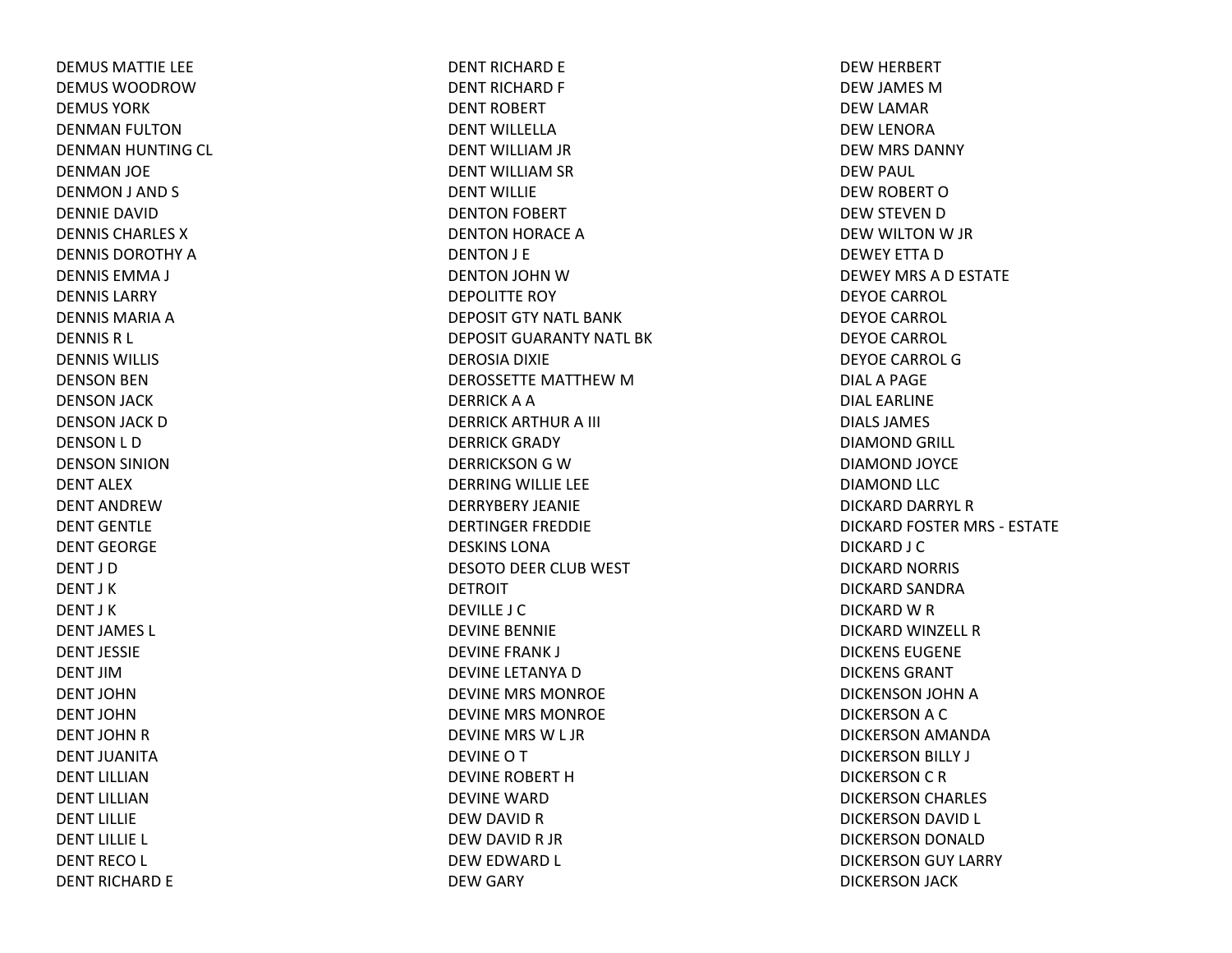DEMUS MATTIE LEE DEMUS WOODROWDEMUS YORKDENMAN FULTON DENMAN HUNTING CL DENMAN JOE DENMON J AND S DENNIE DAVIDDENNIS CHARLES XDENNIS DOROTHY A DENNIS EMMA J DENNIS LARRYDENNIS MARIA A DENNIS R L DENNIS WILLIS DENSON BEN DENSON JACK DENSON JACK DDENSON L D DENSON SINION DENT ALEXDENT ANDREWDENT GENTLEDENT GEORGEDENT J DDENT J KDENT J KDENT JAMES L DENT JESSIEDENT JIMDENT JOHNDENT JOHNDENT JOHN R DENT JUANITADENT LILLIANDENT LILLIANDENT LILLIEDENT LILLIE L DENT RECO L DENT RICHARD E

DENT RICHARD E DENT RICHARD F DENT ROBERT DENT WILLELLADENT WILLIAM JR DENT WILLIAM SR DENT WILLIEDENTON FOBERT DENTON HORACE ADENTON J E DENTON JOHN WDEPOLITTE ROY DEPOSIT GTY NATL BANKDEPOSIT GUARANTY NATL BKDEROSIA DIXIE DEROSSETTE MATTHEW M DERRICK A A DERRICK ARTHUR A III DERRICK GRADY DERRICKSON G W DERRING WILLIE LEE DERRYBERY JEANIEDERTINGER FREDDIE DESKINS LONADESOTO DEER CLUB WEST DETROITDEVILLE J CDEVINE BENNIE DEVINE FRANK J DEVINE LETANYA D DEVINE MRS MONROE DEVINE MRS MONROE DEVINE MRS W L JR DEVINEOTDEVINE ROBERT HDEVINE WARDDEW DAVID RDEW DAVID R JR DEW EDWARD L DEW GARY

DEW HERBERT DEW JAMES MDEW LAMAR DEW LENORA DEW MRS DANNY DEW PAUL DEW ROBERT ODEW STEVEN DDEW WILTON W JR DEWEY ETTA D DEWEY MRS AD ESTATE DEYOE CARROL DEYOE CARROL DEYOE CARROL DEYOE CARROL GDIALA PAGE DIAL EARLINEDIALS JAMES DIAMOND GRILL DIAMOND JOYCE DIAMOND LLC DICKARD DARRYL RDICKARD FOSTER MRS ‐ ESTATE DICKARD J C DICKARD NORRIS DICKARD SANDRA DICKARD W R DICKARD WINZELL RDICKENS EUGENEDICKENS GRANTDICKENSON JOHN ADICKERSON A C DICKERSON AMANDA DICKERSON BILLY J DICKERSON C R DICKERSON CHARLES DICKERSON DAVID L DICKERSON DONALD DICKERSON GUY LARRY DICKERSON JACK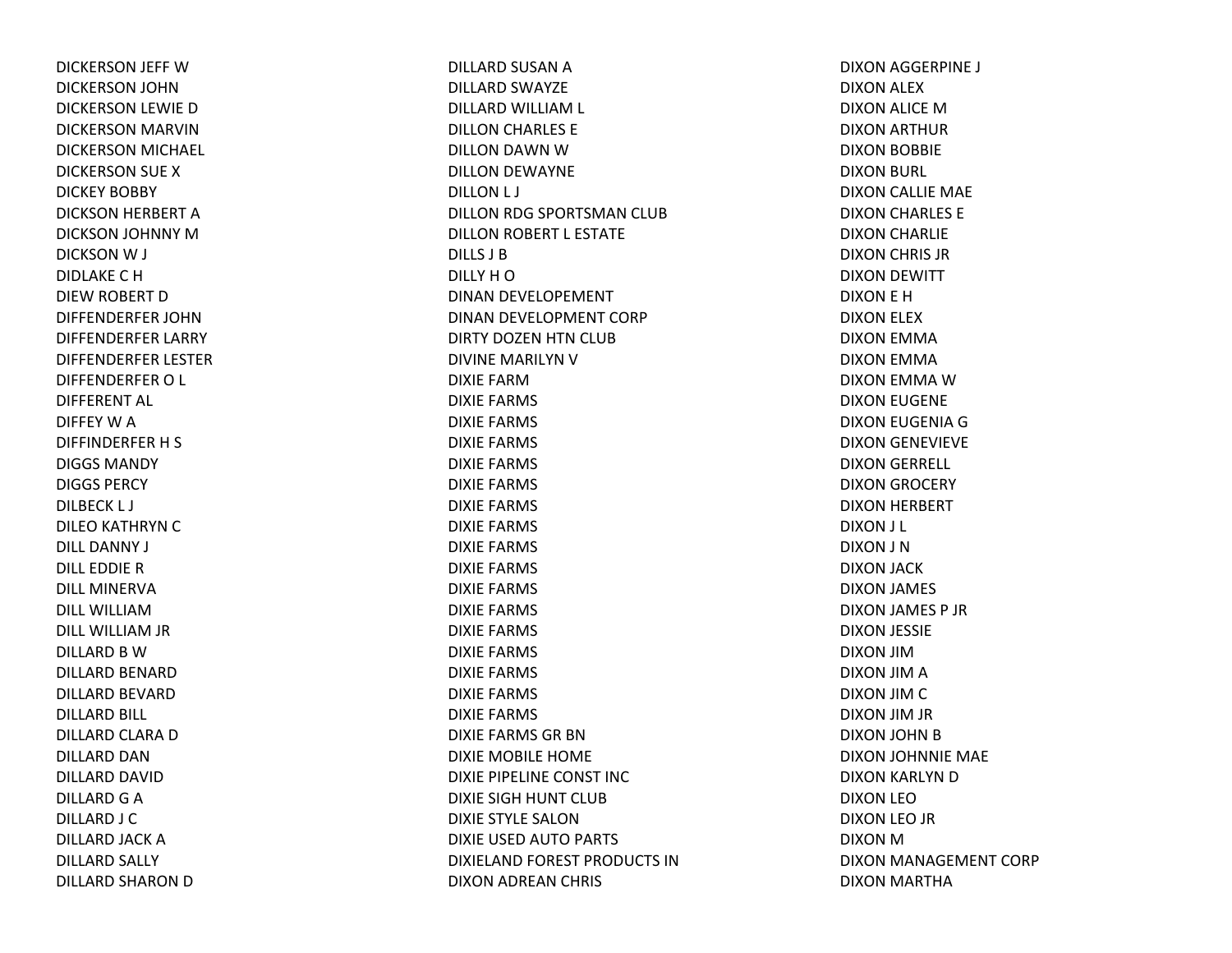DICKERSON JEFF WDICKERSON JOHN DICKERSON LEWIE D DICKERSON MARVIN DICKERSON MICHAEL DICKERSON SUE X DICKEY BOBBY DICKSON HERBERT A DICKSON JOHNNY MDICKSON W J DIDLAKE C HDIEW ROBERT D DIFFENDERFER JOHNDIFFENDERFER LARRY DIFFENDERFER LESTER DIFFENDERFER O L DIFFERENT AL DIFFEY W A DIFFINDERFER H S DIGGS MANDYDIGGS PERCYDILBECK L J DILEO KATHRYN C DILL DANNY J DILL EDDIE RDILL MINERVADILL WILLIAMDILL WILLIAM JR DILLARD B WDILLARD BENARD DILLARD BEVARD DILLARD BILL DILLARD CLARA D DILLARD DANDILLARD DAVID DILLARD G A DILLARD J C DILLARD JACK A DILLARD SALLY DILLARD SHARON D

DILLARD SUSAN A DILLARD SWAYZE DILLARD WILLIAM L DILLON CHARLES E DILLON DAWN WDILLON DEWAYNE DILLON L J DILLON RDG SPORTSMAN CLUB DILLON ROBERT L ESTATE DILLS J BDILLY H ODINAN DEVELOPEMENT DINAN DEVELOPMENT CORP DIRTY DOZEN HTN CLUB DIVINE MARILYN V DIXIE FARMDIXIE FARMS DIXIE FARMS DIXIE FARMS DIXIE FARMS DIXIE FARMS DIXIE FARMS DIXIE FARMS DIXIE FARMS DIXIE FARMS DIXIE FARMS DIXIE FARMS DIXIE FARMS DIXIE FARMS DIXIE FARMS DIXIE FARMS DIXIE FARMS DIXIE FARMS GR BNDIXIE MOBILE HOME DIXIE PIPELINE CONST INCDIXIE SIGH HUNT CLUB DIXIE STYLE SALONDIXIE USED AUTO PARTS DIXIELAND FOREST PRODUCTS INDIXON ADREAN CHRIS

DIXON AGGERPINE J DIXON ALEX DIXON ALICE MDIXON ARTHUR DIXON BOBBIE DIXON BURL DIXON CALLIE MAE DIXON CHARLES E DIXON CHARLIE DIXON CHRIS JR DIXON DEWITT DIXON E H DIXON ELEX DIXON EMMA DIXON EMMA DIXON EMMA WDIXON EUGENE DIXON EUGENIA G DIXON GENEVIEVE DIXON GERRELL DIXON GROCERY DIXON HERBERT DIXON J L DIXON J N DIXON JACK DIXON JAMES DIXON JAMES P JR DIXON JESSIE DIXON JIMDIXON JIM A DIXON JIM C DIXON JIM JR DIXON JOHN B DIXON JOHNNIE MAE DIXON KARLYN D DIXON LEODIXON LEO JR DIXON MDIXON MANAGEMENT CORP DIXON MARTHA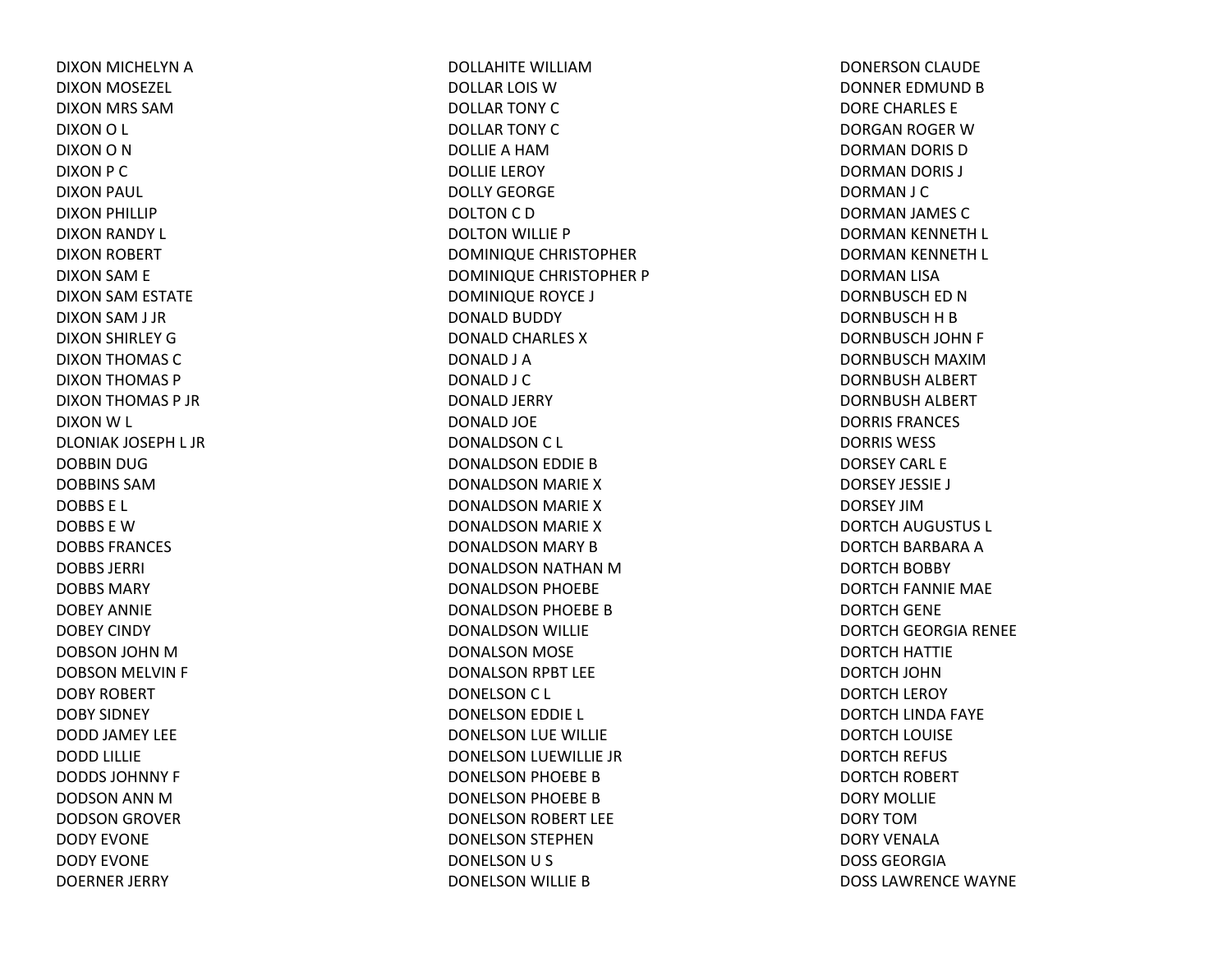DIXON MICHELYN ADIXON MOSEZEL DIXON MRS SAMDIXONO L DIXON O N DIXON P C DIXON PAUL DIXON PHILLIP DIXON RANDY L DIXON ROBERT DIXON SAM E DIXON SAM ESTATE DIXON SAM J JR DIXON SHIRLEY GDIXON THOMAS CDIXON THOMAS P DIXON THOMAS P JR DIXONW L DLONIAK JOSEPH L JR DOBBIN DUG DOBBINS SAMDOBBS E L DOBBS E WDOBBS FRANCES DOBBS JERRI DOBBS MARYDOBEY ANNIEDOBEY CINDY DOBSON JOHN MDOBSON MELVIN F DOBY ROBERT DOBY SIDNEY DODD JAMEY LEE DODD LILLIE DODDS JOHNNY F DODSON ANN MDODSON GROVER DODY EVONEDODY EVONEDOERNER JERRY

DOLLAHITE WILLIAMDOLLAR LOIS WDOLLAR TONY CDOLLAR TONY CDOLLIEA HAMDOLLIE LEROY DOLLY GEORGEDOLTON C D DOLTON WILLIE P DOMINIQUE CHRISTOPHER DOMINIQUE CHRISTOPHER P DOMINIQUE ROYCE J DONALD BUDDY DONALD CHARLES XDONALD J A DONALD J C DONALD JERRY DONALD JOE DONALDSON C L DONALDSON EDDIE BDONALDSON MARIE XDONALDSON MARIE XDONALDSON MARIE XDONALDSON MARY BDONALDSON NATHAN MDONALDSON PHOEBE DONALDSON PHOEBE BDONALDSON WILLIE DONALSON MOSE DONALSON RPBT LEE DONELSON C L DONELSON EDDIE L DONELSON LUE WILLIE DONELSON LUEWILLIE JR DONELSON PHOEBE BDONELSON PHOEBE BDONELSON ROBERT LEE DONELSON STEPHEN DONELSON U S DONELSON WILLIE B

DONERSON CLAUDE DONNER EDMUND B DORE CHARLES E DORGAN ROGER WDORMAN DORIS DDORMAN DORIS J DORMAN J C DORMAN JAMES CDORMAN KENNETH L DORMAN KENNETH L DORMAN LISA DORNBUSCH ED NDORNBUSCH H B DORNBUSCH JOHN F DORNBUSCH MAXIMDORNBUSH ALBERT DORNBUSH ALBERT DORRIS FRANCES DORRIS WESS DORSEY CARL EDORSEY JESSIE J DORSEY JIMDORTCH AUGUSTUS L DORTCH BARBARA ADORTCH BOBBY DORTCH FANNIE MAE DORTCH GENE DORTCH GEORGIA RENEE DORTCH HATTIE DORTCH JOHNDORTCH LEROY DORTCH LINDA FAYE DORTCH LOUISE DORTCH REFUS DORTCH ROBERT DORY MOLLIEDORY TOMDORY VENALADOSS GEORGIADOSS LAWRENCE WAYNE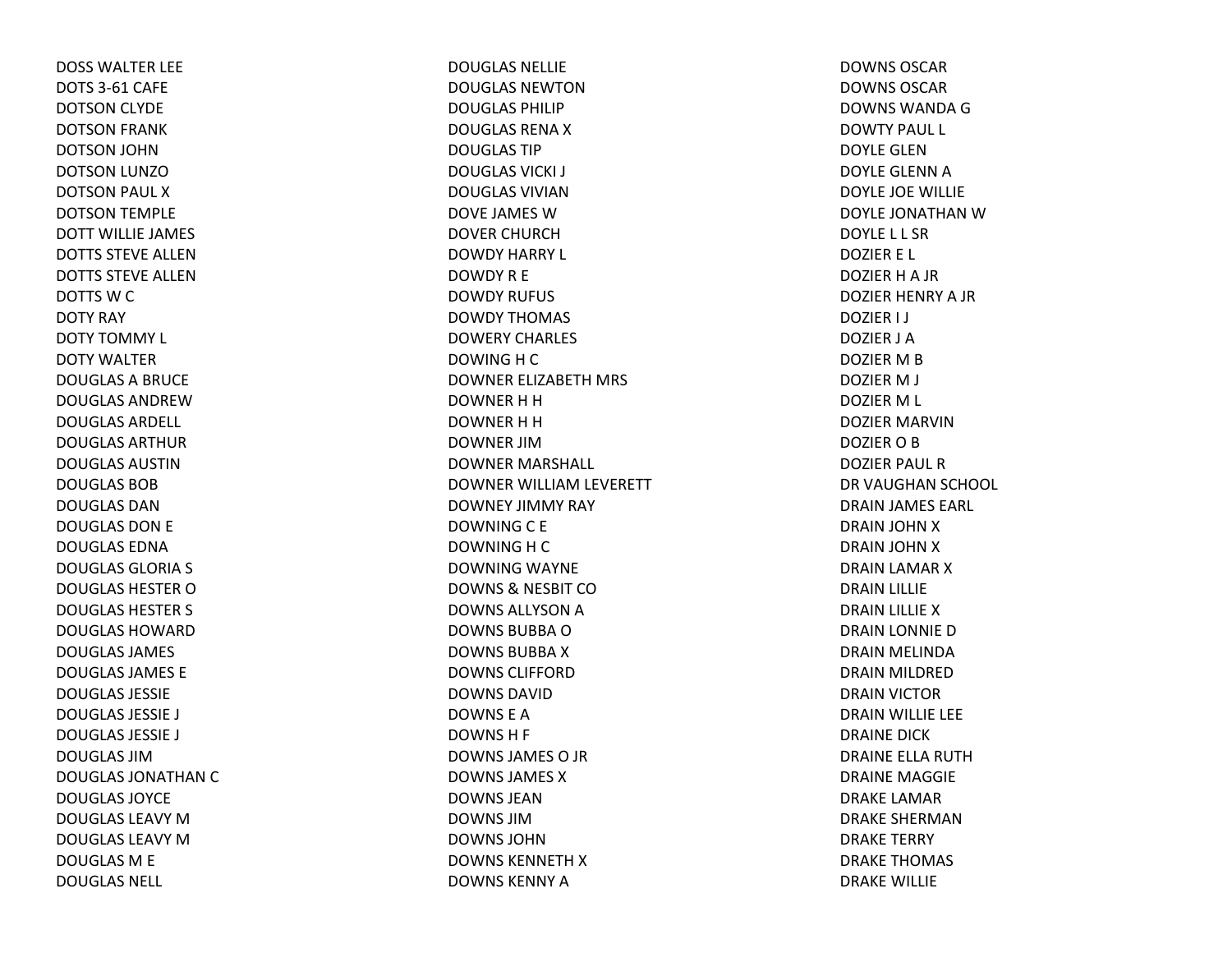DOSS WALTER LEE DOTS 3‐61 CAFE DOTSON CLYDE DOTSON FRANK DOTSON JOHN DOTSON LUNZODOTSON PAUL XDOTSON TEMPLE DOTT WILLIE JAMES DOTTS STEVE ALLENDOTTS STEVE ALLENDOTTS W C DOTY RAY DOTY TOMMY L DOTY WALTERDOUGLAS A BRUCE DOUGLAS ANDREWDOUGLAS ARDELL DOUGLAS ARTHURDOUGLAS AUSTINDOUGLAS BOBDOUGLAS DANDOUGLAS DON E DOUGLAS EDNADOUGLAS GLORIA S DOUGLAS HESTER O DOUGLAS HESTER S DOUGLAS HOWARDDOUGLAS JAMES DOUGLAS JAMES EDOUGLAS JESSIEDOUGLAS JESSIE J DOUGLAS JESSIE J DOUGLAS JIMDOUGLAS JONATHAN C DOUGLAS JOYCEDOUGLAS LEAVY M DOUGLAS LEAVY M DOUGLAS M E DOUGLAS NELL

DOUGLAS NELLIEDOUGLAS NEWTONDOUGLAS PHILIPDOUGLAS RENA X DOUGLAS TIPDOUGLAS VICKI J DOUGLAS VIVIANDOVE JAMES WDOVER CHURCHDOWDY HARRY L DOWDYR E DOWDY RUFUS DOWDY THOMAS DOWERY CHARLES DOWING H C DOWNER ELIZABETH MRS DOWNER H H DOWNER H H DOWNER JIMDOWNER MARSHALL DOWNER WILLIAM LEVERETT DOWNEY JIMMY RAY DOWNINGC E DOWNING H C DOWNING WAYNE DOWNS& NESBIT CO DOWNS ALLYSON A DOWNS BUBBA O DOWNS BUBBA X DOWNS CLIFFORDDOWNS DAVIDDOWNS E ADOWNSH F DOWNS JAMES O JR DOWNS JAMES XDOWNS JEANDOWNS JIMDOWNS JOHNDOWNS KENNETH X DOWNS KENNY A

DOWNS OSCARDOWNS OSCARDOWNS WANDA G DOWTY PAUL L DOYLE GLENDOYLE GLENN A DOYLE JOE WILLIE DOYLE JONATHAN W DOYLE L L SRDOZIER E L DOZIER H A JR DOZIER HENRY A JR DOZIER I J DOZIER J ADOZIER M B DOZIER M J DOZIER M L DOZIER MARVINDOZIER O B DOZIER PAUL RDR VAUGHAN SCHOOL DRAIN JAMES EARL DRAIN JOHN XDRAIN JOHN XDRAIN LAMAR XDRAIN LILLIE DRAIN LILLIE XDRAIN LONNIE DDRAIN MELINDA DRAIN MILDRED DRAIN VICTOR DRAIN WILLIE LEE DRAINE DICKDRAINE ELLA RUTHDRAINE MAGGIEDRAKE LAMARDRAKE SHERMANDRAKE TERRY DRAKE THOMAS DRAKE WILLIE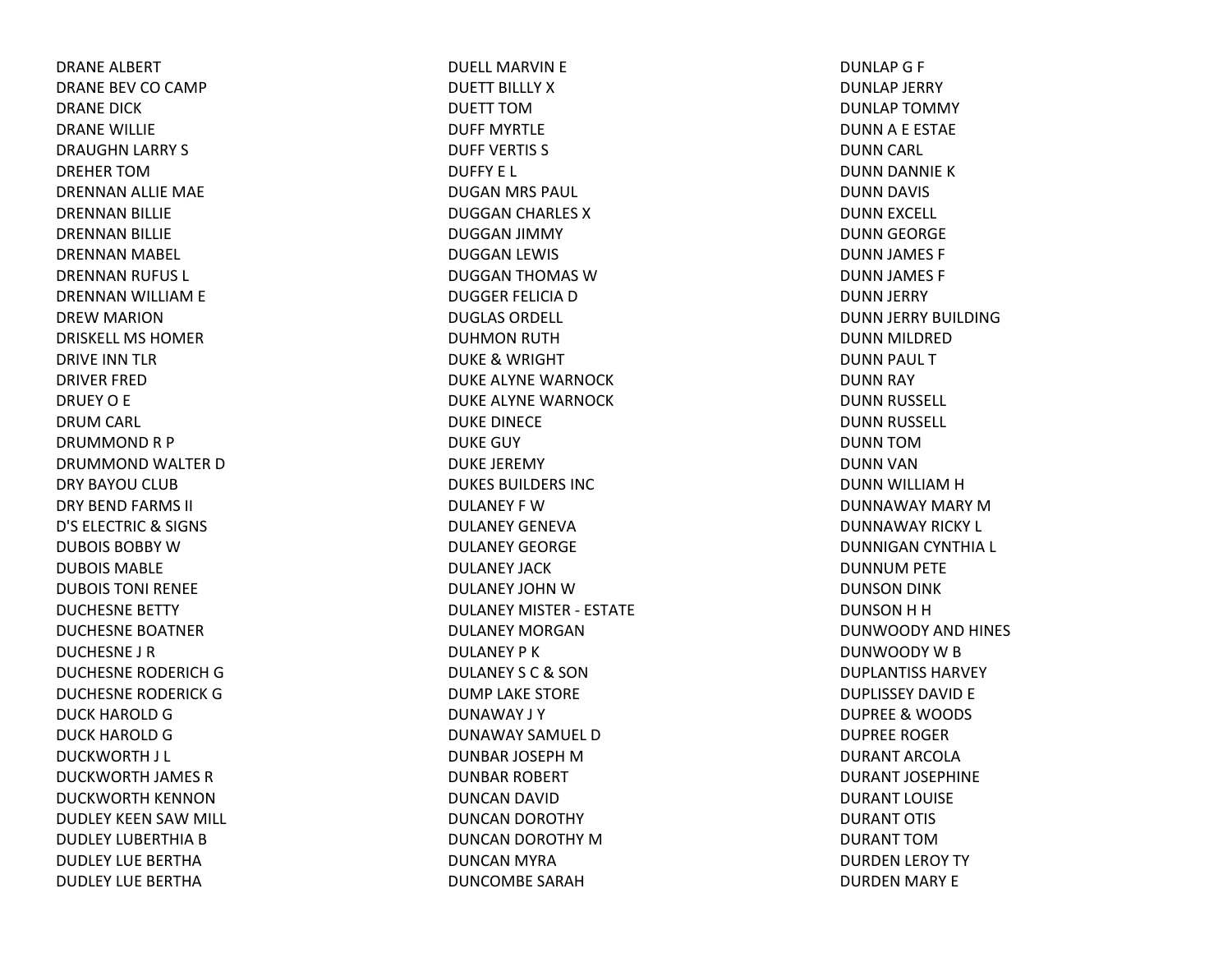DRANE ALBERT DRANE BEV CO CAMP DRANE DICKDRANE WILLIE DRAUGHN LARRY S DREHER TOMDRENNAN ALLIE MAE DRENNAN BILLIE DRENNAN BILLIE DRENNAN MABEL DRENNAN RUFUS L DRENNAN WILLIAM E DREW MARION DRISKELL MS HOMERDRIVE INN TLR DRIVER FREDDRUEY O E DRUM CARL DRUMMONDR P DRUMMOND WALTER DDRY BAYOU CLUB DRY BEND FARMS II D'S ELECTRIC& SIGNS DUBOIS BOBBY W DUBOIS MABLEDUBOIS TONI RENEEDUCHESNE BETTY DUCHESNE BOATNERDUCHESNE J RDUCHESNE RODERICH G DUCHESNE RODERICK G DUCK HAROLD G DUCK HAROLD G DUCKWORTH J L DUCKWORTH JAMES RDUCKWORTH KENNONDUDLEY KEEN SAW MILL DUDLEY LUBERTHIA B DUDLEY LUE BERTHADUDLEY LUE BERTHA

DUELL MARVIN E DUETT BILLLY XDUETT TOMDUFF MYRTLEDUFF VERTIS S DUFFY E L DUGAN MRS PAUL DUGGAN CHARLES XDUGGAN JIMMY DUGGAN LEWIS DUGGAN THOMAS WDUGGER FELICIA D DUGLAS ORDELL DUHMON RUTH DUKE& WRIGHT DUKE ALYNE WARNOCKDUKE ALYNE WARNOCKDUKE DINECE DUKE GUY DUKE JEREMY DUKES BUILDERS INCDULANEY F WDULANEY GENEVADULANEY GEORGEDULANEY JACKDULANEY JOHN W DULANEY MISTER ‐ ESTATEDULANEY MORGANDULANEY P KDULANEY S C& SON DUMP LAKE STORE DUNAWAY J Y DUNAWAY SAMUEL DDUNBAR JOSEPH M DUNBAR ROBERT DUNCAN DAVID DUNCAN DOROTHY DUNCAN DOROTHY MDUNCAN MYRA DUNCOMBE SARAH

DUNLAPG F DUNLAP JERRY DUNLAP TOMMY DUNNA E ESTAE DUNN CARL DUNN DANNIE KDUNN DAVIS DUNN EXCELL DUNN GEORGE DUNN JAMES F DUNN JAMES F DUNN JERRY DUNN JERRY BUILDING DUNN MILDRED DUNN PAUL TDUNN RAY DUNN RUSSELL DUNN RUSSELL DUNN TOMDUNN VAN DUNN WILLIAM H DUNNAWAY MARY MDUNNAWAY RICKY L DUNNIGAN CYNTHIA L DUNNUM PETE DUNSON DINK DUNSONHHDUNWOODY AND HINES DUNWOODY W B DUPLANTISS HARVEYDUPLISSEY DAVID E DUPREE& WOODS DUPREE ROGERDURANT ARCOLADURANT JOSEPHINEDURANT LOUISEDURANT OTIS DURANT TOMDURDEN LEROY TY DURDEN MARY E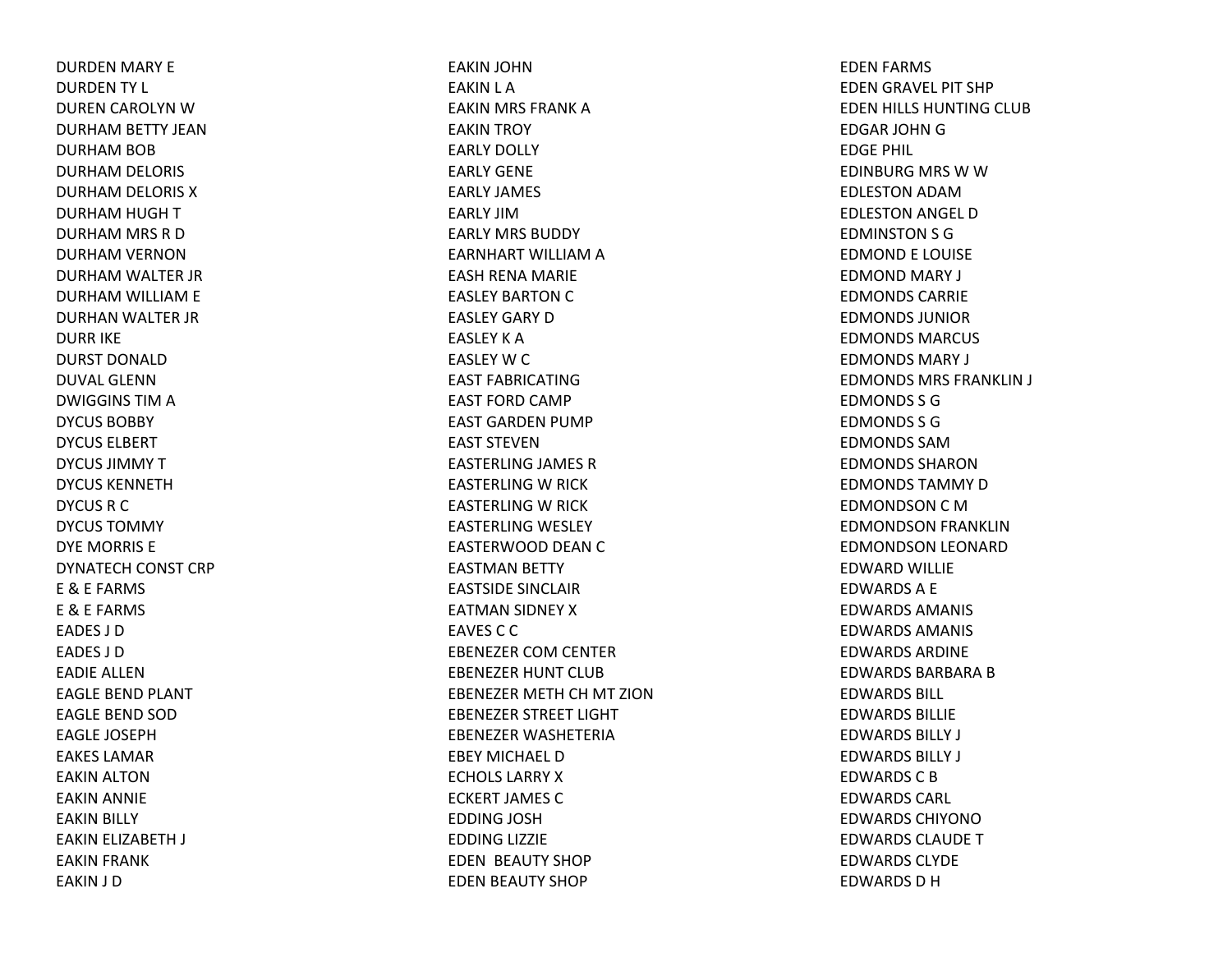DURDEN MARY E DURDEN TY L DUREN CAROLYN WDURHAM BETTY JEAN DURHAM BOB DURHAM DELORIS DURHAM DELORIS XDURHAM HUGH TDURHAM MRS RDDURHAM VERNON DURHAM WALTER JR DURHAM WILLIAM E DURHAN WALTER JR DURR IKE DURST DONALDDUVAL GLENNDWIGGINS TIM A DYCUS BOBBYDYCUS ELBERTDYCUS JIMMYTDYCUS KENNETHDYCUS R C DYCUS TOMMYDYE MORRIS E DYNATECH CONST CRP E & E FARMS E & E FARMS EADES J DEADES J DEADIE ALLENEAGLE BEND PLANT EAGLE BEND SOD EAGLE JOSEPHEAKES LAMAREAKIN ALTON EAKIN ANNIE EAKIN BILLY EAKIN ELIZABETH J EAKIN FRANK EAKIN J D

EAKIN JOHN EAKIN L A EAKIN MRS FRANK AEAKIN TROY EARLY DOLLY EARLY GENEEARLY JAMES EARLY JIMEARLY MRS BUDDY EARNHART WILLIAM A EASH RENA MARIE EASLEY BARTON C EASLEY GARY DEASLEY K A EASLEY W C EAST FABRICATINGEAST FORD CAMP EAST GARDEN PUMP EAST STEVENEASTERLING JAMES REASTERLING W RICK EASTERLING W RICK EASTERLING WESLEY EASTERWOOD DEAN C EASTMAN BETTY EASTSIDE SINCLAIREATMAN SIDNEY XEAVES C C EBENEZER COM CENTER EBENEZER HUNT CLUBEBENEZER METH CH MT ZIONEBENEZER STREET LIGHT EBENEZER WASHETERIAEBEY MICHAEL DECHOLS LARRY X ECKERT JAMES CEDDING JOSH EDDING LIZZIE EDEN BEAUTY SHOP EDEN BEAUTY SHOP

EDEN FARMS EDEN GRAVEL PIT SHP EDEN HILLS HUNTING CLUB EDGAR JOHN G EDGE PHIL EDINBURG MRS WWEDLESTON ADAMEDLESTON ANGEL DEDMINSTON S G EDMOND E LOUISE EDMOND MARY J EDMONDS CARRIEEDMONDS JUNIOREDMONDS MARCUSEDMONDS MARY J EDMONDS MRS FRANKLIN J EDMONDS S GEDMONDS S GEDMONDS SAMEDMONDS SHARONEDMONDS TAMMY D EDMONDSON C M EDMONDSON FRANKLIN EDMONDSON LEONARD EDWARD WILLIE EDWARDSA E EDWARDS AMANIS EDWARDS AMANIS EDWARDS ARDINEEDWARDS BARBARA B EDWARDS BILL EDWARDS BILLIEEDWARDS BILLY J EDWARDS BILLY J EDWARDS C B EDWARDS CARL EDWARDS CHIYONOEDWARDS CLAUDE T EDWARDS CLYDEEDWARDS D H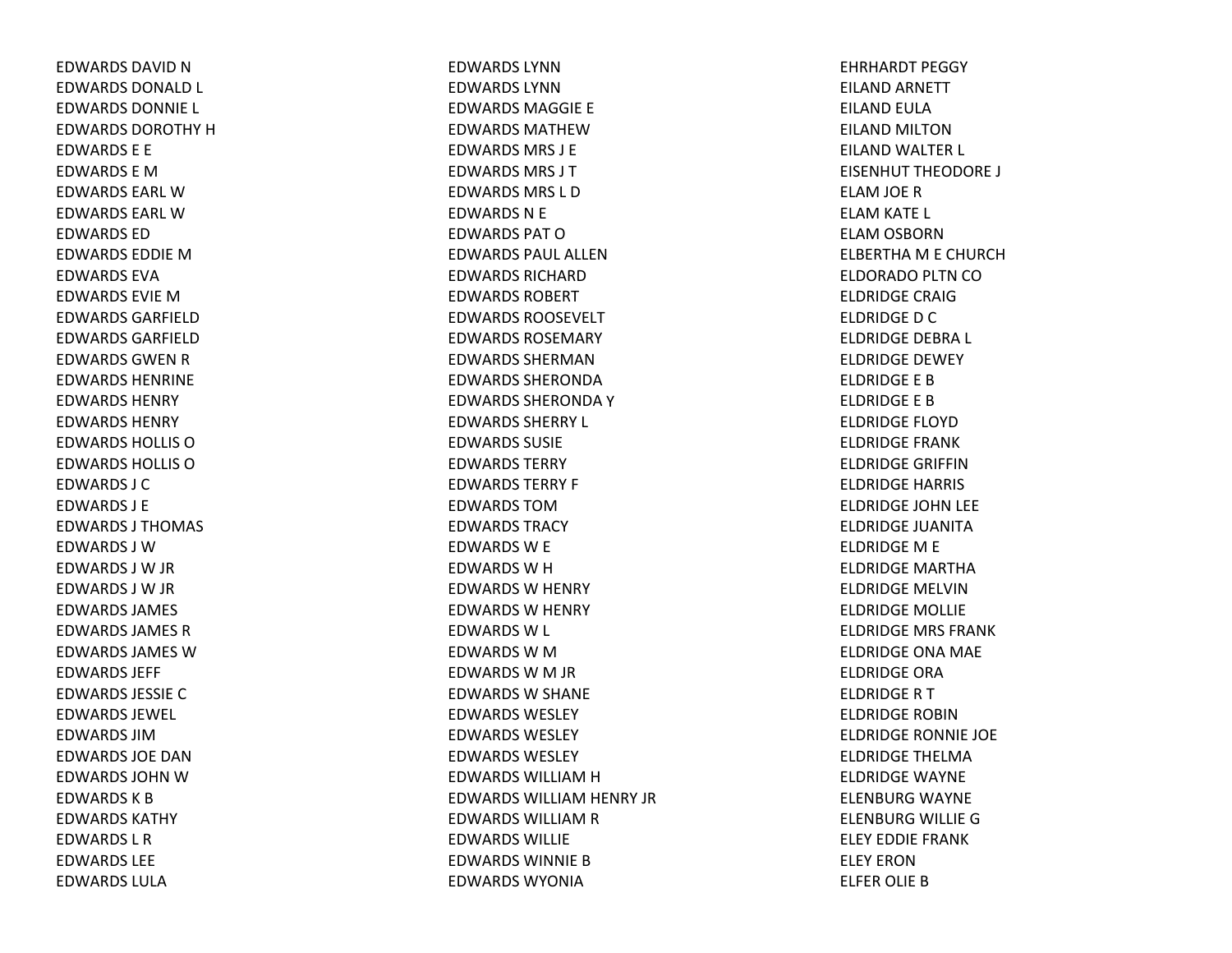EDWARDS DAVID N EDWARDS DONALD L EDWARDS DONNIE L EDWARDS DOROTHY H EDWARDS E E EDWARDS E MEDWARDS EARL WEDWARDS EARL WEDWARDS EDEDWARDS EDDIE M EDWARDS EVAEDWARDS EVIE M EDWARDS GARFIELDEDWARDS GARFIELDEDWARDS GWEN R EDWARDS HENRINEEDWARDS HENRYEDWARDS HENRYEDWARDS HOLLIS OEDWARDS HOLLIS O EDWARDS J CEDWARDS J EEDWARDS J THOMAS EDWARDS J WEDWARDS J W JR EDWARDS J W JR EDWARDS JAMES EDWARDS JAMES REDWARDS JAMES WEDWARDS JEFF EDWARDS JESSIECEDWARDS JEWEL EDWARDS JIMEDWARDS JOE DANEDWARDS JOHN W EDWARDS K B EDWARDS KATHYEDWARDS L REDWARDS LEEEDWARDS LULA

EDWARDS LYNNEDWARDS LYNNEDWARDS MAGGIE E EDWARDS MATHEWEDWARDS MRS J EEDWARDS MRS J TEDWARDS MRS L DEDWARDS N E EDWARDS PAT O EDWARDS PAUL ALLENEDWARDS RICHARDEDWARDS ROBERTEDWARDS ROOSEVELTEDWARDS ROSEMARYEDWARDS SHERMANEDWARDS SHERONDAEDWARDS SHERONDA Y EDWARDS SHERRY L EDWARDS SUSIEEDWARDS TERRYEDWARDS TERRY F EDWARDS TOMEDWARDS TRACYEDWARDS W E EDWARDS W H EDWARDS W HENRY EDWARDS W HENRY EDWARDS W L EDWARDS W M EDWARDS W M JR EDWARDS W SHANE EDWARDS WESLEYEDWARDS WESLEYEDWARDS WESLEYEDWARDS WILLIAM H EDWARDS WILLIAM HENRY JR EDWARDS WILLIAM R EDWARDS WILLIEEDWARDS WINNIE B EDWARDS WYONIA

EHRHARDT PEGGY EILAND ARNETT EILAND EULA EILAND MILTONEILAND WALTER L EISENHUT THEODORE J ELAM JOE RELAM KATE L ELAM OSBORN ELBERTHA M E CHURCH ELDORADO PLTN CO ELDRIDGE CRAIGELDRIDGEDCELDRIDGE DEBRA L ELDRIDGE DEWEYELDRIDGE E BELDRIDGE E BELDRIDGE FLOYDELDRIDGE FRANKELDRIDGE GRIFFINELDRIDGE HARRIS ELDRIDGE JOHN LEE ELDRIDGE JUANITAELDRIDGEM E ELDRIDGE MARTHAELDRIDGE MELVINELDRIDGE MOLLIE ELDRIDGE MRS FRANKELDRIDGE ONA MAE ELDRIDGE ORAELDRIDGERTELDRIDGE ROBINELDRIDGE RONNIE JOE ELDRIDGE THELMAELDRIDGE WAYNE ELENBURG WAYNE ELENBURG WILLIE GELEY EDDIE FRANKELEY ERONELFER OLIE B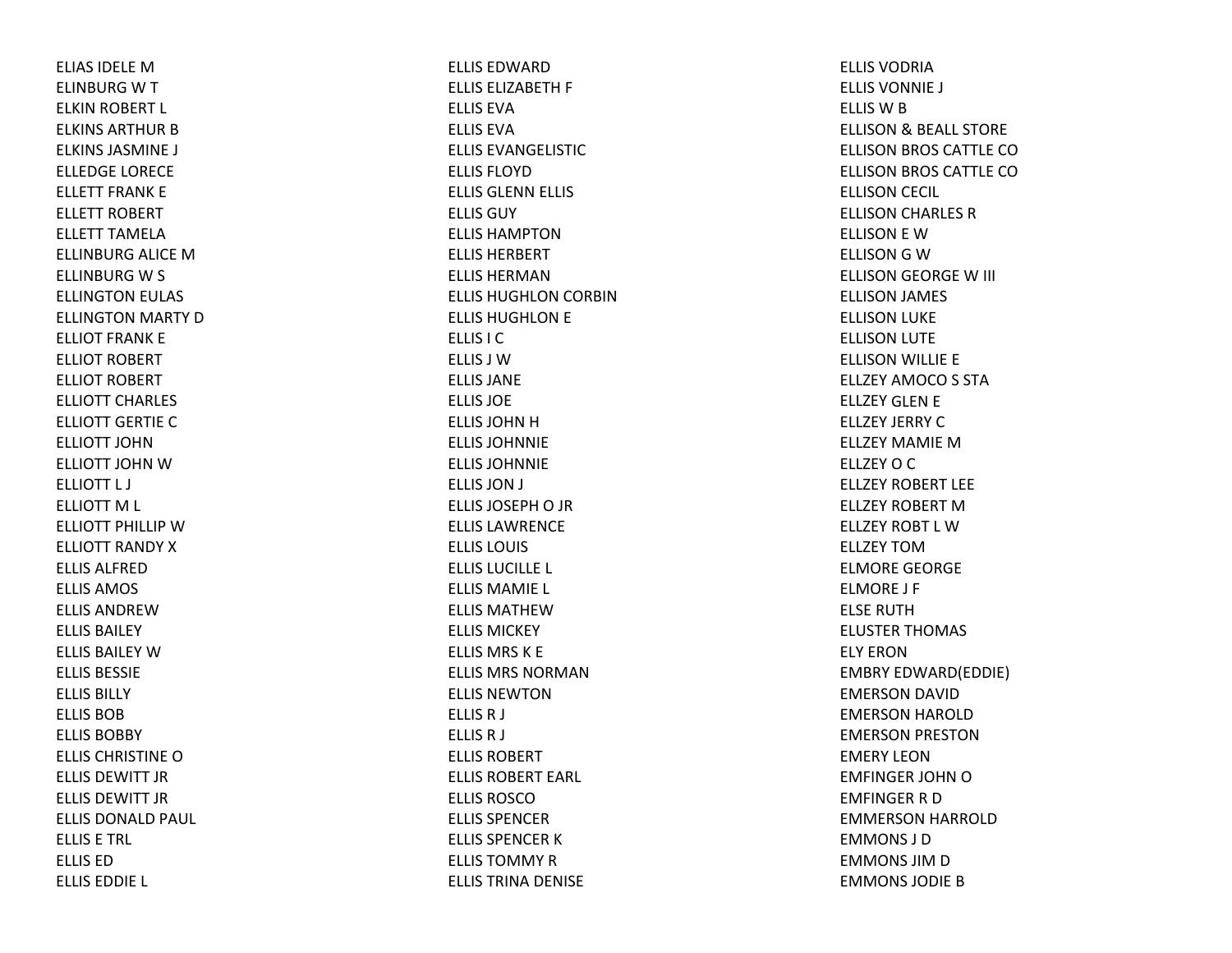ELIAS IDELE M ELINBURG W T ELKIN ROBERT L ELKINS ARTHUR B ELKINS JASMINE J ELLEDGE LORECE ELLETT FRANK E ELLETT ROBERT ELLETT TAMELAELLINBURG ALICE MELLINBURG W S ELLINGTON EULAS ELLINGTON MARTY DELLIOT FRANK E ELLIOT ROBERT ELLIOT ROBERT ELLIOTT CHARLES ELLIOTT GERTIECELLIOTT JOHNELLIOTT JOHN W ELLIOTT L J ELLIOTT M L ELLIOTT PHILLIP W ELLIOTT RANDY XELLIS ALFREDELLIS AMOS ELLIS ANDREWELLIS BAILEYELLIS BAILEY W ELLIS BESSIEELLIS BILLYELLIS BOBELLIS BOBBYELLIS CHRISTINE O ELLIS DEWITT JRELLIS DEWITT JRELLIS DONALD PAUL ELLIS E TRL ELLIS EDELLIS EDDIE L

ELLIS EDWARDELLIS ELIZABETH F ELLIS EVAELLIS EVAELLIS EVANGELISTIC ELLIS FLOYDELLIS GLENN ELLIS ELLIS GUYELLIS HAMPTONELLIS HERBERTELLIS HERMANELLIS HUGHLON CORBIN ELLIS HUGHLON E ELLIS I CELLIS J WELLIS JANEELLIS JOEELLIS JOHN H ELLIS JOHNNIEELLIS JOHNNIEELLIS JON J ELLIS JOSEPH O JR ELLIS LAWRENCEELLIS LOUIS ELLIS LUCILLE L ELLIS MAMIE L ELLIS MATHEWELLIS MICKEYELLIS MRS K E ELLIS MRS NORMANELLIS NEWTONELLISR J ELLISR J ELLIS ROBERTELLIS ROBERT EARL ELLIS ROSCOELLIS SPENCERELLIS SPENCER K ELLIS TOMMY R ELLIS TRINA DENISE

ELLIS VODRIAELLIS VONNIE J ELLIS W B ELLISON& BEALL STORE ELLISON BROS CATTLE COELLISON BROS CATTLE COELLISON CECIL ELLISON CHARLES RELLISON E WELLISON G W ELLISON GEORGE W III ELLISON JAMES ELLISON LUKE ELLISON LUTE ELLISON WILLIE E ELLZEY AMOCO S STA ELLZEY GLEN E ELLZEY JERRY CELLZEY MAMIE M ELLZEY O C ELLZEY ROBERT LEEELLZEY ROBERT MELLZEY ROBT L WELLZEY TOMELMORE GEORGE ELMORE J F ELSE RUTHELUSTER THOMAS ELY ERONEMBRY EDWARD(EDDIE) EMERSON DAVID EMERSON HAROLD EMERSON PRESTON EMERY LEONEMFINGER JOHN O EMFINGER R D EMMERSON HARROLD EMMONS J DEMMONS JIM D EMMONS JODIE B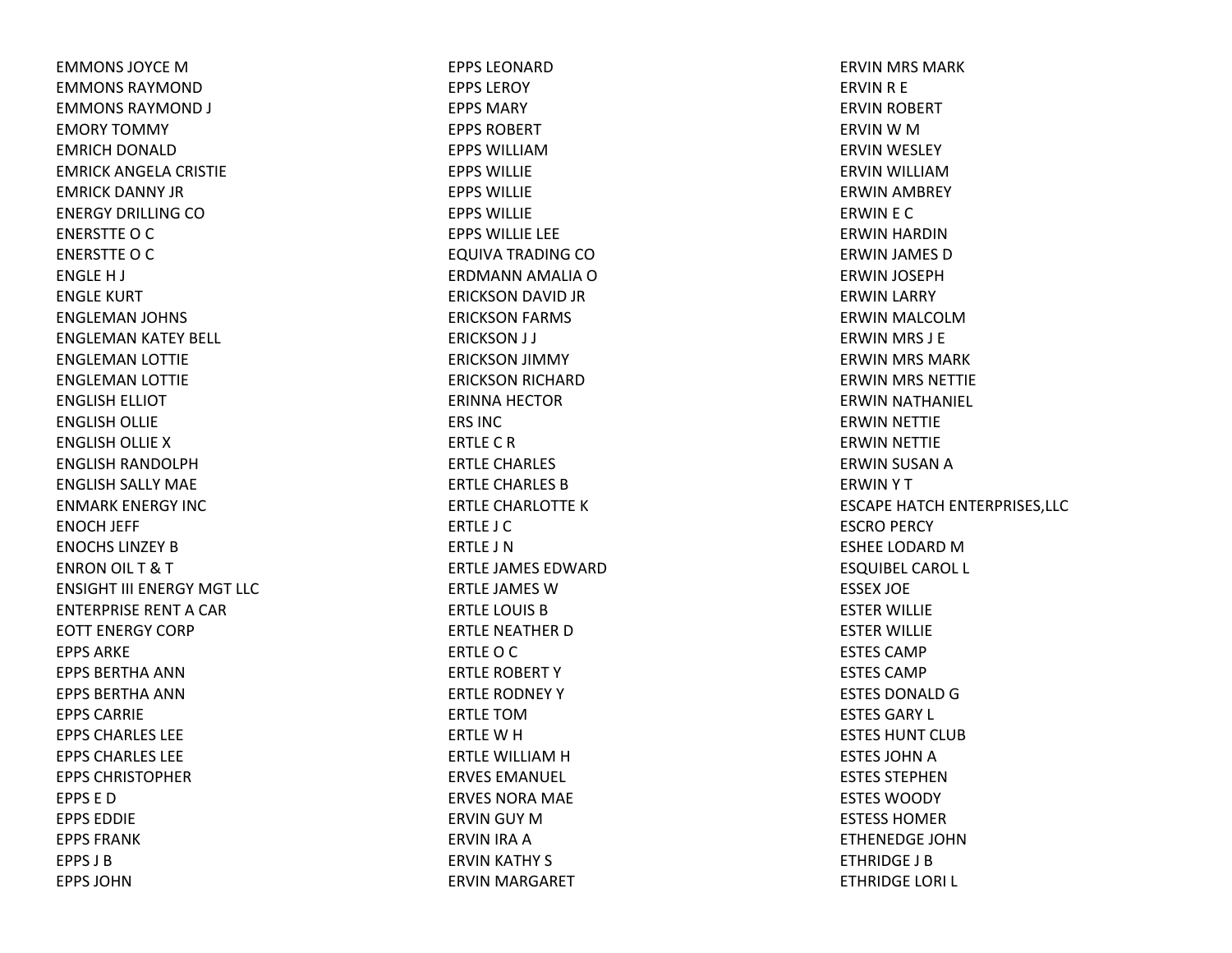EMMONS JOYCE M EMMONS RAYMONDEMMONS RAYMOND J EMORY TOMMY EMRICH DONALD EMRICK ANGELA CRISTIE EMRICK DANNY JRENERGY DRILLING COENERSTTE O C ENERSTTE O C ENGLE H J ENGLE KURT ENGLEMAN JOHNS ENGLEMAN KATEY BELL ENGLEMAN LOTTIE ENGLEMAN LOTTIE ENGLISH ELLIOT ENGLISH OLLIE ENGLISH OLLIE XENGLISH RANDOLPH ENGLISH SALLY MAE ENMARK ENERGY INCENOCH JEFF ENOCHS LINZEY B ENRON OIL T&TENSIGHT III ENERGY MGT LLCENTERPRISE RENT A CAR EOTT ENERGY CORPEPPS ARKEEPPS BERTHA ANNEPPS BERTHA ANNEPPS CARRIEEPPS CHARLES LEEEPPS CHARLES LEEEPPS CHRISTOPHEREPPS E DEPPS EDDIEEPPS FRANKEPPS J BEPPS JOHN

EPPS LEONARDEPPS LEROYEPPS MARYEPPS ROBERTEPPS WILLIAMEPPS WILLIEEPPS WILLIEEPPS WILLIEEPPS WILLIE LEE EQUIVA TRADING CO ERDMANN AMALIA OERICKSON DAVID JR ERICKSON FARMS ERICKSON J J ERICKSON JIMMY ERICKSON RICHARD ERINNA HECTOR ERS INCERTLECRERTLE CHARLES ERTLE CHARLES BERTLE CHARLOTTE KERTLE J CERTLE J NERTLE JAMES EDWARDERTLE JAMES WERTLE LOUIS BERTLE NEATHER D ERTLEOCERTLE ROBERT YERTLE RODNEY YERTLE TOMERTLE W H ERTLE WILLIAM H ERVES EMANUEL ERVES NORA MAE ERVIN GUY MERVIN IRA AERVIN KATHY S ERVIN MARGARET

ERVIN MRS MARK ERVIN R E ERVIN ROBERT ERVIN W M ERVIN WESLEY ERVIN WILLIAMERWIN AMBREY ERWIN E C ERWIN HARDIN ERWIN JAMES DERWIN JOSEPH ERWIN LARRY ERWIN MALCOLMERWIN MRS J E ERWIN MRS MARK ERWIN MRS NETTIE ERWIN NATHANIEL ERWIN NETTIE ERWIN NETTIE ERWIN SUSAN AERWINYTESCAPE HATCH ENTERPRISES,LLC ESCRO PERCY ESHEE LODARD M ESQUIBEL CAROL L ESSEX JOE ESTER WILLIE ESTER WILLIE ESTES CAMPESTES CAMPESTES DONALD G ESTES GARY L ESTES HUNT CLUBESTES JOHN A ESTES STEPHENESTES WOODYESTESS HOMERETHENEDGE JOHNETHRIDGE J BETHRIDGE LORI L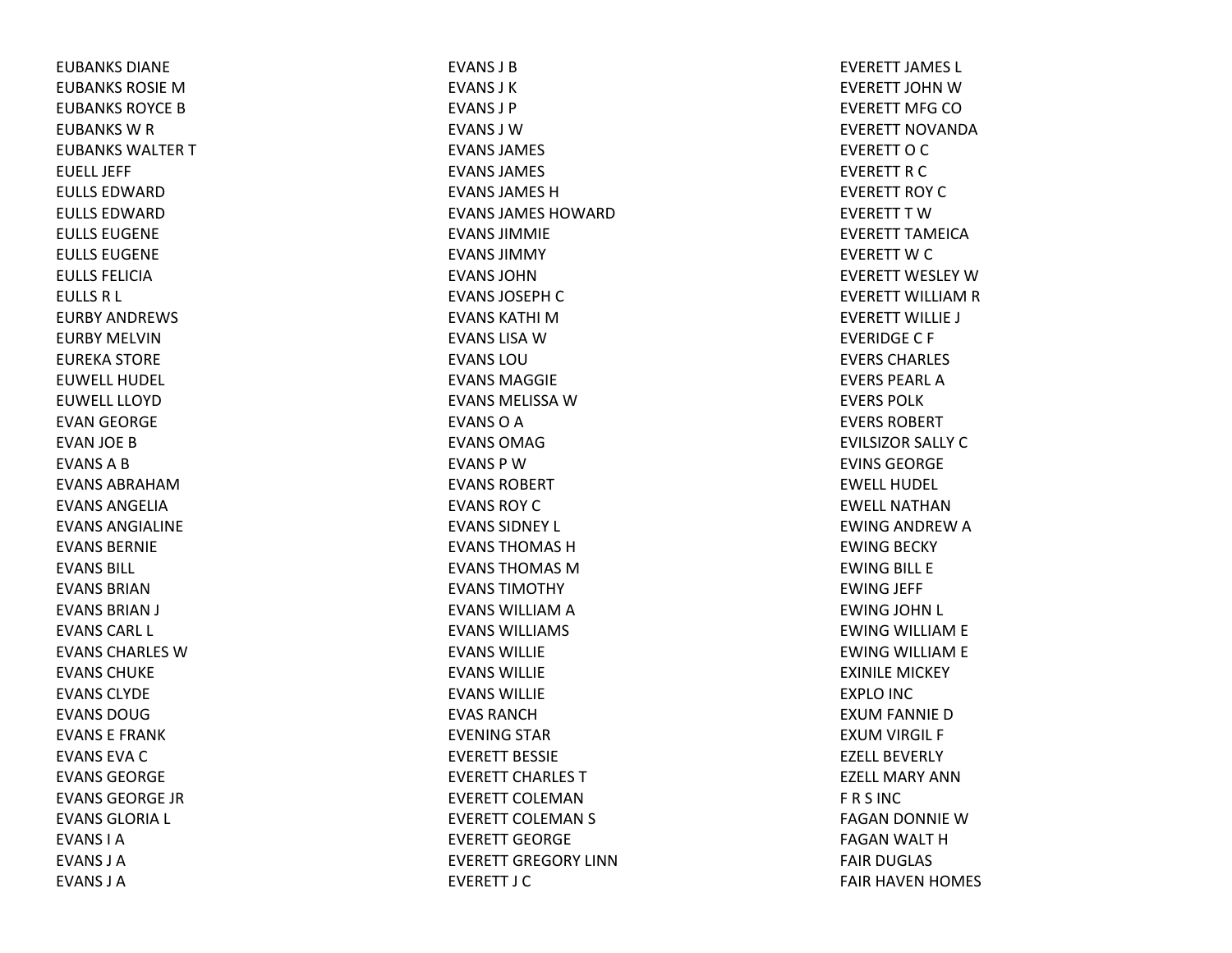EUBANKS DIANEEUBANKS ROSIE M EUBANKS ROYCE B EUBANKS W R EUBANKS WALTER T EUELL JEFFEULLS EDWARDEULLS EDWARDEULLS EUGENEEULLS EUGENEEULLS FELICIAEULLS R L EURBY ANDREWS EURBY MELVINEUREKA STORE EUWELL HUDEL EUWELL LLOYDEVAN GEORGE EVAN JOE BEVANSABEVANS ABRAHAMEVANS ANGELIAEVANS ANGIALINEEVANS BERNIEEVANS BILL EVANS BRIANEVANS BRIAN J EVANS CARL L EVANS CHARLES WEVANS CHUKEEVANS CLYDEEVANS DOUGEVANS E FRANKEVANS EVA C EVANS GEORGEEVANS GEORGE JREVANS GLORIA L EVANS I AEVANS J AEVANS J A

EVANS J BEVANS J KEVANS J PEVANS J WEVANS JAMES EVANS JAMES EVANS JAMES HEVANS JAMES HOWARDEVANS JIMMIEEVANS JIMMYEVANS JOHNEVANS JOSEPH C EVANS KATHI MEVANS LISA W EVANS LOUEVANS MAGGIEEVANS MELISSA W EVANSOAEVANS OMAGEVANS P WEVANS ROBERTEVANS ROY C EVANS SIDNEY L EVANS THOMAS HEVANS THOMAS MEVANS TIMOTHYEVANS WILLIAM A EVANS WILLIAMS EVANS WILLIEEVANS WILLIEEVANS WILLIEEVAS RANCHEVENING STAR EVERETT BESSIEEVERETT CHARLES TEVERETT COLEMANEVERETT COLEMAN S EVERETT GEORGEEVERETT GREGORY LINNEVERETT J C

EVERETT JAMES L EVERETT JOHN W EVERETT MFG COEVERETT NOVANDAEVERETT O C EVERETT R C EVERETT ROY CEVERETT T W EVERETT TAMEICAEVERETT W C EVERETT WESLEY WEVERETT WILLIAM R EVERETT WILLIE J EVERIDGEC F EVERS CHARLES EVERS PEARL AEVERS POLKEVERS ROBERTEVILSIZOR SALLY CEVINS GEORGEEWELL HUDELEWELL NATHANEWING ANDREW A EWING BECKY EWING BILL E EWING JEFF EWING JOHN L EWING WILLIAM E EWING WILLIAM E EXINILE MICKEY EXPLO INC EXUM FANNIE D EXUM VIRGIL F EZELL BEVERLYEZELL MARY ANNF R S INC FAGAN DONNIE WFAGAN WALT HFAIR DUGLAS FAIR HAVEN HOMES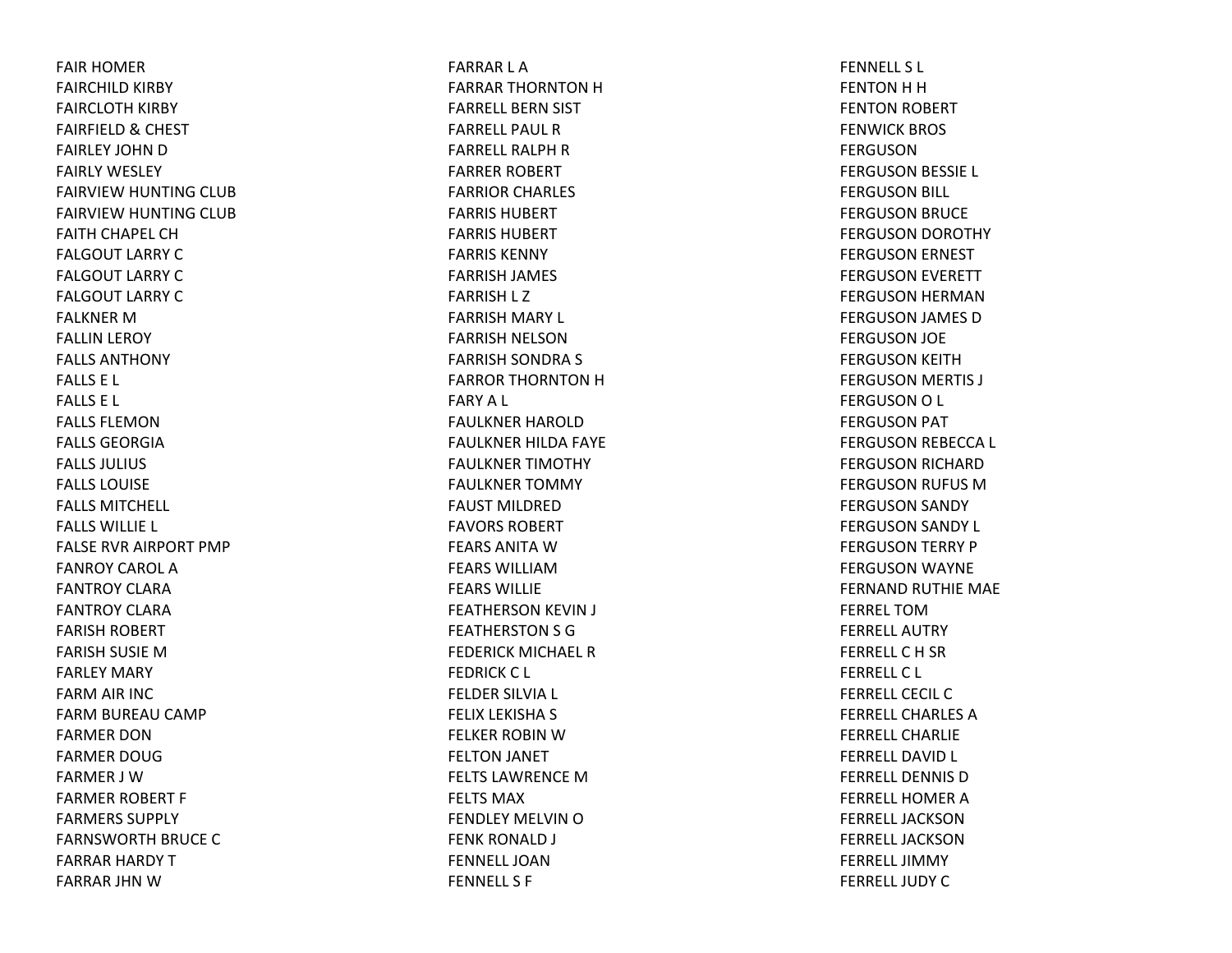FAIR HOMER FAIRCHILD KIRBY FAIRCLOTH KIRBY FAIRFIELD& CHEST FAIRLEY JOHN D FAIRLY WESLEY FAIRVIEW HUNTING CLUB FAIRVIEW HUNTING CLUB FAITH CHAPEL CH FALGOUT LARRY CFALGOUT LARRY CFALGOUT LARRY CFALKNER M FALLIN LEROY FALLS ANTHONYFALLS E L FALLS E L FALLS FLEMONFALLS GEORGIAFALLS JULIUS FALLS LOUISEFALLS MITCHELL FALLS WILLIE L FALSE RVR AIRPORT PMP FANROY CAROL AFANTROY CLARAFANTROY CLARAFARISH ROBERT FARISH SUSIE MFARLEY MARY FARM AIR INC FARM BUREAU CAMP FARMER DONFARMER DOUGFARMER J WFARMER ROBERT F FARMERS SUPPLYFARNSWORTH BRUCE CFARRAR HARDY TFARRAR JHN W

FARRAR L AFARRAR THORNTON H FARRELL BERN SIST FARRELL PAUL RFARRELL RALPH R FARRER ROBERT FARRIOR CHARLES FARRIS HUBERTFARRIS HUBERTFARRIS KENNYFARRISH JAMES FARRISH L Z FARRISH MARY L FARRISH NELSONFARRISH SONDRA S FARROR THORNTON H FARYA L FAULKNER HAROLDFAULKNER HILDA FAYE FAULKNER TIMOTHY FAULKNER TOMMY FAUST MILDREDFAVORS ROBERTFEARS ANITA W FEARS WILLIAMFEARS WILLIEFEATHERSON KEVIN J FEATHERSTON S G FEDERICK MICHAEL RFEDRICK C L FELDER SILVIA L FELIX LEKISHA S FELKER ROBIN W FELTON JANET FELTS LAWRENCE M FELTS MAXFENDLEY MELVIN O FENK RONALD J FENNELL JOANFENNELL S F

FENNELL S L FENTON H H FENTON ROBERT FENWICK BROS FERGUSONFERGUSON BESSIE L FERGUSON BILL FERGUSON BRUCE FERGUSON DOROTHY FERGUSON ERNEST FERGUSON EVERETT FERGUSON HERMAN FERGUSON JAMES DFERGUSON JOE FERGUSON KEITH FERGUSON MERTIS J FERGUSONO L FERGUSON PAT FERGUSON REBECCA L FERGUSON RICHARD FERGUSON RUFUS MFERGUSON SANDY FERGUSON SANDY L FERGUSON TERRY P FERGUSON WAYNE FERNAND RUTHIE MAE FERREL TOMFERRELL AUTRYFERRELLCH SR FERRELLC L FERRELL CECIL CFERRELL CHARLES A FERRELL CHARLIEFERRELL DAVID L FERRELL DENNIS D FERRELL HOMER A FERRELL JACKSONFERRELL JACKSONFERRELL JIMMYFERRELL JUDY C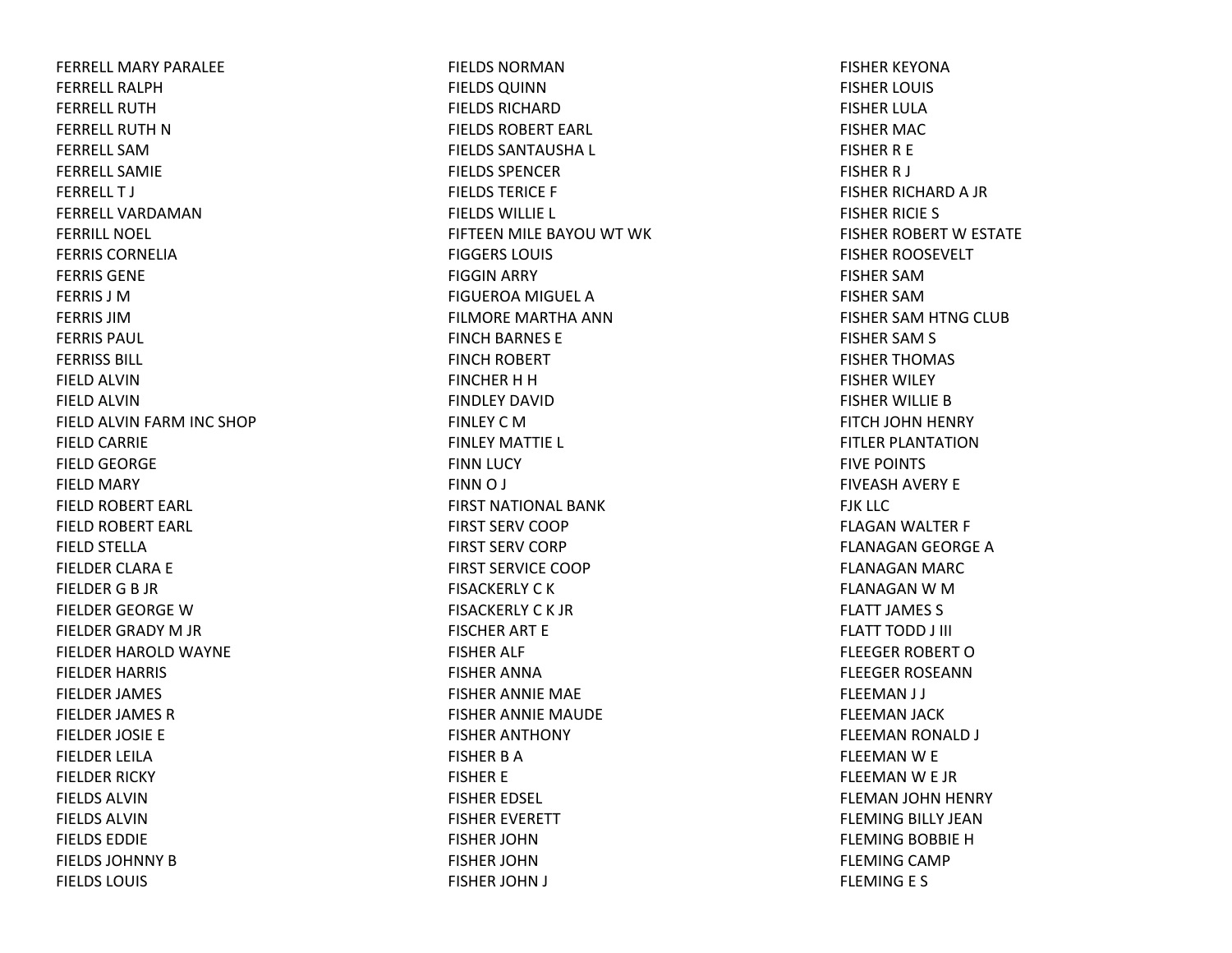FERRELL MARY PARALEEFERRELL RALPHFERRELL RUTHFERRELL RUTH NFERRELL SAMFERRELL SAMIEFERRELL T J FERRELL VARDAMANFERRILL NOEL FERRIS CORNELIAFERRIS GENEFERRIS J MFERRIS JIMFERRIS PAUL FERRISS BILL FIELD ALVINFIELD ALVINFIELD ALVIN FARM INC SHOP FIELD CARRIE FIELD GEORGE FIELD MARY FIELD ROBERT EARL FIELD ROBERT EARL FIELD STELLA FIELDER CLARA E FIELDER G B JR FIELDER GEORGE WFIELDER GRADY M JR FIELDER HAROLD WAYNE FIELDER HARRIS FIELDER JAMES FIELDER JAMES R FIELDER JOSIE E FIELDER LEILAFIELDER RICKY FIELDS ALVINFIELDS ALVINFIELDS EDDIEFIELDS JOHNNY BFIELDS LOUIS

FIELDS NORMAN FIELDS QUINN FIELDS RICHARDFIELDS ROBERT EARL FIELDS SANTAUSHA L FIELDS SPENCERFIELDS TERICE F FIELDS WILLIE L FIFTEEN MILE BAYOU WT WK FIGGERS LOUIS FIGGIN ARRY FIGUEROA MIGUEL A FILMORE MARTHA ANNFINCH BARNES E FINCH ROBERT FINCHER H H FINDLEY DAVIDFINLEY C MFINLEY MATTIE L FINN LUCY FINN O J FIRST NATIONAL BANKFIRST SERV COOP FIRST SERV CORP FIRST SERVICE COOPFISACKERLY C K FISACKERLY C K JRFISCHER ART E FISHER ALF FISHER ANNAFISHER ANNIE MAE FISHER ANNIE MAUDE FISHER ANTHONY FISHER B AFISHER E FISHER EDSEL FISHER EVERETT FISHER JOHNFISHER JOHNFISHER JOHN J

FISHER KEYONAFISHER LOUIS FISHER LULAFISHER MAC FISHER R E FISHER R J FISHER RICHARD A JR FISHER RICIE S FISHER ROBERT W ESTATE FISHER ROOSEVELT FISHER SAMFISHER SAMFISHER SAM HTNG CLUB FISHER SAM S FISHER THOMAS FISHER WILEY FISHER WILLIE BFITCH JOHN HENRY FITLER PLANTATIONFIVE POINTS FIVEASH AVERY E FJK LLCFLAGAN WALTER F FLANAGAN GEORGE A FLANAGAN MARC FLANAGAN W M FLATT JAMES S FLATT TODD J III FLEEGER ROBERT OFLEEGER ROSEANNFLEEMAN J J FLEEMAN JACK FLEEMAN RONALD J FLEEMAN W E FLEEMAN W E JR FLEMAN JOHN HENRY FLEMING BILLY JEANFLEMING BOBBIE H FLEMING CAMP FLEMING E S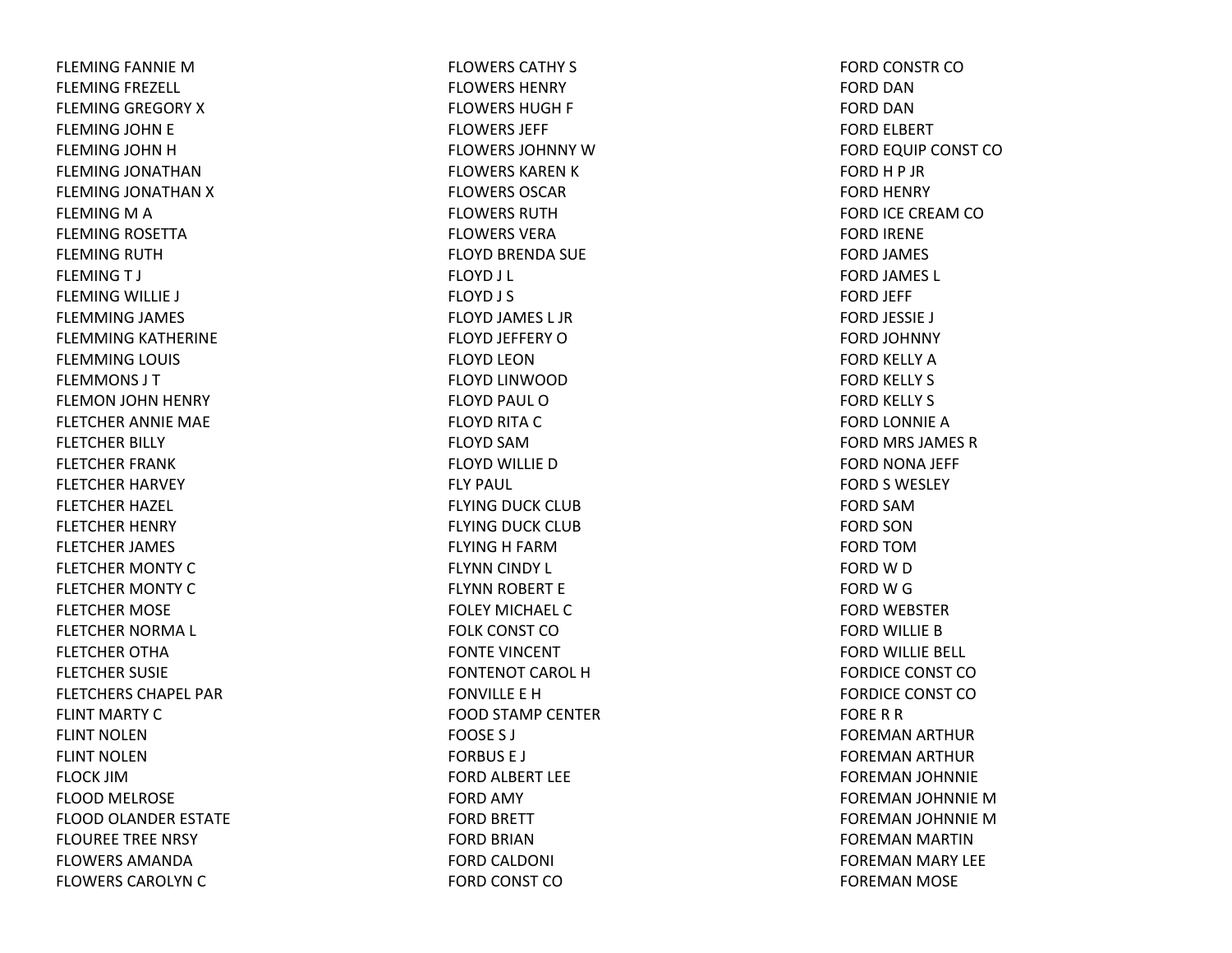FLEMING FANNIE MFLEMING FREZELL FLEMING GREGORY XFLEMING JOHN E FLEMING JOHN H FLEMING JONATHANFLEMING JONATHAN X FLEMING M A FLEMING ROSETTA FLEMING RUTH FLEMINGT J FLEMING WILLIE J FLEMMING JAMES FLEMMING KATHERINE FLEMMING LOUIS FLEMMONS J TFLEMON JOHN HENRY FLETCHER ANNIE MAE FLETCHER BILLY FLETCHER FRANK FLETCHER HARVEY FLETCHER HAZEL FLETCHER HENRY FLETCHER JAMES FLETCHER MONTY CFLETCHER MONTY CFLETCHER MOSE FLETCHER NORMA L FLETCHER OTHAFLETCHER SUSIE FLETCHERS CHAPEL PARFLINT MARTY CFLINT NOLENFLINT NOLENFLOCK JIMFLOOD MELROSE FLOOD OLANDER ESTATE FLOUREE TREE NRSY FLOWERS AMANDAFLOWERS CAROLYN C

FLOWERS CATHY S FLOWERS HENRYFLOWERS HUGH F FLOWERS JEFF FLOWERS JOHNNY W FLOWERS KAREN K FLOWERS OSCARFLOWERS RUTHFLOWERS VERAFLOYD BRENDA SUE FLOYD J L FLOYD J S FLOYD JAMES L JR FLOYD JEFFERY OFLOYD LEONFLOYD LINWOOD FLOYD PAUL OFLOYD RITA CFLOYD SAMFLOYD WILLIE DFLY PAUL FLYING DUCK CLUB FLYING DUCK CLUB FLYING H FARM FLYNN CINDY L FLYNN ROBERT E FOLEY MICHAEL CFOLK CONST COFONTE VINCENT FONTENOT CAROL HFONVILLE E HFOOD STAMP CENTER FOOSE S J FORBUS E J FORD ALBERT LEE FORD AMY FORD BRETT FORD BRIANFORD CALDONI FORD CONST CO

FORD CONSTR COFORD DANFORD DANFORD ELBERT FORD EQUIP CONST CO FORD H P JR FORD HENRY FORD ICE CREAM CO FORD IRENE FORD JAMES FORD JAMES L FORD JEFF FORD JESSIE J FORD JOHNNY FORD KELLY AFORD KELLY S FORD KELLY S FORD LONNIE AFORD MRS JAMES RFORD NONA JEFF FORD S WESLEY FORD SAMFORD SONFORD TOMFORD W D FORD W G FORD WEBSTER FORD WILLIE BFORD WILLIE BELL FORDICE CONST COFORDICE CONST COFORERRFOREMAN ARTHUR FOREMAN ARTHUR FOREMAN JOHNNIE FOREMAN JOHNNIE MFOREMAN JOHNNIE MFOREMAN MARTIN FOREMAN MARY LEE FOREMAN MOSE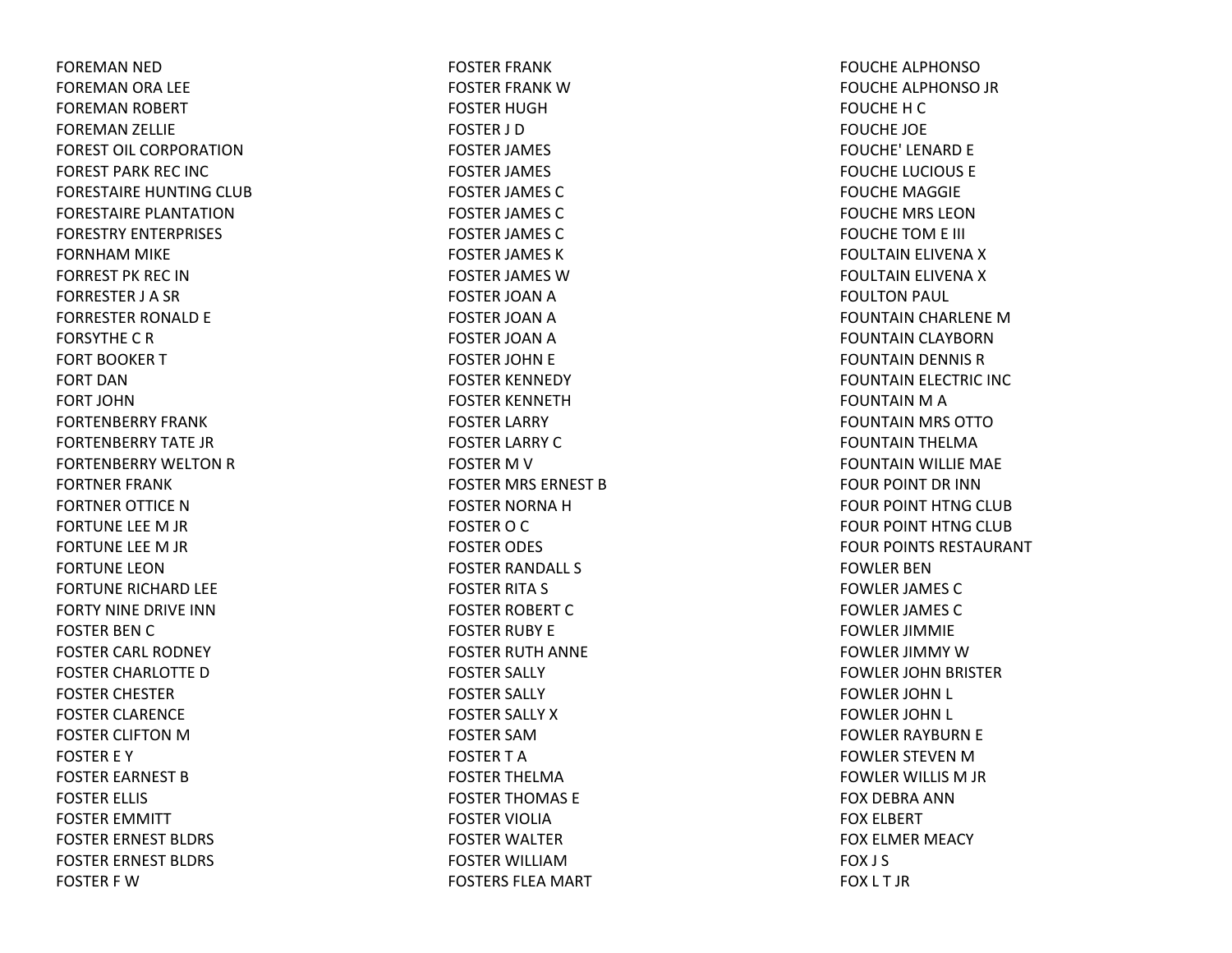FOREMAN NED FOREMAN ORA LEE FOREMAN ROBERT FOREMAN ZELLIE FOREST OIL CORPORATION FOREST PARK REC INC FORESTAIRE HUNTING CLUB FORESTAIRE PLANTATIONFORESTRY ENTERPRISES FORNHAM MIKE FORREST PK REC INFORRESTER J A SR FORRESTER RONALD E FORSYTHECRFORT BOOKERTFORT DANFORT JOHNFORTENBERRY FRANKFORTENBERRY TATE JRFORTENBERRY WELTON R FORTNER FRANK FORTNER OTTICE NFORTUNE LEE M JR FORTUNE LEE M JR FORTUNE LEONFORTUNE RICHARD LEE FORTY NINE DRIVE INNFOSTER BEN C FOSTER CARL RODNEY FOSTER CHARLOTTE DFOSTER CHESTER FOSTER CLARENCE FOSTER CLIFTON M FOSTER E Y FOSTER EARNEST BFOSTER ELLIS FOSTER EMMITT FOSTER ERNEST BLDRS FOSTER ERNEST BLDRS FOSTER F W

FOSTER FRANK FOSTER FRANK WFOSTER HUGHFOSTER J DFOSTER JAMES FOSTER JAMES FOSTER JAMES CFOSTER JAMES CFOSTER JAMES CFOSTER JAMES KFOSTER JAMES WFOSTER JOAN A FOSTER JOAN A FOSTER JOAN A FOSTER JOHN E FOSTER KENNEDY FOSTER KENNETHFOSTER LARRY FOSTER LARRY CFOSTER M V FOSTER MRS ERNEST BFOSTER NORNA H FOSTER O C FOSTER ODES FOSTER RANDALL S FOSTER RITA S FOSTER ROBERT CFOSTER RUBY E FOSTER RUTH ANNE FOSTER SALLY FOSTER SALLY FOSTER SALLY XFOSTER SAMFOSTERTAFOSTER THELMAFOSTER THOMAS E FOSTER VIOLIAFOSTER WALTER FOSTER WILLIAMFOSTERS FLEA MART

FOUCHE ALPHONSOFOUCHE ALPHONSO JR FOUCHEHCFOUCHE JOE FOUCHE' LENARD E FOUCHE LUCIOUS E FOUCHE MAGGIE FOUCHE MRS LEONFOUCHE TOM E III FOULTAIN ELIVENA XFOULTAIN ELIVENA XFOULTON PAUL FOUNTAIN CHARLENE MFOUNTAIN CLAYBORN FOUNTAIN DENNIS RFOUNTAIN ELECTRIC INC FOUNTAIN M A FOUNTAIN MRS OTTOFOUNTAIN THELMA FOUNTAIN WILLIE MAE FOUR POINT DR INNFOUR POINT HTNG CLUB FOUR POINT HTNG CLUB FOUR POINTS RESTAURANT FOWLER BENFOWLER JAMES CFOWLER JAMES CFOWLER JIMMIE FOWLER JIMMY WFOWLER JOHN BRISTER FOWLER JOHN L FOWLER JOHN L FOWLER RAYBURN E FOWLER STEVEN M FOWLER WILLIS M JR FOX DEBRA ANNFOX ELBERT FOX ELMER MEACY FOX J S FOX L T JR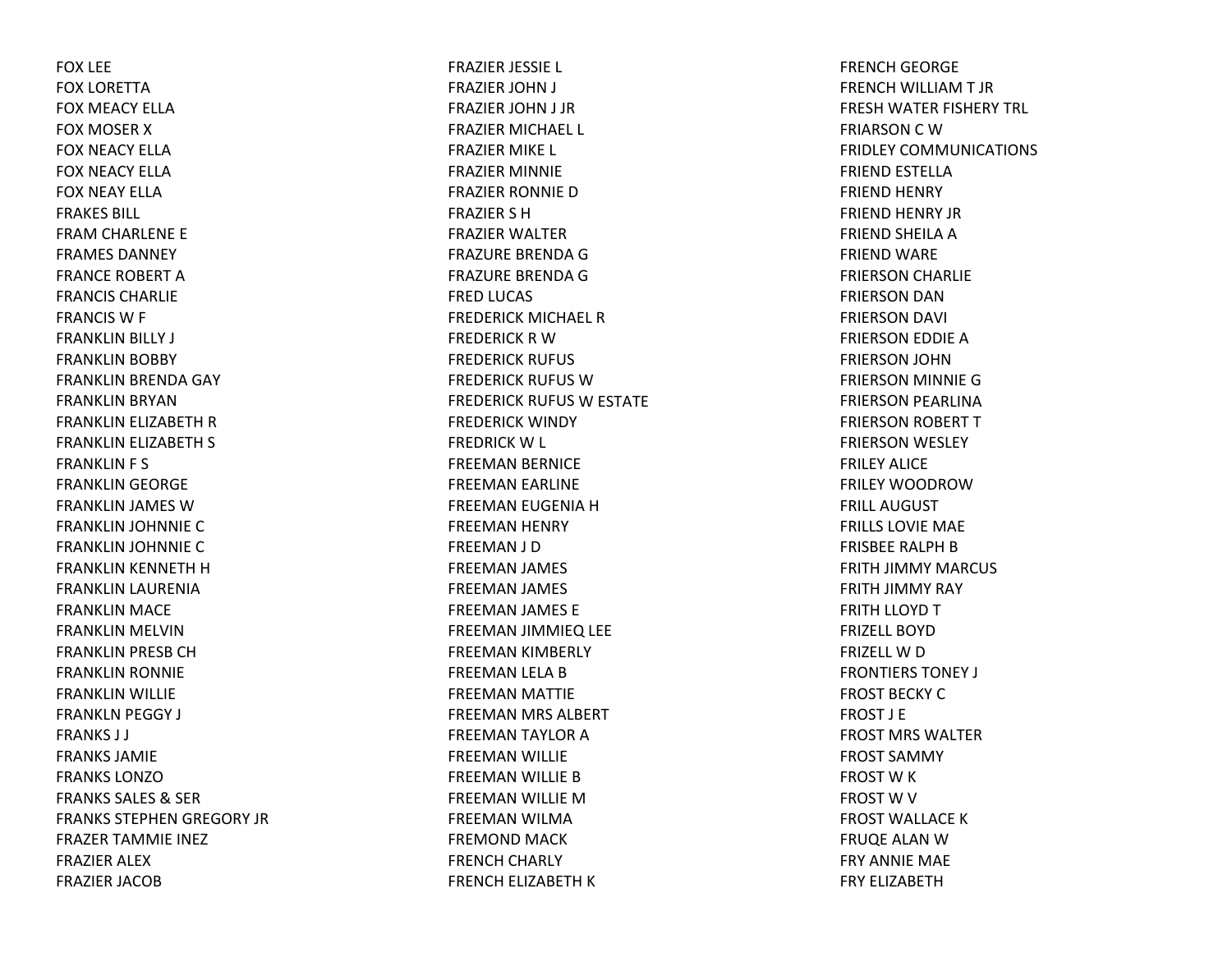FOX LEE FOX LORETTAFOX MEACY ELLAFOX MOSER X FOX NEACY ELLAFOX NEACY ELLAFOX NEAY ELLAFRAKES BILL FRAM CHARLENE E FRAMES DANNEYFRANCE ROBERT AFRANCIS CHARLIEFRANCIS W F FRANKLIN BILLY J FRANKLIN BOBBY FRANKLIN BRENDA GAY FRANKLIN BRYAN FRANKLIN ELIZABETH R FRANKLIN ELIZABETH S FRANKLIN F S FRANKLIN GEORGE FRANKLIN JAMES WFRANKLIN JOHNNIE C FRANKLIN JOHNNIE C FRANKLIN KENNETH H FRANKLIN LAURENIA FRANKLIN MACE FRANKLIN MELVIN FRANKLIN PRESB CH FRANKLIN RONNIE FRANKLIN WILLIE FRANKLN PEGGY J FRANKS J J FRANKS JAMIEFRANKS LONZOFRANKS SALES & SER FRANKS STEPHEN GREGORY JR FRAZER TAMMIE INEZ FRAZIER ALEX FRAZIER JACOB

FRAZIER JESSIE L FRAZIER JOHN J FRAZIER JOHN J JR FRAZIER MICHAEL L FRAZIER MIKE L FRAZIER MINNIE FRAZIER RONNIE DFRAZIER S HFRAZIER WALTER FRAZURE BRENDA GFRAZURE BRENDA GFRED LUCAS FREDERICK MICHAEL RFREDERICK R WFREDERICK RUFUS FREDERICK RUFUS WFREDERICK RUFUS W ESTATE FREDERICK WINDY FREDRICK W L FREEMAN BERNICE FREEMAN EARLINE FREEMAN EUGENIA H FREEMAN HENRY FREEMAN J D FREEMAN JAMES FREEMAN JAMES FREEMAN JAMES E FREEMAN JIMMIEQ LEE FREEMAN KIMBERLY FREEMAN LELA B FREEMAN MATTIE FREEMAN MRS ALBERT FREEMAN TAYLOR A FREEMAN WILLIE FREEMAN WILLIE B FREEMAN WILLIE MFREEMAN WILMA FREMOND MACK FRENCH CHARLY FRENCH ELIZABETH K

FRENCH GEORGE FRENCH WILLIAM T JR FRESH WATER FISHERY TRL FRIARSON C WFRIDLEY COMMUNICATIONS FRIEND ESTELLA FRIEND HENRY FRIEND HENRY JR FRIEND SHEILA A FRIEND WARE FRIERSON CHARLIE FRIERSON DAN FRIERSON DAVI FRIERSON EDDIE A FRIERSON JOHN FRIERSON MINNIE G FRIERSON PEARLINA FRIERSON ROBERT T FRIERSON WESLEY FRILEY ALICEFRILEY WOODROWFRILL AUGUSTFRILLS LOVIE MAE FRISBEE RALPH B FRITH JIMMY MARCUS FRITH JIMMY RAY FRITH LLOYD T FRIZELL BOYDFRIZELL W D FRONTIERS TONEY J FROST BECKY CFROST J EFROST MRS WALTERFROST SAMMY FROST W K FROST W V FROST WALLACE KFRUQE ALAN W FRY ANNIE MAE FRY ELIZABETH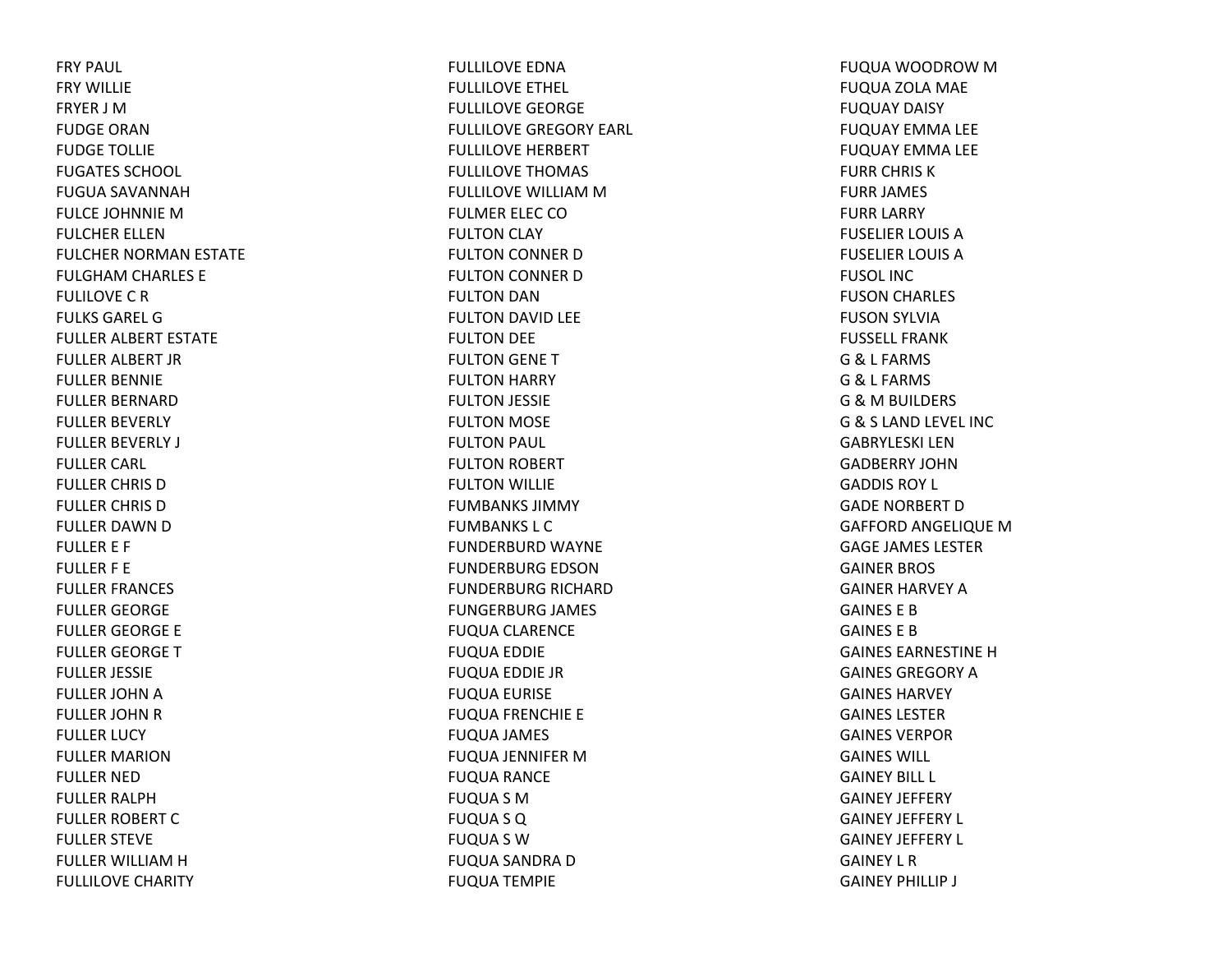FRY PAUL FRY WILLIEFRYER J MFUDGE ORANFUDGE TOLLIE FUGATES SCHOOL FUGUA SAVANNAHFULCE JOHNNIE MFULCHER ELLENFULCHER NORMAN ESTATE FULGHAM CHARLES E FULILOVECRFULKS GAREL GFULLER ALBERT ESTATE FULLER ALBERT JR FULLER BENNIE FULLER BERNARDFULLER BEVERLY FULLER BEVERLY J FULLER CARL FULLER CHRIS DFULLER CHRIS DFULLER DAWN D FULLER E F FULLER F E FULLER FRANCES FULLER GEORGE FULLER GEORGE E FULLER GEORGE TFULLER JESSIE FULLER JOHN A FULLER JOHN R FULLER LUCY FULLER MARIONFULLER NEDFULLER RALPHFULLER ROBERT CFULLER STEVE FULLER WILLIAMHFULLILOVE CHARITY

FULLILOVE EDNAFULLILOVE ETHEL FULLILOVE GEORGE FULLILOVE GREGORY EARL FULLILOVE HERBERT FULLILOVE THOMAS FULLILOVE WILLIAM M FULMER ELEC COFULTON CLAY FULTON CONNER DFULTON CONNER DFULTON DAN FULTON DAVID LEE FULTON DEE FULTON GENE TFULTON HARRY FULTON JESSIE FULTON MOSE FULTON PAUL FULTON ROBERT FULTON WILLIE FUMBANKS JIMMYFUMBANKS L CFUNDERBURD WAYNE FUNDERBURG EDSONFUNDERBURG RICHARD FUNGERBURG JAMES FUQUA CLARENCE FUQUA EDDIE FUQUA EDDIE JR FUQUA EURISE FUQUA FRENCHIE E FUQUA JAMES FUQUA JENNIFER MFUQUA RANCE FUQUA S M FUQUA S Q FUQUA S W FUQUA SANDRA DFUQUA TEMPIE

FUQUA WOODROW MFUQUA ZOLA MAE FUQUAY DAISY FUQUAY EMMA LEE FUQUAY EMMA LEE FURR CHRIS KFURR JAMES FURR LARRY FUSELIER LOUIS AFUSELIER LOUIS AFUSOL INCFUSON CHARLES FUSON SYLVIA FUSSELL FRANKG& L FARMS G& L FARMS G&M BUILDERS G& S LAND LEVEL INC GABRYLESKI LENGADBERRY JOHNGADDIS ROY L GADE NORBERT DGAFFORD ANGELIQUE MGAGE JAMES LESTERGAINER BROS GAINER HARVEY AGAINES E BGAINES E BGAINES EARNESTINEHGAINES GREGORY A GAINES HARVEYGAINES LESTERGAINES VERPORGAINES WILL GAINEY BILL L GAINEY JEFFERY GAINEY JEFFERY L GAINEY JEFFERY L GAINEY L RGAINEY PHILLIP J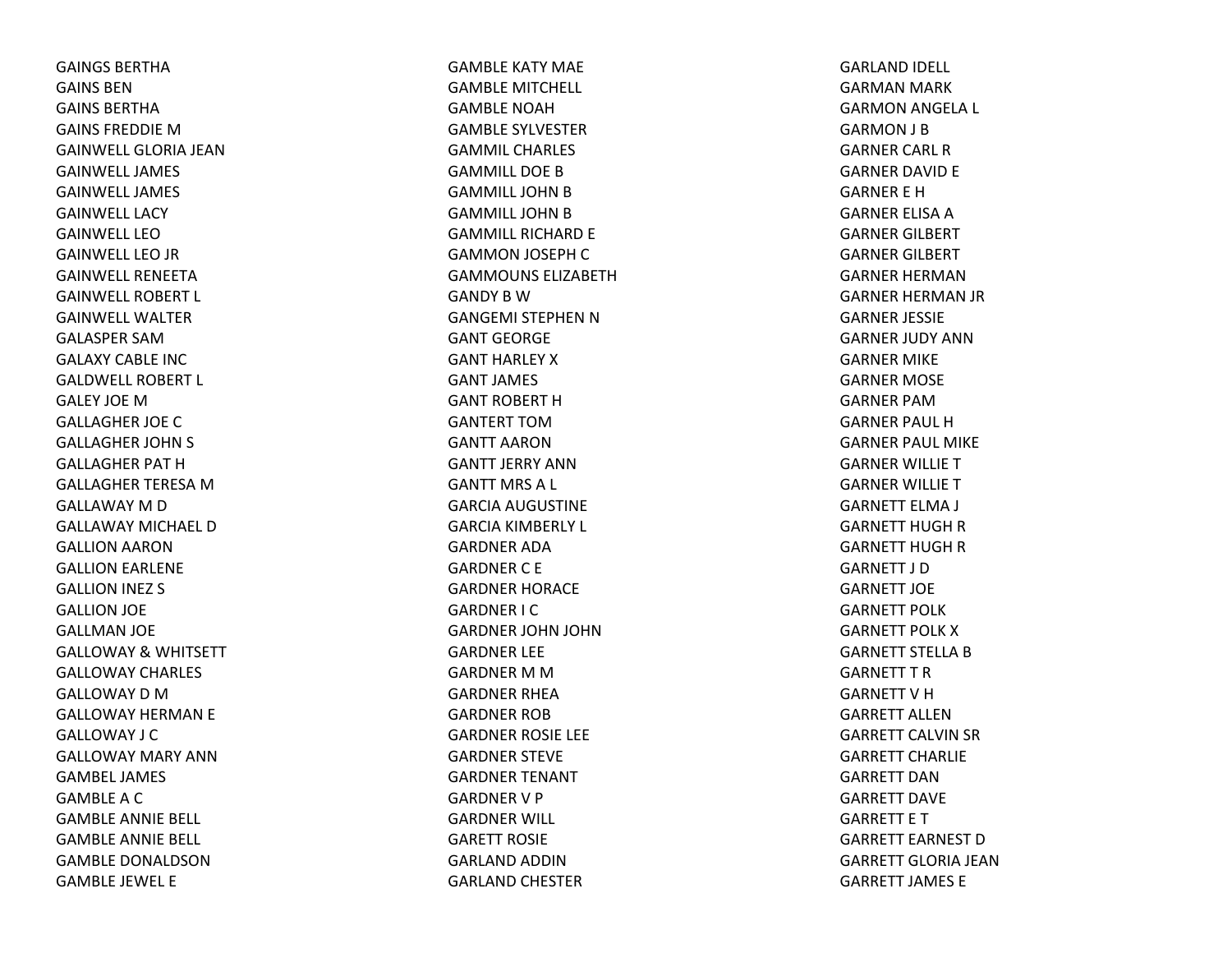GAINGS BERTHAGAINS BENGAINS BERTHAGAINS FREDDIE M GAINWELL GLORIA JEANGAINWELL JAMESGAINWELL JAMESGAINWELL LACYGAINWELL LEOGAINWELL LEO JR GAINWELL RENEETAGAINWELL ROBERT L GAINWELL WALTERGALASPER SAMGALAXY CABLE INCGALDWELL ROBERT L GALEY JOEMGALLAGHER JOE CGALLAGHER JOHN S GALLAGHER PAT HGALLAGHER TERESA M GALLAWAY M D GALLAWAY MICHAEL DGALLION AARON GALLION EARLENE GALLION INEZ S GALLION JOE GALLMAN JOE GALLOWAY& WHITSETT GALLOWAY CHARLES GALLOWAY D M GALLOWAY HERMAN E GALLOWAY J CGALLOWAY MARY ANNGAMBEL JAMESGAMBLEACGAMBLE ANNIE BELL GAMBLE ANNIE BELL GAMBLE DONALDSONGAMBLE JEWEL E

GAMBLE KATY MAE GAMBLE MITCHELL GAMBLE NOAHGAMBLE SYLVESTERGAMMIL CHARLESGAMMILL DOEBGAMMILL JOHN B GAMMILL JOHN B GAMMILL RICHARD E GAMMON JOSEPH CGAMMOUNS ELIZABETHGANDY B W GANGEMI STEPHEN N GANT GEORGEGANT HARLEY XGANT JAMES GANT ROBERT HGANTERT TOMGANTT AARONGANTT JERRY ANNGANTT MRS A L GARCIA AUGUSTINE GARCIA KIMBERLY L GARDNER ADAGARDNERC E GARDNER HORACE GARDNER I C GARDNER JOHN JOHN GARDNER LEE GARDNER M M GARDNER RHEAGARDNER ROBGARDNER ROSIE LEE GARDNER STEVE GARDNER TENANT GARDNERV P GARDNER WILL GARETT ROSIEGARLAND ADDINGARLAND CHESTER

GARLAND IDELL GARMAN MARK GARMON ANGELA L GARMON J B GARNER CARL RGARNER DAVID E GARNER E HGARNER ELISA A GARNER GILBERT GARNER GILBERT GARNER HERMANGARNER HERMAN JR GARNER JESSIE GARNER JUDY ANNGARNER MIKE GARNER MOSE GARNER PAMGARNER PAUL HGARNER PAUL MIKE GARNER WILLIE TGARNER WILLIE TGARNETT ELMA J GARNETT HUGH R GARNETT HUGH R GARNETT J DGARNETT JOEGARNETT POLKGARNETT POLK X GARNETT STELLA B GARNETT T R GARNETT V H GARRETT ALLENGARRETT CALVIN SR GARRETT CHARLIEGARRETT DANGARRETT DAVEGARRETT E T GARRETT EARNEST DGARRETT GLORIA JEANGARRETT JAMES E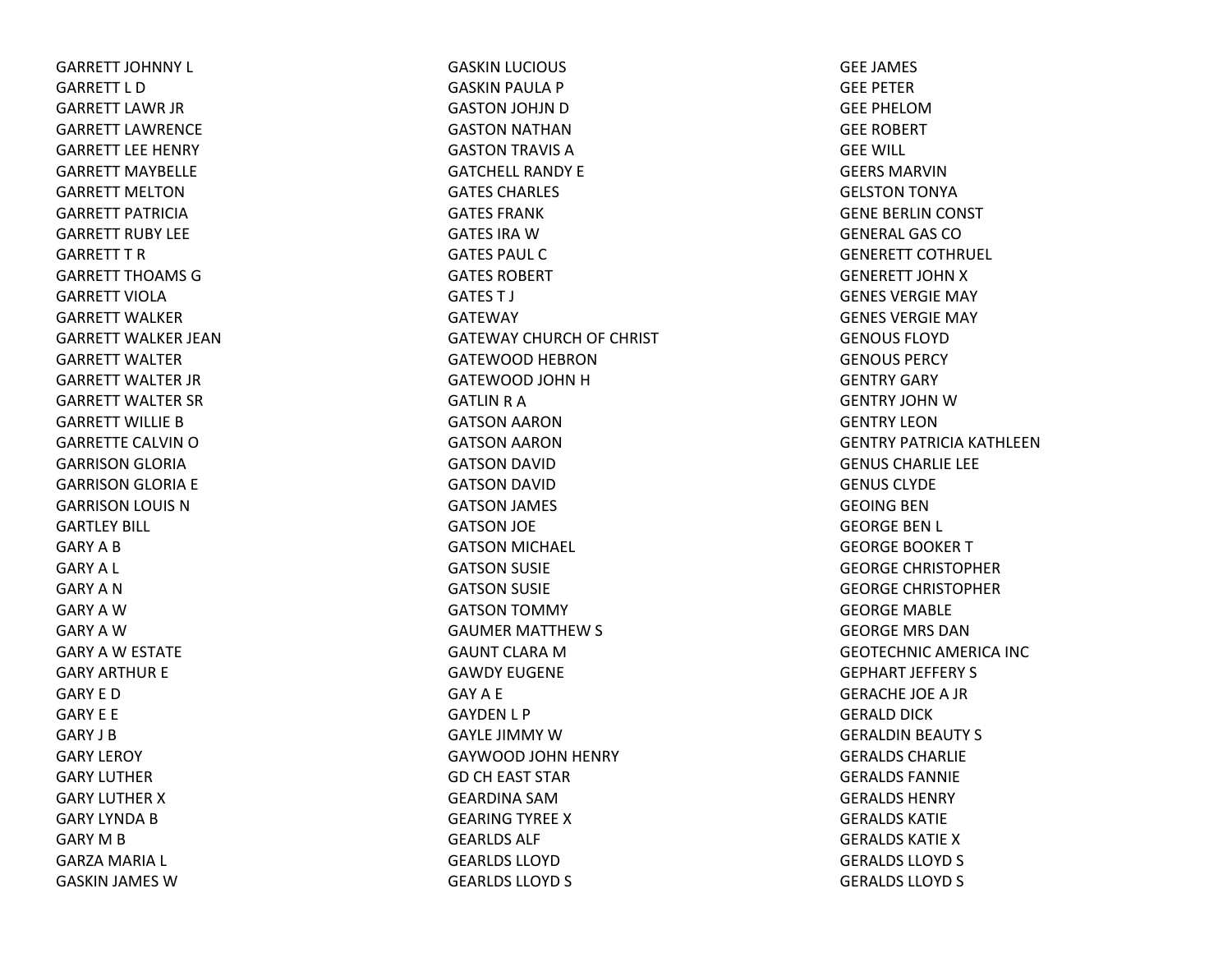GARRETT JOHNNY L GARRETT L DGARRETT LAWR JR GARRETT LAWRENCEGARRETT LEE HENRY GARRETT MAYBELLEGARRETT MELTONGARRETT PATRICIAGARRETT RUBY LEEGARRETT T RGARRETT THOAMS GGARRETT VIOLAGARRETT WALKERGARRETT WALKER JEANGARRETT WALTERGARRETT WALTER JR GARRETT WALTER SR GARRETT WILLIE BGARRETTE CALVIN OGARRISON GLORIA GARRISON GLORIA E GARRISON LOUIS N GARTLEY BILL GARY A B GARY A L GARY A NGARY A WGARY A WGARY A W ESTATE GARY ARTHUR E GARY E DGARY E E GARY J BGARY LEROY GARY LUTHERGARY LUTHER X GARY LYNDA B GARY M B GARZA MARIA L GASKIN JAMES W

GASKIN LUCIOUS GASKIN PAULA P GASTON JOHJN D GASTON NATHAN GASTON TRAVIS A GATCHELL RANDY EGATES CHARLES GATES FRANKGATES IRA WGATES PAUL CGATES ROBERTGATES T J GATEWAYGATEWAY CHURCH OF CHRIST GATEWOOD HEBRONGATEWOOD JOHN H GATLIN R A GATSON AARON GATSON AARON GATSON DAVID GATSON DAVID GATSON JAMES GATSON JOE GATSON MICHAEL GATSON SUSIE GATSON SUSIE GATSON TOMMY GAUMER MATTHEW S GAUNT CLARA MGAWDY EUGENEGAY A E GAYDEN L P GAYLE JIMMY WGAYWOOD JOHN HENRY GD CH EAST STAR GEARDINA SAMGEARING TYREE X GEARLDS ALF GEARLDS LLOYDGEARLDS LLOYD S

GEE JAMES GEE PETERGEE PHELOMGEE ROBERT GEE WILL GEERS MARVINGELSTON TONYA GENE BERLIN CONST GENERAL GAS COGENERETT COTHRUEL GENERETT JOHN X GENES VERGIE MAY GENES VERGIE MAY GENOUS FLOYDGENOUS PERCYGENTRY GARY GENTRY JOHN WGENTRY LEONGENTRY PATRICIA KATHLEENGENUS CHARLIE LEE GENUS CLYDEGEOING BENGEORGE BEN L GEORGE BOOKER T GEORGE CHRISTOPHERGEORGE CHRISTOPHERGEORGE MABLE GEORGE MRS DANGEOTECHNIC AMERICA INC GEPHART JEFFERY S GERACHE JOE A JR GERALD DICK GERALDIN BEAUTY S GERALDS CHARLIEGERALDS FANNIEGERALDS HENRYGERALDS KATIEGERALDS KATIE XGERALDS LLOYD S GERALDS LLOYD S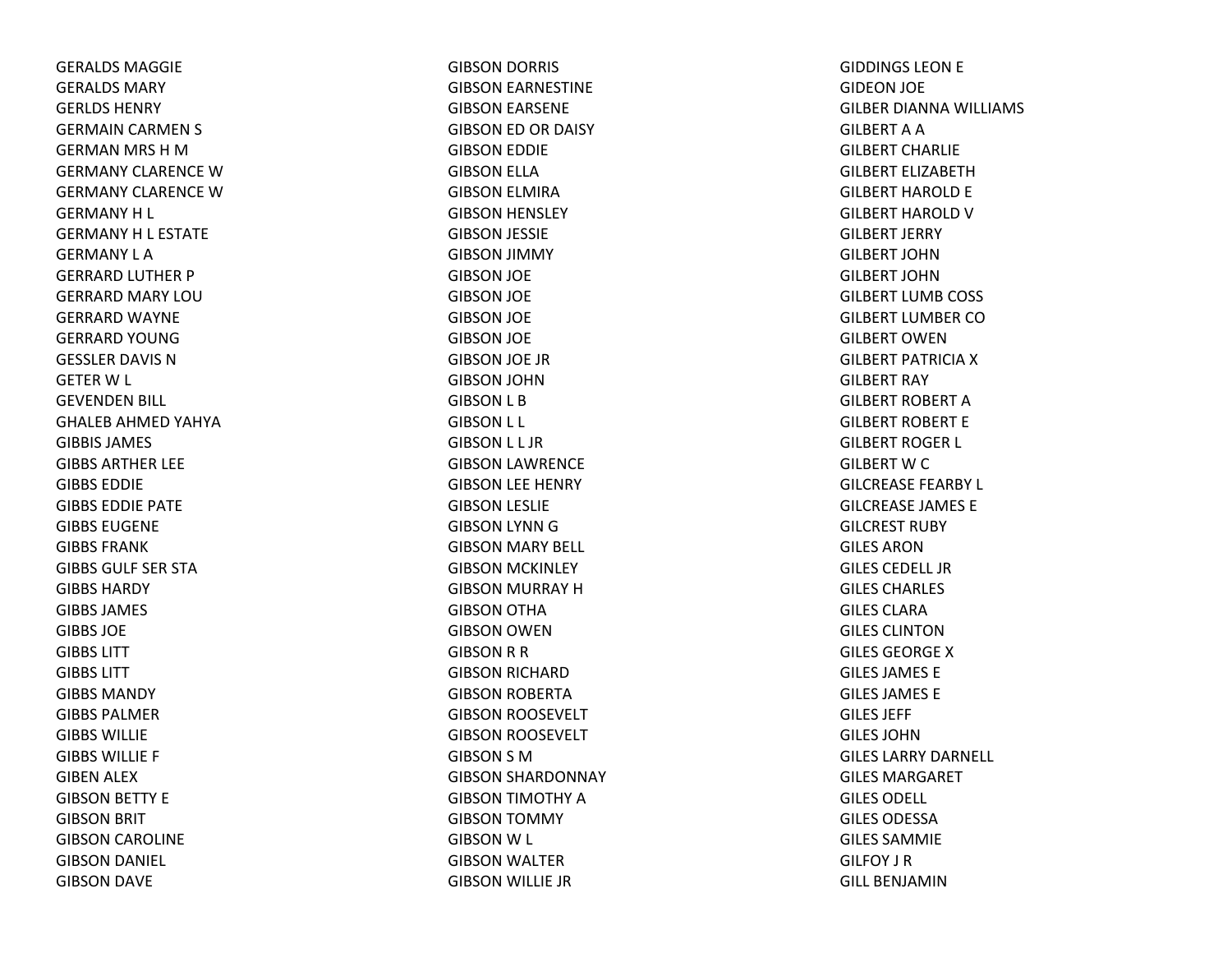GERALDS MAGGIEGERALDS MARYGERLDS HENRYGERMAIN CARMEN S GERMAN MRS H M GERMANY CLARENCE W GERMANY CLARENCE W GERMANYH L GERMANY H L ESTATE GERMANY L AGERRARD LUTHER P GERRARD MARY LOUGERRARD WAYNE GERRARD YOUNGGESSLER DAVIS NGETERW L GEVENDEN BILL GHALEB AHMED YAHYA GIBBIS JAMESGIBBS ARTHER LEE GIBBS EDDIEGIBBS EDDIE PATE GIBBS EUGENEGIBBS FRANKGIBBS GULF SER STAGIBBS HARDYGIBBS JAMES GIBBS JOEGIBBS LITTGIBBS LITTGIBBS MANDYGIBBS PALMER GIBBS WILLIEGIBBS WILLIE F GIBEN ALEX GIBSON BETTY E GIBSON BRIT GIBSON CAROLINE GIBSON DANIEL GIBSON DAVE

GIBSON DORRIS GIBSON EARNESTINE GIBSON EARSENE GIBSON ED OR DAISY GIBSON EDDIE GIBSON ELLA GIBSON ELMIRA GIBSON HENSLEY GIBSON JESSIE GIBSON JIMMY GIBSON JOE GIBSON JOE GIBSON JOE GIBSON JOE GIBSON JOE JR GIBSON JOHN GIBSON L B GIBSON L L GIBSON L L JR GIBSON LAWRENCE GIBSON LEE HENRY GIBSON LESLIE GIBSON LYNN GGIBSON MARY BELL GIBSON MCKINLEY GIBSON MURRAY HGIBSON OTHA GIBSON OWEN GIBSON R R GIBSON RICHARD GIBSON ROBERTA GIBSON ROOSEVELT GIBSON ROOSEVELT GIBSON S MGIBSON SHARDONNAY GIBSON TIMOTHY AGIBSON TOMMY GIBSON W L GIBSON WALTER GIBSON WILLIE JR

GIDDINGS LEON E GIDEON JOE GILBER DIANNA WILLIAMS GILBERTAAGILBERT CHARLIEGILBERT ELIZABETHGILBERT HAROLD E GILBERT HAROLD V GILBERT JERRY GILBERT JOHNGILBERT JOHNGILBERT LUMB COSS GILBERT LUMBER COGILBERT OWENGILBERT PATRICIA X GILBERT RAY GILBERT ROBERT AGILBERT ROBERT EGILBERT ROGER L GILBERT W C GILCREASE FEARBY L GILCREASE JAMES EGILCREST RUBY GILES ARONGILES CEDELL JRGILES CHARLES GILES CLARAGILES CLINTONGILES GEORGEXGILES JAMES EGILES JAMES EGILES JEFF GILES JOHNGILES LARRY DARNELL GILES MARGARETGILES ODELL GILES ODESSAGILES SAMMIEGILFOY J RGILL BENJAMIN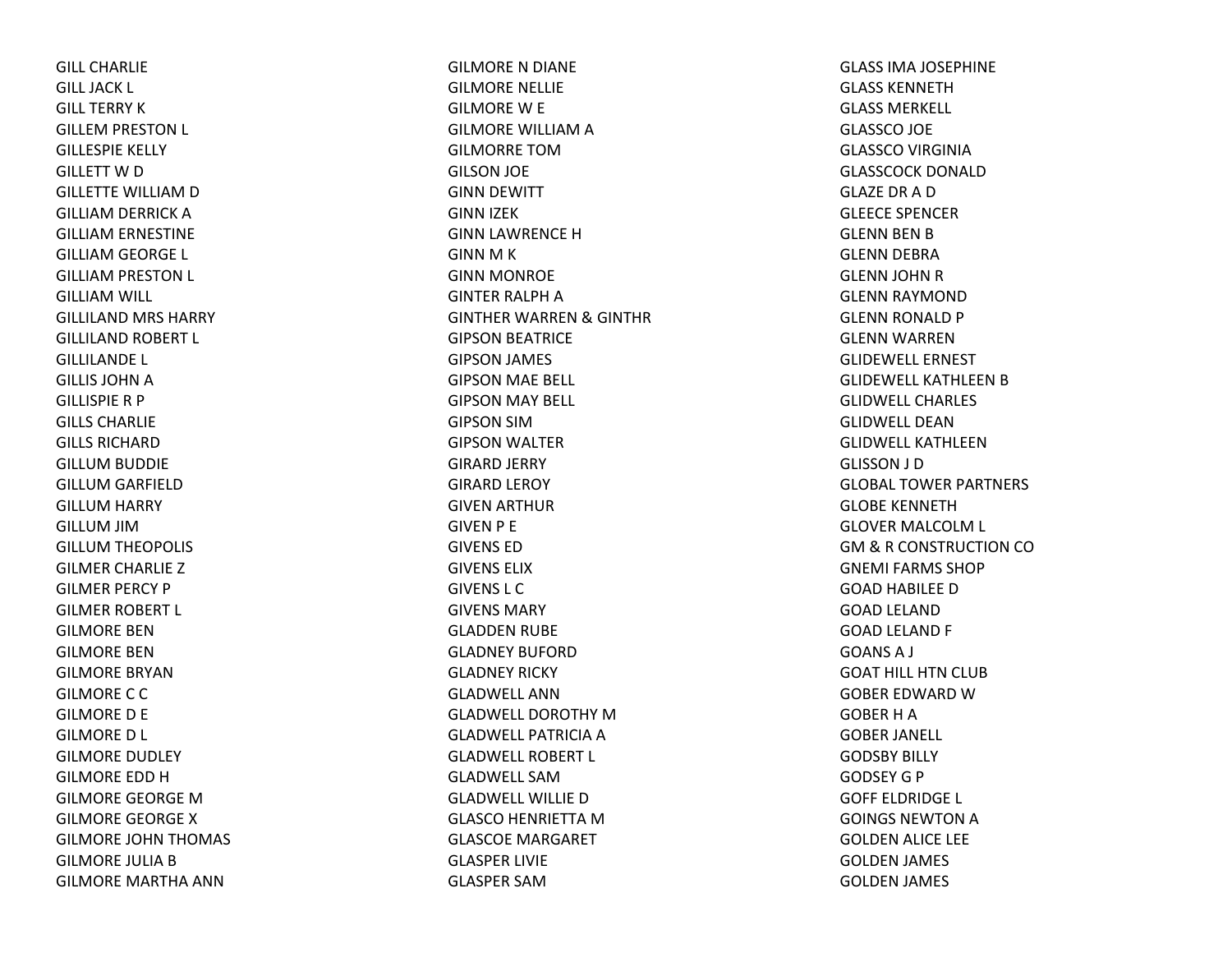GILL CHARLIEGILL JACK L GILL TERRY KGILLEM PRESTON L GILLESPIE KELLY GILLETT W D GILLETTE WILLIAM D GILLIAM DERRICK A GILLIAM ERNESTINE GILLIAM GEORGE L GILLIAM PRESTON L GILLIAM WILL GILLILAND MRS HARRY GILLILAND ROBERT L GILLILANDE L GILLIS JOHN A GILLISPIE R P GILLS CHARLIEGILLS RICHARDGILLUM BUDDIE GILLUM GARFIELD GILLUM HARRY GILLUM JIM GILLUM THEOPOLIS GILMER CHARLIE Z GILMER PERCY P GILMER ROBERT L GILMORE BENGILMORE BENGILMORE BRYANGILMORE C C GILMORE D E GILMORE D L GILMORE DUDLEY GILMORE EDD HGILMORE GEORGE MGILMORE GEORGE XGILMORE JOHN THOMAS GILMORE JULIA B GILMORE MARTHA ANN

GILMORE N DIANE GILMORE NELLIE GILMORE W E GILMORE WILLIAM A GILMORRE TOMGILSON JOE GINN DEWITT GINN IZEK GINN LAWRENCE H GINN M K GINN MONROE GINTER RALPH A GINTHER WARREN & GINTHR GIPSON BEATRICE GIPSON JAMES GIPSON MAE BELL GIPSON MAY BELL GIPSON SIMGIPSON WALTER GIRARD JERRY GIRARD LEROY GIVEN ARTHUR GIVEN P E GIVENS EDGIVENS ELIXGIVENS L CGIVENS MARYGLADDEN RUBE GLADNEY BUFORDGLADNEY RICKY GLADWELL ANNGLADWELL DOROTHY MGLADWELL PATRICIA A GLADWELL ROBERT L GLADWELL SAMGLADWELL WILLIE DGLASCO HENRIETTA MGLASCOE MARGARET GLASPER LIVIE GLASPER SAM

GLASS IMA JOSEPHINE GLASS KENNETHGLASS MERKELL GLASSCO JOE GLASSCO VIRGINIA GLASSCOCK DONALDGLAZE DR A DGLEECE SPENCERGLENN BEN B GLENN DEBRA GLENN JOHN R GLENN RAYMOND GLENN RONALD P GLENN WARREN GLIDEWELL ERNESTGLIDEWELL KATHLEEN B GLIDWELL CHARLESGLIDWELL DEANGLIDWELL KATHLEENGLISSON J D GLOBAL TOWER PARTNERS GLOBE KENNETHGLOVER MALCOLM L GM & R CONSTRUCTION CO GNEMI FARMS SHOPGOAD HABILEE D GOAD LELAND GOAD LELAND F GOANS A J GOAT HILL HTN CLUB GOBER EDWARD WGOBER H A GOBER JANELL GODSBY BILLY GODSEY G P GOFF ELDRIDGE L GOINGS NEWTON A GOLDEN ALICE LEE GOLDEN JAMES GOLDEN JAMES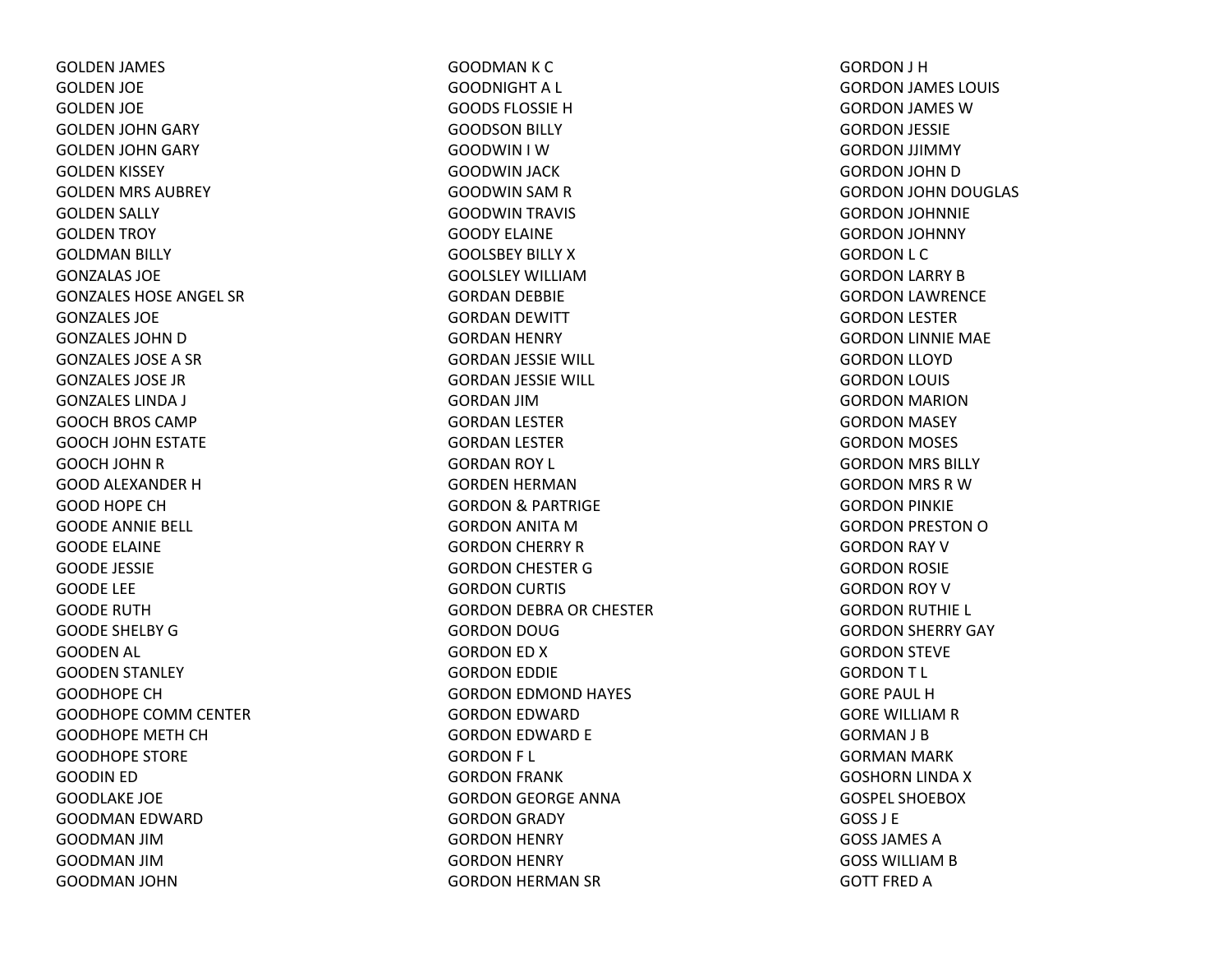GOLDEN JAMES GOLDEN JOE GOLDEN JOE GOLDEN JOHN GARY GOLDEN JOHN GARY GOLDEN KISSEY GOLDEN MRS AUBREY GOLDEN SALLY GOLDEN TROY GOLDMAN BILLY GONZALAS JOEGONZALES HOSE ANGEL SR GONZALES JOEGONZALES JOHN D GONZALES JOSE A SR GONZALES JOSE JRGONZALES LINDA J GOOCH BROS CAMP GOOCH JOHN ESTATE GOOCH JOHN R GOOD ALEXANDER HGOOD HOPE CHGOODE ANNIE BELL GOODE ELAINE GOODE JESSIE GOODE LEE GOODE RUTHGOODE SHELBY GGOODEN AL GOODEN STANLEY GOODHOPE CHGOODHOPE COMM CENTER GOODHOPE METH CH GOODHOPE STORE GOODIN ED GOODLAKE JOE GOODMAN EDWARD GOODMAN JIMGOODMAN JIMGOODMAN JOHN

GOODMAN K C GOODNIGHT A L GOODS FLOSSIE HGOODSON BILLY GOODWIN I WGOODWIN JACK GOODWIN SAM R GOODWIN TRAVIS GOODY ELAINEGOOLSBEY BILLY XGOOLSLEY WILLIAMGORDAN DEBBIE GORDAN DEWITT GORDAN HENRY GORDAN JESSIE WILL GORDAN JESSIE WILL GORDAN JIMGORDAN LESTER GORDAN LESTER GORDAN ROY L GORDEN HERMAN GORDON & PARTRIGE GORDON ANITA MGORDON CHERRY R GORDON CHESTER G GORDON CURTIS GORDON DEBRA OR CHESTER GORDON DOUG GORDON ED X GORDON EDDIE GORDON EDMOND HAYES GORDON EDWARD GORDON EDWARD E GORDON F L GORDON FRANK GORDON GEORGE ANNA GORDON GRADY GORDON HENRY GORDON HENRY GORDON HERMAN SR

GORDON J H GORDON JAMES LOUIS GORDON JAMES WGORDON JESSIE GORDON JJIMMY GORDON JOHN D GORDON JOHN DOUGLAS GORDON JOHNNIE GORDON JOHNNY GORDON L C GORDON LARRY B GORDON LAWRENCE GORDON LESTER GORDON LINNIE MAE GORDON LLOYD GORDON LOUIS GORDON MARION GORDON MASEY GORDON MOSES GORDON MRS BILLY GORDON MRS R WGORDON PINKIE GORDON PRESTON OGORDON RAY V GORDON ROSIE GORDON ROY V GORDON RUTHIE L GORDON SHERRY GAY GORDON STEVE GORDON T L GORE PAUL HGORE WILLIAM R GORMAN J B GORMAN MARK GOSHORN LINDA X GOSPEL SHOEBOXGOSS J EGOSS JAMES AGOSS WILLIAM B GOTT FRED A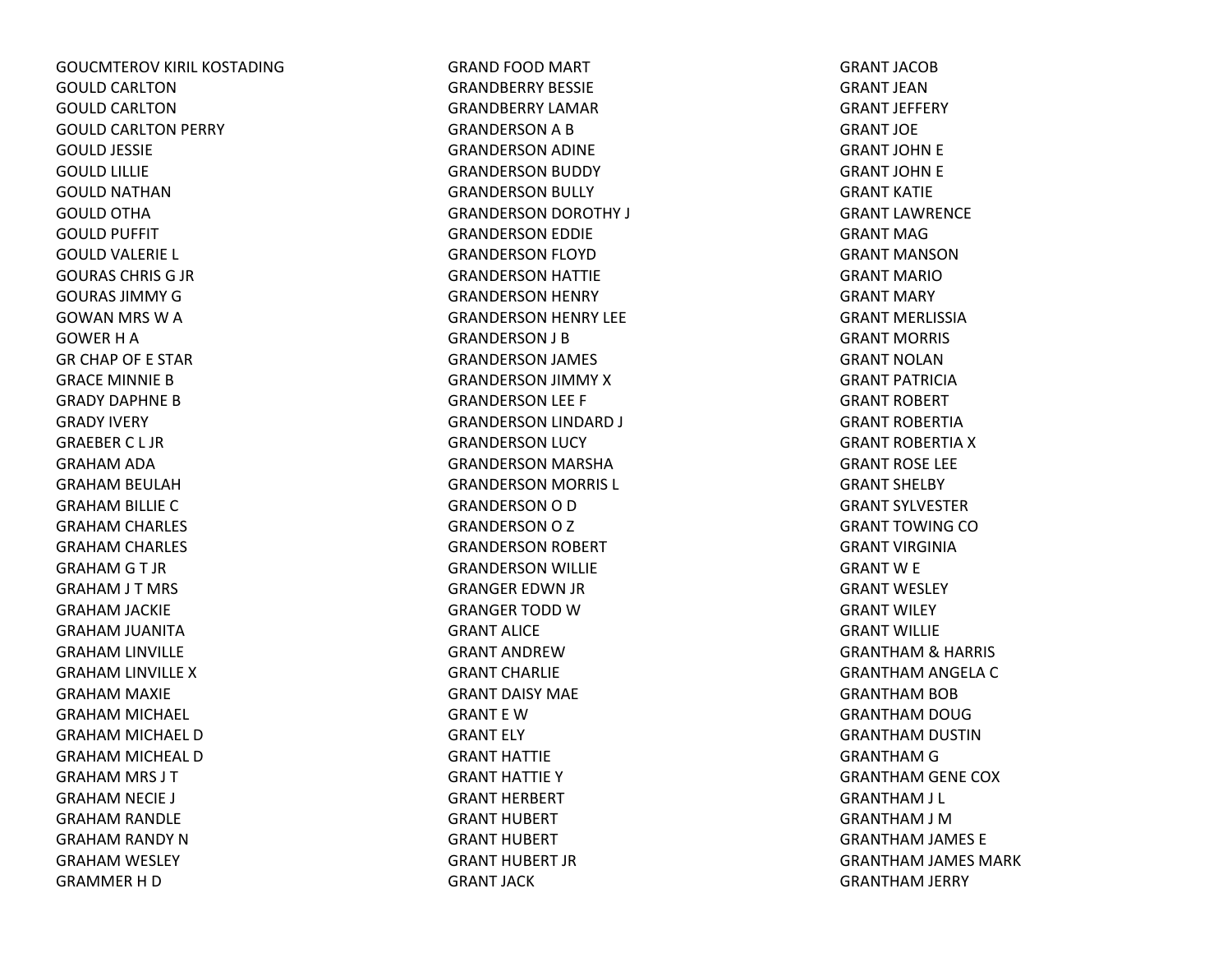GOUCMTEROV KIRIL KOSTADINGGOULD CARLTONGOULD CARLTONGOULD CARLTON PERRY GOULD JESSIE GOULD LILLIE GOULD NATHANGOULD OTHA GOULD PUFFIT GOULD VALERIE L GOURAS CHRIS G JR GOURAS JIMMY GGOWAN MRS W A GOWER H A GR CHAP OF E STAR GRACE MINNIE BGRADY DAPHNE BGRADY IVERY GRAEBER C L JRGRAHAM ADA GRAHAM BEULAH GRAHAM BILLIE C GRAHAM CHARLES GRAHAM CHARLES GRAHAM G T JR GRAHAM J T MRS GRAHAM JACKIE GRAHAM JUANITA GRAHAM LINVILLE GRAHAM LINVILLE X GRAHAM MAXIE GRAHAM MICHAEL GRAHAM MICHAEL D GRAHAM MICHEAL D GRAHAM MRS J T GRAHAM NECIE J GRAHAM RANDLE GRAHAM RANDY N GRAHAM WESLEY GRAMMER H D

GRAND FOOD MART GRANDBERRY BESSIEGRANDBERRY LAMARGRANDERSON A B GRANDERSON ADINE GRANDERSON BUDDY GRANDERSON BULLY GRANDERSON DOROTHY J GRANDERSON EDDIE GRANDERSON FLOYD GRANDERSON HATTIE GRANDERSON HENRY GRANDERSON HENRY LEE GRANDERSON J B GRANDERSON JAMES GRANDERSON JIMMY X GRANDERSON LEE F GRANDERSON LINDARD J GRANDERSON LUCY GRANDERSON MARSHA GRANDERSON MORRIS L GRANDERSON O D GRANDERSON O Z GRANDERSON ROBERT GRANDERSON WILLIE GRANGER EDWN JR GRANGER TODD WGRANT ALICEGRANT ANDREWGRANT CHARLIEGRANT DAISY MAEGRANT E WGRANT ELY GRANT HATTIEGRANT HATTIE Y GRANT HERBERT GRANT HUBERT GRANT HUBERT GRANT HUBERT JRGRANT JACK

GRANT JACOBGRANT JEANGRANT JEFFERY GRANT JOEGRANT JOHN E GRANT JOHN E GRANT KATIEGRANT LAWRENCEGRANT MAGGRANT MANSONGRANT MARIOGRANT MARY GRANT MERLISSIAGRANT MORRIS GRANT NOLANGRANT PATRICIAGRANT ROBERT GRANT ROBERTIAGRANT ROBERTIA X GRANT ROSE LEE GRANT SHELBY GRANT SYLVESTERGRANT TOWING COGRANT VIRGINIAGRANT W E GRANT WESLEY GRANT WILEY GRANT WILLIEGRANTHAM & HARRIS GRANTHAM ANGELA C GRANTHAM BOB GRANTHAM DOUG GRANTHAM DUSTIN GRANTHAM G GRANTHAM GENE COX GRANTHAM J L GRANTHAM J M GRANTHAM JAMES E GRANTHAM JAMES MARK GRANTHAM JERRY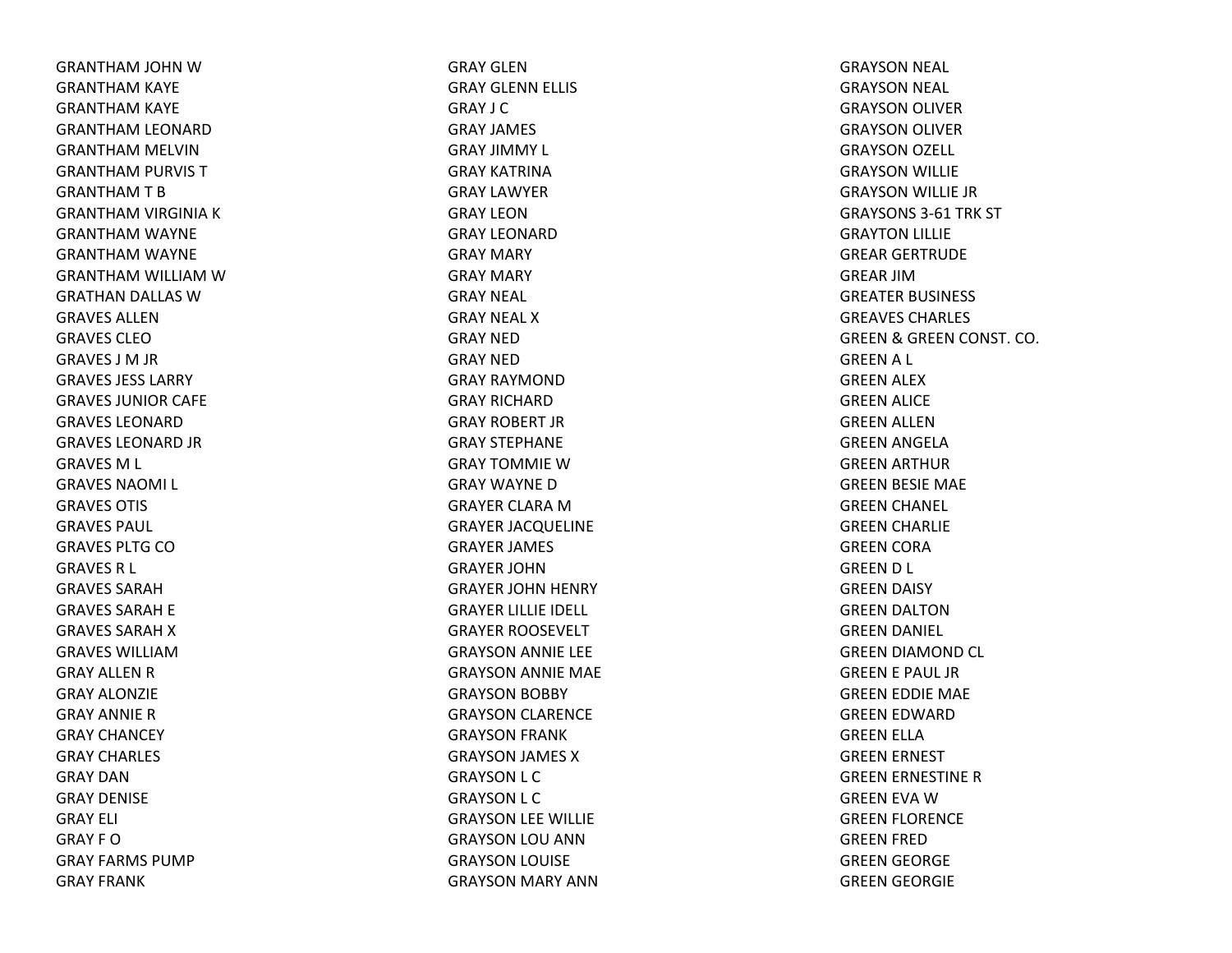GRANTHAM JOHN WGRANTHAM KAYE GRANTHAM KAYE GRANTHAM LEONARD GRANTHAM MELVIN GRANTHAM PURVIS TGRANTHAMTBGRANTHAM VIRGINIA KGRANTHAM WAYNE GRANTHAM WAYNE GRANTHAM WILLIAM WGRATHAN DALLAS WGRAVES ALLENGRAVES CLEOGRAVES J M JR GRAVES JESS LARRYGRAVES JUNIOR CAFE GRAVES LEONARDGRAVES LEONARD JR GRAVES M L GRAVES NAOMI L GRAVES OTIS GRAVES PAUL GRAVES PLTG COGRAVES R L GRAVES SARAHGRAVES SARAH E GRAVES SARAH X GRAVES WILLIAMGRAY ALLEN R GRAY ALONZIEGRAY ANNIERGRAY CHANCEY GRAY CHARLES GRAY DANGRAY DENISEGRAY ELI GRAY F OGRAY FARMS PUMPGRAY FRANK

GRAY GLENGRAY GLENN ELLIS GRAY J CGRAY JAMES GRAY JIMMY L GRAY KATRINAGRAY LAWYERGRAY LEONGRAY LEONARDGRAY MARY GRAY MARY GRAY NEAL GRAY NEAL XGRAY NEDGRAY NEDGRAY RAYMONDGRAY RICHARDGRAY ROBERT JRGRAY STEPHANEGRAY TOMMIE W GRAY WAYNEDGRAYER CLARA M GRAYER JACQUELINE GRAYER JAMES GRAYER JOHNGRAYER JOHN HENRY GRAYER LILLIE IDELL GRAYER ROOSEVELT GRAYSON ANNIE LEE GRAYSON ANNIE MAE GRAYSON BOBBY GRAYSON CLARENCE GRAYSON FRANK GRAYSON JAMES XGRAYSON L C GRAYSON L C GRAYSON LEE WILLIE GRAYSON LOU ANN GRAYSON LOUISE GRAYSON MARY ANN

GRAYSON NEAL GRAYSON NEAL GRAYSON OLIVER GRAYSON OLIVER GRAYSON OZELL GRAYSON WILLIE GRAYSON WILLIE JR GRAYSONS 3‐61 TRK ST GRAYTON LILLIE GREAR GERTRUDE GREAR JIMGREATER BUSINESS GREAVES CHARLES GREEN& GREEN CONST. CO. GREENA L GREEN ALEX GREEN ALICE GREEN ALLEN GREEN ANGELA GREEN ARTHUR GREEN BESIE MAE GREEN CHANEL GREEN CHARLIE GREEN CORA GREEND L GREEN DAISY GREEN DALTON GREEN DANIEL GREEN DIAMOND CL GREEN E PAUL JR GREEN EDDIE MAE GREEN EDWARD GREEN ELLA GREEN ERNEST GREEN ERNESTINE RGREEN EVA WGREEN FLORENCE GREEN FRED GREEN GEORGE GREEN GEORGIE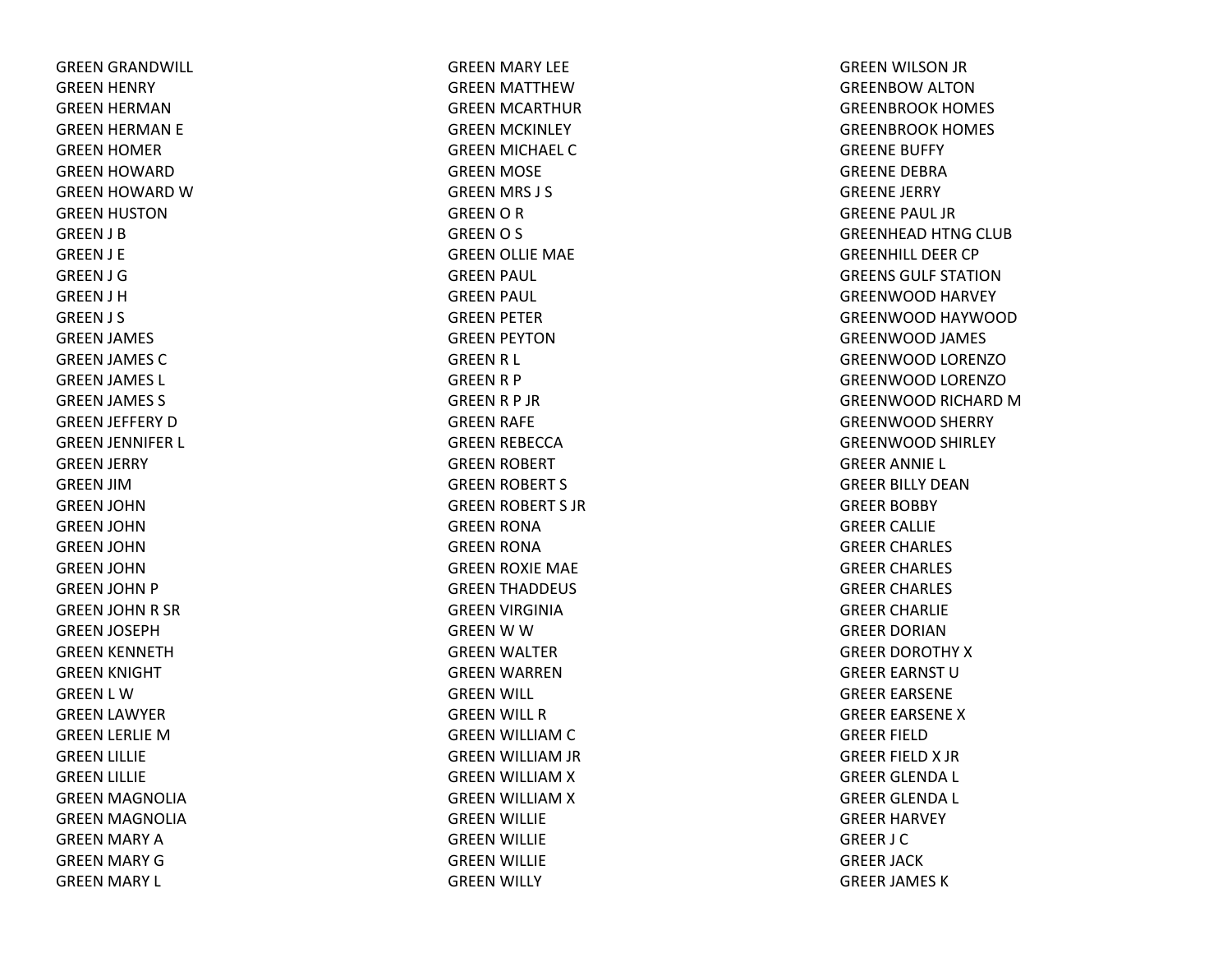GREEN GRANDWILL GREEN HENRY GREEN HERMAN GREEN HERMAN E GREEN HOMER GREEN HOWARD GREEN HOWARD WGREEN HUSTON GREEN J B GREEN J E GREEN J G GREEN J H GREEN J S GREEN JAMES GREEN JAMES CGREEN JAMES L GREEN JAMES S GREEN JEFFERY DGREEN JENNIFER L GREEN JERRY GREEN JIMGREEN JOHN GREEN JOHN GREEN JOHN GREEN JOHN GREEN JOHN P GREEN JOHN R SR GREEN JOSEPH GREEN KENNETH GREEN KNIGHT GREEN L WGREEN LAWYER GREEN LERLIE MGREEN LILLIE GREEN LILLIE GREEN MAGNOLIA GREEN MAGNOLIA GREEN MARY AGREEN MARY GGREEN MARY L

GREEN MARY LEE GREEN MATTHEWGREEN MCARTHUR GREEN MCKINLEY GREEN MICHAEL CGREEN MOSE GREEN MRS J S GREENORGREENO S GREEN OLLIE MAE GREEN PAUL GREEN PAUL GREEN PETER GREEN PEYTON GREEN R L GREEN R P GREENR P JR GREEN RAFE GREEN REBECCA GREEN ROBERT GREEN ROBERT S GREEN ROBERT S JR GREEN RONA GREEN RONA GREEN ROXIE MAE GREEN THADDEUS GREEN VIRGINIA GREEN W W GREEN WALTER GREEN WARREN GREEN WILL GREEN WILL RGREEN WILLIAM C GREEN WILLIAM JR GREEN WILLIAM X GREEN WILLIAM X GREEN WILLIE GREEN WILLIE GREEN WILLIE GREEN WILLY

GREEN WILSON JR GREENBOW ALTON GREENBROOK HOMES GREENBROOK HOMES GREENE BUFFY GREENE DEBRAGREENE JERRY GREENE PAUL JRGREENHEAD HTNG CLUB GREENHILL DEER CP GREENS GULF STATIONGREENWOOD HARVEY GREENWOOD HAYWOOD GREENWOOD JAMES GREENWOOD LORENZOGREENWOOD LORENZOGREENWOOD RICHARD MGREENWOOD SHERRY GREENWOOD SHIRLEY GREER ANNIE L GREER BILLY DEANGREER BOBBY GREER CALLIE GREER CHARLES GREER CHARLES GREER CHARLES GREER CHARLIE GREER DORIANGREER DOROTHY XGREER EARNST UGREER EARSENE GREER EARSENE XGREER FIELDGREER FIELD X JR GREER GLENDA L GREER GLENDA L GREER HARVEY GREER J C GREER JACK GREER JAMES K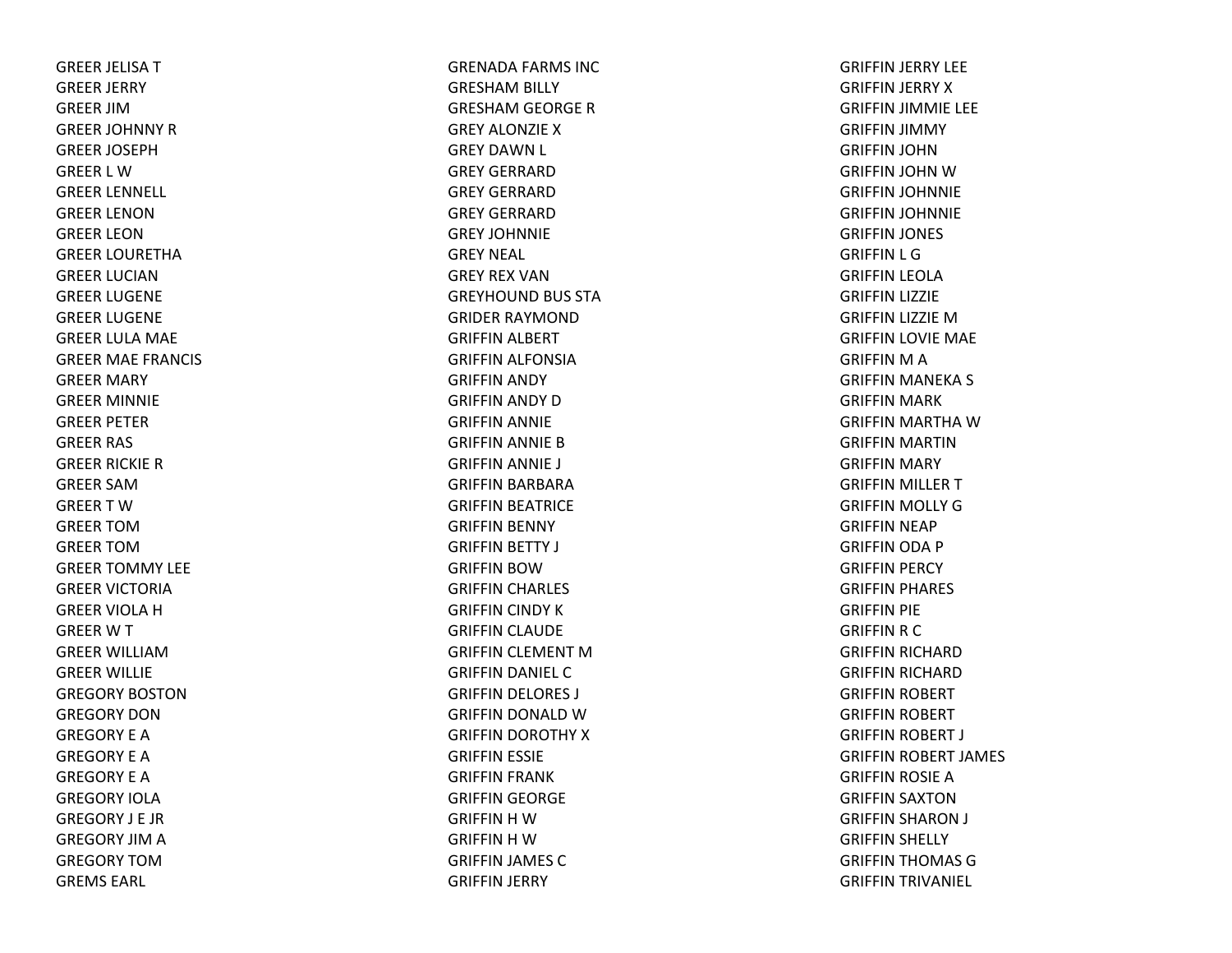GREER JELISATGREER JERRY GREER JIMGREER JOHNNY RGREER JOSEPHGREER L WGREER LENNELL GREER LENONGREER LEONGREER LOURETHAGREER LUCIANGREER LUGENE GREER LUGENE GREER LULA MAE GREER MAE FRANCIS GREER MARY GREER MINNIE GREER PETER GREER RAS GREER RICKIE RGREER SAMGREERTWGREER TOMGREER TOMGREER TOMMY LEE GREER VICTORIAGREER VIOLA H GREERWTGREER WILLIAMGREER WILLIE GREGORY BOSTONGREGORY DONGREGORY E AGREGORY E AGREGORY E AGREGORY IOLAGREGORY J E JRGREGORY JIM A GREGORY TOMGREMS EARL

GRENADA FARMS INC GRESHAM BILLY GRESHAM GEORGE RGREY ALONZIEXGREY DAWN L GREY GERRARDGREY GERRARDGREY GERRARDGREY JOHNNIEGREY NEAL GREY REX VANGREYHOUND BUS STA GRIDER RAYMONDGRIFFIN ALBERT GRIFFIN ALFONSIA GRIFFIN ANDY GRIFFIN ANDY DGRIFFIN ANNIE GRIFFIN ANNIE BGRIFFIN ANNIE J GRIFFIN BARBARA GRIFFIN BEATRICE GRIFFIN BENNY GRIFFIN BETTY J GRIFFIN BOWGRIFFIN CHARLES GRIFFIN CINDY KGRIFFIN CLAUDE GRIFFIN CLEMENT MGRIFFIN DANIEL CGRIFFIN DELORES J GRIFFIN DONALD WGRIFFIN DOROTHY XGRIFFIN ESSIE GRIFFIN FRANK GRIFFIN GEORGE GRIFFIN H W GRIFFIN H W GRIFFIN JAMES CGRIFFIN JERRY

GRIFFIN JERRY LEE GRIFFIN JERRY XGRIFFIN JIMMIE LEE GRIFFIN JIMMY GRIFFIN JOHN GRIFFIN JOHN WGRIFFIN JOHNNIE GRIFFIN JOHNNIE GRIFFIN JONES GRIFFIN L G GRIFFIN LEOLA GRIFFIN LIZZIE GRIFFIN LIZZIE MGRIFFIN LOVIE MAE GRIFFIN M A GRIFFIN MANEKA S GRIFFIN MARK GRIFFIN MARTHA WGRIFFIN MARTIN GRIFFIN MARY GRIFFIN MILLER TGRIFFIN MOLLY GGRIFFIN NEAP GRIFFIN ODA P GRIFFIN PERCY GRIFFIN PHARES GRIFFIN PIE GRIFFIN R C GRIFFIN RICHARD GRIFFIN RICHARD GRIFFIN ROBERT GRIFFIN ROBERT GRIFFIN ROBERT J GRIFFIN ROBERT JAMES GRIFFIN ROSIE AGRIFFIN SAXTON GRIFFIN SHARON J GRIFFIN SHELLY GRIFFIN THOMAS GGRIFFIN TRIVANIEL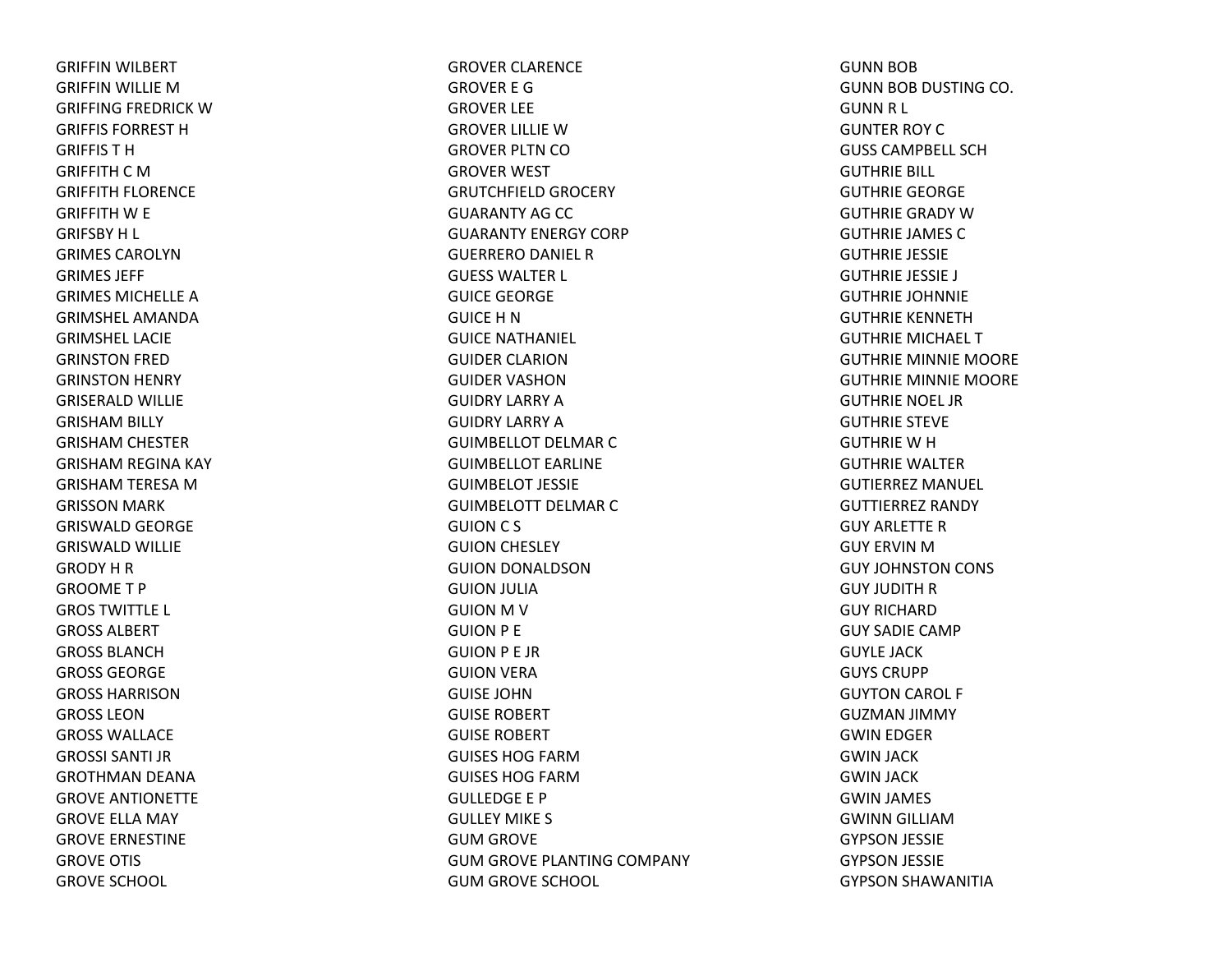GRIFFIN WILBERT GRIFFIN WILLIE MGRIFFING FREDRICK WGRIFFIS FORREST HGRIFFIS T HGRIFFITH C MGRIFFITH FLORENCE GRIFFITH W E GRIFSBY H L GRIMES CAROLYNGRIMES JEFF GRIMES MICHELLE AGRIMSHEL AMANDAGRIMSHEL LACIEGRINSTON FRED GRINSTON HENRY GRISERALD WILLIE GRISHAM BILLY GRISHAM CHESTER GRISHAM REGINA KAY GRISHAM TERESA MGRISSON MARK GRISWALD GEORGE GRISWALD WILLIE GRODY H R GROOME T PGROS TWITTLE L GROSS ALBERTGROSS BLANCHGROSS GEORGEGROSS HARRISONGROSS LEONGROSS WALLACEGROSSI SANTI JRGROTHMAN DEANA GROVE ANTIONETTE GROVE ELLA MAY GROVE ERNESTINE GROVE OTIS GROVE SCHOOL

GROVER CLARENCE GROVER E GGROVER LEE GROVER LILLIE WGROVER PLTN COGROVER WEST GRUTCHFIELD GROCERY GUARANTY AG CC GUARANTY ENERGY CORPGUERRERO DANIEL R GUESS WALTER L GUICE GEORGE GUICE H NGUICE NATHANIEL GUIDER CLARIONGUIDER VASHONGUIDRY LARRY AGUIDRY LARRY AGUIMBELLOT DELMAR C GUIMBELLOT EARLINEGUIMBELOT JESSIEGUIMBELOTT DELMAR C GUION C S GUION CHESLEY GUION DONALDSON GUION JULIA GUION M V GUION P E GUION P E JR GUION VERA GUISE JOHNGUISE ROBERT GUISE ROBERT GUISES HOG FARMGUISES HOG FARMGULLEDGE E PGULLEY MIKE S GUM GROVE GUM GROVE PLANTING COMPANY GUM GROVE SCHOOL

GUNN BOB GUNN BOB DUSTING CO. GUNN R L GUNTER ROY C GUSS CAMPBELL SCHGUTHRIE BILL GUTHRIE GEORGE GUTHRIE GRADY WGUTHRIE JAMES CGUTHRIE JESSIE GUTHRIE JESSIE J GUTHRIE JOHNNIE GUTHRIE KENNETHGUTHRIE MICHAEL T GUTHRIE MINNIE MOORE GUTHRIE MINNIE MOORE GUTHRIE NOEL JRGUTHRIE STEVE GUTHRIE W H GUTHRIE WALTERGUTIERREZ MANUEL GUTTIERREZ RANDYGUY ARLETTE RGUY ERVIN MGUY JOHNSTON CONS GUY JUDITH R GUY RICHARDGUY SADIE CAMPGUYLE JACKGUYS CRUPPGUYTON CAROL F GUZMAN JIMMY GWIN EDGER GWIN JACK GWIN JACK GWIN JAMES GWINN GILLIAMGYPSON JESSIE GYPSON JESSIE GYPSON SHAWANITIA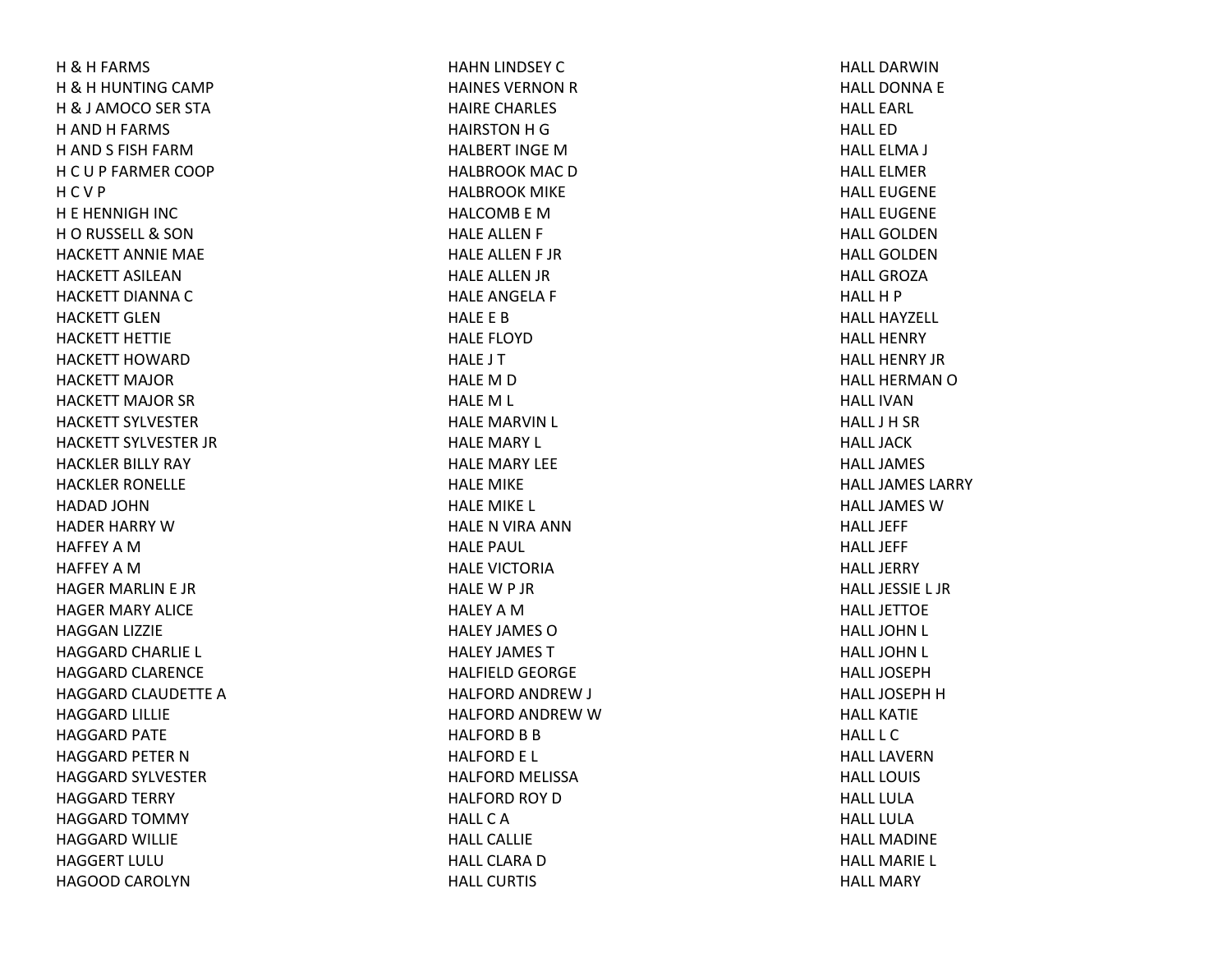H&H FARMS H&H HUNTING CAMP H& J AMOCO SER STA H AND H FARMS H AND S FISH FARMHCU P FARMER COOP HCV P H E HENNIGH INC HO RUSSELL & SON HACKETT ANNIE MAE HACKETT ASILEANHACKETT DIANNA C HACKETT GLENHACKETT HETTIEHACKETT HOWARDHACKETT MAJORHACKETT MAJOR SR HACKETT SYLVESTERHACKETT SYLVESTER JR HACKLER BILLY RAY HACKLER RONELLE HADAD JOHNHADER HARRY WHAFFEY A M HAFFEY A M HAGER MARLIN E JR HAGER MARY ALICE HAGGAN LIZZIE HAGGARD CHARLIE L HAGGARD CLARENCE HAGGARD CLAUDETTE AHAGGARD LILLIE HAGGARD PATE HAGGARD PETER NHAGGARD SYLVESTER HAGGARD TERRY HAGGARD TOMMY HAGGARD WILLIE HAGGERT LULUHAGOOD CAROLYN

HAHN LINDSEY CHAINES VERNON R HAIRE CHARLES HAIRSTON H G HALBERT INGE M HALBROOK MAC D HALBROOK MIKE HALCOMB E MHALE ALLEN F HALE ALLEN F JR HALE ALLEN JR HALE ANGELA F HALE E BHALE FLOYDHALE J T HALE M D HALEM L HALE MARVIN L HALE MARY L HALE MARY LEE HALE MIKE HALE MIKE L HALE N VIRA ANN HALE PAUL HALE VICTORIAHALEW P JR HALEY A M HALEY JAMES OHALEY JAMES THALFIELD GEORGE HALFORD ANDREW J HALFORD ANDREW W HALFORD B B HALFORD E L HALFORD MELISSA HALFORD ROY DHALLCAHALL CALLIEHALL CLARA D HALL CURTIS

HALL DARWINHALL DONNA E HALL EARL HALL EDHALL ELMA J HALL ELMERHALL EUGENEHALL EUGENEHALL GOLDENHALL GOLDENHALL GROZAHALL H P HALL HAYZELL HALL HENRYHALL HENRY JRHALL HERMAN O HALL IVANHALL J H SR HALL JACKHALL JAMESHALL JAMES LARRYHALL JAMES W HALL JEFFHALL JEFFHALL JERRYHALL JESSIE L JRHALL JETTOEHALL JOHN L HALL JOHN L HALL JOSEPHHALL JOSEPH H HALL KATIEHALL L CHALL LAVERNHALL LOUISHALL LULAHALL LULAHALL MADINEHALL MARIE L HALL MARY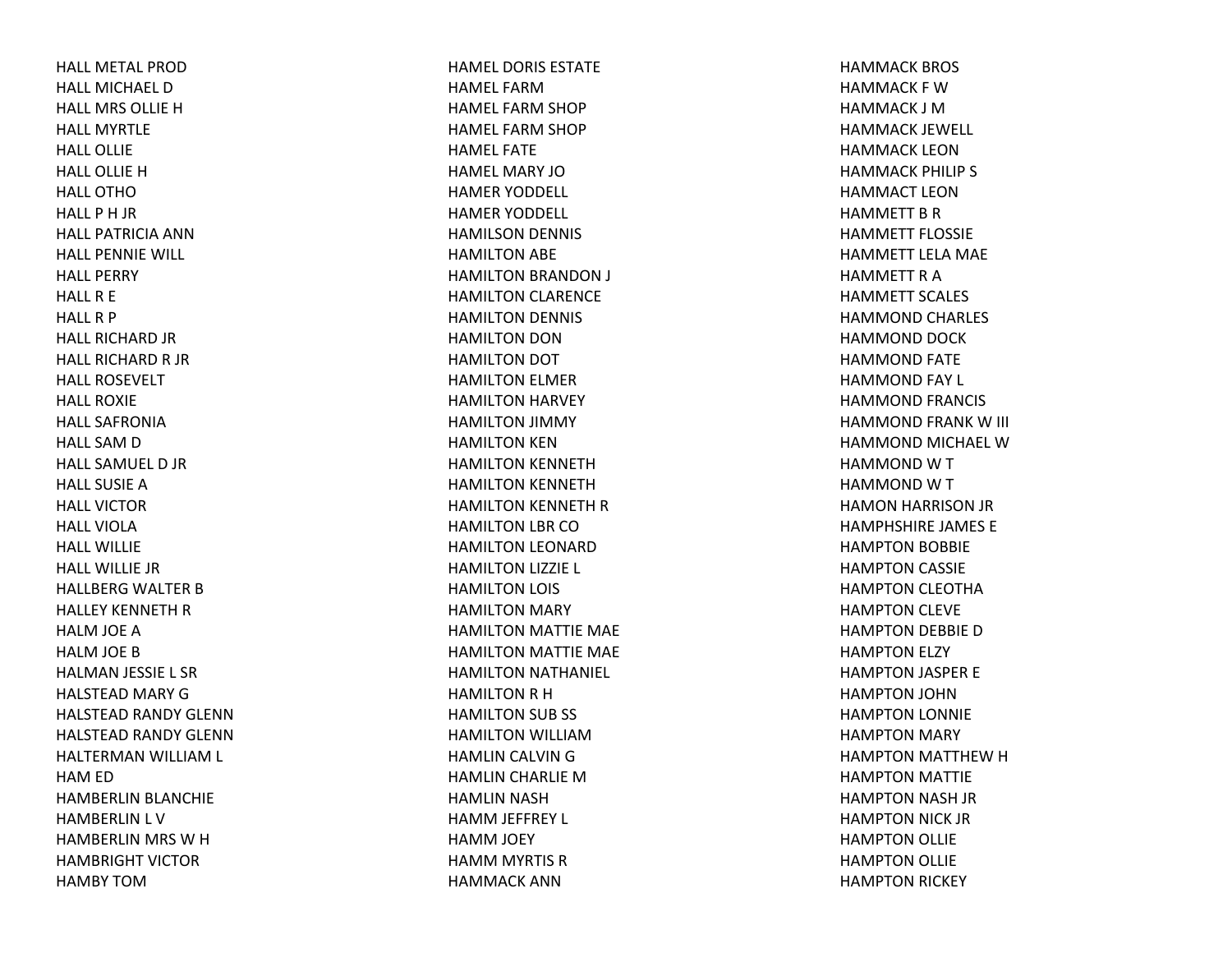HALL METAL PRODHALL MICHAEL DHALL MRS OLLIE H HALL MYRTLEHALL OLLIEHALL OLLIE H HALL OTHOHALL P H JR HALL PATRICIA ANNHALL PENNIE WILL HALL PERRYHALLR E HALLR P HALL RICHARD JR HALL RICHARD R JR HALL ROSEVELTHALL ROXIEHALL SAFRONIAHALL SAM D HALL SAMUEL D JR HALL SUSIEAHALL VICTORHALL VIOLAHALL WILLIEHALL WILLIE JRHALLBERG WALTER BHALLEY KENNETH R HALM JOE AHALM JOE BHALMAN JESSIE L SR HALSTEAD MARY GHALSTEAD RANDY GLENNHALSTEAD RANDY GLENNHALTERMAN WILLIAM L HAM ED HAMBERLIN BLANCHIE HAMBERLIN L V HAMBERLIN MRS WHHAMBRIGHT VICTORHAMBY TOM

HAMEL DORIS ESTATEHAMEL FARMHAMEL FARM SHOP HAMEL FARM SHOP HAMEL FATEHAMEL MARY JOHAMER YODDELL HAMER YODDELL HAMILSON DENNIS HAMILTON ABE HAMILTON BRANDON J HAMILTON CLARENCE HAMILTON DENNIS HAMILTON DON HAMILTON DOT HAMILTON ELMER HAMILTON HARVEY HAMILTON JIMMY HAMILTON KEN HAMILTON KENNETH HAMILTON KENNETH HAMILTON KENNETH RHAMILTON LBR COHAMILTON LEONARD HAMILTON LIZZIE L HAMILTON LOIS HAMILTON MARY HAMILTON MATTIE MAE HAMILTON MATTIE MAE HAMILTON NATHANIEL HAMILTON R H HAMILTON SUB SS HAMILTON WILLIAMHAMLIN CALVIN GHAMLIN CHARLIE MHAMLIN NASH HAMM JEFFREY L HAMM JOEY HAMM MYRTIS RHAMMACK ANN

HAMMACK BROS HAMMACK F WHAMMACK J MHAMMACK JEWELL HAMMACK LEONHAMMACK PHILIP S HAMMACT LEONHAMMETT B R HAMMETT FLOSSIEHAMMETT LELA MAE HAMMETT R A HAMMETT SCALES HAMMOND CHARLES HAMMOND DOCK HAMMOND FATE HAMMOND FAY L HAMMOND FRANCIS HAMMOND FRANK W III HAMMOND MICHAEL WHAMMONDWTHAMMONDWTHAMON HARRISON JR HAMPHSHIRE JAMES E HAMPTON BOBBIE HAMPTON CASSIE HAMPTON CLEOTHA HAMPTON CLEVE HAMPTON DEBBIE DHAMPTON ELZY HAMPTON JASPER E HAMPTON JOHN HAMPTON LONNIE HAMPTON MARY HAMPTON MATTHEW H HAMPTON MATTIE HAMPTON NASH JR HAMPTON NICK JR HAMPTON OLLIE HAMPTON OLLIE HAMPTON RICKEY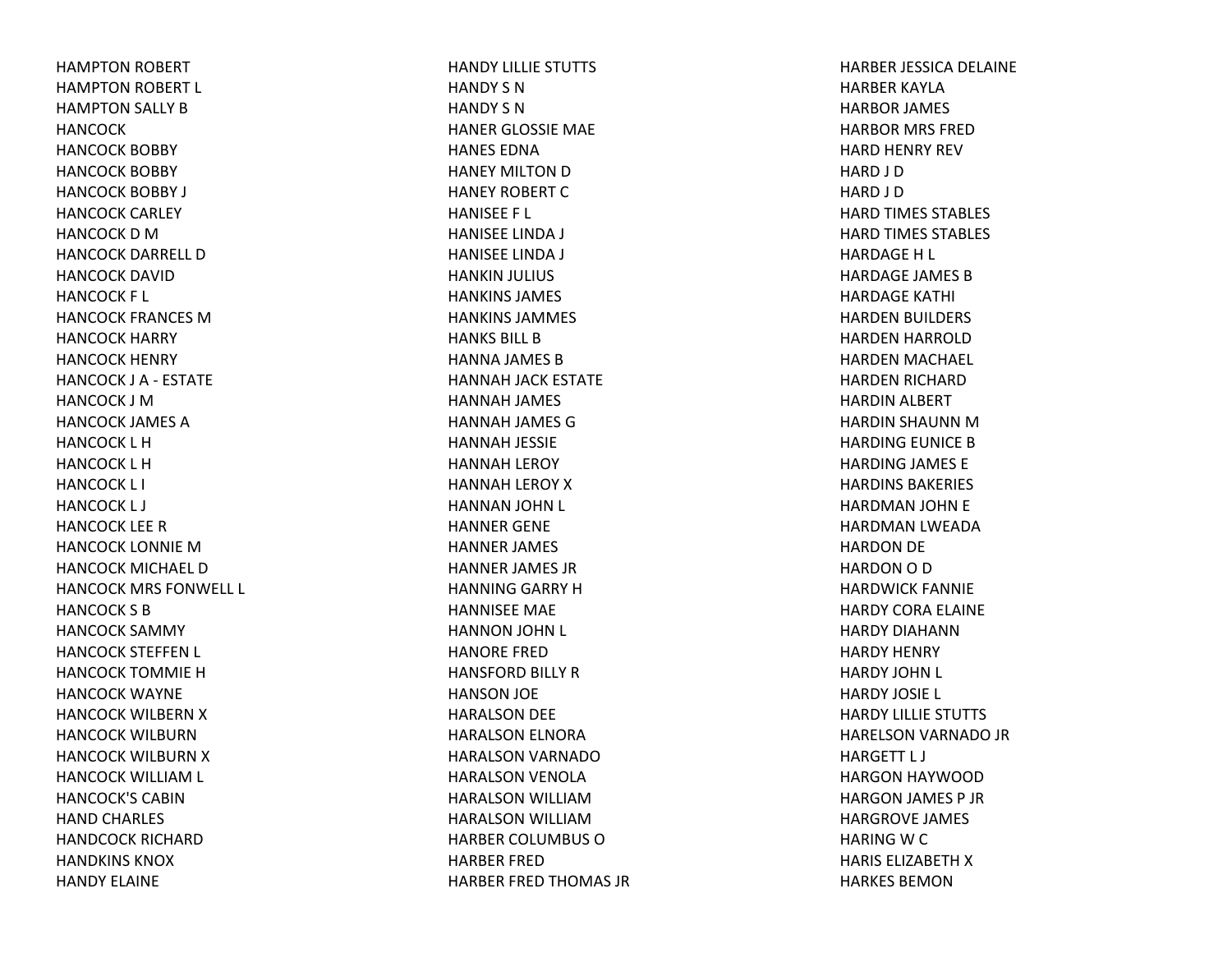HAMPTON ROBERT HAMPTON ROBERT L HAMPTON SALLY BHANCOCKHANCOCK BOBBY HANCOCK BOBBY HANCOCK BOBBY J HANCOCK CARLEY HANCOCK D M HANCOCK DARRELL DHANCOCK DAVIDHANCOCK F L HANCOCK FRANCES MHANCOCK HARRY HANCOCK HENRY HANCOCK J A ‐ ESTATE HANCOCK J MHANCOCK JAMES AHANCOCK L HHANCOCK L HHANCOCK L I HANCOCK L J HANCOCK LEE RHANCOCK LONNIE MHANCOCK MICHAEL DHANCOCK MRS FONWELL L HANCOCK S BHANCOCK SAMMY HANCOCK STEFFEN L HANCOCK TOMMIE HHANCOCK WAYNE HANCOCK WILBERN X HANCOCK WILBURNHANCOCK WILBURN X HANCOCK WILLIAM L HANCOCK'S CABINHAND CHARLES HANDCOCK RICHARDHANDKINS KNOXHANDY ELAINE

HANDY LILLIE STUTTS HANDY S NHANDY S NHANER GLOSSIE MAE HANES EDNAHANEY MILTON D HANEY ROBERT CHANISEE F L HANISEE LINDA J HANISEE LINDA J HANKIN JULIUS HANKINS JAMES HANKINS JAMMES HANKS BILL BHANNA JAMES BHANNAH JACK ESTATE HANNAH JAMES HANNAH JAMES GHANNAH JESSIE HANNAH LEROY HANNAH LEROY XHANNAN JOHN L HANNER GENE HANNER JAMES HANNER JAMES JR HANNING GARRY HHANNISEE MAE HANNON JOHN L HANORE FREDHANSFORD BILLY RHANSON JOE HARALSON DEE HARALSON ELNORA HARALSON VARNADOHARALSON VENOLA HARALSON WILLIAMHARALSON WILLIAMHARBER COLUMBUS OHARBER FREDHARBER FRED THOMAS JR HARBER JESSICA DELAINE HARBER KAYLAHARBOR JAMES HARBOR MRS FREDHARD HENRY REV HARD J D HARD J D HARD TIMES STABLES HARD TIMES STABLES HARDAGEH L HARDAGE JAMES BHARDAGE KATHI HARDEN BUILDERS HARDEN HARROLD HARDEN MACHAEL HARDEN RICHARD HARDIN ALBERT HARDIN SHAUNN MHARDING EUNICE BHARDING JAMES E HARDINS BAKERIES HARDMAN JOHN E HARDMAN LWEADA HARDON DE HARDON O D HARDWICK FANNIE HARDY CORA ELAINE HARDY DIAHANNHARDY HENRY HARDY JOHN L HARDY JOSIE L HARDY LILLIE STUTTS HARELSON VARNADO JR HARGETT L J HARGON HAYWOOD HARGON JAMES P JR HARGROVE JAMES HARING W C HARIS ELIZABETH X HARKES BEMON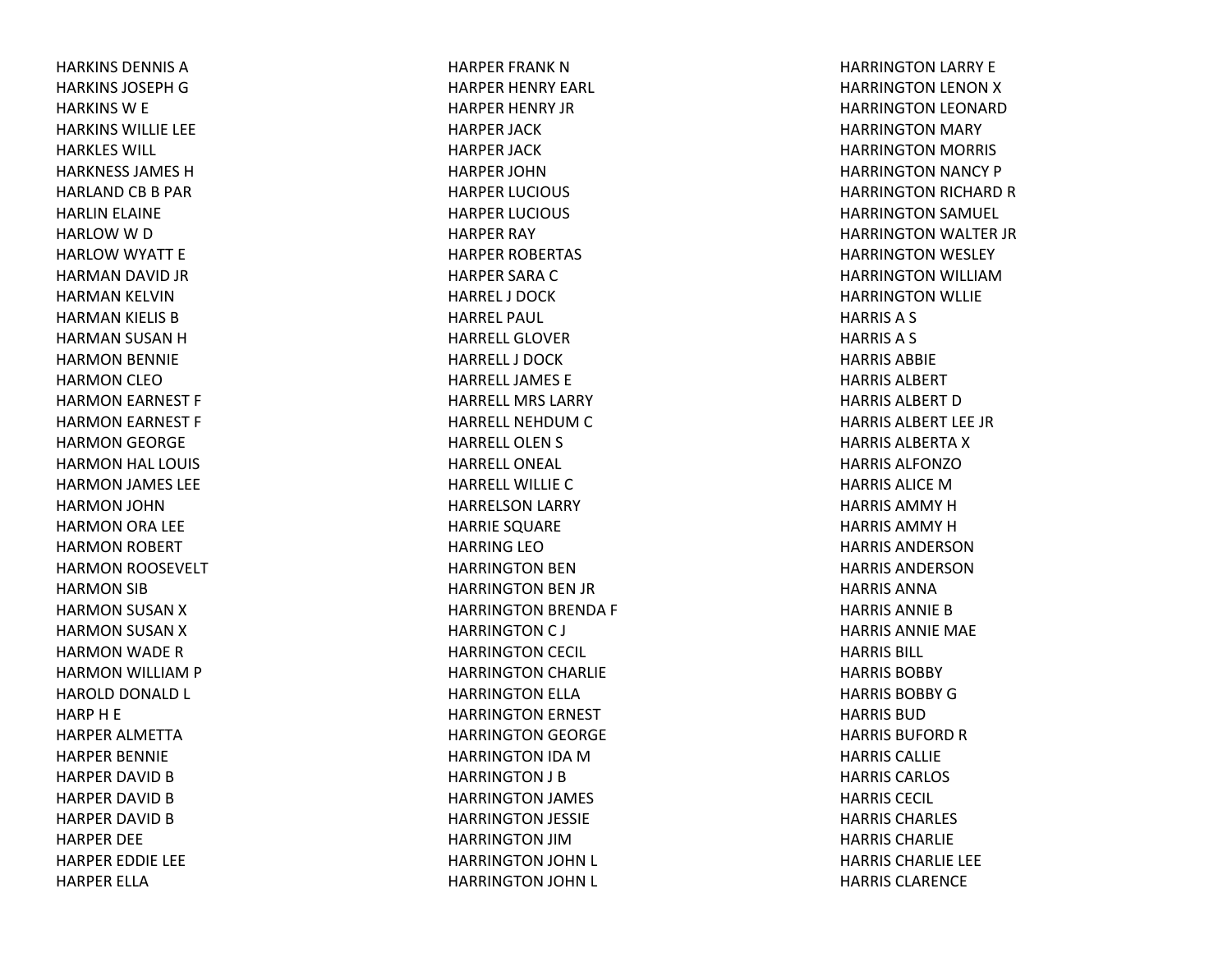HARKINS DENNIS AHARKINS JOSEPH G HARKINS W E HARKINS WILLIE LEE HARKLES WILL HARKNESS JAMES HHARLAND CB B PAR HARLIN ELAINE HARLOW W D HARLOW WYATT E HARMAN DAVID JR HARMAN KELVIN HARMAN KIELIS BHARMAN SUSAN HHARMON BENNIE HARMON CLEOHARMON EARNEST F HARMON EARNEST F HARMON GEORGE HARMON HAL LOUIS HARMON JAMES LEE HARMON JOHN HARMON ORA LEE HARMON ROBERT HARMON ROOSEVELT HARMON SIB HARMON SUSAN XHARMON SUSAN XHARMON WADE RHARMON WILLIAM P HAROLD DONALD L HARPH E HARPER ALMETTAHARPER BENNIE HARPER DAVID B HARPER DAVID B HARPER DAVID B HARPER DEE HARPER EDDIE LEE HARPER ELLA

HARPER FRANK NHARPER HENRY EARL HARPER HENRY JR HARPER JACK HARPER JACK HARPER JOHNHARPER LUCIOUS HARPER LUCIOUS HARPER RAY HARPER ROBERTAS HARPER SARA C HARREL J DOCKHARREL PAUL HARRELL GLOVERHARRELL J DOCKHARRELL JAMES EHARRELL MRS LARRYHARRELL NEHDUM C HARRELL OLEN S HARRELL ONEAL HARRELL WILLIECHARRELSON LARRY HARRIE SQUARE HARRING LEOHARRINGTON BEN HARRINGTON BEN JR HARRINGTON BRENDA F HARRINGTON C J HARRINGTON CECIL HARRINGTON CHARLIE HARRINGTON ELLA HARRINGTON ERNEST HARRINGTON GEORGE HARRINGTON IDA MHARRINGTON J B HARRINGTON JAMES HARRINGTON JESSIE HARRINGTON JIMHARRINGTON JOHN L HARRINGTON JOHN L

HARRINGTON LARRY E HARRINGTON LENON XHARRINGTON LEONARD HARRINGTON MARY HARRINGTON MORRIS HARRINGTON NANCY P HARRINGTON RICHARD RHARRINGTON SAMUEL HARRINGTON WALTER JR HARRINGTON WESLEY HARRINGTON WILLIAMHARRINGTON WLLIE HARRISA S HARRIS A S HARRIS ABBIEHARRIS ALBERTHARRIS ALBERT D HARRIS ALBERT LEE JRHARRIS ALBERTA X HARRIS ALFONZOHARRIS ALICE M HARRIS AMMYHHARRIS AMMYHHARRIS ANDERSONHARRIS ANDERSONHARRIS ANNAHARRIS ANNIE B HARRIS ANNIE MAE HARRIS BILL HARRIS BOBBYHARRIS BOBBY G HARRIS BUDHARRIS BUFORD R HARRIS CALLIEHARRIS CARLOS HARRIS CECIL HARRIS CHARLES HARRIS CHARLIEHARRIS CHARLIE LEE HARRIS CLARENCE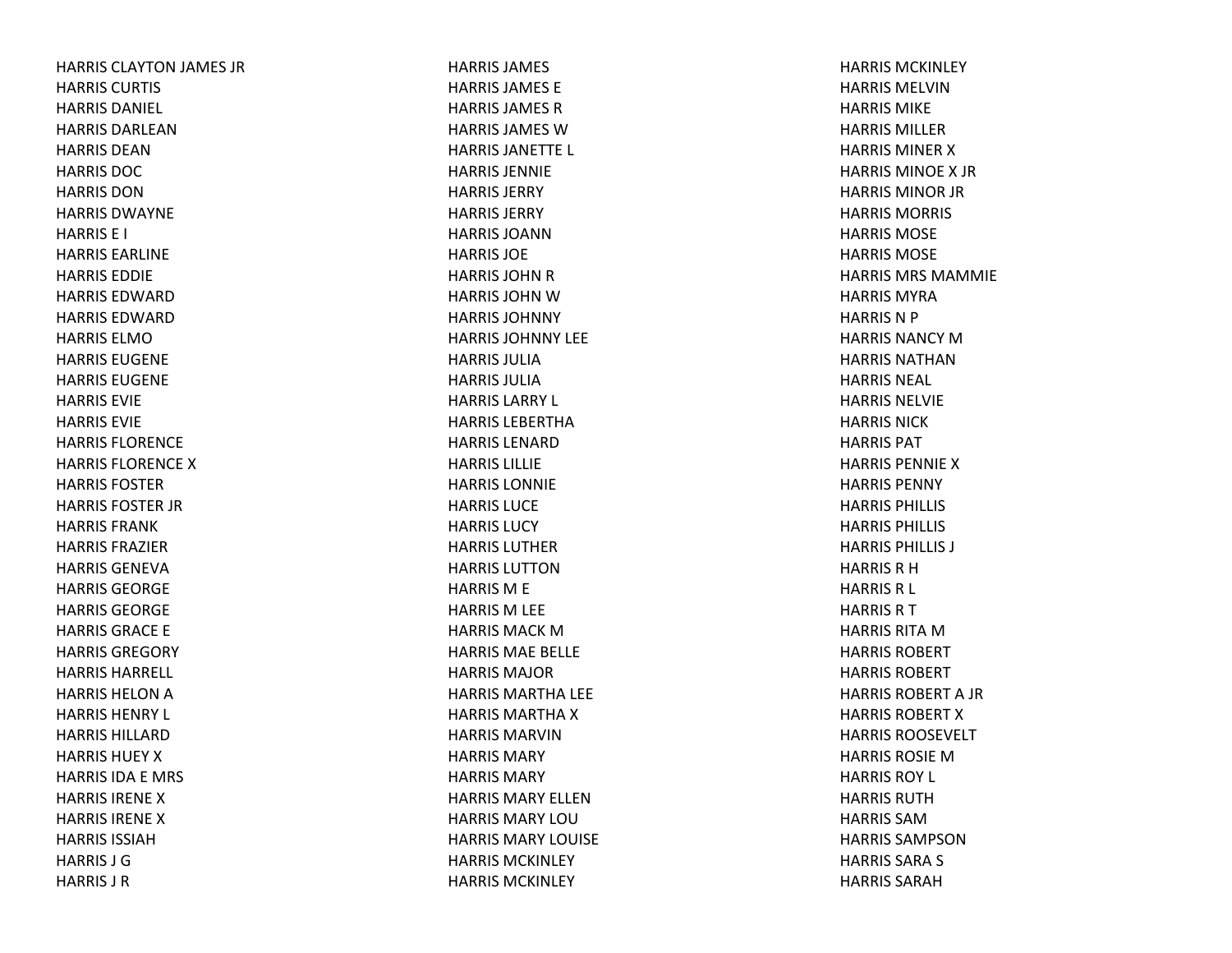HARRIS CLAYTON JAMES JR HARRIS CURTIS HARRIS DANIEL HARRIS DARLEAN HARRIS DEANHARRIS DOCHARRIS DONHARRIS DWAYNEHARRIS E I HARRIS EARLINEHARRIS EDDIEHARRIS EDWARDHARRIS EDWARDHARRIS ELMOHARRIS EUGENEHARRIS EUGENEHARRIS EVIEHARRIS EVIEHARRIS FLORENCEHARRIS FLORENCE X HARRIS FOSTERHARRIS FOSTER JR HARRIS FRANKHARRIS FRAZIERHARRIS GENEVAHARRIS GEORGEHARRIS GEORGEHARRIS GRACE E HARRIS GREGORYHARRIS HARRELL HARRIS HELON A HARRIS HENRY L HARRIS HILLARDHARRIS HUEY X HARRIS IDA E MRS HARRIS IRENEXHARRIS IRENEXHARRIS ISSIAHHARRIS J GHARRIS J R

HARRIS JAMES HARRIS JAMES EHARRIS JAMES R HARRIS JAMES WHARRIS JANETTE L HARRIS JENNIEHARRIS JERRYHARRIS JERRYHARRIS JOANNHARRIS JOEHARRIS JOHN R HARRIS JOHN W HARRIS JOHNNYHARRIS JOHNNY LEEHARRIS JULIAHARRIS JULIAHARRIS LARRY L HARRIS LEBERTHAHARRIS LENARDHARRIS LILLIEHARRIS LONNIEHARRIS LUCEHARRIS LUCYHARRIS LUTHERHARRIS LUTTONHARRIS M E HARRIS M LEE HARRIS MACK M HARRIS MAE BELLE HARRIS MAJORHARRIS MARTHA LEE HARRIS MARTHA X HARRIS MARVINHARRIS MARYHARRIS MARYHARRIS MARY ELLENHARRIS MARY LOUHARRIS MARY LOUISEHARRIS MCKINLEYHARRIS MCKINLEY

HARRIS MCKINLEYHARRIS MELVINHARRIS MIKEHARRIS MILLERHARRIS MINER X HARRIS MINOEX JRHARRIS MINOR JR HARRIS MORRIS HARRIS MOSEHARRIS MOSEHARRIS MRS MAMMIEHARRIS MYRAHARRIS N P HARRIS NANCY M HARRIS NATHANHARRIS NEAL HARRIS NELVIEHARRIS NICKHARRIS PATHARRIS PENNIE X HARRIS PENNYHARRIS PHILLIS HARRIS PHILLIS HARRIS PHILLIS J HARRIS R H HARRIS R L HARRIS R T HARRIS RITA M HARRIS ROBERTHARRIS ROBERTHARRIS ROBERT A JR HARRIS ROBERT X HARRIS ROOSEVELTHARRIS ROSIEMHARRIS ROY L HARRIS RUTHHARRIS SAMHARRIS SAMPSONHARRIS SARA S HARRIS SARAH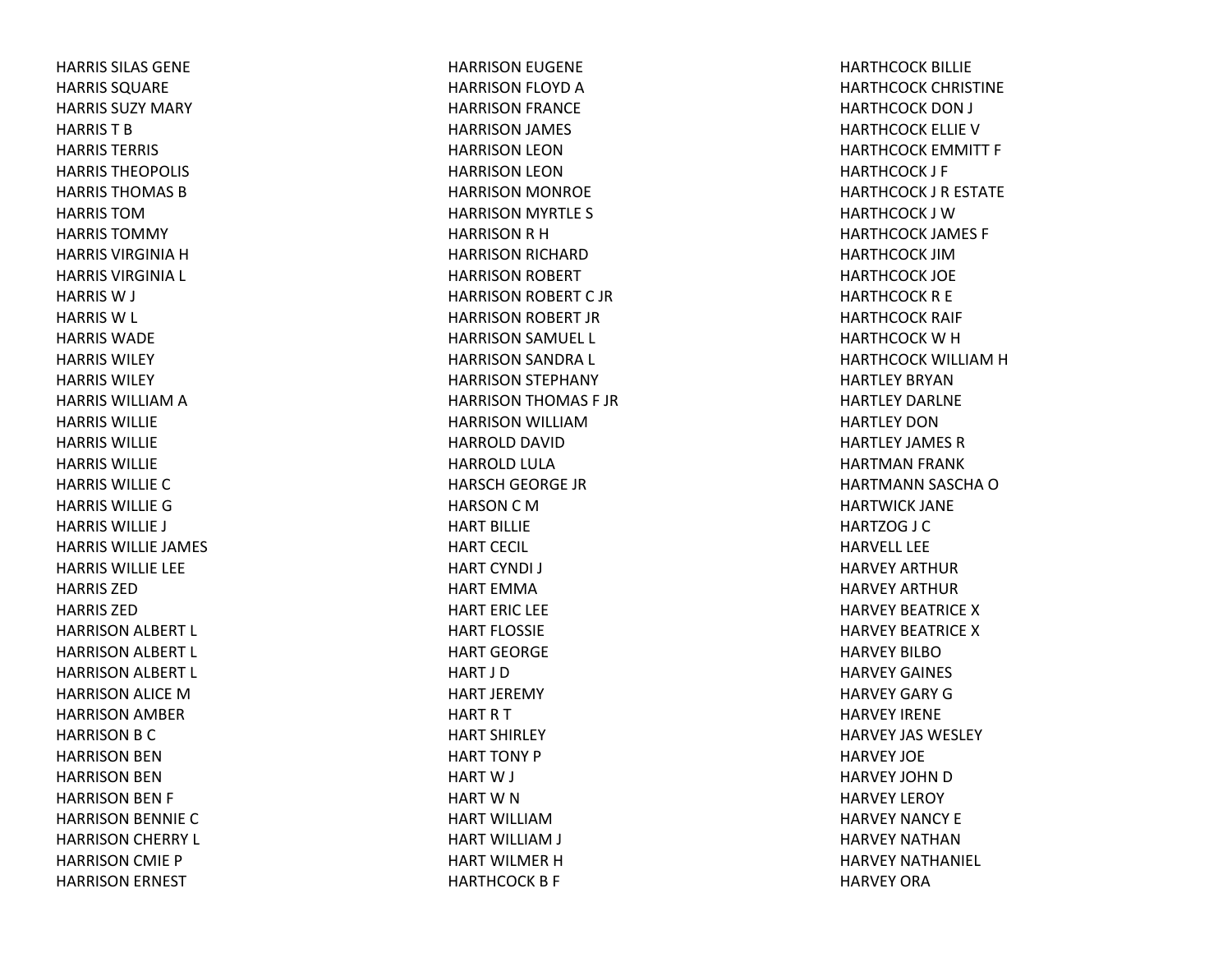HARRIS SILAS GENEHARRIS SQUARE HARRIS SUZY MARY HARRIS T B HARRIS TERRIS HARRIS THEOPOLIS HARRIS THOMAS BHARRIS TOMHARRIS TOMMYHARRIS VIRGINIA H HARRIS VIRGINIA L HARRIS W J HARRIS W L HARRIS WADEHARRIS WILEYHARRIS WILEYHARRIS WILLIAM A HARRIS WILLIEHARRIS WILLIEHARRIS WILLIEHARRIS WILLIECHARRIS WILLIEGHARRIS WILLIE J HARRIS WILLIE JAMES HARRIS WILLIE LEE HARRIS ZEDHARRIS ZEDHARRISON ALBERT L HARRISON ALBERT L HARRISON ALBERT L HARRISON ALICE MHARRISON AMBER HARRISON B C HARRISON BEN HARRISON BEN HARRISON BEN F HARRISON BENNIE CHARRISON CHERRY L HARRISON CMIE P HARRISON ERNEST

HARRISON EUGENE HARRISON FLOYD AHARRISON FRANCE HARRISON JAMES HARRISON LEON HARRISON LEON HARRISON MONROE HARRISON MYRTLE S HARRISONRHHARRISON RICHARD HARRISON ROBERT HARRISON ROBERT C JRHARRISON ROBERT JR HARRISON SAMUEL L HARRISON SANDRA L HARRISON STEPHANY HARRISON THOMAS F JR HARRISON WILLIAMHARROLD DAVID HARROLD LULA HARSCH GEORGE JR HARSON C M HART BILLIEHART CECIL HART CYNDI J HART EMMAHART ERIC LEE HART FLOSSIEHART GEORGEHART J DHART JEREMY HARTRTHART SHIRLEY HART TONY PHART W J HART W N HART WILLIAMHART WILLIAM J HART WILMER H HARTHCOCK B F

HARTHCOCK BILLIE HARTHCOCK CHRISTINE HARTHCOCK DON J HARTHCOCK ELLIE VHARTHCOCK EMMITT F HARTHCOCK J F HARTHCOCK J R ESTATE HARTHCOCK J WHARTHCOCK JAMES F HARTHCOCK JIMHARTHCOCK JOE HARTHCOCK R E HARTHCOCK RAIF HARTHCOCK W H HARTHCOCK WILLIAM H HARTLEY BRYANHARTLEY DARLNEHARTLEY DONHARTLEY JAMES RHARTMAN FRANK HARTMANN SASCHA OHARTWICK JANE HARTZOG J C HARVELL LEEHARVEY ARTHURHARVEY ARTHURHARVEY BEATRICE X HARVEY BEATRICE X HARVEY BILBOHARVEY GAINES HARVEY GARY GHARVEY IRENEHARVEY JAS WESLEY HARVEY JOEHARVEY JOHN D HARVEY LEROY HARVEY NANCY EHARVEY NATHANHARVEY NATHANIEL HARVEY ORA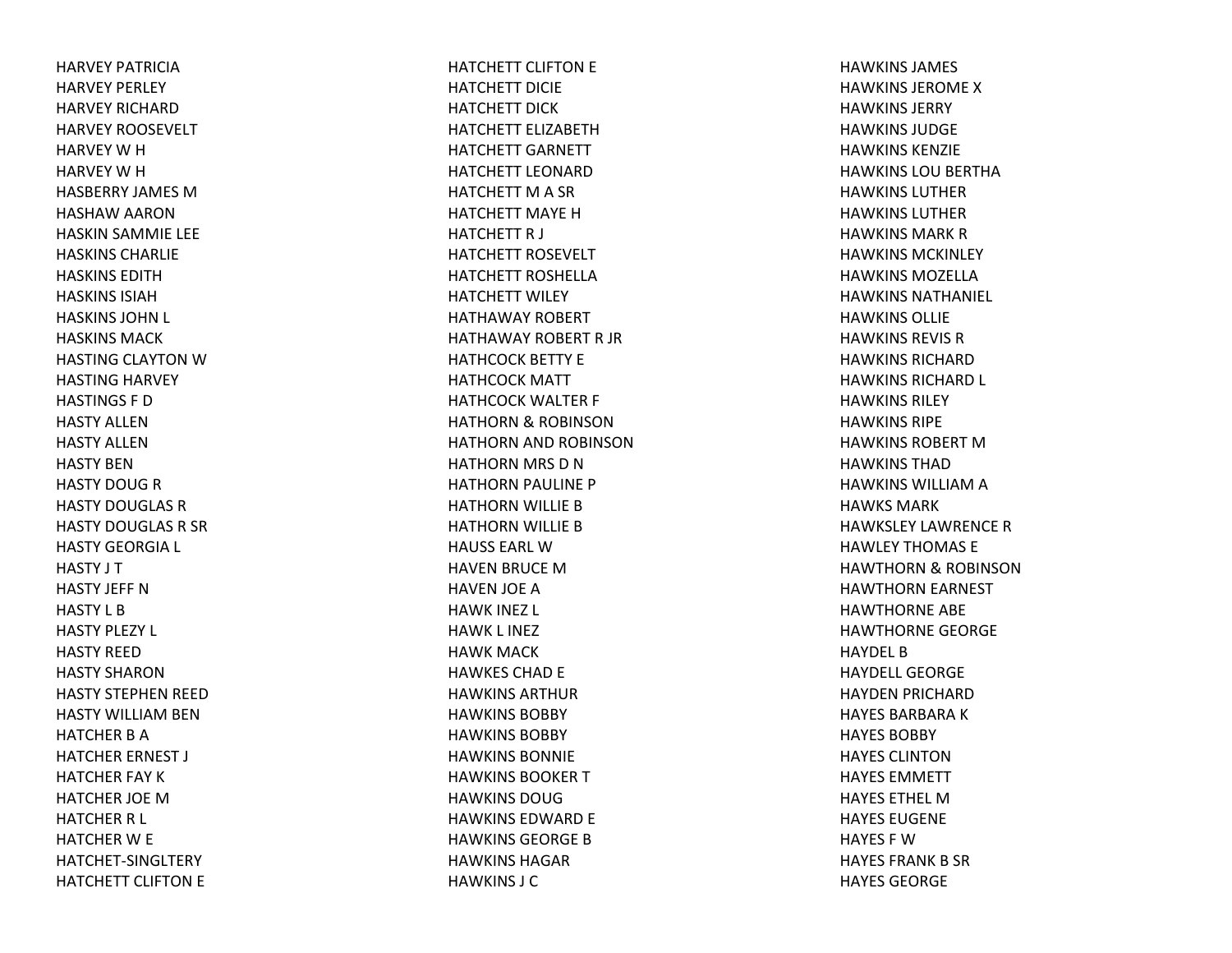HARVEY PATRICIAHARVEY PERLEY HARVEY RICHARDHARVEY ROOSEVELT HARVEY W H HARVEY W H HASBERRY JAMES MHASHAW AARON HASKIN SAMMIE LEE HASKINS CHARLIEHASKINS EDITHHASKINS ISIAHHASKINS JOHN L HASKINS MACKHASTING CLAYTON W HASTING HARVEY HASTINGS F DHASTY ALLENHASTY ALLENHASTY BENHASTY DOUG R HASTY DOUGLAS RHASTY DOUGLAS R SR HASTY GEORGIA L HASTY J T HASTY JEFF NHASTY L BHASTY PLEZY L HASTY REEDHASTY SHARONHASTY STEPHEN REED HASTY WILLIAM BEN HATCHER B A HATCHER ERNEST J HATCHER FAY KHATCHER JOE MHATCHER R L HATCHER W E HATCHET‐SINGLTERYHATCHETT CLIFTON E

HATCHETT CLIFTON E HATCHETT DICIEHATCHETT DICKHATCHETT ELIZABETHHATCHETT GARNETT HATCHETT LEONARDHATCHETT M A SR HATCHETT MAYE H HATCHETT R J HATCHETT ROSEVELT HATCHETT ROSHELLAHATCHETT WILEY HATHAWAY ROBERT HATHAWAY ROBERT R JR HATHCOCK BETTY E HATHCOCK MATT HATHCOCK WALTER F HATHORN& ROBINSON HATHORN AND ROBINSONHATHORN MRS D N HATHORN PAULINE P HATHORN WILLIE BHATHORN WILLIE BHAUSS EARL WHAVEN BRUCE MHAVEN JOE AHAWK INEZ L HAWK L INEZ HAWK MACK HAWKES CHAD E HAWKINS ARTHURHAWKINS BOBBYHAWKINS BOBBYHAWKINS BONNIEHAWKINS BOOKER T HAWKINS DOUGHAWKINS EDWARD E HAWKINS GEORGE B HAWKINS HAGARHAWKINS J C

HAWKINS JAMES HAWKINS JEROMEXHAWKINS JERRYHAWKINS JUDGEHAWKINS KENZIEHAWKINS LOU BERTHA HAWKINS LUTHERHAWKINS LUTHERHAWKINS MARK R HAWKINS MCKINLEYHAWKINS MOZELLAHAWKINS NATHANIEL HAWKINS OLLIEHAWKINS REVIS RHAWKINS RICHARDHAWKINS RICHARD L HAWKINS RILEYHAWKINS RIPEHAWKINS ROBERT M HAWKINS THADHAWKINS WILLIAM A HAWKS MARKHAWKSLEY LAWRENCERHAWLEY THOMAS EHAWTHORN& ROBINSON HAWTHORN EARNEST HAWTHORNE ABE HAWTHORNE GEORGE HAYDEL B HAYDELL GEORGEHAYDEN PRICHARD HAYES BARBARA K HAYES BOBBYHAYES CLINTONHAYES EMMETTHAYES ETHEL MHAYES EUGENEHAYES F WHAYES FRANK B SR HAYES GEORGE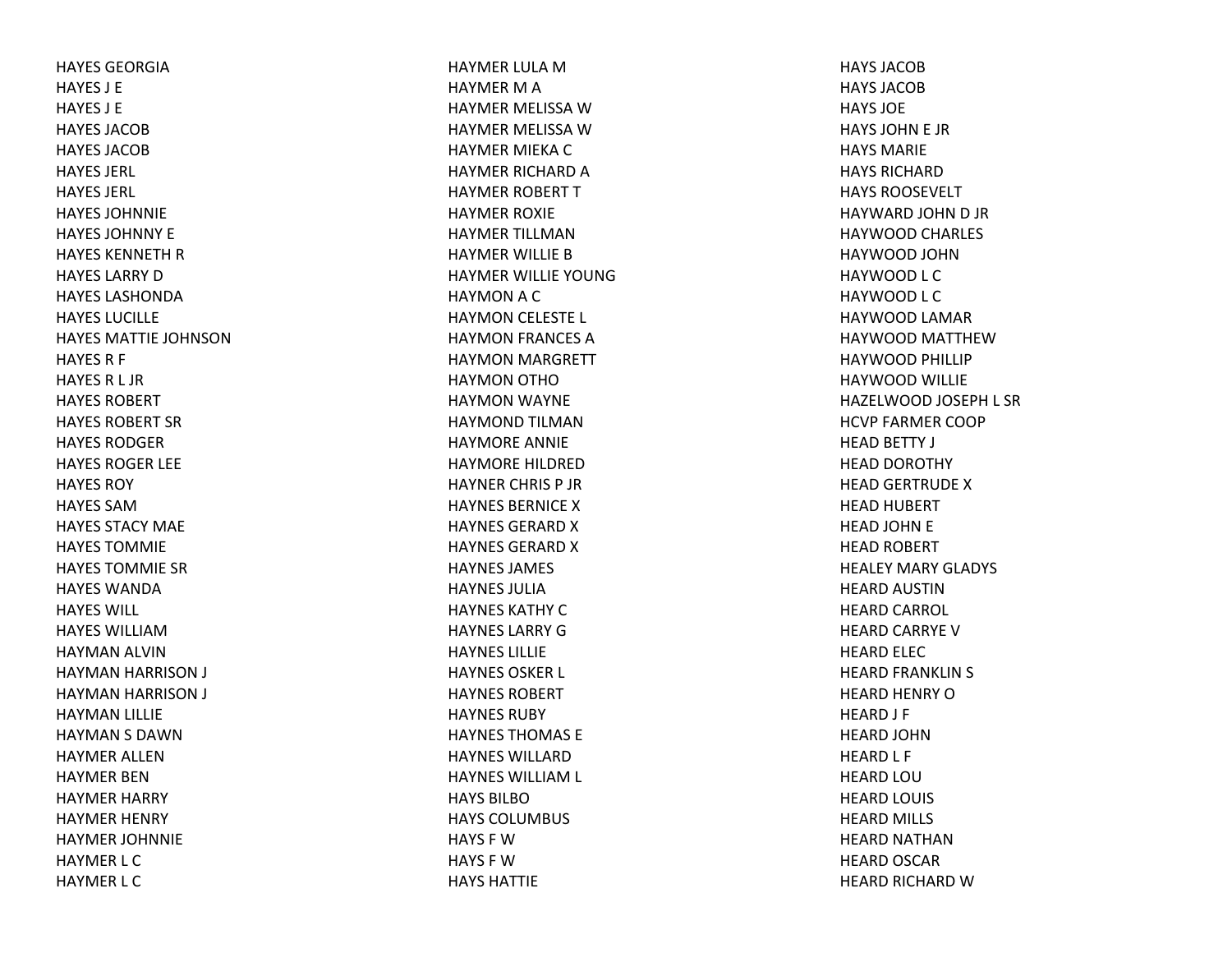HAYES GEORGIAHAYES J EHAYES J EHAYES JACOBHAYES JACOBHAYES JERL HAYES JERL HAYES JOHNNIEHAYES JOHNNY EHAYES KENNETH R HAYES LARRY D HAYES LASHONDAHAYES LUCILLEHAYES MATTIE JOHNSONHAYES R F HAYESR L JR HAYES ROBERTHAYES ROBERT SRHAYES RODGERHAYES ROGER LEE HAYES ROYHAYES SAMHAYES STACY MAEHAYES TOMMIEHAYES TOMMIE SRHAYES WANDAHAYES WILL HAYES WILLIAMHAYMAN ALVIN HAYMAN HARRISON J HAYMAN HARRISON J HAYMAN LILLIE HAYMAN S DAWN HAYMER ALLENHAYMER BENHAYMER HARRY HAYMER HENRY HAYMER JOHNNIE HAYMER L C HAYMER L C

HAYMER LULA M HAYMER M A HAYMER MELISSA W HAYMER MELISSA W HAYMER MIEKA C HAYMER RICHARD A HAYMER ROBERT THAYMER ROXIE HAYMER TILLMANHAYMER WILLIE BHAYMER WILLIE YOUNGHAYMON A C HAYMON CELESTE L HAYMON FRANCES AHAYMON MARGRETT HAYMON OTHOHAYMON WAYNE HAYMOND TILMANHAYMORE ANNIE HAYMORE HILDREDHAYNER CHRIS P JRHAYNES BERNICE X HAYNES GERARD X HAYNES GERARD X HAYNES JAMES HAYNES JULIAHAYNES KATHY C HAYNES LARRY G HAYNES LILLIEHAYNES OSKER L HAYNES ROBERTHAYNES RUBYHAYNES THOMAS EHAYNES WILLARDHAYNES WILLIAM L HAYS BILBOHAYS COLUMBUS HAYS F WHAYS F WHAYS HATTIE

HAYS JACOBHAYS JACOBHAYS JOEHAYS JOHN E JR HAYS MARIEHAYS RICHARDHAYS ROOSEVELTHAYWARD JOHN D JR HAYWOOD CHARLES HAYWOOD JOHNHAYWOOD L C HAYWOOD L C HAYWOOD LAMAR HAYWOOD MATTHEWHAYWOOD PHILLIP HAYWOOD WILLIE HAZELWOOD JOSEPH L SR HCVP FARMER COOP HEAD BETTY J HEAD DOROTHY HEAD GERTRUDE XHEAD HUBERT HEAD JOHN E HEAD ROBERT HEALEY MARY GLADYS HEARD AUSTINHEARD CARROL HEARD CARRYE VHEARD ELEC HEARD FRANKLIN S HEARD HENRY OHEARD J F HEARD JOHNHEARD L F HEARD LOUHEARD LOUIS HEARD MILLS HEARD NATHANHEARD OSCAR HEARD RICHARD W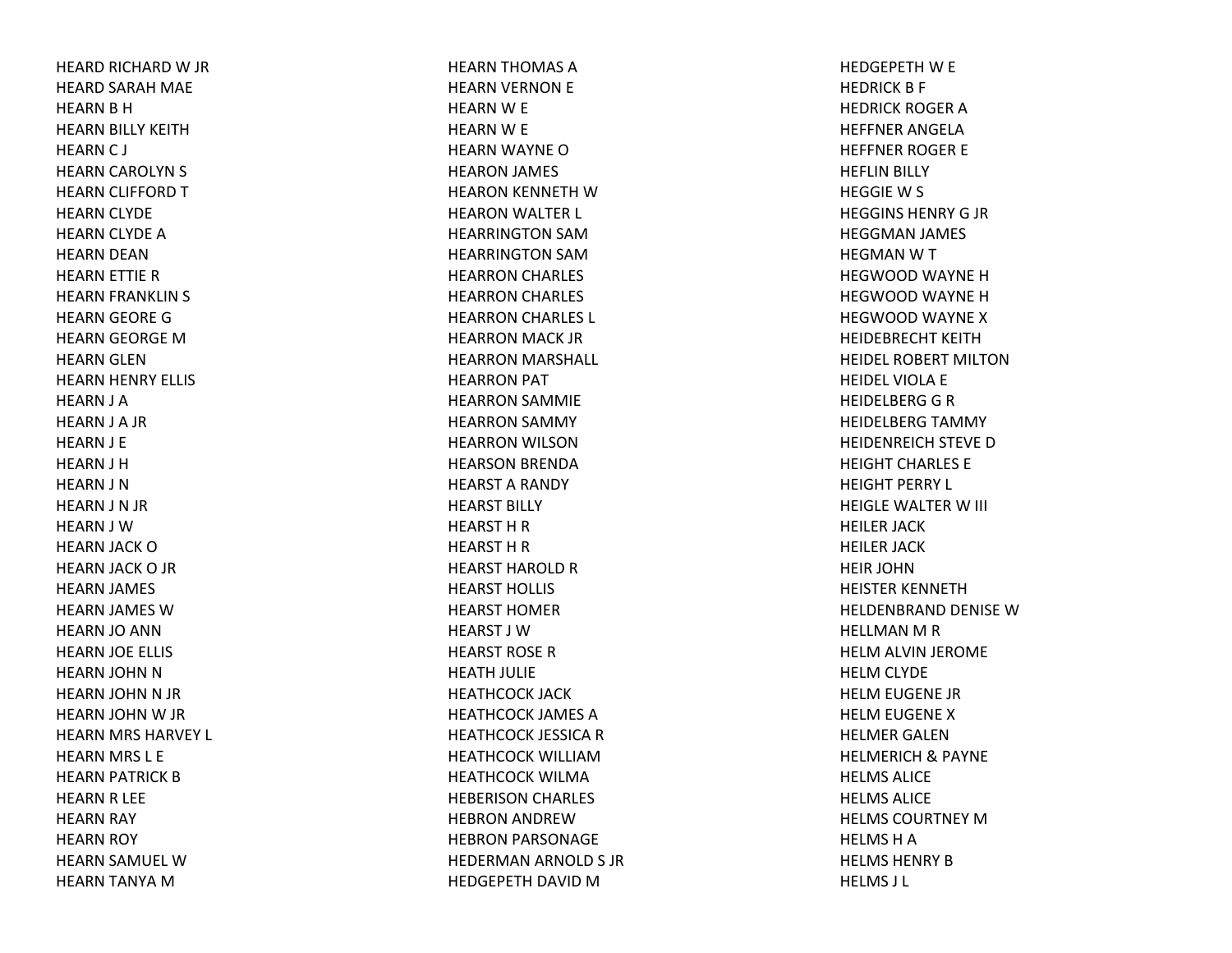HEARD RICHARD W JR HEARD SARAH MAE HEARN B H HEARN BILLY KEITH HEARN C J HEARN CAROLYN S HEARN CLIFFORD THEARN CLYDE HEARN CLYDE AHEARN DEAN HEARN ETTIE RHEARN FRANKLIN S HEARN GEORE GHEARN GEORGE MHEARN GLEN HEARN HENRY ELLIS HEARN J A HEARN J A JR HEARN J E HEARN J H HEARN J N HEARN J N JR HEARN J WHEARN JACK OHEARN JACK O JR HEARN JAMES HEARN JAMES WHEARN JO ANN HEARN JOE ELLIS HEARN JOHN NHEARN JOHN N JR HEARN JOHN W JR HEARN MRS HARVEY L HEARN MRS L E HEARN PATRICK BHEARN R LEE HEARN RAY HEARN ROY HEARN SAMUEL WHEARN TANYA M

HEARN THOMAS AHEARN VERNON E HEARN W E HEARN W E HEARN WAYNE OHEARON JAMES HEARON KENNETH WHEARON WALTER L HEARRINGTON SAMHEARRINGTON SAMHEARRON CHARLES HEARRON CHARLES HEARRON CHARLES L HEARRON MACK JR HEARRON MARSHALL HEARRON PAT HEARRON SAMMIE HEARRON SAMMY HEARRON WILSON HEARSON BRENDA HEARST A RANDY HEARST BILLY HEARST H R HEARST H R HEARST HAROLD R HEARST HOLLIS HEARST HOMERHEARST J WHEARST ROSERHEATH JULIE HEATHCOCK JACK HEATHCOCK JAMES AHEATHCOCK JESSICA R HEATHCOCK WILLIAMHEATHCOCK WILMAHEBERISON CHARLES HEBRON ANDREWHEBRON PARSONAGE HEDERMAN ARNOLD S JR HEDGEPETH DAVID M

HEDGEPETH W E HEDRICK B F HEDRICK ROGER A HEFFNER ANGELAHEFFNER ROGER E HEFLIN BILLY HEGGIEW S HEGGINS HENRY G JR HEGGMAN JAMES HEGMANWTHEGWOOD WAYNE HHEGWOOD WAYNE HHEGWOOD WAYNE XHEIDEBRECHT KEITHHEIDEL ROBERT MILTONHEIDEL VIOLA E HEIDELBERG G R HEIDELBERG TAMMY HEIDENREICH STEVE DHEIGHT CHARLES EHEIGHT PERRY L HEIGLE WALTER W III HEILER JACK HEILER JACK HEIR JOHNHEISTER KENNETHHELDENBRAND DENISE WHELLMAN M R HELM ALVIN JEROME HELM CLYDE HELM EUGENE JR HELM EUGENE XHELMER GALENHELMERICH& PAYNE HELMS ALICEHELMS ALICEHELMS COURTNEY M HELMS H A HELMS HENRY B HELMS J L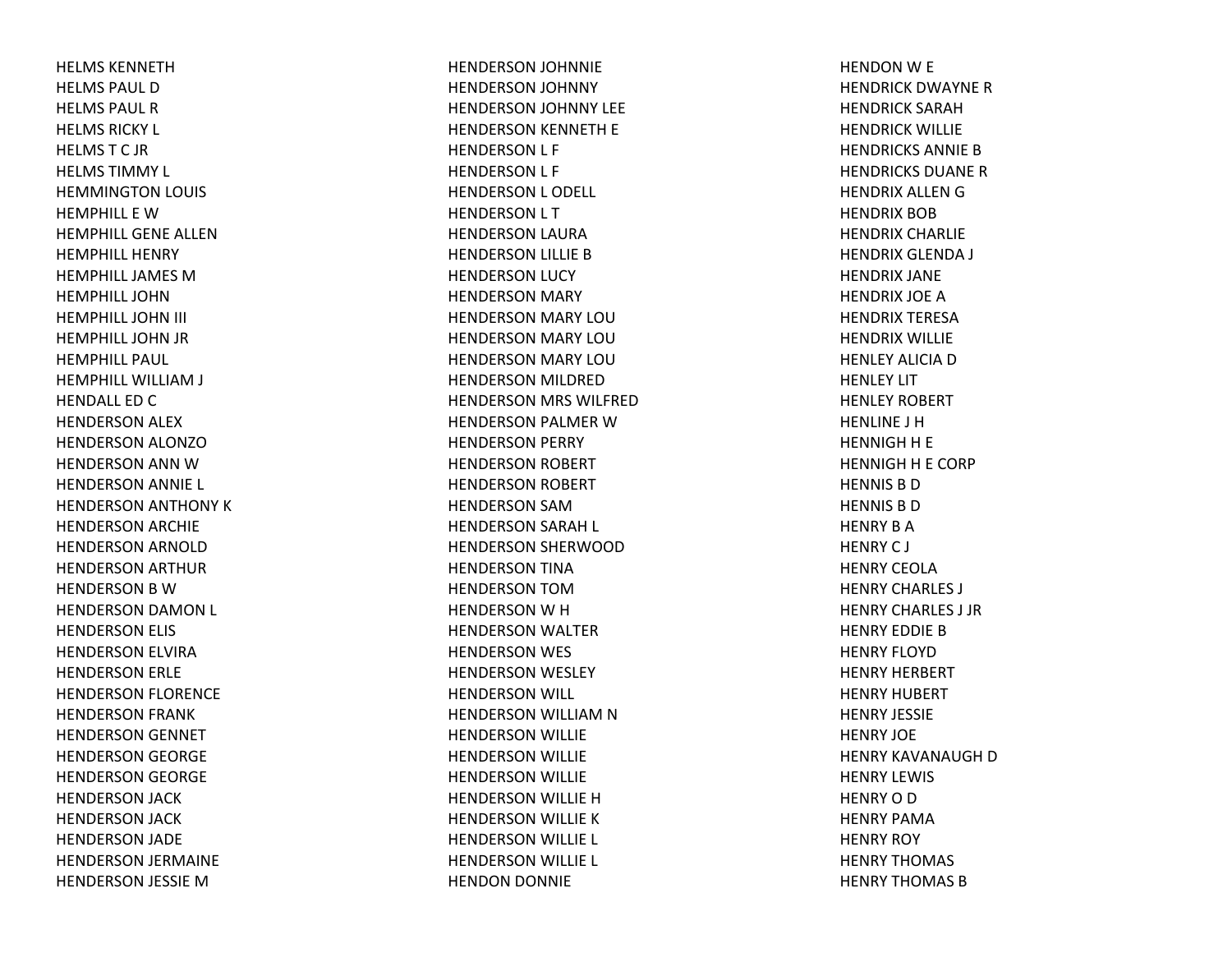HELMS KENNETHHELMS PAUL DHELMS PAUL RHELMS RICKY L HELMSTC JRHELMS TIMMY L HEMMINGTON LOUIS HEMPHILL E WHEMPHILL GENE ALLENHEMPHILL HENRYHEMPHILL JAMES M HEMPHILL JOHNHEMPHILL JOHN III HEMPHILL JOHN JR HEMPHILL PAUL HEMPHILL WILLIAM J HENDALL ED C HENDERSON ALEX HENDERSON ALONZOHENDERSON ANN WHENDERSON ANNIE L HENDERSON ANTHONY KHENDERSON ARCHIE HENDERSON ARNOLD HENDERSON ARTHUR HENDERSON B W HENDERSON DAMON L HENDERSON ELIS HENDERSON ELVIRA HENDERSON ERLE HENDERSON FLORENCE HENDERSON FRANK HENDERSON GENNET HENDERSON GEORGE HENDERSON GEORGE HENDERSON JACK HENDERSON JACK HENDERSON JADE HENDERSON JERMAINE HENDERSON JESSIE M

HENDERSON JOHNNIE HENDERSON JOHNNY HENDERSON JOHNNY LEE HENDERSON KENNETH E HENDERSON L F HENDERSON L F HENDERSON L ODELL HENDERSON L T HENDERSON LAURA HENDERSON LILLIE BHENDERSON LUCY HENDERSON MARY HENDERSON MARY LOU HENDERSON MARY LOU HENDERSON MARY LOU HENDERSON MILDRED HENDERSON MRS WILFRED HENDERSON PALMER WHENDERSON PERRY HENDERSON ROBERT HENDERSON ROBERT HENDERSON SAMHENDERSON SARAH L HENDERSON SHERWOOD HENDERSON TINA HENDERSON TOMHENDERSON W H HENDERSON WALTER HENDERSON WES HENDERSON WESLEY HENDERSON WILL HENDERSON WILLIAM N HENDERSON WILLIE HENDERSON WILLIE HENDERSON WILLIE HENDERSON WILLIE HHENDERSON WILLIE KHENDERSON WILLIE L HENDERSON WILLIE L HENDON DONNIE

HENDON W E HENDRICK DWAYNE RHENDRICK SARAHHENDRICK WILLIE HENDRICKS ANNIE B HENDRICKS DUANERHENDRIX ALLEN G HENDRIX BOBHENDRIX CHARLIE HENDRIX GLENDA J HENDRIX JANE HENDRIX JOE AHENDRIX TERESAHENDRIX WILLIE HENLEY ALICIA D HENLEY LIT HENLEY ROBERT HENLINE J HHENNIGHH E HENNIGH H E CORP HENNIS B D HENNIS B D HENRY B A HENRYC J HENRY CEOLAHENRY CHARLES J HENRY CHARLES J JRHENRY EDDIE B HENRY FLOYDHENRY HERBERT HENRY HUBERT HENRY JESSIEHENRY JOEHENRY KAVANAUGH D HENRY LEWIS HENRY O D HENRY PAMAHENRY ROY HENRY THOMAS HENRY THOMAS B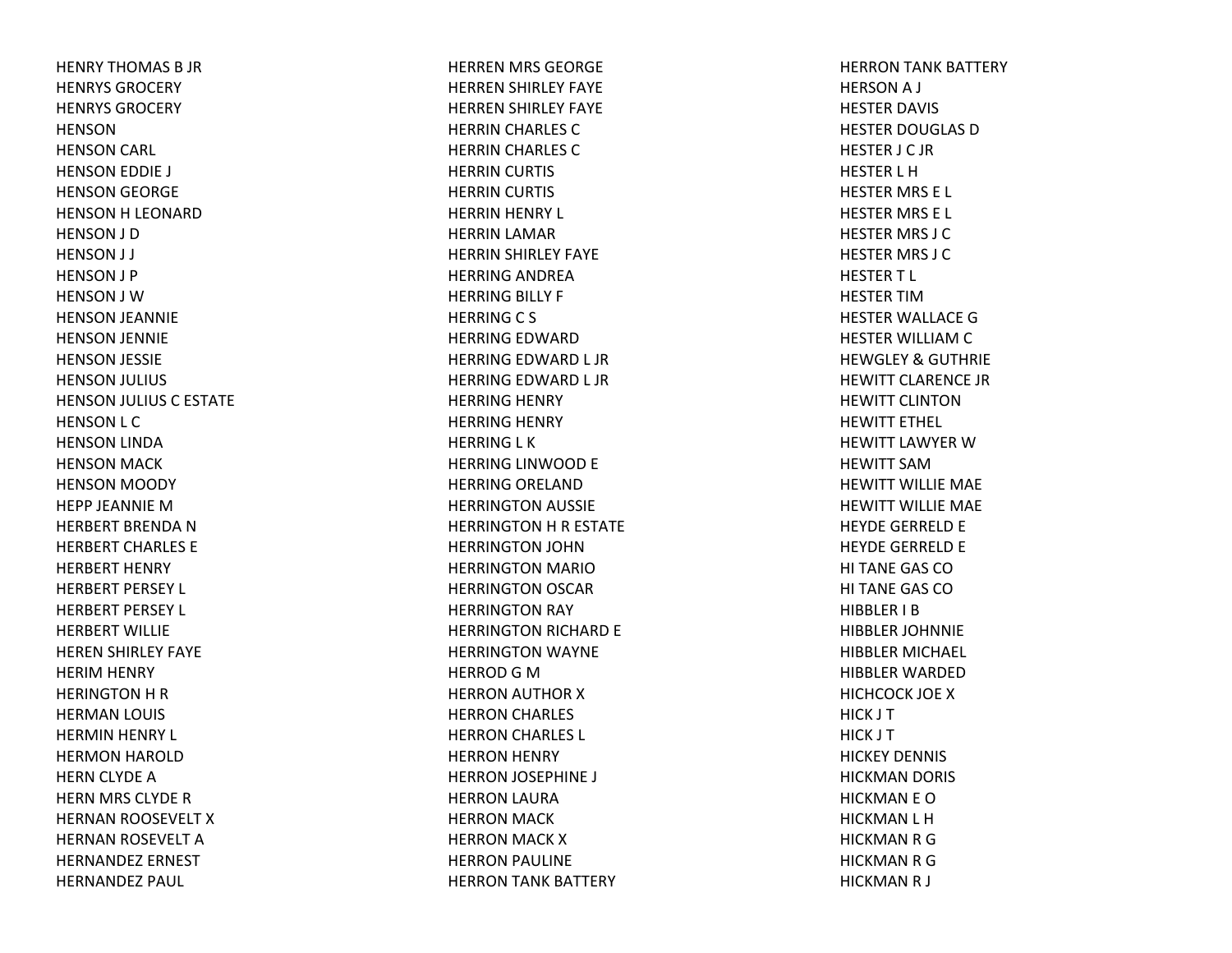HENRY THOMAS B JR HENRYS GROCERYHENRYS GROCERYHENSONHENSON CARL HENSON EDDIE J HENSON GEORGE HENSON H LEONARD HENSON J D HENSON J J HENSON J P HENSON J WHENSON JEANNIE HENSON JENNIE HENSON JESSIE HENSON JULIUS HENSON JULIUS C ESTATE HENSON L C HENSON LINDA HENSON MACK HENSON MOODY HEPP JEANNIE MHERBERT BRENDA N HERBERT CHARLES EHERBERT HENRY HERBERT PERSEY L HERBERT PERSEY L HERBERT WILLIEHEREN SHIRLEY FAYE HERIM HENRY HERINGTON H R HERMAN LOUIS HERMIN HENRY L HERMON HAROLD HERN CLYDE AHERN MRS CLYDE RHERNAN ROOSEVELT XHERNAN ROSEVELT AHERNANDEZ ERNESTHERNANDEZ PAUL

HERREN MRS GEORGE HERREN SHIRLEY FAYE HERREN SHIRLEY FAYE HERRIN CHARLES CHERRIN CHARLES CHERRIN CURTIS HERRIN CURTIS HERRIN HENRY L HERRIN LAMAR HERRIN SHIRLEY FAYE HERRING ANDREA HERRING BILLY F HERRINGC S HERRING EDWARD HERRING EDWARD L JR HERRING EDWARD L JR HERRING HENRY HERRING HENRY HERRING L K HERRING LINWOOD E HERRING ORELAND HERRINGTON AUSSIE HERRINGTON H R ESTATE HERRINGTON JOHN HERRINGTON MARIOHERRINGTON OSCAR HERRINGTON RAY HERRINGTON RICHARD E HERRINGTON WAYNE HERROD G M HERRON AUTHOR XHERRON CHARLES HERRON CHARLES L HERRON HENRY HERRON JOSEPHINE J HERRON LAURA HERRON MACK HERRON MACK XHERRON PAULINE HERRON TANK BATTERY

HERRON TANK BATTERY HERSONA J HESTER DAVIS HESTER DOUGLAS DHESTER J C JR HESTER L HHESTER MRS E L HESTER MRS E L HESTER MRS J C HESTER MRS J C HESTERT L HESTER TIMHESTER WALLACE GHESTER WILLIAM C HEWGLEY& GUTHRIE HEWITT CLARENCE JRHEWITT CLINTONHEWITT ETHEL HEWITT LAWYER W HEWITT SAMHEWITT WILLIE MAE HEWITT WILLIE MAE HEYDE GERRELD E HEYDE GERRELD E HI TANE GAS COHI TANE GAS COHIBBLER I BHIBBLER JOHNNIE HIBBLER MICHAEL HIBBLER WARDEDHICHCOCK JOE XHICK J T HICK J T HICKEY DENNIS HICKMAN DORIS HICKMAN E OHICKMAN L H HICKMAN R G HICKMAN R G HICKMAN R J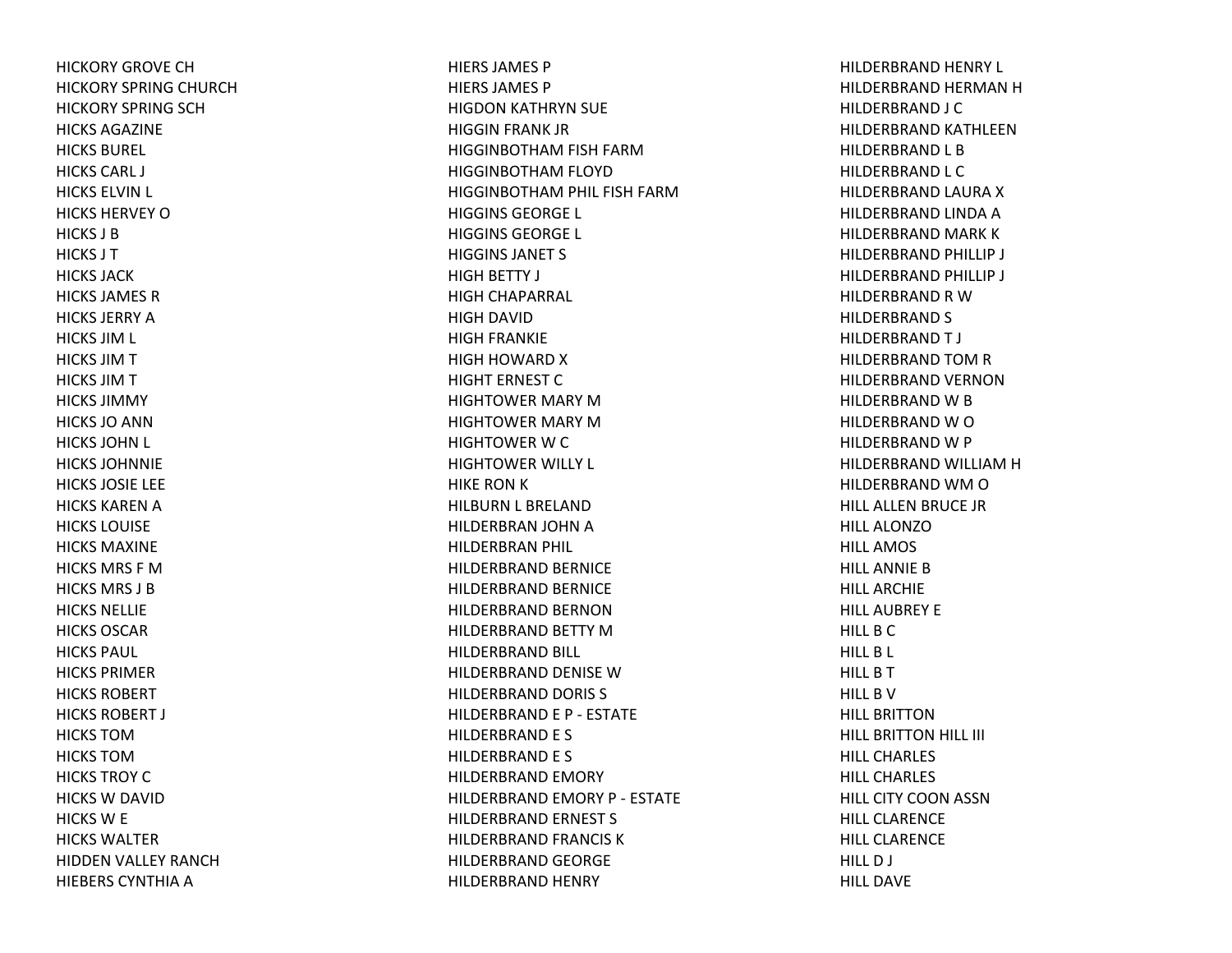HICKORY GROVE CHHICKORY SPRING CHURCH HICKORY SPRING SCH HICKS AGAZINEHICKS BUREL HICKS CARL J HICKS ELVIN L HICKS HERVEY OHICKS J BHICKS J THICKS JACKHICKS JAMES RHICKS JERRY AHICKS JIM L HICKS JIM T HICKS JIM T HICKS JIMMYHICKS JO ANN HICKS JOHN L HICKS JOHNNIEHICKS JOSIE LEE HICKS KAREN A HICKS LOUISEHICKS MAXINEHICKS MRS F MHICKS MRS J BHICKS NELLIEHICKS OSCARHICKS PAUL HICKS PRIMERHICKS ROBERTHICKS ROBERT J HICKS TOMHICKS TOMHICKS TROY CHICKS W DAVID HICKS W E HICKS WALTERHIDDEN VALLEY RANCH HIEBERS CYNTHIA A

HIERS JAMES PHIERS JAMES PHIGDON KATHRYN SUE HIGGIN FRANK JR HIGGINBOTHAM FISH FARM HIGGINBOTHAM FLOYD HIGGINBOTHAM PHIL FISH FARM HIGGINS GEORGE L HIGGINS GEORGE L HIGGINS JANET S HIGH BETTY J HIGH CHAPARRAL HIGH DAVID HIGH FRANKIE HIGH HOWARD X HIGHT ERNEST CHIGHTOWER MARY MHIGHTOWER MARY MHIGHTOWER W C HIGHTOWER WILLY L HIKE RON K HILBURN L BRELAND HILDERBRAN JOHN A HILDERBRAN PHIL HILDERBRAND BERNICE HILDERBRAND BERNICE HILDERBRAND BERNONHILDERBRAND BETTY MHILDERBRAND BILL HILDERBRAND DENISE WHILDERBRAND DORIS S HILDERBRAND E P ‐ ESTATE HILDERBRAND E S HILDERBRAND E S HILDERBRAND EMORY HILDERBRAND EMORY P ‐ ESTATE HILDERBRAND ERNEST S HILDERBRAND FRANCIS K HILDERBRAND GEORGE HILDERBRAND HENRY

HILDERBRAND HENRY L HILDERBRAND HERMAN H HILDERBRAND J C HILDERBRAND KATHLEENHILDERBRAND L B HILDERBRAND L C HILDERBRAND LAURA X HILDERBRAND LINDA A HILDERBRAND MARK K HILDERBRAND PHILLIP J HILDERBRAND PHILLIP J HILDERBRAND R WHILDERBRAND S HILDERBRAND T J HILDERBRAND TOM R HILDERBRAND VERNONHILDERBRAND W B HILDERBRAND W O HILDERBRAND W P HILDERBRAND WILLIAM H HILDERBRAND WM O HILL ALLEN BRUCE JR HILL ALONZOHILL AMOSHILL ANNIE BHILL ARCHIEHILL AUBREY EHILL B C HILL B L HILL B T HILL B VHILL BRITTONHILL BRITTON HILL III HILL CHARLESHILL CHARLESHILL CITY COON ASSN HILL CLARENCEHILL CLARENCEHILL D J HILL DAVE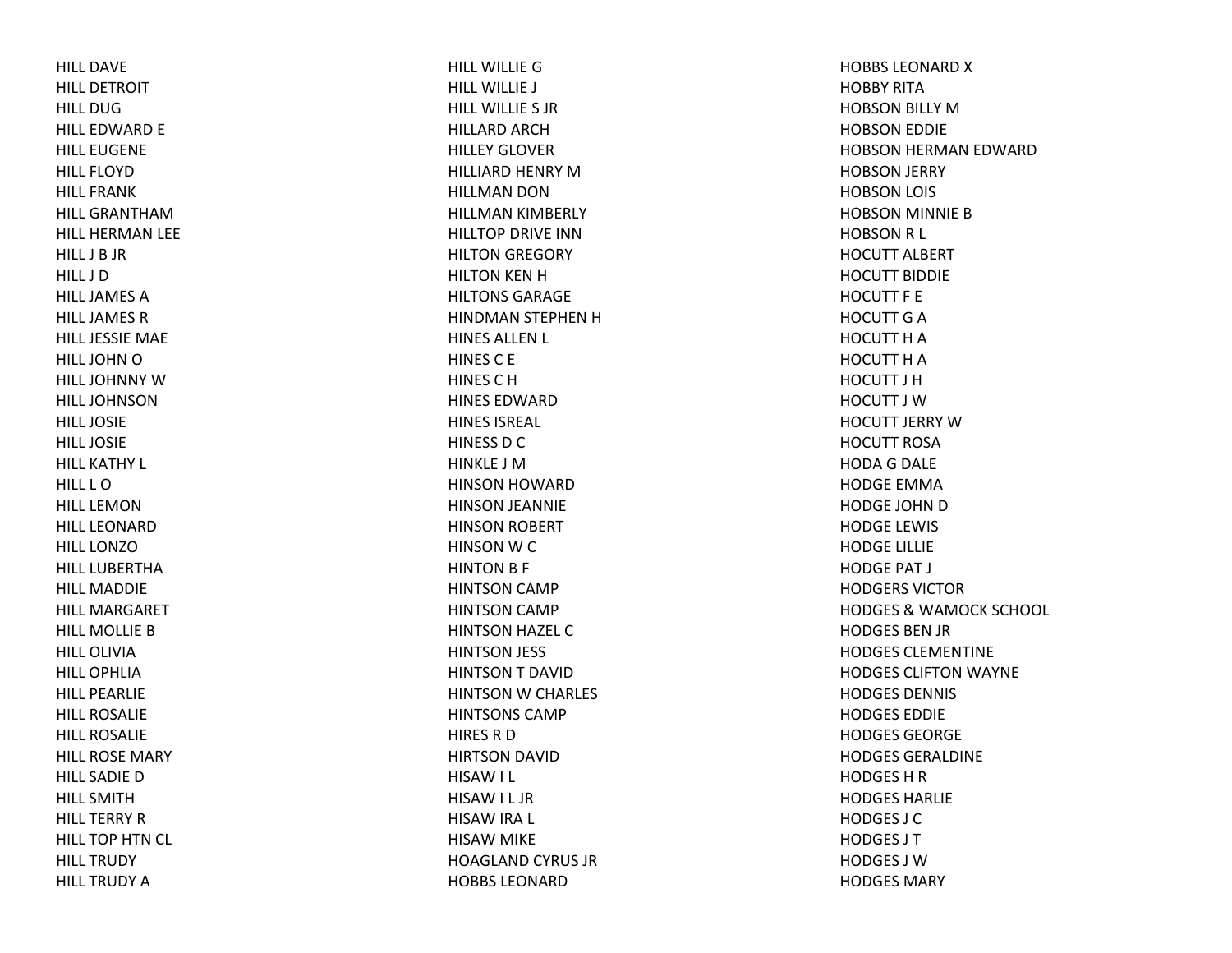HILL DAVEHILL DETROITHILL DUGHILL EDWARD E HILL EUGENE HILL FLOYDHILL FRANKHILL GRANTHAMHILL HERMAN LEE HILL J B JR HILL J DHILL JAMES A HILL JAMES R HILL JESSIE MAE HILL JOHN O HILL JOHNNY W HILL JOHNSONHILL JOSIEHILL JOSIEHILL KATHY L HILL L OHILL LEMONHILL LEONARDHILL LONZOHILL LUBERTHAHILL MADDIEHILL MARGARETHILL MOLLIEBHILL OLIVIAHILL OPHLIAHILL PEARLIEHILL ROSALIEHILL ROSALIEHILL ROSE MARY HILL SADIE D HILL SMITHHILL TERRY R HILL TOP HTN CL HILL TRUDYHILL TRUDY A

HILL WILLIEGHILL WILLIE J HILL WILLIE S JRHILLARD ARCHHILLEY GLOVERHILLIARD HENRY MHILLMAN DON HILLMAN KIMBERLY HILLTOP DRIVE INNHILTON GREGORY HILTON KEN HHILTONS GARAGEHINDMAN STEPHEN HHINES ALLEN L HINESC E HINESCHHINES EDWARDHINES ISREAL HINESS D C HINKLE J MHINSON HOWARD HINSON JEANNIE HINSON ROBERT HINSONWCHINTON B F HINTSON CAMP HINTSON CAMP HINTSON HAZEL CHINTSON JESS HINTSONT DAVIDHINTSON W CHARLES HINTSONS CAMPHIRESRDHIRTSON DAVID HISAW I L HISAW I L JR HISAW IRA L HISAW MIKE HOAGLAND CYRUS JR HOBBS LEONARD

HOBBS LEONARD X HOBBY RITAHOBSON BILLY MHOBSON EDDIE HOBSON HERMAN EDWARD HOBSON JERRY HOBSON LOIS HOBSON MINNIE BHOBSON R L HOCUTT ALBERT HOCUTT BIDDIEHOCUTT F EHOCUTT G A HOCUTT H A HOCUTT H A HOCUTT J HHOCUTT J WHOCUTT JERRY WHOCUTT ROSAHODA G DALE HODGE EMMAHODGE JOHN D HODGE LEWIS HODGE LILLIE HODGE PAT J HODGERS VICTORHODGES& WAMOCK SCHOOL HODGES BEN JR HODGES CLEMENTINEHODGES CLIFTON WAYNE HODGES DENNIS HODGES EDDIEHODGES GEORGEHODGES GERALDINEHODGES H R HODGES HARLIEHODGES J CHODGES J THODGES J WHODGES MARY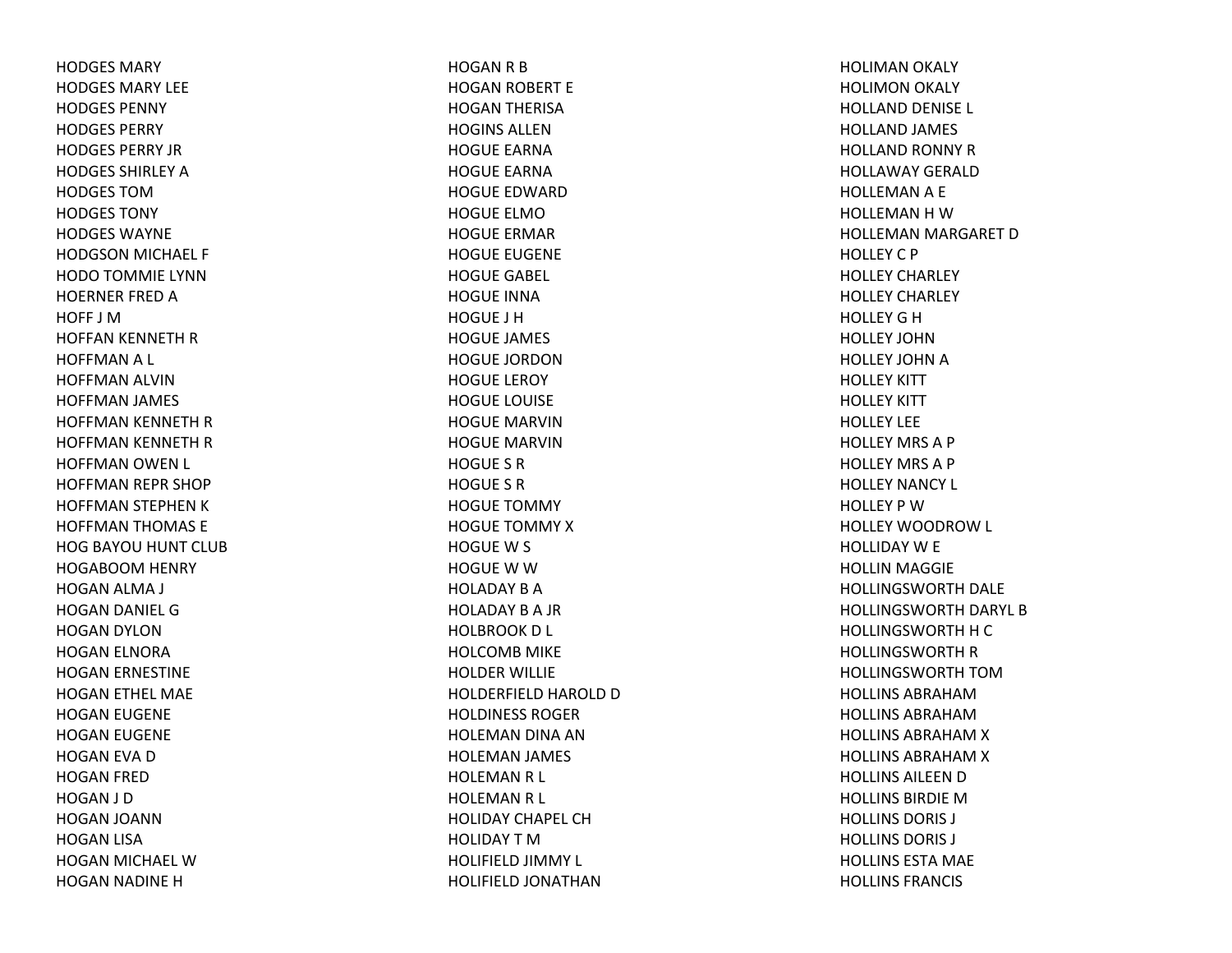HODGES MARYHODGES MARY LEEHODGES PENNYHODGES PERRYHODGES PERRY JRHODGES SHIRLEY A HODGES TOMHODGES TONYHODGES WAYNEHODGSON MICHAEL F HODO TOMMIE LYNN HOERNER FRED A HOFF J MHOFFAN KENNETH RHOFFMAN A L HOFFMAN ALVIN HOFFMAN JAMES HOFFMAN KENNETH RHOFFMAN KENNETH RHOFFMAN OWEN L HOFFMAN REPR SHOP HOFFMAN STEPHEN KHOFFMAN THOMAS E HOG BAYOU HUNT CLUB HOGABOOM HENRY HOGAN ALMA J HOGAN DANIEL GHOGAN DYLON HOGAN ELNORA HOGAN ERNESTINE HOGAN ETHEL MAE HOGAN EUGENE HOGAN EUGENE HOGAN EVA DHOGAN FRED HOGAN J D HOGAN JOANN HOGAN LISA HOGAN MICHAEL WHOGAN NADINE H

HOGAN R B HOGAN ROBERT E HOGAN THERISA HOGINS ALLENHOGUE EARNAHOGUE EARNAHOGUE EDWARDHOGUE ELMOHOGUE ERMARHOGUE EUGENE HOGUE GABEL HOGUE INNAHOGUE J HHOGUE JAMES HOGUE JORDONHOGUE LEROY HOGUE LOUISE HOGUE MARVINHOGUE MARVINHOGUE S RHOGUE S RHOGUE TOMMYHOGUE TOMMY XHOGUEW S HOGUE W W HOLADAY B A HOLADAY B A JR HOLBROOK D L HOLCOMB MIKE HOLDER WILLIE HOLDERFIELD HAROLD DHOLDINESS ROGERHOLEMAN DINA AN HOLEMAN JAMES HOLEMAN R L HOLEMAN R L HOLIDAY CHAPEL CHHOLIDAY T M HOLIFIELD JIMMY L HOLIFIELD JONATHAN

HOLIMAN OKALY HOLIMON OKALY HOLLAND DENISE L HOLLAND JAMES HOLLAND RONNY RHOLLAWAY GERALDHOLLEMAN A E HOLLEMANHWHOLLEMAN MARGARET DHOLLEY C P HOLLEY CHARLEY HOLLEY CHARLEY HOLLEYGHHOLLEY JOHNHOLLEY JOHN A HOLLEY KITT HOLLEY KITT HOLLEY LEEHOLLEY MRS A P HOLLEY MRS A P HOLLEY NANCY L HOLLEY P WHOLLEY WOODROW L HOLLIDAY W E HOLLIN MAGGIE HOLLINGSWORTH DALE HOLLINGSWORTH DARYL BHOLLINGSWORTH H C HOLLINGSWORTH R HOLLINGSWORTH TOMHOLLINS ABRAHAMHOLLINS ABRAHAMHOLLINS ABRAHAM X HOLLINS ABRAHAM X HOLLINS AILEEN D HOLLINS BIRDIE M HOLLINS DORIS J HOLLINS DORIS J HOLLINS ESTA MAE HOLLINS FRANCIS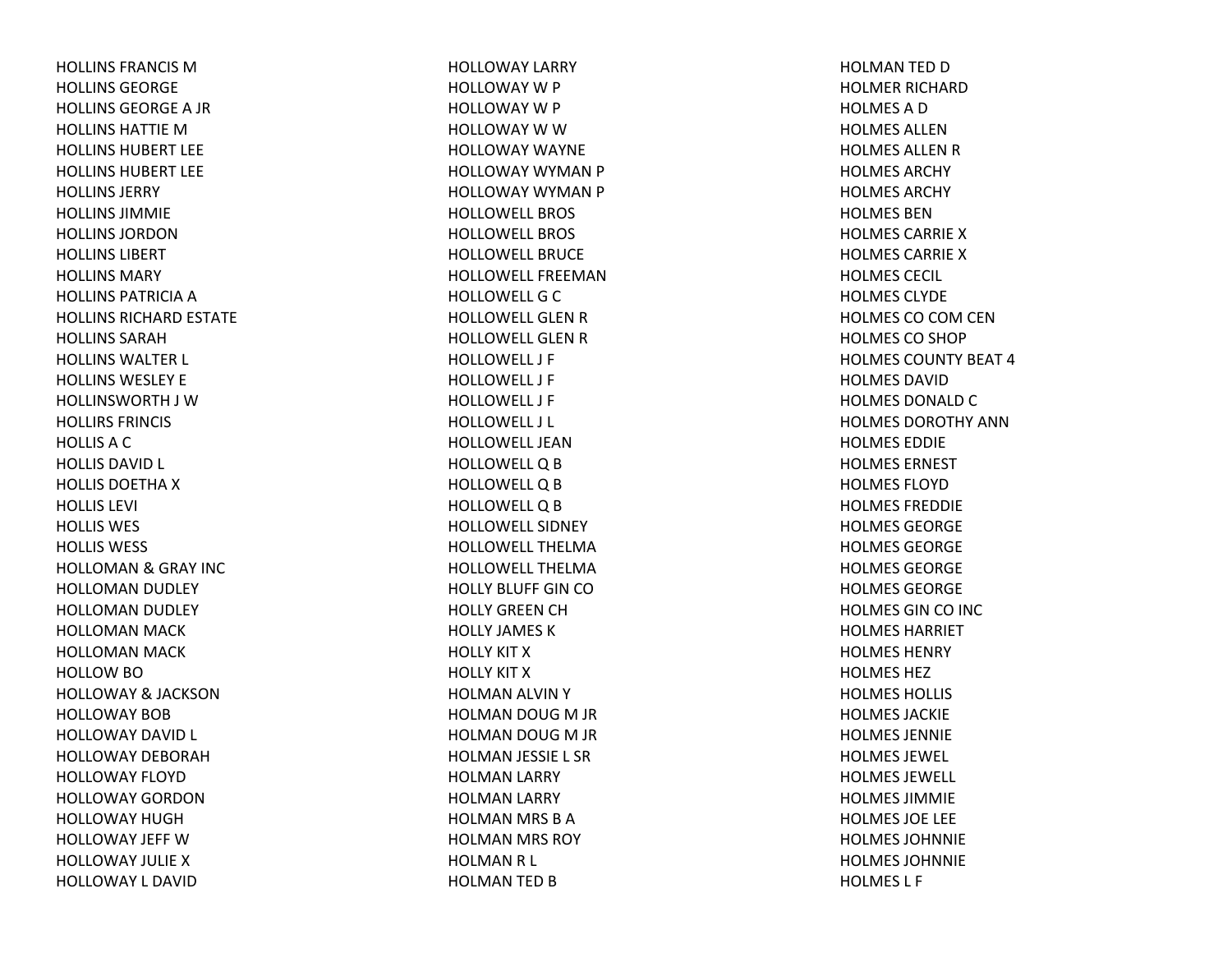HOLLINS FRANCIS MHOLLINS GEORGEHOLLINS GEORGEA JR HOLLINS HATTIE M HOLLINS HUBERT LEEHOLLINS HUBERT LEEHOLLINS JERRYHOLLINS JIMMIEHOLLINS JORDONHOLLINS LIBERTHOLLINS MARYHOLLINS PATRICIA A HOLLINS RICHARD ESTATE HOLLINS SARAHHOLLINS WALTER L HOLLINS WESLEY EHOLLINSWORTH J WHOLLIRS FRINCIS HOLLISACHOLLIS DAVID L HOLLIS DOETHA X HOLLIS LEVI HOLLIS WES HOLLIS WESS HOLLOMAN& GRAY INC HOLLOMAN DUDLEY HOLLOMAN DUDLEY HOLLOMAN MACK HOLLOMAN MACK HOLLOW BO HOLLOWAY& JACKSON HOLLOWAY BOBHOLLOWAY DAVID L HOLLOWAY DEBORAHHOLLOWAY FLOYDHOLLOWAY GORDONHOLLOWAY HUGHHOLLOWAY JEFF WHOLLOWAY JULIEXHOLLOWAY L DAVID

HOLLOWAY LARRY HOLLOWAY W P HOLLOWAY W P HOLLOWAY W W HOLLOWAY WAYNEHOLLOWAY WYMAN P HOLLOWAY WYMAN P HOLLOWELL BROSHOLLOWELL BROSHOLLOWELL BRUCEHOLLOWELL FREEMANHOLLOWELL G C HOLLOWELL GLEN R HOLLOWELL GLEN R HOLLOWELL J FHOLLOWELL J FHOLLOWELL J FHOLLOWELL J L HOLLOWELL JEANHOLLOWELL Q B HOLLOWELL Q B HOLLOWELL Q B HOLLOWELL SIDNEYHOLLOWELL THELMAHOLLOWELL THELMAHOLLY BLUFF GIN COHOLLY GREEN CH HOLLY JAMES KHOLLY KIT XHOLLY KIT XHOLMAN ALVIN YHOLMAN DOUG M JR HOLMAN DOUG M JR HOLMAN JESSIE L SR HOLMAN LARRY HOLMAN LARRY HOLMAN MRS BAHOLMAN MRS ROY HOLMANR L HOLMAN TED B

HOLMAN TED DHOLMER RICHARDHOLMESADHOLMES ALLENHOLMES ALLEN R HOLMES ARCHYHOLMES ARCHYHOLMES BENHOLMES CARRIE X HOLMES CARRIE X HOLMES CECIL HOLMES CLYDEHOLMES CO COM CEN HOLMES CO SHOP HOLMES COUNTY BEAT 4HOLMES DAVIDHOLMES DONALD C HOLMES DOROTHY ANNHOLMES EDDIEHOLMES ERNESTHOLMES FLOYDHOLMES FREDDIEHOLMES GEORGEHOLMES GEORGEHOLMES GEORGEHOLMES GEORGEHOLMES GIN CO INC HOLMES HARRIETHOLMES HENRYHOLMES HEZHOLMES HOLLIS HOLMES JACKIEHOLMES JENNIEHOLMES JEWEL HOLMES JEWELL HOLMES JIMMIEHOLMES JOE LEE HOLMES JOHNNIEHOLMES JOHNNIEHOLMES L F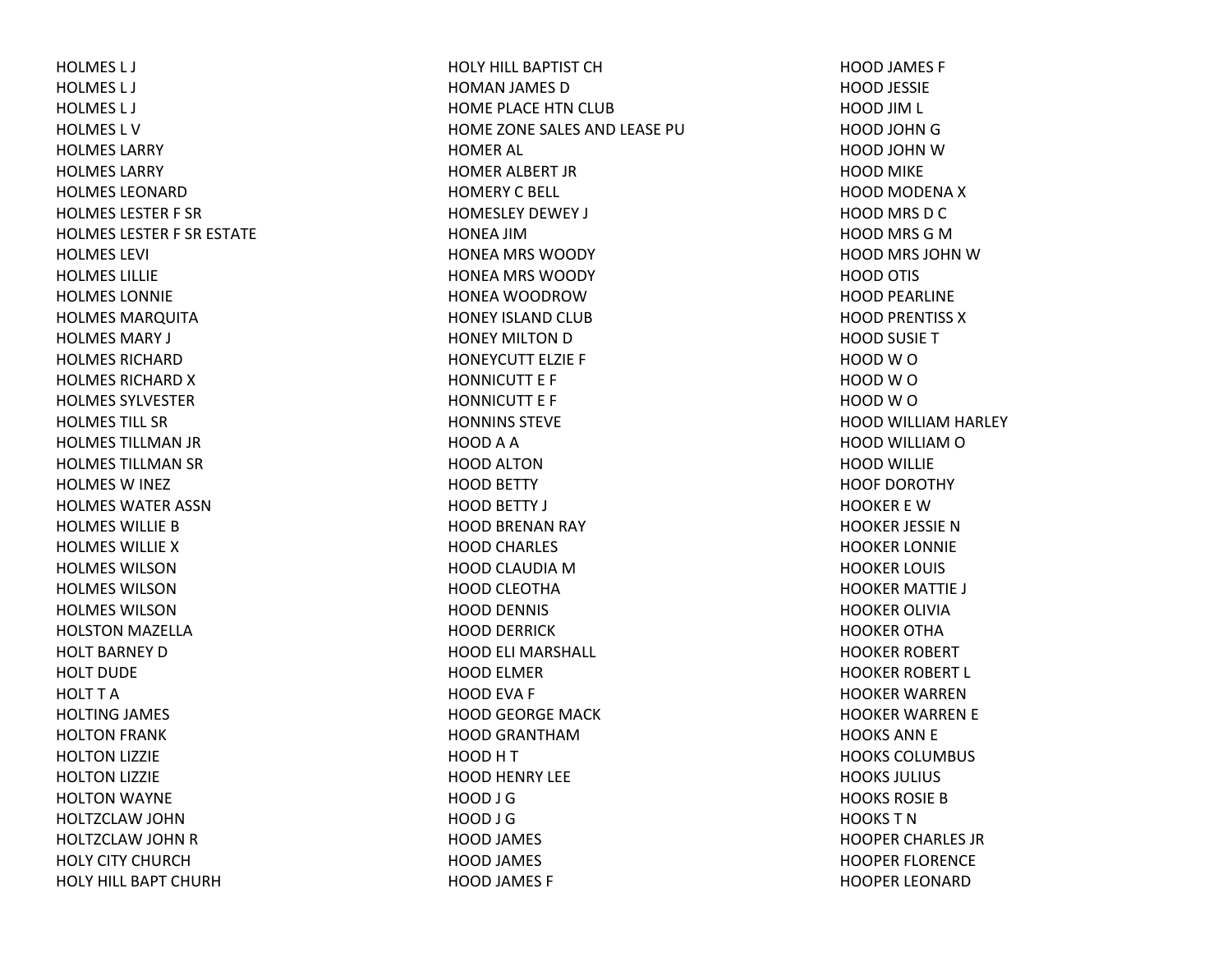HOLMES L J HOLMES L J HOLMES L J HOLMES L VHOLMES LARRYHOLMES LARRYHOLMES LEONARDHOLMES LESTER F SR HOLMES LESTER F SR ESTATE HOLMES LEVI HOLMES LILLIEHOLMES LONNIEHOLMES MARQUITA HOLMES MARY J HOLMES RICHARDHOLMES RICHARD X HOLMES SYLVESTERHOLMES TILL SRHOLMES TILLMAN JR HOLMES TILLMAN SR HOLMES W INEZ HOLMES WATER ASSNHOLMES WILLIE BHOLMES WILLIE XHOLMES WILSONHOLMES WILSONHOLMES WILSONHOLSTON MAZELLA HOLT BARNEY DHOLT DUDEHOLT T AHOLTING JAMES HOLTON FRANK HOLTON LIZZIE HOLTON LIZZIE HOLTON WAYNE HOLTZCLAW JOHN HOLTZCLAW JOHN R HOLY CITY CHURCHHOLY HILL BAPT CHURH

HOLY HILL BAPTIST CHHOMAN JAMES D HOME PLACE HTN CLUB HOME ZONE SALES AND LEASE PUHOMER AL HOMER ALBERT JR HOMERY C BELL HOMESLEY DEWEY J HONEA JIMHONEA MRS WOODY HONEA MRS WOODY HONEA WOODROWHONEY ISLAND CLUB HONEY MILTON D HONEYCUTT ELZIE F HONNICUTT E F HONNICUTT E F HONNINS STEVEHOOD A A HOOD ALTONHOOD BETTY HOOD BETTY J HOOD BRENAN RAY HOOD CHARLES HOOD CLAUDIA MHOOD CLEOTHA HOOD DENNIS HOOD DERRICK HOOD ELI MARSHALL HOOD ELMER HOOD EVA F HOOD GEORGE MACK HOOD GRANTHAMHOOD H T HOOD HENRY LEE HOOD J GHOOD J GHOOD JAMES HOOD JAMES HOOD JAMES F

HOOD JAMES F HOOD JESSIE HOOD JIM L HOOD JOHN G HOOD JOHN WHOOD MIKE HOOD MODENA X HOOD MRS D C HOOD MRS G MHOOD MRS JOHN WHOOD OTIS HOOD PEARLINE HOOD PRENTISS X HOOD SUSIE T HOOD W O HOOD W O HOOD W O HOOD WILLIAM HARLEY HOOD WILLIAM O HOOD WILLIE HOOF DOROTHYHOOKER E WHOOKER JESSIE NHOOKER LONNIE HOOKER LOUIS HOOKER MATTIE J HOOKER OLIVIAHOOKER OTHAHOOKER ROBERT HOOKER ROBERT L HOOKER WARRENHOOKER WARREN E HOOKS ANN E HOOKS COLUMBUS HOOKS JULIUS HOOKS ROSIE BHOOKS T NHOOPER CHARLES JR HOOPER FLORENCE HOOPER LEONARD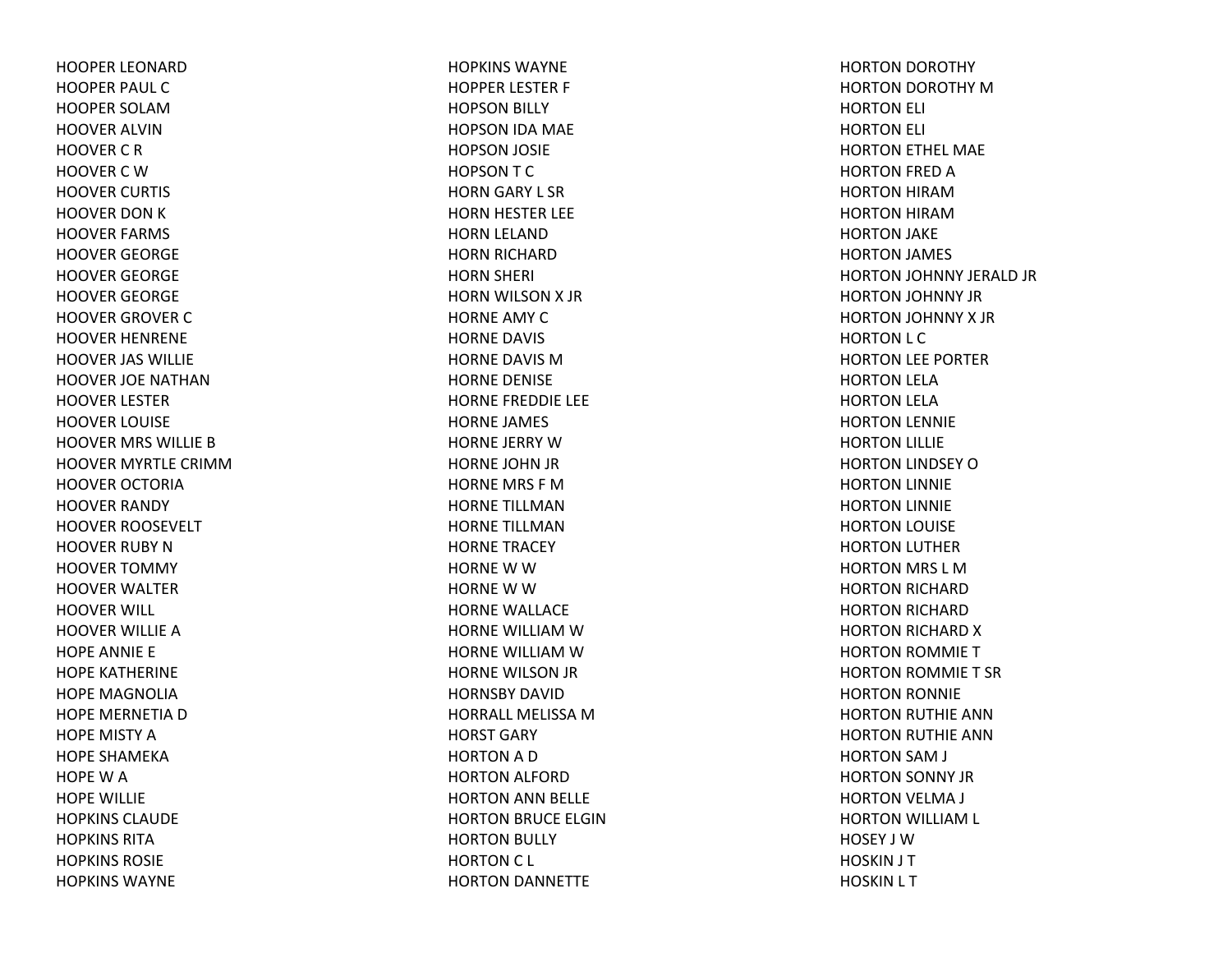HOOPER LEONARDHOOPER PAUL CHOOPER SOLAMHOOVER ALVINHOOVER C R HOOVER C W HOOVER CURTIS HOOVER DON K HOOVER FARMS HOOVER GEORGE HOOVER GEORGE HOOVER GEORGE HOOVER GROVER CHOOVER HENRENE HOOVER JAS WILLIE HOOVER JOE NATHANHOOVER LESTER HOOVER LOUISE HOOVER MRS WILLIE BHOOVER MYRTLE CRIMMHOOVER OCTORIAHOOVER RANDY HOOVER ROOSEVELT HOOVER RUBY NHOOVER TOMMY HOOVER WALTER HOOVER WILL HOOVER WILLIE AHOPE ANNIE E HOPE KATHERINE HOPE MAGNOLIAHOPE MERNETIA D HOPE MISTY AHOPE SHAMEKAHOPEWAHOPE WILLIE HOPKINS CLAUDEHOPKINS RITAHOPKINS ROSIEHOPKINS WAYNE

HOPKINS WAYNEHOPPER LESTER F HOPSON BILLY HOPSON IDA MAE HOPSON JOSIE HOPSONTCHORN GARY L SR HORN HESTER LEE HORN LELAND HORN RICHARD HORN SHERI HORN WILSON X JRHORNE AMY CHORNE DAVIS HORNE DAVIS MHORNE DENISE HORNE FREDDIE LEE HORNE JAMES HORNE JERRY WHORNE JOHN JR HORNE MRS F MHORNE TILLMANHORNE TILLMANHORNE TRACEY HORNE W W HORNE W W HORNE WALLACE HORNE WILLIAM W HORNE WILLIAM W HORNE WILSON JR HORNSBY DAVIDHORRALL MELISSAMHORST GARY HORTON A D HORTON ALFORD HORTON ANN BELLE HORTON BRUCE ELGIN HORTON BULLY HORTON C L HORTON DANNETTE

HORTON DOROTHY HORTON DOROTHY MHORTON ELI HORTON ELI HORTON ETHEL MAE HORTON FRED AHORTON HIRAMHORTON HIRAMHORTON JAKE HORTON JAMES HORTON JOHNNY JERALD JR HORTON JOHNNY JR HORTON JOHNNY X JRHORTON L C HORTON LEE PORTER HORTON LELA HORTON LELA HORTON LENNIE HORTON LILLIE HORTON LINDSEY OHORTON LINNIE HORTON LINNIE HORTON LOUISE HORTON LUTHER HORTON MRS L MHORTON RICHARD HORTON RICHARD HORTON RICHARD XHORTON ROMMIE THORTON ROMMIE T SRHORTON RONNIE HORTON RUTHIE ANN HORTON RUTHIE ANN HORTON SAM J HORTON SONNY JR HORTON VELMA J HORTON WILLIAM L HOSEY J WHOSKIN J T HOSKIN L T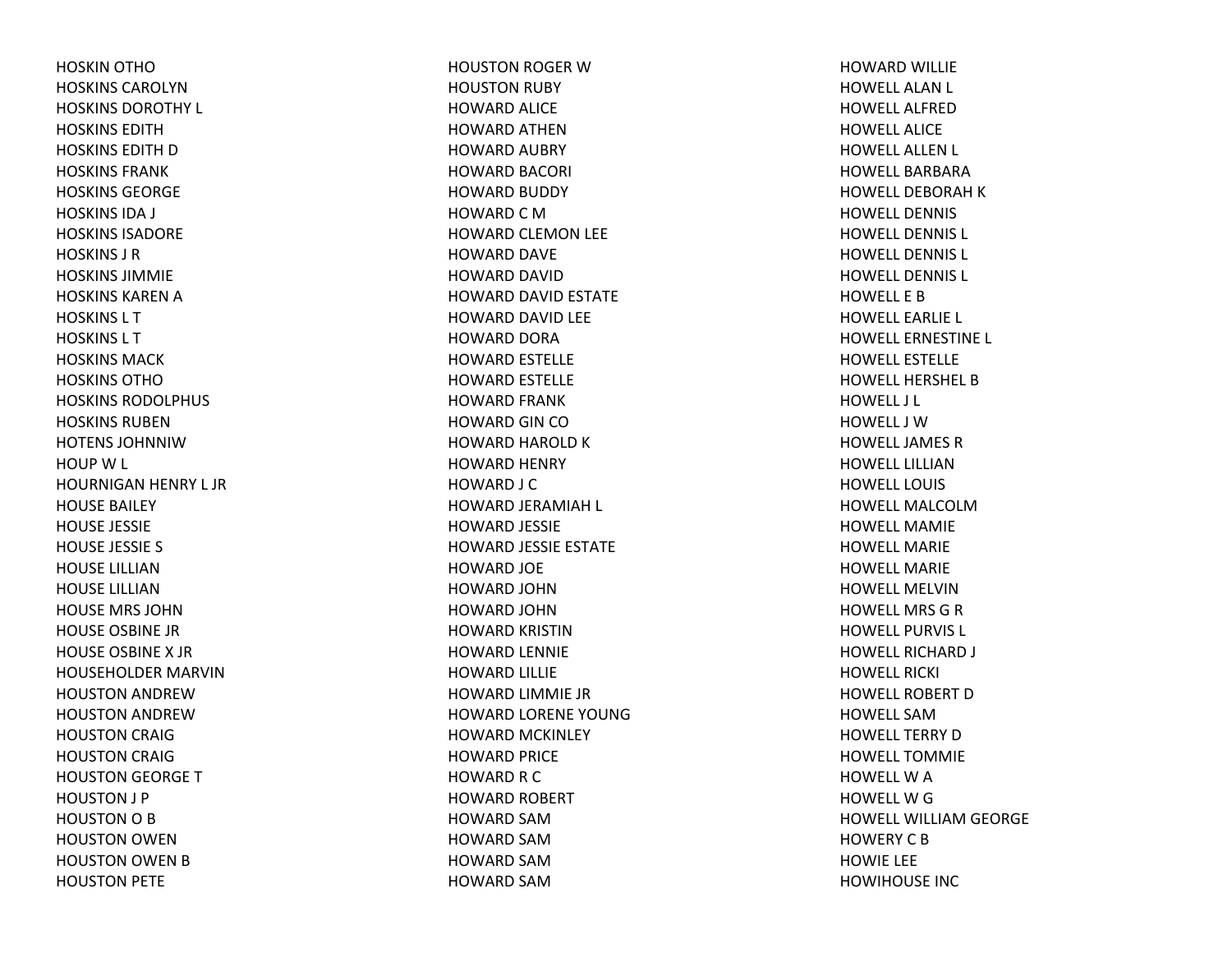HOSKIN OTHOHOSKINS CAROLYNHOSKINS DOROTHY L HOSKINS EDITHHOSKINS EDITH D HOSKINS FRANKHOSKINS GEORGEHOSKINS IDA J HOSKINS ISADOREHOSKINS J RHOSKINS JIMMIEHOSKINS KAREN A HOSKINS L THOSKINS L THOSKINS MACKHOSKINS OTHOHOSKINS RODOLPHUS HOSKINS RUBENHOTENS JOHNNIWHOUP W L HOURNIGAN HENRY L JR HOUSE BAILEY HOUSE JESSIE HOUSE JESSIE S HOUSE LILLIANHOUSE LILLIANHOUSE MRS JOHNHOUSE OSBINE JRHOUSE OSBINE X JRHOUSEHOLDER MARVINHOUSTON ANDREWHOUSTON ANDREWHOUSTON CRAIG HOUSTON CRAIG HOUSTON GEORGE THOUSTON J P HOUSTON O B HOUSTON OWEN HOUSTON OWEN BHOUSTON PETE

HOUSTON ROGER WHOUSTON RUBY HOWARD ALICE HOWARD ATHENHOWARD AUBRY HOWARD BACORI HOWARD BUDDY HOWARD C M HOWARD CLEMON LEE HOWARD DAVE HOWARD DAVID HOWARD DAVID ESTATE HOWARD DAVID LEE HOWARD DORA HOWARD ESTELLE HOWARD ESTELLE HOWARD FRANK HOWARD GIN COHOWARD HAROLD KHOWARD HENRY HOWARD J C HOWARD JERAMIAH L HOWARD JESSIE HOWARD JESSIE ESTATE HOWARD JOE HOWARD JOHNHOWARD JOHNHOWARD KRISTINHOWARD LENNIE HOWARD LILLIE HOWARD LIMMIE JR HOWARD LORENE YOUNGHOWARD MCKINLEY HOWARD PRICE HOWARD R C HOWARD ROBERT HOWARD SAMHOWARD SAMHOWARD SAMHOWARD SAM

HOWARD WILLIE HOWELL ALAN L HOWELL ALFREDHOWELL ALICEHOWELL ALLEN L HOWELL BARBARAHOWELL DEBORAH K HOWELL DENNISHOWELL DENNIS L HOWELL DENNIS L HOWELL DENNIS L HOWELL E BHOWELL EARLIE L HOWELL ERNESTINE L HOWELL ESTELLEHOWELL HERSHEL BHOWELL J L HOWELL J WHOWELL JAMES R HOWELL LILLIANHOWELL LOUISHOWELL MALCOLMHOWELL MAMIEHOWELL MARIEHOWELL MARIEHOWELL MELVINHOWELL MRSGRHOWELL PURVIS L HOWELL RICHARD J HOWELL RICKI HOWELL ROBERT D HOWELL SAMHOWELL TERRY D HOWELL TOMMIEHOWELL W A HOWELL W G HOWELL WILLIAM GEORGE HOWERYCBHOWIE LEE HOWIHOUSE INC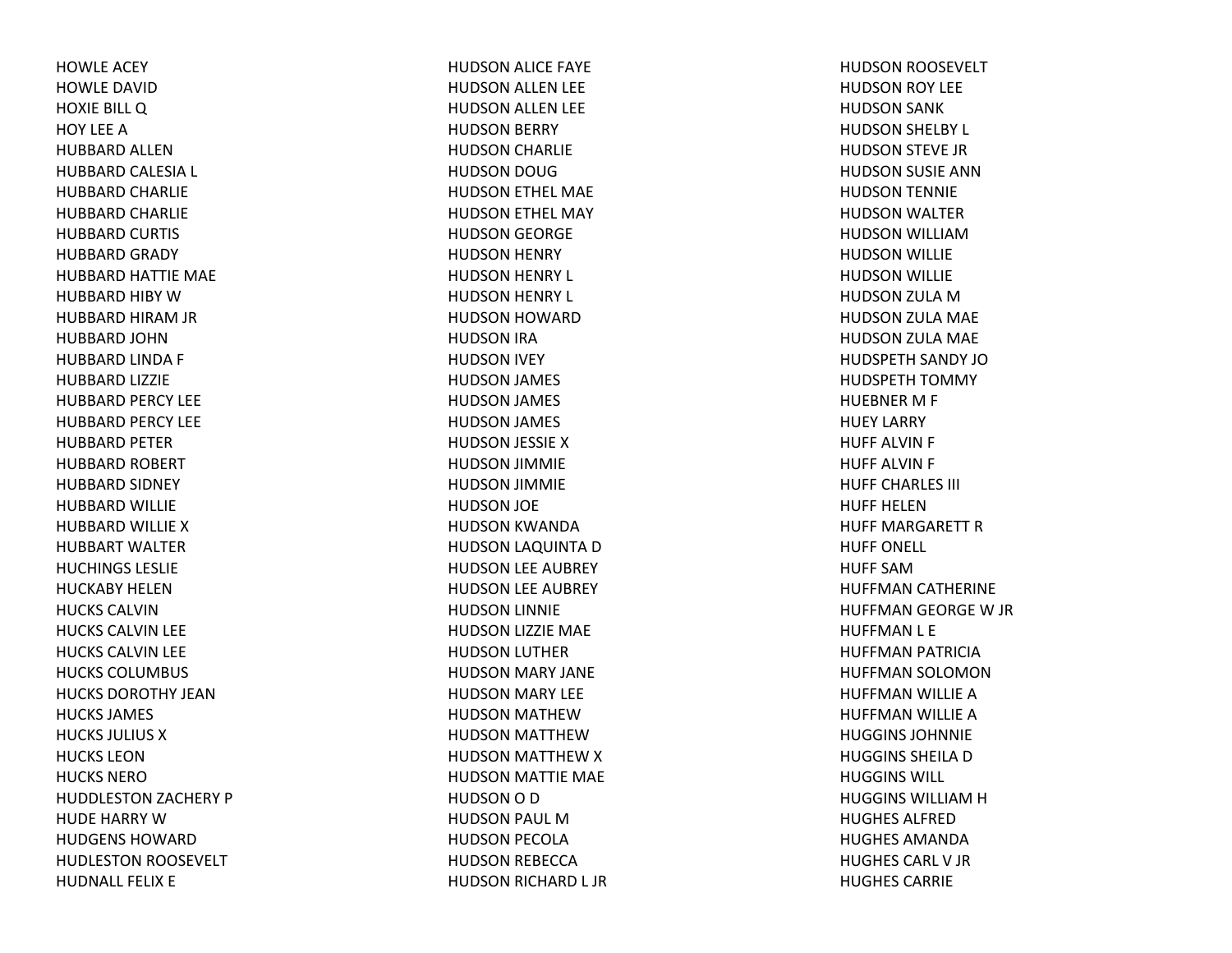HOWLE ACEY HOWLE DAVIDHOXIE BILL Q HOY LEEAHUBBARD ALLENHUBBARD CALESIA L HUBBARD CHARLIE HUBBARD CHARLIE HUBBARD CURTIS HUBBARD GRADY HUBBARD HATTIE MAE HUBBARD HIBY WHUBBARD HIRAM JR HUBBARD JOHNHUBBARD LINDA F HUBBARD LIZZIE HUBBARD PERCY LEE HUBBARD PERCY LEE HUBBARD PETER HUBBARD ROBERT HUBBARD SIDNEY HUBBARD WILLIE HUBBARD WILLIE XHUBBART WALTERHUCHINGS LESLIEHUCKABY HELENHUCKS CALVINHUCKS CALVIN LEE HUCKS CALVIN LEE HUCKS COLUMBUS HUCKS DOROTHY JEANHUCKS JAMES HUCKS JULIUS XHUCKS LEONHUCKS NEROHUDDLESTON ZACHERY P HUDE HARRY WHUDGENS HOWARDHUDLESTON ROOSEVELT HUDNALL FELIX E

HUDSON ALICE FAYE HUDSON ALLEN LEE HUDSON ALLEN LEE HUDSON BERRY HUDSON CHARLIE HUDSON DOUG HUDSON ETHEL MAE HUDSON ETHEL MAY HUDSON GEORGE HUDSON HENRY HUDSON HENRY L HUDSON HENRY L HUDSON HOWARD HUDSON IRA HUDSON IVEY HUDSON JAMES HUDSON JAMES HUDSON JAMES HUDSON JESSIE XHUDSON JIMMIE HUDSON JIMMIE HUDSON JOE HUDSON KWANDA HUDSON LAQUINTA DHUDSON LEE AUBREY HUDSON LEE AUBREY HUDSON LINNIE HUDSON LIZZIE MAE HUDSON LUTHER HUDSON MARY JANE HUDSON MARY LEE HUDSON MATHEWHUDSON MATTHEWHUDSON MATTHEW X HUDSON MATTIE MAE HUDSON O D HUDSON PAUL MHUDSON PECOLA HUDSON REBECCA HUDSON RICHARD L JR HUDSON ROOSEVELT HUDSON ROY LEE HUDSON SANK HUDSON SHELBY L HUDSON STEVE JR HUDSON SUSIE ANN HUDSON TENNIE HUDSON WALTER HUDSON WILLIAMHUDSON WILLIE HUDSON WILLIE HUDSON ZULA MHUDSON ZULA MAE HUDSON ZULA MAE HUDSPETH SANDY JOHUDSPETH TOMMY HUEBNER M F HUEY LARRY HUFF ALVIN F HUFF ALVIN F HUFF CHARLES III HUFF HELENHUFF MARGARETT R HUFF ONELL HUFF SAMHUFFMAN CATHERINE HUFFMAN GEORGE W JR HUFFMAN L E HUFFMAN PATRICIA HUFFMAN SOLOMON HUFFMAN WILLIE AHUFFMAN WILLIE AHUGGINS JOHNNIEHUGGINS SHEILA D HUGGINS WILL HUGGINS WILLIAMHHUGHES ALFREDHUGHES AMANDAHUGHES CARL V JR HUGHES CARRIE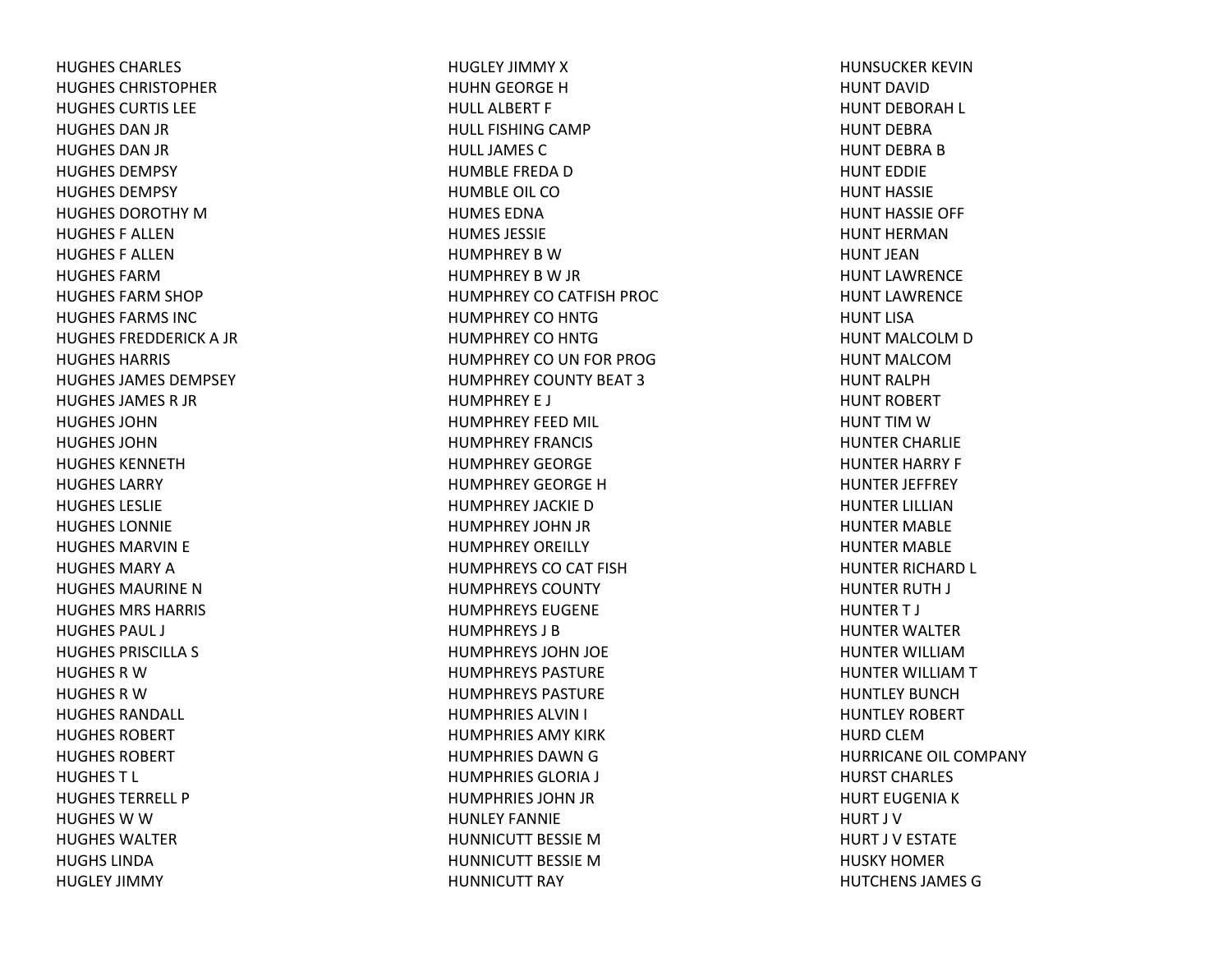HUGHES CHARLES HUGHES CHRISTOPHERHUGHES CURTIS LEEHUGHES DAN JR HUGHES DAN JR HUGHES DEMPSYHUGHES DEMPSYHUGHES DOROTHY MHUGHES F ALLENHUGHES F ALLENHUGHES FARMHUGHES FARM SHOP HUGHES FARMS INCHUGHES FREDDERICK A JR HUGHES HARRIS HUGHES JAMES DEMPSEYHUGHES JAMES R JR HUGHES JOHNHUGHES JOHNHUGHES KENNETHHUGHES LARRYHUGHES LESLIEHUGHES LONNIEHUGHES MARVIN E HUGHES MARY AHUGHES MAURINE NHUGHES MRS HARRIS HUGHES PAUL J HUGHES PRISCILLA S HUGHES R WHUGHES R WHUGHES RANDALL HUGHES ROBERTHUGHES ROBERTHUGHES T L HUGHES TERRELL PHUGHES W W HUGHES WALTERHUGHS LINDAHUGLEY JIMMY

HUGLEY JIMMY XHUHN GEORGE H HULL ALBERT F HULL FISHING CAMP HULL JAMES CHUMBLE FREDA DHUMBLE OIL COHUMES EDNAHUMES JESSIEHUMPHREY B WHUMPHREY B W JR HUMPHREY CO CATFISH PROC HUMPHREY CO HNTG HUMPHREY CO HNTG HUMPHREY CO UN FOR PROG HUMPHREY COUNTY BEAT 3HUMPHREY E J HUMPHREY FEED MIL HUMPHREY FRANCIS HUMPHREY GEORGEHUMPHREY GEORGE HHUMPHREY JACKIE DHUMPHREY JOHN JR HUMPHREY OREILLY HUMPHREYS CO CAT FISH HUMPHREYS COUNTYHUMPHREYS EUGENEHUMPHREYS J BHUMPHREYS JOHN JOE HUMPHREYS PASTUREHUMPHREYS PASTUREHUMPHRIES ALVIN I HUMPHRIES AMY KIRKHUMPHRIES DAWN G HUMPHRIES GLORIA J HUMPHRIES JOHN JR HUNLEY FANNIEHUNNICUTT BESSIE MHUNNICUTT BESSIE MHUNNICUTT RAY

HUNSUCKER KEVINHUNT DAVIDHUNT DEBORAH L HUNT DEBRAHUNT DEBRA B HUNT EDDIEHUNT HASSIEHUNT HASSIE OFF HUNT HERMANHUNT JEANHUNT LAWRENCEHUNT LAWRENCEHUNT LISAHUNT MALCOLM D HUNT MALCOMHUNT RALPHHUNT ROBERT HUNT TIM WHUNTER CHARLIE HUNTER HARRY F HUNTER JEFFREY HUNTER LILLIANHUNTER MABLE HUNTER MABLE HUNTER RICHARD L HUNTER RUTH J HUNTER T J HUNTER WALTER HUNTER WILLIAMHUNTER WILLIAM T HUNTLEY BUNCHHUNTLEY ROBERT HURD CLEMHURRICANE OIL COMPANY HURST CHARLES HURT EUGENIA K HURT J VHURT J V ESTATE HUSKY HOMERHUTCHENS JAMES G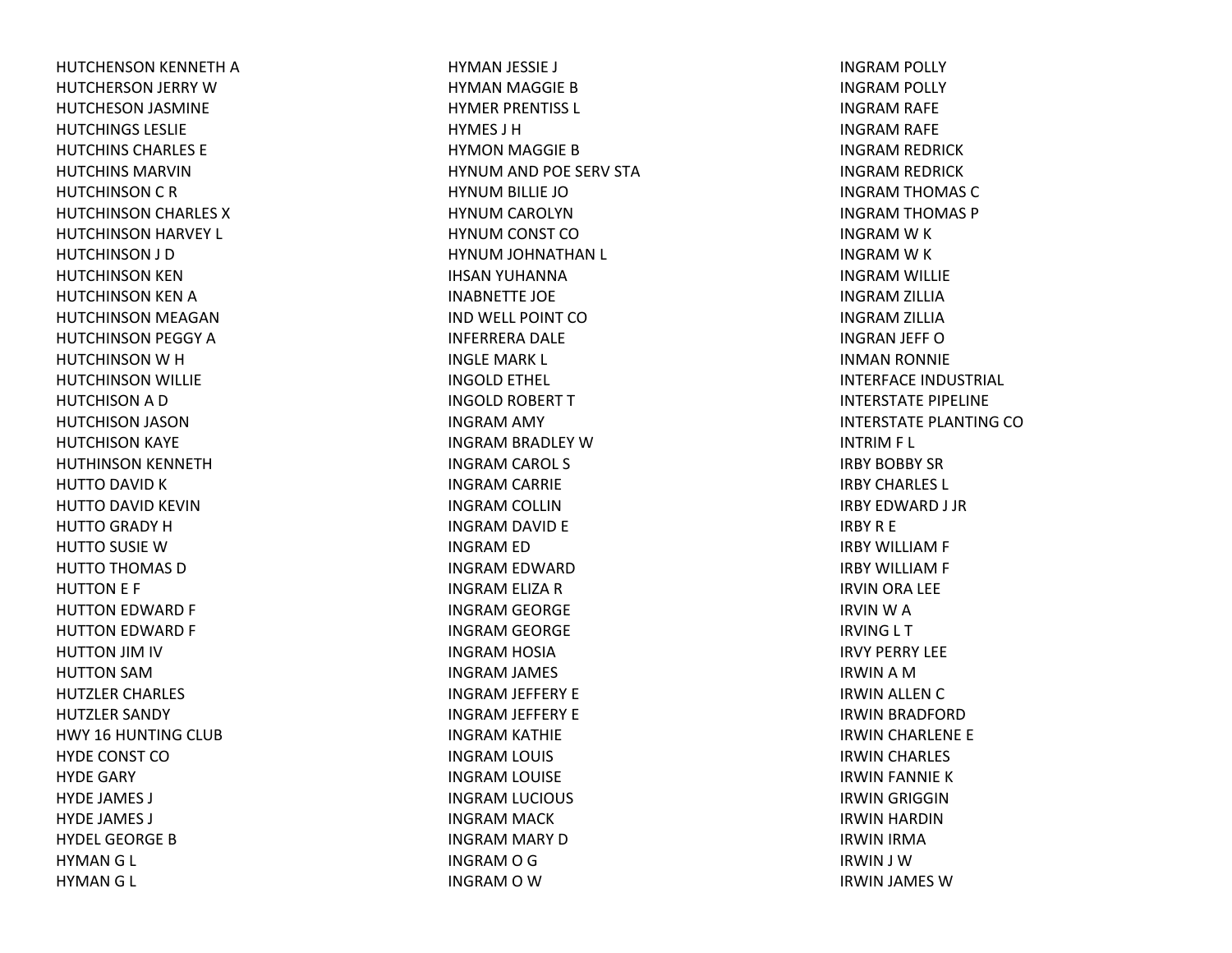HUTCHENSON KENNETH AHUTCHERSON JERRY WHUTCHESON JASMINE HUTCHINGS LESLIEHUTCHINS CHARLES EHUTCHINS MARVINHUTCHINSON C R HUTCHINSON CHARLES XHUTCHINSON HARVEY L HUTCHINSON J D HUTCHINSON KEN HUTCHINSON KEN AHUTCHINSON MEAGAN HUTCHINSON PEGGY AHUTCHINSON W H HUTCHINSON WILLIE HUTCHISON A D HUTCHISON JASON HUTCHISON KAYE HUTHINSON KENNETH HUTTO DAVID KHUTTO DAVID KEVIN HUTTO GRADY HHUTTO SUSIE WHUTTO THOMAS DHUTTON E F HUTTON EDWARD F HUTTON EDWARD F HUTTON JIM IV HUTTON SAMHUTZLER CHARLES HUTZLER SANDY HWY 16 HUNTING CLUB HYDE CONST COHYDE GARY HYDE JAMES J HYDE JAMES J HYDEL GEORGE B HYMANG L HYMANG L

HYMAN JESSIE J HYMAN MAGGIE BHYMER PRENTISS L HYMES J HHYMON MAGGIE BHYNUM AND POE SERV STA HYNUM BILLIE JO HYNUM CAROLYN HYNUM CONST CO HYNUM JOHNATHAN L IHSAN YUHANNA INABNETTE JOE IND WELL POINT COINFERRERA DALE INGLE MARK L INGOLD ETHEL INGOLD ROBERT TINGRAM AMY INGRAM BRADLEY WINGRAM CAROL S INGRAM CARRIE INGRAM COLLIN INGRAM DAVID E INGRAM ED INGRAM EDWARD INGRAM ELIZA RINGRAM GEORGE INGRAM GEORGE INGRAM HOSIA INGRAM JAMES INGRAM JEFFERY E INGRAM JEFFERY E INGRAM KATHIE INGRAM LOUIS INGRAM LOUISE INGRAM LUCIOUS INGRAM MACK INGRAM MARY DINGRAMOGINGRAM O W

INGRAM POLLY INGRAM POLLY INGRAM RAFE INGRAM RAFE INGRAM REDRICK INGRAM REDRICK INGRAM THOMAS CINGRAM THOMAS P INGRAM W K INGRAM W K INGRAM WILLIE INGRAM ZILLIA INGRAM ZILLIA INGRAN JEFF OINMAN RONNIE INTERFACE INDUSTRIAL INTERSTATE PIPELINE INTERSTATE PLANTING COINTRIM F L IRBY BOBBY SRIRBY CHARLES L IRBY EDWARD J JR IRBYR E IRBY WILLIAM F IRBY WILLIAM F IRVIN ORA LEE IRVINWAIRVING L T IRVY PERRY LEEIRWINAMIRWIN ALLEN CIRWIN BRADFORD IRWIN CHARLENE E IRWIN CHARLES IRWIN FANNIE KIRWIN GRIGGIN IRWIN HARDIN IRWIN IRMA IRWIN J WIRWIN JAMES W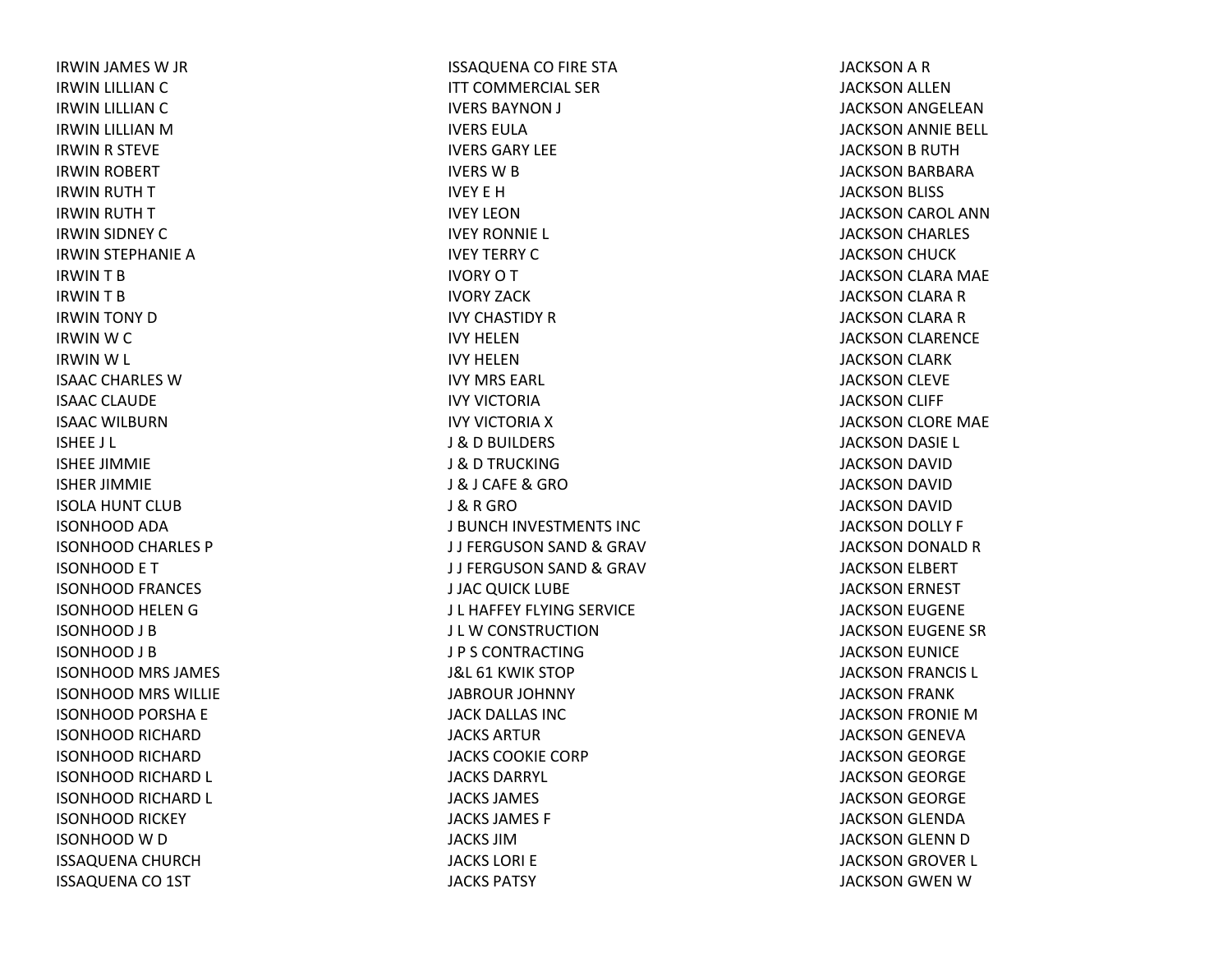IRWIN JAMES W JR IRWIN LILLIAN CIRWIN LILLIAN CIRWIN LILLIAN MIRWIN R STEVE IRWIN ROBERT IRWIN RUTH TIRWIN RUTH TIRWIN SIDNEY CIRWIN STEPHANIE AIRWINTBIRWINTBIRWIN TONY DIRWIN W C IRWIN W L ISAAC CHARLES WISAAC CLAUDE ISAAC WILBURNISHEE J L ISHEE JIMMIE ISHER JIMMIE ISOLA HUNT CLUB ISONHOOD ADA ISONHOOD CHARLES P ISONHOOD E T ISONHOOD FRANCES ISONHOOD HELEN G ISONHOOD J B ISONHOOD J B ISONHOOD MRS JAMES ISONHOOD MRS WILLIE ISONHOOD PORSHA E ISONHOOD RICHARD ISONHOOD RICHARD ISONHOOD RICHARD L ISONHOOD RICHARD L ISONHOOD RICKEY ISONHOOD W D ISSAQUENA CHURCH ISSAQUENA CO 1ST

ISSAQUENA CO FIRE STA ITT COMMERCIAL SERIVERS BAYNON J IVERS EULAIVERS GARY LEEIVERS W B IVEY E HIVEY LEONIVEY RONNIE L IVEY TERRY CIVORYOTIVORY ZACKIVY CHASTIDY RIVY HELENIVY HELENIVY MRS EARL IVY VICTORIAIVY VICTORIA X J &D BUILDERS J &D TRUCKINGJ & J CAFE & GRO J & R GRO J BUNCH INVESTMENTS INC J J FERGUSON SAND & GRAV J J FERGUSON SAND & GRAV J JAC QUICK LUBE J L HAFFEY FLYING SERVICE J L W CONSTRUCTION J P S CONTRACTINGJ&L 61 KWIK STOP JABROUR JOHNNY JACK DALLAS INCJACKS ARTURJACKS COOKIE CORPJACKS DARRYL JACKS JAMES JACKS JAMES F JACKS JIMJACKS LORI EJACKS PATSY

JACKSON A R JACKSON ALLEN JACKSON ANGELEAN JACKSON ANNIE BELL JACKSON B RUTH JACKSON BARBARA JACKSON BLISS JACKSON CAROL ANN JACKSON CHARLES JACKSON CHUCK JACKSON CLARA MAE JACKSON CLARA RJACKSON CLARA RJACKSON CLARENCE JACKSON CLARK JACKSON CLEVE JACKSON CLIFF JACKSON CLORE MAE JACKSON DASIE L JACKSON DAVID JACKSON DAVID JACKSON DAVID JACKSON DOLLY F JACKSON DONALD RJACKSON ELBERT JACKSON ERNEST JACKSON EUGENE JACKSON EUGENE SR JACKSON EUNICE JACKSON FRANCIS L JACKSON FRANK JACKSON FRONIE MJACKSON GENEVA JACKSON GEORGE JACKSON GEORGE JACKSON GEORGE JACKSON GLENDA JACKSON GLENN DJACKSON GROVER L JACKSON GWEN W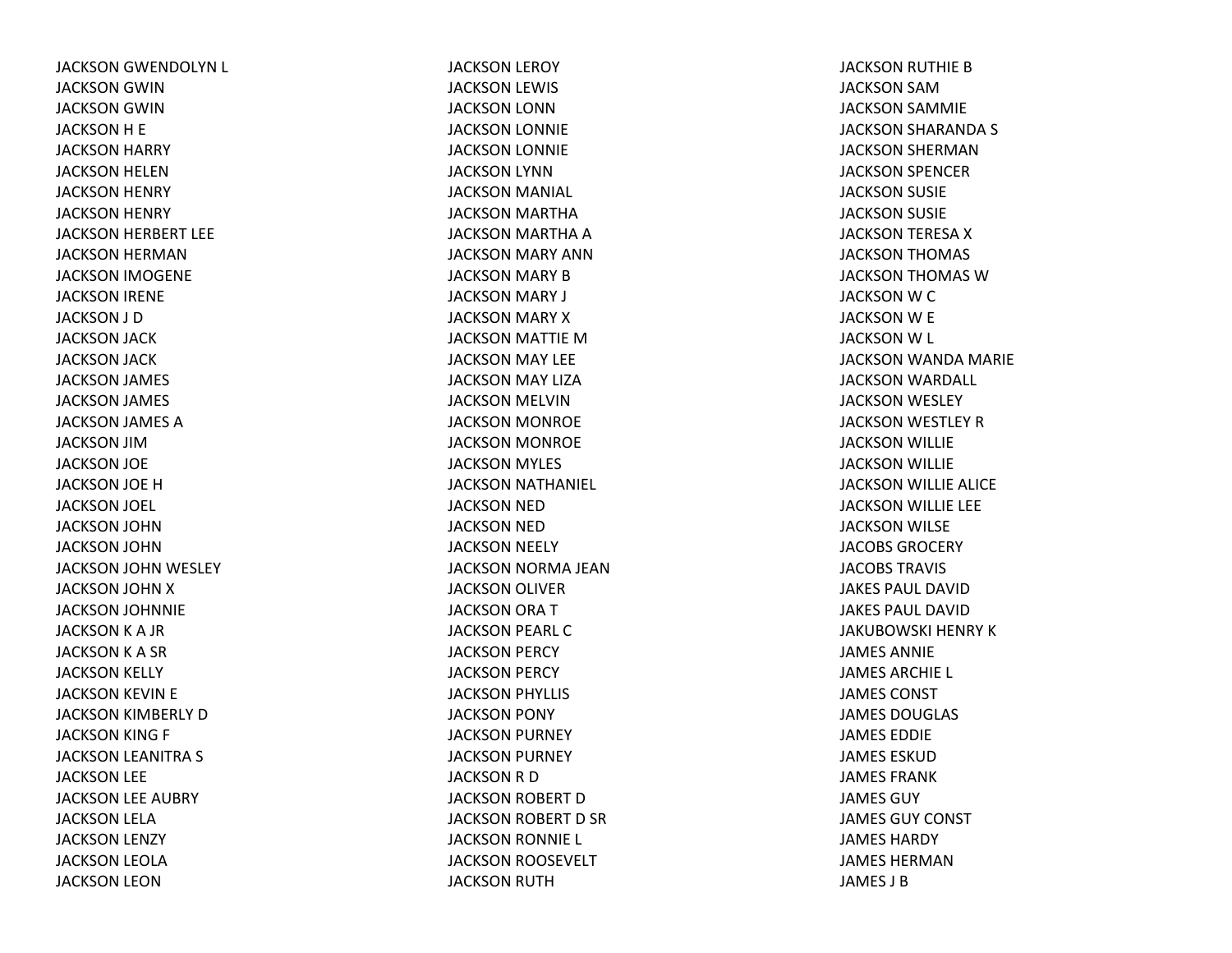JACKSON GWENDOLYN L JACKSON GWIN JACKSON GWIN JACKSON H E JACKSON HARRY JACKSON HELEN JACKSON HENRY JACKSON HENRY JACKSON HERBERT LEE JACKSON HERMAN JACKSON IMOGENE JACKSON IRENE JACKSON J D JACKSON JACK JACKSON JACK JACKSON JAMES JACKSON JAMES JACKSON JAMES AJACKSON JIMJACKSON JOE JACKSON JOE HJACKSON JOEL JACKSON JOHNJACKSON JOHN JACKSON JOHN WESLEY JACKSON JOHN XJACKSON JOHNNIE JACKSON K A JR JACKSON K A SR JACKSON KELLY JACKSON KEVIN E JACKSON KIMBERLY DJACKSON KING F JACKSON LEANITRA S JACKSON LEE JACKSON LEE AUBRY JACKSON LELA JACKSON LENZY JACKSON LEOLA JACKSON LEON

JACKSON LEROY JACKSON LEWIS JACKSON LONN JACKSON LONNIE JACKSON LONNIE JACKSON LYNN JACKSON MANIAL JACKSON MARTHA JACKSON MARTHA AJACKSON MARY ANN JACKSON MARY BJACKSON MARY J JACKSON MARY XJACKSON MATTIE MJACKSON MAY LEE JACKSON MAY LIZA JACKSON MELVIN JACKSON MONROE JACKSON MONROE JACKSON MYLES JACKSON NATHANIEL JACKSON NED JACKSON NED JACKSON NEELY JACKSON NORMA JEAN JACKSON OLIVER JACKSON ORA TJACKSON PEARL CJACKSON PERCY JACKSON PERCY JACKSON PHYLLIS JACKSON PONY JACKSON PURNEY JACKSON PURNEY JACKSON R D JACKSON ROBERT DJACKSON ROBERT D SR JACKSON RONNIE L JACKSON ROOSEVELT JACKSON RUTH

JACKSON RUTHIE BJACKSON SAMJACKSON SAMMIE JACKSON SHARANDA S JACKSON SHERMAN JACKSON SPENCER JACKSON SUSIE JACKSON SUSIE JACKSON TERESA XJACKSON THOMAS JACKSON THOMAS WJACKSON W C JACKSON W E JACKSON W L JACKSON WANDA MARIE JACKSON WARDALL JACKSON WESLEY JACKSON WESTLEY RJACKSON WILLIE JACKSON WILLIE JACKSON WILLIE ALICE JACKSON WILLIE LEE JACKSON WILSE JACOBS GROCERY JACOBS TRAVISJAKES PAUL DAVIDJAKES PAUL DAVIDJAKUBOWSKI HENRY K JAMES ANNIEJAMES ARCHIE L JAMES CONSTJAMES DOUGLAS JAMES EDDIEJAMES ESKUDJAMES FRANKJAMES GUYJAMES GUY CONST JAMES HARDYJAMES HERMANJAMES J B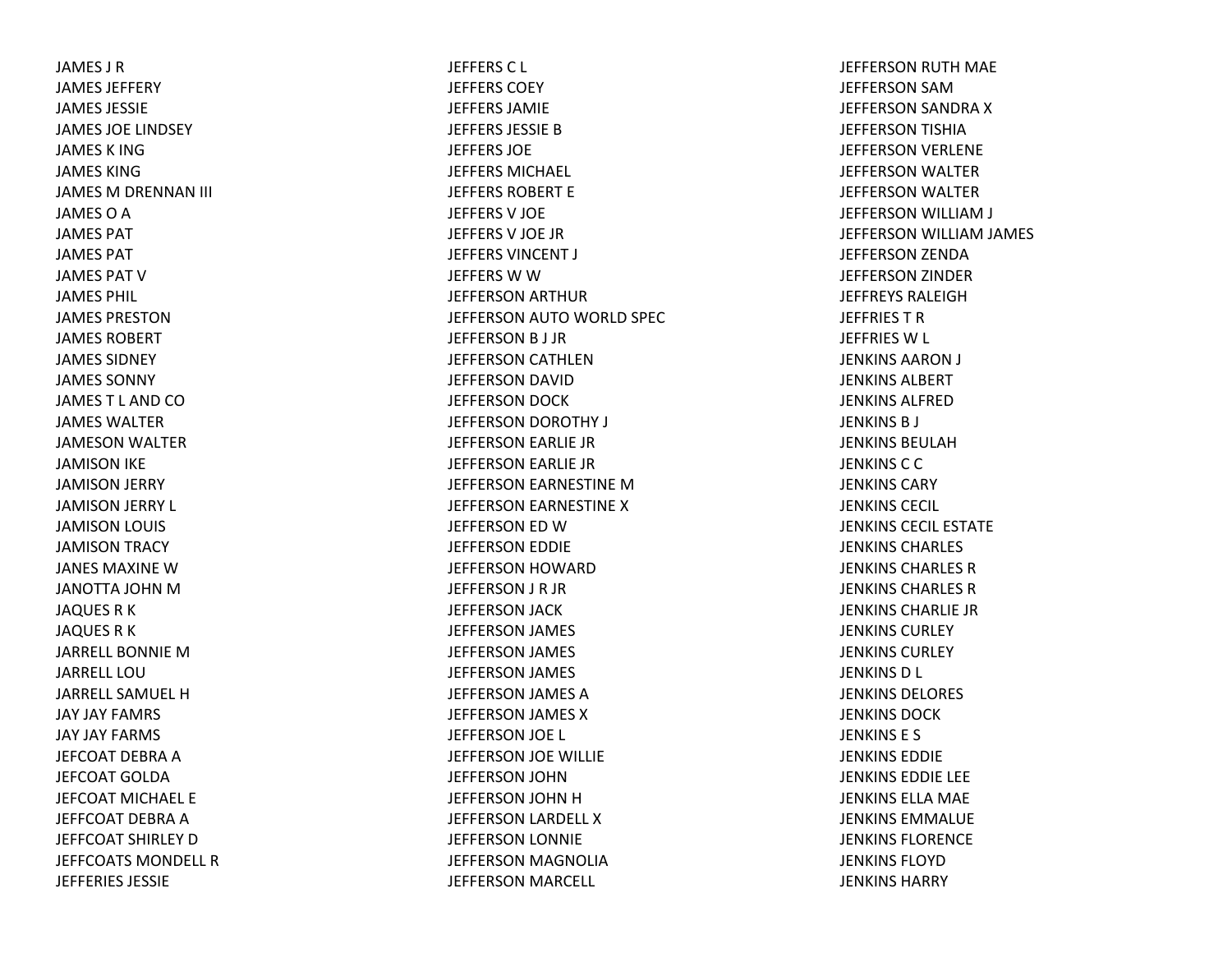JAMES J RJAMES JEFFERYJAMES JESSIEJAMES JOE LINDSEY JAMES K INGJAMES KINGJAMES M DRENNAN III JAMES O A JAMES PATJAMES PATJAMES PAT VJAMES PHIL JAMES PRESTONJAMES ROBERTJAMES SIDNEYJAMES SONNYJAMES T L AND COJAMES WALTERJAMESON WALTER JAMISON IKE JAMISON JERRY JAMISON JERRY L JAMISON LOUIS JAMISON TRACY JANES MAXINE WJANOTTA JOHN MJAQUES R K JAQUES R K JARRELL BONNIE MJARRELL LOUJARRELL SAMUEL HJAY JAY FAMRS JAY JAY FARMS JEFCOAT DEBRA A JEFCOAT GOLDAJEFCOAT MICHAEL EJEFFCOAT DEBRA A JEFFCOAT SHIRLEY DJEFFCOATS MONDELL RJEFFERIES JESSIE

JEFFERS C L JEFFERS COEYJEFFERS JAMIEJEFFERS JESSIE BJEFFERS JOEJEFFERS MICHAEL JEFFERS ROBERT EJEFFERS V JOE JEFFERS V JOE JR JEFFERS VINCENT J JEFFERS W W JEFFERSON ARTHUR JEFFERSON AUTO WORLD SPEC JEFFERSON B J JR JEFFERSON CATHLEN JEFFERSON DAVID JEFFERSON DOCK JEFFERSON DOROTHY J JEFFERSON EARLIE JR JEFFERSON EARLIE JR JEFFERSON EARNESTINE MJEFFERSON EARNESTINE X JEFFERSON ED WJEFFERSON EDDIE JEFFERSON HOWARD JEFFERSON J R JR JEFFERSON JACK JEFFERSON JAMES JEFFERSON JAMES JEFFERSON JAMES JEFFERSON JAMES A JEFFERSON JAMES X JEFFERSON JOE L JEFFERSON JOE WILLIE JEFFERSON JOHN JEFFERSON JOHN H JEFFERSON LARDELL X JEFFERSON LONNIE JEFFERSON MAGNOLIA JEFFERSON MARCELL

JEFFERSON RUTH MAE JEFFERSON SAMJEFFERSON SANDRA X JEFFERSON TISHIA JEFFERSON VERLENE JEFFERSON WALTER JEFFERSON WALTER JEFFERSON WILLIAM J JEFFERSON WILLIAM JAMES JEFFERSON ZENDA JEFFERSON ZINDER JEFFREYS RALEIGHJEFFRIES T RJEFFRIES W L JENKINS AARON J JENKINS ALBERTJENKINS ALFREDJENKINS B J JENKINS BEULAHJENKINS C C JENKINS CARYJENKINS CECIL JENKINS CECIL ESTATEJENKINS CHARLES JENKINS CHARLES RJENKINS CHARLES RJENKINS CHARLIE JRJENKINS CURLEYJENKINS CURLEYJENKINS D L JENKINS DELORES JENKINS DOCKJENKINS E S JENKINS EDDIEJENKINS EDDIE LEE JENKINS ELLA MAE JENKINS EMMALUEJENKINS FLORENCEJENKINS FLOYDJENKINS HARRY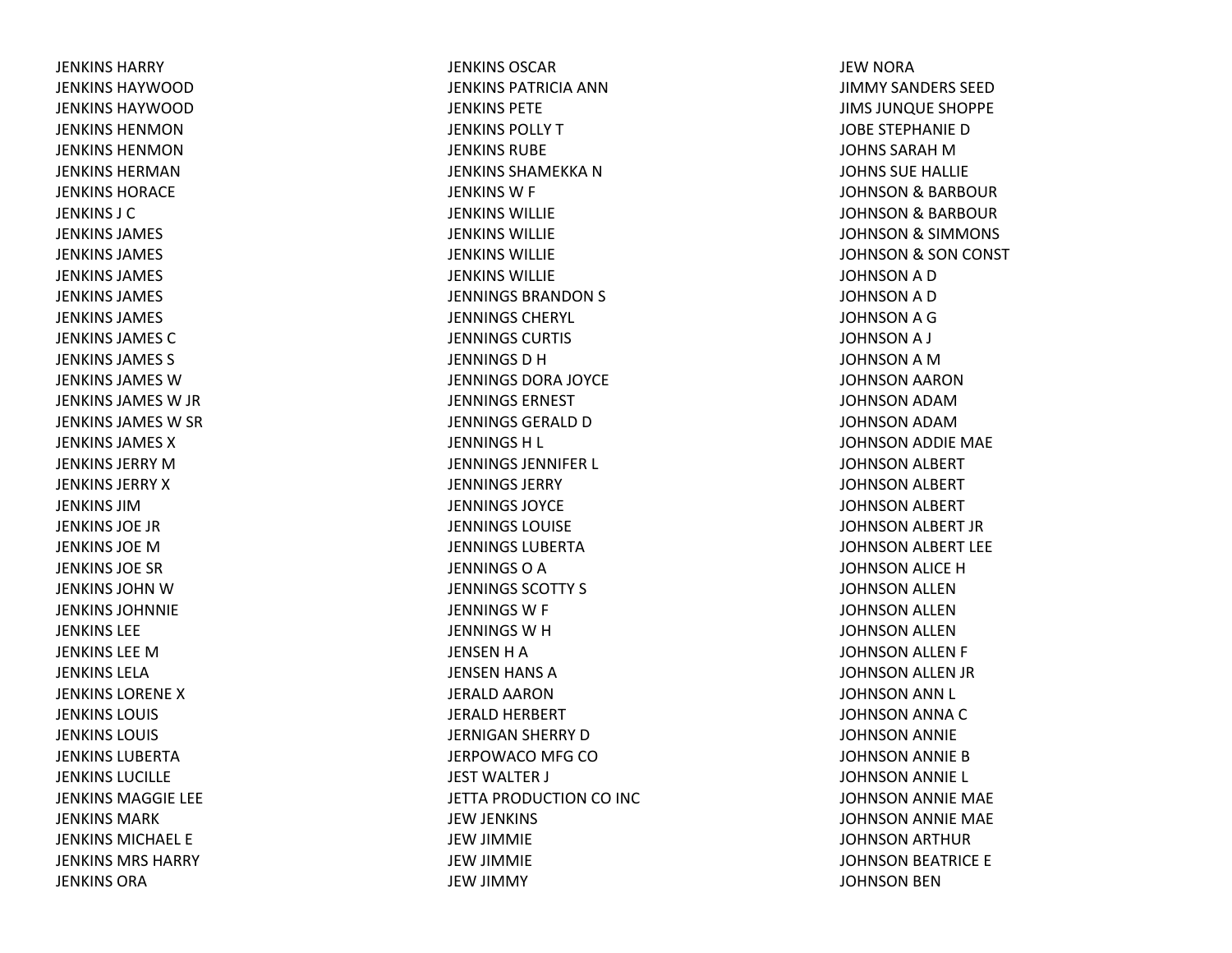JENKINS HARRYJENKINS HAYWOODJENKINS HAYWOODJENKINS HENMONJENKINS HENMONJENKINS HERMANJENKINS HORACEJENKINS J CJENKINS JAMES JENKINS JAMES JENKINS JAMES JENKINS JAMES JENKINS JAMES JENKINS JAMES CJENKINS JAMES S JENKINS JAMES WJENKINS JAMES W JR JENKINS JAMES W SR JENKINS JAMES XJENKINS JERRY M JENKINS JERRY X JENKINS JIMJENKINS JOE JRJENKINS JOEMJENKINS JOE SR JENKINS JOHN W JENKINS JOHNNIEJENKINS LEEJENKINS LEE M JENKINS LELAJENKINS LORENE X JENKINS LOUIS JENKINS LOUIS JENKINS LUBERTAJENKINS LUCILLEJENKINS MAGGIE LEE JENKINS MARKJENKINS MICHAEL EJENKINS MRS HARRYJENKINS ORA

JENKINS OSCARJENKINS PATRICIA ANNJENKINS PETEJENKINS POLLY T JENKINS RUBEJENKINS SHAMEKKA N JENKINS W F JENKINS WILLIEJENKINS WILLIEJENKINS WILLIEJENKINS WILLIEJENNINGS BRANDON S JENNINGS CHERYL JENNINGS CURTIS JENNINGSDHJENNINGS DORA JOYCE JENNINGS ERNESTJENNINGS GERALD D JENNINGSH L JENNINGS JENNIFER L JENNINGS JERRYJENNINGS JOYCEJENNINGS LOUISEJENNINGS LUBERTAJENNINGS O A JENNINGS SCOTTY S JENNINGS W F JENNINGSWHJENSEN H A JENSEN HANS AJERALD AARONJERALD HERBERT JERNIGAN SHERRY DJERPOWACO MFG CO JEST WALTER J JETTA PRODUCTION CO INC JEW JENKINS JEW JIMMIE JEW JIMMIE JEW JIMMY

JEW NORA JIMMY SANDERS SEEDJIMS JUNQUE SHOPPE JOBE STEPHANIE DJOHNS SARAH M JOHNS SUE HALLIE JOHNSON& BARBOUR JOHNSON& BARBOUR JOHNSON& SIMMONS JOHNSON& SON CONST JOHNSON A D JOHNSON A D JOHNSON A G JOHNSONA J JOHNSON A M JOHNSON AARON JOHNSON ADAMJOHNSON ADAMJOHNSON ADDIE MAE JOHNSON ALBERT JOHNSON ALBERT JOHNSON ALBERT JOHNSON ALBERT JR JOHNSON ALBERT LEE JOHNSON ALICE HJOHNSON ALLEN JOHNSON ALLEN JOHNSON ALLEN JOHNSON ALLEN F JOHNSON ALLEN JR JOHNSON ANN L JOHNSON ANNA CJOHNSON ANNIE JOHNSON ANNIE BJOHNSON ANNIE L JOHNSON ANNIE MAE JOHNSON ANNIE MAE JOHNSON ARTHUR JOHNSON BEATRICE E JOHNSON BEN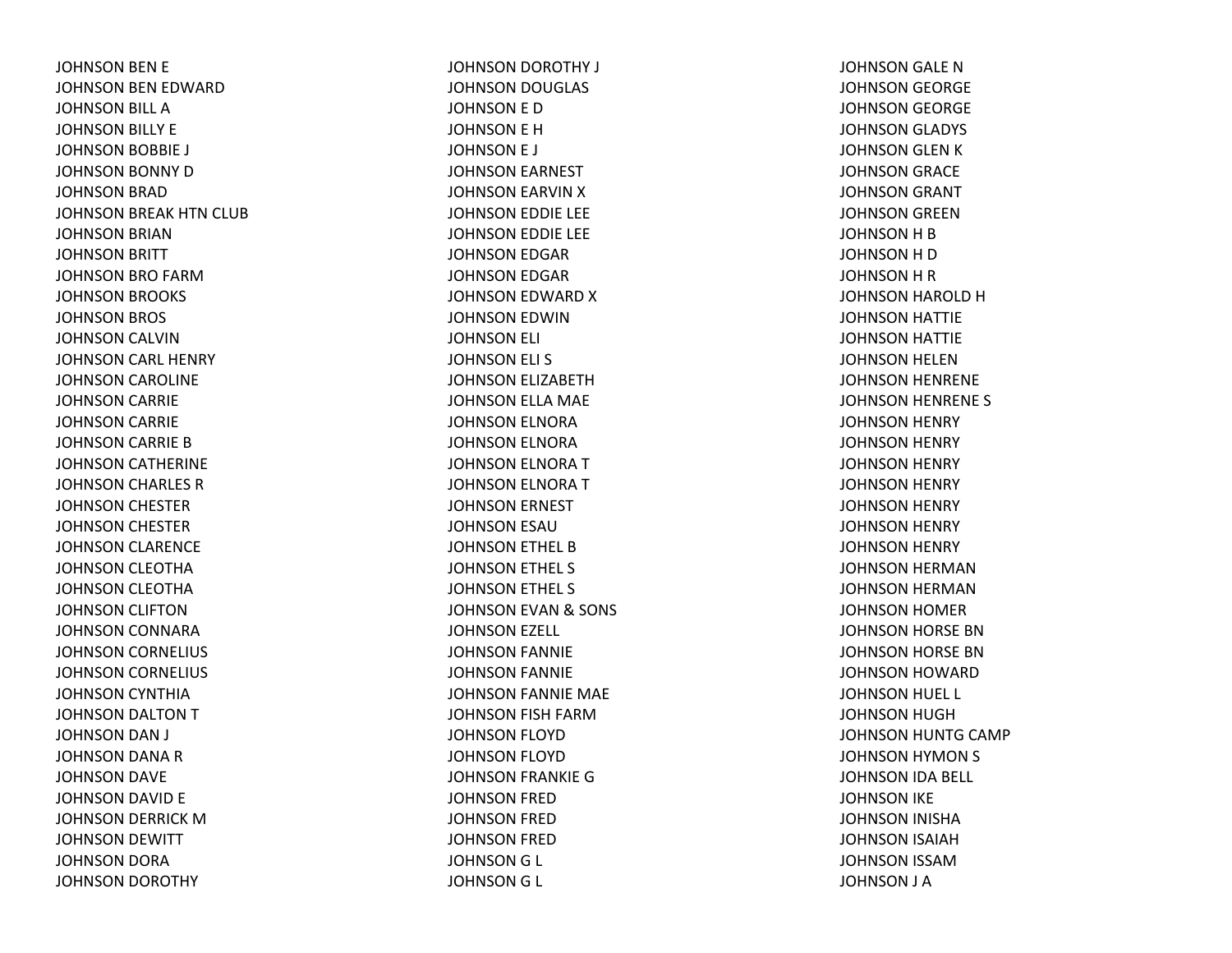JOHNSON BEN E JOHNSON BEN EDWARD JOHNSON BILL AJOHNSON BILLY E JOHNSON BOBBIE J JOHNSON BONNY DJOHNSON BRAD JOHNSON BREAK HTN CLUB JOHNSON BRIAN JOHNSON BRITT JOHNSON BRO FARMJOHNSON BROOKS JOHNSON BROS JOHNSON CALVIN JOHNSON CARL HENRY JOHNSON CAROLINE JOHNSON CARRIE JOHNSON CARRIE JOHNSON CARRIE BJOHNSON CATHERINE JOHNSON CHARLES RJOHNSON CHESTER JOHNSON CHESTER JOHNSON CLARENCE JOHNSON CLEOTHA JOHNSON CLEOTHA JOHNSON CLIFTON JOHNSON CONNARA JOHNSON CORNELIUS JOHNSON CORNELIUS JOHNSON CYNTHIA JOHNSON DALTON TJOHNSON DAN J JOHNSON DANA RJOHNSON DAVE JOHNSON DAVID E JOHNSON DERRICK MJOHNSON DEWITT JOHNSON DORA JOHNSON DOROTHY

JOHNSON DOROTHY J JOHNSON DOUGLAS JOHNSON E D JOHNSON E H JOHNSON E J JOHNSON EARNEST JOHNSON EARVIN XJOHNSON EDDIE LEE JOHNSON EDDIE LEE JOHNSON EDGAR JOHNSON EDGAR JOHNSON EDWARD XJOHNSON EDWIN JOHNSON ELI JOHNSON ELI S JOHNSON ELIZABETH JOHNSON ELLA MAE JOHNSON ELNORA JOHNSON ELNORA JOHNSON ELNORA TJOHNSON ELNORA TJOHNSON ERNEST JOHNSON ESAU JOHNSON ETHEL BJOHNSON ETHEL S JOHNSON ETHEL S JOHNSON EVAN & SONS JOHNSON EZELL JOHNSON FANNIE JOHNSON FANNIE JOHNSON FANNIE MAE JOHNSON FISH FARMJOHNSON FLOYD JOHNSON FLOYD JOHNSON FRANKIE GJOHNSON FRED JOHNSON FRED JOHNSON FRED JOHNSONG L JOHNSONG L

JOHNSON GALE NJOHNSON GEORGE JOHNSON GEORGE JOHNSON GLADYS JOHNSON GLEN KJOHNSON GRACE JOHNSON GRANT JOHNSON GREEN JOHNSON H B JOHNSONHDJOHNSONHRJOHNSON HAROLD HJOHNSON HATTIE JOHNSON HATTIE JOHNSON HELEN JOHNSON HENRENE JOHNSON HENRENE S JOHNSON HENRY JOHNSON HENRY JOHNSON HENRY JOHNSON HENRY JOHNSON HENRY JOHNSON HENRY JOHNSON HENRY JOHNSON HERMAN JOHNSON HERMAN JOHNSON HOMER JOHNSON HORSE BN JOHNSON HORSE BN JOHNSON HOWARD JOHNSON HUEL L JOHNSON HUGH JOHNSON HUNTG CAMP JOHNSON HYMON S JOHNSON IDA BELL JOHNSON IKE JOHNSON INISHA JOHNSON ISAIAH JOHNSON ISSAMJOHNSON J A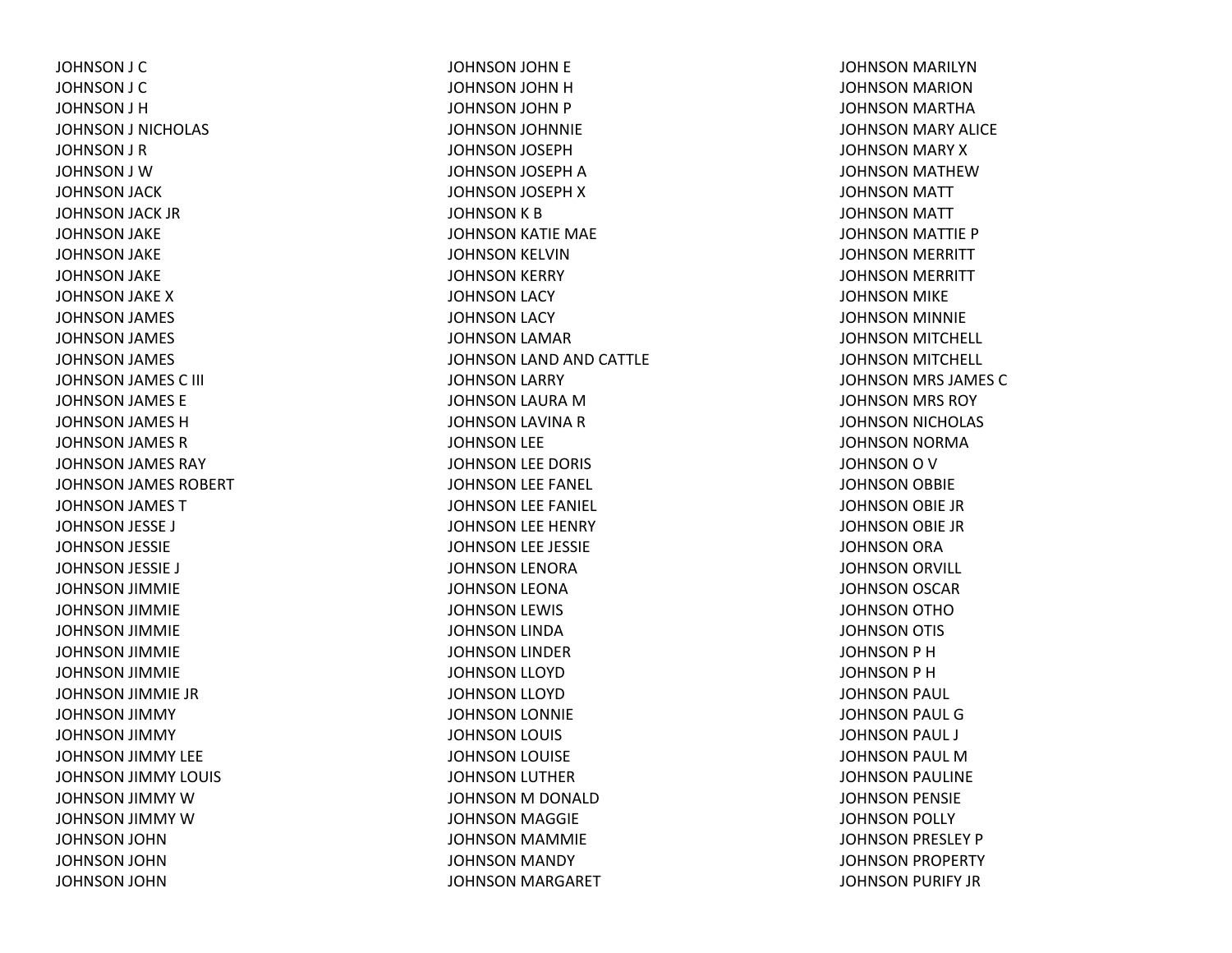JOHNSON J C JOHNSON J C JOHNSON J H JOHNSON J NICHOLAS JOHNSON J R JOHNSON J WJOHNSON JACK JOHNSON JACK JR JOHNSON JAKE JOHNSON JAKE JOHNSON JAKE JOHNSON JAKE XJOHNSON JAMES JOHNSON JAMES JOHNSON JAMES JOHNSON JAMES C III JOHNSON JAMES E JOHNSON JAMES HJOHNSON JAMES RJOHNSON JAMES RAY JOHNSON JAMES ROBERT JOHNSON JAMES TJOHNSON JESSE J JOHNSON JESSIE JOHNSON JESSIE J JOHNSON JIMMIE JOHNSON JIMMIE JOHNSON JIMMIE JOHNSON JIMMIE JOHNSON JIMMIE JOHNSON JIMMIE JR JOHNSON JIMMY JOHNSON JIMMY JOHNSON JIMMY LEE JOHNSON JIMMY LOUIS JOHNSON JIMMY WJOHNSON JIMMY WJOHNSON JOHN JOHNSON JOHN JOHNSON JOHN

JOHNSON JOHN E JOHNSON JOHN HJOHNSON JOHN P JOHNSON JOHNNIE JOHNSON JOSEPH JOHNSON JOSEPH AJOHNSON JOSEPH XJOHNSON K B JOHNSON KATIE MAE JOHNSON KELVIN JOHNSON KERRY JOHNSON LACY JOHNSON LACY JOHNSON LAMAR JOHNSON LAND AND CATTLE JOHNSON LARRY JOHNSON LAURA MJOHNSON LAVINA RJOHNSON LEE JOHNSON LEE DORIS JOHNSON LEE FANEL JOHNSON LEE FANIEL JOHNSON LEE HENRY JOHNSON LEE JESSIE JOHNSON LENORA JOHNSON LEONA JOHNSON LEWIS JOHNSON LINDA JOHNSON LINDER JOHNSON LLOYD JOHNSON LLOYD JOHNSON LONNIE JOHNSON LOUIS JOHNSON LOUISE JOHNSON LUTHER JOHNSON M DONALD JOHNSON MAGGIE JOHNSON MAMMIE JOHNSON MANDY JOHNSON MARGARET

JOHNSON MARILYN JOHNSON MARION JOHNSON MARTHA JOHNSON MARY ALICE JOHNSON MARY XJOHNSON MATHEWJOHNSON MATT JOHNSON MATT JOHNSON MATTIE P JOHNSON MERRITT JOHNSON MERRITT JOHNSON MIKE JOHNSON MINNIE JOHNSON MITCHELL JOHNSON MITCHELL JOHNSON MRS JAMES CJOHNSON MRS ROY JOHNSON NICHOLAS JOHNSON NORMA JOHNSON O V JOHNSON OBBIE JOHNSON OBIE JR JOHNSON OBIE JR JOHNSON ORA JOHNSON ORVILL JOHNSON OSCAR JOHNSON OTHOJOHNSON OTIS JOHNSON P H JOHNSON P H JOHNSON PAUL JOHNSON PAUL GJOHNSON PAUL J JOHNSON PAUL MJOHNSON PAULINE JOHNSON PENSIE JOHNSON POLLY JOHNSON PRESLEY P JOHNSON PROPERTY JOHNSON PURIFY JR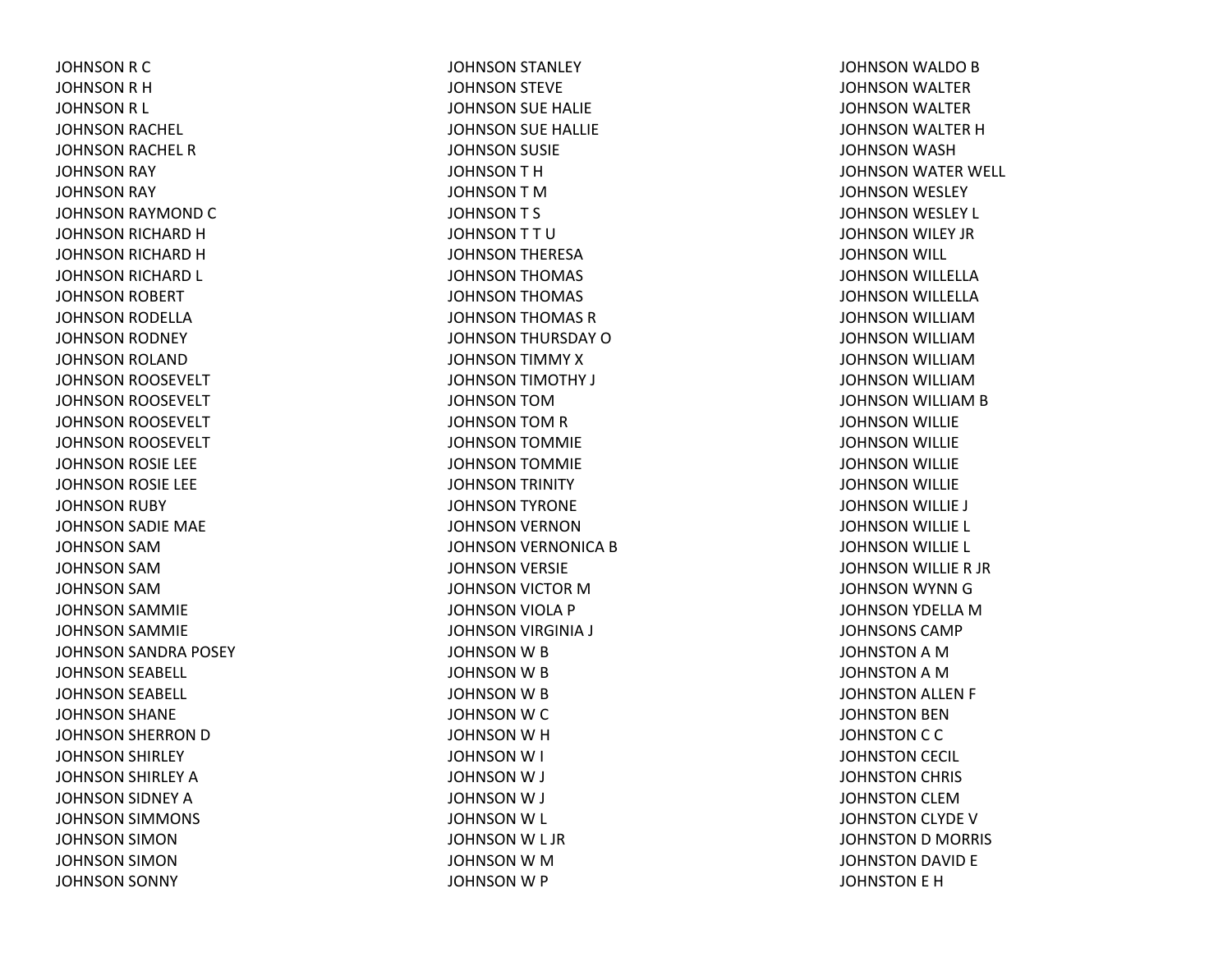JOHNSON R C JOHNSON R H JOHNSONR L JOHNSON RACHEL JOHNSON RACHEL RJOHNSON RAY JOHNSON RAY JOHNSON RAYMOND CJOHNSON RICHARD HJOHNSON RICHARD HJOHNSON RICHARD L JOHNSON ROBERT JOHNSON RODELLA JOHNSON RODNEY JOHNSON ROLAND JOHNSON ROOSEVELT JOHNSON ROOSEVELT JOHNSON ROOSEVELT JOHNSON ROOSEVELT JOHNSON ROSIE LEE JOHNSON ROSIE LEE JOHNSON RUBY JOHNSON SADIE MAE JOHNSON SAMJOHNSON SAMJOHNSON SAMJOHNSON SAMMIE JOHNSON SAMMIE JOHNSON SANDRA POSEY JOHNSON SEABELL JOHNSON SEABELL JOHNSON SHANE JOHNSON SHERRON DJOHNSON SHIRLEY JOHNSON SHIRLEY AJOHNSON SIDNEY AJOHNSON SIMMONS JOHNSON SIMON JOHNSON SIMON JOHNSON SONNY

JOHNSON STANLEY JOHNSON STEVE JOHNSON SUE HALIE JOHNSON SUE HALLIE JOHNSON SUSIE JOHNSONTHJOHNSON T M JOHNSONT S JOHNSONTTUJOHNSON THERESA JOHNSON THOMAS JOHNSON THOMAS JOHNSON THOMAS RJOHNSON THURSDAY OJOHNSON TIMMY XJOHNSON TIMOTHY J JOHNSON TOMJOHNSON TOM R JOHNSON TOMMIE JOHNSON TOMMIE JOHNSON TRINITY JOHNSON TYRONE JOHNSON VERNONJOHNSON VERNONICA BJOHNSON VERSIE JOHNSON VICTOR MJOHNSON VIOLA P JOHNSON VIRGINIA J JOHNSON W B JOHNSON W B JOHNSON W B JOHNSON WC JOHNSON W H JOHNSONW I JOHNSON W J JOHNSON W J JOHNSON W L JOHNSON W L JR JOHNSON W M JOHNSON W P

JOHNSON WALDO B JOHNSON WALTER JOHNSON WALTER JOHNSON WALTER HJOHNSON WASH JOHNSON WATER WELL JOHNSON WESLEY JOHNSON WESLEY L JOHNSON WILEY JR JOHNSON WILL JOHNSON WILLELLA JOHNSON WILLELLA JOHNSON WILLIAMJOHNSON WILLIAMJOHNSON WILLIAMJOHNSON WILLIAMJOHNSON WILLIAM B JOHNSON WILLIE JOHNSON WILLIE JOHNSON WILLIE JOHNSON WILLIE JOHNSON WILLIE J JOHNSON WILLIE L JOHNSON WILLIE L JOHNSON WILLIE R JR JOHNSON WYNN GJOHNSON YDELLA MJOHNSONS CAMPJOHNSTON A M JOHNSTON A M JOHNSTON ALLEN F JOHNSTON BEN JOHNSTON C C JOHNSTON CECIL JOHNSTON CHRIS JOHNSTON CLEMJOHNSTON CLYDE VJOHNSTON D MORRIS JOHNSTON DAVID E JOHNSTON E H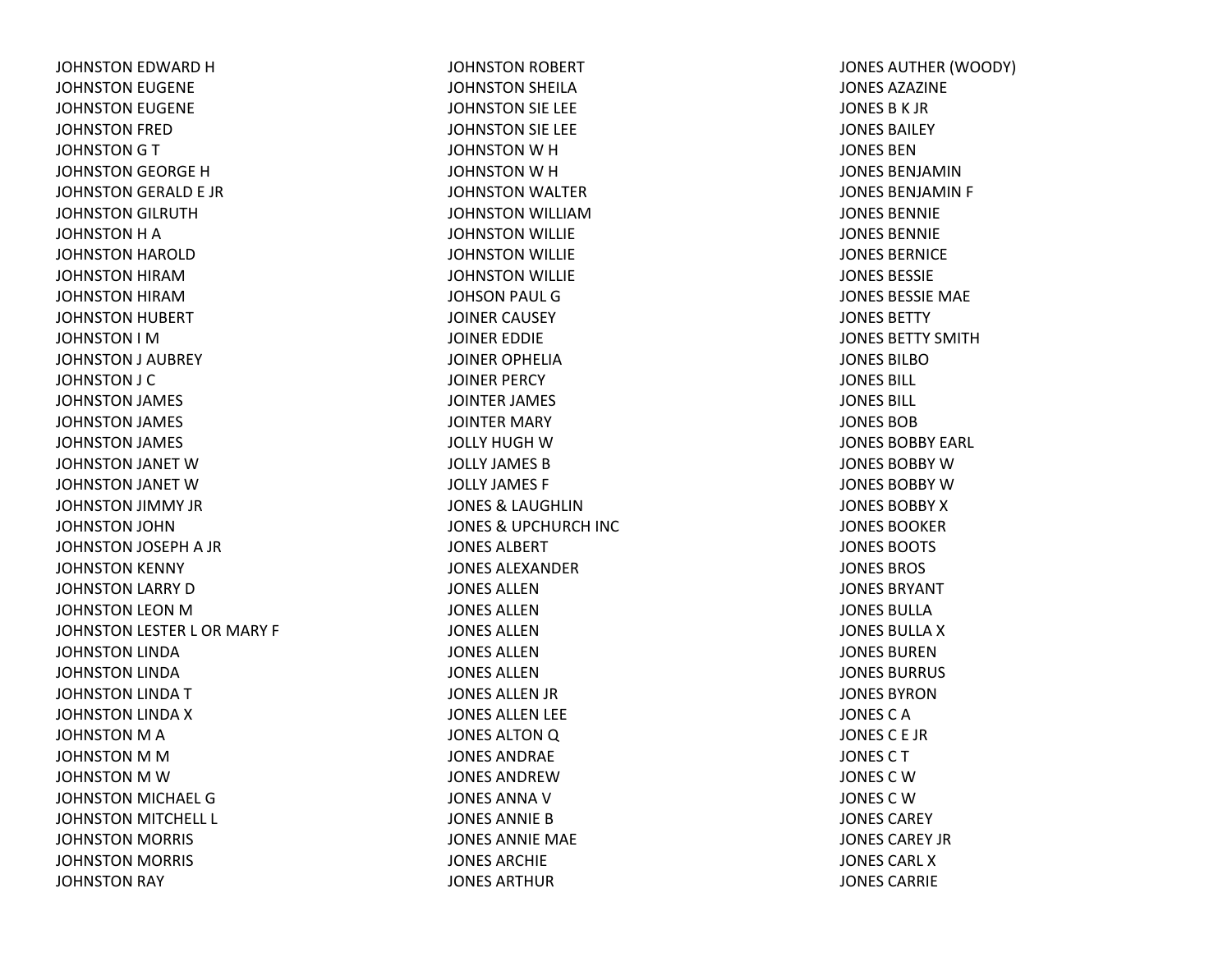JOHNSTON EDWARD HJOHNSTON EUGENE JOHNSTON EUGENE JOHNSTON FRED JOHNSTON G T JOHNSTON GEORGE HJOHNSTON GERALD E JR JOHNSTON GILRUTH JOHNSTON H A JOHNSTON HAROLD JOHNSTON HIRAMJOHNSTON HIRAMJOHNSTON HUBERT JOHNSTON I MJOHNSTON J AUBREY JOHNSTON J C JOHNSTON JAMES JOHNSTON JAMES JOHNSTON JAMES JOHNSTON JANET WJOHNSTON JANET WJOHNSTON JIMMY JR JOHNSTON JOHN JOHNSTON JOSEPH A JR JOHNSTON KENNY JOHNSTON LARRY DJOHNSTON LEON MJOHNSTON LESTER L OR MARY F JOHNSTON LINDA JOHNSTON LINDA JOHNSTON LINDA TJOHNSTON LINDA XJOHNSTON M A JOHNSTON M M JOHNSTON M W JOHNSTON MICHAEL GJOHNSTON MITCHELL L JOHNSTON MORRIS JOHNSTON MORRIS JOHNSTON RAY

JOHNSTON ROBERT JOHNSTON SHEILA JOHNSTON SIE LEE JOHNSTON SIE LEE JOHNSTON W H JOHNSTON W H JOHNSTON WALTER JOHNSTON WILLIAMJOHNSTON WILLIE JOHNSTON WILLIE JOHNSTON WILLIE JOHSON PAUL GJOINER CAUSEY JOINER EDDIE JOINER OPHELIAJOINER PERCY JOINTER JAMES JOINTER MARY JOLLY HUGH W JOLLY JAMES BJOLLY JAMES F JONES& LAUGHLIN JONES& UPCHURCH INC JONES ALBERTJONES ALEXANDERJONES ALLENJONES ALLENJONES ALLENJONES ALLENJONES ALLENJONES ALLEN JR JONES ALLEN LEE JONES ALTON Q JONES ANDRAEJONES ANDREWJONES ANNA V JONES ANNIE B JONES ANNIE MAE JONES ARCHIEJONES ARTHUR

JONES AUTHER (WOODY) JONES AZAZINEJONES B K JR JONES BAILEYJONES BENJONES BENJAMINJONES BENJAMIN F JONES BENNIEJONES BENNIEJONES BERNICEJONES BESSIEJONES BESSIE MAE JONES BETTYJONES BETTY SMITHJONES BILBOJONES BILL JONES BILL JONES BOBJONES BOBBY EARL JONES BOBBY W JONES BOBBY W JONES BOBBY X JONES BOOKERJONES BOOTS JONES BROS JONES BRYANTJONES BULLAJONES BULLA X JONES BURENJONES BURRUS JONES BYRONJONES C A JONESC E JRJONESCTJONES C W JONES C W JONES CAREYJONES CAREY JRJONES CARL XJONES CARRIE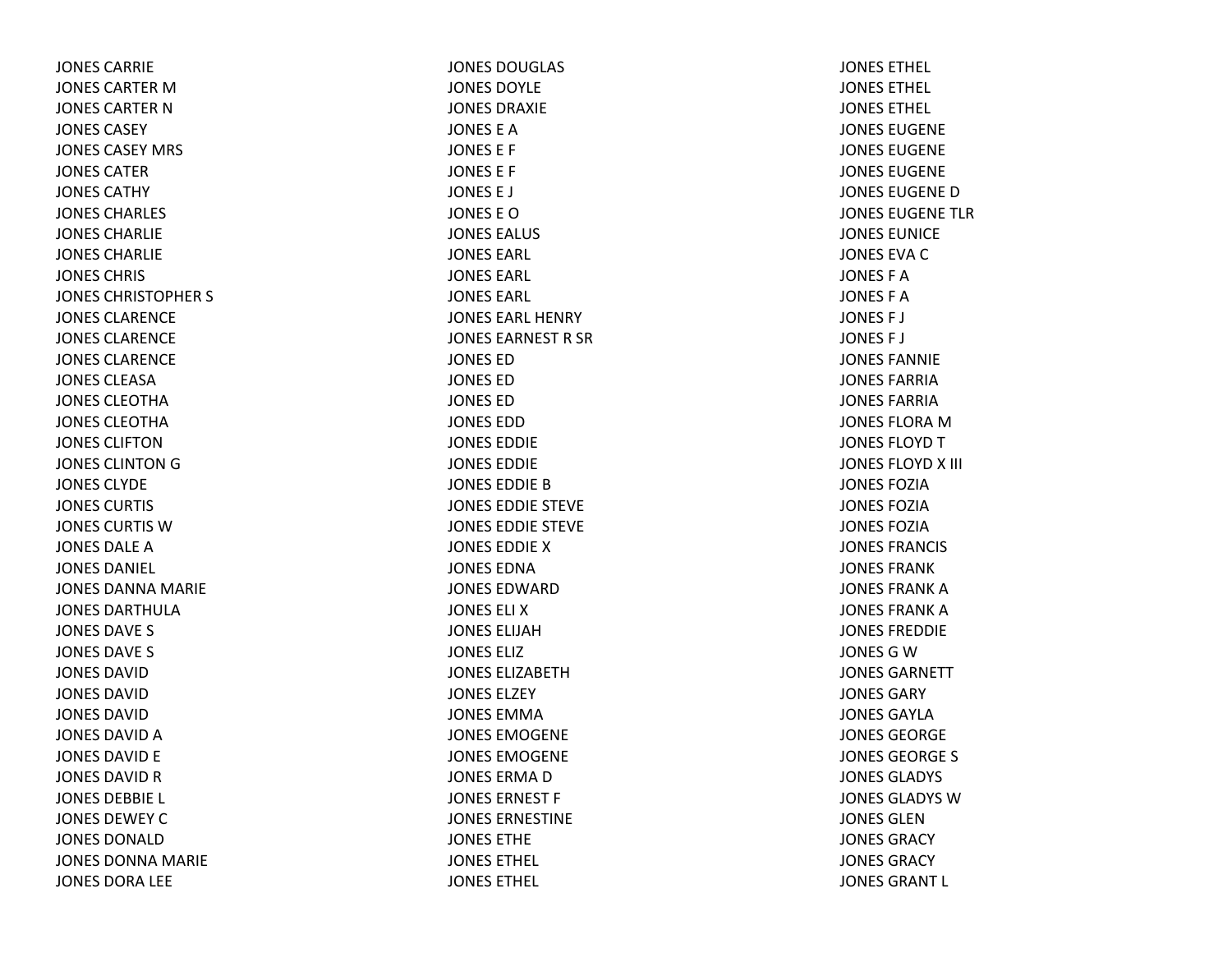JONES CARRIEJONES CARTER M JONES CARTER N JONES CASEYJONES CASEY MRS JONES CATERJONES CATHYJONES CHARLES JONES CHARLIEJONES CHARLIEJONES CHRIS JONES CHRISTOPHER S JONES CLARENCEJONES CLARENCEJONES CLARENCEJONES CLEASAJONES CLEOTHAJONES CLEOTHAJONES CLIFTONJONES CLINTON G JONES CLYDEJONES CURTIS JONES CURTIS WJONES DALE A JONES DANIEL JONES DANNA MARIE JONES DARTHULAJONES DAVE S JONES DAVE S JONES DAVIDJONES DAVIDJONES DAVIDJONES DAVID A JONES DAVID E JONES DAVID R JONES DEBBIE L JONES DEWEY C JONES DONALDJONES DONNA MARIE JONES DORA LEE

JONES DOUGLAS JONES DOYLEJONES DRAXIEJONES E AJONES E F JONES E F JONES E J JONES E OJONES EALUS JONES EARL JONES EARL JONES EARL JONES EARL HENRYJONES EARNEST R SR JONES EDJONES EDJONES EDJONES EDDJONES EDDIEJONES EDDIEJONES EDDIE B JONES EDDIE STEVE JONES EDDIE STEVE JONES EDDIEXJONES EDNAJONES EDWARDJONES ELI XJONES ELIJAHJONES ELIZJONES ELIZABETHJONES ELZEYJONES EMMAJONES EMOGENEJONES EMOGENEJONES ERMA D JONES ERNEST F JONES ERNESTINEJONES ETHEJONES ETHEL JONES ETHEL

JONES ETHEL JONES ETHEL JONES ETHEL JONES EUGENEJONES EUGENEJONES EUGENEJONES EUGENE D JONES EUGENE TLRJONES EUNICEJONES EVA C JONES F AJONES F AJONES F J JONES F J JONES FANNIEJONES FARRIAJONES FARRIAJONES FLORA M JONES FLOYD T JONES FLOYD X III JONES FOZIAJONES FOZIAJONES FOZIAJONES FRANCIS JONES FRANKJONES FRANK A JONES FRANK A JONES FREDDIEJONES G W JONES GARNETTJONES GARYJONES GAYLAJONES GEORGEJONES GEORGE S JONES GLADYS JONES GLADYS WJONES GLENJONES GRACYJONES GRACYJONES GRANT L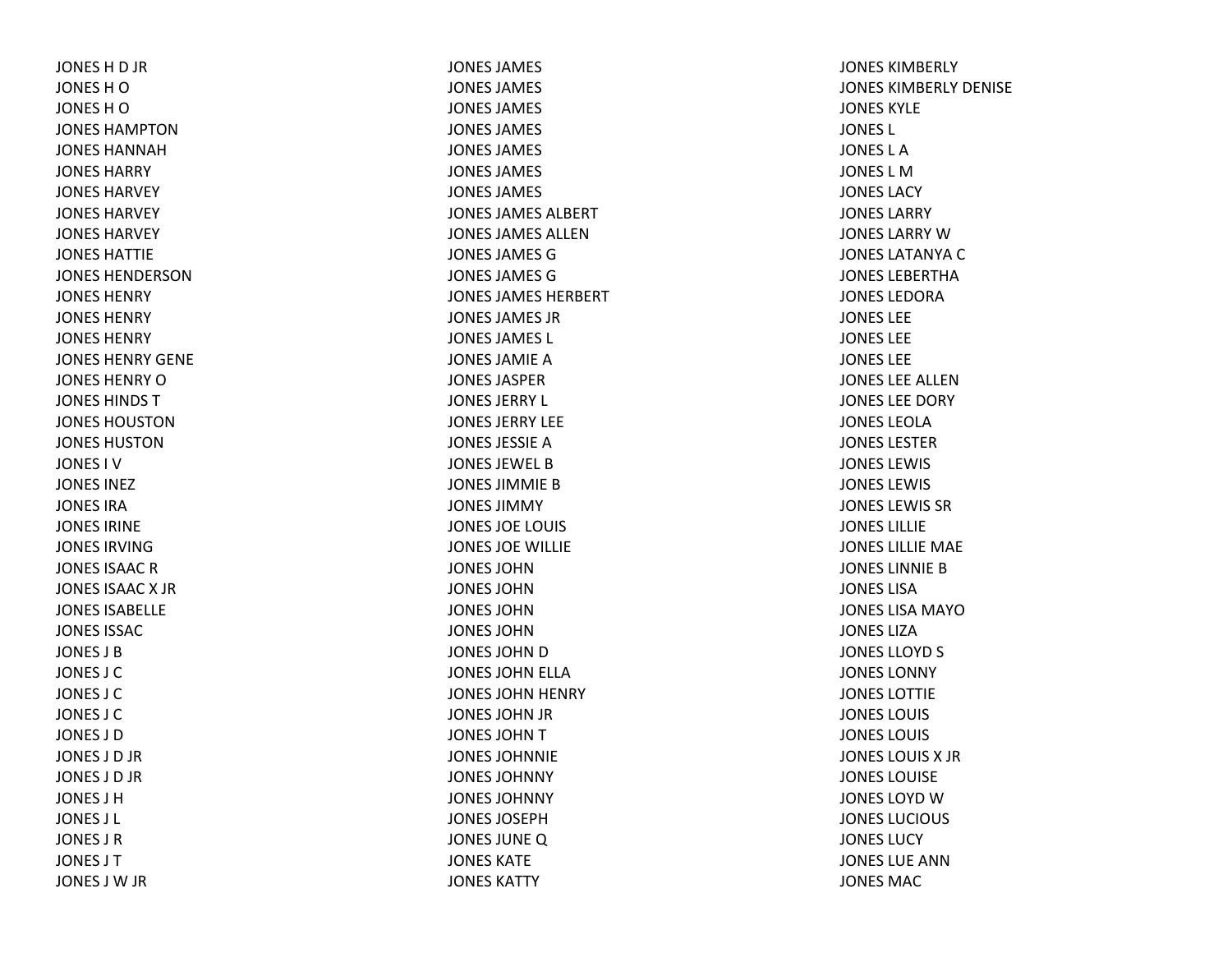JONES H D JR JONESHOJONESHOJONES HAMPTONJONES HANNAHJONES HARRYJONES HARVEYJONES HARVEYJONES HARVEYJONES HATTIEJONES HENDERSONJONES HENRYJONES HENRYJONES HENRYJONES HENRY GENEJONES HENRY O JONES HINDS TJONES HOUSTONJONES HUSTONJONES I VJONES INEZJONES IRAJONES IRINEJONES IRVINGJONES ISAAC R JONES ISAAC X JR JONES ISABELLEJONES ISSACJONES J BJONES J CJONES J CJONES J CJONES J DJONES J D JR JONES J D JR JONES J HJONES J L JONES J RJONES J TJONES J W JR

JONES JAMES JONES JAMES JONES JAMES JONES JAMES JONES JAMES JONES JAMES JONES JAMES JONES JAMES ALBERTJONES JAMES ALLENJONES JAMES GJONES JAMES GJONES JAMES HERBERTJONES JAMES JRJONES JAMES L JONES JAMIE A JONES JASPERJONES JERRY L JONES JERRY LEEJONES JESSIE A JONES JEWEL BJONES JIMMIE B JONES JIMMYJONES JOE LOUIS JONES JOE WILLIE JONES JOHNJONES JOHNJONES JOHNJONES JOHNJONES JOHN D JONES JOHN ELLA JONES JOHN HENRY JONES JOHN JR JONES JOHNTJONES JOHNNIEJONES JOHNNYJONES JOHNNYJONES JOSEPHJONES JUNEQ JONES KATEJONES KATTY

JONES KIMBERLYJONES KIMBERLY DENISEJONES KYLEJONES L JONES L AJONES L MJONES LACYJONES LARRYJONES LARRY W JONES LATANYA C JONES LEBERTHAJONES LEDORAJONES LEEJONES LEEJONES LEEJONES LEE ALLENJONES LEE DORY JONES LEOLAJONES LESTERJONES LEWISJONES LEWIS JONES LEWIS SRJONES LILLIEJONES LILLIE MAE JONES LINNIE B JONES LISAJONES LISA MAYOJONES LIZAJONES LLOYD S JONES LONNYJONES LOTTIEJONES LOUIS JONES LOUIS JONES LOUIS X JRJONES LOUISEJONES LOYD W JONES LUCIOUS JONES LUCYJONES LUE ANNJONES MAC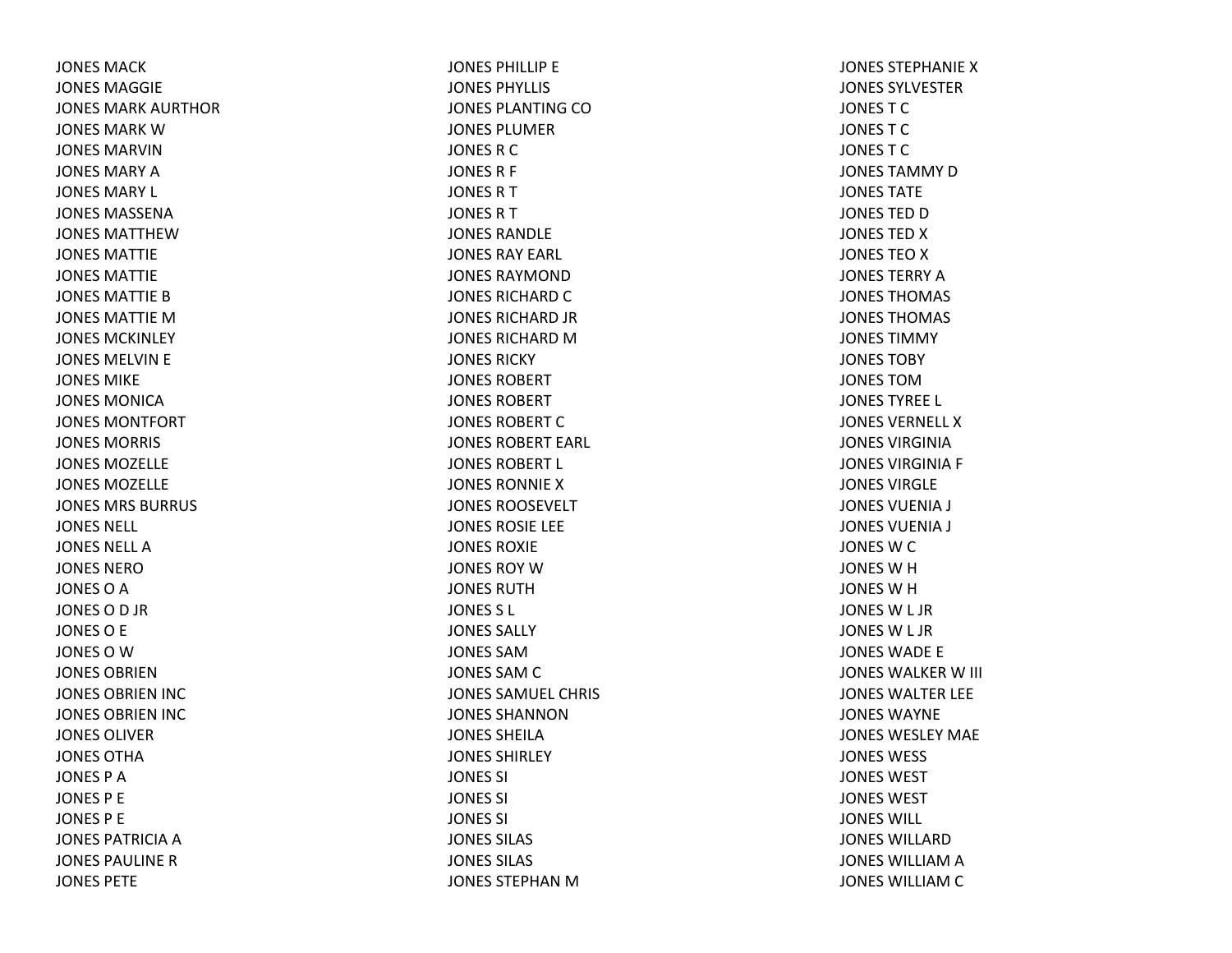JONES MACKJONES MAGGIEJONES MARK AURTHORJONES MARK W JONES MARVINJONES MARY A JONES MARY L JONES MASSENAJONES MATTHEWJONES MATTIEJONES MATTIEJONES MATTIE B JONES MATTIE M JONES MCKINLEYJONES MELVIN E JONES MIKEJONES MONICAJONES MONTFORTJONES MORRIS JONES MOZELLEJONES MOZELLEJONES MRS BURRUSJONES NELL JONES NELL AJONES NEROJONES O A JONESOD JR JONESO E JONES O W JONES OBRIENJONES OBRIEN INC JONES OBRIEN INC JONES OLIVERJONES OTHAJONES P AJONES P E JONES P E JONES PATRICIA A JONES PAULINE R JONES PETE

JONES PHILLIP E JONES PHYLLIS JONES PLANTING COJONES PLUMERJONES R C JONES R F JONESRTJONESRTJONES RANDLEJONES RAY EARL JONES RAYMONDJONES RICHARD C JONES RICHARD JR JONES RICHARD M JONES RICKYJONES ROBERTJONES ROBERTJONES ROBERT C JONES ROBERT EARL JONES ROBERT L JONES RONNIEXJONES ROOSEVELTJONES ROSIE LEE JONES ROXIEJONES ROY W JONES RUTHJONES S L JONES SALLYJONES SAMJONES SAM C JONES SAMUEL CHRIS JONES SHANNONJONES SHEILAJONES SHIRLEYJONES SI JONES SI JONES SI JONES SILAS JONES SILAS JONES STEPHAN M

JONES STEPHANIE X JONES SYLVESTERJONESTCJONESTCJONESTCJONES TAMMY D JONES TATEJONES TED D JONES TED X JONES TEO X JONES TERRY A JONES THOMAS JONES THOMAS JONES TIMMYJONES TOBYJONES TOMJONES TYREE L JONES VERNELL XJONES VIRGINIAJONES VIRGINIA F JONES VIRGLEJONES VUENIA J JONES VUENIA J JONES W C JONES W H JONES W H JONES W L JR JONES W L JR JONES WADE E JONES WALKER W III JONES WALTER LEE JONES WAYNEJONES WESLEY MAEJONES WESS JONES WEST JONES WESTJONES WILL JONES WILLARDJONES WILLIAM A JONES WILLIAM C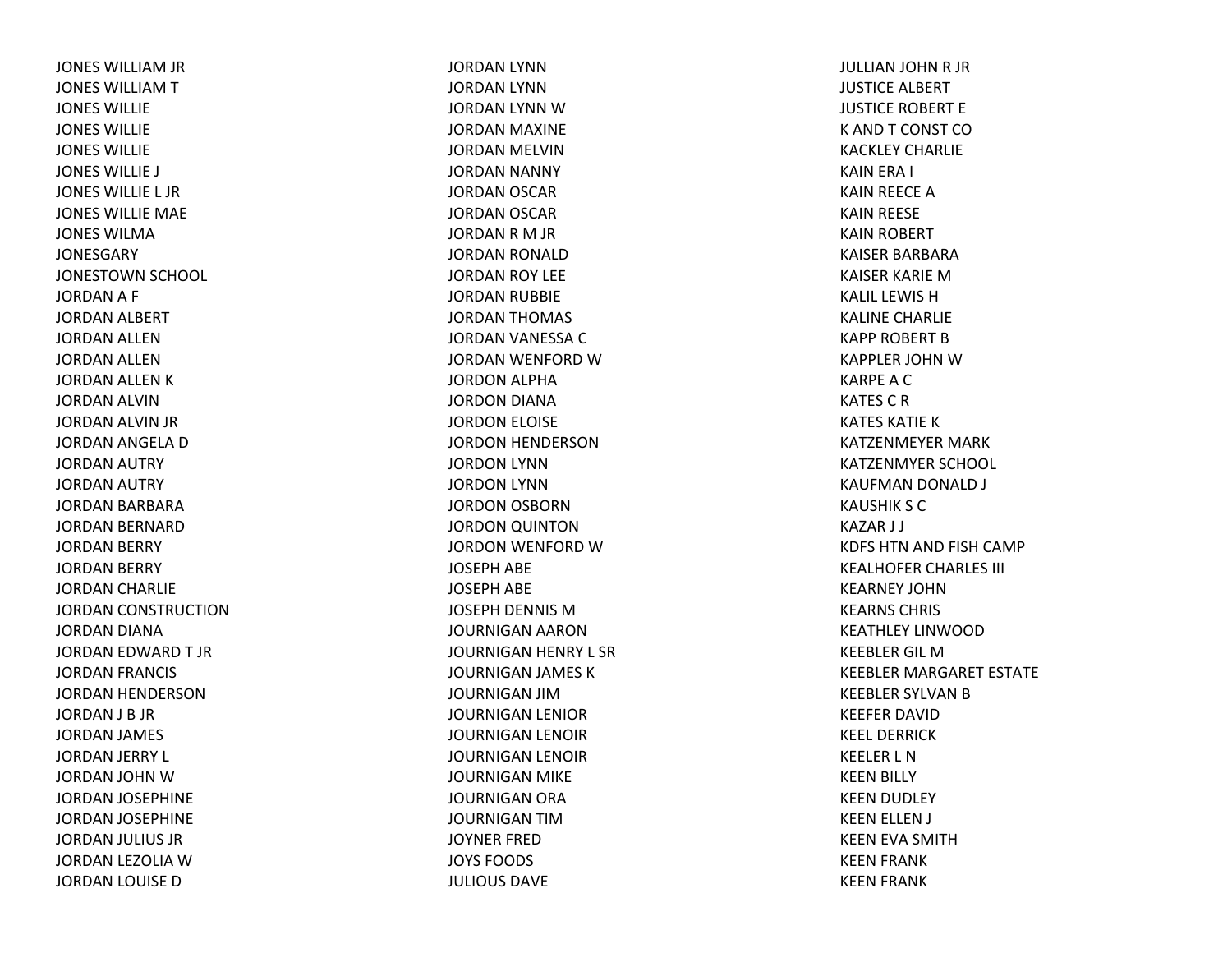JONES WILLIAM JR JONES WILLIAMTJONES WILLIEJONES WILLIEJONES WILLIEJONES WILLIE J JONES WILLIE L JRJONES WILLIE MAE JONES WILMAJONESGARYJONESTOWN SCHOOL JORDAN A F JORDAN ALBERT JORDAN ALLEN JORDAN ALLEN JORDAN ALLEN KJORDAN ALVIN JORDAN ALVIN JR JORDAN ANGELA DJORDAN AUTRY JORDAN AUTRY JORDAN BARBARA JORDAN BERNARD JORDAN BERRY JORDAN BERRY JORDAN CHARLIE JORDAN CONSTRUCTION JORDAN DIANA JORDAN EDWARD T JRJORDAN FRANCIS JORDAN HENDERSON JORDAN J B JR JORDAN JAMES JORDAN JERRY L JORDAN JOHN WJORDAN JOSEPHINE JORDAN JOSEPHINE JORDAN JULIUS JR JORDAN LEZOLIA WJORDAN LOUISE D

JORDAN LYNN JORDAN LYNNJORDAN LYNN WJORDAN MAXINE JORDAN MELVIN JORDAN NANNY JORDAN OSCAR JORDAN OSCAR JORDAN R M JR JORDAN RONALD JORDAN ROY LEE JORDAN RUBBIE JORDAN THOMAS JORDAN VANESSA CJORDAN WENFORD WJORDON ALPHA JORDON DIANA JORDON ELOISE JORDON HENDERSON JORDON LYNN JORDON LYNN JORDON OSBORN JORDON QUINTON JORDON WENFORD WJOSEPH ABE JOSEPH ABE JOSEPH DENNIS MJOURNIGAN AARON JOURNIGAN HENRY L SR JOURNIGAN JAMES KJOURNIGAN JIMJOURNIGAN LENIOR JOURNIGAN LENOIR JOURNIGAN LENOIR JOURNIGAN MIKE JOURNIGAN ORA JOURNIGAN TIMJOYNER FREDJOYS FOODS JULIOUS DAVE

JULLIAN JOHN R JR JUSTICE ALBERT JUSTICE ROBERT E K ANDT CONST COKACKLEY CHARLIEKAIN ERA I KAIN REECE AKAIN REESE KAIN ROBERT KAISER BARBARAKAISER KARIE MKALIL LEWIS H KALINE CHARLIE KAPP ROBERT BKAPPLER JOHN W KARPEACKATES C R KATES KATIE K KATZENMEYER MARK KATZENMYER SCHOOL KAUFMAN DONALD J KAUSHIK S CKAZAR J J KDFS HTN AND FISH CAMP KEALHOFER CHARLES III KEARNEY JOHNKEARNS CHRIS KEATHLEY LINWOODKEEBLER GIL MKEEBLER MARGARET ESTATE KEEBLER SYLVAN B KEEFER DAVIDKEEL DERRICKKEELER L NKEEN BILLY KEEN DUDLEY KEEN ELLEN J KEEN EVA SMITH KEEN FRANK KEEN FRANK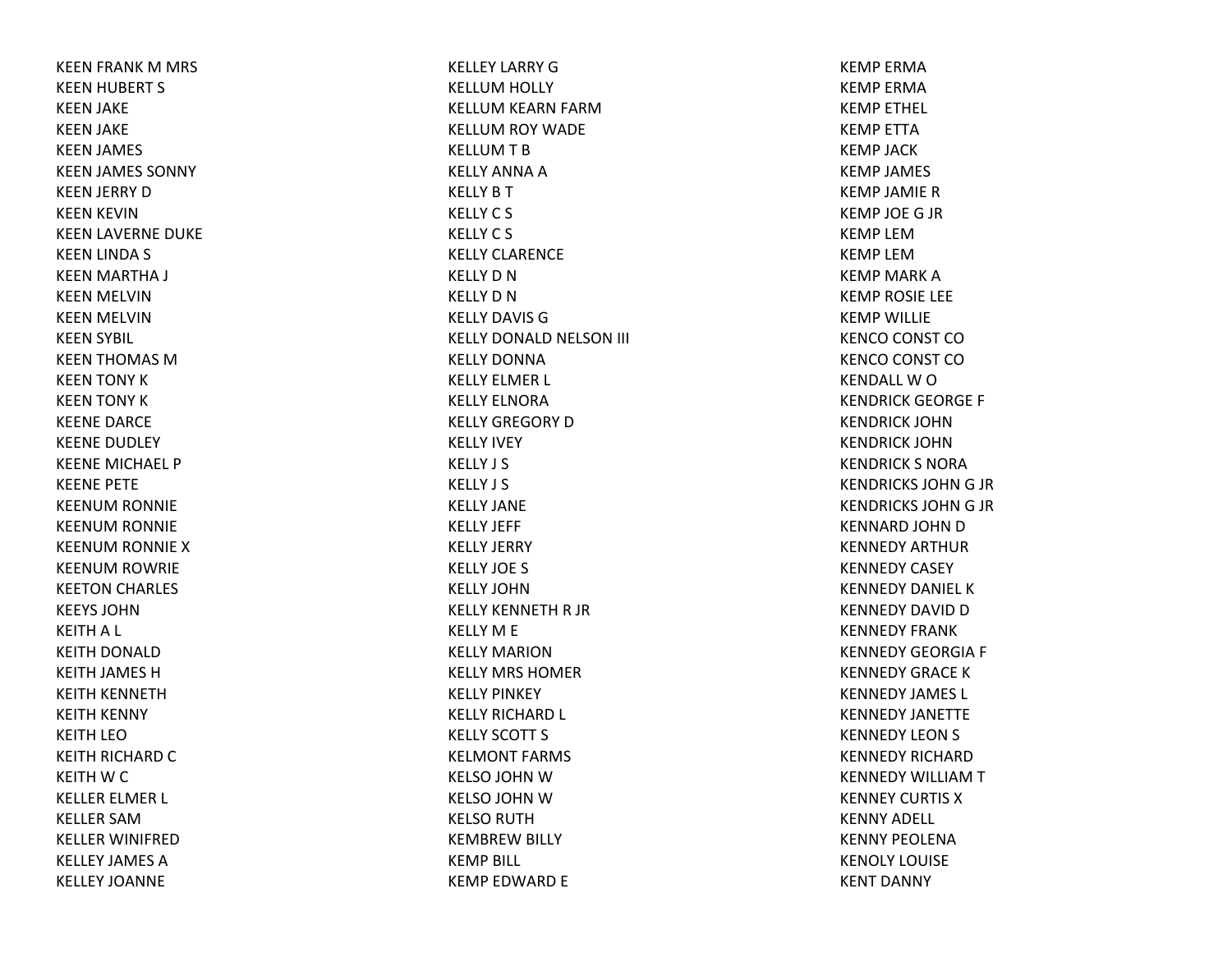KEEN FRANK M MRS KEEN HUBERT S KEEN JAKE KEEN JAKE KEEN JAMES KEEN JAMES SONNY KEEN JERRY DKEEN KEVIN KEEN LAVERNE DUKE KEEN LINDA S KEEN MARTHA J KEEN MELVIN KEEN MELVIN KEEN SYBIL KEEN THOMAS MKEEN TONY KKEEN TONY KKEENE DARCE KEENE DUDLEY KEENE MICHAEL PKEENE PETE KEENUM RONNIE KEENUM RONNIE KEENUM RONNIE XKEENUM ROWRIE KEETON CHARLES KEEYS JOHNKEITH A L KEITH DONALD KEITH JAMES HKEITH KENNETH KEITH KENNY KEITH LEOKEITH RICHARD CKEITH W C KELLER ELMER L KELLER SAMKELLER WINIFREDKELLEY JAMES AKELLEY JOANNE

KELLEY LARRY GKELLUM HOLLY KELLUM KEARN FARM KELLUM ROY WADE KELLUM T B KELLY ANNA A KELLY B T KELLYC S KELLYC S KELLY CLARENCEKELLY D N KELLY D N KELLY DAVIS GKELLY DONALD NELSON III KELLY DONNAKELLY ELMER L KELLY ELNORAKELLY GREGORY DKELLY IVEY KELLY J S KELLY J S KELLY JANEKELLY JEFF KELLY JERRY KELLY JOE S KELLY JOHNKELLY KENNETH R JR KELLY M E KELLY MARIONKELLY MRS HOMERKELLY PINKEY KELLY RICHARD L KELLY SCOTT S KELMONT FARMS KELSO JOHN WKELSO JOHN WKELSO RUTH KEMBREW BILLY KEMP BILL KEMP EDWARD E

KEMP ERMAKEMP ERMAKEMP ETHEL KEMP ETTAKEMP JACKKEMP JAMES KEMP JAMIE RKEMP JOE G JR KEMP LEMKEMP LEMKEMP MARK A KEMP ROSIE LEE KEMP WILLIE KENCO CONST CO KENCO CONST CO KENDALL W O KENDRICK GEORGE F KENDRICK JOHNKENDRICK JOHNKENDRICK S NORAKENDRICKS JOHN G JR KENDRICKS JOHN G JR KENNARD JOHN D KENNEDY ARTHURKENNEDY CASEY KENNEDY DANIEL KKENNEDY DAVID D KENNEDY FRANKKENNEDY GEORGIA F KENNEDY GRACE K KENNEDY JAMES L KENNEDY JANETTEKENNEDY LEON S KENNEDY RICHARDKENNEDY WILLIAMTKENNEY CURTIS XKENNY ADELL KENNY PEOLENAKENOLY LOUISEKENT DANNY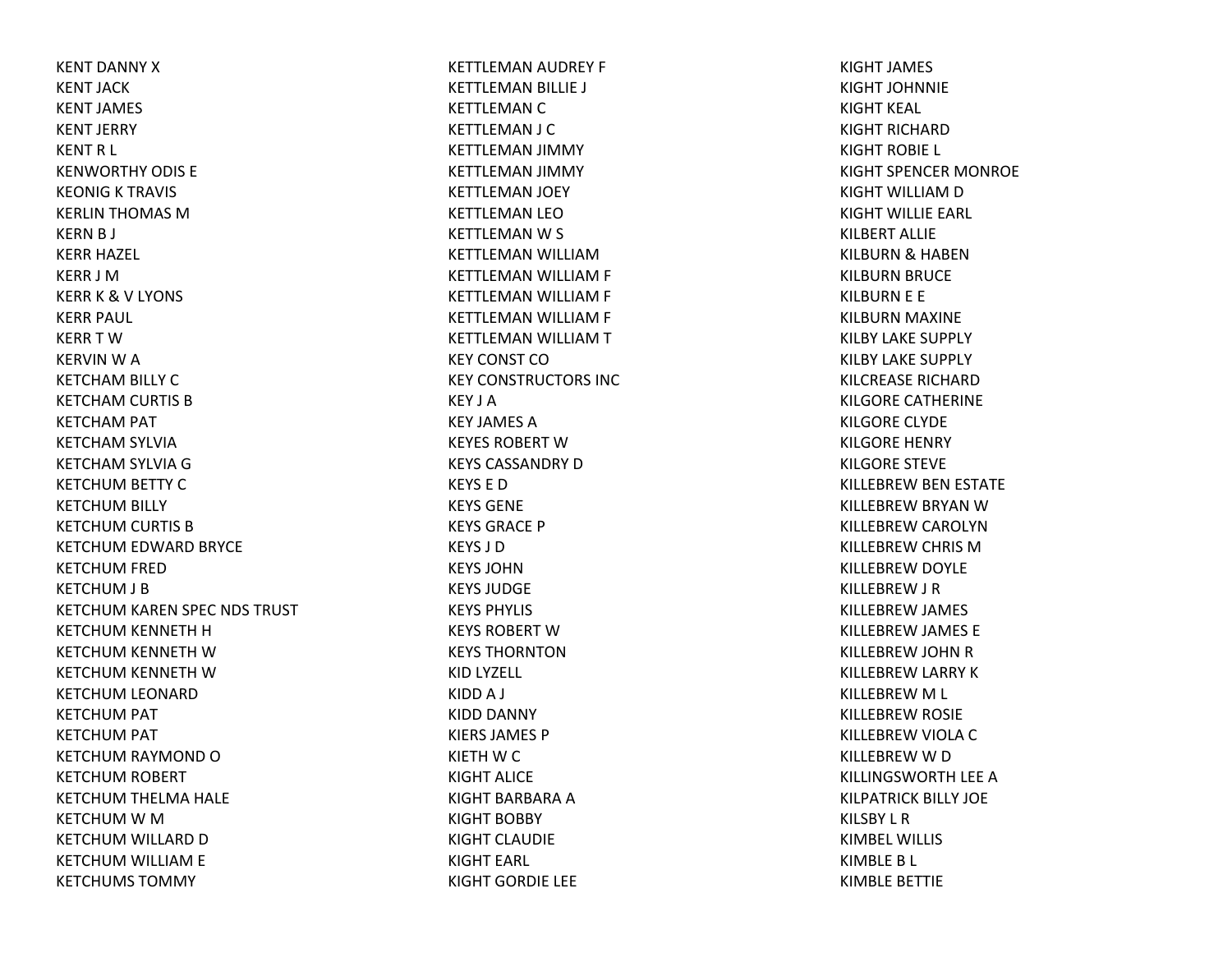KENT DANNY XKENT JACKKENT JAMES KENT JERRY KENT R L KENWORTHY ODIS EKEONIG K TRAVIS KERLIN THOMAS MKERN B J KERR HAZEL KERR J MKERR K & V LYONS KERR PAUL KERR T WKERVIN W A KETCHAM BILLY C KETCHAM CURTIS B KETCHAM PAT KETCHAM SYLVIA KETCHAM SYLVIA G KETCHUM BETTY C KETCHUM BILLY KETCHUM CURTIS B KETCHUM EDWARD BRYCE KETCHUM FRED KETCHUM J B KETCHUM KAREN SPEC NDS TRUST KETCHUM KENNETH H KETCHUM KENNETH WKETCHUM KENNETH WKETCHUM LEONARD KETCHUM PAT KETCHUM PAT KETCHUM RAYMOND O KETCHUM ROBERT KETCHUM THELMA HALE KETCHUM W M KETCHUM WILLARD D KETCHUM WILLIAM E KETCHUMS TOMMY

KETTLEMAN AUDREY F KETTLEMAN BILLIE J KETTLEMAN C KETTLEMAN J C KETTLEMAN JIMMY KETTLEMAN JIMMY KETTLEMAN JOEY KETTLEMAN LEOKETTLEMAN W S KETTLEMAN WILLIAMKETTLEMAN WILLIAM F KETTLEMAN WILLIAM F KETTLEMAN WILLIAM F KETTLEMAN WILLIAM T KEY CONST COKEY CONSTRUCTORS INCKEY J AKEY JAMES AKEYES ROBERT WKEYS CASSANDRY DKEYS E DKEYS GENEKEYS GRACE PKEYS J DKEYS JOHNKEYS JUDGEKEYS PHYLIS KEYS ROBERT WKEYS THORNTONKID LYZELL KIDD A J KIDD DANNY KIERS JAMES PKIETH W C KIGHT ALICEKIGHT BARBARA A KIGHT BOBBY KIGHT CLAUDIEKIGHT EARL KIGHT GORDIE LEE

KIGHT JAMES KIGHT JOHNNIEKIGHT KEAL KIGHT RICHARDKIGHT ROBIE L KIGHT SPENCER MONROE KIGHT WILLIAM D KIGHT WILLIE EARL KILBERT ALLIEKILBURN & HABEN KILBURN BRUCE KILBURN E E KILBURN MAXINE KILBY LAKE SUPPLY KILBY LAKE SUPPLY KILCREASE RICHARDKILGORE CATHERINE KILGORE CLYDE KILGORE HENRY KILGORE STEVE KILLEBREW BEN ESTATE KILLEBREW BRYAN W KILLEBREW CAROLYN KILLEBREW CHRIS M KILLEBREW DOYLE KILLEBREW J R KILLEBREW JAMES KILLEBREW JAMES E KILLEBREW JOHN R KILLEBREW LARRY K KILLEBREW M L KILLEBREW ROSIE KILLEBREW VIOLA C KILLEBREW W D KILLINGSWORTH LEE A KILPATRICK BILLY JOE KILSBY L RKIMBEL WILLISKIMBLE B L KIMBLE BETTIE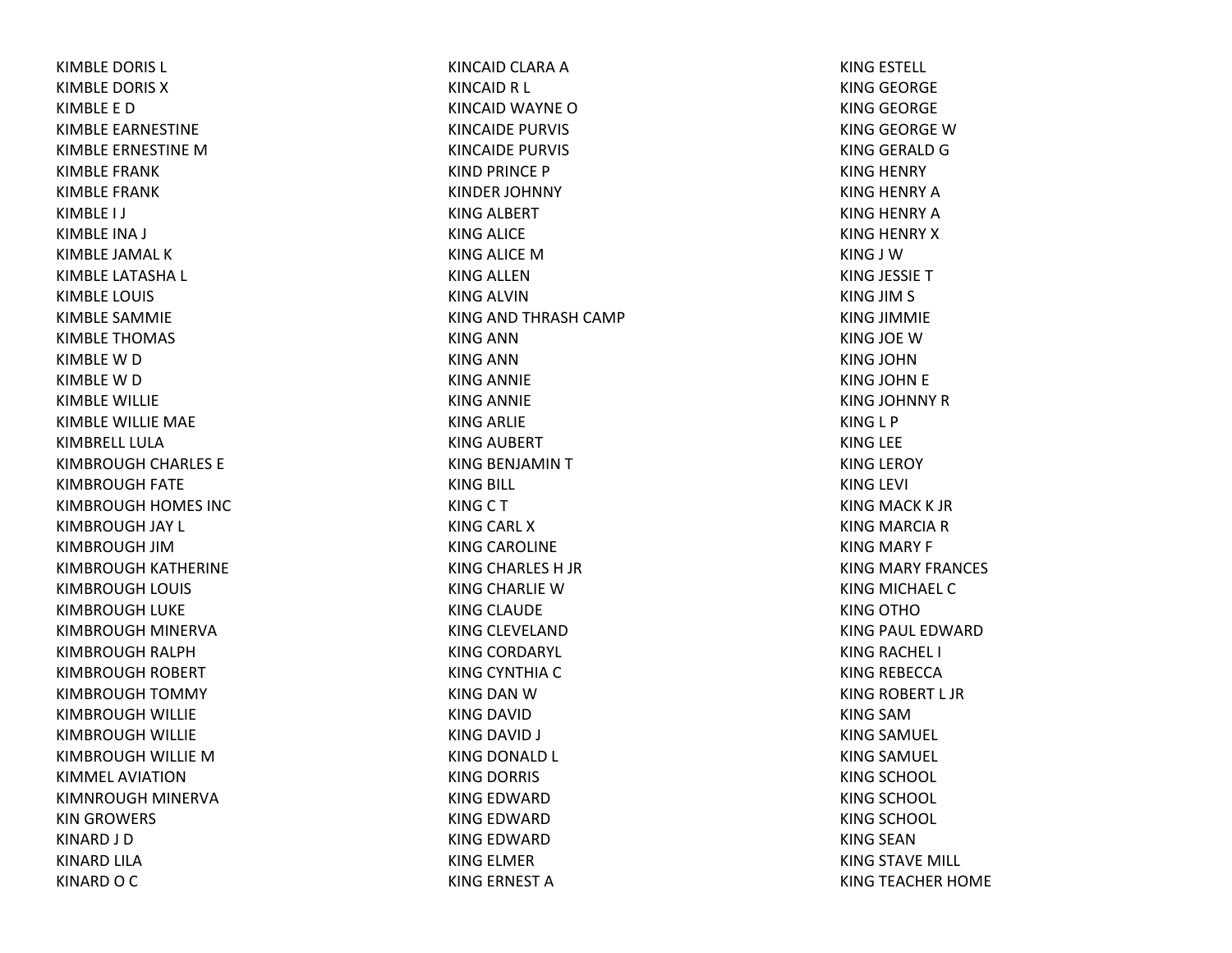KIMBLE DORIS L KIMBLE DORIS XKIMBLE E DKIMBLE EARNESTINE KIMBLE ERNESTINE MKIMBLE FRANKKIMBLE FRANKKIMBLE I J KIMBLE INA J KIMBLE JAMAL KKIMBLE LATASHA L KIMBLE LOUIS KIMBLE SAMMIE KIMBLE THOMAS KIMBLE W D KIMBLE W D KIMBLE WILLIE KIMBLE WILLIE MAE KIMBRELL LULAKIMBROUGH CHARLES E KIMBROUGH FATE KIMBROUGH HOMES INC KIMBROUGH JAY L KIMBROUGH JIMKIMBROUGH KATHERINE KIMBROUGH LOUIS KIMBROUGH LUKE KIMBROUGH MINERVA KIMBROUGH RALPH KIMBROUGH ROBERT KIMBROUGH TOMMY KIMBROUGH WILLIE KIMBROUGH WILLIE KIMBROUGH WILLIE MKIMMEL AVIATIONKIMNROUGH MINERVA KIN GROWERS KINARD J D KINARD LILA KINARD O C

KINCAID CLARA AKINCAID R L KINCAID WAYNE OKINCAIDE PURVIS KINCAIDE PURVIS KIND PRINCE P KINDER JOHNNY KING ALBERT KING ALICE KING ALICE MKING ALLENKING ALVINKING AND THRASH CAMP KING ANNKING ANNKING ANNIE KING ANNIE KING ARLIE KING AUBERT KING BENJAMIN T KING BILL KINGCTKING CARL XKING CAROLINE KING CHARLES H JR KING CHARLIE WKING CLAUDE KING CLEVELAND KING CORDARYL KING CYNTHIA CKING DAN W KING DAVID KING DAVID J KING DONALD L KING DORRIS KING EDWARD KING EDWARD KING EDWARD KING ELMER KING ERNEST A

KING ESTELL KING GEORGE KING GEORGE KING GEORGE WKING GERALD GKING HENRY KING HENRY AKING HENRY AKING HENRY XKING J WKING JESSIE TKING JIM S KING JIMMIE KING JOE WKING JOHNKING JOHN E KING JOHNNY RKING L P KING LEE KING LEROY KING LEVI KING MACK K JRKING MARCIA RKING MARY F KING MARY FRANCES KING MICHAEL CKING OTHOKING PAUL EDWARD KING RACHEL I KING REBECCA KING ROBERT L JR KING SAMKING SAMUEL KING SAMUEL KING SCHOOL KING SCHOOL KING SCHOOL KING SEANKING STAVE MILL KING TEACHER HOME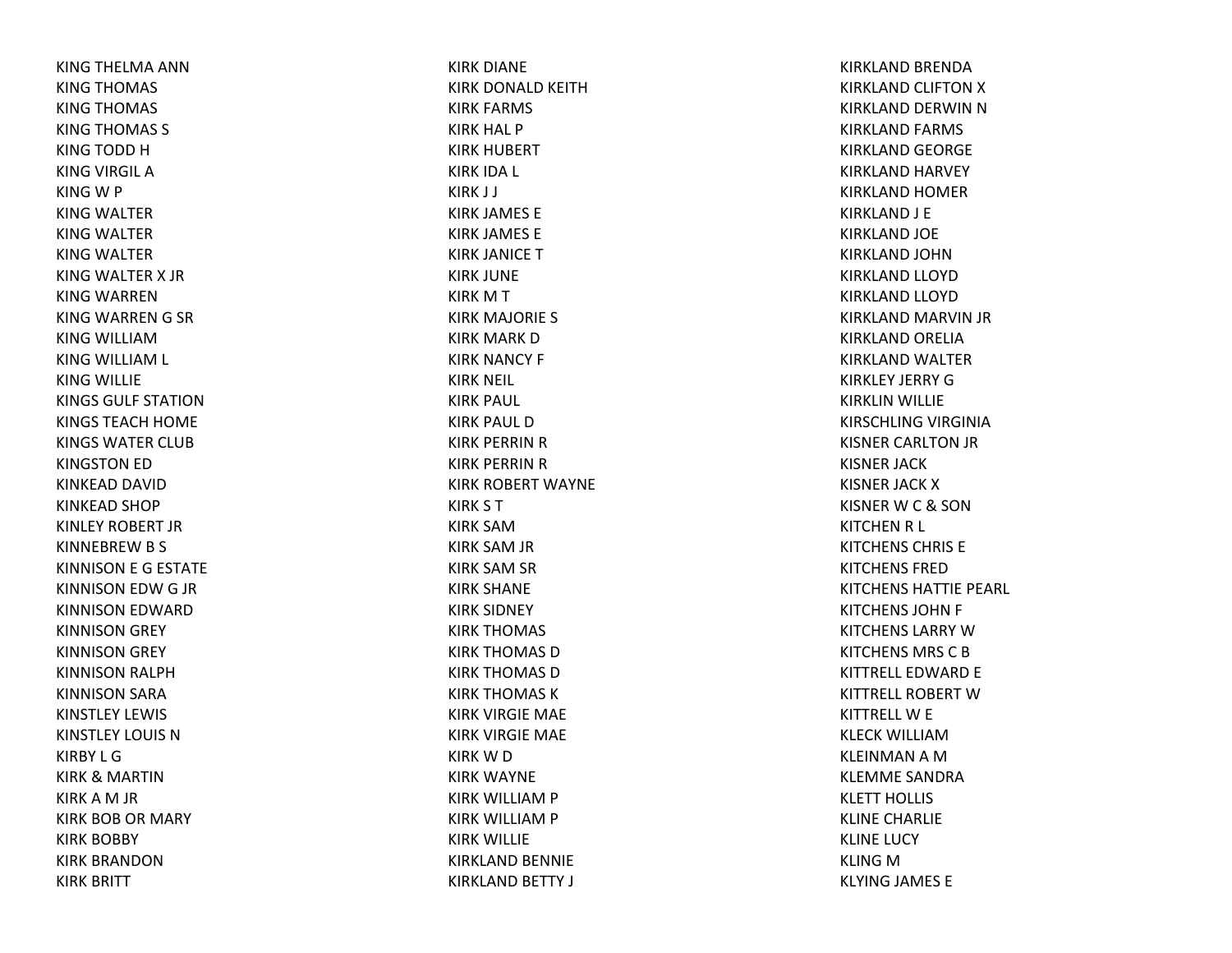KING THELMA ANNKING THOMAS KING THOMAS KING THOMAS S KING TODD HKING VIRGIL AKING W P KING WALTER KING WALTER KING WALTER KING WALTER X JRKING WARRENKING WARREN G SR KING WILLIAMKING WILLIAM L KING WILLIE KINGS GULF STATIONKINGS TEACH HOME KINGS WATER CLUBKINGSTON ED KINKEAD DAVID KINKEAD SHOP KINLEY ROBERT JRKINNEBREWB S KINNISON E G ESTATE KINNISON EDWG JR KINNISON EDWARD KINNISON GREY KINNISON GREY KINNISON RALPH KINNISON SARA KINSTLEY LEWIS KINSTLEY LOUIS NKIRBY L GKIRK& MARTIN KIRK A M JR KIRK BOB OR MARY KIRK BOBBY KIRK BRANDONKIRK BRITT

KIRK DIANE KIRK DONALD KEITHKIRK FARMS KIRK HAL P KIRK HUBERT KIRK IDA L KIRK J J KIRK JAMES E KIRK JAMES E KIRK JANICE TKIRK JUNE KIRKMTKIRK MAJORIE S KIRK MARK DKIRK NANCY F KIRK NEIL KIRK PAUL KIRK PAUL DKIRK PERRIN R KIRK PERRIN R KIRK ROBERT WAYNE KIRK S T KIRK SAMKIRK SAM JR KIRK SAM SR KIRK SHANE KIRK SIDNEY KIRK THOMAS KIRK THOMAS DKIRK THOMAS DKIRK THOMAS KKIRK VIRGIE MAE KIRK VIRGIE MAE KIRKWDKIRK WAYNE KIRK WILLIAM P KIRK WILLIAM P KIRK WILLIE KIRKLAND BENNIE KIRKLAND BETTY J

KIRKLAND BRENDA KIRKLAND CLIFTON X KIRKLAND DERWIN N KIRKLAND FARMS KIRKLAND GEORGE KIRKLAND HARVEY KIRKLAND HOMER KIRKLAND J E KIRKLAND JOE KIRKLAND JOHNKIRKLAND LLOYD KIRKLAND LLOYD KIRKLAND MARVIN JR KIRKLAND ORELIA KIRKLAND WALTER KIRKLEY JERRY GKIRKLIN WILLIE KIRSCHLING VIRGINIA KISNER CARLTON JR KISNER JACK KISNER JACK XKISNERWC& SON KITCHEN R L KITCHENS CHRIS EKITCHENS FREDKITCHENS HATTIE PEARL KITCHENS JOHN F KITCHENS LARRY W KITCHENS MRS CBKITTRELL EDWARD E KITTRELL ROBERT W KITTRELLW E KLECK WILLIAMKLEINMAN A M KLEMME SANDRAKLETT HOLLIS KLINE CHARLIE KLINE LUCY KLING M KLYING JAMES E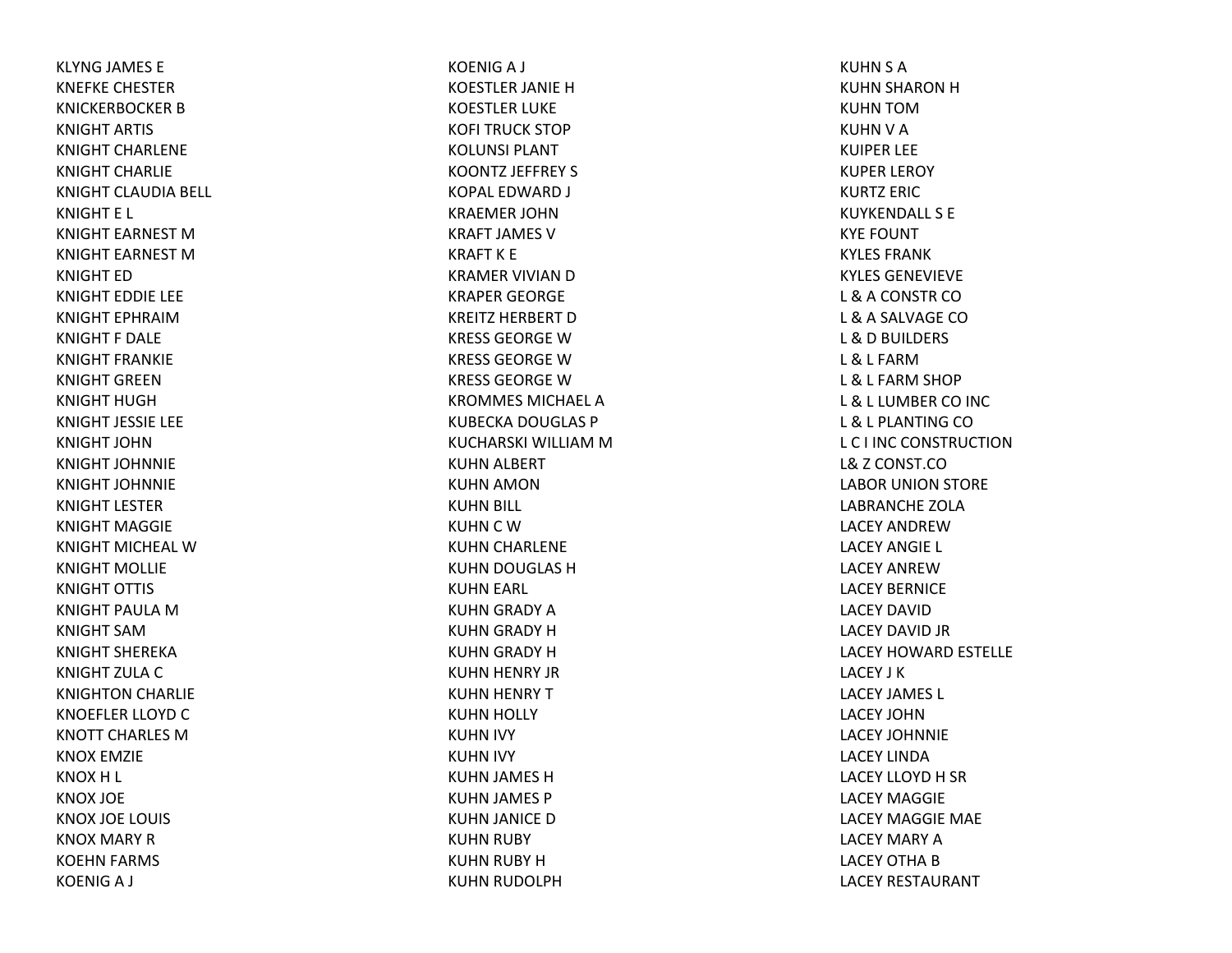KLYNG JAMES E KNEFKE CHESTERKNICKERBOCKER B KNIGHT ARTIS KNIGHT CHARLENEKNIGHT CHARLIEKNIGHT CLAUDIA BELL KNIGHT E L KNIGHT EARNEST MKNIGHT EARNEST MKNIGHT EDKNIGHT EDDIE LEE KNIGHT EPHRAIMKNIGHT F DALEKNIGHT FRANKIEKNIGHT GREENKNIGHT HUGHKNIGHT JESSIE LEE KNIGHT JOHNKNIGHT JOHNNIEKNIGHT JOHNNIEKNIGHT LESTERKNIGHT MAGGIEKNIGHT MICHEAL WKNIGHT MOLLIEKNIGHT OTTIS KNIGHT PAULA M KNIGHT SAMKNIGHT SHEREKAKNIGHT ZULA C KNIGHTON CHARLIE KNOEFLER LLOYD C KNOTT CHARLES MKNOX EMZIE KNOXH L KNOX JOE KNOX JOE LOUIS KNOX MARY RKOEHN FARMS KOENIGA J

KOENIGA J KOESTLER JANIE HKOESTLER LUKE KOFI TRUCK STOP KOLUNSI PLANTKOONTZ JEFFREY S KOPAL EDWARD J KRAEMER JOHNKRAFT JAMES VKRAFT K E KRAMER VIVIAN D KRAPER GEORGE KREITZ HERBERT D KRESS GEORGE W KRESS GEORGE W KRESS GEORGE W KROMMES MICHAEL AKUBECKA DOUGLAS P KUCHARSKI WILLIAM M KUHN ALBERT KUHN AMON KUHN BILL KUHN C W KUHN CHARLENE KUHN DOUGLAS HKUHN EARL KUHN GRADY AKUHN GRADY HKUHN GRADY HKUHN HENRY JR KUHN HENRY TKUHN HOLLY KUHN IVY KUHN IVY KUHN JAMES HKUHN JAMES P KUHN JANICE DKUHN RUBY KUHN RUBY HKUHN RUDOLPH

KUHN S A KUHN SHARON HKUHN TOMKUHN V A KUIPER LEE KUPER LEROY KURTZ ERICKUYKENDALL S EKYE FOUNT KYLES FRANKKYLES GENEVIEVEL &A CONSTR COL & A SALVAGE CO L &D BUILDERS L & L FARML & L FARM SHOP L & L LUMBER CO INC L & L PLANTING CO L C I INC CONSTRUCTIONL&Z CONST.COLABOR UNION STORE LABRANCHE ZOLALACEY ANDREWLACEY ANGIE L LACEY ANREWLACEY BERNICELACEY DAVIDLACEY DAVID JR LACEY HOWARD ESTELLE LACEY J KLACEY JAMES L LACEY JOHNLACEY JOHNNIELACEY LINDALACEY LLOYD H SR LACEY MAGGIELACEY MAGGIE MAE LACEY MARY ALACEY OTHA B LACEY RESTAURANT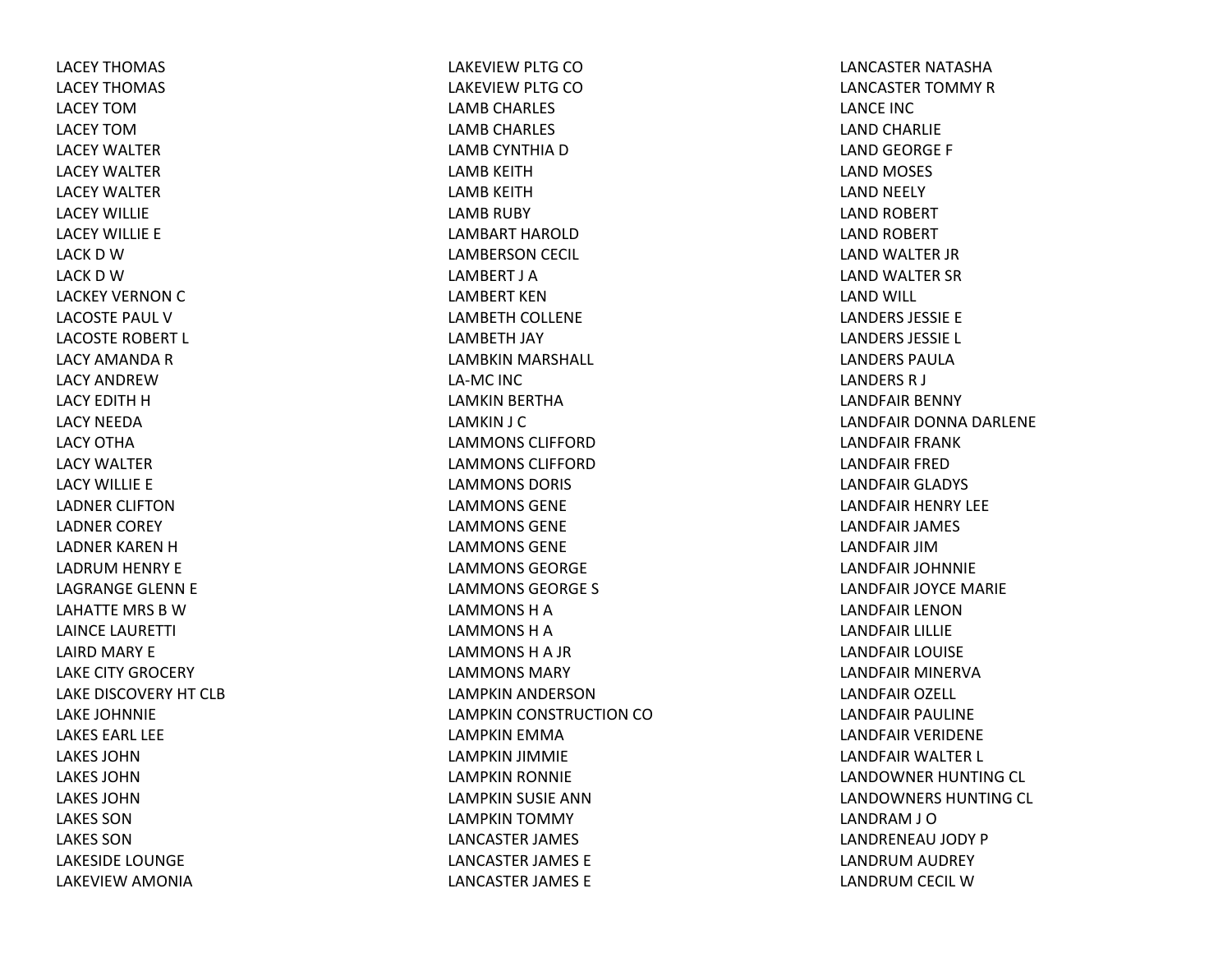LACEY THOMAS LACEY THOMAS LACEY TOMLACEY TOMLACEY WALTERLACEY WALTERLACEY WALTERLACEY WILLIELACEY WILLIE E LACK D W LACK D W LACKEY VERNON C LACOSTE PAUL VLACOSTE ROBERT L LACY AMANDA R LACY ANDREWLACY EDITH H LACY NEEDALACY OTHALACY WALTERLACY WILLIE E LADNER CLIFTONLADNER COREY LADNER KAREN H LADRUM HENRY E LAGRANGE GLENN E LAHATTE MRS B W LAINCE LAURETTI LAIRD MARY E LAKE CITY GROCERY LAKE DISCOVERY HT CLBLAKE JOHNNIE LAKES EARL LEELAKES JOHNLAKES JOHNLAKES JOHNLAKES SONLAKES SONLAKESIDE LOUNGE LAKEVIEW AMONIA

LAKEVIEW PLTG CO LAKEVIEW PLTG CO LAMB CHARLES LAMB CHARLES LAMB CYNTHIA D LAMB KEITHLAMB KEITHLAMB RUBY LAMBART HAROLDLAMBERSON CECIL LAMBERT J ALAMBERT KENLAMBETH COLLENE LAMBETH JAY LAMBKIN MARSHALL LA‐MC INC LAMKIN BERTHA LAMKIN J C LAMMONS CLIFFORDLAMMONS CLIFFORDLAMMONS DORIS LAMMONS GENELAMMONS GENELAMMONS GENELAMMONS GEORGELAMMONS GEORGE S LAMMONS H A LAMMONS H A LAMMONSHA JR LAMMONS MARYLAMPKIN ANDERSON LAMPKIN CONSTRUCTION COLAMPKIN EMMA LAMPKIN JIMMIE LAMPKIN RONNIE LAMPKIN SUSIE ANN LAMPKIN TOMMY LANCASTER JAMES LANCASTER JAMES E LANCASTER JAMES E

LANCASTER NATASHALANCASTER TOMMY RLANCE INCLAND CHARLIE LAND GEORGE F LAND MOSES LAND NEELY LAND ROBERT LAND ROBERT LAND WALTER JR LAND WALTER SR LAND WILL LANDERS JESSIE E LANDERS JESSIE L LANDERS PAULALANDERS R J LANDFAIR BENNY LANDFAIR DONNA DARLENE LANDFAIR FRANK LANDFAIR FREDLANDFAIR GLADYS LANDFAIR HENRY LEE LANDFAIR JAMES LANDFAIR JIMLANDFAIR JOHNNIE LANDFAIR JOYCE MARIE LANDFAIR LENONLANDFAIR LILLIE LANDFAIR LOUISE LANDFAIR MINERVALANDFAIR OZELL LANDFAIR PAULINE LANDFAIR VERIDENE LANDFAIR WALTER L LANDOWNER HUNTING CL LANDOWNERS HUNTING CL LANDRAM J O LANDRENEAU JODY P LANDRUM AUDREY LANDRUM CECIL W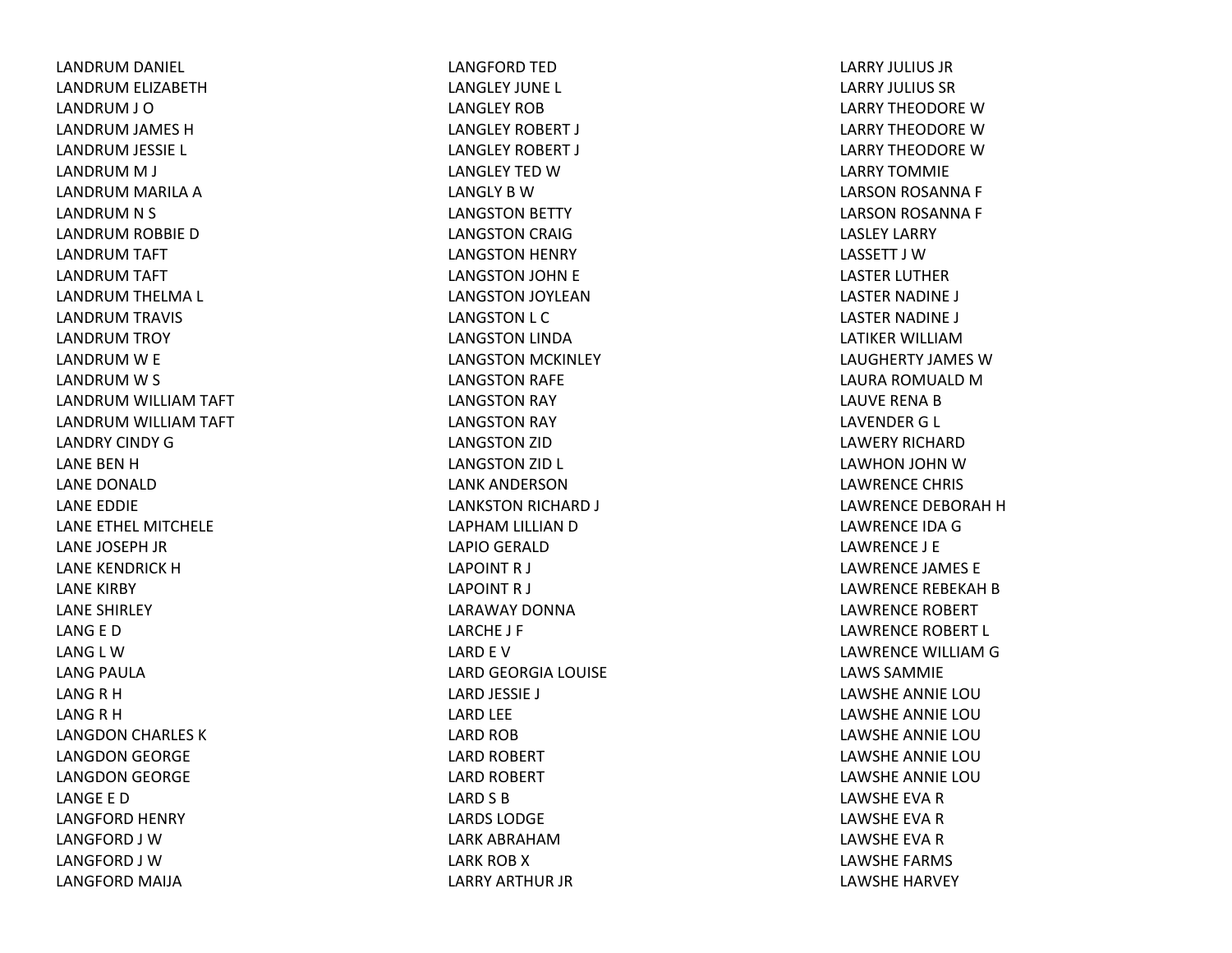LANDRUM DANIEL LANDRUM ELIZABETH LANDRUM J O LANDRUM JAMES HLANDRUM JESSIE L LANDRUM M J LANDRUM MARILA ALANDRUM N S LANDRUM ROBBIE DLANDRUM TAFT LANDRUM TAFT LANDRUM THELMA L LANDRUM TRAVIS LANDRUM TROY LANDRUM W E LANDRUM W S LANDRUM WILLIAM TAFT LANDRUM WILLIAM TAFT LANDRY CINDY GLANE BEN H LANE DONALDLANE EDDIE LANE ETHEL MITCHELE LANE JOSEPH JR LANE KENDRICK H LANE KIRBY LANE SHIRLEY LANG E D LANG L WLANG PAULA LANG R H LANG R H LANGDON CHARLES KLANGDON GEORGE LANGDON GEORGE LANGE E DLANGFORD HENRY LANGFORD J WLANGFORD J WLANGFORD MAIJA

LANGFORD TED LANGLEY JUNE L LANGLEY ROBLANGLEY ROBERT J LANGLEY ROBERT J LANGLEY TED W LANGLY B W LANGSTON BETTY LANGSTON CRAIG LANGSTON HENRY LANGSTON JOHN E LANGSTON JOYLEAN LANGSTON L C LANGSTON LINDA LANGSTON MCKINLEY LANGSTON RAFE LANGSTON RAY LANGSTON RAY LANGSTON ZID LANGSTON ZID L LANK ANDERSONLANKSTON RICHARD J LAPHAM LILLIAN DLAPIO GERALD LAPOINT R J LAPOINT R J LARAWAY DONNALARCHE J F LARD E V LARD GEORGIA LOUISE LARD JESSIE J LARD LEE LARD ROB LARD ROBERT LARD ROBERT LARD S B LARDS LODGELARK ABRAHAMLARK ROB X LARRY ARTHUR JR

LARRY JULIUS JRLARRY JULIUS SRLARRY THEODORE W LARRY THEODORE W LARRY THEODORE W LARRY TOMMIELARSON ROSANNA F LARSON ROSANNA F LASLEY LARRY LASSETT J WLASTER LUTHER LASTER NADINE J LASTER NADINE J LATIKER WILLIAMLAUGHERTY JAMES WLAURA ROMUALD M LAUVE RENA B LAVENDER G L LAWERY RICHARDLAWHON JOHN WLAWRENCE CHRIS LAWRENCE DEBORAH H LAWRENCE IDA G LAWRENCE J E LAWRENCE JAMES E LAWRENCE REBEKAH B LAWRENCE ROBERT LAWRENCE ROBERT L LAWRENCE WILLIAM G LAWS SAMMIELAWSHE ANNIE LOULAWSHE ANNIE LOULAWSHE ANNIE LOULAWSHE ANNIE LOULAWSHE ANNIE LOULAWSHE EVA R LAWSHE EVA R LAWSHE EVA R LAWSHE FARMS LAWSHE HARVEY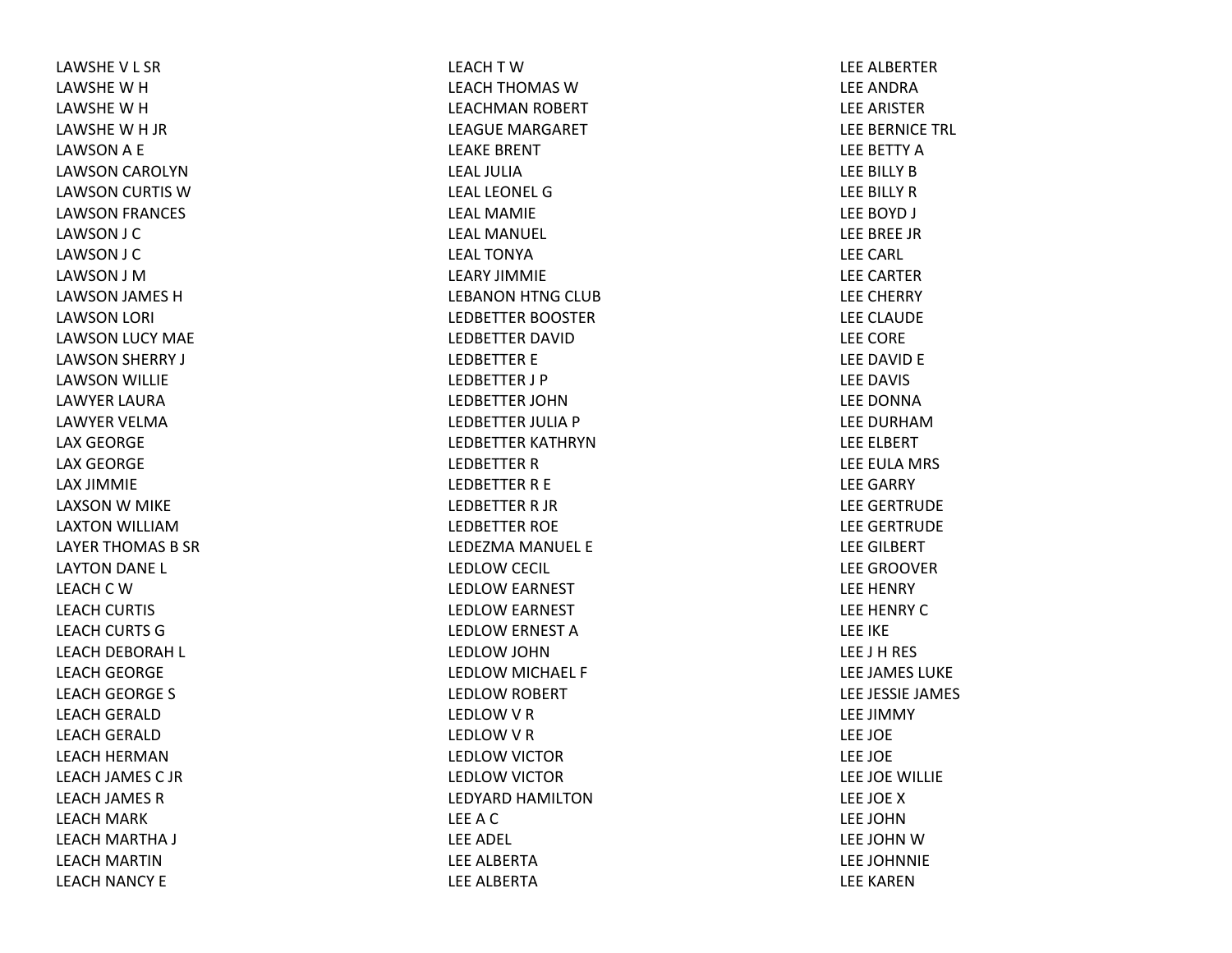LAWSHE V L SR LAWSHE W H LAWSHE W H LAWSHE W H JR LAWSONA E LAWSON CAROLYN LAWSON CURTIS WLAWSON FRANCES LAWSON J C LAWSON J C LAWSON J MLAWSON JAMES HLAWSON LORI LAWSON LUCY MAE LAWSON SHERRY J LAWSON WILLIE LAWYER LAURALAWYER VELMALAX GEORGE LAX GEORGE LAX JIMMIE LAXSON W MIKE LAXTON WILLIAMLAYER THOMAS B SR LAYTON DANE L LEACH C W LEACH CURTIS LEACH CURTS GLEACH DEBORAH L LEACH GEORGE LEACH GEORGE S LEACH GERALD LEACH GERALD LEACH HERMANLEACH JAMES C JRLEACH JAMES RLEACH MARK LEACH MARTHA J LEACH MARTINLEACH NANCY E

LEACH T W LEACH THOMAS WLEACHMAN ROBERT LEAGUE MARGARET LEAKE BRENT LEAL JULIALEAL LEONEL GLEAL MAMIELEAL MANUEL LEAL TONYALEARY JIMMIELEBANON HTNG CLUB LEDBETTER BOOSTER LEDBETTER DAVIDLEDBETTER E LEDBETTER J P LEDBETTER JOHNLEDBETTER JULIA P LEDBETTER KATHRYNLEDBETTER R LEDBETTER R E LEDBETTER R JR LEDBETTER ROE LEDEZMA MANUEL E LEDLOW CECIL LEDLOW EARNEST LEDLOW EARNEST LEDLOW ERNEST ALEDLOW JOHN LEDLOW MICHAEL F LEDLOW ROBERT LEDLOW V R LEDLOW V R LEDLOW VICTOR LEDLOW VICTOR LEDYARD HAMILTONLEEACLEE ADEL LEE ALBERTALEE ALBERTA

LEE ALBERTERLEE ANDRALEE ARISTERLEE BERNICE TRL LEE BETTY ALEE BILLY BLEE BILLY RLEE BOYD J LEE BREE JRLEE CARL LEE CARTERLEE CHERRY LEE CLAUDE LEE CORE LEE DAVID E LEE DAVIS LEE DONNALEE DURHAMLEE ELBERT LEE EULA MRS LEE GARRY LEE GERTRUDE LEE GERTRUDE LEE GILBERT LEE GROOVERLEE HENRY LEE HENRY CLEE IKE LEE J H RES LEE JAMES LUKE LEE JESSIE JAMES LEE JIMMY LEE JOE LEE JOE LEE JOE WILLIE LEE JOE XLEE JOHNLEE JOHN W LEE JOHNNIE LEE KAREN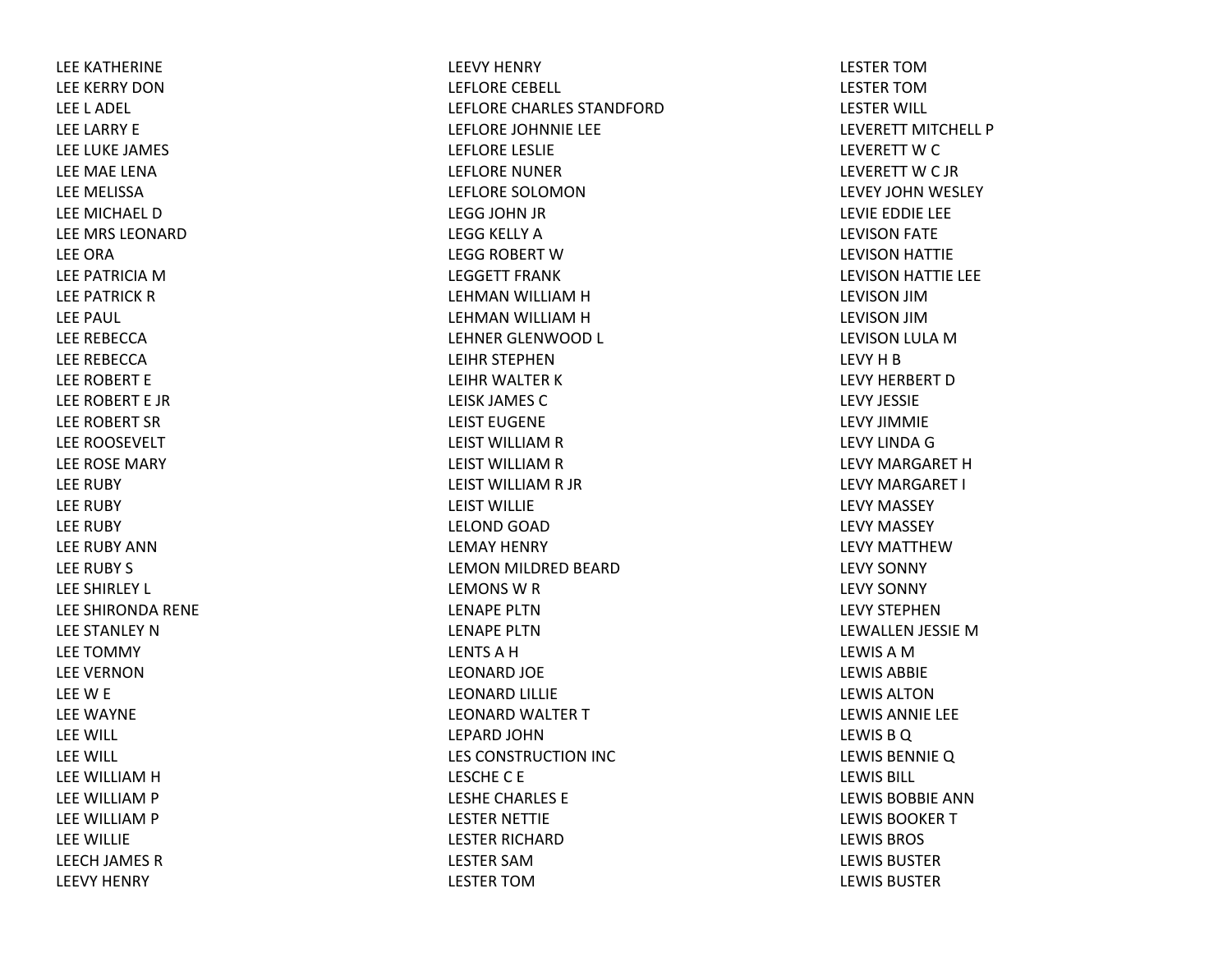LEE KATHERINE LEE KERRY DONLEE L ADEL LEE LARRY E LEE LUKE JAMES LEE MAE LENALEE MELISSALEE MICHAEL DLEE MRS LEONARDLEE ORALEE PATRICIA M LEE PATRICK R LEE PAUL LEE REBECCALEE REBECCALEE ROBERT E LEE ROBERT E JRLEE ROBERT SRLEE ROOSEVELT LEE ROSE MARY LEE RUBY LEE RUBY LEE RUBY LEE RUBY ANNLEE RUBY S LEE SHIRLEY L LEE SHIRONDA RENE LEE STANLEY NLEE TOMMY LEE VERNONLEEW E LEE WAYNE LEE WILL LEE WILL LEE WILLIAM H LEE WILLIAM P LEE WILLIAM P LEE WILLIE LEECH JAMES RLEEVY HENRY

LEEVY HENRY LEFLORE CEBELL LEFLORE CHARLES STANDFORDLEFLORE JOHNNIE LEE LEFLORE LESLIE LEFLORE NUNERLEFLORE SOLOMONLEGG JOHN JR LEGG KELLY ALEGG ROBERT WLEGGETT FRANKLEHMAN WILLIAM H LEHMAN WILLIAM H LEHNER GLENWOOD L LEIHR STEPHENLEIHR WALTER KLEISK JAMES CLEIST EUGENELEIST WILLIAM R LEIST WILLIAM R LEIST WILLIAM R JR LEIST WILLIELELOND GOAD LEMAY HENRY LEMON MILDRED BEARD LEMONS W R LENAPE PLTNLENAPE PLTNLENTSAHLEONARD JOE LEONARD LILLIE LEONARD WALTER TLEPARD JOHNLES CONSTRUCTION INC LESCHEC E LESHE CHARLES E LESTER NETTIE LESTER RICHARDLESTER SAMLESTER TOM

LESTER TOMLESTER TOMLESTER WILL LEVERETT MITCHELL PLEVERETT W C LEVERETT W C JR LEVEY JOHN WESLEY LEVIE EDDIE LEE LEVISON FATE LEVISON HATTIE LEVISON HATTIE LEE LEVISON JIMLEVISON JIMLEVISON LULA MLEVY H B LEVY HERBERT DLEVY JESSIELEVY JIMMIELEVY LINDA G LEVY MARGARET HLEVY MARGARET I LEVY MASSEY LEVY MASSEY LEVY MATTHEWLEVY SONNY LEVY SONNY LEVY STEPHENLEWALLEN JESSIE MLEWISAMLEWIS ABBIELEWIS ALTONLEWIS ANNIE LEE LEWISBQ LEWIS BENNIEQ LEWIS BILL LEWIS BOBBIE ANNLEWIS BOOKER T LEWIS BROS LEWIS BUSTERLEWIS BUSTER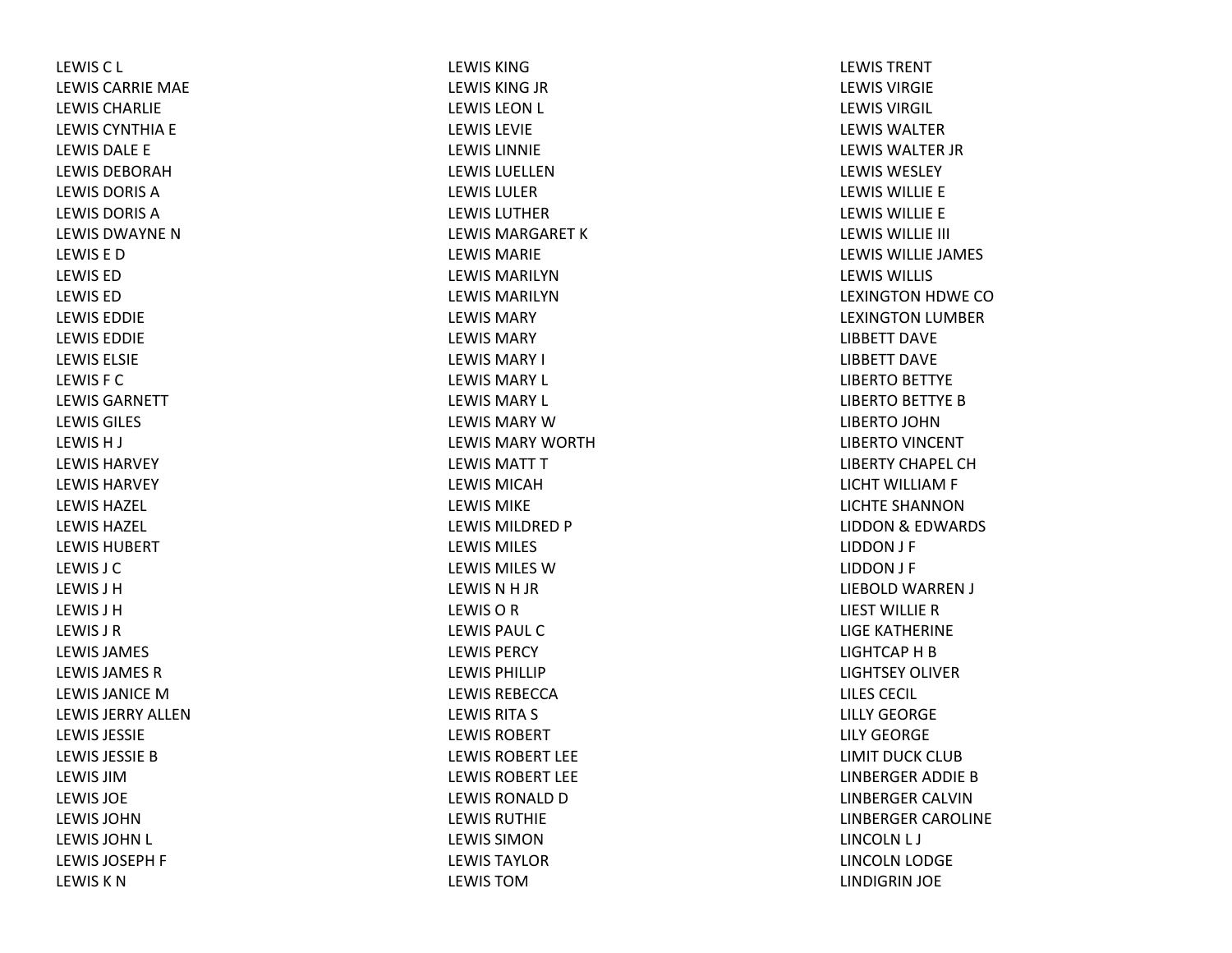LEWISC L LEWIS CARRIE MAE LEWIS CHARLIELEWIS CYNTHIA E LEWIS DALE E LEWIS DEBORAHLEWIS DORIS ALEWIS DORIS ALEWIS DWAYNE N LEWIS E DLEWIS EDLEWIS EDLEWIS EDDIELEWIS EDDIELEWIS ELSIELEWIS F CLEWIS GARNETTLEWIS GILES LEWISH J LEWIS HARVEYLEWIS HARVEYLEWIS HAZEL LEWIS HAZEL LEWIS HUBERTLEWIS J CLEWIS J HLEWIS J HLEWIS J RLEWIS JAMES LEWIS JAMES RLEWIS JANICE M LEWIS JERRY ALLENLEWIS JESSIELEWIS JESSIE B LEWIS JIMLEWIS JOELEWIS JOHNLEWIS JOHN L LEWIS JOSEPH F LEWIS K N

LEWIS KINGLEWIS KING JR LEWIS LEON L LEWIS LEVIELEWIS LINNIELEWIS LUELLENLEWIS LULERLEWIS LUTHERLEWIS MARGARET K LEWIS MARIELEWIS MARILYNLEWIS MARILYNLEWIS MARYLEWIS MARYLEWIS MARY I LEWIS MARY L LEWIS MARY L LEWIS MARY W LEWIS MARY WORTHLEWIS MATT T LEWIS MICAHLEWIS MIKELEWIS MILDRED P LEWIS MILES LEWIS MILES WLEWISNH JR LEWISORLEWIS PAUL CLEWIS PERCYLEWIS PHILLIPLEWIS REBECCALEWIS RITA S LEWIS ROBERTLEWIS ROBERT LEELEWIS ROBERT LEELEWIS RONALD D LEWIS RUTHIELEWIS SIMONLEWIS TAYLORLEWIS TOM

LEWIS TRENTLEWIS VIRGIELEWIS VIRGIL LEWIS WALTERLEWIS WALTER JR LEWIS WESLEYLEWIS WILLIE E LEWIS WILLIE E LEWIS WILLIE III LEWIS WILLIE JAMES LEWIS WILLIS LEXINGTON HDWE COLEXINGTON LUMBER LIBBETT DAVELIBBETT DAVELIBERTO BETTYE LIBERTO BETTYE BLIBERTO JOHN LIBERTO VINCENT LIBERTY CHAPEL CHLICHT WILLIAM F LICHTE SHANNONLIDDON& EDWARDS LIDDON J F LIDDON J F LIEBOLD WARREN J LIEST WILLIE R LIGE KATHERINE LIGHTCAP H B LIGHTSEY OLIVERLILES CECIL LILLY GEORGELILY GEORGELIMIT DUCK CLUBLINBERGER ADDIE BLINBERGER CALVINLINBERGER CAROLINE LINCOLN L J LINCOLN LODGE LINDIGRIN JOE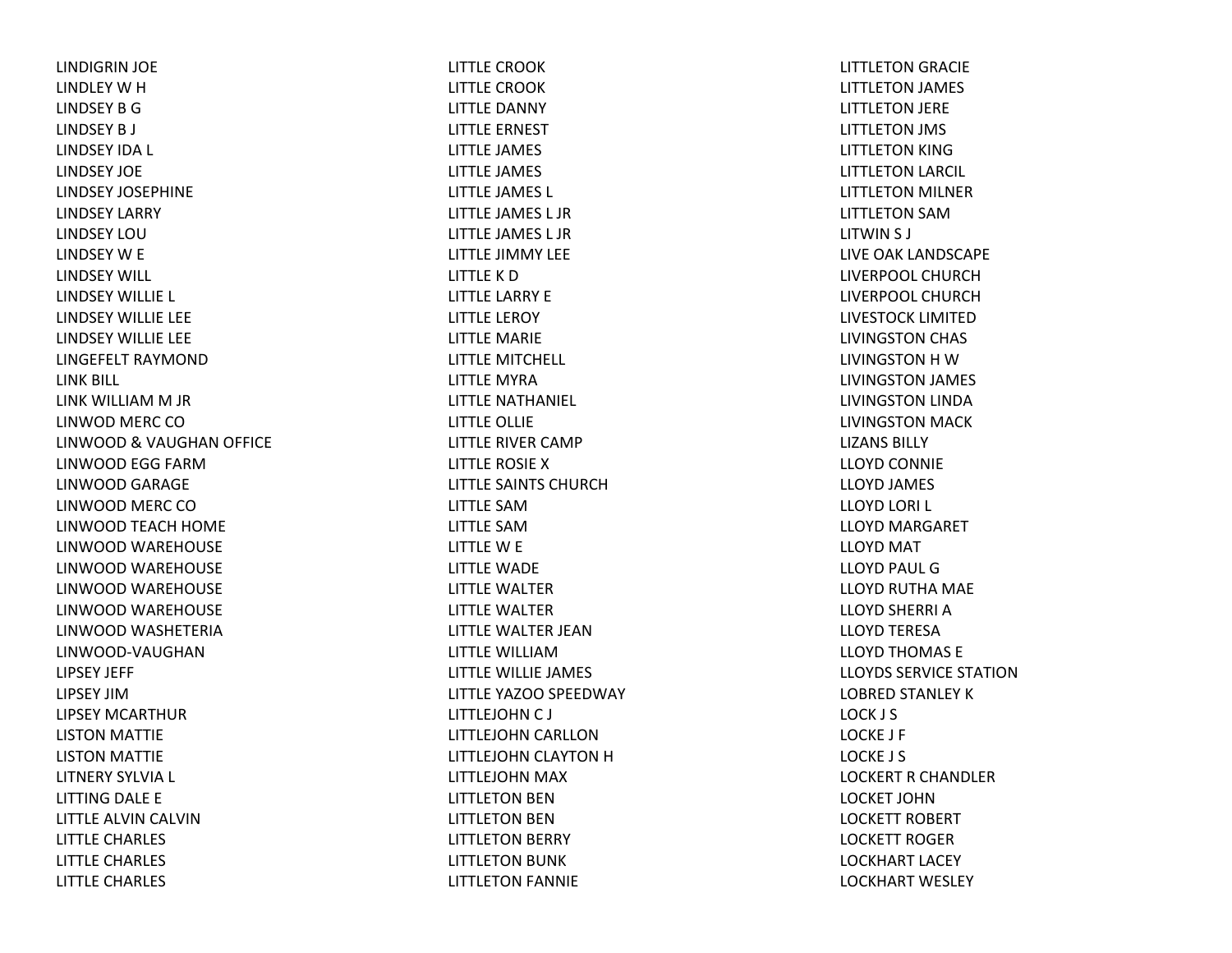LINDIGRIN JOE LINDLEY W H LINDSEY B GLINDSEY B J LINDSEY IDA L LINDSEY JOELINDSEY JOSEPHINELINDSEY LARRY LINDSEY LOULINDSEY W E LINDSEY WILL LINDSEY WILLIE L LINDSEY WILLIE LEE LINDSEY WILLIE LEE LINGEFELT RAYMONDLINK BILL LINK WILLIAM M JR LINWOD MERC COLINWOOD & VAUGHAN OFFICE LINWOOD EGG FARMLINWOOD GARAGE LINWOOD MERC COLINWOOD TEACH HOME LINWOOD WAREHOUSE LINWOOD WAREHOUSE LINWOOD WAREHOUSE LINWOOD WAREHOUSE LINWOOD WASHETERIA LINWOOD‐VAUGHANLIPSEY JEFF LIPSEY JIMLIPSEY MCARTHURLISTON MATTIE LISTON MATTIE LITNERY SYLVIA L LITTING DALE E LITTLE ALVIN CALVIN LITTLE CHARLES LITTLE CHARLES LITTLE CHARLES

LITTLE CROOKLITTLE CROOKLITTLE DANNY LITTLE ERNEST LITTLE JAMES LITTLE JAMES LITTLE JAMES L LITTLE JAMES L JRLITTLE JAMES L JRLITTLE JIMMY LEE LITTLE K DLITTLE LARRY E LITTLE LEROY LITTLE MARIE LITTLE MITCHELL LITTLE MYRALITTLE NATHANIEL LITTLE OLLIE LITTLE RIVER CAMP LITTLE ROSIE XLITTLE SAINTS CHURCHLITTLE SAMLITTLE SAMLITTLE W E LITTLE WADE LITTLE WALTERLITTLE WALTERLITTLE WALTER JEANLITTLE WILLIAMLITTLE WILLIE JAMES LITTLE YAZOO SPEEDWAY LITTLEJOHN C J LITTLEJOHN CARLLON LITTLEJOHN CLAYTON H LITTLEJOHN MAX LITTLETON BEN LITTLETON BEN LITTLETON BERRY LITTLETON BUNK LITTLETON FANNIE

LITTLETON GRACIE LITTLETON JAMES LITTLETON JERE LITTLETON JMS LITTLETON KING LITTLETON LARCIL LITTLETON MILNER LITTLETON SAMLITWIN S J LIVE OAK LANDSCAPE LIVERPOOL CHURCHLIVERPOOL CHURCHLIVESTOCK LIMITEDLIVINGSTON CHAS LIVINGSTON H WLIVINGSTON JAMES LIVINGSTON LINDA LIVINGSTON MACK LIZANS BILLYLLOYD CONNIE LLOYD JAMES LLOYD LORI L LLOYD MARGARET LLOYD MAT LLOYD PAUL GLLOYD RUTHA MAE LLOYD SHERRI A LLOYD TERESA LLOYD THOMAS E LLOYDS SERVICE STATIONLOBRED STANLEY K LOCK J S LOCKE J F LOCKE J S LOCKERT R CHANDLER LOCKET JOHNLOCKETT ROBERT LOCKETT ROGERLOCKHART LACEY LOCKHART WESLEY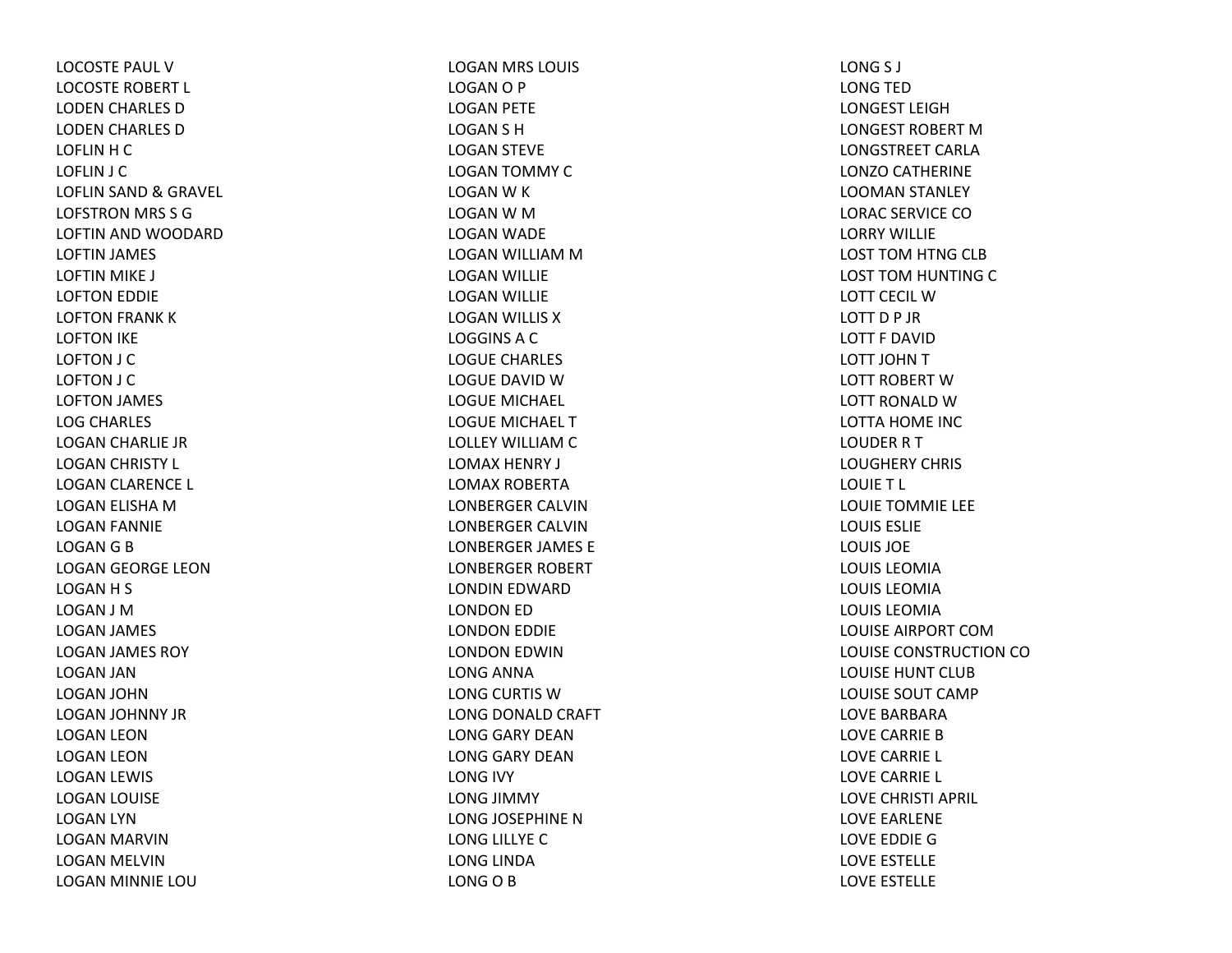LOCOSTE PAUL VLOCOSTE ROBERT L LODEN CHARLES DLODEN CHARLES DLOFLIN H C LOFLIN J C LOFLIN SAND & GRAVEL LOFSTRON MRS S G LOFTIN AND WOODARD LOFTIN JAMES LOFTIN MIKE J LOFTON EDDIE LOFTON FRANK KLOFTON IKE LOFTON J C LOFTON J C LOFTON JAMES LOG CHARLES LOGAN CHARLIE JR LOGAN CHRISTY L LOGAN CLARENCE L LOGAN ELISHA MLOGAN FANNIE LOGAN G B LOGAN GEORGE LEON LOGAN H S LOGAN J MLOGAN JAMES LOGAN JAMES ROY LOGAN JAN LOGAN JOHN LOGAN JOHNNY JR LOGAN LEON LOGAN LEON LOGAN LEWIS LOGAN LOUISE LOGAN LYN LOGAN MARVIN LOGAN MELVIN LOGAN MINNIE LOU

LOGAN MRS LOUIS LOGANO P LOGAN PETE LOGAN S H LOGAN STEVE LOGAN TOMMY CLOGAN W K LOGAN W M LOGAN WADE LOGAN WILLIAM M LOGAN WILLIE LOGAN WILLIE LOGAN WILLIS XLOGGINSACLOGUE CHARLES LOGUE DAVID W LOGUE MICHAEL LOGUE MICHAEL TLOLLEY WILLIAM C LOMAX HENRY J LOMAX ROBERTALONBERGER CALVINLONBERGER CALVINLONBERGER JAMES E LONBERGER ROBERT LONDIN EDWARD LONDON ED LONDON EDDIE LONDON EDWIN LONG ANNA LONG CURTIS WLONG DONALD CRAFT LONG GARY DEANLONG GARY DEANLONG IVY LONG JIMMY LONG JOSEPHINE NLONG LILLYE CLONG LINDA LONG O B

LONG S J LONG TED LONGEST LEIGHLONGEST ROBERT MLONGSTREET CARLALONZO CATHERINE LOOMAN STANLEY LORAC SERVICE COLORRY WILLIELOST TOM HTNG CLB LOST TOM HUNTING CLOTT CECIL WLOTT D P JR LOTT F DAVIDLOTT JOHN T LOTT ROBERT WLOTT RONALD W LOTTA HOME INC LOUDER R T LOUGHERY CHRIS LOUIET L LOUIE TOMMIE LEE LOUIS ESLIELOUIS JOELOUIS LEOMIALOUIS LEOMIALOUIS LEOMIALOUISE AIRPORT COMLOUISE CONSTRUCTION COLOUISE HUNT CLUBLOUISE SOUT CAMPLOVE BARBARALOVE CARRIE BLOVE CARRIE L LOVE CARRIE L LOVE CHRISTI APRIL LOVE EARLENE LOVE EDDIE GLOVE ESTELLE LOVE ESTELLE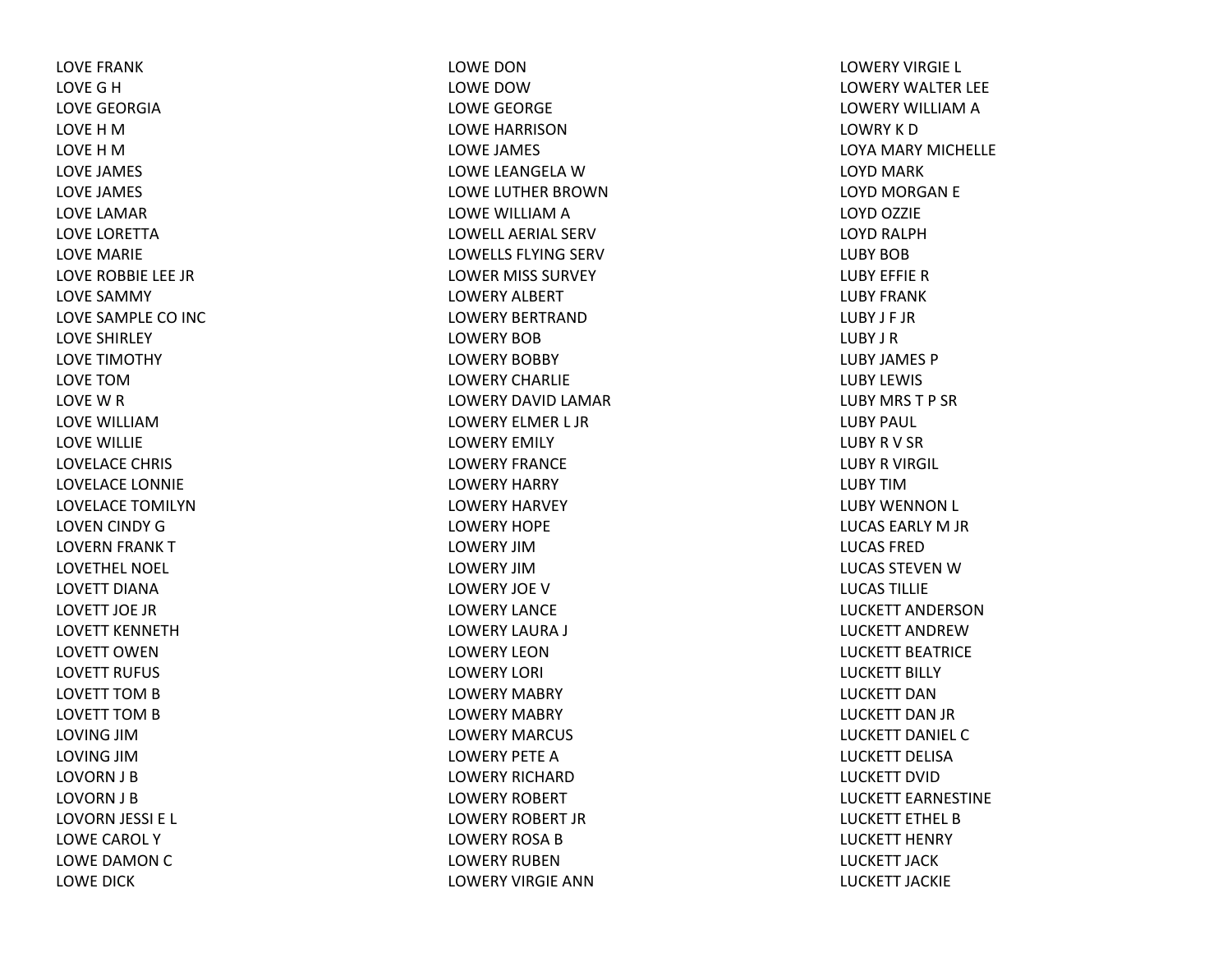LOVE FRANKLOVEGHLOVE GEORGIALOVE H M LOVE H M LOVE JAMES LOVE JAMES LOVE LAMARLOVE LORETTALOVE MARIE LOVE ROBBIE LEE JRLOVE SAMMY LOVE SAMPLE CO INC LOVE SHIRLEY LOVE TIMOTHY LOVE TOMLOVE W R LOVE WILLIAMLOVE WILLIE LOVELACE CHRIS LOVELACE LONNIE LOVELACE TOMILYNLOVEN CINDY GLOVERN FRANK TLOVETHEL NOEL LOVETT DIANALOVETT JOE JRLOVETT KENNETHLOVETT OWENLOVETT RUFUS LOVETT TOM B LOVETT TOM B LOVING JIMLOVING JIMLOVORN J B LOVORN J B LOVORN JESSI E L LOWE CAROL YLOWE DAMON C LOWE DICK

LOWE DONLOWE DOWLOWE GEORGE LOWE HARRISONLOWE JAMES LOWE LEANGELA W LOWE LUTHER BROWNLOWE WILLIAM A LOWELL AERIAL SERVLOWELLS FLYING SERV LOWER MISS SURVEY LOWERY ALBERT LOWERY BERTRANDLOWERY BOBLOWERY BOBBY LOWERY CHARLIELOWERY DAVID LAMAR LOWERY ELMER L JR LOWERY EMILY LOWERY FRANCELOWERY HARRY LOWERY HARVEY LOWERY HOPELOWERY JIMLOWERY JIMLOWERY JOE V LOWERY LANCELOWERY LAURA J LOWERY LEONLOWERY LORI LOWERY MABRY LOWERY MABRY LOWERY MARCUS LOWERY PETE A LOWERY RICHARDLOWERY ROBERT LOWERY ROBERT JRLOWERY ROSA B LOWERY RUBENLOWERY VIRGIE ANN

LOWERY VIRGIE L LOWERY WALTER LEE LOWERY WILLIAM A LOWRY K D LOYA MARY MICHELLE LOYD MARK LOYD MORGAN E LOYD OZZIE LOYD RALPHLUBY BOBLUBY EFFIE R LUBY FRANKLUBY J F JRLUBY J RLUBY JAMES PLUBY LEWIS LUBY MRS T P SRLUBY PAUL LUBY R V SR LUBY R VIRGIL LUBY TIMLUBY WENNON L LUCAS EARLY M JR LUCAS FREDLUCAS STEVEN W LUCAS TILLIELUCKETT ANDERSONLUCKETT ANDREWLUCKETT BEATRICELUCKETT BILLY LUCKETT DANLUCKETT DAN JR LUCKETT DANIEL CLUCKETT DELISALUCKETT DVIDLUCKETT EARNESTINELUCKETT ETHEL BLUCKETT HENRY LUCKETT JACKLUCKETT JACKIE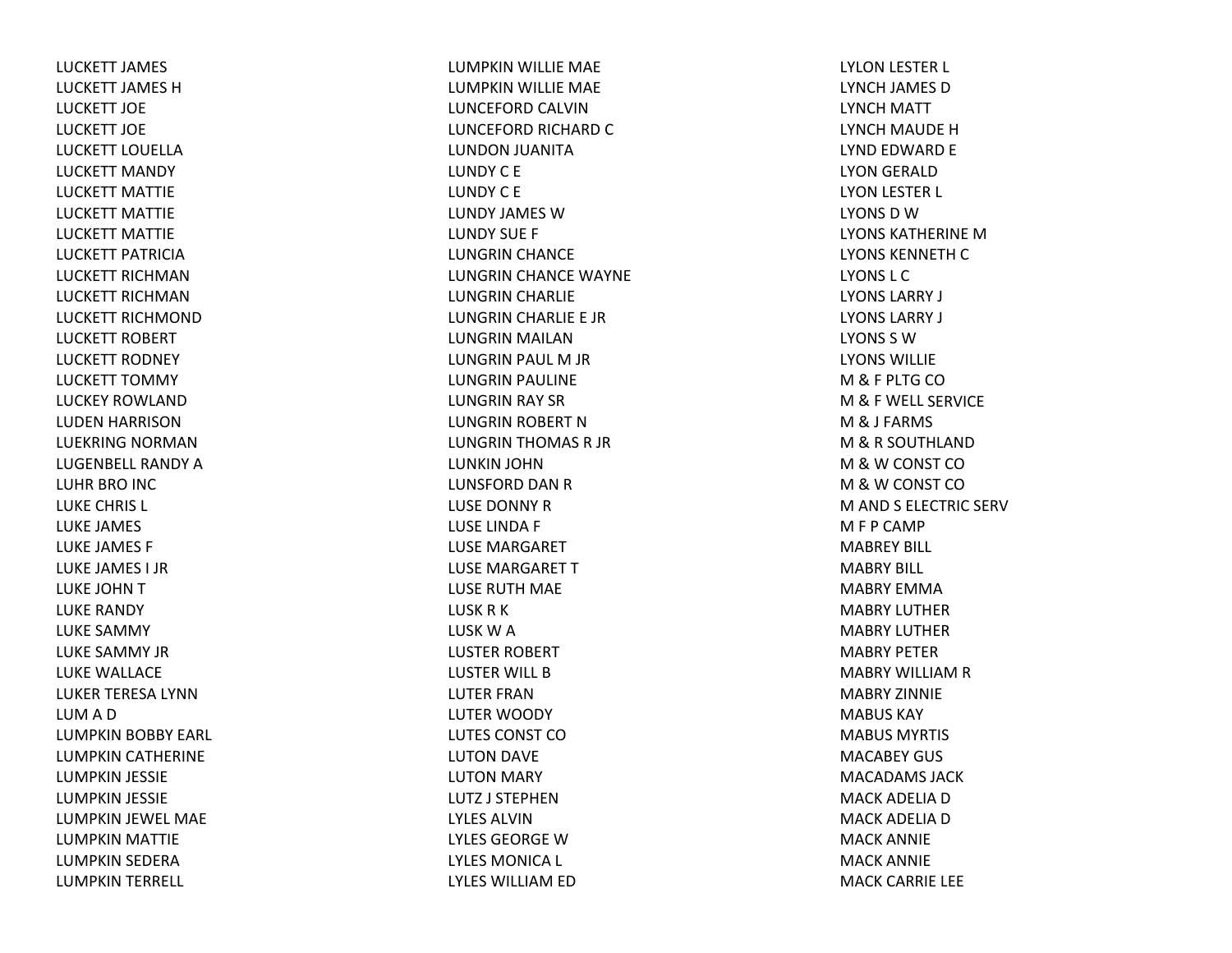LUCKETT JAMES LUCKETT JAMES HLUCKETT JOELUCKETT JOELUCKETT LOUELLALUCKETT MANDY LUCKETT MATTIELUCKETT MATTIELUCKETT MATTIELUCKETT PATRICIALUCKETT RICHMANLUCKETT RICHMANLUCKETT RICHMONDLUCKETT ROBERT LUCKETT RODNEY LUCKETT TOMMY LUCKEY ROWLANDLUDEN HARRISON LUEKRING NORMANLUGENBELL RANDY A LUHR BRO INC LUKE CHRIS L LUKE JAMES LUKE JAMES F LUKE JAMES I JRLUKE JOHN T LUKE RANDY LUKE SAMMY LUKE SAMMY JRLUKE WALLACE LUKER TERESA LYNNLUMADLUMPKIN BOBBY EARL LUMPKIN CATHERINE LUMPKIN JESSIE LUMPKIN JESSIE LUMPKIN JEWEL MAE LUMPKIN MATTIE LUMPKIN SEDERA LUMPKIN TERRELL

LUMPKIN WILLIE MAE LUMPKIN WILLIE MAE LUNCEFORD CALVINLUNCEFORD RICHARD CLUNDON JUANITA LUNDYC E LUNDY C E LUNDY JAMES WLUNDY SUE F LUNGRIN CHANCE LUNGRIN CHANCE WAYNE LUNGRIN CHARLIE LUNGRIN CHARLIE E JR LUNGRIN MAILAN LUNGRIN PAUL M JR LUNGRIN PAULINE LUNGRIN RAY SR LUNGRIN ROBERT NLUNGRIN THOMAS R JR LUNKIN JOHN LUNSFORD DAN R LUSE DONNY RLUSE LINDA F LUSE MARGARET LUSE MARGARET TLUSE RUTH MAE LUSKRKLUSK W A LUSTER ROBERT LUSTER WILL BLUTER FRANLUTER WOODY LUTES CONST COLUTON DAVE LUTON MARY LUTZ J STEPHENLYLES ALVINLYLES GEORGE W LYLES MONICA L LYLES WILLIAM ED

LYLON LESTER L LYNCH JAMES DLYNCH MATT LYNCH MAUDE HLYND EDWARD E LYON GERALD LYON LESTER L LYONS D W LYONS KATHERINE M LYONS KENNETH C LYONS L CLYONS LARRY J LYONS LARRY J LYONS S WLYONS WILLIEM& F PLTG CO M& F WELL SERVICE M& J FARMS M&R SOUTHLANDM&W CONST CO M&W CONST CO M AND S ELECTRIC SERV M F P CAMP MABREY BILL MABRY BILL MABRY EMMAMABRY LUTHERMABRY LUTHERMABRY PETERMABRY WILLIAM R MABRY ZINNIEMABUS KAYMABUS MYRTIS MACABEY GUS MACADAMS JACKMACK ADELIA D MACK ADELIA D MACK ANNIE MACK ANNIE MACK CARRIE LEE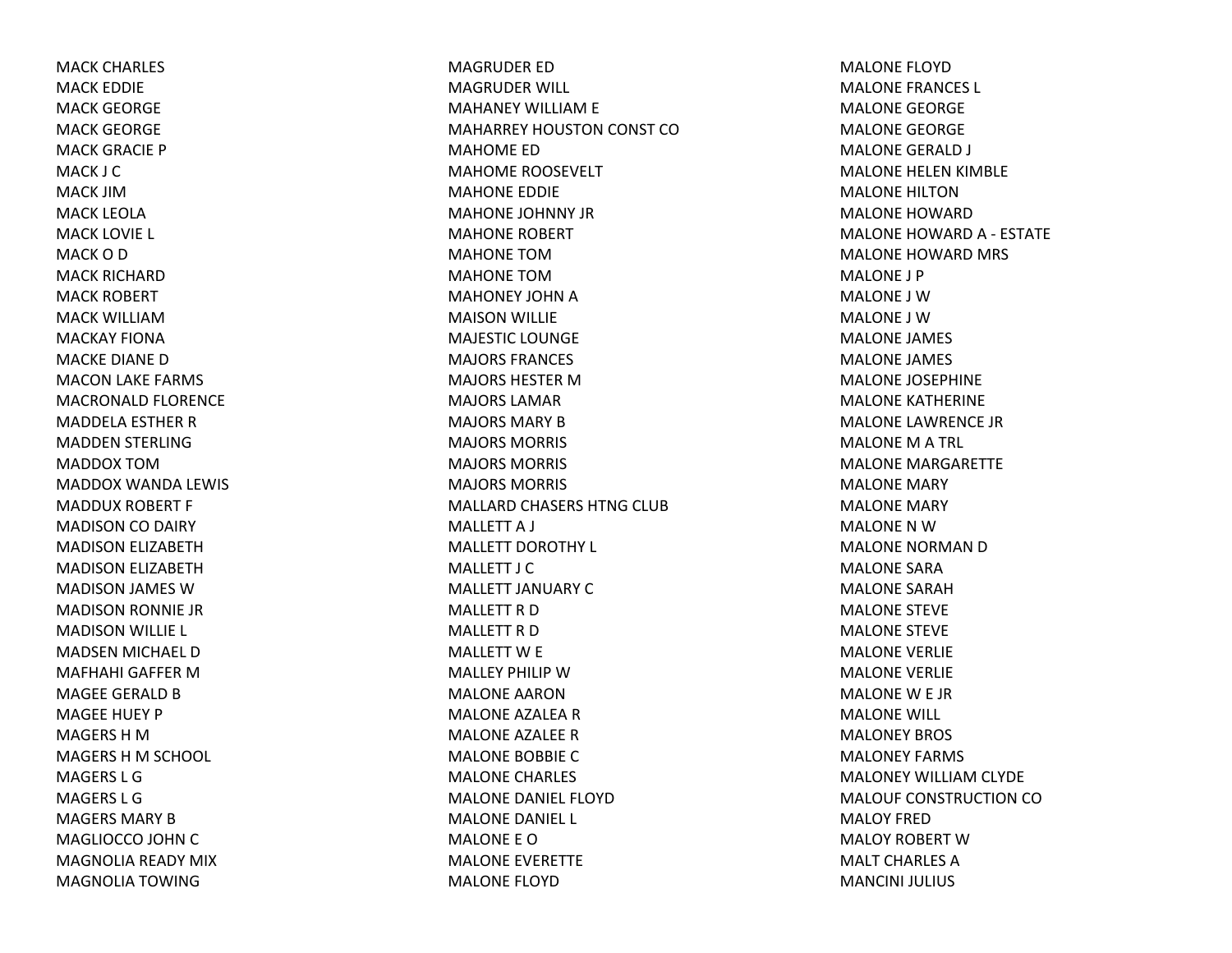MACK CHARLES MACK EDDIE MACK GEORGE MACK GEORGE MACK GRACIE P MACK J CMACK JIMMACK LEOLAMACK LOVIE L MACK O D MACK RICHARDMACK ROBERT MACK WILLIAMMACKAY FIONAMACKE DIANE DMACON LAKE FARMS MACRONALD FLORENCE MADDELA ESTHER R MADDEN STERLING MADDOX TOMMADDOX WANDA LEWIS MADDUX ROBERT F MADISON CO DAIRY MADISON ELIZABETH MADISON ELIZABETH MADISON JAMES WMADISON RONNIE JR MADISON WILLIE L MADSEN MICHAEL D MAFHAHI GAFFER MMAGEE GERALD B MAGEE HUEY PMAGERS H MMAGERS H M SCHOOL MAGERS L GMAGERS L GMAGERS MARY BMAGLIOCCO JOHN C MAGNOLIA READY MIX MAGNOLIA TOWING

MAGRUDER EDMAGRUDER WILL MAHANEY WILLIAM E MAHARREY HOUSTON CONST COMAHOME EDMAHOME ROOSEVELT MAHONE EDDIE MAHONE JOHNNY JRMAHONE ROBERT MAHONE TOMMAHONE TOMMAHONEY JOHN A MAISON WILLIE MAJESTIC LOUNGE MAJORS FRANCES MAJORS HESTER MMAJORS LAMARMAJORS MARY BMAJORS MORRIS MAJORS MORRIS MAJORS MORRIS MALLARD CHASERS HTNG CLUB MALLETT A J MALLETT DOROTHY L MALLETT J CMALLETT JANUARY CMALLETT R DMALLETT R DMALLETT W E MALLEY PHILIP WMALONE AARONMALONE AZALEA R MALONE AZALEE RMALONE BOBBIE CMALONE CHARLES MALONE DANIEL FLOYDMALONE DANIEL L MALONE E OMALONE EVERETTE MALONE FLOYD

MALONE FLOYDMALONE FRANCES L MALONE GEORGE MALONE GEORGE MALONE GERALD J MALONE HELEN KIMBLE MALONE HILTONMALONE HOWARDMALONE HOWARD A ‐ ESTATE MALONE HOWARD MRS MALONE J PMALONE J WMALONE J WMALONE JAMES MALONE JAMES MALONE JOSEPHINE MALONE KATHERINE MALONE LAWRENCE JRMALONE M A TRL MALONE MARGARETTE MALONE MARY MALONE MARY MALONE N WMALONE NORMAN D MALONE SARAMALONE SARAHMALONE STEVE MALONE STEVE MALONE VERLIE MALONE VERLIE MALONE W E JR MALONE WILL MALONEY BROS MALONEY FARMS MALONEY WILLIAM CLYDE MALOUF CONSTRUCTION COMALOY FREDMALOY ROBERT WMALT CHARLES AMANCINI JULIUS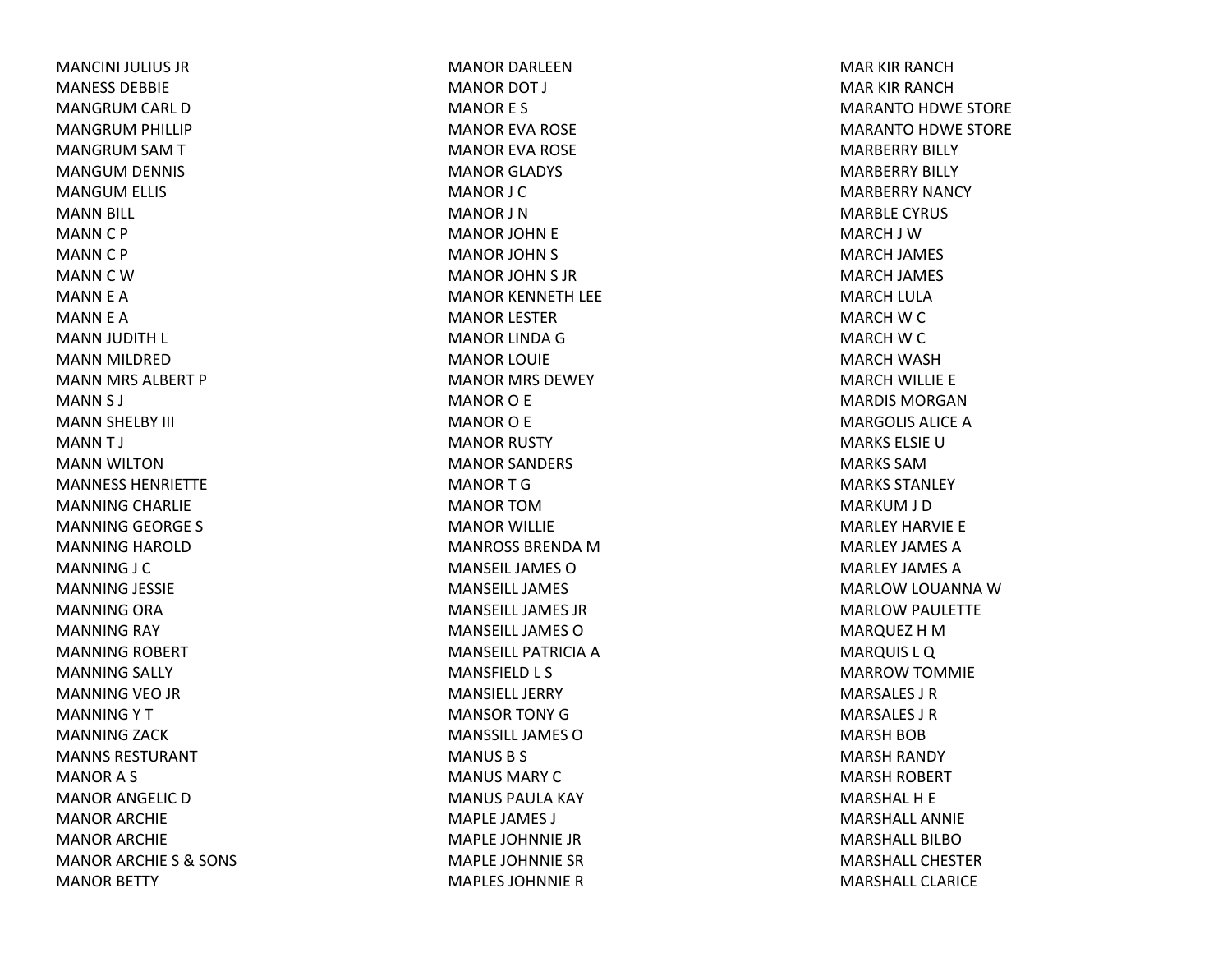MANCINI JULIUS JRMANESS DEBBIEMANGRUM CARL DMANGRUM PHILLIP MANGRUM SAM TMANGUM DENNIS MANGUM ELLIS MANN BILL MANNC P MANNC P MANNCWMANN E A MANN E A MANN JUDITH L MANN MILDRED MANN MRS ALBERT P MANN S J MANN SHELBY III MANNT J MANN WILTON MANNESS HENRIETTEMANNING CHARLIE MANNING GEORGE S MANNING HAROLD MANNING J C MANNING JESSIE MANNING ORA MANNING RAY MANNING ROBERT MANNING SALLY MANNING VEO JR MANNINGYTMANNING ZACK MANNS RESTURANTMANORA S MANOR ANGELIC DMANOR ARCHIE MANOR ARCHIE MANOR ARCHIE S & SONS MANOR BETTY

MANOR DARLEENMANOR DOT J MANOR E S MANOR EVA ROSE MANOR EVA ROSE MANOR GLADYS MANOR J C MANOR J NMANOR JOHN E MANOR JOHN S MANOR JOHN S JR MANOR KENNETH LEE MANOR LESTER MANOR LINDA G MANOR LOUIE MANOR MRS DEWEY MANOR O E MANOR O E MANOR RUSTY MANOR SANDERS MANORTGMANOR TOMMANOR WILLIE MANROSS BRENDA M MANSEIL JAMES O MANSEILL JAMESMANSEILL JAMES JRMANSEILL JAMES O MANSEILL PATRICIA A MANSFIELD L S MANSIELL JERRYMANSOR TONY G MANSSILL JAMES O MANUS B S MANUS MARY C MANUS PAULA KAY MAPLE JAMES J MAPLE JOHNNIE JRMAPLE JOHNNIE SRMAPLES JOHNNIER

MAR KIR RANCHMAR KIR RANCHMARANTO HDWE STORE MARANTO HDWE STORE MARBERRY BILLY MARBERRY BILLY MARBERRY NANCY MARBLE CYRUS MARCH J WMARCH JAMES MARCH JAMES MARCH LULA MARCH W C MARCH W C MARCH WASH MARCH WILLIE E MARDIS MORGANMARGOLIS ALICE A MARKS ELSIE U MARKS SAMMARKS STANLEYMARKUM J D MARLEY HARVIE E MARLEY JAMES AMARLEY JAMES AMARLOW LOUANNA WMARLOW PAULETTE MARQUEZ HMMARQUIS L Q MARROW TOMMIE MARSALES J RMARSALES J RMARSH BOB MARSH RANDY MARSH ROBERT MARSHALH E MARSHALL ANNIEMARSHALL BILBOMARSHALL CHESTERMARSHALL CLARICE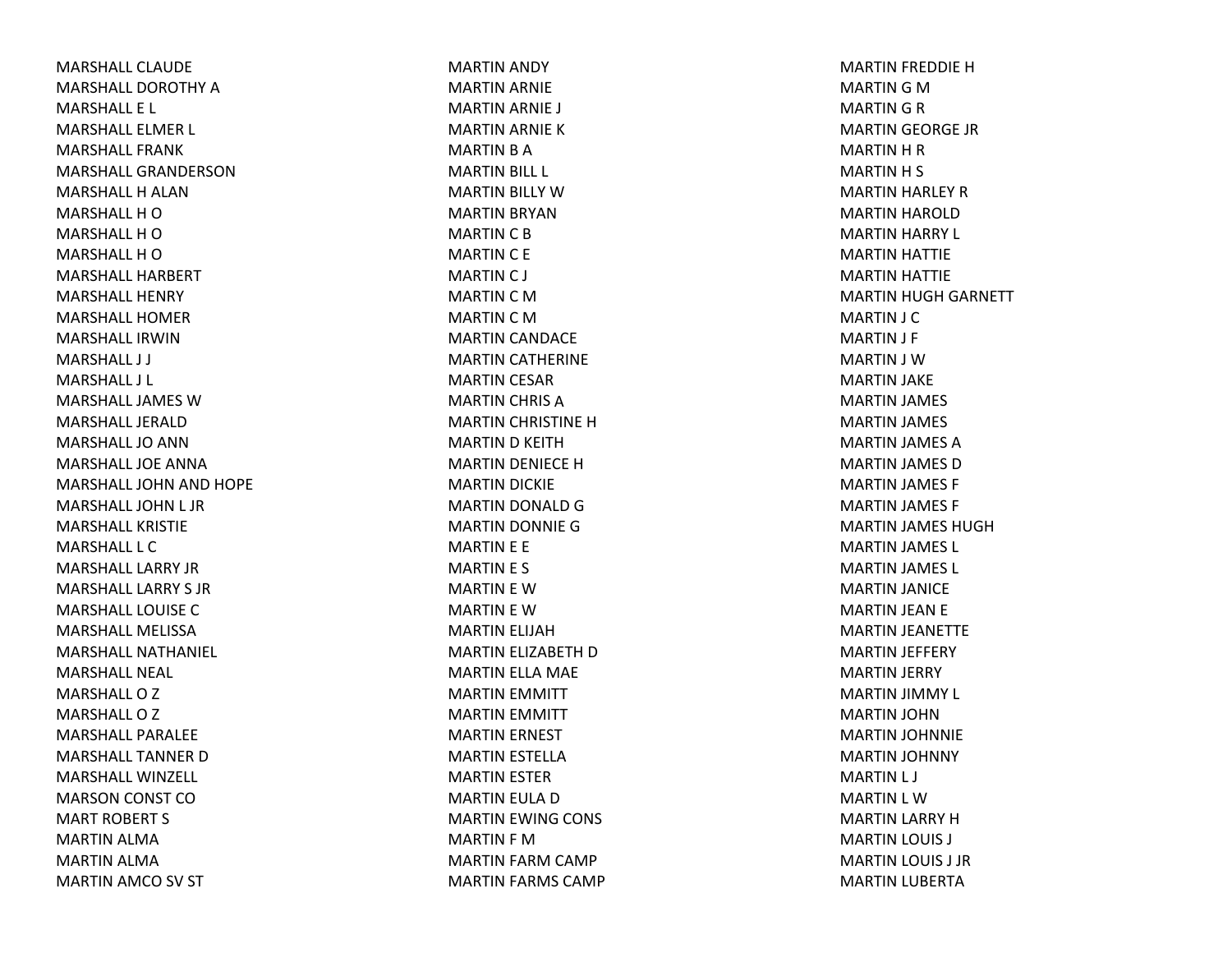MARSHALL CLAUDEMARSHALL DOROTHY A MARSHALL E L MARSHALL ELMER L MARSHALL FRANKMARSHALL GRANDERSONMARSHALL H ALAN MARSHALL H O MARSHALL H O MARSHALL H O MARSHALL HARBERTMARSHALL HENRYMARSHALL HOMERMARSHALL IRWINMARSHALL J J MARSHALL J L MARSHALL JAMES W MARSHALL JERALDMARSHALL JO ANN MARSHALL JOE ANNAMARSHALL JOHN AND HOPE MARSHALL JOHN L JR MARSHALL KRISTIEMARSHALL L CMARSHALL LARRY JRMARSHALL LARRY S JRMARSHALL LOUISE C MARSHALL MELISSAMARSHALL NATHANIEL MARSHALL NEAL MARSHALLOZMARSHALLOZMARSHALL PARALEEMARSHALL TANNER D MARSHALL WINZELL MARSON CONST COMART ROBERT S MARTIN ALMA MARTIN ALMA MARTIN AMCO SV ST

MARTIN ANDY MARTIN ARNIE MARTIN ARNIE J MARTIN ARNIE KMARTIN B A MARTIN BILL L MARTIN BILLY WMARTIN BRYAN MARTIN C B MARTIN C E MARTIN C J MARTIN C M MARTIN C M MARTIN CANDACE MARTIN CATHERINE MARTIN CESAR MARTIN CHRIS AMARTIN CHRISTINE HMARTIN D KEITH MARTIN DENIECE HMARTIN DICKIE MARTIN DONALD GMARTIN DONNIE GMARTIN E E MARTIN E S MARTIN E WMARTIN E WMARTIN ELIJAH MARTIN ELIZABETH DMARTIN ELLA MAE MARTIN EMMITT MARTIN EMMITT MARTIN ERNEST MARTIN ESTELLA MARTIN ESTER MARTIN EULA DMARTIN EWING CONS MARTIN F MMARTIN FARM CAMP MARTIN FARMS CAMP MARTIN FREDDIE HMARTIN G M MARTIN G R MARTIN GEORGE JR MARTIN H R MARTIN H S MARTIN HARLEY RMARTIN HAROLD MARTIN HARRY L MARTIN HATTIE MARTIN HATTIE MARTIN HUGH GARNETT MARTIN J C MARTIN J F MARTIN J WMARTIN JAKE MARTIN JAMES MARTIN JAMES MARTIN JAMES AMARTIN JAMES DMARTIN JAMES F MARTIN JAMES F MARTIN JAMES HUGH MARTIN JAMES L MARTIN JAMES L MARTIN JANICE MARTIN JEAN E MARTIN JEANETTE MARTIN JEFFERY MARTIN JERRY MARTIN JIMMY L MARTIN JOHN MARTIN JOHNNIE MARTIN JOHNNY MARTIN L J MARTIN L WMARTIN LARRY HMARTIN LOUIS J MARTIN LOUIS J JR MARTIN LUBERTA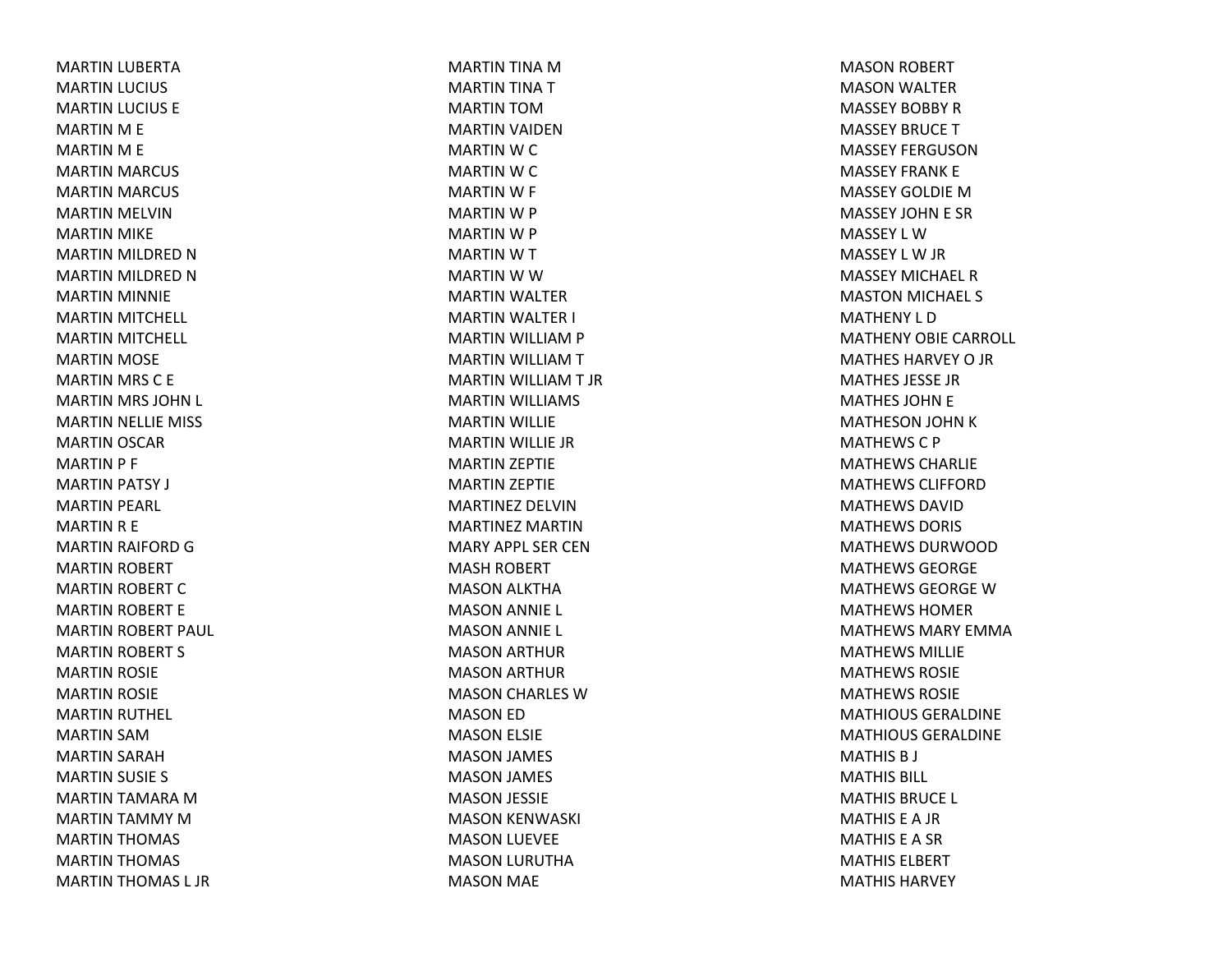MARTIN LUBERTA MARTIN LUCIUS MARTIN LUCIUS E MARTIN M E MARTIN M E MARTIN MARCUS MARTIN MARCUS MARTIN MELVIN MARTIN MIKE MARTIN MILDRED NMARTIN MILDRED NMARTIN MINNIE MARTIN MITCHELL MARTIN MITCHELL MARTIN MOSE MARTIN MRS C E MARTIN MRS JOHN L MARTIN NELLIE MISS MARTIN OSCAR MARTIN P F MARTIN PATSY J MARTIN PEARL MARTIN R E MARTIN RAIFORD GMARTIN ROBERT MARTIN ROBERT CMARTIN ROBERT E MARTIN ROBERT PAUL MARTIN ROBERT S MARTIN ROSIE MARTIN ROSIE MARTIN RUTHEL MARTIN SAMMARTIN SARAH MARTIN SUSIE S MARTIN TAMARA MMARTIN TAMMY MMARTIN THOMAS MARTIN THOMAS MARTIN THOMAS L JR

MARTIN TINA MMARTIN TINA TMARTIN TOMMARTIN VAIDEN MARTIN W C MARTIN W C MARTIN W F MARTIN W P MARTIN W P MARTIN W T MARTIN W W MARTIN WALTER MARTIN WALTER I MARTIN WILLIAM P MARTIN WILLIAMTMARTIN WILLIAMT JRMARTIN WILLIAMS MARTIN WILLIE MARTIN WILLIE JR MARTIN ZEPTIE MARTIN ZEPTIE MARTINEZ DELVINMARTINEZ MARTINMARY APPL SER CENMASH ROBERT MASON ALKTHA MASON ANNIE L MASON ANNIE L MASON ARTHUR MASON ARTHUR MASON CHARLES WMASON ED MASON ELSIE MASON JAMES MASON JAMES MASON JESSIE MASON KENWASKI MASON LUEVEE MASON LURUTHA MASON MAE

MASON ROBERT MASON WALTER MASSEY BOBBY RMASSEY BRUCE T MASSEY FERGUSONMASSEY FRANK E MASSEY GOLDIE M MASSEY JOHN E SR MASSEY L WMASSEY L W JR MASSEY MICHAEL RMASTON MICHAEL S MATHENY L DMATHENY OBIE CARROLL MATHES HARVEY O JR MATHES JESSE JRMATHES JOHN E MATHESON JOHN KMATHEWSC P MATHEWS CHARLIEMATHEWS CLIFFORDMATHEWS DAVIDMATHEWS DORIS MATHEWS DURWOODMATHEWS GEORGEMATHEWS GEORGE W MATHEWS HOMERMATHEWS MARY EMMAMATHEWS MILLIEMATHEWS ROSIEMATHEWS ROSIEMATHIOUS GERALDINEMATHIOUS GERALDINEMATHIS B J MATHIS BILL MATHIS BRUCE L MATHIS E A JR MATHIS E A SR MATHIS ELBERTMATHIS HARVEY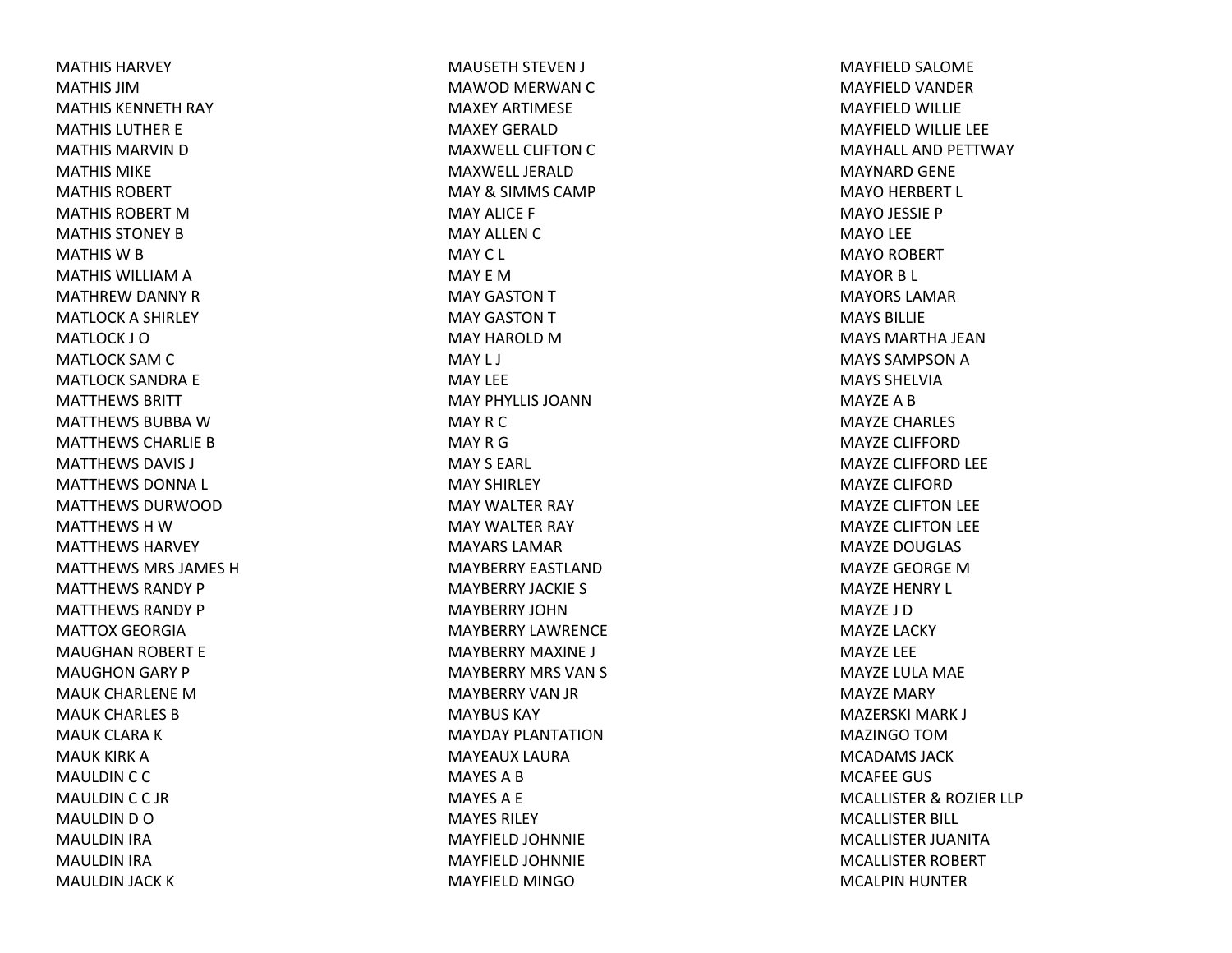MATHIS HARVEYMATHIS JIMMATHIS KENNETH RAY MATHIS LUTHER E MATHIS MARVIN D MATHIS MIKEMATHIS ROBERTMATHIS ROBERT M MATHIS STONEY B MATHIS W B MATHIS WILLIAM A MATHREW DANNY RMATLOCK A SHIRLEY MATLOCK J OMATLOCK SAM C MATLOCK SANDRA E MATTHEWS BRITTMATTHEWS BUBBA W MATTHEWS CHARLIE B MATTHEWS DAVIS J MATTHEWS DONNA L MATTHEWS DURWOODMATTHEWS H W MATTHEWS HARVEYMATTHEWS MRS JAMES HMATTHEWS RANDY PMATTHEWS RANDY PMATTOX GEORGIAMAUGHAN ROBERT E MAUGHON GARY P MAUK CHARLENE MMAUK CHARLES BMAUK CLARA K MAUK KIRK AMAULDIN C C MAULDINCC JRMAULDIN D O MAULDIN IRA MAULDIN IRA MAULDIN JACK K

MAUSETH STEVEN J MAWOD MERWAN C MAXEY ARTIMESEMAXEY GERALDMAXWELL CLIFTON C MAXWELL JERALDMAY& SIMMS CAMP MAY ALICE F MAY ALLEN C MAYC L MAY E MMAY GASTON T MAY GASTON T MAY HAROLD M MAY L J MAY LEEMAY PHYLLIS JOANNMAYRCMAYRGMAY S EARL MAY SHIRLEY MAY WALTER RAY MAY WALTER RAY MAYARS LAMARMAYBERRY EASTLANDMAYBERRY JACKIE S MAYBERRY JOHNMAYBERRY LAWRENCEMAYBERRY MAXINE J MAYBERRY MRS VAN S MAYBERRY VAN JR MAYBUS KAYMAYDAY PLANTATIONMAYEAUX LAURAMAYES A B MAYESA E MAYES RILEYMAYFIELD JOHNNIE MAYFIELD JOHNNIE MAYFIELD MINGO

MAYFIELD SALOME MAYFIELD VANDER MAYFIELD WILLIE MAYFIELD WILLIE LEE MAYHALL AND PETTWAY MAYNARD GENE MAYO HERBERT L MAYO JESSIE P MAYO LEE MAYO ROBERT MAYOR B L MAYORS LAMARMAYS BILLIEMAYS MARTHA JEANMAYS SAMPSON A MAYS SHELVIAMAYZE A B MAYZE CHARLES MAYZE CLIFFORDMAYZE CLIFFORD LEE MAYZE CLIFORDMAYZE CLIFTON LEE MAYZE CLIFTON LEE MAYZE DOUGLAS MAYZE GEORGE MMAYZE HENRY L MAYZE J DMAYZE LACKY MAYZE LEE MAYZE LULA MAE MAYZE MARY MAZERSKI MARK J MAZINGO TOMMCADAMS JACKMCAFEE GUS MCALLISTER& ROZIER LLP MCALLISTER BILL MCALLISTER JUANITAMCALLISTER ROBERT MCALPIN HUNTER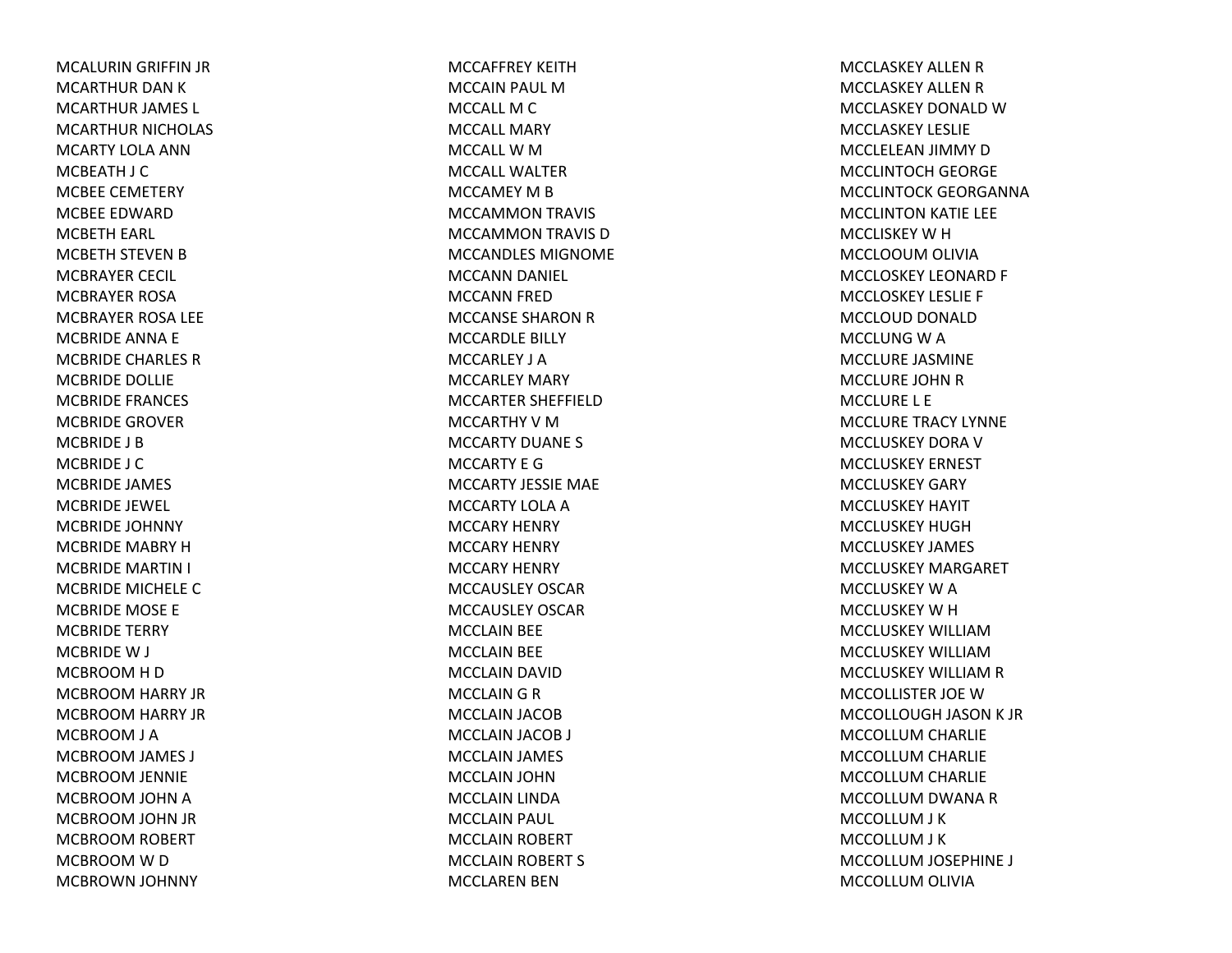MCALURIN GRIFFIN JR MCARTHUR DAN K MCARTHUR JAMES L MCARTHUR NICHOLAS MCARTY LOLA ANNMCBEATH J C MCBEE CEMETERY MCBEE EDWARDMCBETH EARL MCBETH STEVEN B MCBRAYER CECIL MCBRAYER ROSAMCBRAYER ROSA LEE MCBRIDE ANNA E MCBRIDE CHARLES RMCBRIDE DOLLIE MCBRIDE FRANCES MCBRIDE GROVERMCBRIDE J BMCBRIDE J CMCBRIDE JAMES MCBRIDE JEWEL MCBRIDE JOHNNY MCBRIDE MABRY HMCBRIDE MARTIN I MCBRIDE MICHELE CMCBRIDE MOSE E MCBRIDE TERRY MCBRIDEW J MCBROOM H D MCBROOM HARRY JR MCBROOM HARRY JR MCBROOM J A MCBROOM JAMES J MCBROOM JENNIE MCBROOM JOHN AMCBROOM JOHN JR MCBROOM ROBERT MCBROOM W D MCBROWN JOHNNY

MCCAFFREY KEITHMCCAIN PAUL MMCCALL M C MCCALL MARY MCCALL W M MCCALL WALTERMCCAMEY M B MCCAMMON TRAVIS MCCAMMON TRAVIS DMCCANDLES MIGNOMEMCCANN DANIEL MCCANN FRED MCCANSE SHARON R MCCARDLE BILLY MCCARLEY J AMCCARLEY MARY MCCARTER SHEFFIELDMCCARTHY V M MCCARTY DUANE S MCCARTY E GMCCARTY JESSIE MAE MCCARTY LOLA A MCCARY HENRY MCCARY HENRY MCCARY HENRY MCCAUSLEY OSCARMCCAUSLEY OSCARMCCLAIN BEE MCCLAIN BEE MCCLAIN DAVID MCCLAIN G R MCCLAIN JACOB MCCLAIN JACOB J MCCLAIN JAMES MCCLAIN JOHN MCCLAIN LINDA MCCLAIN PAUL MCCLAIN ROBERT MCCLAIN ROBERT S MCCLAREN BEN

MCCLASKEY ALLEN R MCCLASKEY ALLEN R MCCLASKEY DONALD W MCCLASKEY LESLIEMCCLELEAN JIMMY DMCCLINTOCH GEORGE MCCLINTOCK GEORGANNAMCCLINTON KATIE LEE MCCLISKEY W H MCCLOOUM OLIVIA MCCLOSKEY LEONARD F MCCLOSKEY LESLIE F MCCLOUD DONALD MCCLUNG W A MCCLURE JASMINE MCCLURE JOHN R MCCLURE L E MCCLURE TRACY LYNNE MCCLUSKEY DORA V MCCLUSKEY ERNEST MCCLUSKEY GARYMCCLUSKEY HAYIT MCCLUSKEY HUGHMCCLUSKEY JAMES MCCLUSKEY MARGARET MCCLUSKEY W A MCCLUSKEY W H MCCLUSKEY WILLIAMMCCLUSKEY WILLIAMMCCLUSKEY WILLIAM R MCCOLLISTER JOE WMCCOLLOUGH JASON K JR MCCOLLUM CHARLIE MCCOLLUM CHARLIE MCCOLLUM CHARLIE MCCOLLUM DWANA RMCCOLLUM J K MCCOLLUM J K MCCOLLUM JOSEPHINE J MCCOLLUM OLIVIA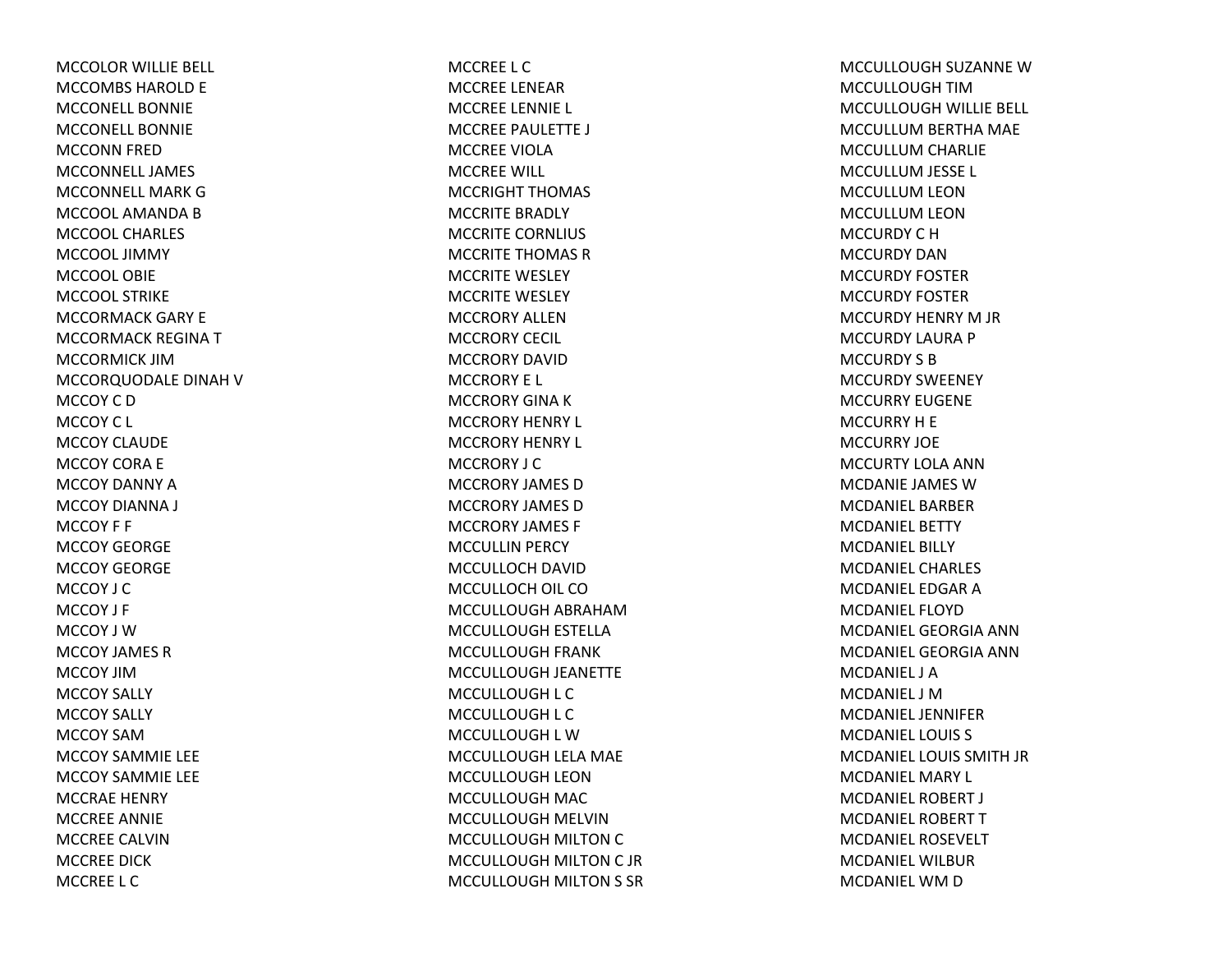MCCOLOR WILLIE BELL MCCOMBS HAROLD E MCCONELL BONNIEMCCONELL BONNIEMCCONN FRED MCCONNELL JAMESMCCONNELL MARK GMCCOOL AMANDA B MCCOOL CHARLESMCCOOL JIMMYMCCOOL OBIEMCCOOL STRIKE MCCORMACK GARY E MCCORMACK REGINA T MCCORMICK JIMMCCORQUODALE DINAH V MCCOY C DMCCOY C L MCCOY CLAUDEMCCOY CORA E MCCOY DANNY AMCCOY DIANNA J MCCOY F F MCCOY GEORGEMCCOY GEORGEMCCOY J CMCCOY J F MCCOY J WMCCOY JAMES RMCCOY JIMMCCOY SALLY MCCOY SALLY MCCOY SAMMCCOY SAMMIE LEE MCCOY SAMMIE LEE MCCRAE HENRY MCCREE ANNIE MCCREE CALVINMCCREE DICKMCCREE L C

MCCREE L CMCCREE LENEARMCCREE LENNIE L MCCREE PAULETTE J MCCREE VIOLAMCCREE WILL MCCRIGHT THOMAS MCCRITE BRADLY MCCRITE CORNLIUS MCCRITE THOMAS RMCCRITE WESLEY MCCRITE WESLEY MCCRORY ALLENMCCRORY CECIL MCCRORY DAVIDMCCRORY E L MCCRORY GINA K MCCRORY HENRY L MCCRORY HENRY L MCCRORY J CMCCRORY JAMES DMCCRORY JAMES DMCCRORY JAMES F MCCULLIN PERCY MCCULLOCH DAVID MCCULLOCH OIL COMCCULLOUGH ABRAHAMMCCULLOUGH ESTELLA MCCULLOUGH FRANK MCCULLOUGH JEANETTE MCCULLOUGH L C MCCULLOUGH L C MCCULLOUGH L WMCCULLOUGH LELA MAE MCCULLOUGH LEONMCCULLOUGH MAC MCCULLOUGH MELVINMCCULLOUGH MILTON C MCCULLOUGH MILTON C JR MCCULLOUGH MILTON S SR MCCULLOUGH SUZANNE WMCCULLOUGH TIMMCCULLOUGH WILLIE BELL MCCULLUM BERTHA MAE MCCULLUM CHARLIE MCCULLUM JESSE L MCCULLUM LEON MCCULLUM LEON MCCURDY C HMCCURDY DANMCCURDY FOSTERMCCURDY FOSTERMCCURDY HENRY M JR MCCURDY LAURA P MCCURDY S BMCCURDY SWEENEY MCCURRY EUGENEMCCURRY H E MCCURRY JOEMCCURTY LOLA ANNMCDANIE JAMES WMCDANIEL BARBERMCDANIEL BETTYMCDANIEL BILLYMCDANIEL CHARLESMCDANIEL EDGAR AMCDANIEL FLOYDMCDANIEL GEORGIA ANNMCDANIEL GEORGIA ANNMCDANIEL J AMCDANIEL J MMCDANIEL JENNIFERMCDANIEL LOUIS S MCDANIEL LOUIS SMITH JR MCDANIEL MARY L MCDANIEL ROBERT J MCDANIEL ROBERT T MCDANIEL ROSEVELTMCDANIEL WILBURMCDANIEL WM D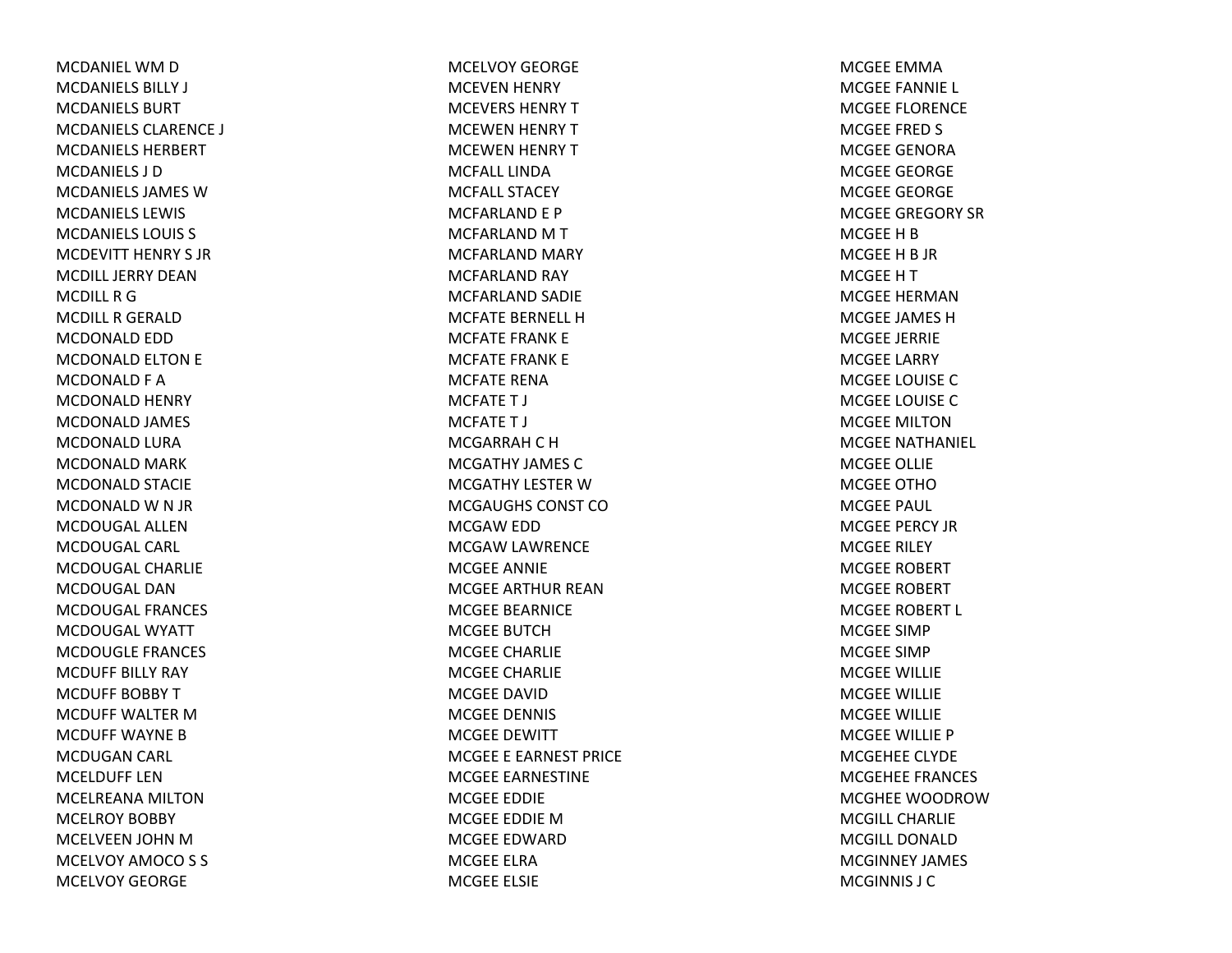MCDANIEL WM D MCDANIELS BILLY J MCDANIELS BURTMCDANIELS CLARENCE J MCDANIELS HERBERTMCDANIELS J DMCDANIELS JAMES WMCDANIELS LEWIS MCDANIELS LOUIS S MCDEVITT HENRY S JRMCDILL JERRY DEANMCDILL R G MCDILL R GERALD MCDONALD EDD MCDONALD ELTON E MCDONALD F A MCDONALD HENRY MCDONALD JAMES MCDONALD LURA MCDONALD MARK MCDONALD STACIE MCDONALD W N JR MCDOUGAL ALLENMCDOUGAL CARL MCDOUGAL CHARLIEMCDOUGAL DANMCDOUGAL FRANCESMCDOUGAL WYATTMCDOUGLE FRANCES MCDUFF BILLY RAY MCDUFF BOBBY T MCDUFF WALTER M MCDUFF WAYNE B MCDUGAN CARL MCELDUFF LENMCELREANA MILTONMCELROY BOBBY MCELVEEN JOHN MMCELVOY AMOCO S S MCELVOY GEORGE

MCELVOY GEORGEMCEVEN HENRY MCEVERS HENRYTMCEWEN HENRY TMCEWEN HENRY TMCFALL LINDAMCFALL STACEYMCFARLAND E P MCFARLAND M T MCFARLAND MARY MCFARLAND RAY MCFARLAND SADIE MCFATE BERNELL HMCFATE FRANK E MCFATE FRANK E MCFATE RENAMCFATET J MCFATET J MCGARRAH C H MCGATHY JAMES CMCGATHY LESTER W MCGAUGHS CONST COMCGAW EDD MCGAW LAWRENCE MCGEE ANNIE MCGEE ARTHUR REANMCGEE BEARNICE MCGEE BUTCHMCGEE CHARLIE MCGEE CHARLIE MCGEE DAVIDMCGEE DENNIS MCGEE DEWITT MCGEE E EARNEST PRICE MCGEE EARNESTINE MCGEE EDDIE MCGEE EDDIE MMCGEE EDWARDMCGEE ELRAMCGEE ELSIE

MCGEE EMMAMCGEE FANNIE L MCGEE FLORENCE MCGEE FRED S MCGEE GENORAMCGEE GEORGE MCGEE GEORGE MCGEE GREGORY SRMCGEE H B MCGEE H B JR MCGEE H T MCGEE HERMANMCGEE JAMES HMCGEE JERRIE MCGEE LARRY MCGEE LOUISE CMCGEE LOUISE CMCGEE MILTONMCGEE NATHANIEL MCGEE OLLIE MCGEE OTHOMCGEE PAUL MCGEE PERCY JRMCGEE RILEY MCGEE ROBERT MCGEE ROBERT MCGEE ROBERT L MCGEE SIMPMCGEE SIMPMCGEE WILLIE MCGEE WILLIE MCGEE WILLIE MCGEE WILLIE PMCGEHEE CLYDE MCGEHEE FRANCES MCGHEE WOODROWMCGILL CHARLIEMCGILL DONALDMCGINNEY JAMES MCGINNIS J C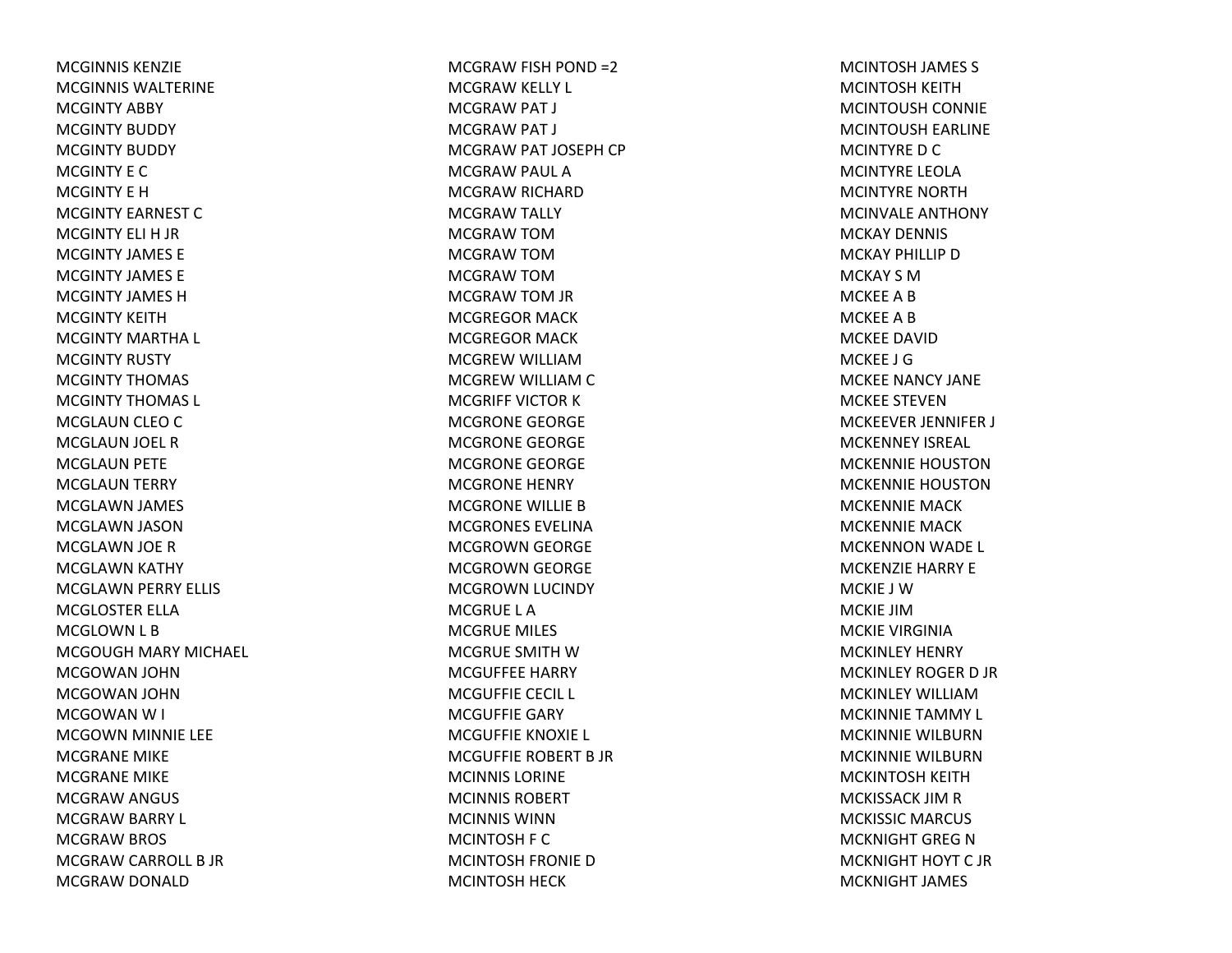MCGINNIS KENZIEMCGINNIS WALTERINEMCGINTY ABBY MCGINTY BUDDY MCGINTY BUDDY MCGINTY E CMCGINTY E HMCGINTY EARNEST CMCGINTY ELI H JR MCGINTY JAMES EMCGINTY JAMES EMCGINTY JAMES HMCGINTY KEITHMCGINTY MARTHA L MCGINTY RUSTY MCGINTY THOMAS MCGINTY THOMAS L MCGLAUN CLEO C MCGLAUN JOEL RMCGLAUN PETE MCGLAUN TERRY MCGLAWN JAMES MCGLAWN JASON MCGLAWN JOE RMCGLAWN KATHY MCGLAWN PERRY ELLIS MCGLOSTER ELLAMCGLOWN L B MCGOUGH MARY MICHAEL MCGOWAN JOHN MCGOWAN JOHN MCGOWAN W I MCGOWN MINNIE LEE MCGRANE MIKE MCGRANE MIKE MCGRAW ANGUS MCGRAW BARRY L MCGRAW BROS MCGRAW CARROLL B JR MCGRAW DONALD

MCGRAW FISH POND =2 MCGRAW KELLY L MCGRAW PAT J MCGRAW PAT J MCGRAW PAT JOSEPH CP MCGRAW PAUL AMCGRAW RICHARD MCGRAW TALLY MCGRAW TOM MCGRAW TOM MCGRAW TOM MCGRAW TOM JR MCGREGOR MACK MCGREGOR MACK MCGREW WILLIAM MCGREW WILLIAM CMCGRIFF VICTOR K MCGRONE GEORGE MCGRONE GEORGE MCGRONE GEORGE MCGRONE HENRY MCGRONE WILLIE BMCGRONES EVELINAMCGROWN GEORGE MCGROWN GEORGE MCGROWN LUCINDY MCGRUE L AMCGRUE MILES MCGRUE SMITH W MCGUFFEE HARRY MCGUFFIE CECIL L MCGUFFIE GARY MCGUFFIE KNOXIE L MCGUFFIE ROBERT B JR MCINNIS LORINEMCINNIS ROBERTMCINNIS WINNMCINTOSH F C MCINTOSH FRONIE DMCINTOSH HECK

MCINTOSH JAMES S MCINTOSH KEITH MCINTOUSH CONNIE MCINTOUSH EARLINE MCINTYRE D C MCINTYRE LEOLAMCINTYRE NORTHMCINVALE ANTHONY MCKAY DENNIS MCKAY PHILLIP D MCKAY S MMCKEE A B MCKEE A B MCKEE DAVIDMCKEE J GMCKEE NANCY JANE MCKEE STEVENMCKEEVER JENNIFER J MCKENNEY ISREAL MCKENNIE HOUSTONMCKENNIE HOUSTONMCKENNIE MACKMCKENNIE MACKMCKENNON WADE L MCKENZIE HARRY E MCKIE J WMCKIE JIMMCKIE VIRGINIAMCKINLEY HENRY MCKINLEY ROGER D JR MCKINLEY WILLIAMMCKINNIE TAMMY L MCKINNIE WILBURNMCKINNIE WILBURNMCKINTOSH KEITH MCKISSACK JIM R MCKISSIC MARCUS MCKNIGHT GREG N MCKNIGHT HOYT C JRMCKNIGHT JAMES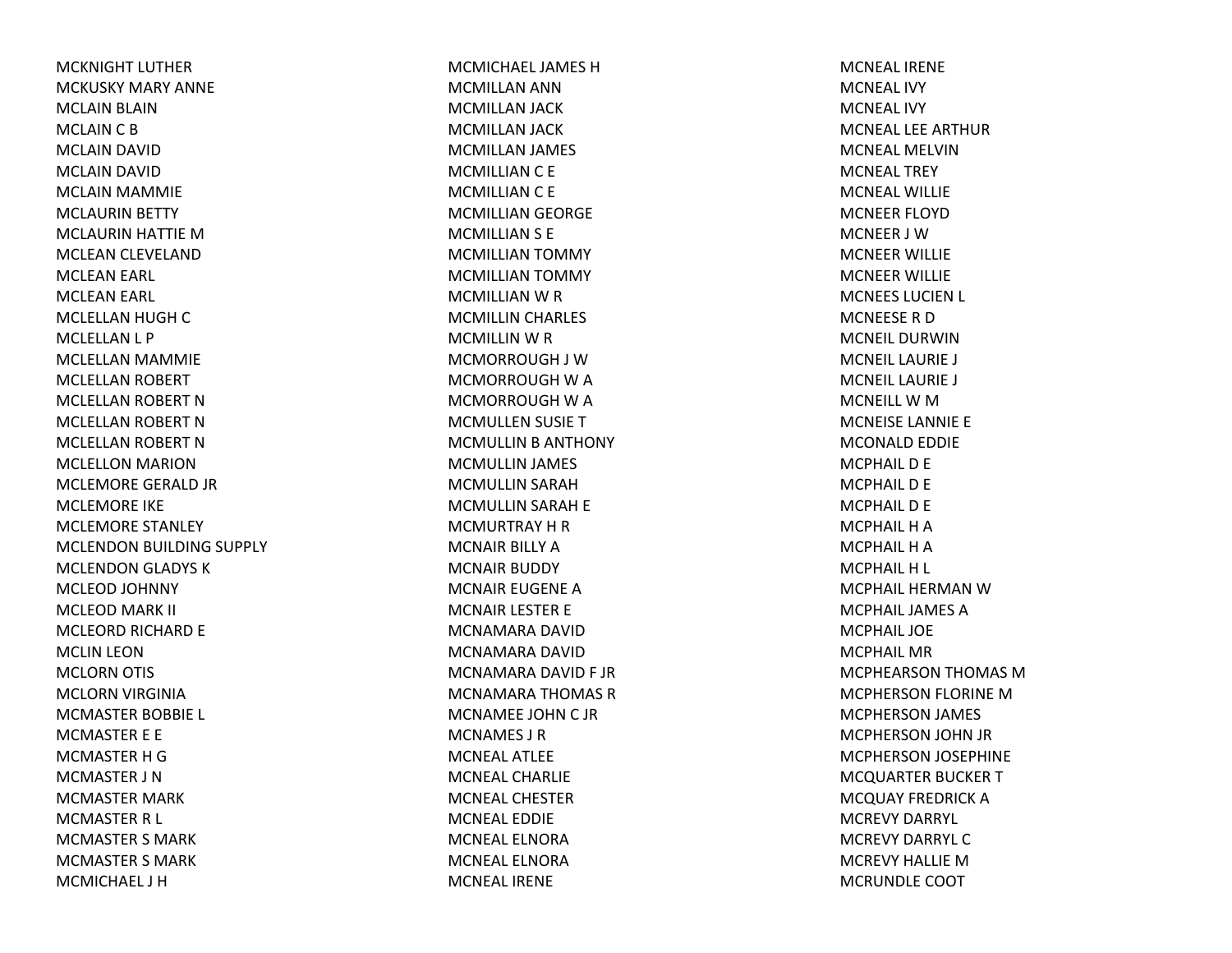MCKNIGHT LUTHERMCKUSKY MARY ANNEMCLAIN BLAIN MCLAIN C B MCLAIN DAVID MCLAIN DAVID MCLAIN MAMMIE MCLAURIN BETTY MCLAURIN HATTIE MMCLEAN CLEVELAND MCLEAN EARL MCLEAN EARL MCLELLAN HUGH C MCLELLAN L P MCLELLAN MAMMIE MCLELLAN ROBERT MCLELLAN ROBERT N MCLELLAN ROBERT N MCLELLAN ROBERT N MCLELLON MARION MCLEMORE GERALD JR MCLEMORE IKE MCLEMORE STANLEY MCLENDON BUILDING SUPPLY MCLENDON GLADYS K MCLEOD JOHNNY MCLEOD MARK II MCLEORD RICHARD E MCLIN LEON MCLORN OTIS MCLORN VIRGINIA MCMASTER BOBBIE L MCMASTER E E MCMASTER H GMCMASTER J NMCMASTER MARK MCMASTER R L MCMASTER S MARK MCMASTER S MARK MCMICHAEL J H

MCMICHAEL JAMES HMCMILLAN ANN MCMILLAN JACK MCMILLAN JACK MCMILLAN JAMES MCMILLIAN C E MCMILLIAN C E MCMILLIAN GEORGE MCMILLIAN S E MCMILLIAN TOMMY MCMILLIAN TOMMY MCMILLIAN W R MCMILLIN CHARLES MCMILLIN W R MCMORROUGH J WMCMORROUGH W A MCMORROUGH W A MCMULLEN SUSIE T MCMULLIN B ANTHONY MCMULLIN JAMES MCMULLIN SARAH MCMULLIN SARAH E MCMURTRAY H R MCNAIR BILLY AMCNAIR BUDDY MCNAIR EUGENE AMCNAIR LESTER E MCNAMARA DAVIDMCNAMARA DAVIDMCNAMARA DAVID F JR MCNAMARA THOMAS R MCNAMEE JOHN C JR MCNAMES J RMCNEAL ATLEEMCNEAL CHARLIEMCNEAL CHESTERMCNEAL EDDIEMCNEAL ELNORAMCNEAL ELNORAMCNEAL IRENE

MCNEAL IRENEMCNEAL IVYMCNEAL IVYMCNEAL LEE ARTHURMCNEAL MELVINMCNEAL TREYMCNEAL WILLIEMCNEER FLOYDMCNEER J WMCNEER WILLIE MCNEER WILLIE MCNEES LUCIEN L MCNEESE R DMCNEIL DURWINMCNEIL LAURIE J MCNEIL LAURIE J MCNEILL W M MCNEISE LANNIE E MCONALD EDDIE MCPHAIL D E MCPHAIL D E MCPHAIL D E MCPHAIL H A MCPHAIL H A MCPHAIL H L MCPHAIL HERMAN WMCPHAIL JAMES AMCPHAIL JOEMCPHAIL MRMCPHEARSON THOMAS MMCPHERSON FLORINE MMCPHERSON JAMES MCPHERSON JOHN JR MCPHERSON JOSEPHINE MCQUARTER BUCKER T MCQUAY FREDRICK A MCREVY DARRYL MCREVY DARRYL CMCREVY HALLIE MMCRUNDLE COOT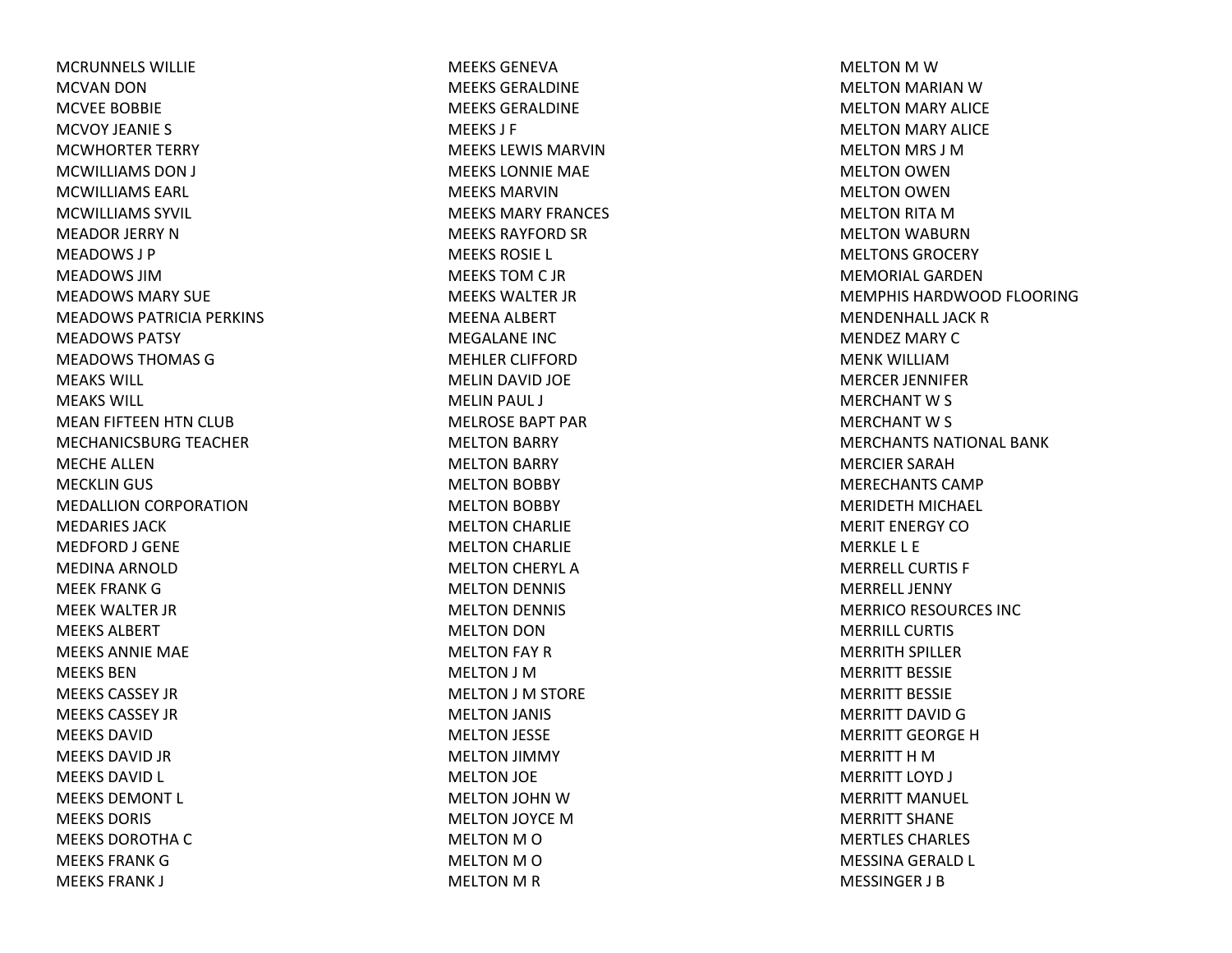MCRUNNELS WILLIEMCVAN DON MCVEE BOBBIE MCVOY JEANIE S MCWHORTER TERRY MCWILLIAMS DON J MCWILLIAMS EARL MCWILLIAMS SYVIL MEADOR JERRY NMEADOWS J PMEADOWS JIMMEADOWS MARY SUEMEADOWS PATRICIA PERKINS MEADOWS PATSYMEADOWS THOMAS GMEAKS WILL MEAKS WILL MEAN FIFTEEN HTN CLUB MECHANICSBURG TEACHER MECHE ALLENMECKLIN GUS MEDALLION CORPORATION MEDARIES JACKMEDFORD J GENE MEDINA ARNOLDMEEK FRANK GMEEK WALTER JR MEEKS ALBERTMEEKS ANNIE MAE MEEKS BENMEEKS CASSEY JRMEEKS CASSEY JRMEEKS DAVIDMEEKS DAVID JR MEEKS DAVID L MEEKS DEMONT L MEEKS DORIS MEEKS DOROTHA C MEEKS FRANKGMEEKS FRANK J

MEEKS GENEVAMEEKS GERALDINEMEEKS GERALDINEMEEKS J F MEEKS LEWIS MARVINMEEKS LONNIE MAE MEEKS MARVINMEEKS MARY FRANCES MEEKS RAYFORD SR MEEKS ROSIE L MEEKS TOM C JR MEEKS WALTER JR MEENA ALBERT MEGALANE INCMEHLER CLIFFORDMELIN DAVID JOE MELIN PAUL J MELROSE BAPT PARMELTON BARRY MELTON BARRY MELTON BOBBY MELTON BOBBY MELTON CHARLIE MELTON CHARLIE MELTON CHERYL AMELTON DENNIS MELTON DENNIS MELTON DON MELTON FAY RMELTON J MMELTON J M STORE MELTON JANIS MELTON JESSE MELTON JIMMY MELTON JOE MELTON JOHN WMELTON JOYCE MMELTON M O MELTON M O MELTON M R

MELTON M W MELTON MARIAN WMELTON MARY ALICE MELTON MARY ALICE MELTON MRS J MMELTON OWEN MELTON OWEN MELTON RITA MMELTON WABURN MELTONS GROCERYMEMORIAL GARDENMEMPHIS HARDWOOD FLOORINGMENDENHALL JACK R MENDEZ MARY C MENK WILLIAMMERCER JENNIFER MERCHANT W S MERCHANT W S MERCHANTS NATIONAL BANKMERCIER SARAHMERECHANTS CAMPMERIDETH MICHAEL MERIT ENERGY COMERKLE L E MERRELL CURTIS F MERRELL JENNYMERRICO RESOURCES INC MERRILL CURTISMERRITH SPILLER MERRITT BESSIEMERRITT BESSIEMERRITT DAVID G MERRITT GEORGE H MERRITT H M MERRITT LOYD J MERRITT MANUEL MERRITT SHANEMERTLES CHARLES MESSINA GERALD L MESSINGER J B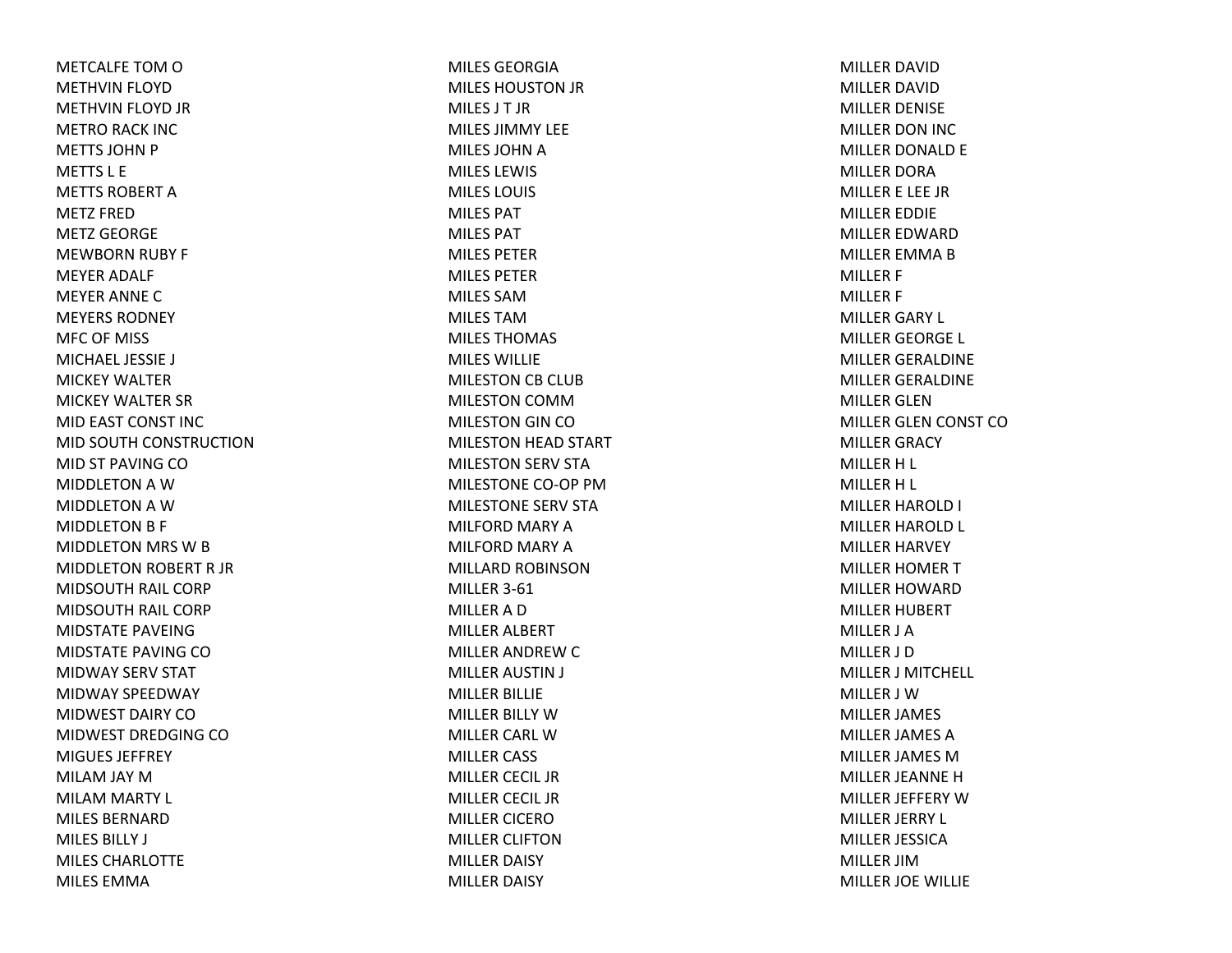METCALFE TOM O METHVIN FLOYD METHVIN FLOYD JR METRO RACK INC METTS JOHN P METTS L EMETTS ROBERT A METZ FREDMETZ GEORGEMEWBORN RUBY F MEYER ADALF MEYER ANNE CMEYERS RODNEYMFC OF MISS MICHAEL JESSIE J MICKEY WALTERMICKEY WALTER SR MID EAST CONST INC MID SOUTH CONSTRUCTIONMID ST PAVING COMIDDLETON A W MIDDLETON A W MIDDLETON B F MIDDLETON MRS WBMIDDLETON ROBERT R JR MIDSOUTH RAIL CORP MIDSOUTH RAIL CORP MIDSTATE PAVEINGMIDSTATE PAVING COMIDWAY SERV STAT MIDWAY SPEEDWAY MIDWEST DAIRY COMIDWEST DREDGING COMIGUES JEFFREYMILAM JAY MMILAM MARTY L MILES BERNARDMILES BILLY J MILES CHARLOTTEMILES EMMA

MILES GEORGIA MILES HOUSTON JR MILES J T JRMILES JIMMY LEEMILES JOHN A MILES LEWIS MILES LOUIS MILES PATMILES PATMILES PETERMILES PETERMILES SAMMILES TAMMILES THOMAS MILES WILLIEMILESTON CB CLUB MILESTON COMMMILESTON GIN COMILESTON HEAD START MILESTON SERV STA MILESTONE CO‐OP PMMILESTONE SERV STAMILFORD MARY AMILFORD MARY AMILLARD ROBINSONMILLER 3‐61 MILLERADMILLER ALBERT MILLER ANDREW C MILLER AUSTIN J MILLER BILLIE MILLER BILLY WMILLER CARL WMILLER CASS MILLER CECIL JRMILLER CECIL JR MILLER CICEROMILLER CLIFTONMILLER DAISY MILLER DAISY

MILLER DAVIDMILLER DAVIDMILLER DENISE MILLER DON INC MILLER DONALD E MILLER DORAMILLER E LEE JR MILLER EDDIE MILLER EDWARDMILLER EMMA B MILLER F MILLER F MILLER GARY L MILLER GEORGE L MILLER GERALDINE MILLER GERALDINE MILLER GLENMILLER GLEN CONST COMILLER GRACY MILLER H L MILLER H L MILLER HAROLD I MILLER HAROLD L MILLER HARVEY MILLER HOMER TMILLER HOWARDMILLER HUBERT MILLER J AMILLER J DMILLER J MITCHELL MILLER J WMILLER JAMES MILLER JAMES AMILLER JAMES MMILLER JEANNE HMILLER JEFFERY WMILLER JERRY L MILLER JESSICAMILLER JIMMILLER JOE WILLIE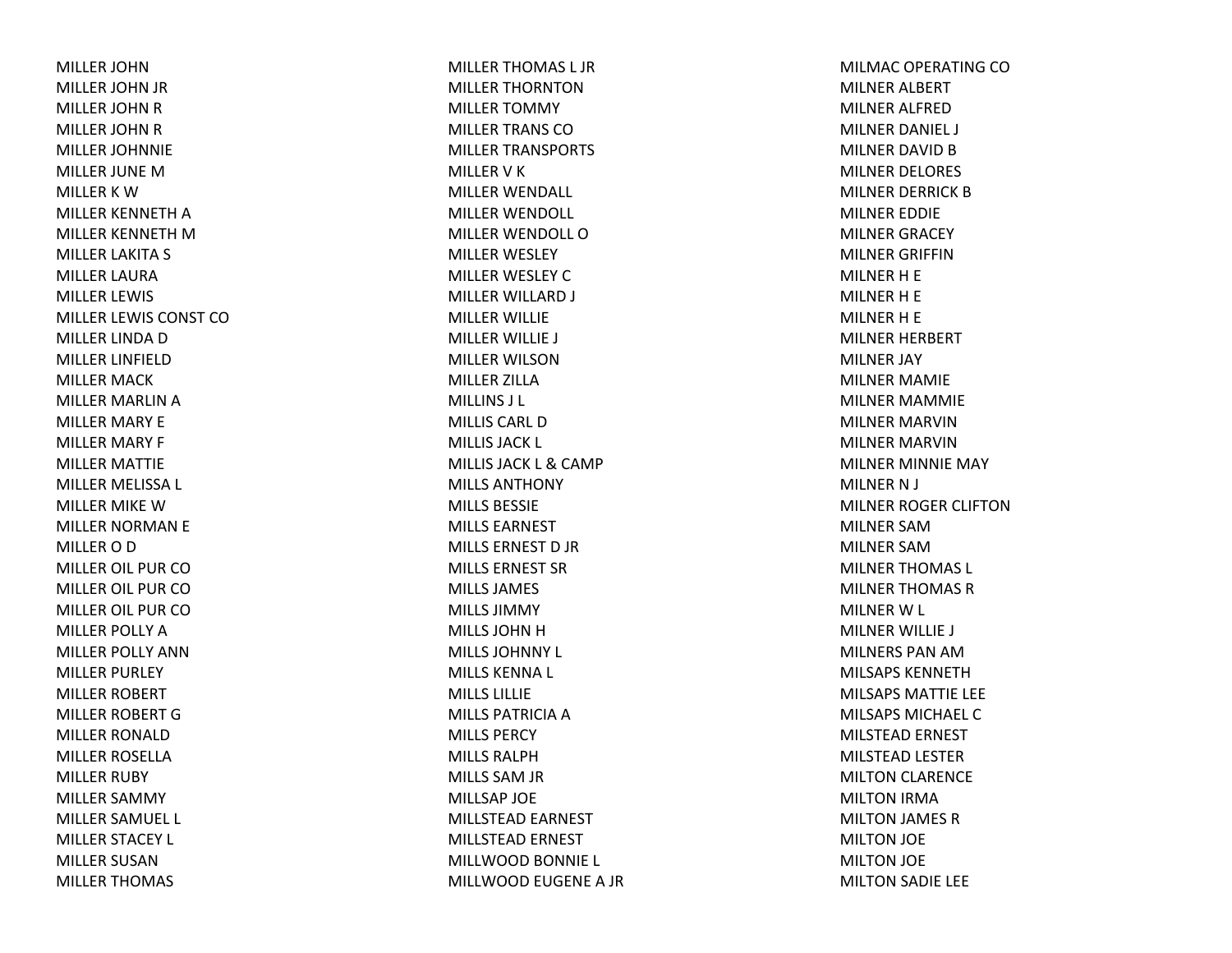MILLER JOHNMILLER JOHN JR MILLER JOHN R MILLER JOHN R MILLER JOHNNIE MILLER JUNE MMILLER K W MILLER KENNETH A MILLER KENNETH M MILLER LAKITA S MILLER LAURAMILLER LEWIS MILLER LEWIS CONST COMILLER LINDA D MILLER LINFIELDMILLER MACK MILLER MARLIN A MILLER MARY E MILLER MARY F MILLER MATTIE MILLER MELISSA L MILLER MIKE WMILLER NORMAN E MILLER O D MILLER OIL PUR COMILLER OIL PUR COMILLER OIL PUR COMILLER POLLY AMILLER POLLY ANNMILLER PURLEY MILLER ROBERT MILLER ROBERT GMILLER RONALDMILLER ROSELLAMILLER RUBY MILLER SAMMY MILLER SAMUEL L MILLER STACEY L MILLER SUSANMILLER THOMAS

MILLER THOMAS L JR MILLER THORNTONMILLER TOMMY MILLER TRANS COMILLER TRANSPORTS MILLER V K MILLER WENDALL MILLER WENDOLL MILLER WENDOLL OMILLER WESLEY MILLER WESLEY CMILLER WILLARD J MILLER WILLIE MILLER WILLIE J MILLER WILSONMILLER ZILLAMILLINS J L MILLIS CARL DMILLIS JACK L MILLIS JACK L & CAMP MILLS ANTHONYMILLS BESSIEMILLS EARNESTMILLS ERNEST D JR MILLS ERNEST SRMILLS JAMES MILLS JIMMYMILLS JOHN H MILLS JOHNNY L MILLS KENNA L MILLS LILLIEMILLS PATRICIA A MILLS PERCYMILLS RALPHMILLS SAM JR MILLSAP JOE MILLSTEAD EARNEST MILLSTEAD ERNEST MILLWOOD BONNIE L MILLWOOD EUGENE A JR MILMAC OPERATING COMILNER ALBERT MILNER ALFREDMILNER DANIEL J MILNER DAVID B MILNER DELORES MILNER DERRICK BMILNER EDDIE MILNER GRACEY MILNER GRIFFINMILNER H E MILNER H E MILNER H E MILNER HERBERT MILNER JAY MILNER MAMIE MILNER MAMMIE MILNER MARVINMILNER MARVINMILNER MINNIE MAY MILNER N J MILNER ROGER CLIFTONMILNER SAMMILNER SAMMILNER THOMAS L MILNER THOMAS RMILNER W L MILNER WILLIE J MILNERS PAN AMMILSAPS KENNETHMILSAPS MATTIE LEE MILSAPS MICHAEL CMILSTEAD ERNEST MILSTEAD LESTER MILTON CLARENCE MILTON IRMA MILTON JAMES RMILTON JOE MILTON JOE MILTON SADIE LEE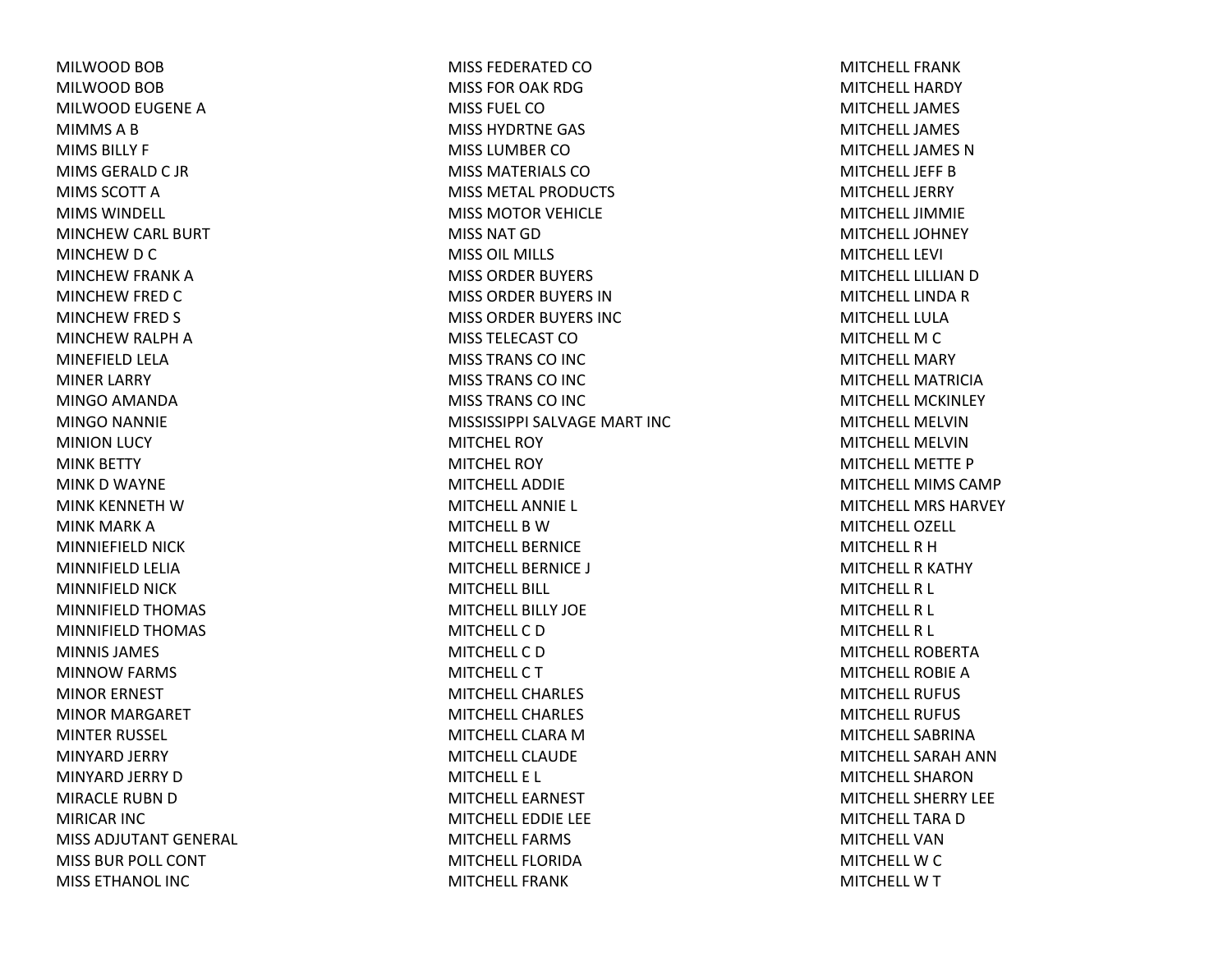MILWOOD BOB MILWOOD BOB MILWOOD EUGENE A MIMMS A B MIMS BILLY F MIMS GERALD C JR MIMS SCOTT AMIMS WINDELL MINCHEW CARL BURT MINCHEW D C MINCHEW FRANK A MINCHEW FRED C MINCHEW FRED S MINCHEW RALPH A MINEFIELD LELA MINER LARRY MINGO AMANDA MINGO NANNIE MINION LUCY MINK BETTY MINK D WAYNE MINK KENNETH WMINK MARK AMINNIEFIELD NICK MINNIFIELD LELIA MINNIFIELD NICK MINNIFIELD THOMAS MINNIFIELD THOMAS MINNIS JAMES MINNOW FARMS MINOR ERNEST MINOR MARGARET MINTER RUSSEL MINYARD JERRY MINYARD JERRY D MIRACLE RUBN D MIRICAR INC MISS ADJUTANT GENERAL MISS BUR POLL CONT MISS ETHANOL INC

MISS FEDERATED COMISS FOR OAK RDGMISS FUEL COMISS HYDRTNE GAS MISS LUMBER COMISS MATERIALS COMISS METAL PRODUCTS MISS MOTOR VEHICLE MISS NAT GDMISS OIL MILLS MISS ORDER BUYERS MISS ORDER BUYERS INMISS ORDER BUYERS INC MISS TELECAST COMISS TRANS CO INC MISS TRANS CO INC MISS TRANS CO INC MISSISSIPPI SALVAGE MART INCMITCHEL ROYMITCHEL ROYMITCHELL ADDIEMITCHELL ANNIE L MITCHELL B WMITCHELL BERNICEMITCHELL BERNICE J MITCHELL BILL MITCHELL BILLY JOEMITCHELL C DMITCHELL C DMITCHELL C T MITCHELL CHARLESMITCHELL CHARLESMITCHELL CLARA MMITCHELL CLAUDEMITCHELL E L MITCHELL EARNESTMITCHELL EDDIE LEE MITCHELL FARMSMITCHELL FLORIDAMITCHELL FRANK

MITCHELL FRANKMITCHELL HARDYMITCHELL JAMESMITCHELL JAMESMITCHELL JAMES NMITCHELL JEFF BMITCHELL JERRYMITCHELL JIMMIEMITCHELL JOHNEYMITCHELL LEVI MITCHELL LILLIAN D MITCHELL LINDA R MITCHELL LULAMITCHELL M C MITCHELL MARYMITCHELL MATRICIAMITCHELL MCKINLEYMITCHELL MELVINMITCHELL MELVINMITCHELL METTE PMITCHELL MIMS CAMPMITCHELL MRS HARVEYMITCHELL OZELL MITCHELL R HMITCHELL R KATHY MITCHELL R L MITCHELL R L MITCHELL R L MITCHELL ROBERTAMITCHELL ROBIE AMITCHELL RUFUSMITCHELL RUFUSMITCHELL SABRINAMITCHELL SARAH ANNMITCHELL SHARONMITCHELL SHERRY LEEMITCHELL TARA DMITCHELL VANMITCHELL W C MITCHELL W T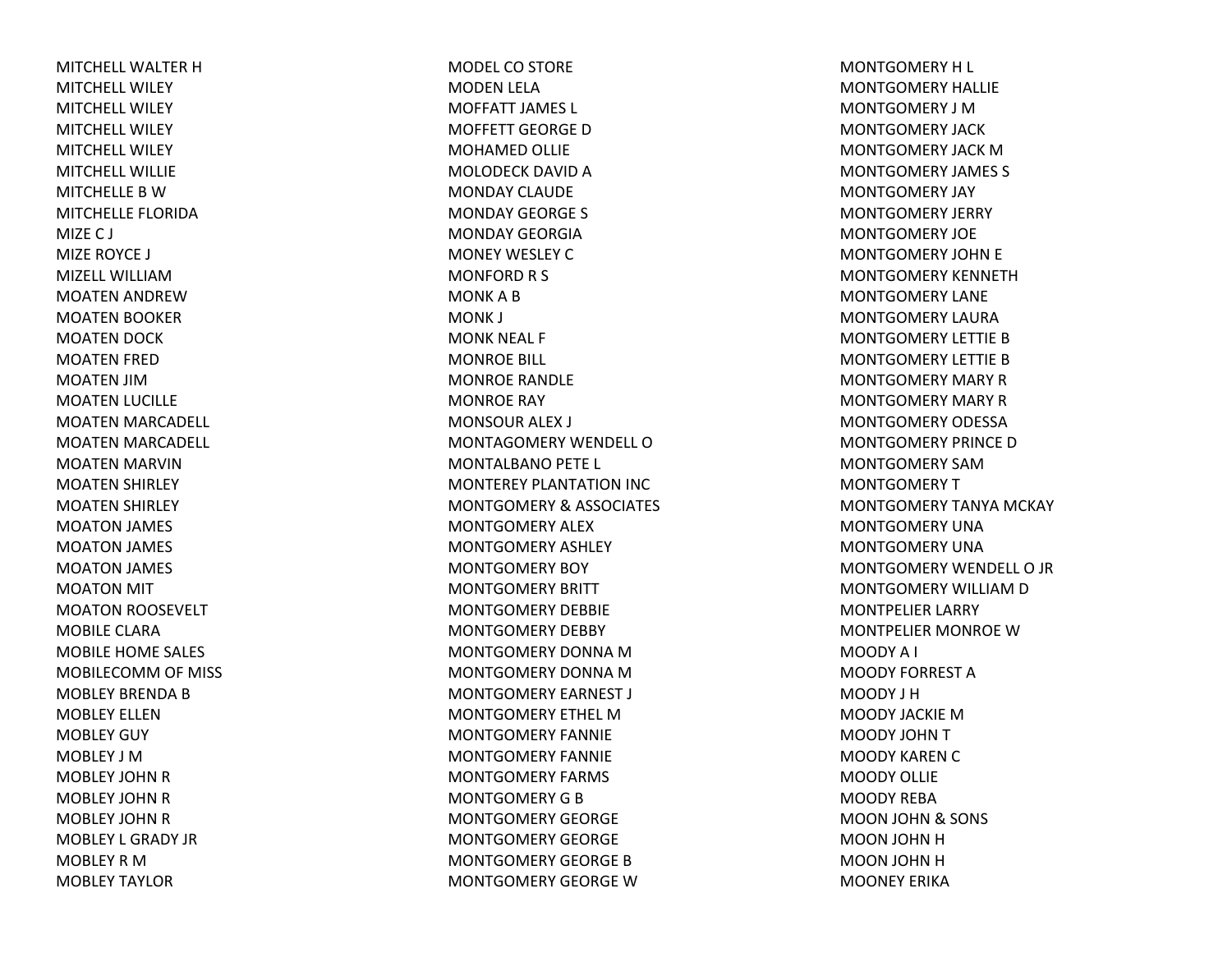MITCHELL WALTER HMITCHELL WILEYMITCHELL WILEYMITCHELL WILEYMITCHELL WILEYMITCHELL WILLIEMITCHELLE B WMITCHELLE FLORIDAMIZE C J MIZE ROYCE J MIZELL WILLIAMMOATEN ANDREWMOATEN BOOKER MOATEN DOCK MOATEN FRED MOATEN JIMMOATEN LUCILLE MOATEN MARCADELL MOATEN MARCADELL MOATEN MARVIN MOATEN SHIRLEY MOATEN SHIRLEY MOATON JAMES MOATON JAMES MOATON JAMES MOATON MIT MOATON ROOSEVELT MOBILE CLARAMOBILE HOME SALES MOBILECOMM OF MISS MOBLEY BRENDA B MOBLEY ELLENMOBLEY GUY MOBLEY J MMOBLEY JOHN R MOBLEY JOHN R MOBLEY JOHN R MOBLEY L GRADY JRMOBLEY R MMOBLEY TAYLOR

MODEL CO STORE MODEN LELA MOFFATT JAMES L MOFFETT GEORGE DMOHAMED OLLIE MOLODECK DAVID A MONDAY CLAUDEMONDAY GEORGE S MONDAY GEORGIAMONEY WESLEY CMONFORD R S MONK A B MONK J MONK NEAL F MONROE BILL MONROE RANDLE MONROE RAY MONSOUR ALEX J MONTAGOMERY WENDELL OMONTALBANO PETE L MONTEREY PLANTATION INC MONTGOMERY & ASSOCIATES MONTGOMERY ALEXMONTGOMERY ASHLEY MONTGOMERY BOY MONTGOMERY BRITT MONTGOMERY DEBBIEMONTGOMERY DEBBY MONTGOMERY DONNA MMONTGOMERY DONNA MMONTGOMERY EARNEST J MONTGOMERY ETHEL MMONTGOMERY FANNIEMONTGOMERY FANNIEMONTGOMERY FARMS MONTGOMERY G B MONTGOMERY GEORGEMONTGOMERY GEORGEMONTGOMERY GEORGE BMONTGOMERY GEORGE W

MONTGOMERY H L MONTGOMERY HALLIEMONTGOMERY J MMONTGOMERY JACKMONTGOMERY JACK MMONTGOMERY JAMES S MONTGOMERY JAY MONTGOMERY JERRY MONTGOMERY JOEMONTGOMERY JOHN E MONTGOMERY KENNETHMONTGOMERY LANEMONTGOMERY LAURAMONTGOMERY LETTIE BMONTGOMERY LETTIE BMONTGOMERY MARY RMONTGOMERY MARY RMONTGOMERY ODESSAMONTGOMERY PRINCE DMONTGOMERY SAMMONTGOMERY T MONTGOMERY TANYA MCKAY MONTGOMERY UNAMONTGOMERY UNAMONTGOMERY WENDELL O JR MONTGOMERY WILLIAM D MONTPELIER LARRY MONTPELIER MONROE WMOODY A I MOODY FORREST AMOODY J HMOODY JACKIE MMOODY JOHN T MOODY KAREN C MOODY OLLIEMOODY REBAMOON JOHN & SONS MOON JOHN H MOON JOHN H MOONEY ERIKA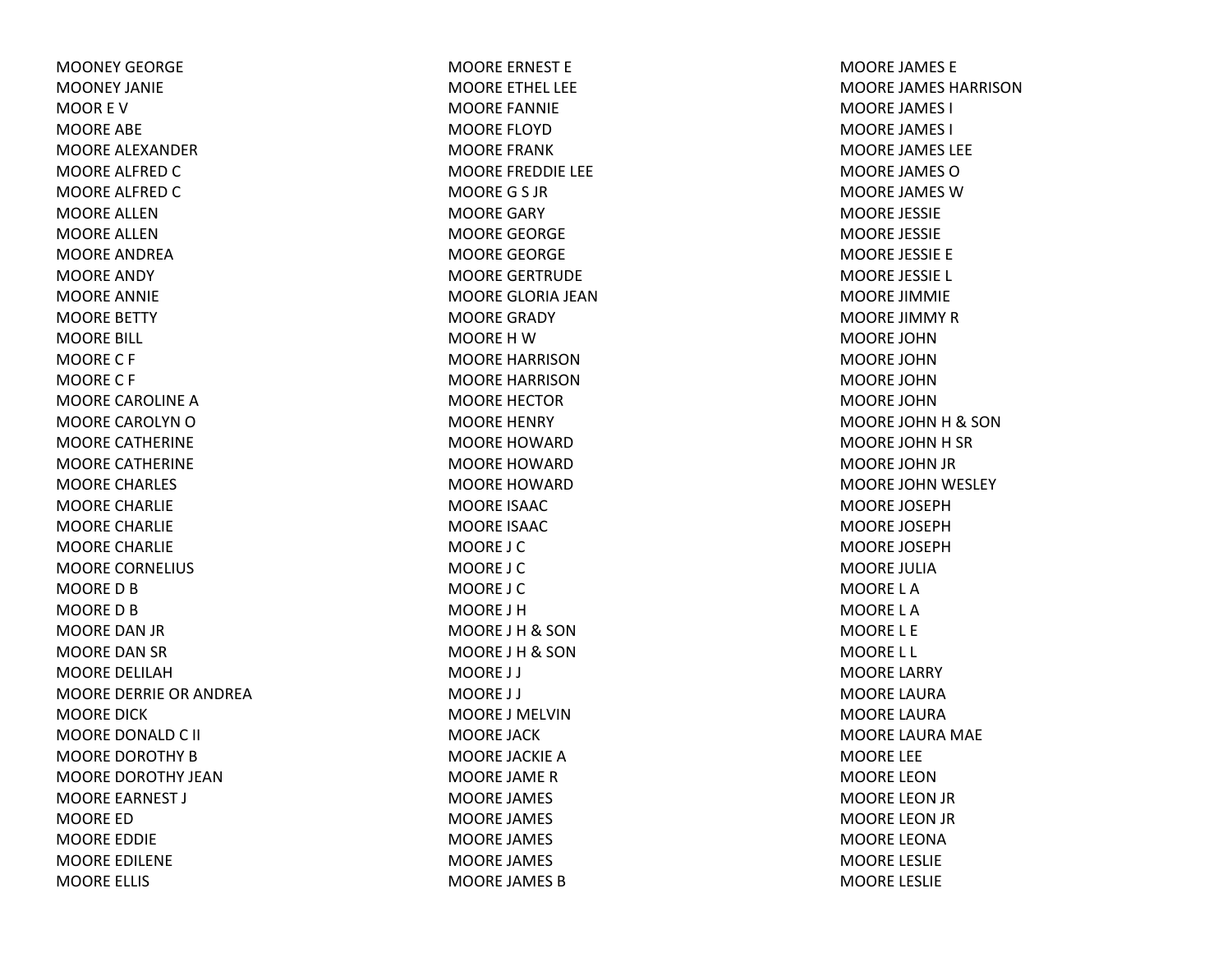MOONEY GEORGEMOONEY JANIEMOOR E VMOORE ABE MOORE ALEXANDERMOORE ALFRED C MOORE ALFRED C MOORE ALLENMOORE ALLENMOORE ANDREAMOORE ANDY MOORE ANNIE MOORE BETTY MOORE BILL MOOREC F MOOREC F MOORE CAROLINE AMOORE CAROLYN O MOORE CATHERINE MOORE CATHERINE MOORE CHARLES MOORE CHARLIE MOORE CHARLIE MOORE CHARLIE MOORE CORNELIUS MOORE D B MOORE D B MOORE DAN JR MOORE DAN SR MOORE DELILAHMOORE DERRIE OR ANDREAMOORE DICKMOORE DONALD C II MOORE DOROTHY BMOORE DOROTHY JEANMOORE EARNEST J MOORE EDMOORE EDDIE MOORE EDILENE MOORE ELLIS

MOORE ERNEST E MOORE ETHEL LEE MOORE FANNIE MOORE FLOYDMOORE FRANKMOORE FREDDIE LEE MOOREG S JR MOORE GARY MOORE GEORGE MOORE GEORGE MOORE GERTRUDE MOORE GLORIA JEANMOORE GRADY MOORE H W MOORE HARRISONMOORE HARRISONMOORE HECTORMOORE HENRY MOORE HOWARDMOORE HOWARDMOORE HOWARDMOORE ISAACMOORE ISAACMOORE J CMOORE J CMOORE J CMOORE J HMOORE J H& SON MOORE J H& SON MOORE J J MOORE J J MOORE J MELVINMOORE JACKMOORE JACKIE AMOORE JAME RMOORE JAMES MOORE JAMES MOORE JAMES MOORE JAMES MOORE JAMES B

MOORE JAMES EMOORE JAMES HARRISONMOORE JAMES I MOORE JAMES I MOORE JAMES LEE MOORE JAMES OMOORE JAMES WMOORE JESSIE MOORE JESSIE MOORE JESSIE E MOORE JESSIE L MOORE JIMMIE MOORE JIMMY RMOORE JOHNMOORE JOHNMOORE JOHNMOORE JOHNMOORE JOHNH& SON MOORE JOHN H SR MOORE JOHN JR MOORE JOHN WESLEY MOORE JOSEPHMOORE JOSEPHMOORE JOSEPHMOORE JULIAMOORE L AMOORE L AMOORE L E MOORE L L MOORE LARRY MOORE LAURAMOORE LAURA MOORE LAURA MAE MOORE LEE MOORE LEONMOORE LEON JR MOORE LEON JR MOORE LEONAMOORE LESLIE MOORE LESLIE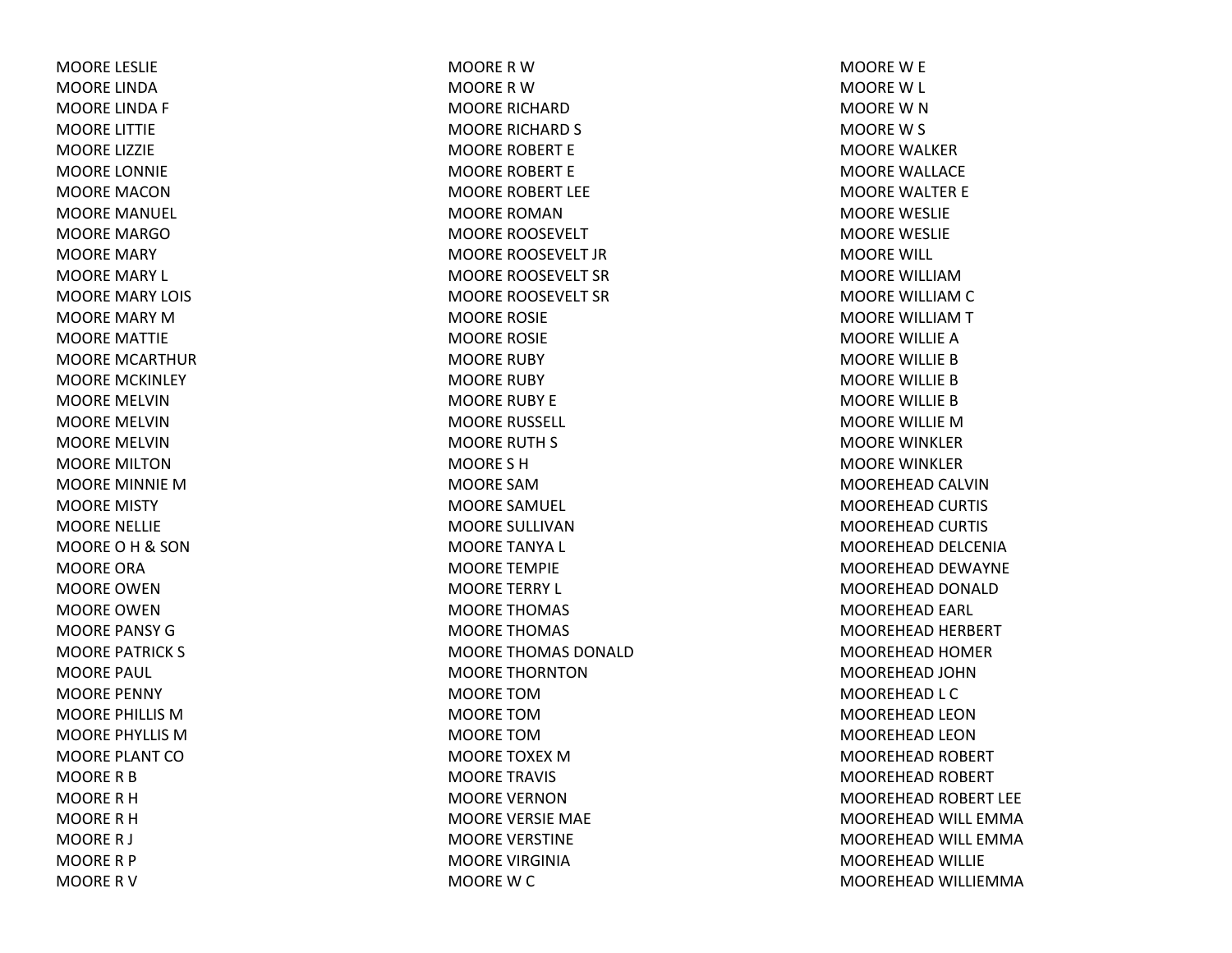MOORE LESLIE MOORE LINDAMOORE LINDA F MOORE LITTIE MOORE LIZZIE MOORE LONNIE MOORE MACONMOORE MANUEL MOORE MARGOMOORE MARY MOORE MARY L MOORE MARY LOIS MOORE MARY MMOORE MATTIE MOORE MCARTHURMOORE MCKINLEY MOORE MELVINMOORE MELVINMOORE MELVINMOORE MILTONMOORE MINNIE MMOORE MISTY MOORE NELLIE MOOREOH& SON MOORE ORAMOORE OWENMOORE OWENMOORE PANSY GMOORE PATRICK S MOORE PAUL MOORE PENNY MOORE PHILLIS MMOORE PHYLLIS MMOORE PLANT COMOORE R B MOORE R H MOORE R H MOORER J MOORER P MOORERV

MOORERWMOORE R W MOORE RICHARDMOORE RICHARD S MOORE ROBERT E MOORE ROBERT E MOORE ROBERT LEE MOORE ROMANMOORE ROOSEVELT MOORE ROOSEVELT JRMOORE ROOSEVELT SRMOORE ROOSEVELT SRMOORE ROSIE MOORE ROSIE MOORE RUBY MOORE RUBY MOORE RUBY E MOORE RUSSELL MOORE RUTH S MOORE S HMOORE SAMMOORE SAMUEL MOORE SULLIVANMOORE TANYA L MOORE TEMPIE MOORE TERRY L MOORE THOMAS MOORE THOMAS MOORE THOMAS DONALDMOORE THORNTONMOORE TOMMOORE TOMMOORE TOMMOORE TOXEX M MOORE TRAVIS MOORE VERNONMOORE VERSIE MAE MOORE VERSTINE MOORE VIRGINIAMOORE W C

MOOREW E MOORE W L MOORE W N MOORE W S MOORE WALKERMOORE WALLACE MOORE WALTER E MOORE WESLIE MOORE WESLIE MOORE WILL MOORE WILLIAMMOORE WILLIAM C MOORE WILLIAMTMOORE WILLIE AMOORE WILLIE BMOORE WILLIE BMOORE WILLIE BMOORE WILLIE MMOORE WINKLERMOORE WINKLERMOOREHEAD CALVINMOOREHEAD CURTIS MOOREHEAD CURTIS MOOREHEAD DELCENIA MOOREHEAD DEWAYNE MOOREHEAD DONALD MOOREHEAD EARL MOOREHEAD HERBERT MOOREHEAD HOMER MOOREHEAD JOHNMOOREHEAD L C MOOREHEAD LEONMOOREHEAD LEONMOOREHEAD ROBERT MOOREHEAD ROBERT MOOREHEAD ROBERT LEE MOOREHEAD WILL EMMA MOOREHEAD WILL EMMA MOOREHEAD WILLIE MOOREHEAD WILLIEMMA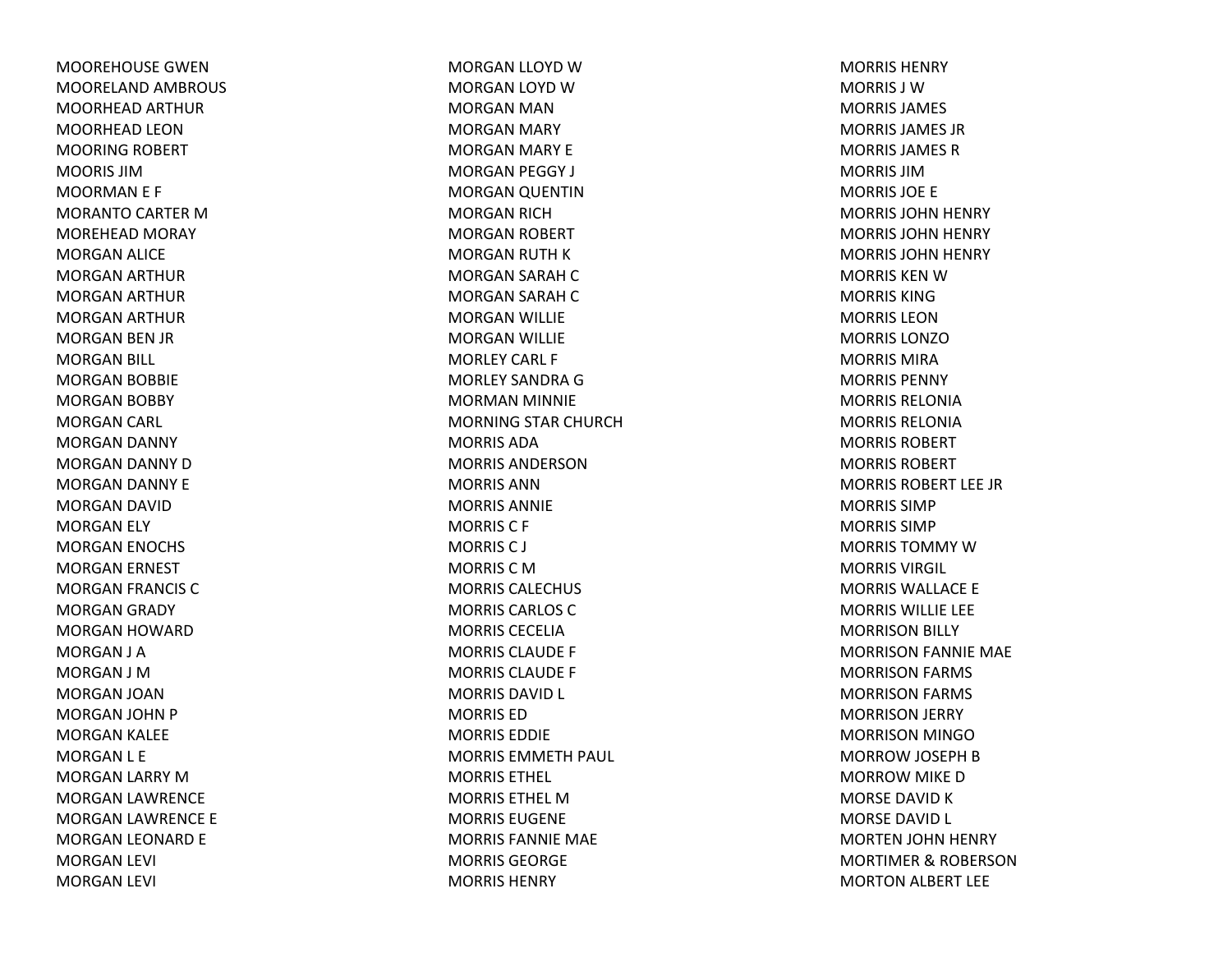MOOREHOUSE GWENMOORELAND AMBROUS MOORHEAD ARTHUR MOORHEAD LEONMOORING ROBERT MOORIS JIMMOORMAN E F MORANTO CARTER MMOREHEAD MORAY MORGAN ALICE MORGAN ARTHUR MORGAN ARTHUR MORGAN ARTHUR MORGAN BEN JR MORGAN BILL MORGAN BOBBIE MORGAN BOBBY MORGAN CARL MORGAN DANNY MORGAN DANNY DMORGAN DANNY E MORGAN DAVID MORGAN ELY MORGAN ENOCHS MORGAN ERNEST MORGAN FRANCIS CMORGAN GRADY MORGAN HOWARD MORGAN J A MORGAN J MMORGAN JOAN MORGAN JOHN P MORGAN KALEE MORGAN L E MORGAN LARRY MMORGAN LAWRENCE MORGAN LAWRENCE E MORGAN LEONARD E MORGAN LEVI MORGAN LEVI

MORGAN LLOYD WMORGAN LOYD WMORGAN MAN MORGAN MARY MORGAN MARY E MORGAN PEGGY J MORGAN QUENTIN MORGAN RICH MORGAN ROBERT MORGAN RUTH KMORGAN SARAH CMORGAN SARAH CMORGAN WILLIE MORGAN WILLIE MORLEY CARL F MORLEY SANDRA G MORMAN MINNIE MORNING STAR CHURCH MORRIS ADAMORRIS ANDERSONMORRIS ANNMORRIS ANNIEMORRIS C F MORRISC J MORRIS C M MORRIS CALECHUS MORRIS CARLOS CMORRIS CECELIAMORRIS CLAUDE F MORRIS CLAUDE F MORRIS DAVID L MORRIS EDMORRIS EDDIEMORRIS EMMETH PAUL MORRIS ETHEL MORRIS ETHEL MMORRIS EUGENEMORRIS FANNIE MAE MORRIS GEORGEMORRIS HENRY

MORRIS HENRYMORRIS J WMORRIS JAMES MORRIS JAMES JRMORRIS JAMES RMORRIS JIMMORRIS JOE E MORRIS JOHN HENRY MORRIS JOHN HENRY MORRIS JOHN HENRY MORRIS KEN W MORRIS KINGMORRIS LEON MORRIS LONZOMORRIS MIRAMORRIS PENNYMORRIS RELONIAMORRIS RELONIAMORRIS ROBERTMORRIS ROBERTMORRIS ROBERT LEE JR MORRIS SIMPMORRIS SIMPMORRIS TOMMY W MORRIS VIRGIL MORRIS WALLACE E MORRIS WILLIE LEE MORRISON BILLY MORRISON FANNIE MAE MORRISON FARMS MORRISON FARMS MORRISON JERRY MORRISON MINGOMORROW JOSEPH BMORROW MIKE DMORSE DAVID K MORSE DAVID L MORTEN JOHN HENRY MORTIMER& ROBERSON MORTON ALBERT LEE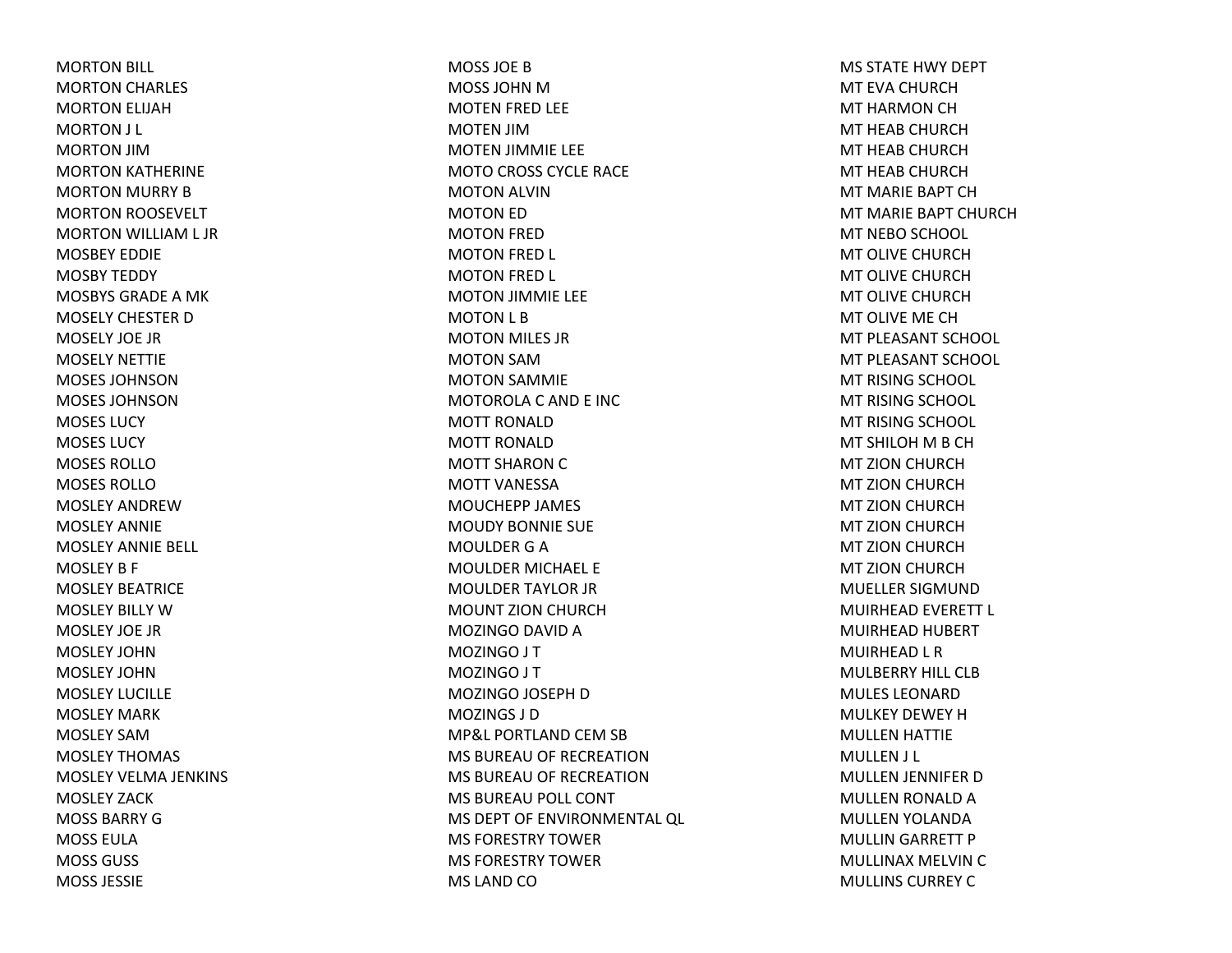MORTON BILL MORTON CHARLES MORTON ELIJAH MORTON J L MORTON JIMMORTON KATHERINE MORTON MURRY B MORTON ROOSEVELT MORTON WILLIAM L JR MOSBEY EDDIEMOSBY TEDDY MOSBYS GRADE A MK MOSELY CHESTER DMOSELY JOE JRMOSELY NETTIEMOSES JOHNSONMOSES JOHNSONMOSES LUCYMOSES LUCYMOSES ROLLOMOSES ROLLOMOSLEY ANDREWMOSLEY ANNIEMOSLEY ANNIE BELL MOSLEY B F MOSLEY BEATRICEMOSLEY BILLY WMOSLEY JOE JRMOSLEY JOHNMOSLEY JOHNMOSLEY LUCILLEMOSLEY MARKMOSLEY SAMMOSLEY THOMAS MOSLEY VELMA JENKINS MOSLEY ZACKMOSS BARRY GMOSS EULAMOSS GUSS MOSS JESSIE

MOSS JOE BMOSS JOHN MMOTEN FRED LEE MOTEN JIMMOTEN JIMMIE LEE MOTO CROSS CYCLE RACE MOTON ALVIN MOTON ED MOTON FRED MOTON FRED L MOTON FRED L MOTON JIMMIE LEE MOTON L B MOTON MILES JR MOTON SAMMOTON SAMMIE MOTOROLA C AND E INC MOTT RONALDMOTT RONALDMOTT SHARON C MOTT VANESSAMOUCHEPP JAMES MOUDY BONNIE SUE MOULDER G A MOULDER MICHAEL E MOULDER TAYLOR JR MOUNT ZION CHURCH MOZINGO DAVID A MOZINGO J T MOZINGO J T MOZINGO JOSEPH D MOZINGS J DMP&L PORTLAND CEM SB MS BUREAU OF RECREATIONMS BUREAU OF RECREATIONMS BUREAU POLL CONT MS DEPT OF ENVIRONMENTAL QL MS FORESTRY TOWERMS FORESTRY TOWERMS LAND CO

MS STATE HWY DEPT MT EVA CHURCHMT HARMON CH MT HEAB CHURCHMT HEAB CHURCHMT HEAB CHURCHMT MARIE BAPT CHMT MARIE BAPT CHURCHMT NEBO SCHOOL MT OLIVE CHURCHMT OLIVE CHURCHMT OLIVE CHURCHMT OLIVE ME CHMT PLEASANT SCHOOL MT PLEASANT SCHOOL MT RISING SCHOOL MT RISING SCHOOL MT RISING SCHOOL MT SHILOH M B CH MT ZION CHURCH MT ZION CHURCH MT ZION CHURCH MT ZION CHURCH MT ZION CHURCH MT ZION CHURCH MUELLER SIGMUNDMUIRHEAD EVERETT L MUIRHEAD HUBERT MUIRHEAD L R MULBERRY HILL CLBMULES LEONARDMULKEY DEWEY HMULLEN HATTIE MULLEN J L MULLEN JENNIFER D MULLEN RONALD A MULLEN YOLANDA MULLIN GARRETT P MULLINAX MELVIN C MULLINS CURREY C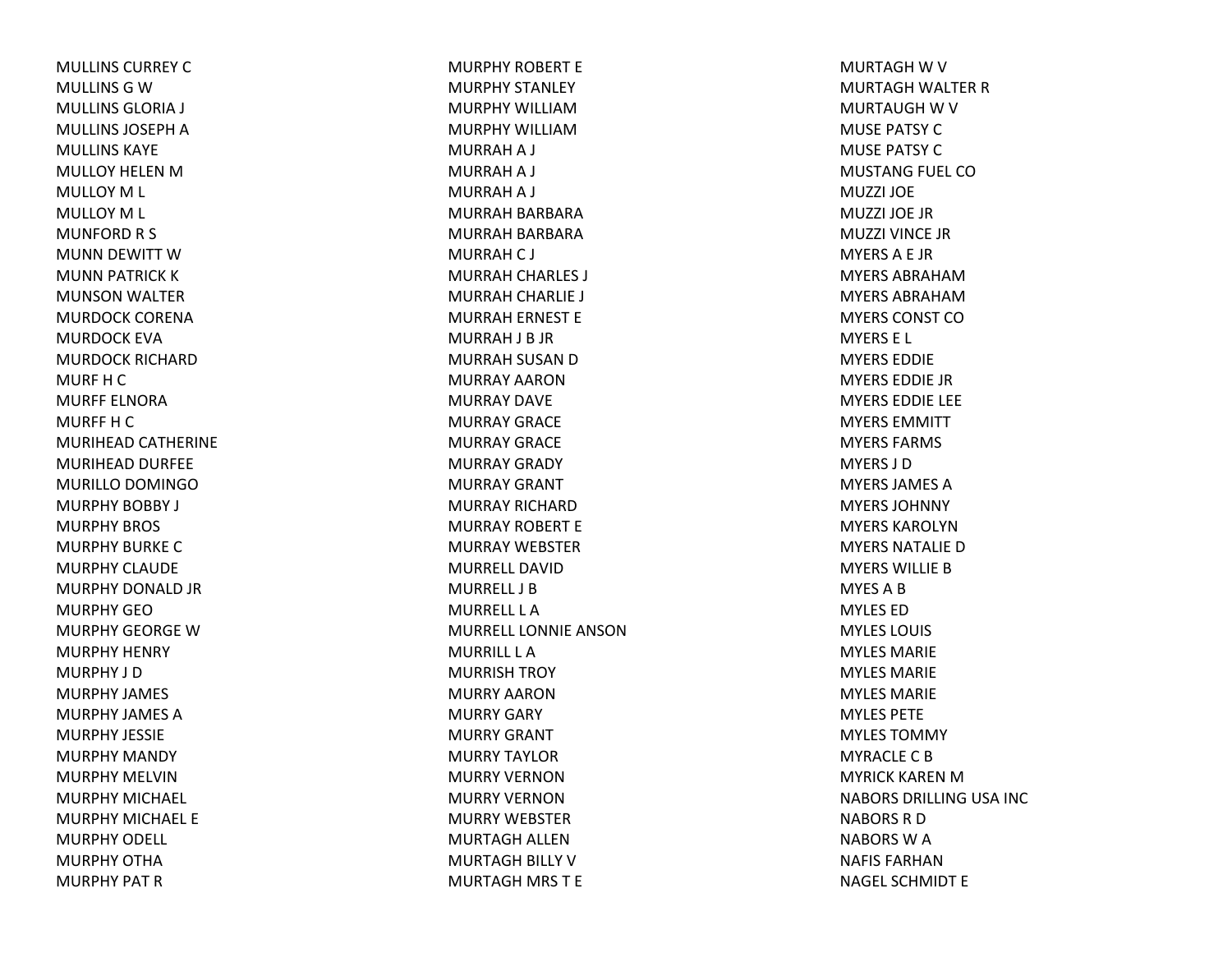MULLINS CURREY C MULLINS G W MULLINS GLORIA J MULLINS JOSEPH A MULLINS KAYEMULLOY HELEN M MULLOY M L MULLOY M L MUNFORD R S MUNN DEWITT WMUNN PATRICK KMUNSON WALTER MURDOCK CORENAMURDOCK EVAMURDOCK RICHARDMURF H C MURFF ELNORAMURFF H C MURIHEAD CATHERINE MURIHEAD DURFEE MURILLO DOMINGO MURPHY BOBBY J MURPHY BROS MURPHY BURKE C MURPHY CLAUDEMURPHY DONALD JR MURPHY GEOMURPHY GEORGE W MURPHY HENRY MURPHY J DMURPHY JAMES MURPHY JAMES AMURPHY JESSIEMURPHY MANDY MURPHY MELVINMURPHY MICHAEL MURPHY MICHAEL EMURPHY ODELL MURPHY OTHAMURPHY PAT R

MURPHY ROBERT EMURPHY STANLEY MURPHY WILLIAMMURPHY WILLIAMMURRAH A J MURRAH A J MURRAH A J MURRAH BARBARA MURRAH BARBARA MURRAH C J MURRAH CHARLES J MURRAH CHARLIE J MURRAH ERNEST E MURRAH J B JR MURRAH SUSAN D MURRAY AARONMURRAY DAVEMURRAY GRACEMURRAY GRACEMURRAY GRADY MURRAY GRANTMURRAY RICHARDMURRAY ROBERT EMURRAY WEBSTERMURRELL DAVIDMURRELL J BMURRELL L AMURRELL LONNIE ANSONMURRILL L AMURRISH TROY MURRY AARONMURRY GARY MURRY GRANT MURRY TAYLORMURRY VERNONMURRY VERNONMURRY WEBSTERMURTAGH ALLENMURTAGH BILLY VMURTAGH MRS T E

MURTAGH W V MURTAGH WALTER RMURTAUGH W V MUSE PATSY CMUSE PATSY CMUSTANG FUEL COMUZZI JOEMUZZI JOE JRMUZZI VINCE JRMYERSA E JR MYERS ABRAHAMMYERS ABRAHAMMYERS CONST COMYERS E L MYERS EDDIEMYERS EDDIE JRMYERS EDDIE LEE MYERS EMMITTMYERS FARMS MYERS J DMYERS JAMES AMYERS JOHNNYMYERS KAROLYNMYERS NATALIE D MYERS WILLIE B MYESABMYLES EDMYLES LOUIS MYLES MARIEMYLES MARIEMYLES MARIEMYLES PETEMYLES TOMMYMYRACLE C B MYRICK KAREN M NABORS DRILLING USA INC NABORS R D NABORS W A NAFIS FARHANNAGEL SCHMIDT E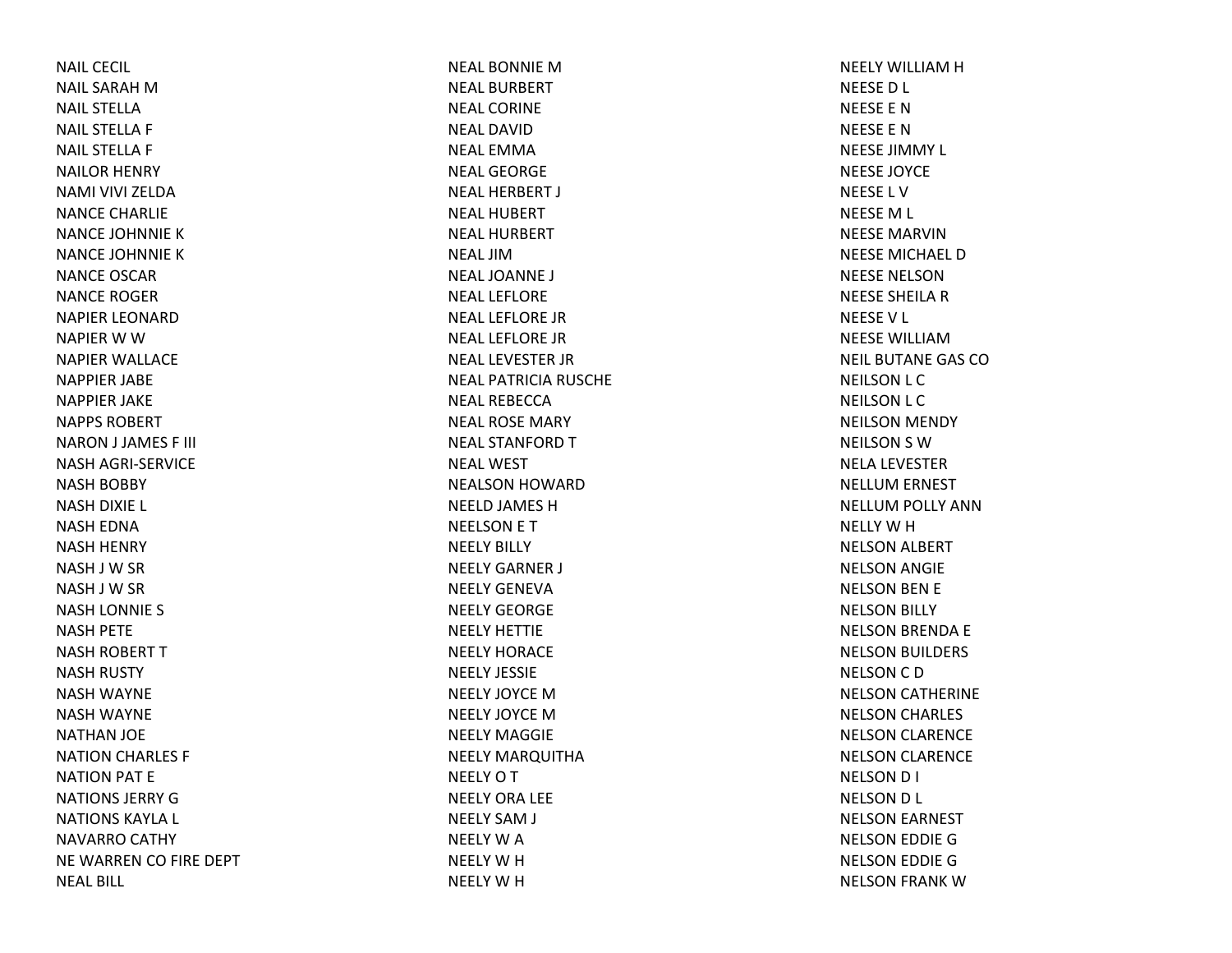NAIL CECIL NAIL SARAH M NAIL STELLANAIL STELLA F NAIL STELLA F NAILOR HENRY NAMI VIVI ZELDANANCE CHARLIE NANCE JOHNNIE KNANCE JOHNNIE KNANCE OSCARNANCE ROGERNAPIER LEONARDNAPIER W W NAPIER WALLACE NAPPIER JABE NAPPIER JAKE NAPPS ROBERTNARON J JAMES F III NASH AGRI‐SERVICE NASH BOBBY NASH DIXIE L NASH EDNA NASH HENRY NASH J W SR NASH J W SR NASH LONNIE S NASH PETE NASH ROBERT TNASH RUSTY NASH WAYNE NASH WAYNE NATHAN JOE NATION CHARLES F NATION PAT E NATIONS JERRY G NATIONS KAYLA L NAVARRO CATHY NE WARREN CO FIRE DEPT NEAL BILL

NEAL BONNIE M NEAL BURBERTNEAL CORINENEAL DAVIDNEAL EMMANEAL GEORGENEAL HERBERT J NEAL HUBERTNEAL HURBERTNEAL JIMNEAL JOANNE J NEAL LEFLORENEAL LEFLORE JRNEAL LEFLORE JRNEAL LEVESTER JR NEAL PATRICIA RUSCHE NEAL REBECCANEAL ROSE MARY NEAL STANFORD T NEAL WESTNEALSON HOWARD NEELD JAMES HNEELSON E T NEELY BILLY NEELY GARNER J NEELY GENEVANEELY GEORGENEELY HETTIENEELY HORACENEELY JESSIENEELY JOYCE M NEELY JOYCE M NEELY MAGGIENEELY MARQUITHA NEELY O T NEELY ORA LEE NEELY SAM J NEELY W A NEELY W H NEELY W H

NEELY WILLIAM H NEESED L NEESE E NNEESE E NNEESE JIMMY L NEESE JOYCE NEESE L VNEESEM L NEESE MARVINNEESE MICHAEL DNEESE NELSONNEESE SHEILA R NEESEV L NEESE WILLIAMNEIL BUTANE GAS CONEILSON L C NEILSON L C NEILSON MENDY NEILSON S WNELA LEVESTER NELLUM ERNEST NELLUM POLLY ANN NELLY W H NELSON ALBERT NELSON ANGIE NELSON BEN E NELSON BILLY NELSON BRENDA E NELSON BUILDERS NELSON C D NELSON CATHERINE NELSON CHARLES NELSON CLARENCE NELSON CLARENCE NELSON D I NELSON D L NELSON EARNEST NELSON EDDIE GNELSON EDDIE GNELSON FRANK W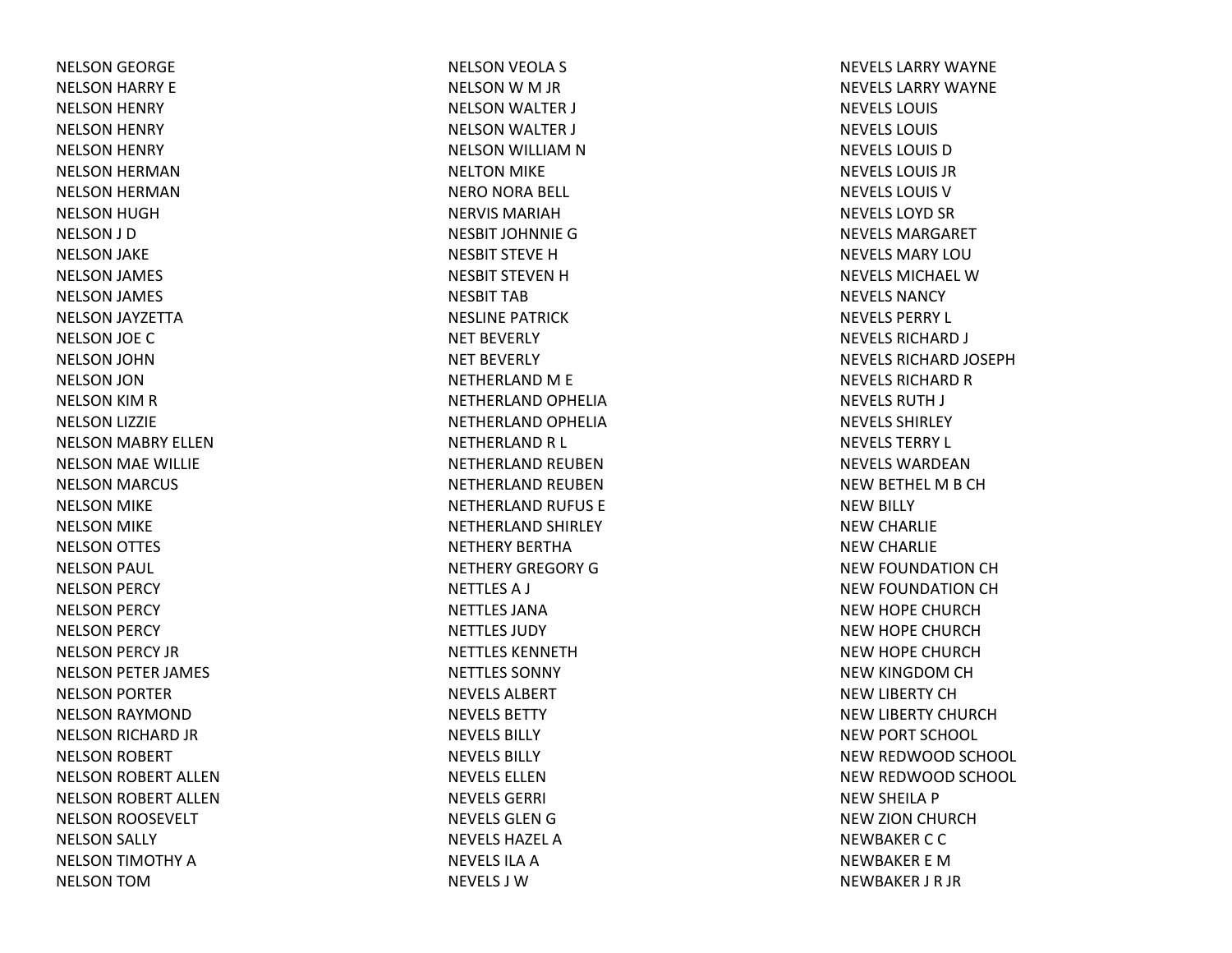NELSON GEORGE NELSON HARRY E NELSON HENRY NELSON HENRY NELSON HENRY NELSON HERMAN NELSON HERMAN NELSON HUGH NELSON J D NELSON JAKE NELSON JAMES NELSON JAMES NELSON JAYZETTA NELSON JOE CNELSON JOHN NELSON JON NELSON KIM R NELSON LIZZIE NELSON MABRY ELLEN NELSON MAE WILLIE NELSON MARCUS NELSON MIKE NELSON MIKE NELSON OTTES NELSON PAUL NELSON PERCY NELSON PERCY NELSON PERCY NELSON PERCY JR NELSON PETER JAMES NELSON PORTER NELSON RAYMOND NELSON RICHARD JR NELSON ROBERT NELSON ROBERT ALLEN NELSON ROBERT ALLEN NELSON ROOSEVELT NELSON SALLY NELSON TIMOTHY ANELSON TOM

NELSON VEOLA S NELSON W M JR NELSON WALTER J NELSON WALTER J NELSON WILLIAM N NELTON MIKE NERO NORA BELL NERVIS MARIAHNESBIT JOHNNIEGNESBIT STEVE H NESBIT STEVEN H NESBIT TABNESLINE PATRICKNET BEVERLY NET BEVERLY NETHERLAND M E NETHERLAND OPHELIA NETHERLAND OPHELIA NETHERLAND R L NETHERLAND REUBENNETHERLAND REUBENNETHERLAND RUFUS E NETHERLAND SHIRLEY NETHERY BERTHANETHERY GREGORY GNETTLESA J NETTLES JANANETTLES JUDYNETTLES KENNETHNETTLES SONNYNEVELS ALBERTNEVELS BETTYNEVELS BILLYNEVELS BILLYNEVELS ELLENNEVELS GERRI NEVELS GLEN G NEVELS HAZEL ANEVELS ILA A NEVELS J W

NEVELS LARRY WAYNENEVELS LARRY WAYNENEVELS LOUIS NEVELS LOUIS NEVELS LOUIS D NEVELS LOUIS JRNEVELS LOUIS VNEVELS LOYD SR NEVELS MARGARETNEVELS MARY LOUNEVELS MICHAEL WNEVELS NANCYNEVELS PERRY L NEVELS RICHARD J NEVELS RICHARD JOSEPHNEVELS RICHARD R NEVELS RUTH J NEVELS SHIRLEYNEVELS TERRY L NEVELS WARDEANNEW BETHEL MB CHNEW BILLY NEW CHARLIE NEW CHARLIE NEW FOUNDATION CH NEW FOUNDATION CH NEW HOPE CHURCH NEW HOPE CHURCH NEW HOPE CHURCH NEW KINGDOM CH NEW LIBERTY CH NEW LIBERTY CHURCH NEW PORT SCHOOL NEW REDWOOD SCHOOL NEW REDWOOD SCHOOL NEW SHEILA P NEW ZION CHURCH NEWBAKER C C NEWBAKER E MNEWBAKER J R JR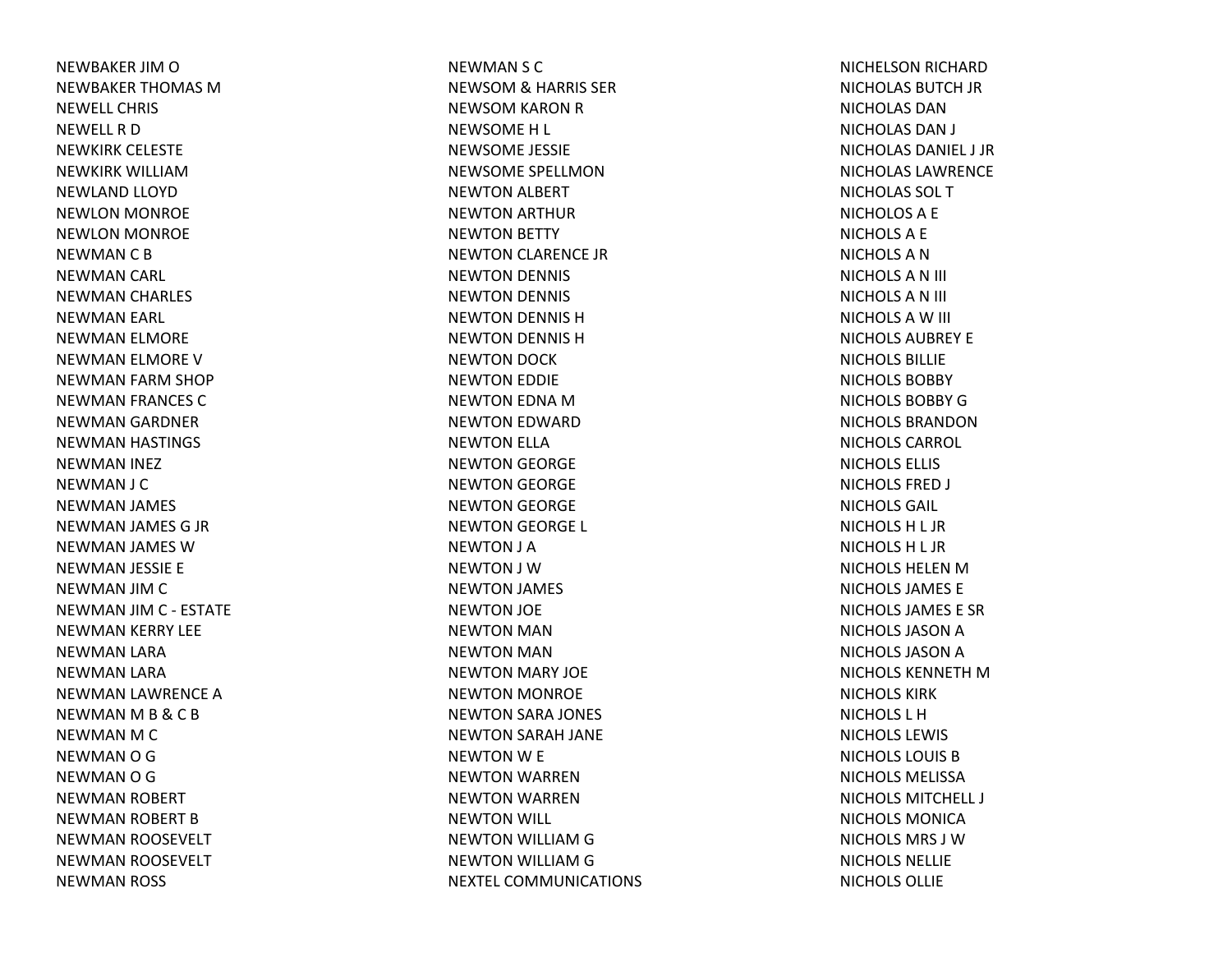NEWBAKER JIM O NEWBAKER THOMAS MNEWELL CHRISNEWELLRDNEWKIRK CELESTE NEWKIRK WILLIAMNEWLAND LLOYD NEWLON MONROE NEWLON MONROE NEWMAN C B NEWMAN CARL NEWMAN CHARLES NEWMAN EARL NEWMAN ELMORE NEWMAN ELMORE VNEWMAN FARM SHOP NEWMAN FRANCES CNEWMAN GARDNER NEWMAN HASTINGS NEWMAN INEZ NEWMAN J C NEWMAN JAMES NEWMAN JAMES G JR NEWMAN JAMES WNEWMAN JESSIE E NEWMAN JIM C NEWMAN JIMC ‐ ESTATENEWMAN KERRY LEE NEWMAN LARA NEWMAN LARA NEWMAN LAWRENCE ANEWMAN M B & C B NEWMAN M C NEWMAN O G NEWMAN O G NEWMAN ROBERT NEWMAN ROBERT BNEWMAN ROOSEVELT NEWMAN ROOSEVELT NEWMAN ROSS

NEWMAN S C NEWSOM& HARRIS SER NEWSOM KARON RNEWSOMEH L NEWSOME JESSIE NEWSOME SPELLMONNEWTON ALBERT NEWTON ARTHUR NEWTON BETTY NEWTON CLARENCE JR NEWTON DENNIS NEWTON DENNIS NEWTON DENNIS HNEWTON DENNIS HNEWTON DOCK NEWTON EDDIE NEWTON EDNA MNEWTON EDWARD NEWTON ELLA NEWTON GEORGE NEWTON GEORGE NEWTON GEORGE NEWTON GEORGE L NEWTON J A NEWTON J WNEWTON JAMES NEWTON JOE NEWTON MAN NEWTON MAN NEWTON MARY JOE NEWTON MONROE NEWTON SARA JONES NEWTON SARAH JANE NEWTON W E NEWTON WARREN NEWTON WARREN NEWTON WILL NEWTON WILLIAM G NEWTON WILLIAM G NEXTEL COMMUNICATIONS NICHELSON RICHARD NICHOLAS BUTCH JR NICHOLAS DANNICHOLAS DAN J NICHOLAS DANIEL J JRNICHOLAS LAWRENCENICHOLAS SOL TNICHOLOSA E NICHOLSA E NICHOLSANNICHOLSAN III NICHOLSAN III NICHOLSAW III NICHOLS AUBREY ENICHOLS BILLIENICHOLS BOBBYNICHOLS BOBBY G NICHOLS BRANDONNICHOLS CARROL NICHOLS ELLIS NICHOLS FRED J NICHOLS GAIL NICHOLSH L JR NICHOLSH L JR NICHOLS HELEN M NICHOLS JAMES ENICHOLS JAMES E SRNICHOLS JASON A NICHOLS JASON A NICHOLS KENNETH M NICHOLS KIRKNICHOLS L HNICHOLS LEWIS NICHOLS LOUIS BNICHOLS MELISSANICHOLS MITCHELL J NICHOLS MONICANICHOLS MRS J WNICHOLS NELLIENICHOLS OLLIE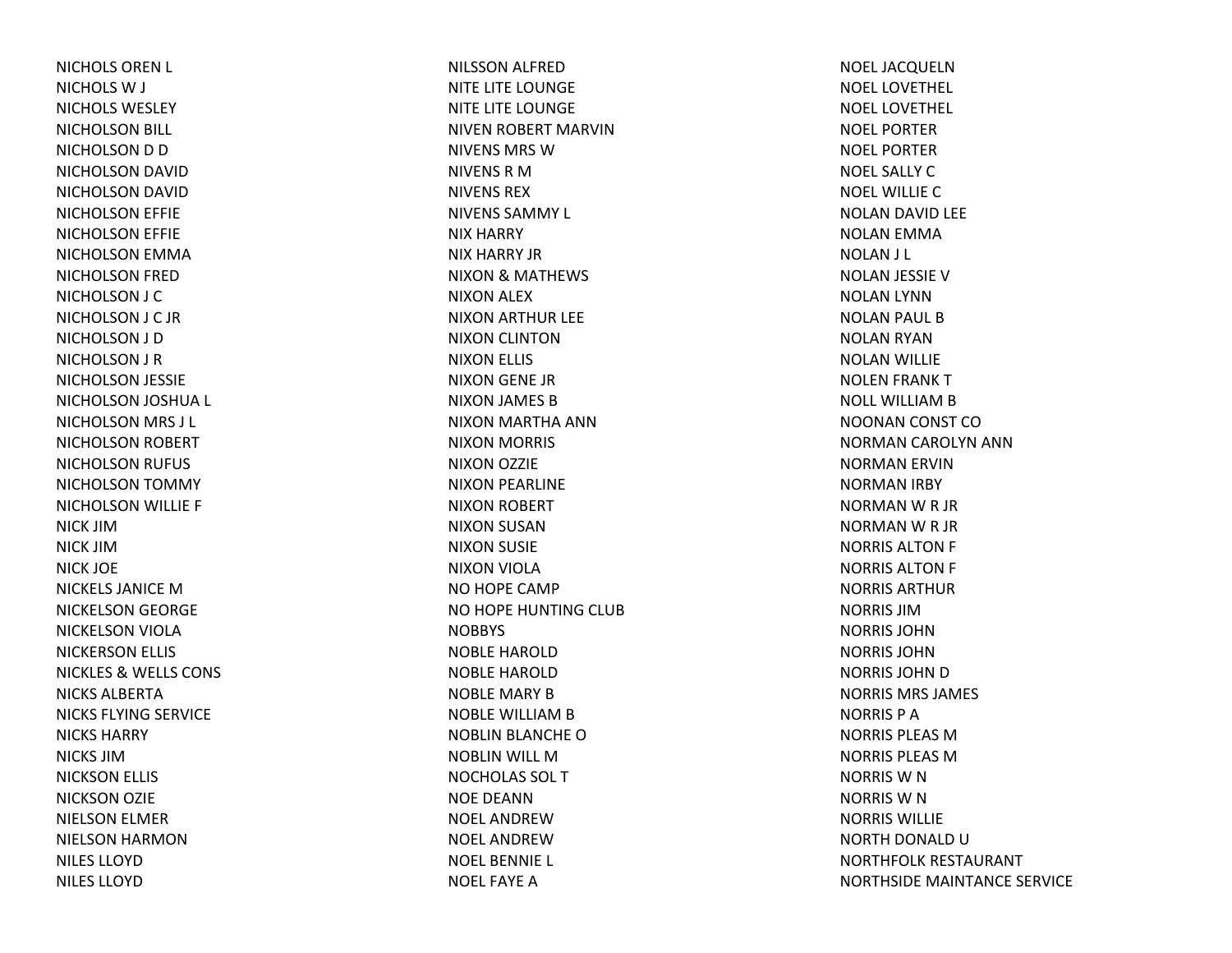NICHOLS OREN L NICHOLS W J NICHOLS WESLEYNICHOLSON BILL NICHOLSON D D NICHOLSON DAVID NICHOLSON DAVID NICHOLSON EFFIE NICHOLSON EFFIE NICHOLSON EMMA NICHOLSON FRED NICHOLSON J C NICHOLSON J C JR NICHOLSON J D NICHOLSON J R NICHOLSON JESSIE NICHOLSON JOSHUA L NICHOLSON MRS J L NICHOLSON ROBERT NICHOLSON RUFUS NICHOLSON TOMMY NICHOLSON WILLIE F NICK JIMNICK JIMNICK JOE NICKELS JANICE M NICKELSON GEORGE NICKELSON VIOLA NICKERSON ELLIS NICKLES& WELLS CONS NICKS ALBERTANICKS FLYING SERVICE NICKS HARRYNICKS JIMNICKSON ELLIS NICKSON OZIE NIELSON ELMER NIELSON HARMON NILES LLOYDNILES LLOYD

NILSSON ALFRED NITE LITE LOUNGE NITE LITE LOUNGE NIVEN ROBERT MARVIN NIVENS MRS WNIVENS R M NIVENS REXNIVENS SAMMY L NIX HARRY NIX HARRY JRNIXON& MATHEWS NIXON ALEX NIXON ARTHUR LEE NIXON CLINTON NIXON ELLIS NIXON GENE JR NIXON JAMES BNIXON MARTHA ANN NIXON MORRIS NIXON OZZIE NIXON PEARLINE NIXON ROBERT NIXON SUSAN NIXON SUSIE NIXON VIOLA NO HOPE CAMP NO HOPE HUNTING CLUB **NOBBYS** NOBLE HAROLDNOBLE HAROLDNOBLE MARY BNOBLE WILLIAM B NOBLIN BLANCHE ONOBLIN WILL MNOCHOLAS SOL TNOE DEANNNOEL ANDREWNOEL ANDREWNOEL BENNIE L NOEL FAYE A

NOEL JACQUELN NOEL LOVETHEL NOEL LOVETHELNOEL PORTERNOEL PORTERNOEL SALLY C NOEL WILLIECNOLAN DAVID LEE NOLAN EMMA NOLAN J L NOLAN JESSIE VNOLAN LYNN NOLAN PAUL BNOLAN RYAN NOLAN WILLIE NOLEN FRANK TNOLL WILLIAM B NOONAN CONST CONORMAN CAROLYN ANN NORMAN ERVIN NORMAN IRBY NORMAN W R JR NORMAN W R JR NORRIS ALTON F NORRIS ALTON F NORRIS ARTHURNORRIS JIMNORRIS JOHNNORRIS JOHNNORRIS JOHN D NORRIS MRS JAMES NORRIS P ANORRIS PLEAS MNORRIS PLEAS MNORRIS W N NORRIS W N NORRIS WILLIENORTH DONALD UNORTHFOLK RESTAURANT NORTHSIDE MAINTANCE SERVICE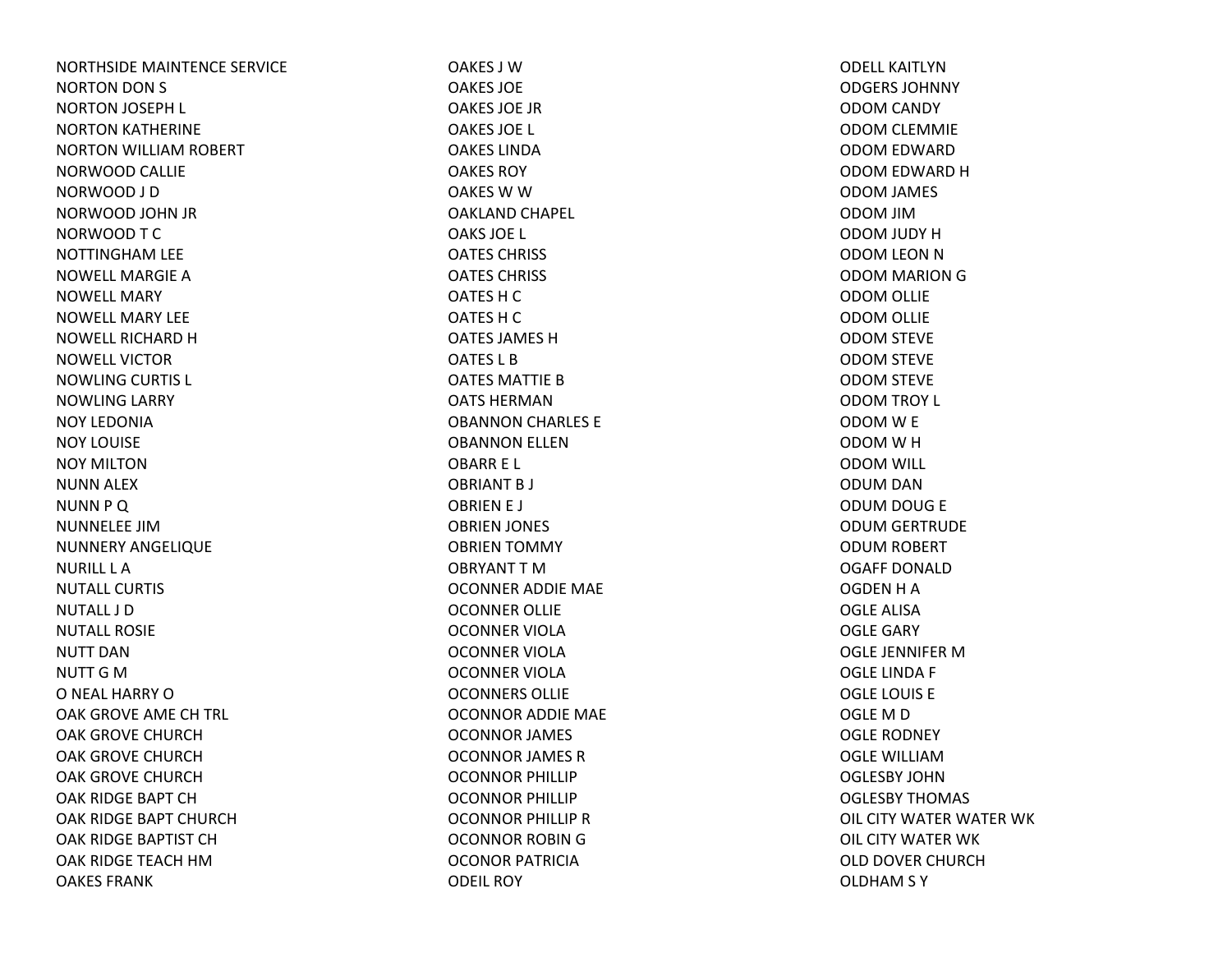NORTHSIDE MAINTENCE SERVICE NORTON DON S NORTON JOSEPH L NORTON KATHERINE NORTON WILLIAM ROBERT NORWOOD CALLIE NORWOOD J D NORWOOD JOHN JR NORWOOD T C NOTTINGHAM LEE NOWELL MARGIE ANOWELL MARYNOWELL MARY LEENOWELL RICHARD HNOWELL VICTORNOWLING CURTIS L NOWLING LARRY NOY LEDONIANOY LOUISENOY MILTONNUNN ALEX NUNN P Q NUNNELEE JIMNUNNERY ANGELIQUE NURILL L ANUTALL CURTISNUTALL J DNUTALL ROSIENUTT DANNUTT G MO NEAL HARRY O OAK GROVE AME CH TRL OAK GROVE CHURCHOAK GROVE CHURCHOAK GROVE CHURCHOAK RIDGE BAPT CHOAK RIDGE BAPT CHURCHOAK RIDGE BAPTIST CHOAK RIDGE TEACH HMOAKES FRANK

OAKES J WOAKES JOEOAKES JOE JROAKES JOE L OAKES LINDAOAKES ROYOAKES W W OAKLAND CHAPEL OAKS JOE L OATES CHRISS OATES CHRISS OATES H C OATES H C OATES JAMES HOATES L BOATES MATTIE BOATS HERMANOBANNON CHARLES E OBANNON ELLEN OBARR E L OBRIANT B J OBRIEN E J OBRIEN JONES OBRIEN TOMMY OBRYANT T MOCONNER ADDIE MAE OCONNER OLLIE OCONNER VIOLAOCONNER VIOLAOCONNER VIOLAOCONNERS OLLIEOCONNOR ADDIE MAE OCONNOR JAMES OCONNOR JAMES R OCONNOR PHILLIP OCONNOR PHILLIP OCONNOR PHILLIP ROCONNOR ROBIN G OCONOR PATRICIAODEIL ROY

ODELL KAITLYNODGERS JOHNNYODOM CANDY ODOM CLEMMIE ODOM EDWARD ODOM EDWARD H ODOM JAMES ODOM JIM ODOM JUDY H ODOM LEON N ODOM MARION G ODOM OLLIE ODOM OLLIE ODOM STEVE ODOM STEVE ODOM STEVE ODOM TROY L ODOM W E ODOM W H ODOM WILL ODUM DAN ODUM DOUG E ODUM GERTRUDE ODUM ROBERT OGAFF DONALDOGDEN H A OGLE ALISAOGLE GARY OGLE JENNIFER MOGLE LINDA F OGLE LOUIS E OGLE M D OGLE RODNEY OGLE WILLIAMOGLESBY JOHNOGLESBY THOMAS OIL CITY WATER WATER WK OIL CITY WATER WK OLD DOVER CHURCHOLDHAM S Y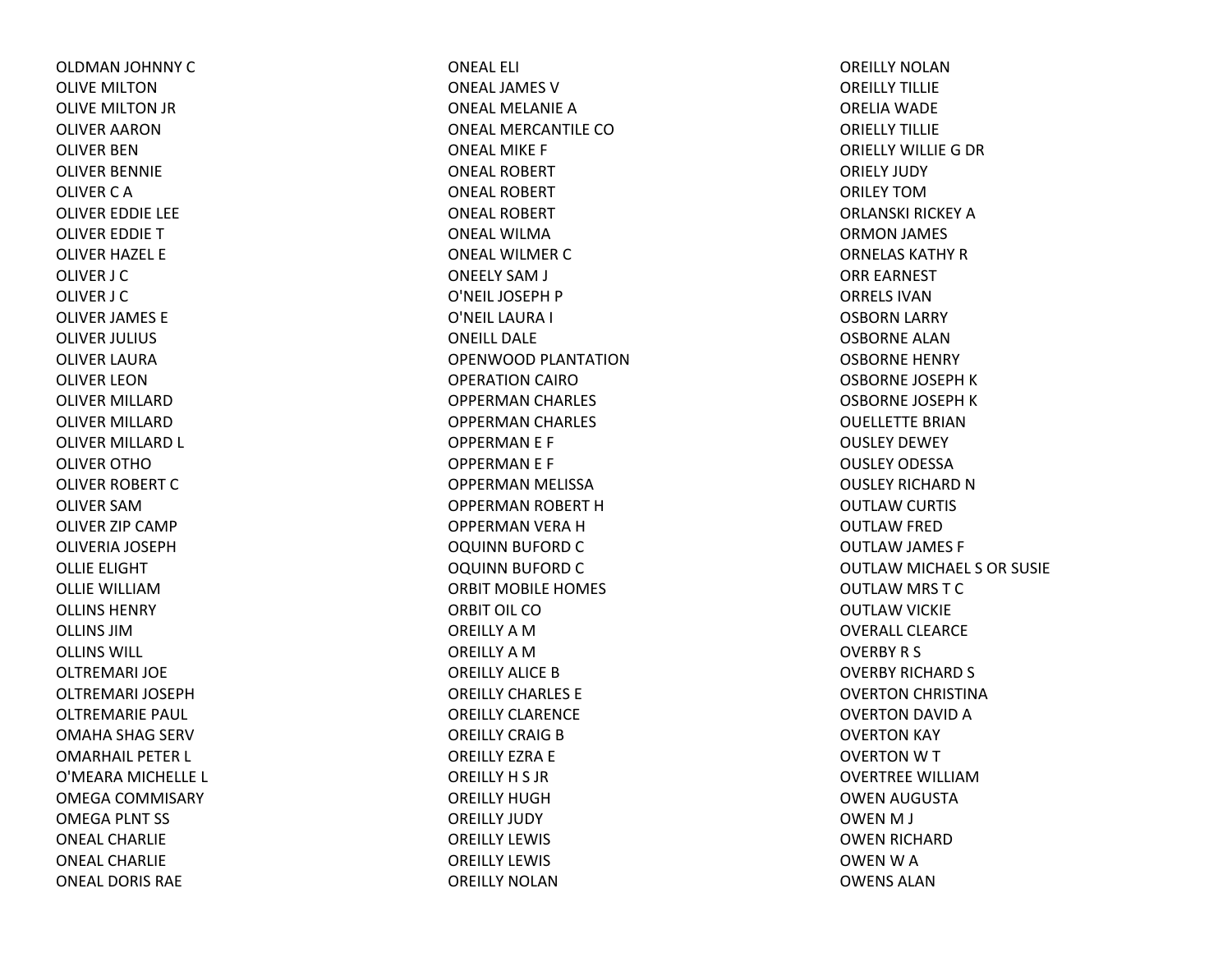OLDMAN JOHNNY COLIVE MILTONOLIVE MILTON JR OLIVER AARONOLIVER BENOLIVER BENNIE OLIVER C A OLIVER EDDIE LEE OLIVER EDDIE TOLIVER HAZEL E OLIVER J C OLIVER J C OLIVER JAMES E OLIVER JULIUS OLIVER LAURAOLIVER LEONOLIVER MILLARDOLIVER MILLARDOLIVER MILLARD L OLIVER OTHOOLIVER ROBERT COLIVER SAMOLIVER ZIP CAMP OLIVERIA JOSEPHOLLIE ELIGHT OLLIE WILLIAMOLLINS HENRYOLLINS JIMOLLINS WILL OLTREMARI JOEOLTREMARI JOSEPHOLTREMARIE PAUL OMAHA SHAG SERV OMARHAIL PETER L O'MEARA MICHELLE L OMEGA COMMISARY OMEGA PLNT SS ONEAL CHARLIEONEAL CHARLIEONEAL DORIS RAE

ONEAL ELI ONEAL JAMES V ONEAL MELANIE A ONEAL MERCANTILE COONEAL MIKE F ONEAL ROBERTONEAL ROBERTONEAL ROBERTONEAL WILMAONEAL WILMER C ONEELY SAM J O'NEIL JOSEPH P O'NEIL LAURA I ONEILL DALEOPENWOOD PLANTATIONOPERATION CAIROOPPERMAN CHARLES OPPERMAN CHARLES OPPERMAN E F OPPERMAN E F OPPERMAN MELISSA OPPERMAN ROBERT HOPPERMAN VERA HOQUINN BUFORD COQUINN BUFORD CORBIT MOBILE HOMES ORBIT OIL COOREILLY A M OREILLY A M OREILLY ALICE B OREILLY CHARLES EOREILLY CLARENCEOREILLY CRAIG B OREILLY EZRA E OREILLY H S JR OREILLY HUGHOREILLY JUDY OREILLY LEWIS OREILLY LEWIS OREILLY NOLAN

OREILLY NOLANOREILLY TILLIEORELIA WADE ORIELLY TILLIEORIELLY WILLIEG DR ORIELY JUDY ORILEY TOMORLANSKI RICKEY A ORMON JAMES ORNELAS KATHY R ORR EARNEST ORRELS IVANOSBORN LARRY OSBORNE ALANOSBORNE HENRY OSBORNE JOSEPH K OSBORNE JOSEPH K OUELLETTE BRIANOUSLEY DEWEY OUSLEY ODESSAOUSLEY RICHARD N OUTLAW CURTIS OUTLAW FRED OUTLAW JAMES F OUTLAW MICHAEL S OR SUSIE OUTLAW MRS TCOUTLAW VICKIE OVERALL CLEARCEOVERBY R S OVERBY RICHARD S OVERTON CHRISTINA OVERTON DAVID AOVERTON KAY OVERTON W T OVERTREE WILLIAMOWEN AUGUSTA OWEN M J OWEN RICHARD OWENWAOWENS ALAN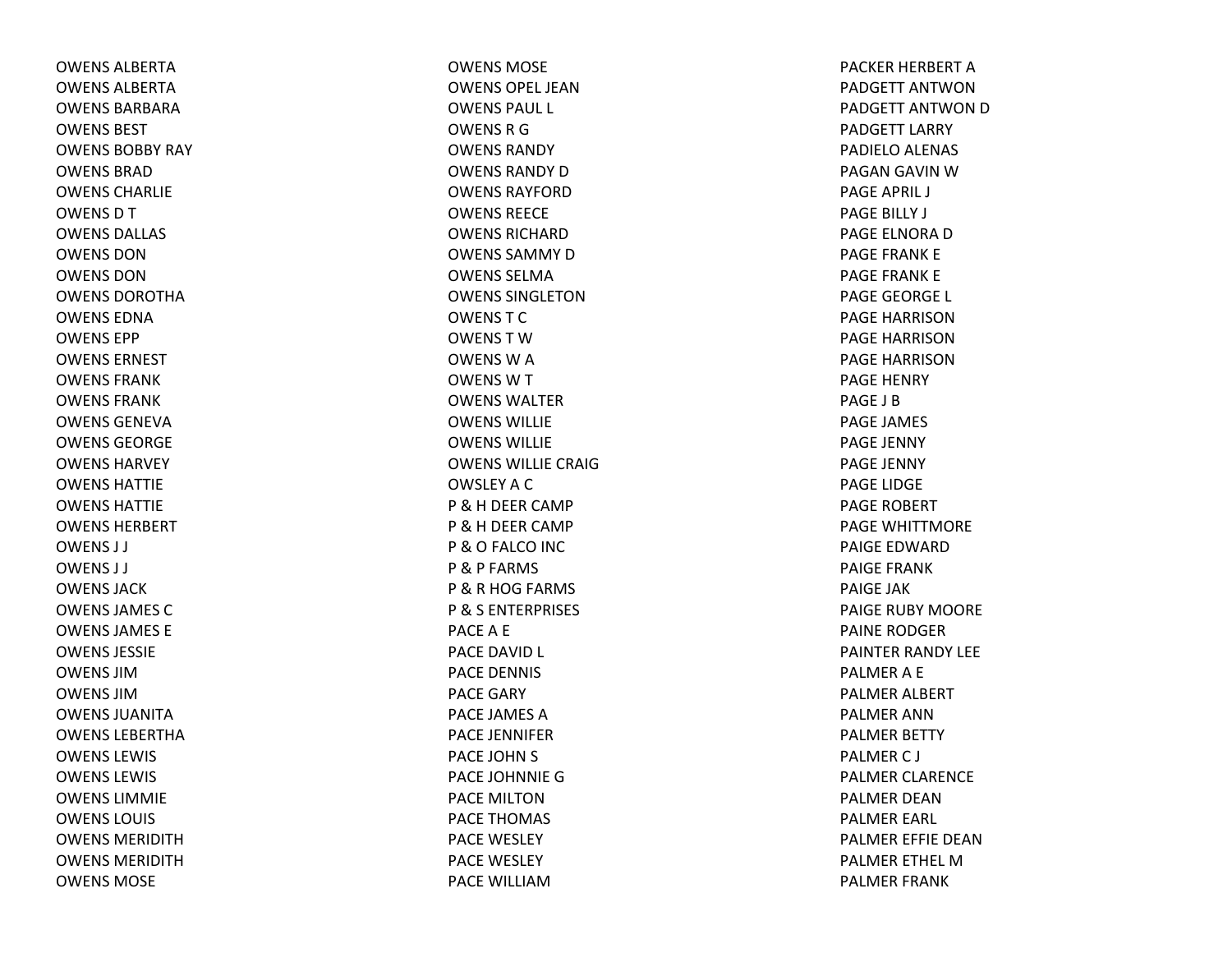OWENS ALBERTAOWENS ALBERTAOWENS BARBARAOWENS BESTOWENS BOBBY RAY OWENS BRADOWENS CHARLIEOWENSDTOWENS DALLAS OWENS DONOWENS DONOWENS DOROTHAOWENS EDNAOWENS EPPOWENS ERNESTOWENS FRANKOWENS FRANKOWENS GENEVAOWENS GEORGEOWENS HARVEYOWENS HATTIEOWENS HATTIEOWENS HERBERTOWENS J J OWENS J J OWENS JACKOWENS JAMES COWENS JAMES EOWENS JESSIEOWENS JIMOWENS JIMOWENS JUANITA OWENS LEBERTHAOWENS LEWIS OWENS LEWIS OWENS LIMMIEOWENS LOUIS OWENS MERIDITHOWENS MERIDITHOWENS MOSE

OWENS MOSEOWENS OPEL JEANOWENS PAUL L OWENSRGOWENS RANDYOWENS RANDY D OWENS RAYFORDOWENS REECEOWENS RICHARDOWENS SAMMY D OWENS SELMAOWENS SINGLETONOWENSTCOWENSTWOWENSWAOWENSWTOWENS WALTEROWENS WILLIEOWENS WILLIEOWENS WILLIE CRAIGOWSLEY A C P &H DEER CAMP P &H DEER CAMP P &O FALCO INC P & P FARMS P &R HOG FARMS P & S ENTERPRISES PACEA E PACE DAVID L PACE DENNIS PACE GARY PACE JAMES APACE JENNIFERPACE JOHN S PACE JOHNNIE GPACE MILTONPACE THOMAS PACE WESLEY PACE WESLEY PACE WILLIAM

PACKER HERBERT APADGETT ANTWONPADGETT ANTWON D PADGETT LARRY PADIELO ALENAS PAGAN GAVIN WPAGE APRIL J PAGE BILLY J PAGE ELNORA D PAGE FRANK E PAGE FRANK E PAGE GEORGE L PAGE HARRISONPAGE HARRISONPAGE HARRISONPAGE HENRY PAGE J BPAGE JAMES PAGE JENNY PAGE JENNY PAGE LIDGE PAGE ROBERT PAGE WHITTMOREPAIGE EDWARDPAIGE FRANKPAIGE JAKPAIGE RUBY MOORE PAINE RODGERPAINTER RANDY LEE PALMERA E PALMER ALBERT PALMER ANNPALMER BETTY PALMERC J PALMER CLARENCE PALMER DEANPALMER EARL PALMER EFFIE DEANPALMER ETHEL MPALMER FRANK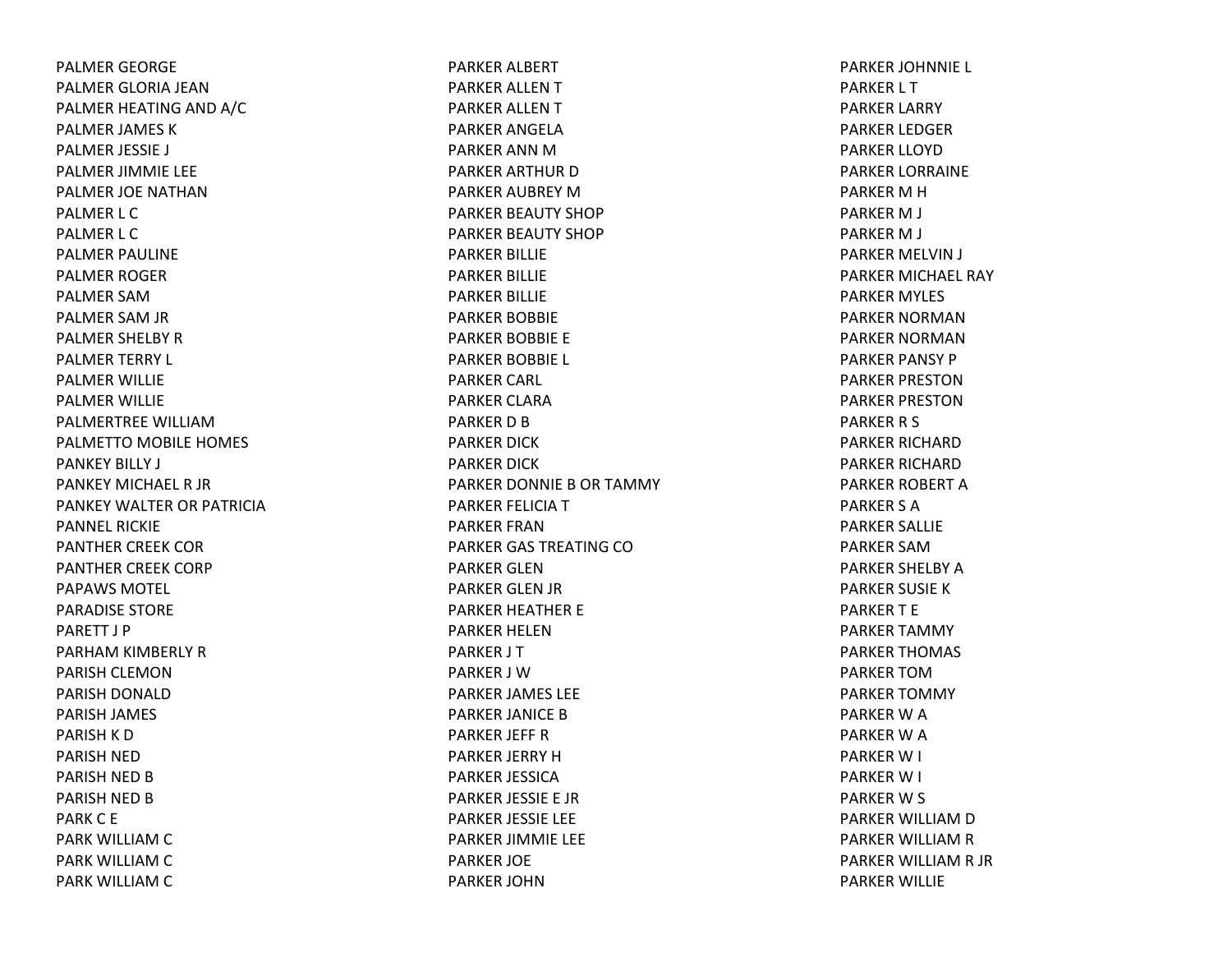PALMER GEORGE PALMER GLORIA JEANPALMER HEATING AND A/C PALMER JAMES K PALMER JESSIE J PALMER JIMMIE LEE PALMER JOE NATHANPALMER L C PALMER L C PALMER PAULINE PALMER ROGER PALMER SAMPALMER SAM JR PALMER SHELBY R PALMER TERRY L PALMER WILLIE PALMER WILLIE PALMERTREE WILLIAMPALMETTO MOBILE HOMES PANKEY BILLY J PANKEY MICHAEL R JR PANKEY WALTER OR PATRICIAPANNEL RICKIEPANTHER CREEK COR PANTHER CREEK CORP PAPAWS MOTEL PARADISE STORE PARETT J PPARHAM KIMBERLY R PARISH CLEMONPARISH DONALD PARISH JAMES PARISH K D PARISH NED PARISH NED B PARISH NED B PARK C E PARK WILLIAM C PARK WILLIAM C PARK WILLIAM C

PARKER ALBERT PARKER ALLEN T PARKER ALLEN T PARKER ANGELAPARKER ANN MPARKER ARTHUR DPARKER AUBREY MPARKER BEAUTY SHOP PARKER BEAUTY SHOP PARKER BILLIE PARKER BILLIE PARKER BILLIE PARKER BOBBIE PARKER BOBBIE E PARKER BOBBIE L PARKER CARL PARKER CLARAPARKER D B PARKER DICK PARKER DICK PARKER DONNIE B OR TAMMY PARKER FELICIA T PARKER FRANPARKER GAS TREATING COPARKER GLENPARKER GLEN JR PARKER HEATHER E PARKER HELENPARKER J T PARKER J WPARKER JAMES LEE PARKER JANICE B PARKER JEFF R PARKER JERRY HPARKER JESSICAPARKER JESSIE E JR PARKER JESSIE LEE PARKER JIMMIE LEE PARKER JOE PARKER JOHN

PARKER JOHNNIE L PARKER L T PARKER LARRY PARKER LEDGER PARKER LLOYDPARKER LORRAINE PARKER M H PARKER M J PARKER M J PARKER MELVIN J PARKER MICHAEL RAY PARKER MYLES PARKER NORMANPARKER NORMANPARKER PANSY P PARKER PRESTONPARKER PRESTONPARKER R S PARKER RICHARDPARKER RICHARDPARKER ROBERT APARKER S APARKER SALLIE PARKER SAMPARKER SHELBY APARKER SUSIE K PARKER T E PARKER TAMMY PARKER THOMAS PARKER TOMPARKER TOMMY PARKER W A PARKER W A PARKER W I PARKER W I PARKER W S PARKER WILLIAM D PARKER WILLIAM R PARKER WILLIAM R JR PARKER WILLIE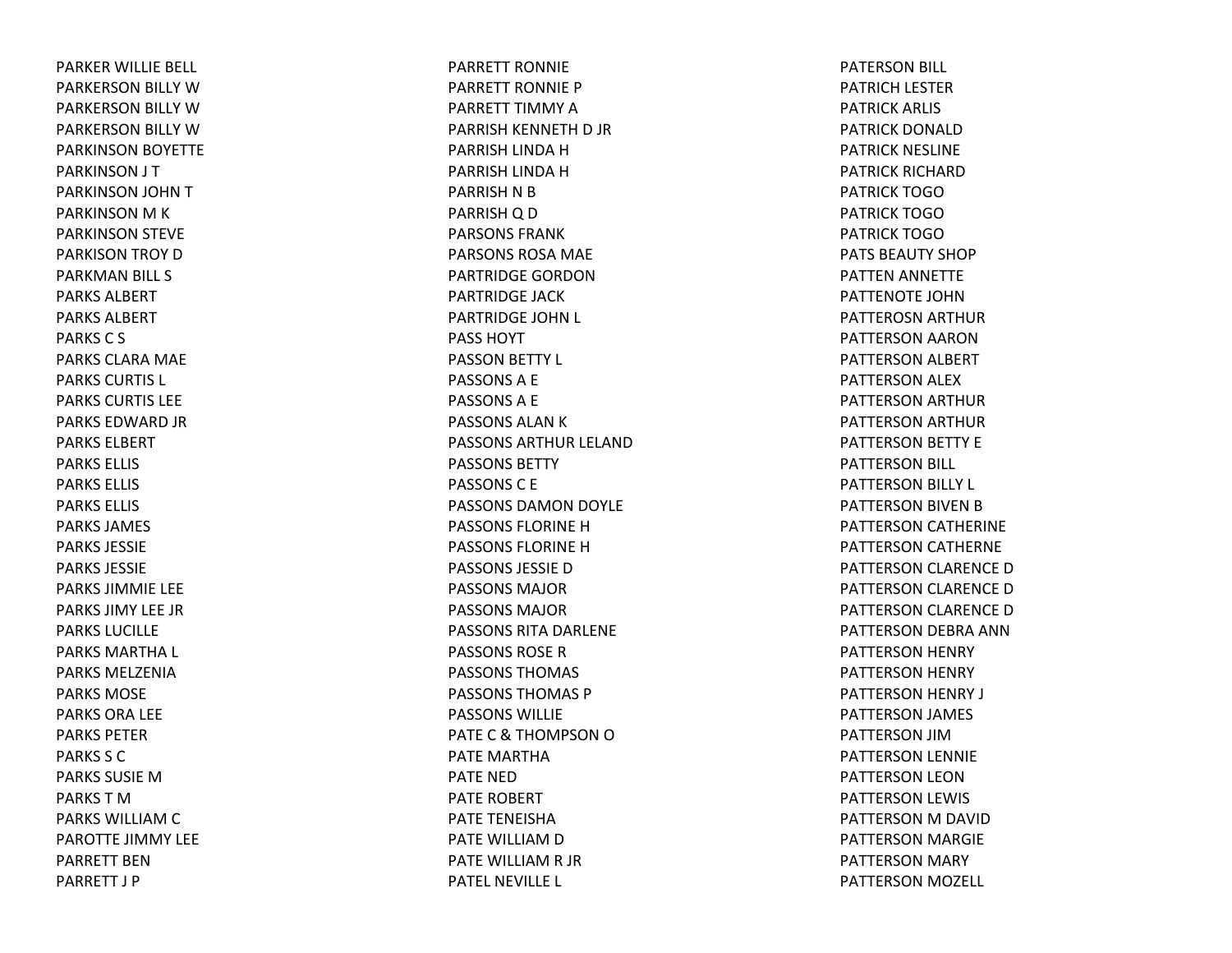PARKER WILLIE BELL PARKERSON BILLY WPARKERSON BILLY WPARKERSON BILLY WPARKINSON BOYETTE PARKINSON J T PARKINSON JOHN TPARKINSON M K PARKINSON STEVE PARKISON TROY DPARKMAN BILL S PARKS ALBERTPARKS ALBERTPARKSC S PARKS CLARA MAE PARKS CURTIS L PARKS CURTIS LEEPARKS EDWARD JR PARKS ELBERTPARKS ELLIS PARKS ELLIS PARKS ELLIS PARKS JAMES PARKS JESSIEPARKS JESSIEPARKS JIMMIE LEE PARKS JIMY LEE JRPARKS LUCILLEPARKS MARTHA L PARKS MELZENIAPARKS MOSEPARKS ORA LEE PARKS PETERPARKS S CPARKS SUSIE M PARKS T M PARKS WILLIAM C PAROTTE JIMMY LEE PARRETT BENPARRETT J P

PARRETT RONNIEPARRETT RONNIE PPARRETT TIMMY APARRISH KENNETH D JR PARRISH LINDA HPARRISH LINDA HPARRISH N B PARRISH Q D PARSONS FRANKPARSONS ROSA MAE PARTRIDGE GORDONPARTRIDGE JACKPARTRIDGE JOHN L PASS HOYTPASSON BETTY L PASSONSA E PASSONSA E PASSONS ALAN K PASSONS ARTHUR LELANDPASSONS BETTYPASSONS C E PASSONS DAMON DOYLE PASSONS FLORINE H PASSONS FLORINE H PASSONS JESSIE D PASSONS MAJORPASSONS MAJORPASSONS RITA DARLENE PASSONS ROSERPASSONS THOMAS PASSONS THOMAS PPASSONS WILLIEPATEC& THOMPSON OPATE MARTHAPATE NEDPATE ROBERTPATE TENEISHAPATE WILLIAM D PATE WILLIAM R JR PATEL NEVILLE L

PATERSON BILL PATRICH LESTER PATRICK ARLIS PATRICK DONALDPATRICK NESLINE PATRICK RICHARDPATRICK TOGOPATRICK TOGOPATRICK TOGOPATS BEAUTY SHOPPATTEN ANNETTE PATTENOTE JOHNPATTEROSN ARTHUR PATTERSON AARON PATTERSON ALBERT PATTERSON ALEX PATTERSON ARTHUR PATTERSON ARTHUR PATTERSON BETTY E PATTERSON BILL PATTERSON BILLY L PATTERSON BIVEN BPATTERSON CATHERINE PATTERSON CATHERNE PATTERSON CLARENCE DPATTERSON CLARENCE DPATTERSON CLARENCE DPATTERSON DEBRA ANN PATTERSON HENRY PATTERSON HENRY PATTERSON HENRY J PATTERSON JAMES PATTERSON JIMPATTERSON LENNIE PATTERSON LEON PATTERSON LEWIS PATTERSON M DAVID PATTERSON MARGIE PATTERSON MARY PATTERSON MOZELL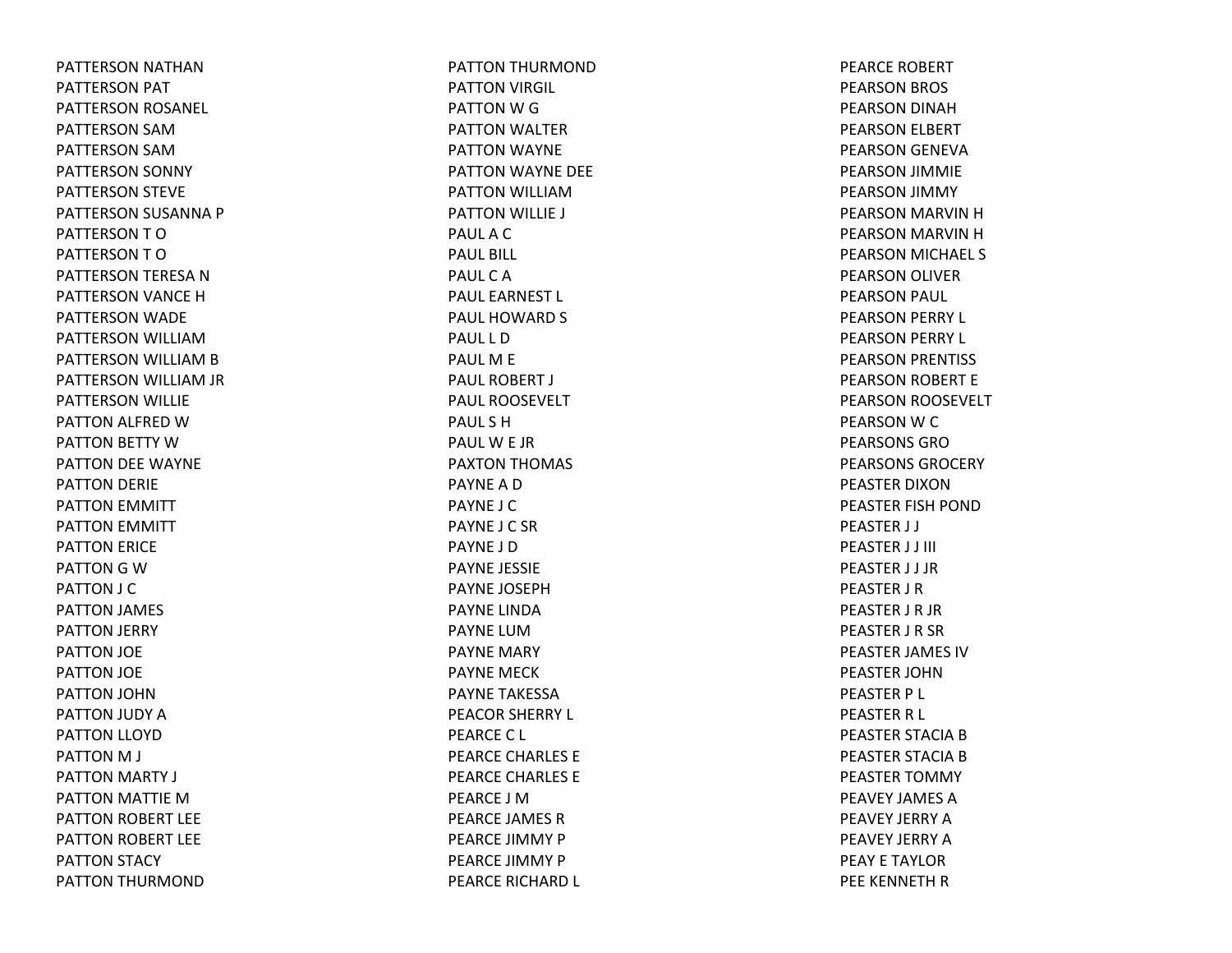PATTERSON NATHAN PATTERSON PAT PATTERSON ROSANEL PATTERSON SAMPATTERSON SAMPATTERSON SONNY PATTERSON STEVE PATTERSON SUSANNA P PATTERSONTOPATTERSONTOPATTERSON TERESA NPATTERSON VANCE HPATTERSON WADE PATTERSON WILLIAMPATTERSON WILLIAM B PATTERSON WILLIAM JR PATTERSON WILLIE PATTON ALFRED WPATTON BETTY WPATTON DEE WAYNE PATTON DERIE PATTON EMMITT PATTON EMMITT PATTON ERICE PATTON G W PATTON J C PATTON JAMES PATTON JERRY PATTON JOE PATTON JOE PATTON JOHN PATTON JUDY APATTON LLOYD PATTON M J PATTON MARTY J PATTON MATTIE MPATTON ROBERT LEE PATTON ROBERT LEE PATTON STACY PATTON THURMOND

PATTON THURMOND PATTON VIRGIL PATTON W G PATTON WALTER PATTON WAYNE PATTON WAYNE DEE PATTON WILLIAMPATTON WILLIE J PAULACPAUL BILL PAULCAPAUL EARNEST L PAUL HOWARD S PAUL L DPAULM E PAUL ROBERT J PAUL ROOSEVELTPAUL S HPAULW E JR PAXTON THOMAS PAYNEADPAYNE J CPAYNE J C SRPAYNE J DPAYNE JESSIE PAYNE JOSEPHPAYNE LINDAPAYNE LUMPAYNE MARY PAYNE MECKPAYNE TAKESSAPEACOR SHERRY L PEARCE C L PEARCE CHARLES E PEARCE CHARLES E PEARCE J MPEARCE JAMES RPEARCE JIMMY PPEARCE JIMMY PPEARCE RICHARD L

PEARCE ROBERT PEARSON BROS PEARSON DINAH PEARSON ELBERT PEARSON GENEVA PEARSON JIMMIE PEARSON JIMMY PEARSON MARVIN HPEARSON MARVIN HPEARSON MICHAEL S PEARSON OLIVER PEARSON PAUL PEARSON PERRY L PEARSON PERRY L PEARSON PRENTISS PEARSON ROBERT E PEARSON ROOSEVELT PEARSON W C PEARSONS GROPEARSONS GROCERYPEASTER DIXONPEASTER FISH POND PEASTER J J PEASTER J J III PEASTER J J JR PEASTER J R PEASTER J R JR PEASTER J R SR PEASTER JAMES IVPEASTER JOHNPEASTER P L PEASTER R L PEASTER STACIA B PEASTER STACIA B PEASTER TOMMY PEAVEY JAMES APEAVEY JERRY APEAVEY JERRY APEAY E TAYLORPEE KENNETH R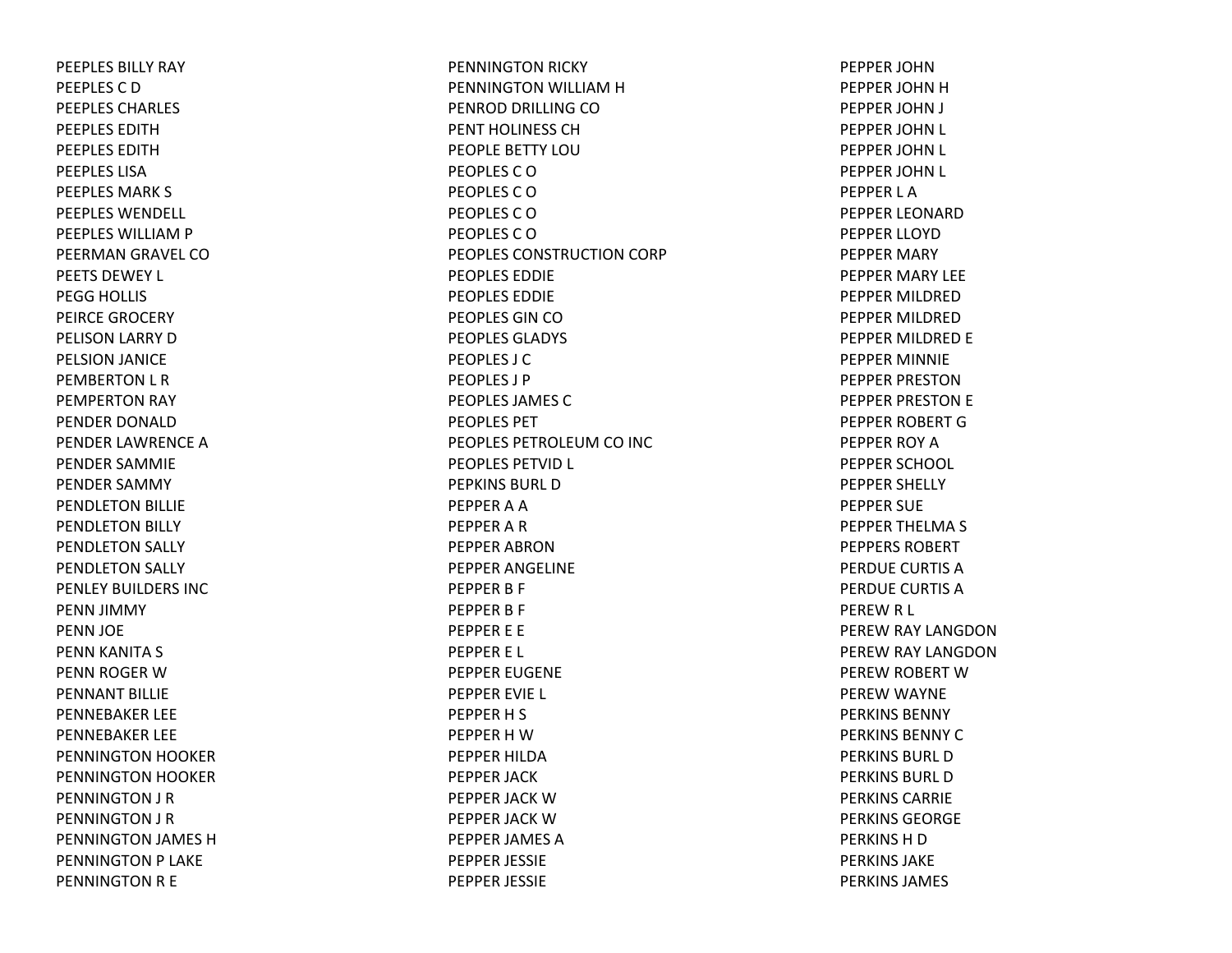PEEPLES BILLY RAY PEEPLES C DPEEPLES CHARLES PEEPLES EDITHPEEPLES EDITHPEEPLES LISAPEEPLES MARK S PEEPLES WENDELL PEEPLES WILLIAM P PEERMAN GRAVEL COPEETS DEWEY L PEGG HOLLIS PEIRCE GROCERY PELISON LARRY D PELSION JANICE PEMBERTON L R PEMPERTON RAY PENDER DONALDPENDER LAWRENCE APENDER SAMMIE PENDER SAMMY PENDLETON BILLIE PENDLETON BILLY PENDLETON SALLY PENDLETON SALLY PENLEY BUILDERS INCPENN JIMMY PENN JOE PENN KANITA S PENN ROGER WPENNANT BILLIEPENNEBAKER LEE PENNEBAKER LEE PENNINGTON HOOKER PENNINGTON HOOKER PENNINGTON J R PENNINGTON J R PENNINGTON JAMES H PENNINGTON P LAKE PENNINGTON R E

PENNINGTON RICKY PENNINGTON WILLIAM H PENROD DRILLING COPENT HOLINESS CHPEOPLE BETTY LOUPEOPLES C OPEOPLES C OPEOPLES C OPEOPLES C OPEOPLES CONSTRUCTION CORP PEOPLES EDDIEPEOPLES EDDIEPEOPLES GIN COPEOPLES GLADYS PEOPLES J CPEOPLES J PPEOPLES JAMES CPEOPLES PETPEOPLES PETROLEUM CO INC PEOPLES PETVID L PEPKINS BURL DPEPPER A A PEPPER A R PEPPER ABRONPEPPER ANGELINE PEPPER B F PEPPER B F PEPPER E E PEPPER E L PEPPER EUGENE PEPPER EVIE L PEPPER H S PEPPER H WPEPPER HILDAPEPPER JACK PEPPER JACK WPEPPER JACK WPEPPER JAMES APEPPER JESSIE PEPPER JESSIE

PEPPER JOHNPEPPER JOHN H PEPPER JOHN J PEPPER JOHN L PEPPER JOHN L PEPPER JOHN L PEPPER L APEPPER LEONARDPEPPER LLOYDPEPPER MARY PEPPER MARY LEE PEPPER MILDREDPEPPER MILDREDPEPPER MILDRED E PEPPER MINNIE PEPPER PRESTONPEPPER PRESTON E PEPPER ROBERT GPEPPER ROY APEPPER SCHOOL PEPPER SHELLY PEPPER SUE PEPPER THELMA S PEPPERS ROBERTPERDUE CURTIS APERDUE CURTIS APEREW R L PEREW RAY LANGDON PEREW RAY LANGDON PEREW ROBERT W PEREW WAYNE PERKINS BENNYPERKINS BENNY CPERKINS BURL DPERKINS BURL DPERKINS CARRIEPERKINS GEORGEPERKINS H D PERKINS JAKEPERKINS JAMES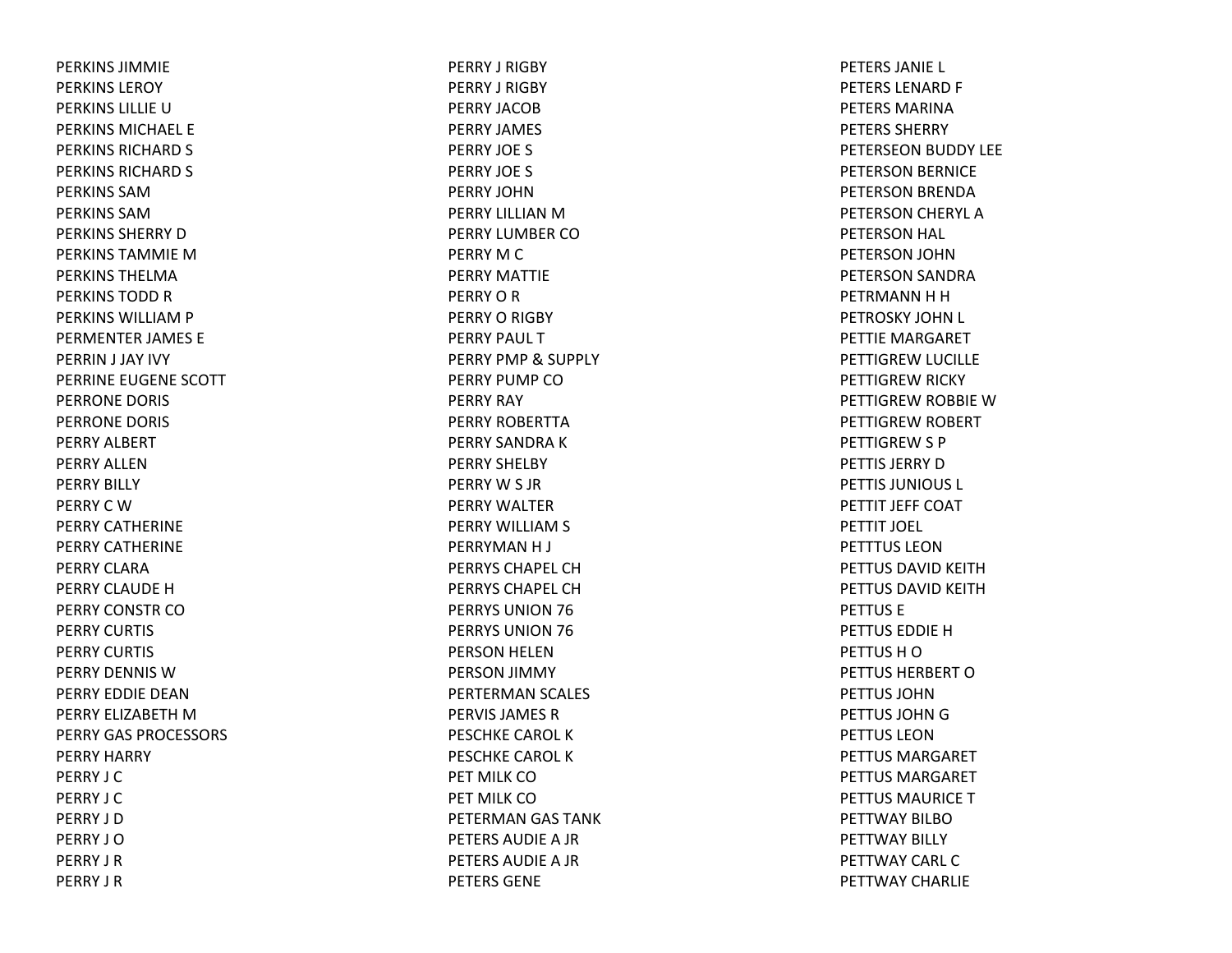PERKINS JIMMIEPERKINS LEROYPERKINS LILLIE U PERKINS MICHAEL EPERKINS RICHARD S PERKINS RICHARD S PERKINS SAMPERKINS SAMPERKINS SHERRY D PERKINS TAMMIE M PERKINS THELMAPERKINS TODD R PERKINS WILLIAM P PERMENTER JAMES E PERRIN J JAY IVY PERRINE EUGENE SCOTT PERRONE DORIS PERRONE DORIS PERRY ALBERT PERRY ALLENPERRY BILLY PERRYCWPERRY CATHERINEPERRY CATHERINEPERRY CLARAPERRY CLAUDE H PERRY CONSTR COPERRY CURTIS PERRY CURTIS PERRY DENNIS WPERRY EDDIE DEANPERRY ELIZABETH MPERRY GAS PROCESSORS PERRY HARRY PERRY J CPERRY J CPERRY J DPERRY J OPERRY J RPERRY J R

PERRY J RIGBY PERRY J RIGBY PERRY JACOBPERRY JAMES PERRY JOE S PERRY JOE S PERRY JOHNPERRY LILLIAN M PERRY LUMBER COPERRY M C PERRY MATTIEPERRYORPERRY O RIGBY PERRY PAUL TPERRY PMP& SUPPLY PERRY PUMP COPERRY RAY PERRY ROBERTTAPERRY SANDRA K PERRY SHELBY PERRYW S JR PERRY WALTERPERRY WILLIAM S PERRYMAN H J PERRYS CHAPEL CHPERRYS CHAPEL CHPERRYS UNION 76 PERRYS UNION 76 PERSON HELEN PERSON JIMMY PERTERMAN SCALES PERVIS JAMES RPESCHKE CAROL KPESCHKE CAROL KPET MILK COPET MILK COPETERMAN GAS TANK PETERS AUDIEA JR PETERS AUDIEA JR PETERS GENE

PETERS JANIE L PETERS LENARD F PETERS MARINAPETERS SHERRYPETERSEON BUDDY LEE PETERSON BERNICE PETERSON BRENDA PETERSON CHERYL APETERSON HAL PETERSON JOHN PETERSON SANDRA PETRMANN H H PETROSKY JOHN L PETTIE MARGARET PETTIGREW LUCILLE PETTIGREW RICKY PETTIGREW ROBBIE WPETTIGREW ROBERT PETTIGREW S P PETTIS JERRY D PETTIS JUNIOUS L PETTIT JEFF COAT PETTIT JOEL PETTTUS LEONPETTUS DAVID KEITHPETTUS DAVID KEITHPETTUS EPETTUS EDDIE H PETTUS H O PETTUS HERBERT O PETTUS JOHNPETTUS JOHN G PETTUS LEONPETTUS MARGARETPETTUS MARGARETPETTUS MAURICE T PETTWAY BILBOPETTWAY BILLY PETTWAY CARL CPETTWAY CHARLIE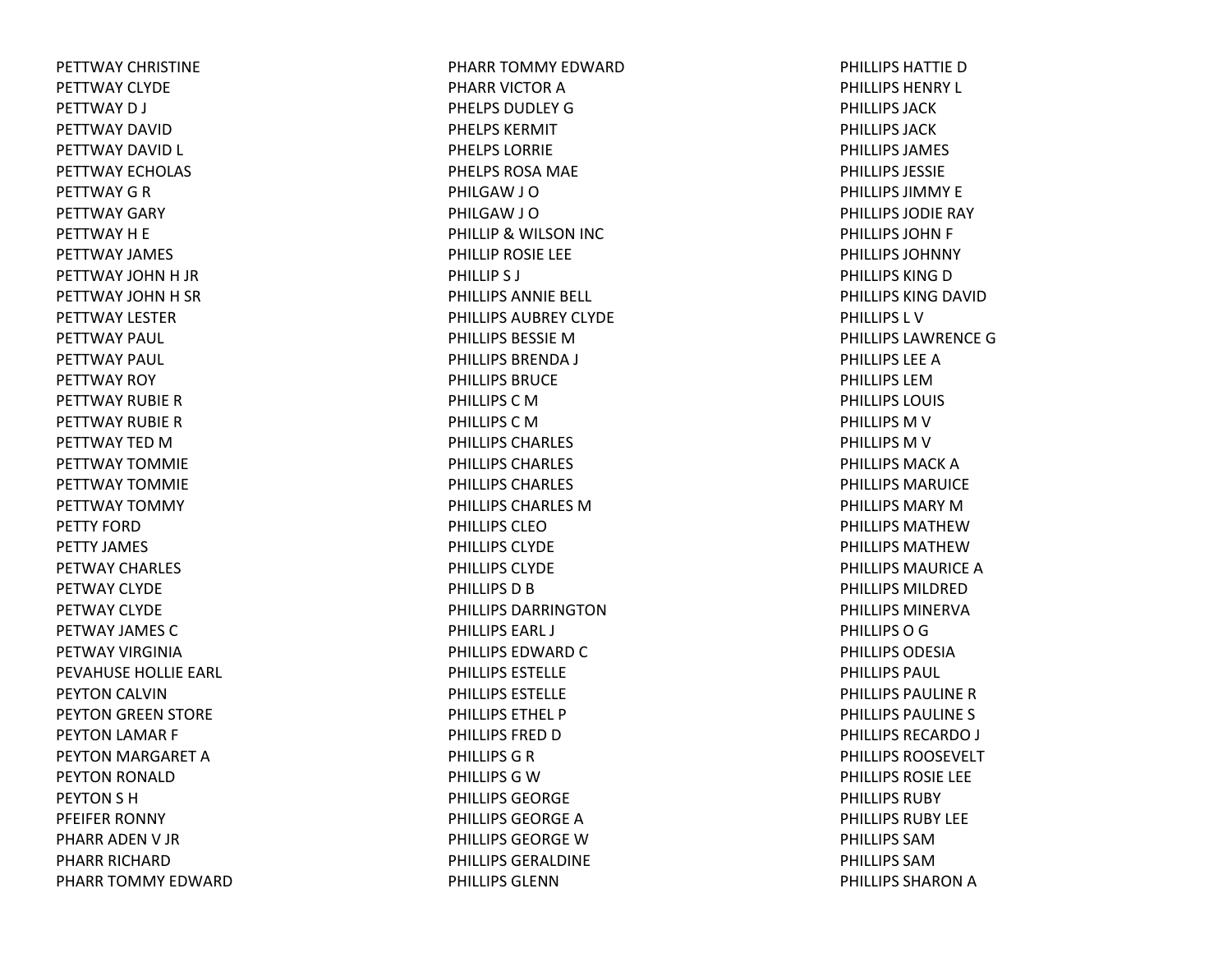PETTWAY CHRISTINEPETTWAY CLYDEPETTWAYD J PETTWAY DAVIDPETTWAY DAVID L PETTWAY ECHOLAS PETTWAY G R PETTWAY GARY PETTWAYH E PETTWAY JAMES PETTWAY JOHN H JR PETTWAY JOHN H SR PETTWAY LESTERPETTWAY PAUL PETTWAY PAUL PETTWAY ROY PETTWAY RUBIERPETTWAY RUBIERPETTWAY TED M PETTWAY TOMMIEPETTWAY TOMMIEPETTWAY TOMMY PETTY FORDPETTY JAMES PETWAY CHARLES PETWAY CLYDEPETWAY CLYDEPETWAY JAMES CPETWAY VIRGINIAPEVAHUSE HOLLIE EARL PEYTON CALVIN PEYTON GREEN STORE PEYTON LAMAR F PEYTON MARGARET APEYTON RONALD PEYTON S H PFEIFER RONNY PHARR ADEN V JR PHARR RICHARDPHARR TOMMY EDWARD PHARR TOMMY EDWARDPHARR VICTOR APHELPS DUDLEY G PHELPS KERMITPHELPS LORRIEPHELPS ROSA MAE PHILGAW J O PHILGAW J O PHILLIP& WILSON INC PHILLIP ROSIE LEE PHILLIP S J PHILLIPS ANNIE BELL PHILLIPS AUBREY CLYDEPHILLIPS BESSIE M PHILLIPS BRENDA J PHILLIPS BRUCEPHILLIPS C M PHILLIPSCMPHILLIPS CHARLES PHILLIPS CHARLES PHILLIPS CHARLES PHILLIPS CHARLES MPHILLIPS CLEOPHILLIPS CLYDEPHILLIPS CLYDEPHILLIPS D B PHILLIPS DARRINGTONPHILLIPS EARL J PHILLIPS EDWARD C PHILLIPS ESTELLEPHILLIPS ESTELLEPHILLIPS ETHEL PPHILLIPS FRED D PHILLIPSGRPHILLIPSGWPHILLIPS GEORGEPHILLIPS GEORGE A PHILLIPS GEORGE W PHILLIPS GERALDINEPHILLIPS GLENN

PHILLIPS HATTIE D PHILLIPS HENRY L PHILLIPS JACKPHILLIPS JACKPHILLIPS JAMES PHILLIPS JESSIEPHILLIPS JIMMY EPHILLIPS JODIE RAY PHILLIPS JOHN F PHILLIPS JOHNNYPHILLIPS KING D PHILLIPS KING DAVID PHILLIPS L VPHILLIPS LAWRENCE G PHILLIPS LEE A PHILLIPS LEMPHILLIPS LOUIS PHILLIPS M V PHILLIPS M V PHILLIPS MACK A PHILLIPS MARUICEPHILLIPS MARY M PHILLIPS MATHEWPHILLIPS MATHEWPHILLIPS MAURICEAPHILLIPS MILDREDPHILLIPS MINERVAPHILLIPSOGPHILLIPS ODESIAPHILLIPS PAUL PHILLIPS PAULINE R PHILLIPS PAULINE S PHILLIPS RECARDO J PHILLIPS ROOSEVELTPHILLIPS ROSIE LEE PHILLIPS RUBYPHILLIPS RUBY LEEPHILLIPS SAMPHILLIPS SAMPHILLIPS SHARON A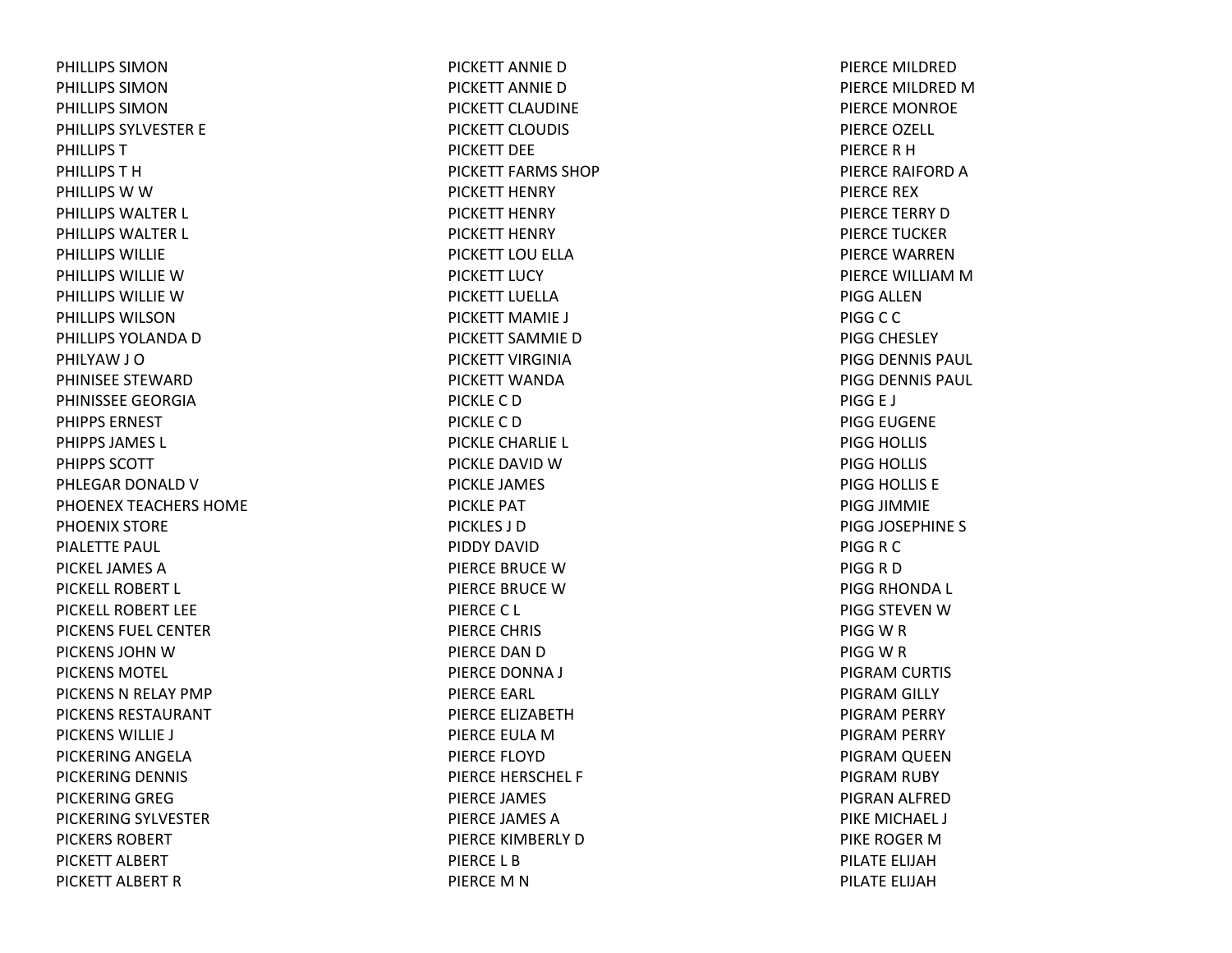PHILLIPS SIMONPHILLIPS SIMONPHILLIPS SIMONPHILLIPS SYLVESTER E PHILLIPSTPHILLIPSTHPHILLIPS W W PHILLIPS WALTER L PHILLIPS WALTER L PHILLIPS WILLIEPHILLIPS WILLIE W PHILLIPS WILLIE W PHILLIPS WILSONPHILLIPS YOLANDA D PHILYAW J O PHINISEE STEWARDPHINISSEE GEORGIAPHIPPS ERNESTPHIPPS JAMES L PHIPPS SCOTTPHLEGAR DONALD V PHOENEX TEACHERS HOME PHOENIX STORE PIALETTE PAUL PICKEL JAMES A PICKELL ROBERT L PICKELL ROBERT LEEPICKENS FUEL CENTERPICKENS JOHN W PICKENS MOTEL PICKENS N RELAY PMP PICKENS RESTAURANTPICKENS WILLIE J PICKERING ANGELA PICKERING DENNIS PICKERING GREG PICKERING SYLVESTER PICKERS ROBERTPICKETT ALBERT PICKETT ALBERT R

PICKETT ANNIE D PICKETT ANNIEDPICKETT CLAUDINEPICKETT CLOUDIS PICKETT DEEPICKETT FARMS SHOPPICKETT HENRY PICKETT HENRY PICKETT HENRY PICKETT LOU ELLA PICKETT LUCY PICKETT LUELLAPICKETT MAMIE J PICKETT SAMMIE D PICKETT VIRGINIAPICKETT WANDAPICKLECDPICKLECDPICKLE CHARLIE L PICKLE DAVID W PICKLE JAMES PICKLE PAT PICKLES J DPIDDY DAVIDPIERCE BRUCE WPIERCE BRUCE WPIERCEC L PIERCE CHRIS PIERCE DAN D PIERCE DONNA J PIERCE EARL PIERCE ELIZABETHPIERCE EULA M PIERCE FLOYDPIERCE HERSCHEL F PIERCE JAMES PIERCE JAMES APIERCE KIMBERLY DPIERCE L BPIERCE M N

PIERCE MILDREDPIERCE MILDRED M PIERCE MONROE PIERCE OZELL PIERCERHPIERCE RAIFORD A PIERCE REXPIERCE TERRY DPIERCE TUCKERPIERCE WARRENPIERCE WILLIAM M PIGG ALLENPIGGCCPIGG CHESLEY PIGG DENNIS PAUL PIGG DENNIS PAUL PIGG E J PIGG EUGENE PIGG HOLLIS PIGG HOLLIS PIGG HOLLIS E PIGG JIMMIE PIGG JOSEPHINE S PIGGRCPIGGRDPIGG RHONDA L PIGG STEVEN W PIGGWRPIGGWRPIGRAM CURTIS PIGRAM GILLY PIGRAM PERRY PIGRAM PERRY PIGRAM QUEEN PIGRAM RUBY PIGRAN ALFRED PIKE MICHAEL J PIKE ROGER M PILATE ELIJAHPILATE ELIJAH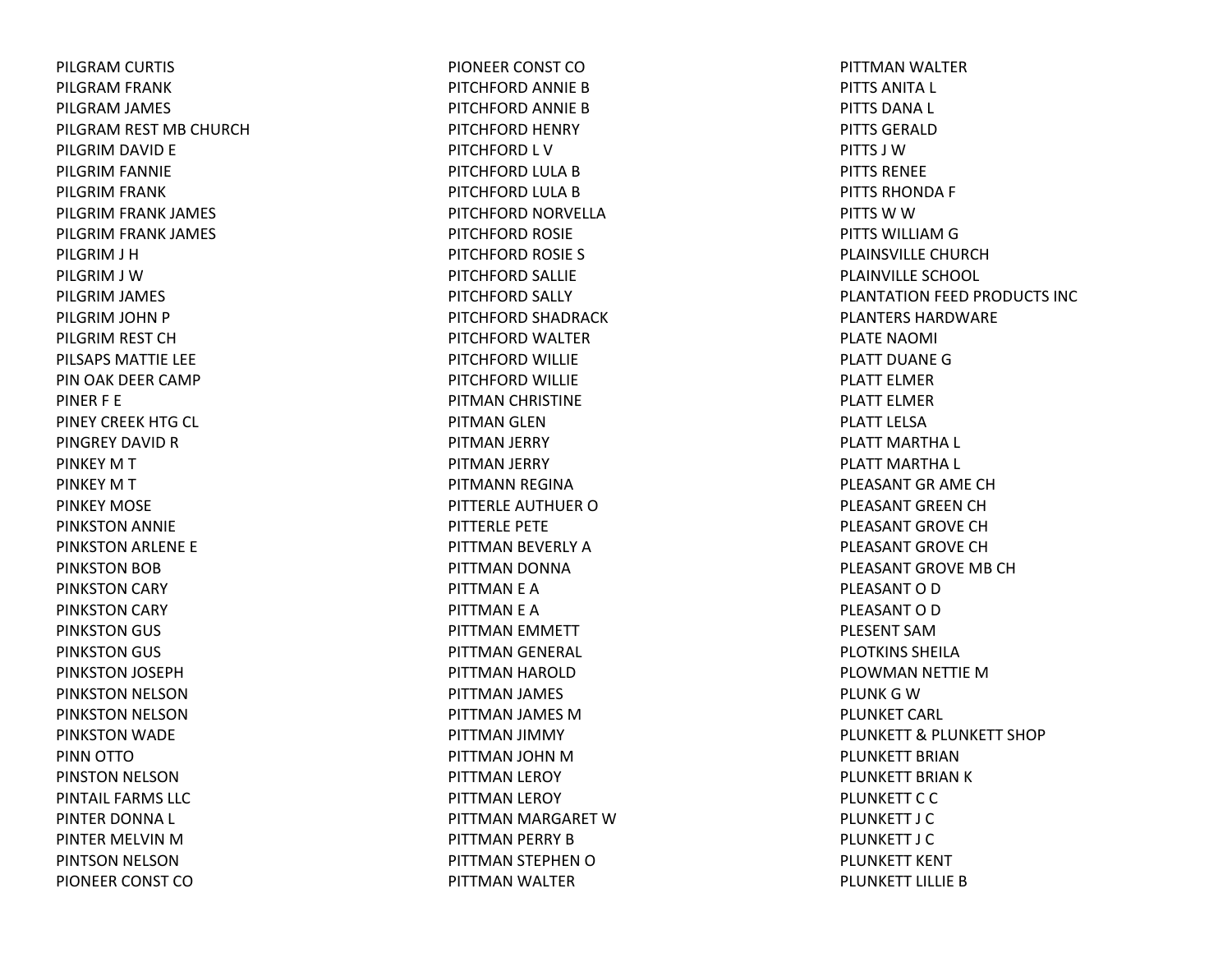PILGRAM CURTIS PILGRAM FRANK PILGRAM JAMES PILGRAM REST MB CHURCH PILGRIM DAVID E PILGRIM FANNIE PILGRIM FRANK PILGRIM FRANK JAMES PILGRIM FRANK JAMES PILGRIM J H PILGRIM J WPILGRIM JAMES PILGRIM JOHN P PILGRIM REST CH PILSAPS MATTIE LEE PIN OAK DEER CAMP PINER F E PINEY CREEK HTG CL PINGREY DAVID R PINKEY M T PINKEY M T PINKEY MOSEPINKSTON ANNIE PINKSTON ARLENE E PINKSTON BOB PINKSTON CARY PINKSTON CARY PINKSTON GUS PINKSTON GUS PINKSTON JOSEPH PINKSTON NELSON PINKSTON NELSON PINKSTON WADE PINN OTTOPINSTON NELSON PINTAIL FARMS LLCPINTER DONNA L PINTER MELVIN M PINTSON NELSON PIONEER CONST CO

PIONEER CONST COPITCHFORD ANNIE BPITCHFORD ANNIE BPITCHFORD HENRY PITCHFORD L V PITCHFORD LULA BPITCHFORD LULA BPITCHFORD NORVELLA PITCHFORD ROSIE PITCHFORD ROSIE S PITCHFORD SALLIE PITCHFORD SALLY PITCHFORD SHADRACK PITCHFORD WALTER PITCHFORD WILLIE PITCHFORD WILLIE PITMAN CHRISTINE PITMAN GLEN PITMAN JERRY PITMAN JERRY PITMANN REGINA PITTERLE AUTHUER O PITTERLE PETE PITTMAN BEVERLY APITTMAN DONNA PITTMAN E A PITTMAN E A PITTMAN EMMETT PITTMAN GENERAL PITTMAN HAROLD PITTMAN JAMES PITTMAN JAMES MPITTMAN JIMMY PITTMAN JOHN MPITTMAN LEROY PITTMAN LEROY PITTMAN MARGARET WPITTMAN PERRY BPITTMAN STEPHEN OPITTMAN WALTER

PITTMAN WALTER PITTS ANITA L PITTS DANA L PITTS GERALDPITTS J WPITTS RENEEPITTS RHONDA F PITTS W W PITTS WILLIAM G PLAINSVILLE CHURCHPLAINVILLE SCHOOL PLANTATION FEED PRODUCTS INC PLANTERS HARDWAREPLATE NAOMI PLATT DUANEGPLATT ELMERPLATT ELMERPLATT LELSAPLATT MARTHA L PLATT MARTHA L PLEASANT GR AME CHPLEASANT GREEN CH PLEASANT GROVE CHPLEASANT GROVE CHPLEASANT GROVE MB CHPLEASANT O D PLEASANT O D PLESENT SAMPLOTKINS SHEILAPLOWMAN NETTIE MPLUNK G W PLUNKET CARL PLUNKETT& PLUNKETT SHOP PLUNKETT BRIANPLUNKETT BRIAN K PLUNKETT C C PLUNKETT J CPLUNKETT J CPLUNKETT KENT PLUNKETT LILLIE B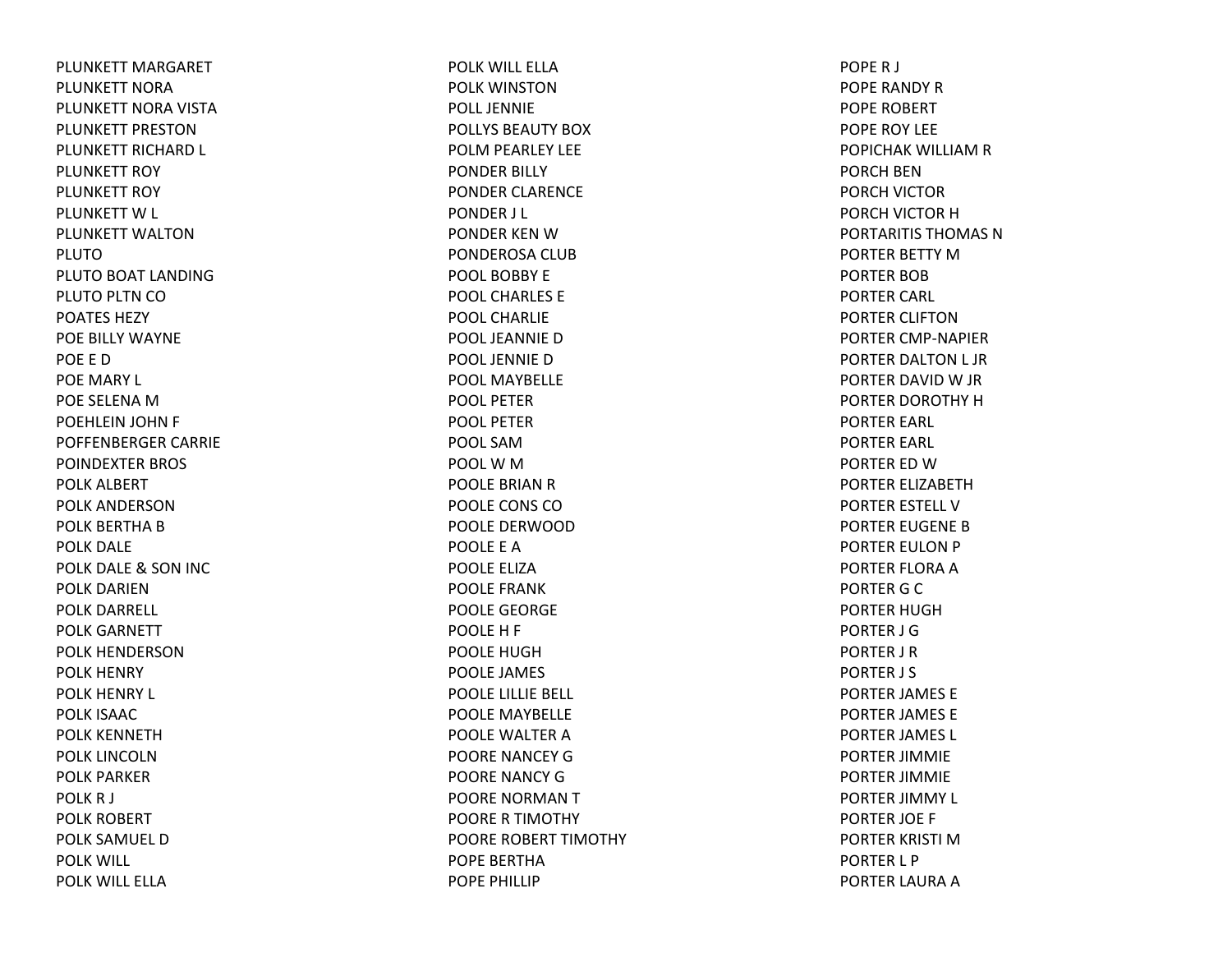PLUNKETT MARGARET PLUNKETT NORAPLUNKETT NORA VISTA PLUNKETT PRESTONPLUNKETT RICHARD L PLUNKETT ROY PLUNKETT ROY PLUNKETT W L PLUNKETT WALTONPLUTOPLUTO BOAT LANDING PLUTO PLTN CO POATES HEZYPOE BILLY WAYNE POE E DPOE MARY L POE SELENA M POEHLEIN JOHN F POFFENBERGER CARRIE POINDEXTER BROS POLK ALBERT POLK ANDERSONPOLK BERTHA B POLK DALE POLK DALE & SON INC POLK DARIENPOLK DARRELL POLK GARNETT POLK HENDERSONPOLK HENRY POLK HENRY L POLK ISAACPOLK KENNETHPOLK LINCOLNPOLK PARKERPOLKR J POLK ROBERT POLK SAMUEL DPOLK WILL POLK WILL ELLA

POLK WILL ELLAPOLK WINSTONPOLL JENNIEPOLLYS BEAUTY BOXPOLM PEARLEY LEE PONDER BILLY PONDER CLARENCE PONDER J L PONDER KEN W PONDEROSA CLUB POOL BOBBY EPOOL CHARLES EPOOL CHARLIEPOOL JEANNIEDPOOL JENNIEDPOOL MAYBELLEPOOL PETERPOOL PETERPOOL SAMPOOLWMPOOLE BRIAN R POOLE CONS COPOOLE DERWOODPOOLE E APOOLE ELIZAPOOLE FRANKPOOLE GEORGE POOLE H F POOLE HUGHPOOLE JAMES POOLE LILLIE BELL POOLE MAYBELLE POOLE WALTER A POORE NANCEY GPOORE NANCY GPOORE NORMAN T POORE R TIMOTHY POORE ROBERT TIMOTHY POPE BERTHAPOPE PHILLIP

POPER J POPE RANDY R POPE ROBERT POPE ROY LEE POPICHAK WILLIAM R PORCH BENPORCH VICTOR PORCH VICTOR HPORTARITIS THOMAS NPORTER BETTY MPORTER BOBPORTER CARL PORTER CLIFTONPORTER CMP‐NAPIER PORTER DALTON L JR PORTER DAVID W JR PORTER DOROTHY HPORTER EARL PORTER EARL PORTER ED W PORTER ELIZABETHPORTER ESTELL VPORTER EUGENE BPORTER EULON P PORTER FLORA A PORTER G C PORTER HUGHPORTER J GPORTER J R PORTER J S PORTER JAMES E PORTER JAMES E PORTER JAMES L PORTER JIMMIE PORTER JIMMIE PORTER JIMMY L PORTER JOE F PORTER KRISTI MPORTER L P PORTER LAURA A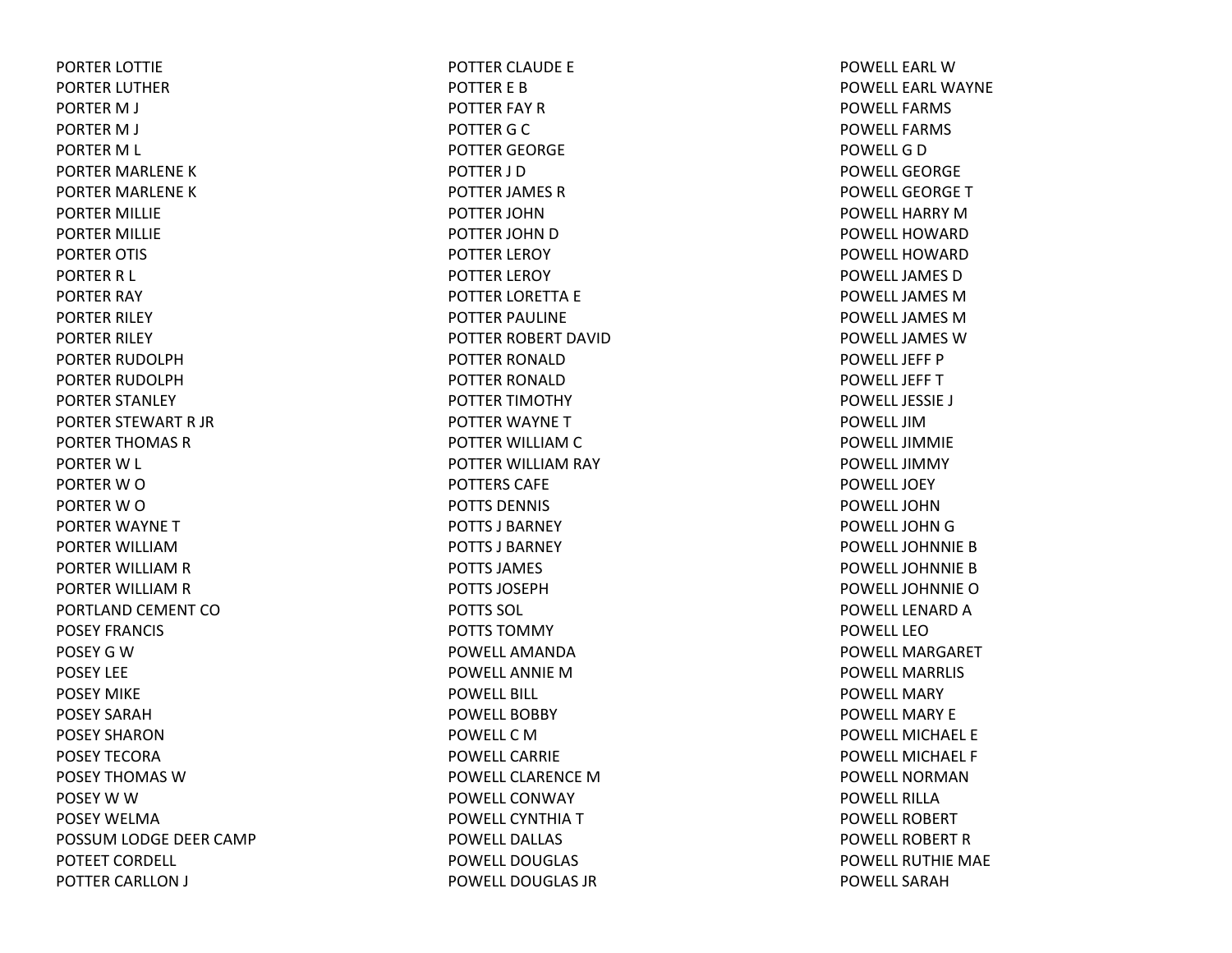PORTER LOTTIE PORTER LUTHER PORTER M J PORTER M J PORTER M L PORTER MARLENE KPORTER MARLENE KPORTER MILLIE PORTER MILLIE PORTER OTIS PORTER R L PORTER RAY PORTER RILEY PORTER RILEY PORTER RUDOLPHPORTER RUDOLPHPORTER STANLEY PORTER STEWART R JR PORTER THOMAS RPORTER W L PORTER W O PORTER W O PORTER WAYNE TPORTER WILLIAMPORTER WILLIAM R PORTER WILLIAM R PORTLAND CEMENT COPOSEY FRANCIS POSEY G W POSEY LEEPOSEY MIKEPOSEY SARAHPOSEY SHARONPOSEY TECORAPOSEY THOMAS WPOSEY W W POSEY WELMAPOSSUM LODGE DEER CAMP POTEET CORDELL POTTER CARLLON J

POTTER CLAUDE E POTTER E BPOTTER FAY RPOTTER G C POTTER GEORGE POTTER J DPOTTER JAMES RPOTTER JOHNPOTTER JOHN D POTTER LEROY POTTER LEROY POTTER LORETTA E POTTER PAULINE POTTER ROBERT DAVIDPOTTER RONALDPOTTER RONALDPOTTER TIMOTHY POTTER WAYNE TPOTTER WILLIAM C POTTER WILLIAM RAY POTTERS CAFEPOTTS DENNIS POTTS J BARNEYPOTTS J BARNEYPOTTS JAMES POTTS JOSEPHPOTTS SOL POTTS TOMMYPOWELL AMANDAPOWELL ANNIE M POWELL BILL POWELL BOBBYPOWELLCMPOWELL CARRIEPOWELL CLARENCE M POWELL CONWAYPOWELL CYNTHIA T POWELL DALLASPOWELL DOUGLASPOWELL DOUGLAS JR

POWELL EARL W POWELL EARL WAYNEPOWELL FARMSPOWELL FARMSPOWELLGDPOWELL GEORGEPOWELL GEORGETPOWELL HARRY M POWELL HOWARDPOWELL HOWARDPOWELL JAMES D POWELL JAMES M POWELL JAMES M POWELL JAMES W POWELL JEFF PPOWELL JEFFTPOWELL JESSIE J POWELL JIMPOWELL JIMMIEPOWELL JIMMYPOWELL JOEYPOWELL JOHNPOWELL JOHN G POWELL JOHNNIE B POWELL JOHNNIE B POWELL JOHNNIEOPOWELL LENARD A POWELL LEOPOWELL MARGARETPOWELL MARRLISPOWELL MARYPOWELL MARY EPOWELL MICHAEL EPOWELL MICHAEL FPOWELL NORMANPOWELL RILLAPOWELL ROBERTPOWELL ROBERT R POWELL RUTHIE MAE POWELL SARAH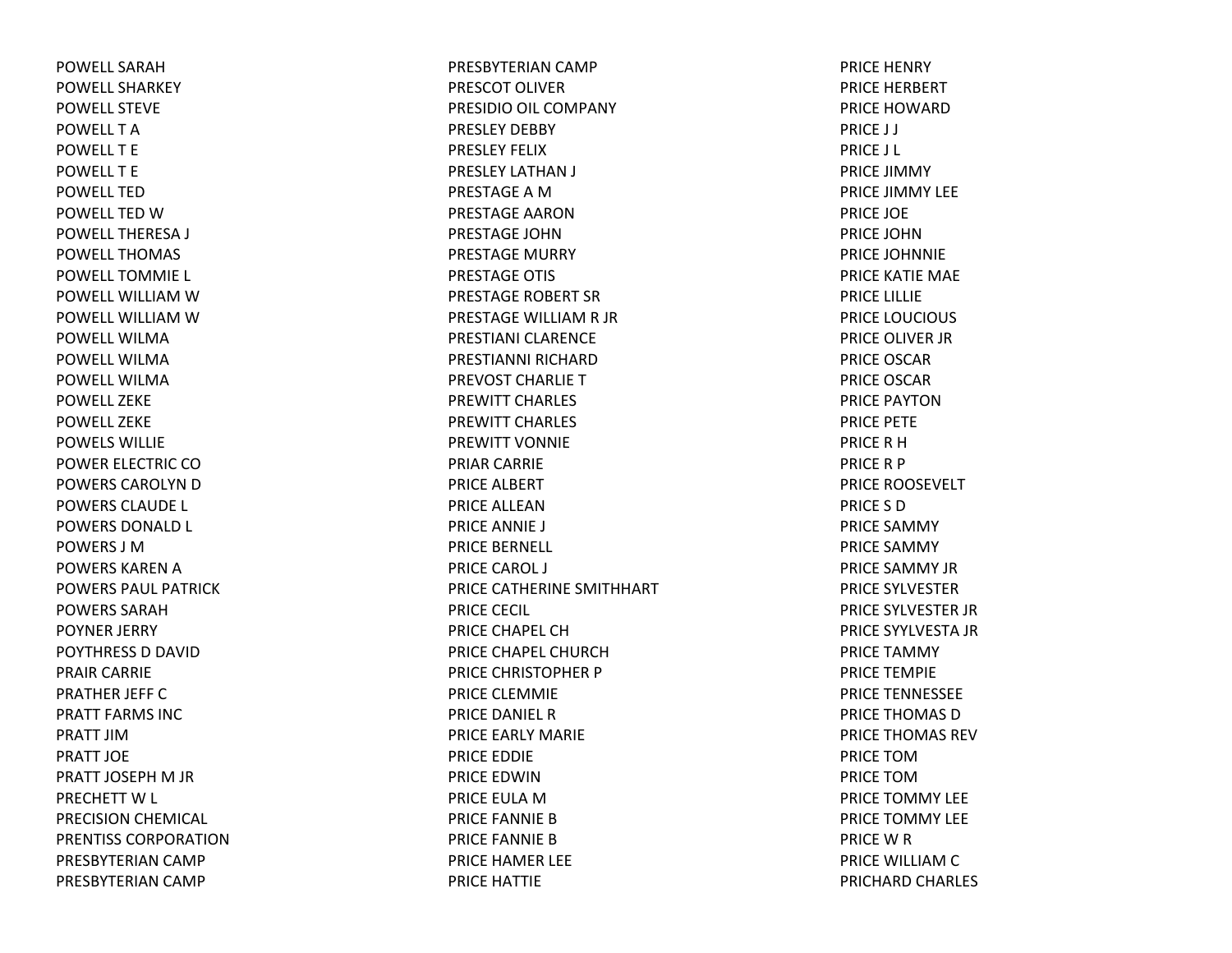POWELL SARAHPOWELL SHARKEYPOWELL STEVEPOWELL T APOWELL T EPOWELL T EPOWELL TEDPOWELL TED WPOWELL THERESA J POWELL THOMASPOWELL TOMMIE L POWELL WILLIAM WPOWELL WILLIAM WPOWELL WILMAPOWELL WILMAPOWELL WILMAPOWELL ZEKEPOWELL ZEKEPOWELS WILLIEPOWER ELECTRIC COPOWERS CAROLYN D POWERS CLAUDE L POWERS DONALD L POWERS J MPOWERS KAREN A POWERS PAUL PATRICKPOWERS SARAHPOYNER JERRY POYTHRESS D DAVID PRAIR CARRIE PRATHER JEFF C PRATT FARMS INCPRATT JIMPRATT JOEPRATT JOSEPH M JR PRECHETT W L PRECISION CHEMICAL PRENTISS CORPORATIONPRESBYTERIAN CAMP PRESBYTERIAN CAMP

PRESBYTERIAN CAMP PRESCOT OLIVERPRESIDIO OIL COMPANY PRESLEY DEBBY PRESLEY FELIXPRESLEY LATHAN J PRESTAGE A MPRESTAGE AARONPRESTAGE JOHNPRESTAGE MURRY PRESTAGE OTIS PRESTAGE ROBERT SRPRESTAGE WILLIAM R JR PRESTIANI CLARENCEPRESTIANNI RICHARDPREVOST CHARLIE T PREWITT CHARLES PREWITT CHARLES PREWITT VONNIEPRIAR CARRIE PRICE ALBERT PRICE ALLEANPRICE ANNIE J PRICE BERNELL PRICE CAROL J PRICE CATHERINE SMITHHART PRICE CECIL PRICE CHAPEL CHPRICE CHAPEL CHURCHPRICE CHRISTOPHER P PRICE CLEMMIE PRICE DANIEL RPRICE EARLY MARIE PRICE EDDIE PRICE EDWINPRICE EULA MPRICE FANNIE BPRICE FANNIE BPRICE HAMER LEE PRICE HATTIE

PRICE HENRY PRICE HERBERT PRICE HOWARDPRICE J J PRICE J L PRICE JIMMY PRICE JIMMY LEE PRICE JOE PRICE JOHNPRICE JOHNNIE PRICE KATIE MAE PRICE LILLIE PRICE LOUCIOUS PRICE OLIVER JR PRICE OSCARPRICE OSCARPRICE PAYTONPRICE PETE PRICE R HPRICE R P PRICE ROOSEVELT PRICE S DPRICE SAMMYPRICE SAMMY PRICE SAMMY JRPRICE SYLVESTERPRICE SYLVESTER JR PRICE SYYLVESTA JR PRICE TAMMY PRICE TEMPIE PRICE TENNESSEE PRICE THOMAS DPRICE THOMAS REVPRICE TOMPRICE TOMPRICE TOMMY LEE PRICE TOMMY LEE PRICE W R PRICE WILLIAM C PRICHARD CHARLES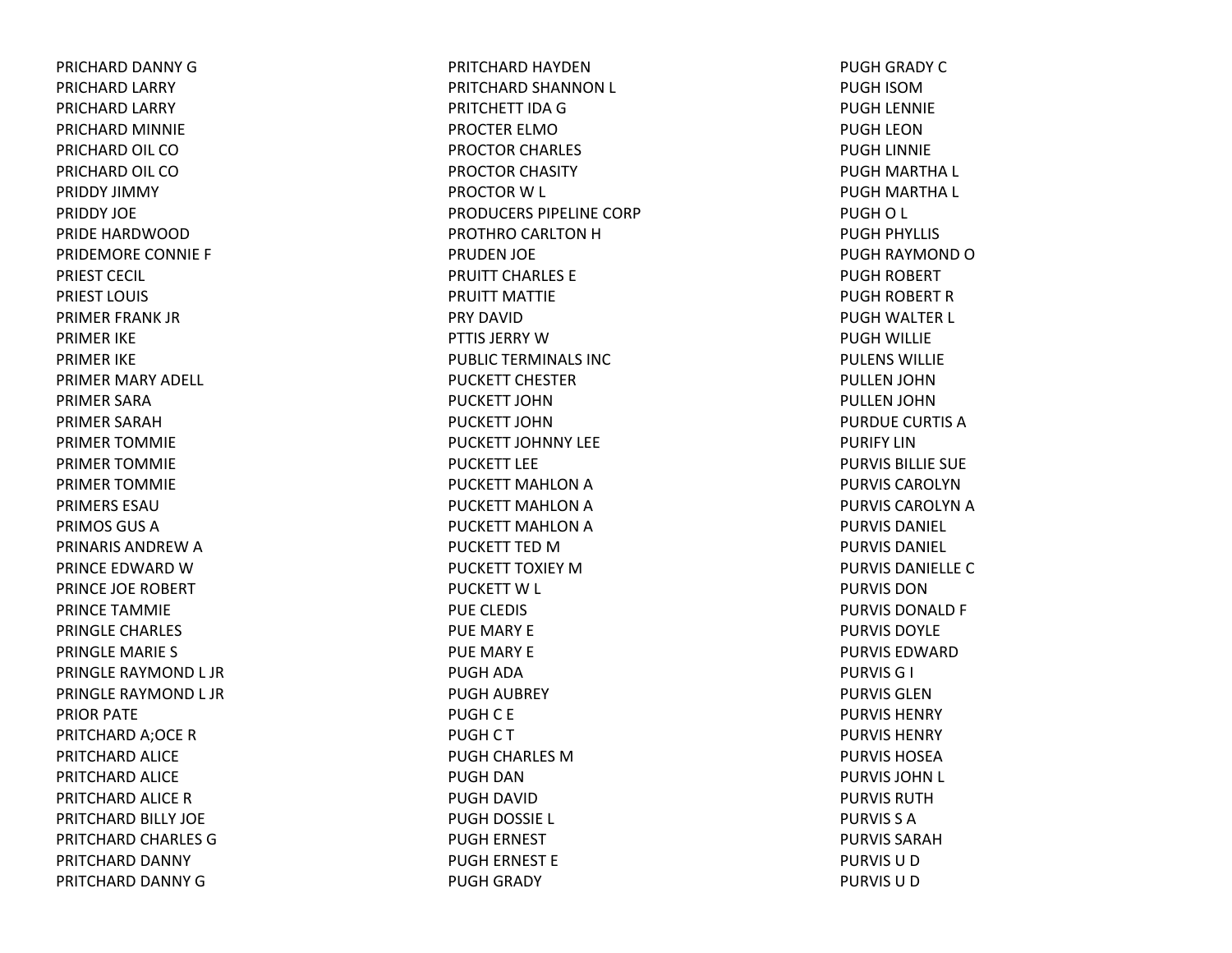PRICHARD DANNY GPRICHARD LARRY PRICHARD LARRY PRICHARD MINNIE PRICHARD OIL COPRICHARD OIL COPRIDDY JIMMY PRIDDY JOEPRIDE HARDWOODPRIDEMORE CONNIE F PRIEST CECIL PRIEST LOUIS PRIMER FRANK JR PRIMER IKE PRIMER IKE PRIMER MARY ADELL PRIMER SARAPRIMER SARAHPRIMER TOMMIE PRIMER TOMMIE PRIMER TOMMIE PRIMERS ESAUPRIMOS GUS A PRINARIS ANDREW A PRINCE EDWARD W PRINCE JOE ROBERT PRINCE TAMMIE PRINGLE CHARLES PRINGLE MARIE S PRINGLE RAYMOND L JR PRINGLE RAYMOND L JR PRIOR PATE PRITCHARD A;OCE RPRITCHARD ALICE PRITCHARD ALICE PRITCHARD ALICE RPRITCHARD BILLY JOE PRITCHARD CHARLES GPRITCHARD DANNY PRITCHARD DANNY G

PRITCHARD HAYDENPRITCHARD SHANNON L PRITCHETT IDAGPROCTER ELMOPROCTOR CHARLES PROCTOR CHASITY PROCTOR W L PRODUCERS PIPELINE CORPPROTHRO CARLTON HPRUDEN JOE PRUITT CHARLES EPRUITT MATTIEPRY DAVIDPTTIS JERRY W PUBLIC TERMINALS INC PUCKETT CHESTERPUCKETT JOHNPUCKETT JOHNPUCKETT JOHNNY LEEPUCKETT LEEPUCKETT MAHLON A PUCKETT MAHLON A PUCKETT MAHLON A PUCKETT TED M PUCKETT TOXIEY MPUCKETT W L PUE CLEDIS PUE MARY E PUE MARY E PUGH ADA PUGH AUBREY PUGHC E PUGHCTPUGH CHARLES MPUGH DANPUGH DAVID PUGH DOSSIE L PUGH ERNEST PUGH ERNEST E PUGH GRADY

PUGH GRADY CPUGH ISOMPUGH LENNIE PUGH LEONPUGH LINNIE PUGH MARTHA L PUGH MARTHA L PUGHO L PUGH PHYLLIS PUGH RAYMOND OPUGH ROBERT PUGH ROBERT RPUGH WALTER L PUGH WILLIE PULENS WILLIEPULLEN JOHN PULLEN JOHN PURDUE CURTIS APURIFY LINPURVIS BILLIE SUE PURVIS CAROLYNPURVIS CAROLYN A PURVIS DANIEL PURVIS DANIEL PURVIS DANIELLE C PURVIS DONPURVIS DONALD F PURVIS DOYLEPURVIS EDWARDPURVISG I PURVIS GLENPURVIS HENRY PURVIS HENRYPURVIS HOSEAPURVIS JOHN L PURVIS RUTHPURVIS S APURVIS SARAHPURVIS U D PURVIS U D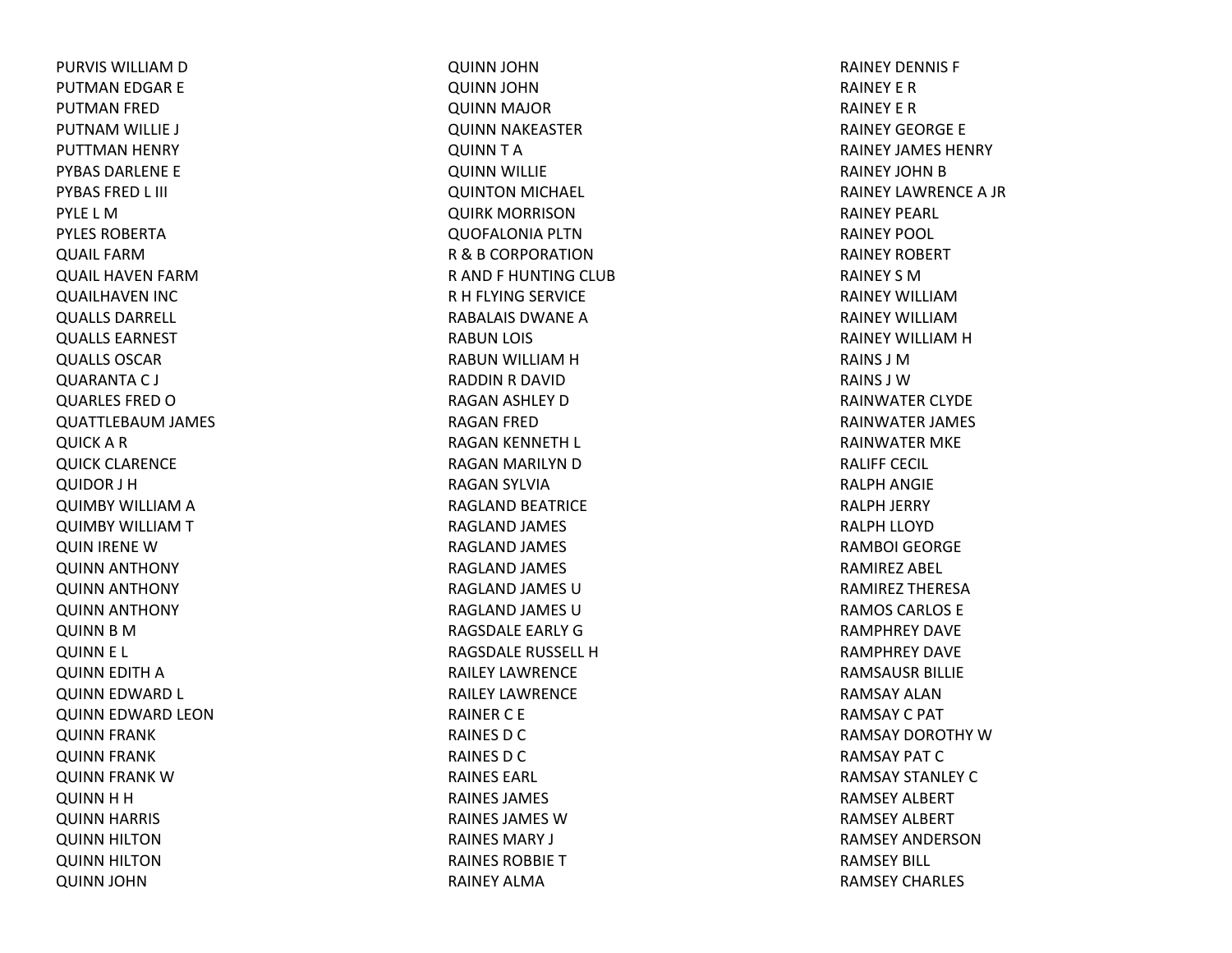PURVIS WILLIAM D PUTMAN EDGAR E PUTMAN FRED PUTNAM WILLIE J PUTTMAN HENRY PYBAS DARLENE E PYBAS FRED L III PYLE L MPYLES ROBERTAQUAIL FARM QUAIL HAVEN FARM QUAILHAVEN INC QUALLS DARRELL QUALLS EARNEST QUALLS OSCAR QUARANTA C J QUARLES FRED OQUATTLEBAUM JAMES QUICK ARQUICK CLARENCE QUIDOR J H QUIMBY WILLIAM AQUIMBY WILLIAM TQUIN IRENE WQUINN ANTHONY QUINN ANTHONY QUINN ANTHONY QUINN BMQUINN E L QUINN EDITH AQUINN EDWARD L QUINN EDWARD LEON QUINN FRANK QUINN FRANK QUINN FRANK WQUINN HHQUINN HARRIS QUINN HILTON QUINN HILTON QUINN JOHN

QUINN JOHN QUINN JOHN QUINN MAJOR QUINN NAKEASTER QUINN TAQUINN WILLIE QUINTON MICHAEL QUIRK MORRISON QUOFALONIA PLTN R&B CORPORATIONR AND F HUNTING CLUB RH FLYING SERVICE RABALAIS DWANEARABUN LOIS RABUN WILLIAM H RADDIN R DAVID RAGAN ASHLEY DRAGAN FRED RAGAN KENNETH L RAGAN MARILYN DRAGAN SYLVIA RAGLAND BEATRICE RAGLAND JAMES RAGLAND JAMES RAGLAND JAMES RAGLAND JAMES URAGLAND JAMES URAGSDALE EARLY GRAGSDALE RUSSELL HRAILEY LAWRENCERAILEY LAWRENCERAINER C E RAINES D C RAINES D C RAINES EARL RAINES JAMES RAINES JAMES WRAINES MARY J RAINES ROBBIETRAINEY ALMA

RAINEY DENNIS F RAINEY E RRAINEY E RRAINEY GEORGE E RAINEY JAMES HENRY RAINEY JOHN B RAINEY LAWRENCEA JR RAINEY PEARL RAINEY POOL RAINEY ROBERT RAINEY S MRAINEY WILLIAMRAINEY WILLIAMRAINEY WILLIAM H RAINS J MRAINS J WRAINWATER CLYDE RAINWATER JAMES RAINWATER MKE RALIFF CECIL RALPH ANGIE RALPH JERRY RALPH LLOYD RAMBOI GEORGERAMIREZ ABEL RAMIREZ THERESARAMOS CARLOS ERAMPHREY DAVERAMPHREY DAVERAMSAUSR BILLIE RAMSAY ALANRAMSAYC PAT RAMSAY DOROTHY WRAMSAY PAT CRAMSAY STANLEY CRAMSEY ALBERT RAMSEY ALBERT RAMSEY ANDERSONRAMSEY BILL RAMSEY CHARLES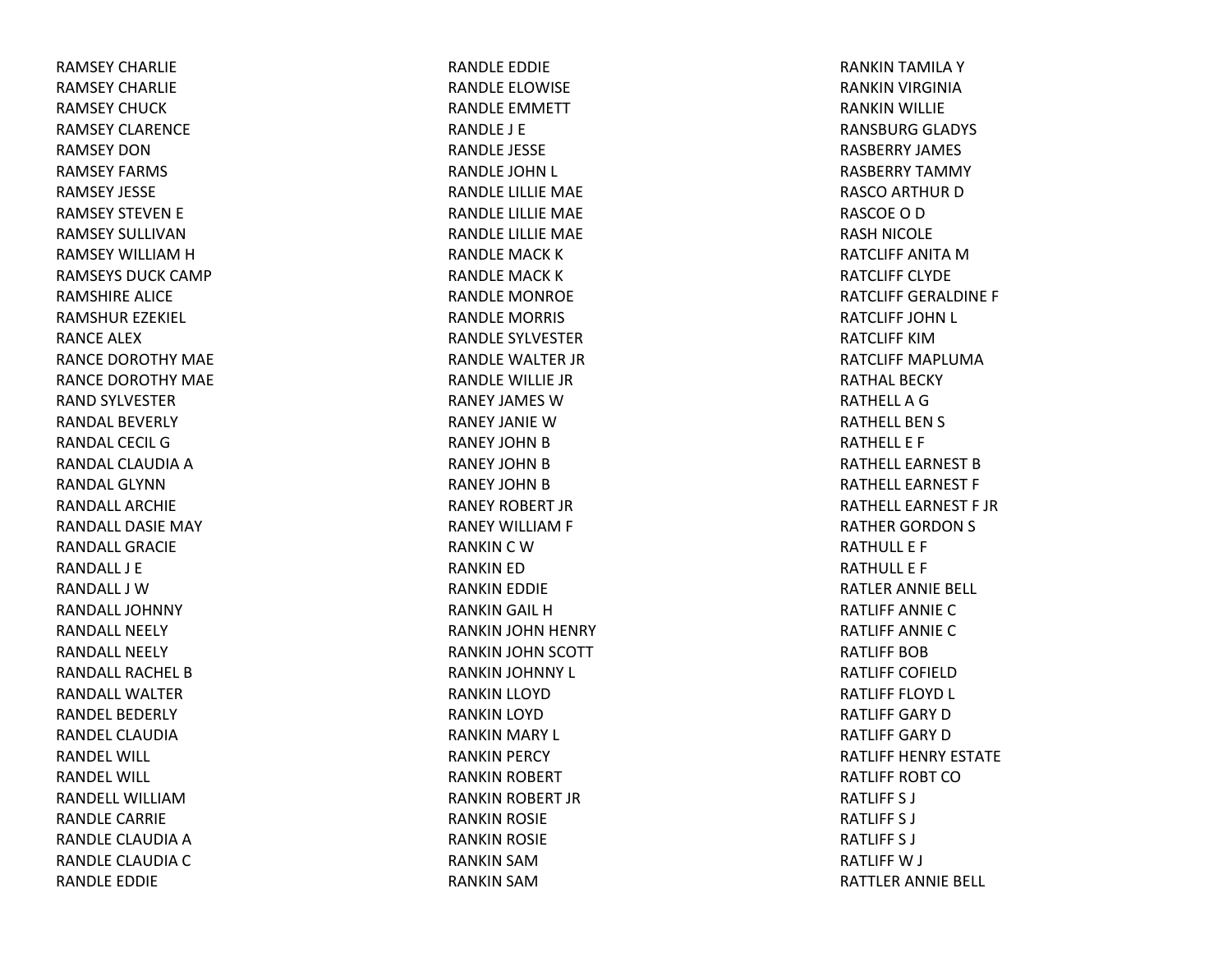RAMSEY CHARLIERAMSEY CHARLIERAMSEY CHUCKRAMSEY CLARENCERAMSEY DONRAMSEY FARMS RAMSEY JESSERAMSEY STEVEN E RAMSEY SULLIVANRAMSEY WILLIAM H RAMSEYS DUCK CAMP RAMSHIRE ALICE RAMSHUR EZEKIEL RANCE ALEXRANCE DOROTHY MAE RANCE DOROTHY MAE RAND SYLVESTER RANDAL BEVERLYRANDAL CECIL GRANDAL CLAUDIA A RANDAL GLYNNRANDALL ARCHIERANDALL DASIE MAY RANDALL GRACIERANDALL J ERANDALL J WRANDALL JOHNNYRANDALL NEELYRANDALL NEELYRANDALL RACHEL BRANDALL WALTERRANDEL BEDERLYRANDEL CLAUDIARANDEL WILL RANDEL WILL RANDELL WILLIAMRANDLE CARRIE RANDLE CLAUDIA A RANDLE CLAUDIA C RANDLE EDDIE

RANDLE EDDIE RANDLE ELOWISE RANDLE EMMETT RANDLE J ERANDLE JESSE RANDLE JOHN L RANDLE LILLIE MAE RANDLE LILLIE MAE RANDLE LILLIE MAE RANDLE MACK K RANDLE MACK K RANDLE MONROE RANDLE MORRIS RANDLE SYLVESTERRANDLE WALTER JR RANDLE WILLIE JRRANEY JAMES WRANEY JANIE W RANEY JOHN B RANEY JOHN B RANEY JOHN B RANEY ROBERT JRRANEY WILLIAM F RANKIN C W RANKIN ED RANKIN EDDIE RANKIN GAIL HRANKIN JOHN HENRY RANKIN JOHN SCOTT RANKIN JOHNNY L RANKIN LLOYD RANKIN LOYD RANKIN MARY L RANKIN PERCY RANKIN ROBERT RANKIN ROBERT JR RANKIN ROSIE RANKIN ROSIE RANKIN SAMRANKIN SAM

RANKIN TAMILA YRANKIN VIRGINIA RANKIN WILLIE RANSBURG GLADYS RASBERRY JAMES RASBERRY TAMMY RASCO ARTHUR DRASCOE O D RASH NICOLE RATCLIFF ANITA M RATCLIFF CLYDERATCLIFF GERALDINE F RATCLIFF JOHN L RATCLIFF KIMRATCLIFF MAPLUMARATHAL BECKYRATHELLAGRATHELL BEN S RATHELL E F RATHELL EARNEST B RATHELL EARNEST F RATHELL EARNEST F JRRATHER GORDON S RATHULL E F RATHULL E F RATLER ANNIE BELL RATLIFF ANNIECRATLIFF ANNIECRATLIFF BOBRATLIFF COFIELDRATLIFF FLOYD L RATLIFF GARY D RATLIFF GARY D RATLIFF HENRY ESTATERATLIFF ROBT CORATLIFF S J RATLIFF S J RATLIFF S J RATLIFF W J RATTLER ANNIE BELL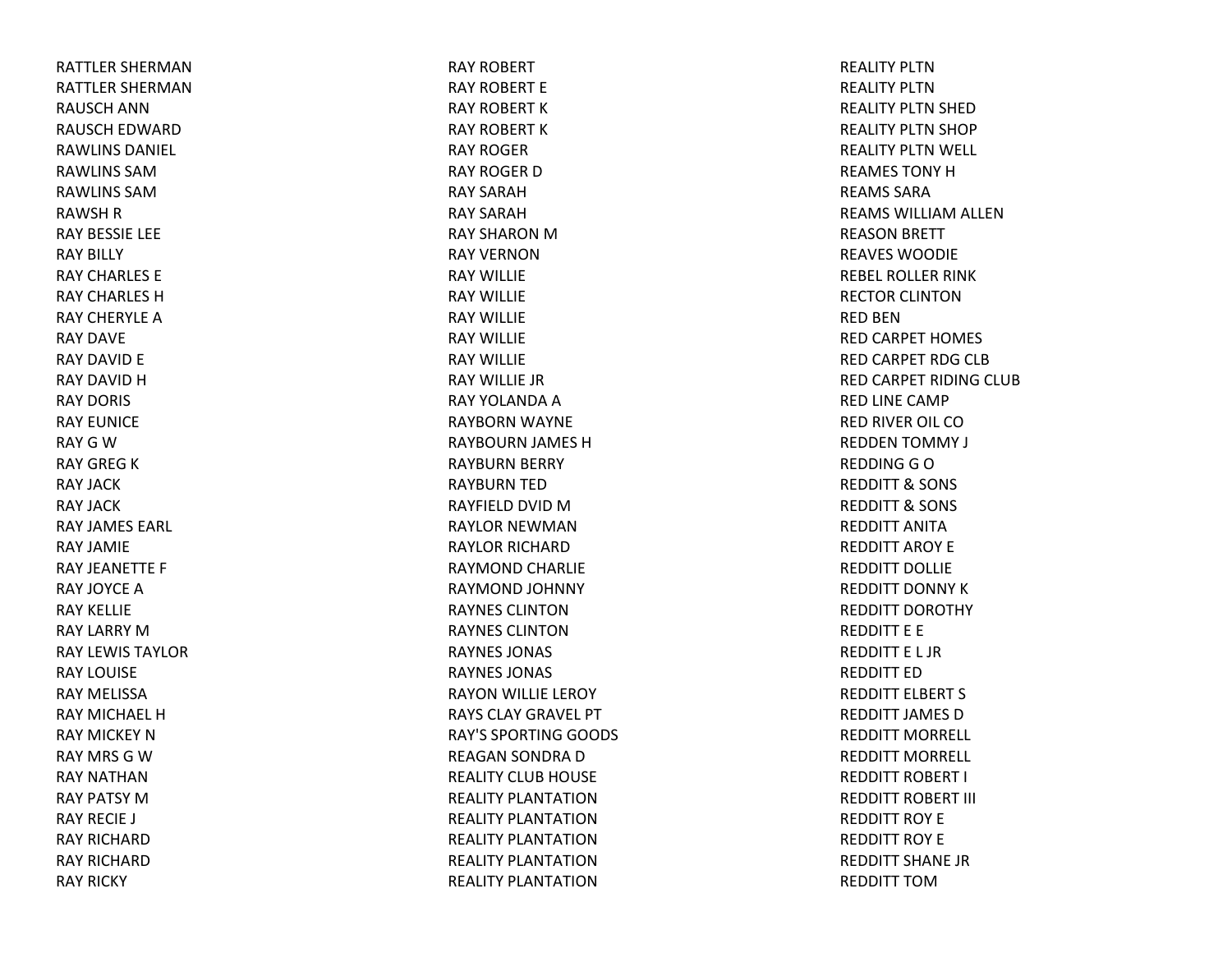RATTLER SHERMANRATTLER SHERMANRAUSCH ANNRAUSCH EDWARD RAWLINS DANIEL RAWLINS SAMRAWLINS SAMRAWSH R RAY BESSIE LEE RAY BILLY RAY CHARLES ERAY CHARLES HRAY CHERYLE A RAY DAVERAY DAVID E RAY DAVID H RAY DORIS RAY EUNICERAY G W RAY GREG K RAY JACKRAY JACKRAY JAMES EARL RAY JAMIERAY JEANETTE F RAY JOYCEARAY KELLIERAY LARRY MRAY LEWIS TAYLORRAY LOUISERAY MELISSARAY MICHAEL HRAY MICKEY NRAY MRS GWRAY NATHANRAY PATSY MRAY RECIE J RAY RICHARDRAY RICHARDRAY RICKY

RAY ROBERT RAY ROBERT ERAY ROBERT KRAY ROBERT KRAY ROGERRAY ROGER D RAY SARAHRAY SARAHRAY SHARON M RAY VERNONRAY WILLIERAY WILLIERAY WILLIERAY WILLIERAY WILLIERAY WILLIE JRRAY YOLANDA A RAYBORN WAYNE RAYBOURN JAMES HRAYBURN BERRY RAYBURN TED RAYFIELD DVID MRAYLOR NEWMANRAYLOR RICHARDRAYMOND CHARLIE RAYMOND JOHNNY RAYNES CLINTONRAYNES CLINTONRAYNES JONAS RAYNES JONAS RAYON WILLIE LEROY RAYS CLAY GRAVEL PT RAY'S SPORTING GOODS REAGAN SONDRA DREALITY CLUB HOUSE REALITY PLANTATIONREALITY PLANTATIONREALITY PLANTATIONREALITY PLANTATIONREALITY PLANTATION

REALITY PLTNREALITY PLTNREALITY PLTN SHED REALITY PLTN SHOP REALITY PLTN WELL REAMES TONYHREAMS SARAREAMS WILLIAM ALLEN REASON BRETT REAVES WOODIEREBEL ROLLER RINK RECTOR CLINTONRED BENRED CARPET HOMES RED CARPET RDG CLB RED CARPET RIDING CLUB RED LINE CAMP RED RIVER OIL COREDDEN TOMMY J REDDING G O REDDITT& SONS REDDITT& SONS REDDITT ANITAREDDITT AROY EREDDITT DOLLIEREDDITT DONNY KREDDITT DOROTHY REDDITT E E REDDITT E L JRREDDITT EDREDDITT ELBERT S REDDITT JAMES DREDDITT MORRELL REDDITT MORRELL REDDITT ROBERT I REDDITT ROBERT III REDDITT ROY EREDDITT ROY EREDDITT SHANE JRREDDITT TOM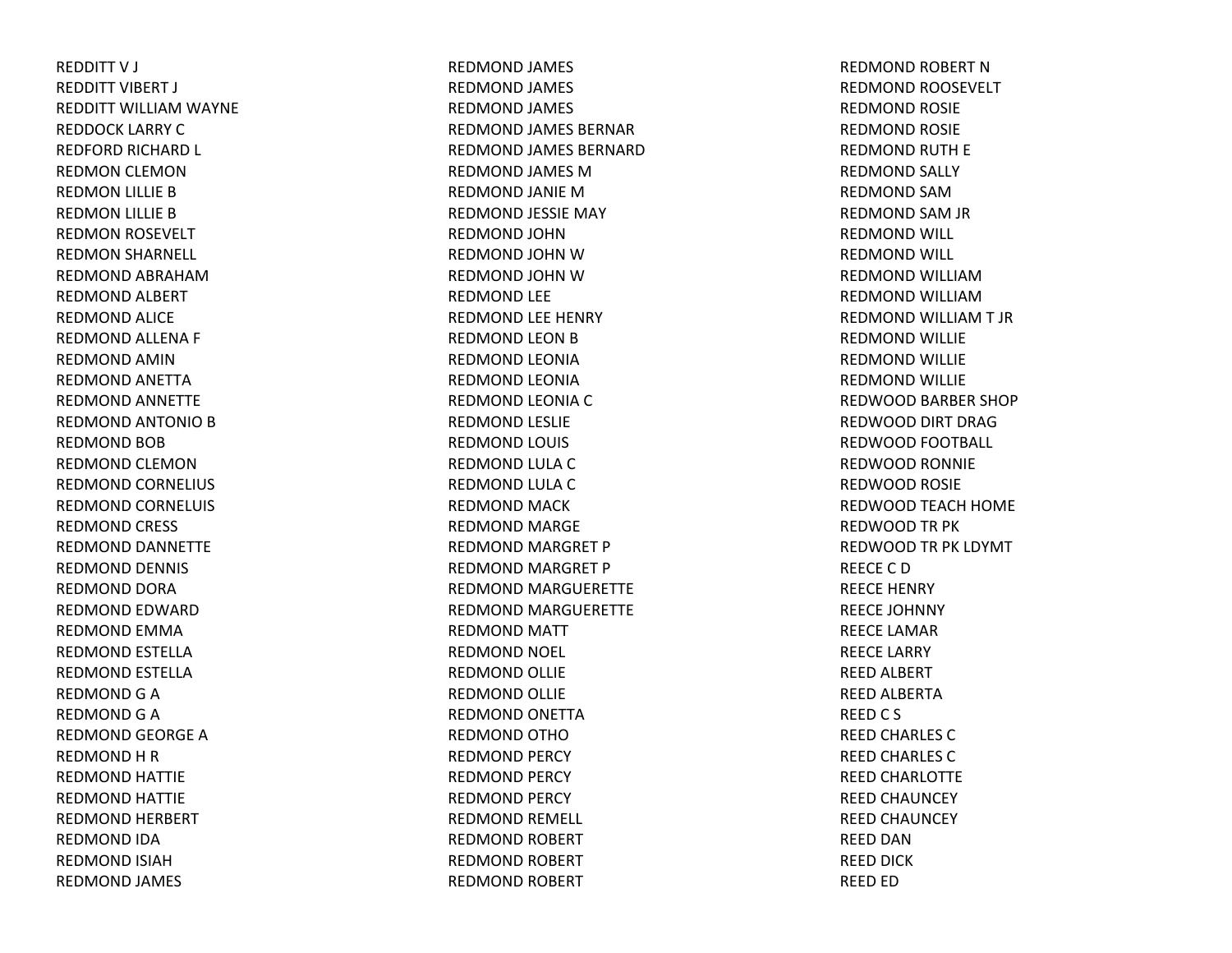REDDITT V J REDDITT VIBERT J REDDITT WILLIAM WAYNE REDDOCK LARRY CREDFORD RICHARD L REDMON CLEMON REDMON LILLIE B REDMON LILLIE B REDMON ROSEVELT REDMON SHARNELL REDMOND ABRAHAMREDMOND ALBERT REDMOND ALICE REDMOND ALLENA F REDMOND AMINREDMOND ANETTA REDMOND ANNETTE REDMOND ANTONIO B REDMOND BOB REDMOND CLEMONREDMOND CORNELIUS REDMOND CORNELUIS REDMOND CRESS REDMOND DANNETTE REDMOND DENNIS REDMOND DORA REDMOND EDWARD REDMOND EMMA REDMOND ESTELLA REDMOND ESTELLA REDMOND G A REDMOND G A REDMOND GEORGE A REDMOND H R REDMOND HATTIE REDMOND HATTIE REDMOND HERBERT REDMOND IDA REDMOND ISIAHREDMOND JAMES

REDMOND JAMES REDMOND JAMES REDMOND JAMES REDMOND JAMES BERNAR REDMOND JAMES BERNARD REDMOND JAMES MREDMOND JANIE MREDMOND JESSIE MAY REDMOND JOHNREDMOND JOHN WREDMOND JOHN WREDMOND LEE REDMOND LEE HENRY REDMOND LEON B REDMOND LEONIA REDMOND LEONIA REDMOND LEONIA C REDMOND LESLIE REDMOND LOUIS REDMOND LULA C REDMOND LULA C REDMOND MACK REDMOND MARGE REDMOND MARGRET P REDMOND MARGRET P REDMOND MARGUERETTE REDMOND MARGUERETTE REDMOND MATT REDMOND NOEL REDMOND OLLIE REDMOND OLLIE REDMOND ONETTA REDMOND OTHOREDMOND PERCY REDMOND PERCY REDMOND PERCY REDMOND REMELL REDMOND ROBERT REDMOND ROBERT REDMOND ROBERT

REDMOND ROBERT NREDMOND ROOSEVELT REDMOND ROSIE REDMOND ROSIE REDMOND RUTH E REDMOND SALLY REDMOND SAMREDMOND SAM JR REDMOND WILL REDMOND WILL REDMOND WILLIAMREDMOND WILLIAMREDMOND WILLIAM T JR REDMOND WILLIE REDMOND WILLIE REDMOND WILLIE REDWOOD BARBER SHOP REDWOOD DIRT DRAGREDWOOD FOOTBALL REDWOOD RONNIE REDWOOD ROSIE REDWOOD TEACH HOME REDWOOD TR PK REDWOOD TR PK LDYMT REECE C DREECE HENRY REECE JOHNNY REECE LAMARREECE LARRY REED ALBERT REED ALBERTA REED C S REED CHARLES C REED CHARLES C REED CHARLOTTE REED CHAUNCEY REED CHAUNCEY REED DANREED DICK REED ED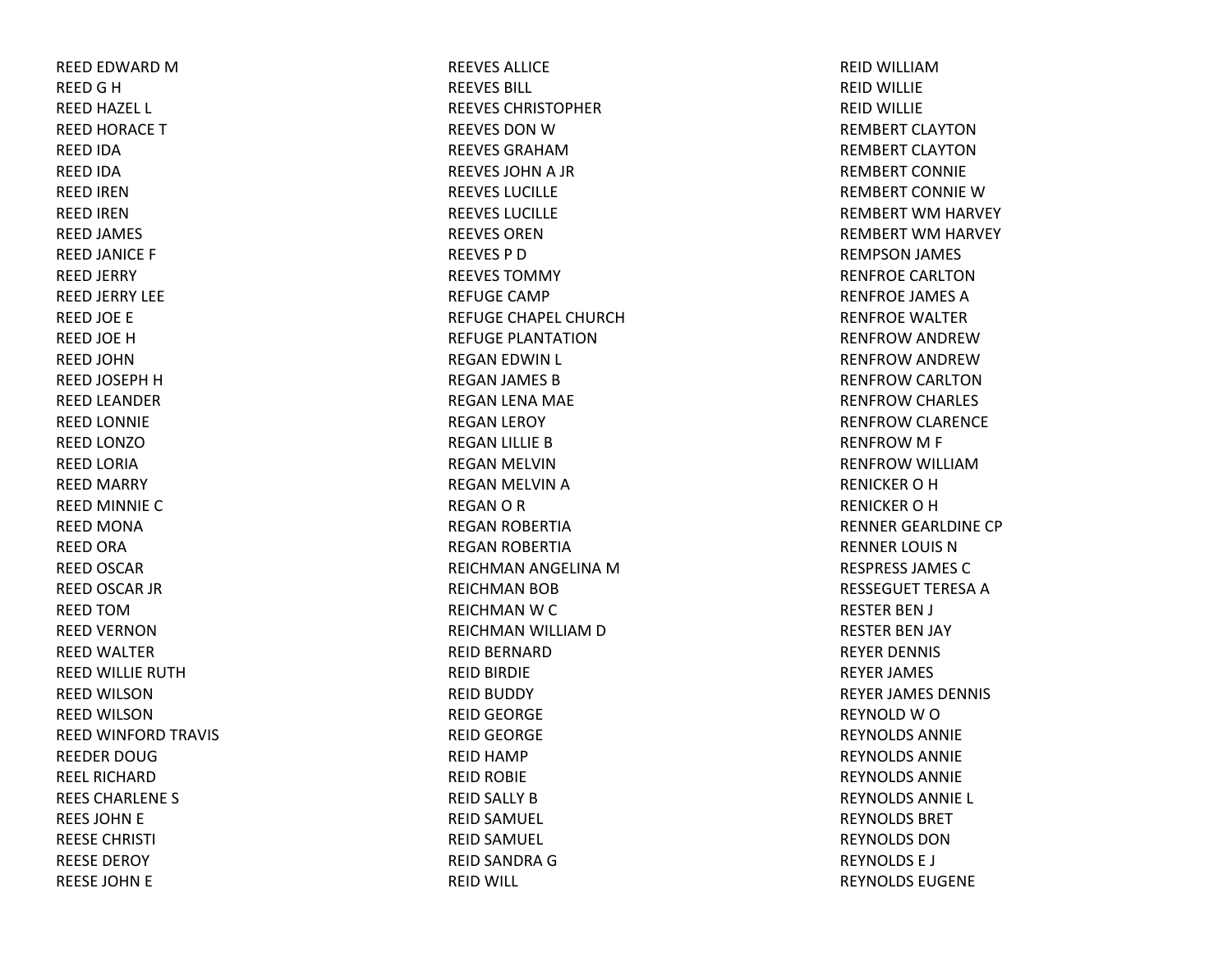REED EDWARD MREED G H REED HAZEL L REED HORACE TREED IDA REED IDA REED IRENREED IRENREED JAMES REED JANICE F REED JERRY REED JERRY LEE REED JOE E REED JOE HREED JOHNREED JOSEPH H REED LEANDER REED LONNIE REED LONZOREED LORIA REED MARRY REED MINNIE CREED MONA REED ORA REED OSCAR REED OSCAR JR REED TOMREED VERNONREED WALTER REED WILLIE RUTHREED WILSONREED WILSON REED WINFORD TRAVIS REEDER DOUGREEL RICHARDREES CHARLENE S REES JOHN E REESE CHRISTI REESE DEROY REESE JOHN E

REEVES ALLICEREEVES BILL REEVES CHRISTOPHERREEVES DON W REEVES GRAHAMREEVES JOHN A JR REEVES LUCILLEREEVES LUCILLEREEVES ORENREEVES P DREEVES TOMMYREFUGE CAMPREFUGE CHAPEL CHURCHREFUGE PLANTATIONREGAN EDWIN L REGAN JAMES BREGAN LENA MAE REGAN LEROY REGAN LILLIE BREGAN MELVIN REGAN MELVIN AREGANORREGAN ROBERTIA REGAN ROBERTIA REICHMAN ANGELINA MREICHMAN BOB REICHMAN W C REICHMAN WILLIAM D REID BERNARD REID BIRDIE REID BUDDY REID GEORGE REID GEORGE REID HAMP REID ROBIE REID SALLY BREID SAMUEL REID SAMUEL REID SANDRA GREID WILL

REID WILLIAMREID WILLIE REID WILLIE REMBERT CLAYTONREMBERT CLAYTONREMBERT CONNIEREMBERT CONNIE W REMBERT WM HARVEY REMBERT WM HARVEY REMPSON JAMES RENFROE CARLTONRENFROE JAMES ARENFROE WALTERRENFROW ANDREW RENFROW ANDREW RENFROW CARLTON RENFROW CHARLES RENFROW CLARENCE RENFROW M F RENFROW WILLIAM RENICKEROHRENICKEROHRENNER GEARLDINE CP RENNER LOUIS NRESPRESS JAMES CRESSEGUET TERESA A RESTER BEN J RESTER BEN JAY REYER DENNIS REYER JAMES REYER JAMES DENNIS REYNOLD W O REYNOLDS ANNIEREYNOLDS ANNIEREYNOLDS ANNIEREYNOLDS ANNIE L REYNOLDS BRETREYNOLDS DONREYNOLDS E J REYNOLDS EUGENE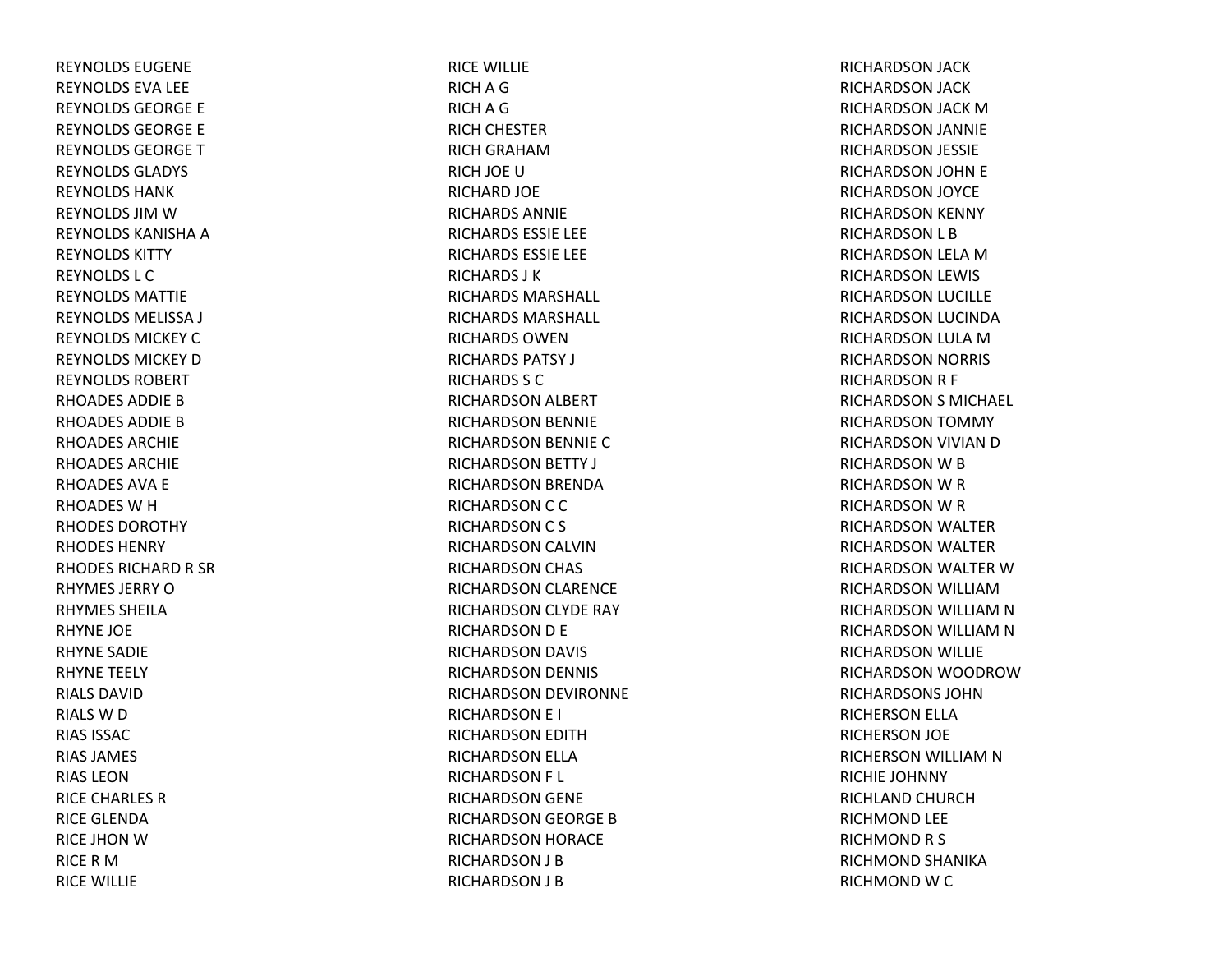REYNOLDS EUGENEREYNOLDS EVA LEE REYNOLDS GEORGE E REYNOLDS GEORGE E REYNOLDS GEORGETREYNOLDS GLADYS REYNOLDS HANKREYNOLDS JIM W REYNOLDS KANISHA A REYNOLDS KITTYREYNOLDS L CREYNOLDS MATTIEREYNOLDS MELISSA J REYNOLDS MICKEY C REYNOLDS MICKEY D REYNOLDS ROBERTRHOADES ADDIE B RHOADES ADDIE B RHOADES ARCHIERHOADES ARCHIERHOADES AVA E RHOADES W H RHODES DOROTHYRHODES HENRYRHODES RICHARD R SR RHYMES JERRY O RHYMES SHEILARHYNE JOE RHYNE SADIE RHYNE TEELY RIALS DAVIDRIALS W D RIAS ISSACRIAS JAMES RIAS LEONRICE CHARLES RRICE GLENDARICE JHON W RICERMRICE WILLIE

RICE WILLIE RICH A G RICH A G RICH CHESTER RICH GRAHAMRICH JOE URICHARD JOE RICHARDS ANNIERICHARDS ESSIE LEE RICHARDS ESSIE LEE RICHARDS J KRICHARDS MARSHALL RICHARDS MARSHALL RICHARDS OWENRICHARDS PATSY J RICHARDS S CRICHARDSON ALBERT RICHARDSON BENNIE RICHARDSON BENNIE CRICHARDSON BETTY J RICHARDSON BRENDA RICHARDSON C C RICHARDSON C S RICHARDSON CALVIN RICHARDSON CHAS RICHARDSON CLARENCE RICHARDSON CLYDE RAY RICHARDSON D E RICHARDSON DAVIS RICHARDSON DENNIS RICHARDSON DEVIRONNE RICHARDSON E I RICHARDSON EDITH RICHARDSON ELLA RICHARDSON F L RICHARDSON GENE RICHARDSON GEORGE BRICHARDSON HORACE RICHARDSON J B RICHARDSON J B

RICHARDSON JACK RICHARDSON JACK RICHARDSON JACK MRICHARDSON JANNIE RICHARDSON JESSIE RICHARDSON JOHN E RICHARDSON JOYCE RICHARDSON KENNY RICHARDSON L B RICHARDSON LELA MRICHARDSON LEWIS RICHARDSON LUCILLE RICHARDSON LUCINDA RICHARDSON LULA MRICHARDSON NORRIS RICHARDSON R F RICHARDSON S MICHAEL RICHARDSON TOMMY RICHARDSON VIVIAN DRICHARDSON W B RICHARDSON W R RICHARDSON W R RICHARDSON WALTER RICHARDSON WALTER RICHARDSON WALTER WRICHARDSON WILLIAMRICHARDSON WILLIAM N RICHARDSON WILLIAM N RICHARDSON WILLIE RICHARDSON WOODROWRICHARDSONS JOHNRICHERSON ELLA RICHERSON JOE RICHERSON WILLIAM N RICHIE JOHNNY RICHLAND CHURCHRICHMOND LEE RICHMONDR S RICHMOND SHANIKA RICHMOND W C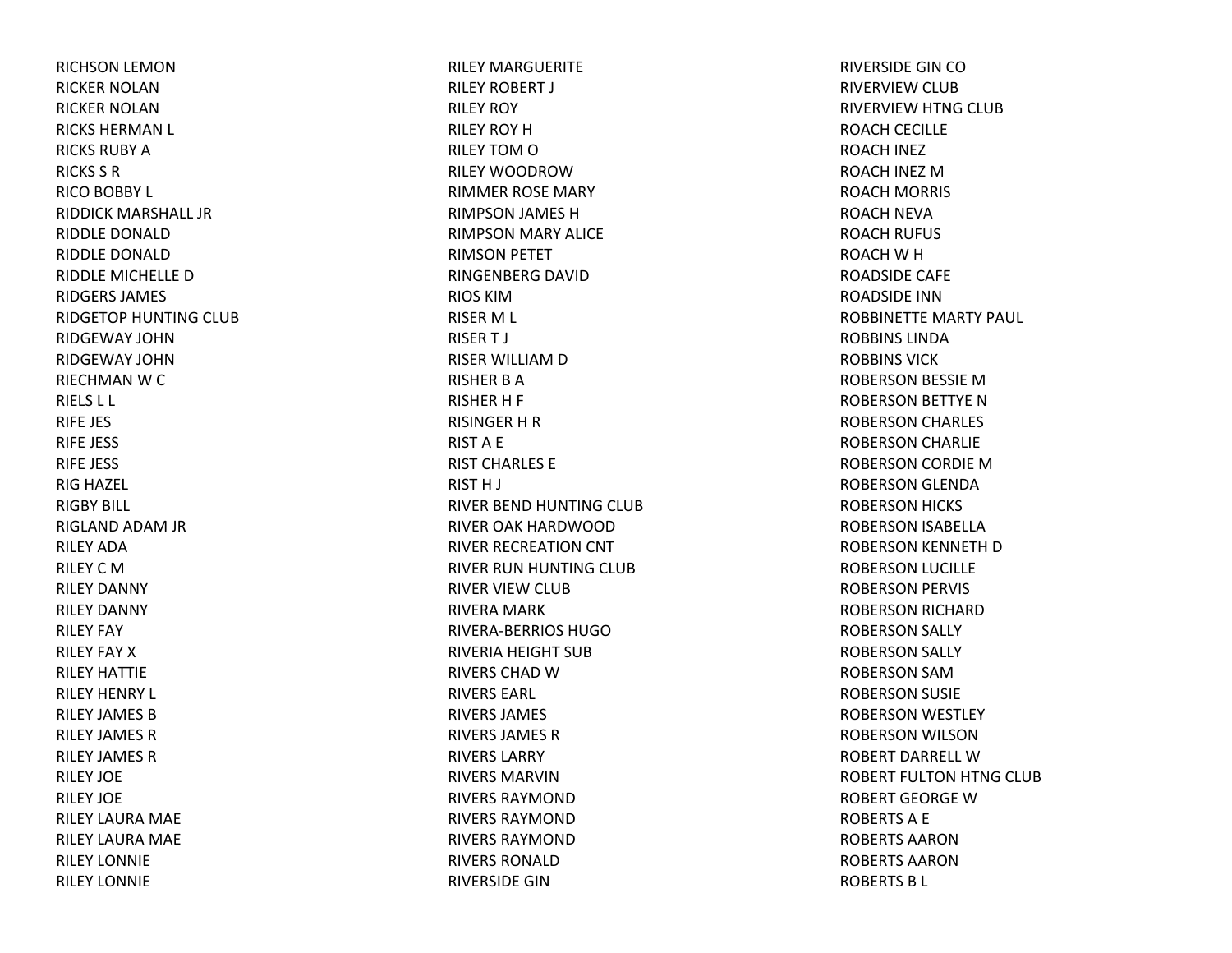RICHSON LEMON RICKER NOLANRICKER NOLANRICKS HERMAN L RICKS RUBY ARICKS S RRICO BOBBY L RIDDICK MARSHALL JRRIDDLE DONALDRIDDLE DONALDRIDDLE MICHELLE DRIDGERS JAMES RIDGETOP HUNTING CLUB RIDGEWAY JOHNRIDGEWAY JOHNRIECHMAN W C RIELS L L RIFE JES RIFE JESS RIFE JESS RIG HAZEL RIGBY BILL RIGLAND ADAM JR RILEY ADARILEY C MRILEY DANNY RILEY DANNY RILEY FAY RILEY FAY XRILEY HATTIERILEY HENRY L RILEY JAMES BRILEY JAMES RRILEY JAMES RRILEY JOERILEY JOERILEY LAURA MAE RILEY LAURA MAE RILEY LONNIERILEY LONNIE

RILEY MARGUERITERILEY ROBERT J RILEY ROY RILEY ROY HRILEY TOM O RILEY WOODROWRIMMER ROSE MARY RIMPSON JAMES H RIMPSON MARY ALICE RIMSON PETET RINGENBERG DAVID RIOS KIMRISER M L RISER T J RISER WILLIAM D RISHER B ARISHER H F RISINGER H R RIST A E RIST CHARLES ERIST H J RIVER BEND HUNTING CLUB RIVER OAK HARDWOODRIVER RECREATION CNT RIVER RUN HUNTING CLUB RIVER VIEW CLUB RIVERA MARK RIVERA‐BERRIOS HUGORIVERIA HEIGHT SUB RIVERS CHAD WRIVERS EARL RIVERS JAMES RIVERS JAMES RRIVERS LARRYRIVERS MARVINRIVERS RAYMONDRIVERS RAYMONDRIVERS RAYMONDRIVERS RONALDRIVERSIDE GIN

RIVERSIDE GIN CORIVERVIEW CLUB RIVERVIEW HTNG CLUB ROACH CECILLE ROACH INEZ ROACH INEZ MROACH MORRIS ROACH NEVA ROACH RUFUS ROACH W H ROADSIDE CAFE ROADSIDE INNROBBINETTE MARTY PAUL ROBBINS LINDAROBBINS VICKROBERSON BESSIE MROBERSON BETTYE N ROBERSON CHARLES ROBERSON CHARLIE ROBERSON CORDIE MROBERSON GLENDA ROBERSON HICKS ROBERSON ISABELLA ROBERSON KENNETH D ROBERSON LUCILLE ROBERSON PERVIS ROBERSON RICHARD ROBERSON SALLY ROBERSON SALLY ROBERSON SAMROBERSON SUSIE ROBERSON WESTLEY ROBERSON WILSON ROBERT DARRELL WROBERT FULTON HTNG CLUB ROBERT GEORGE WROBERTS A E ROBERTS AARONROBERTS AARONROBERTS B L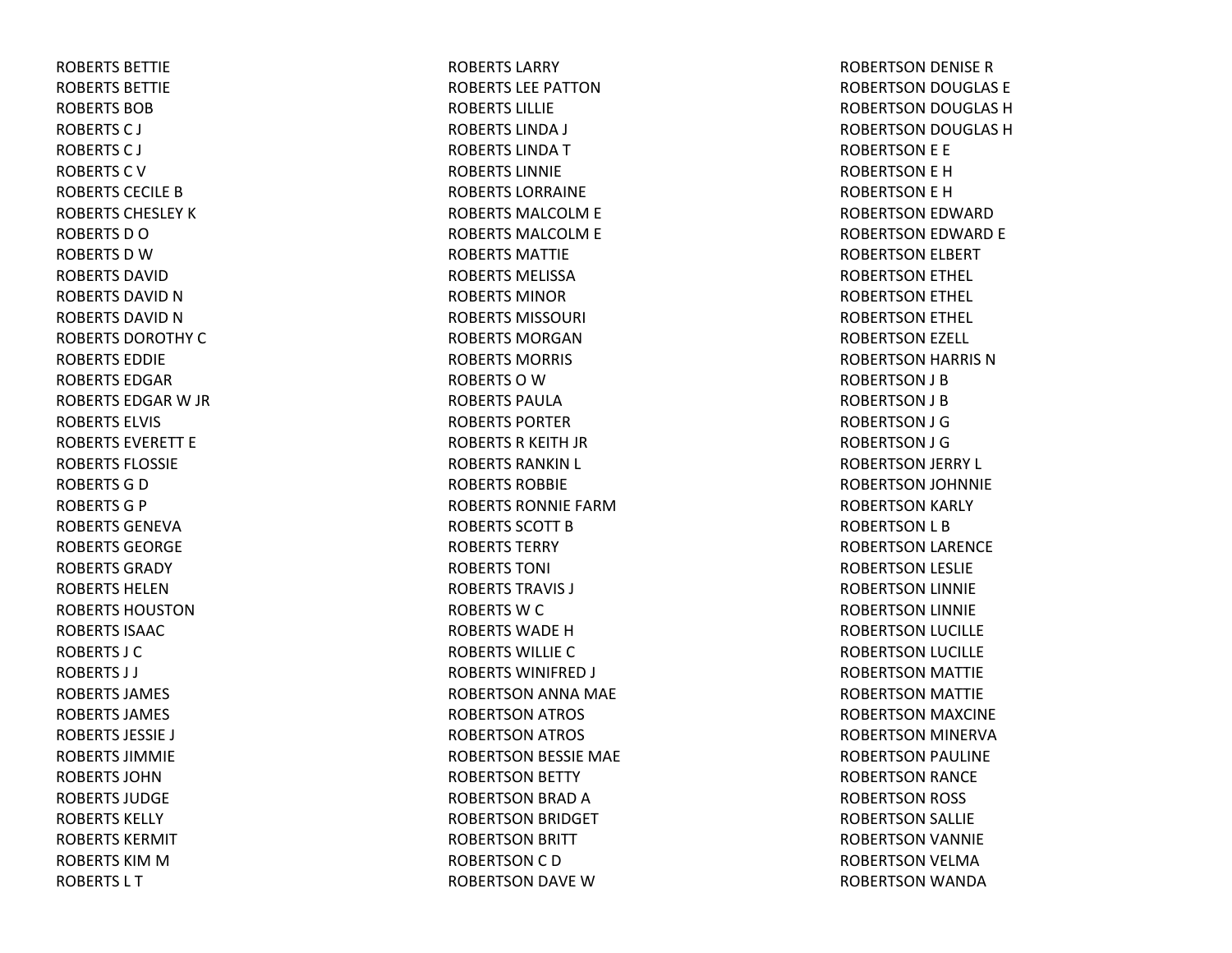ROBERTS BETTIEROBERTS BETTIEROBERTS BOBROBERTSC J ROBERTSC J ROBERTS C V ROBERTS CECILE B ROBERTS CHESLEY K ROBERTSDOROBERTS D W ROBERTS DAVIDROBERTS DAVID N ROBERTS DAVID N ROBERTS DOROTHY C ROBERTS EDDIEROBERTS EDGARROBERTS EDGAR W JR ROBERTS ELVIS ROBERTS EVERETT EROBERTS FLOSSIEROBERTS G D ROBERTSG P ROBERTS GENEVAROBERTS GEORGEROBERTS GRADYROBERTS HELENROBERTS HOUSTONROBERTS ISAACROBERTS J CROBERTS J J ROBERTS JAMES ROBERTS JAMES ROBERTS JESSIE J ROBERTS JIMMIEROBERTS JOHNROBERTS JUDGEROBERTS KELLYROBERTS KERMITROBERTS KIM M ROBERTS L T

ROBERTS LARRYROBERTS LEE PATTONROBERTS LILLIEROBERTS LINDA J ROBERTS LINDA T ROBERTS LINNIEROBERTS LORRAINEROBERTS MALCOLM E ROBERTS MALCOLM E ROBERTS MATTIEROBERTS MELISSAROBERTS MINORROBERTS MISSOURI ROBERTS MORGANROBERTS MORRIS ROBERTS O W ROBERTS PAULAROBERTS PORTERROBERTS R KEITH JR ROBERTS RANKIN L ROBERTS ROBBIEROBERTS RONNIE FARMROBERTS SCOTT B ROBERTS TERRYROBERTS TONI ROBERTS TRAVIS J ROBERTS W C ROBERTS WADE H ROBERTS WILLIE C ROBERTS WINIFRED J ROBERTSON ANNA MAE ROBERTSON ATROS ROBERTSON ATROS ROBERTSON BESSIE MAE ROBERTSON BETTY ROBERTSON BRAD AROBERTSON BRIDGET ROBERTSON BRITT ROBERTSON C D ROBERTSON DAVE W

ROBERTSON DENISE RROBERTSON DOUGLAS E ROBERTSON DOUGLAS HROBERTSON DOUGLAS HROBERTSON E E ROBERTSON E H ROBERTSON E H ROBERTSON EDWARD ROBERTSON EDWARD E ROBERTSON ELBERT ROBERTSON ETHEL ROBERTSON ETHEL ROBERTSON ETHEL ROBERTSON EZELL ROBERTSON HARRIS NROBERTSON J B ROBERTSON J B ROBERTSON J G ROBERTSON J G ROBERTSON JERRY L ROBERTSON JOHNNIE ROBERTSON KARLY ROBERTSON L B ROBERTSON LARENCE ROBERTSON LESLIE ROBERTSON LINNIE ROBERTSON LINNIE ROBERTSON LUCILLE ROBERTSON LUCILLE ROBERTSON MATTIE ROBERTSON MATTIE ROBERTSON MAXCINE ROBERTSON MINERVA ROBERTSON PAULINE ROBERTSON RANCE ROBERTSON ROSS ROBERTSON SALLIE ROBERTSON VANNIE ROBERTSON VELMA ROBERTSON WANDA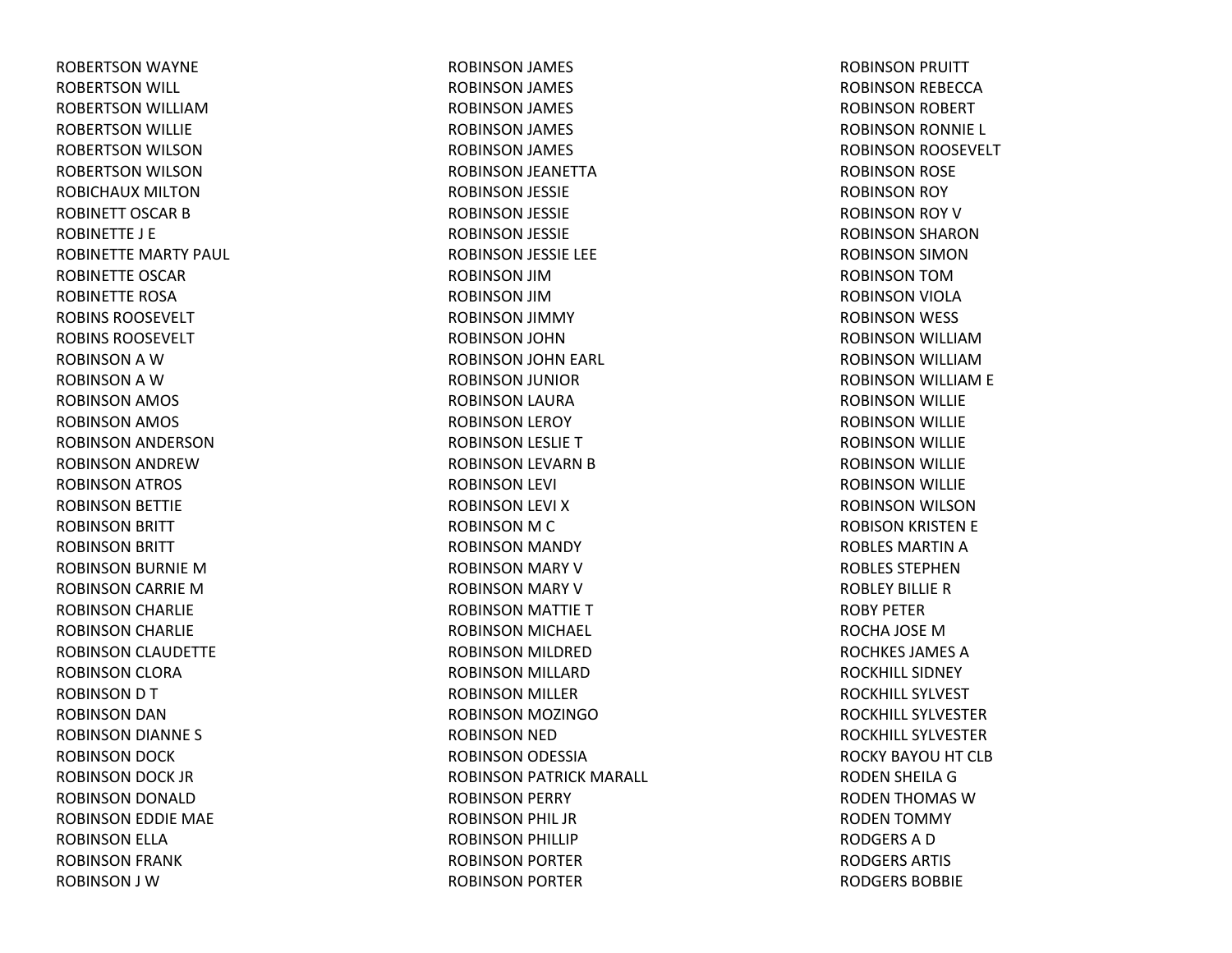ROBERTSON WAYNE ROBERTSON WILL ROBERTSON WILLIAMROBERTSON WILLIE ROBERTSON WILSON ROBERTSON WILSON ROBICHAUX MILTONROBINETT OSCAR B ROBINETTE J E ROBINETTE MARTY PAUL ROBINETTE OSCARROBINETTE ROSAROBINS ROOSEVELTROBINS ROOSEVELTROBINSON A W ROBINSON A W ROBINSON AMOS ROBINSON AMOS ROBINSON ANDERSON ROBINSON ANDREWROBINSON ATROS ROBINSON BETTIE ROBINSON BRITT ROBINSON BRITT ROBINSON BURNIE MROBINSON CARRIE MROBINSON CHARLIE ROBINSON CHARLIE ROBINSON CLAUDETTE ROBINSON CLORA ROBINSON D T ROBINSON DAN ROBINSON DIANNE S ROBINSON DOCK ROBINSON DOCK JR ROBINSON DONALD ROBINSON EDDIE MAE ROBINSON ELLA ROBINSON FRANK ROBINSON J W

ROBINSON JAMES ROBINSON JAMES ROBINSON JAMES ROBINSON JAMES ROBINSON JAMES ROBINSON JEANETTA ROBINSON JESSIE ROBINSON JESSIE ROBINSON JESSIE ROBINSON JESSIE LEE ROBINSON JIMROBINSON JIMROBINSON JIMMY ROBINSON JOHN ROBINSON JOHN EARL ROBINSON JUNIOR ROBINSON LAURA ROBINSON LEROY ROBINSON LESLIE TROBINSON LEVARN BROBINSON LEVI ROBINSON LEVI XROBINSON M C ROBINSON MANDY ROBINSON MARY VROBINSON MARY VROBINSON MATTIE TROBINSON MICHAEL ROBINSON MILDRED ROBINSON MILLARD ROBINSON MILLER ROBINSON MOZINGOROBINSON NED ROBINSON ODESSIA ROBINSON PATRICK MARALL ROBINSON PERRY ROBINSON PHIL JR ROBINSON PHILLIP ROBINSON PORTER ROBINSON PORTER

ROBINSON PRUITT ROBINSON REBECCA ROBINSON ROBERT ROBINSON RONNIE L ROBINSON ROOSEVELT ROBINSON ROSE ROBINSON ROY ROBINSON ROY VROBINSON SHARONROBINSON SIMON ROBINSON TOMROBINSON VIOLA ROBINSON WESS ROBINSON WILLIAMROBINSON WILLIAMROBINSON WILLIAM E ROBINSON WILLIE ROBINSON WILLIE ROBINSON WILLIE ROBINSON WILLIE ROBINSON WILLIE ROBINSON WILSON ROBISON KRISTEN E ROBLES MARTIN A ROBLES STEPHENROBLEY BILLIERROBY PETERROCHA JOSE MROCHKES JAMES AROCKHILL SIDNEYROCKHILL SYLVESTROCKHILL SYLVESTERROCKHILL SYLVESTERROCKY BAYOU HT CLB RODEN SHEILA GRODEN THOMAS WRODEN TOMMY RODGERSADRODGERS ARTIS RODGERS BOBBIE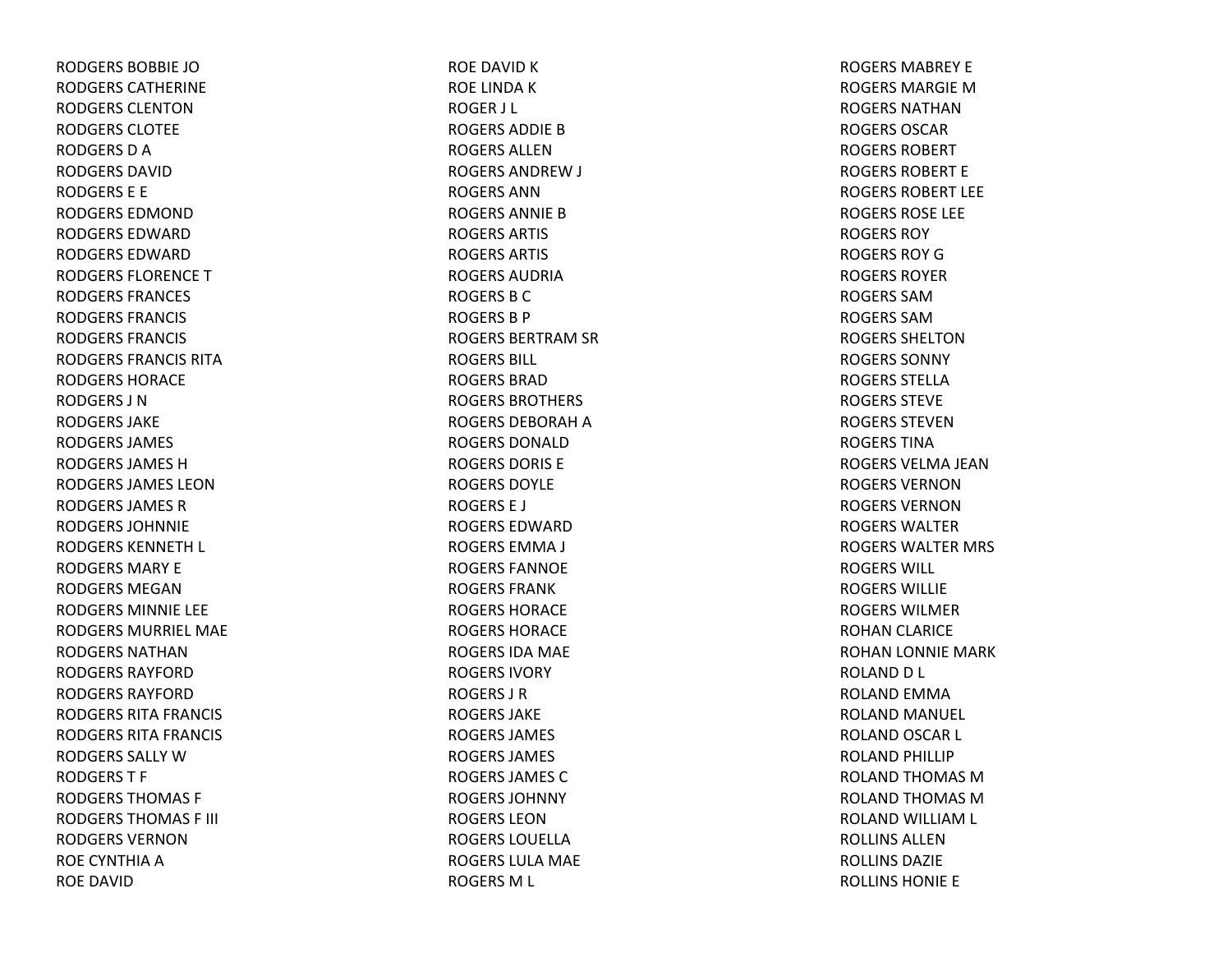RODGERS BOBBIE JORODGERS CATHERINERODGERS CLENTONRODGERS CLOTEERODGERS D A RODGERS DAVIDRODGERS E E RODGERS EDMONDRODGERS EDWARDRODGERS EDWARDRODGERS FLORENCETRODGERS FRANCES RODGERS FRANCIS RODGERS FRANCIS RODGERS FRANCIS RITARODGERS HORACERODGERS J NRODGERS JAKERODGERS JAMES RODGERS JAMES HRODGERS JAMES LEONRODGERS JAMES R RODGERS JOHNNIERODGERS KENNETH L RODGERS MARY ERODGERS MEGANRODGERS MINNIE LEE RODGERS MURRIEL MAERODGERS NATHANRODGERS RAYFORDRODGERS RAYFORDRODGERS RITA FRANCIS RODGERS RITA FRANCIS RODGERS SALLY W RODGERST F RODGERS THOMAS F RODGERS THOMAS F III RODGERS VERNONROE CYNTHIA A ROE DAVID

ROE DAVID K ROE LINDA K ROGER J L ROGERS ADDIE B ROGERS ALLENROGERS ANDREW J ROGERS ANNROGERS ANNIE B ROGERS ARTIS ROGERS ARTIS ROGERS AUDRIAROGERS B C ROGERS B P ROGERS BERTRAM SR ROGERS BILL ROGERS BRADROGERS BROTHERS ROGERS DEBORAH A ROGERS DONALDROGERS DORIS EROGERS DOYLEROGERS E J ROGERS EDWARDROGERS EMMA J ROGERS FANNOEROGERS FRANKROGERS HORACEROGERS HORACEROGERS IDA MAE ROGERS IVORYROGERS J RROGERS JAKEROGERS JAMES ROGERS JAMES ROGERS JAMES CROGERS JOHNNYROGERS LEONROGERS LOUELLAROGERS LULA MAE ROGERS M L

ROGERS MABREY EROGERS MARGIE M ROGERS NATHANROGERS OSCARROGERS ROBERTROGERS ROBERT EROGERS ROBERT LEEROGERS ROSE LEE ROGERS ROYROGERS ROY G ROGERS ROYERROGERS SAMROGERS SAMROGERS SHELTONROGERS SONNYROGERS STELLAROGERS STEVEROGERS STEVENROGERS TINAROGERS VELMA JEANROGERS VERNONROGERS VERNONROGERS WALTERROGERS WALTER MRS ROGERS WILL ROGERS WILLIEROGERS WILMERROHAN CLARICE ROHAN LONNIE MARK ROLAND D L ROLAND EMMA ROLAND MANUEL ROLAND OSCAR L ROLAND PHILLIP ROLAND THOMAS MROLAND THOMAS MROLAND WILLIAM L ROLLINS ALLENROLLINS DAZIEROLLINS HONIE E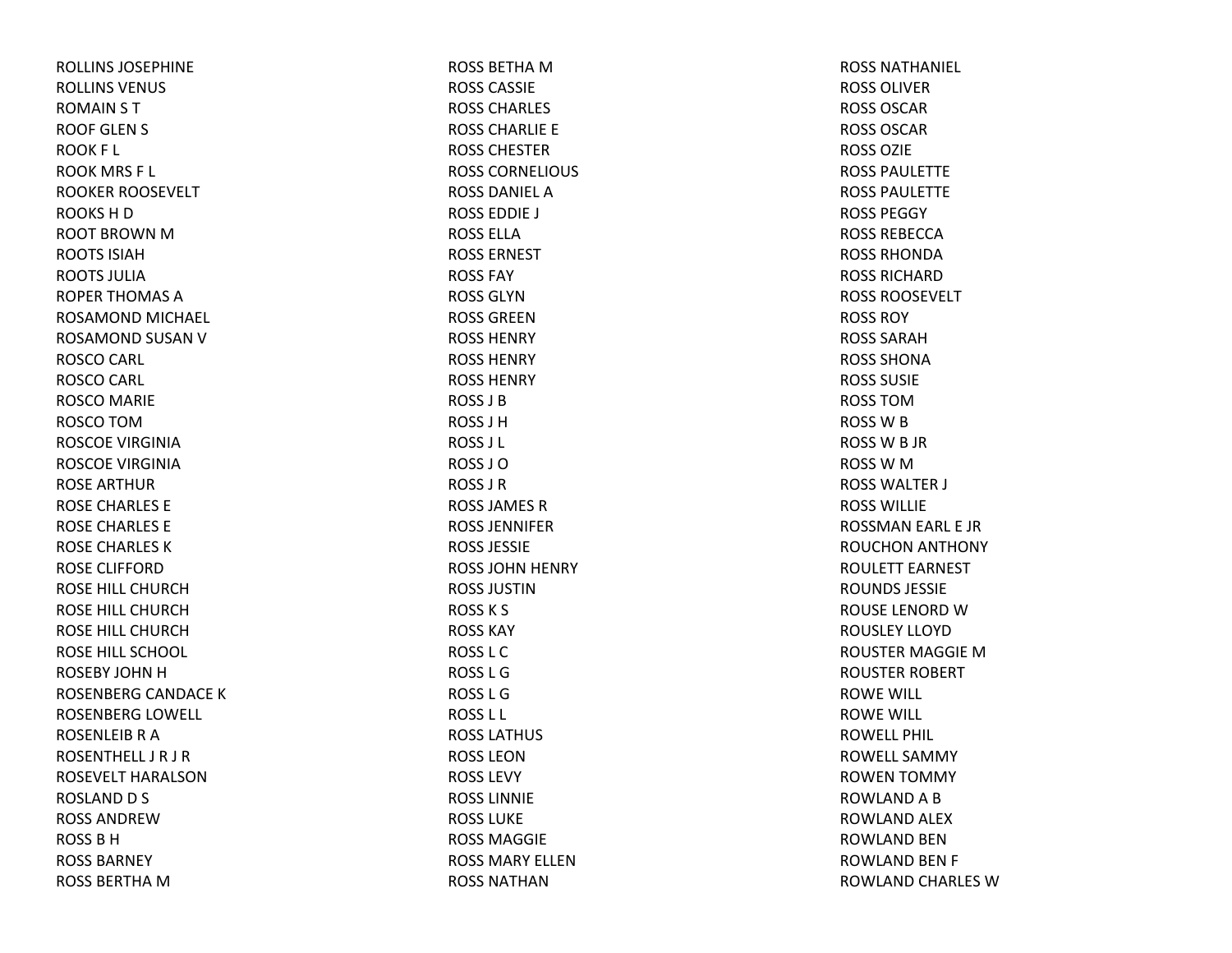ROLLINS JOSEPHINEROLLINS VENUS ROMAIN S T ROOF GLEN S ROOK F L ROOK MRS F L ROOKER ROOSEVELT ROOKSHDROOT BROWN M ROOTS ISIAHROOTS JULIAROPER THOMAS AROSAMOND MICHAEL ROSAMOND SUSAN V ROSCO CARL ROSCO CARL ROSCO MARIE ROSCO TOMROSCOE VIRGINIAROSCOE VIRGINIAROSE ARTHURROSE CHARLES E ROSE CHARLES E ROSE CHARLES KROSE CLIFFORDROSE HILL CHURCHROSE HILL CHURCHROSE HILL CHURCHROSE HILL SCHOOL ROSEBY JOHN H ROSENBERG CANDACE KROSENBERG LOWELL ROSENLEIBRAROSENTHELL J R J R ROSEVELT HARALSON ROSLAND D S ROSS ANDREWROSSBHROSS BARNEYROSS BERTHA M

ROSS BETHA M ROSS CASSIEROSS CHARLES ROSS CHARLIE E ROSS CHESTERROSS CORNELIOUS ROSS DANIEL AROSS EDDIE J ROSS ELLAROSS ERNESTROSS FAYROSS GLYNROSS GREENROSS HENRYROSS HENRYROSS HENRYROSS J BROSS J HROSS J L ROSS J OROSS J RROSS JAMES RROSS JENNIFERROSS JESSIEROSS JOHN HENRY ROSS JUSTINROSSK S ROSS KAYROSS L CROSS L GROSS L GROSS L L ROSS LATHUS ROSS LEONROSS LEVYROSS LINNIEROSS LUKEROSS MAGGIEROSS MARY ELLENROSS NATHAN

ROSS NATHANIEL ROSS OLIVERROSS OSCARROSS OSCARROSS OZIEROSS PAULETTEROSS PAULETTEROSS PEGGYROSS REBECCAROSS RHONDAROSS RICHARDROSS ROOSEVELTROSS ROYROSS SARAHROSS SHONAROSS SUSIEROSS TOMROSSWBROSS W B JR ROSSWMROSS WALTER J ROSS WILLIEROSSMAN EARL E JR ROUCHON ANTHONY ROULETT EARNEST ROUNDS JESSIEROUSE LENORD W ROUSLEY LLOYDROUSTER MAGGIE MROUSTER ROBERT ROWE WILL ROWE WILL ROWELL PHIL ROWELL SAMMYROWEN TOMMY ROWLAND A B ROWLAND ALEX ROWLAND BENROWLAND BEN F ROWLAND CHARLES W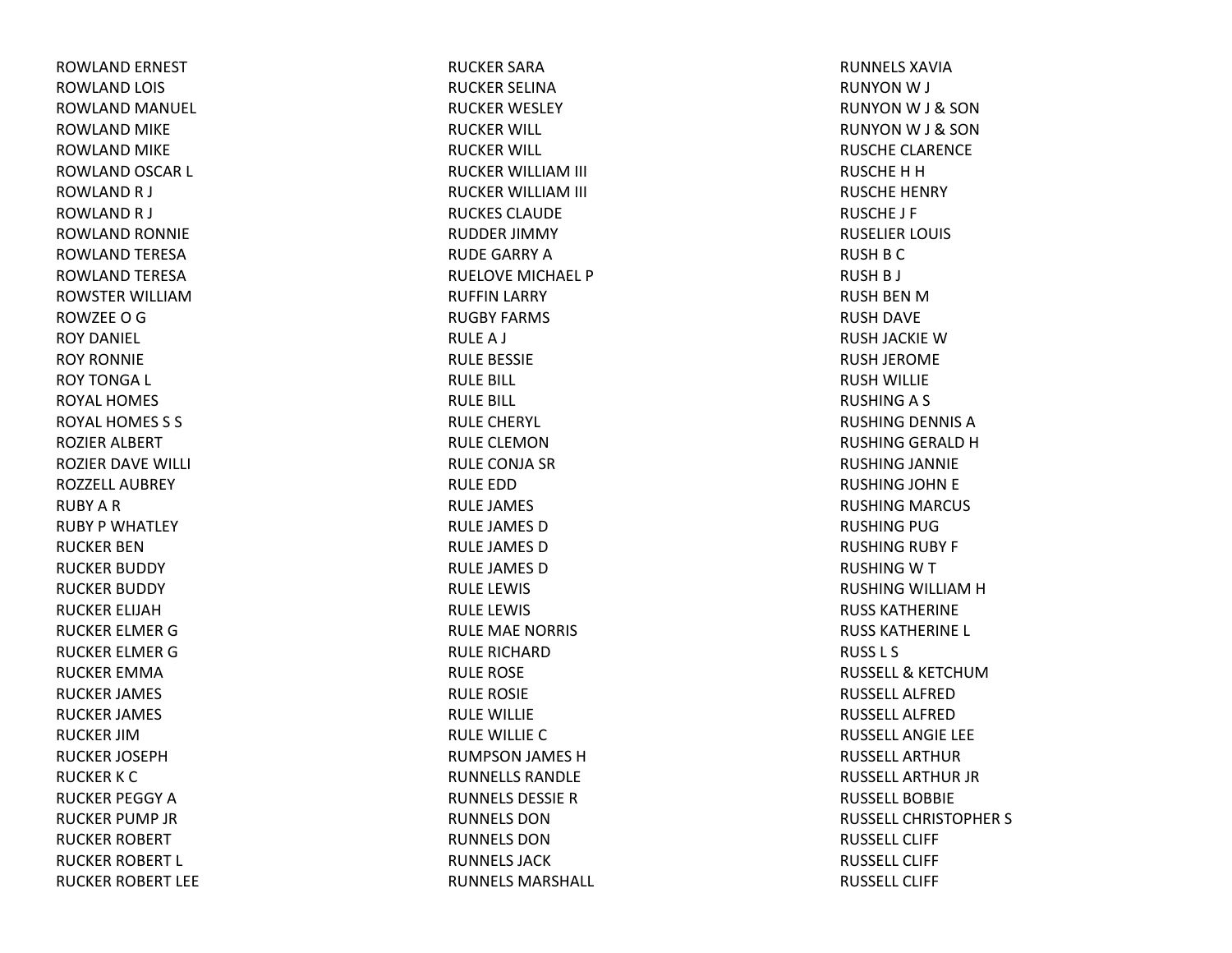ROWLAND ERNEST ROWLAND LOIS ROWLAND MANUEL ROWLAND MIKE ROWLAND MIKE ROWLAND OSCAR L ROWLANDR J ROWLANDR J ROWLAND RONNIE ROWLAND TERESA ROWLAND TERESA ROWSTER WILLIAMROWZEEOGROY DANIEL ROY RONNIEROY TONGA L ROYAL HOMESROYAL HOMES S S ROZIER ALBERT ROZIER DAVE WILLI ROZZELL AUBREYRUBY A R RUBY P WHATLEY RUCKER BENRUCKER BUDDY RUCKER BUDDY RUCKER ELIJAHRUCKER ELMER GRUCKER ELMER GRUCKER EMMARUCKER JAMES RUCKER JAMES RUCKER JIMRUCKER JOSEPHRUCKER K C RUCKER PEGGY ARUCKER PUMP JR RUCKER ROBERT RUCKER ROBERT L RUCKER ROBERT LEE RUCKER SARARUCKER SELINARUCKER WESLEY RUCKER WILL RUCKER WILL RUCKER WILLIAM III RUCKER WILLIAM III RUCKES CLAUDERUDDER JIMMY RUDE GARRY ARUELOVE MICHAEL PRUFFIN LARRY RUGBY FARMS RULEA J RULE BESSIE RULE BILL RULE BILL RULE CHERYL RULE CLEMONRULE CONJA SR RULE EDDRULE JAMES RULE JAMES DRULE JAMES DRULE JAMES DRULE LEWIS RULE LEWIS RULE MAE NORRIS RULE RICHARDRULE ROSE RULE ROSIE RULE WILLIE RULE WILLIE CRUMPSON JAMES HRUNNELLS RANDLERUNNELS DESSIERRUNNELS DONRUNNELS DONRUNNELS JACKRUNNELS MARSHALL RUNNELS XAVIARUNYONW J RUNYONW J & SON RUNYONW J & SON RUSCHE CLARENCE RUSCHE H H RUSCHE HENRY RUSCHE J F RUSELIER LOUIS RUSH B C RUSH B J RUSH BEN M RUSH DAVE RUSH JACKIE WRUSH JEROME RUSH WILLIE RUSHINGA S RUSHING DENNIS ARUSHING GERALD HRUSHING JANNIE RUSHING JOHN E RUSHING MARCUS RUSHING PUG RUSHING RUBY F RUSHING W T RUSHING WILLIAM H RUSS KATHERINERUSS KATHERINE L RUSS L S RUSSELL& KETCHUMRUSSELL ALFREDRUSSELL ALFREDRUSSELL ANGIE LEE RUSSELL ARTHURRUSSELL ARTHUR JR RUSSELL BOBBIERUSSELL CHRISTOPHER S RUSSELL CLIFFRUSSELL CLIFFRUSSELL CLIFF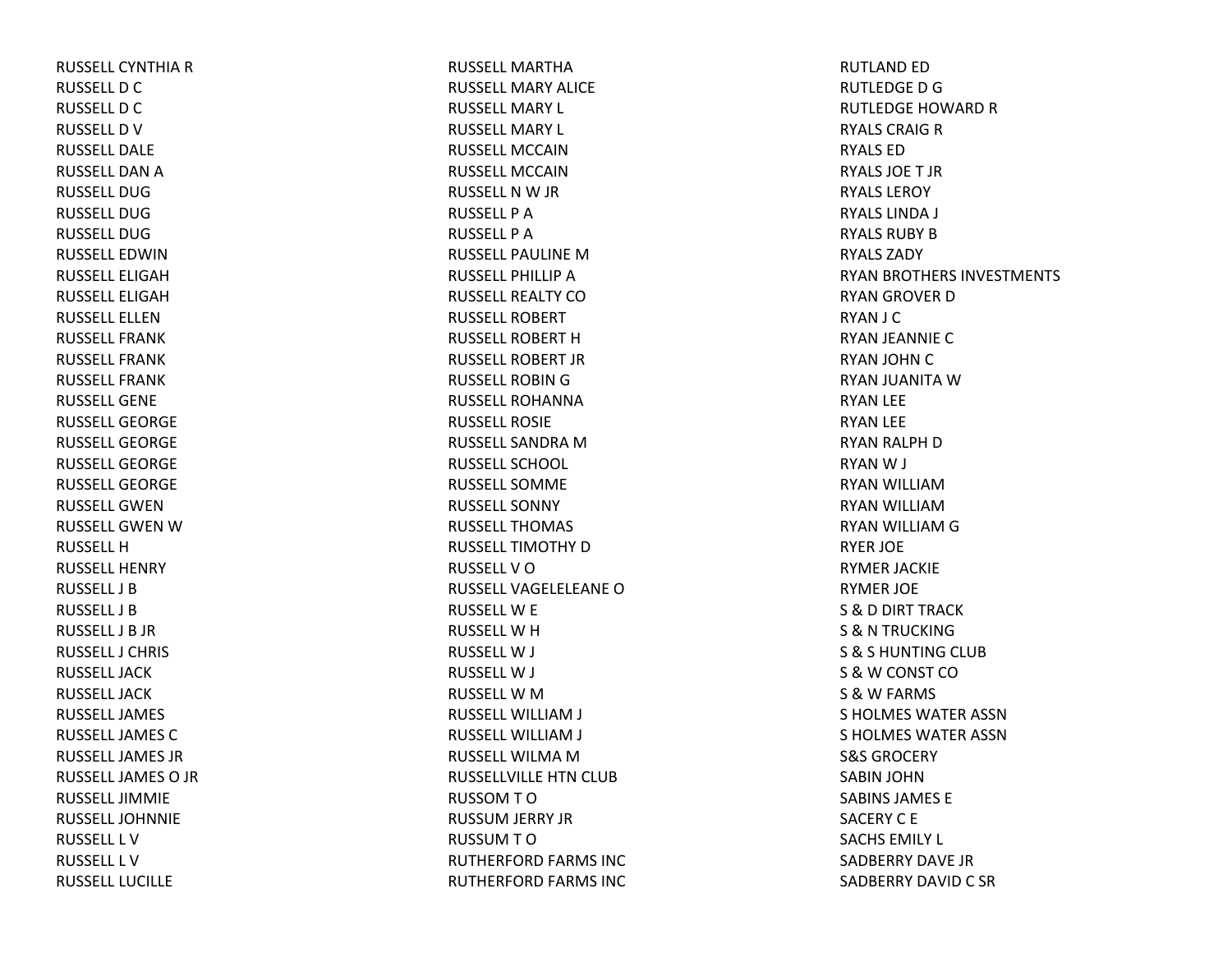RUSSELL CYNTHIA R RUSSELL D C RUSSELL D C RUSSELL D V RUSSELL DALERUSSELL DAN A RUSSELL DUGRUSSELL DUGRUSSELL DUGRUSSELL EDWINRUSSELL ELIGAHRUSSELL ELIGAHRUSSELL ELLENRUSSELL FRANKRUSSELL FRANKRUSSELL FRANKRUSSELL GENERUSSELL GEORGERUSSELL GEORGERUSSELL GEORGERUSSELL GEORGERUSSELL GWENRUSSELL GWEN W RUSSELL H RUSSELL HENRYRUSSELL J BRUSSELL J BRUSSELL J B JR RUSSELL J CHRISRUSSELL JACKRUSSELL JACKRUSSELL JAMESRUSSELL JAMES C RUSSELL JAMES JRRUSSELL JAMES O JR RUSSELL JIMMIERUSSELL JOHNNIERUSSELL L VRUSSELL L VRUSSELL LUCILLE

RUSSELL MARTHARUSSELL MARY ALICERUSSELL MARY L RUSSELL MARY L RUSSELL MCCAINRUSSELL MCCAINRUSSELL N W JR RUSSELL P ARUSSELL P ARUSSELL PAULINE M RUSSELL PHILLIP A RUSSELL REALTY CORUSSELL ROBERTRUSSELL ROBERT H RUSSELL ROBERT JRRUSSELL ROBIN G RUSSELL ROHANNARUSSELL ROSIERUSSELL SANDRA M RUSSELL SCHOOL RUSSELL SOMMERUSSELL SONNYRUSSELL THOMASRUSSELL TIMOTHY D RUSSELLVORUSSELL VAGELELEANE O RUSSELL W E RUSSELL W H RUSSELLW J RUSSELLW J RUSSELL W M RUSSELL WILLIAM J RUSSELL WILLIAM J RUSSELL WILMA M RUSSELLVILLE HTN CLUB RUSSOMTORUSSUM JERRY JR RUSSUMTORUTHERFORD FARMS INC RUTHERFORD FARMS INC

RUTLAND ED RUTLEDGEDGRUTLEDGE HOWARD R RYALS CRAIG R RYALS EDRYALS JOET JRRYALS LEROYRYALS LINDA J RYALS RUBY B RYALS ZADYRYAN BROTHERS INVESTMENTS RYAN GROVER DRYAN J C RYAN JEANNIE CRYAN JOHN CRYAN JUANITA WRYAN LEE RYAN LEE RYAN RALPH DRYANW J RYAN WILLIAMRYAN WILLIAMRYAN WILLIAM G RYER JOE RYMER JACKIE RYMER JOE S & D DIRT TRACK S & N TRUCKING S & S HUNTING CLUB S &W CONST CO S & W FARMS S HOLMES WATER ASSNS HOLMES WATER ASSNS&S GROCERYSABIN JOHN SABINS JAMES ESACERY C E SACHS EMILY L SADBERRY DAVE JRSADBERRY DAVID C SR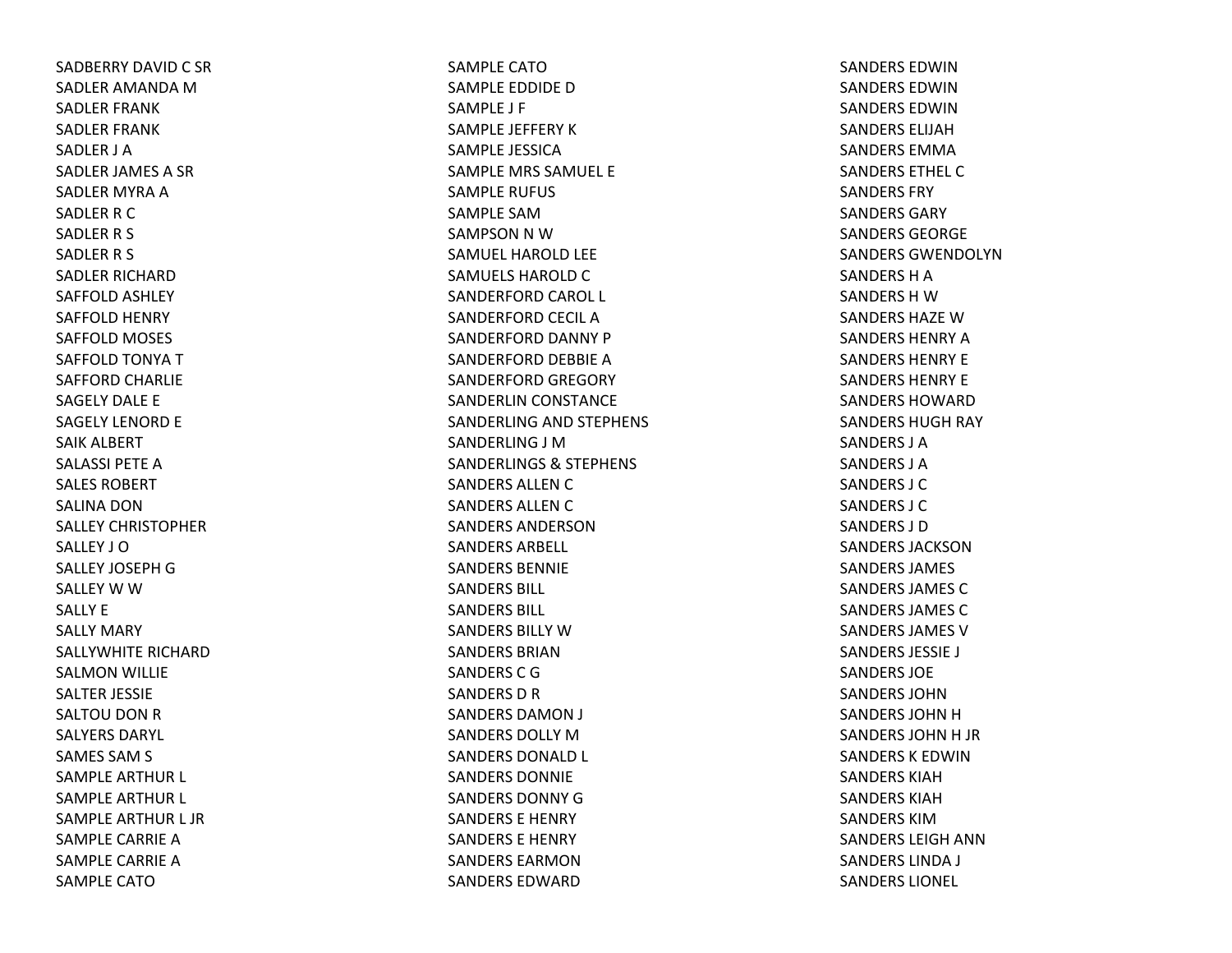SADBERRY DAVID C SR SADLER AMANDA M SADLER FRANK SADLER FRANK SADLER J ASADLER JAMES A SR SADLER MYRA A SADLER R C SADLER R S SADLER R S SADLER RICHARDSAFFOLD ASHLEY SAFFOLD HENRY SAFFOLD MOSES SAFFOLD TONYA TSAFFORD CHARLIE SAGELY DALE E SAGELY LENORD E SAIK ALBERT SALASSI PETE A SALES ROBERTSALINA DONSALLEY CHRISTOPHERSALLEY J OSALLEY JOSEPH G SALLEY W W SALLY ESALLY MARY SALLYWHITE RICHARDSALMON WILLIE SALTER JESSIE SALTOU DON R SALYERS DARYL SAMES SAM S SAMPLE ARTHUR L SAMPLE ARTHUR L SAMPLE ARTHUR L JR SAMPLE CARRIE ASAMPLE CARRIE A SAMPLE CATO

SAMPLE CATOSAMPLE EDDIDE DSAMPLE J F SAMPLE JEFFERY KSAMPLE JESSICASAMPLE MRS SAMUEL E SAMPLE RUFUS SAMPLE SAMSAMPSON N W SAMUEL HAROLD LEE SAMUELS HAROLD C SANDERFORD CAROL L SANDERFORD CECIL ASANDERFORD DANNY P SANDERFORD DEBBIE ASANDERFORD GREGORY SANDERLIN CONSTANCE SANDERLING AND STEPHENS SANDERLING J MSANDERLINGS& STEPHENS SANDERS ALLEN C SANDERS ALLEN C SANDERS ANDERSONSANDERS ARBELL SANDERS BENNIESANDERS BILL SANDERS BILL SANDERS BILLY W SANDERS BRIANSANDERSCGSANDERS D R SANDERS DAMON J SANDERS DOLLY M SANDERS DONALD L SANDERS DONNIESANDERS DONNY G SANDERS E HENRY SANDERS E HENRY SANDERS EARMONSANDERS EDWARD

SANDERS EDWINSANDERS EDWINSANDERS EDWINSANDERS ELIJAHSANDERS EMMASANDERS ETHEL CSANDERS FRYSANDERS GARYSANDERS GEORGESANDERS GWENDOLYNSANDERS H A SANDERS H W SANDERS HAZE W SANDERS HENRY A SANDERS HENRY ESANDERS HENRY ESANDERS HOWARDSANDERS HUGH RAY SANDERS J ASANDERS J ASANDERS J CSANDERS J CSANDERS J DSANDERS JACKSONSANDERS JAMES SANDERS JAMES CSANDERS JAMES CSANDERS JAMES VSANDERS JESSIE J SANDERS JOESANDERS JOHNSANDERS JOHN H SANDERS JOHN H JR SANDERS K EDWIN SANDERS KIAHSANDERS KIAHSANDERS KIMSANDERS LEIGH ANNSANDERS LINDA J SANDERS LIONEL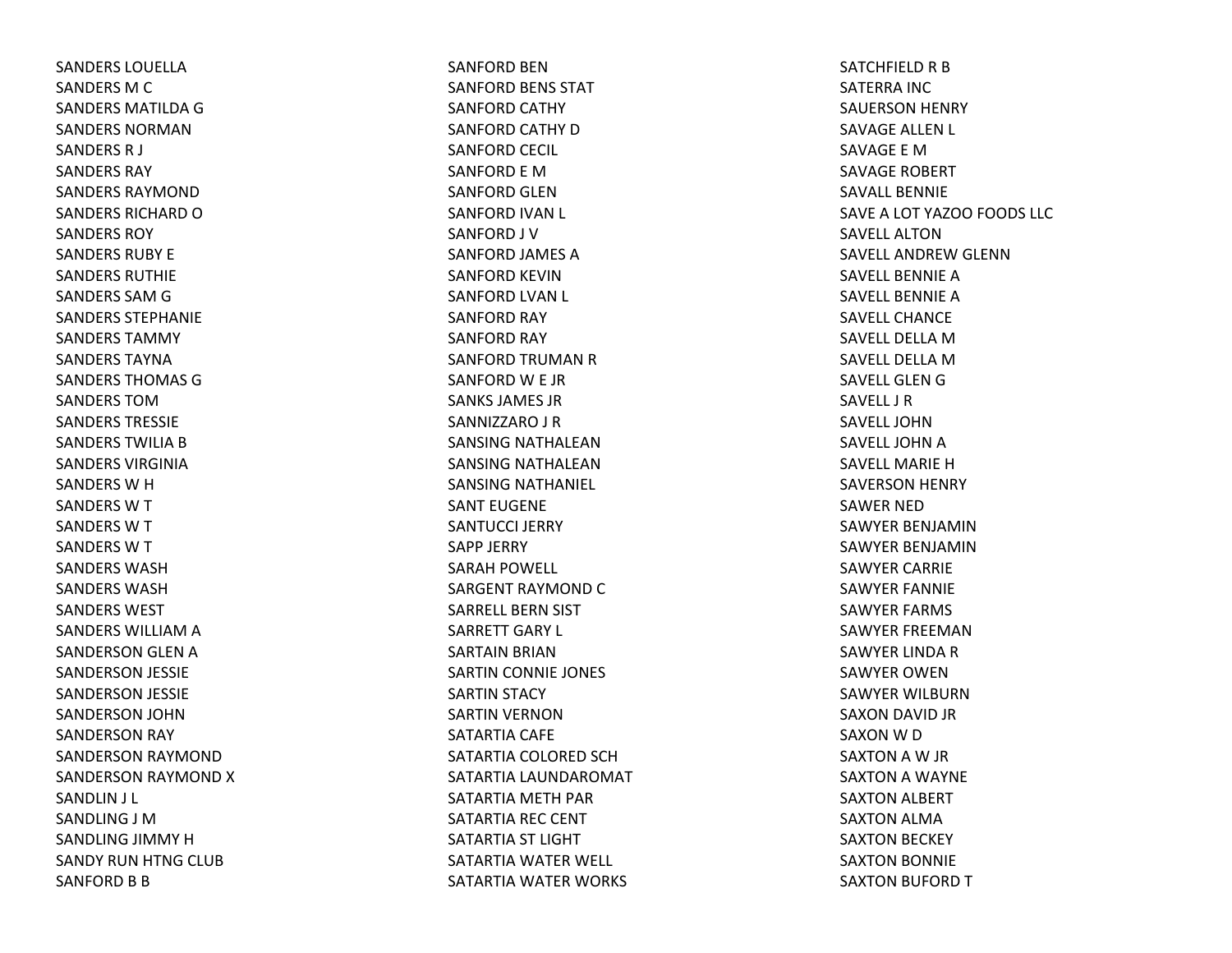SANDERS LOUELLASANDERS M C SANDERS MATILDAGSANDERS NORMANSANDERS R J SANDERS RAYSANDERS RAYMONDSANDERS RICHARD O SANDERS ROYSANDERS RUBY ESANDERS RUTHIESANDERS SAM G SANDERS STEPHANIESANDERS TAMMYSANDERS TAYNASANDERS THOMAS GSANDERS TOMSANDERS TRESSIESANDERS TWILIA B SANDERS VIRGINIASANDERS W H SANDERS W T SANDERS W T SANDERS W T SANDERS WASHSANDERS WASHSANDERS WESTSANDERS WILLIAM A SANDERSON GLEN ASANDERSON JESSIE SANDERSON JESSIE SANDERSON JOHN SANDERSON RAY SANDERSON RAYMOND SANDERSON RAYMOND XSANDLIN J L SANDLING J MSANDLING JIMMY HSANDY RUN HTNG CLUB SANFORD B B

SANFORD BENSANFORD BENS STAT SANFORD CATHY SANFORD CATHY DSANFORD CECIL SANFORD E MSANFORD GLENSANFORD IVAN L SANFORD J V SANFORD JAMES ASANFORD KEVINSANFORD LVAN L SANFORD RAY SANFORD RAY SANFORD TRUMAN R SANFORD W E JR SANKS JAMES JRSANNIZZARO J R SANSING NATHALEANSANSING NATHALEANSANSING NATHANIEL SANT EUGENESANTUCCI JERRYSAPP JERRY SARAH POWELL SARGENT RAYMOND C SARRELL BERN SIST SARRETT GARY L SARTAIN BRIAN SARTIN CONNIE JONES SARTIN STACY SARTIN VERNON SATARTIA CAFE SATARTIA COLORED SCHSATARTIA LAUNDAROMAT SATARTIA METH PAR SATARTIA REC CENT SATARTIA ST LIGHT SATARTIA WATER WELL SATARTIA WATER WORKS

SATCHFIELD R B SATERRA INC SAUERSON HENRY SAVAGE ALLEN L SAVAGE E MSAVAGE ROBERT SAVALL BENNIESAVEA LOT YAZOO FOODS LLC SAVELL ALTONSAVELL ANDREW GLENN SAVELL BENNIE A SAVELL BENNIE A SAVELL CHANCESAVELL DELLA M SAVELL DELLA M SAVELL GLEN G SAVELL J RSAVELL JOHNSAVELL JOHN A SAVELL MARIE H SAVERSON HENRY SAWER NEDSAWYER BENJAMINSAWYER BENJAMINSAWYER CARRIE SAWYER FANNIE SAWYER FARMS SAWYER FREEMANSAWYER LINDA R SAWYER OWENSAWYER WILBURNSAXON DAVID JR SAXON W D SAXTON A W JR SAXTON A WAYNE SAXTON ALBERT SAXTON ALMA SAXTON BECKEY SAXTON BONNIE SAXTON BUFORD T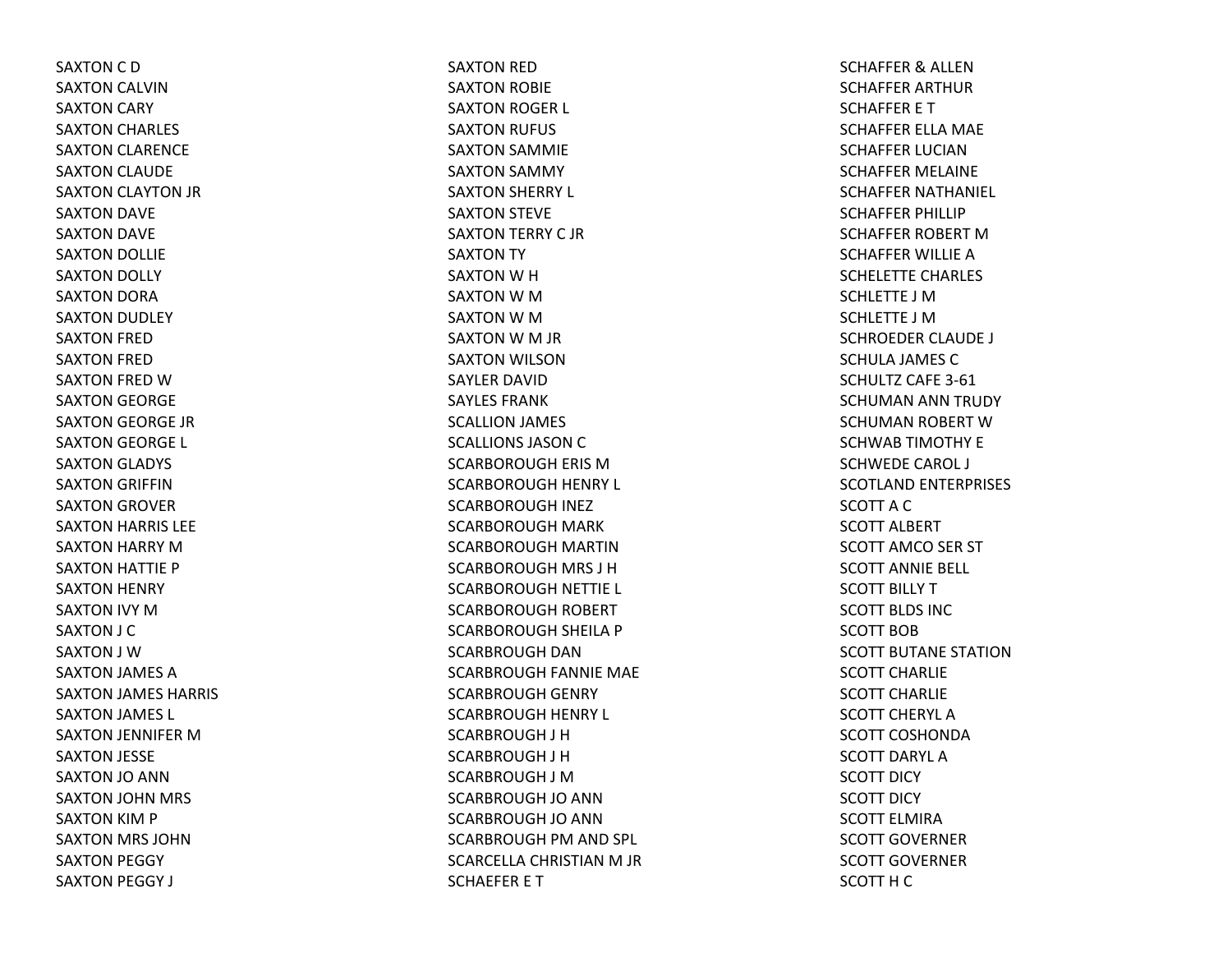SAXTON C D SAXTON CALVIN SAXTON CARY SAXTON CHARLES SAXTON CLARENCE SAXTON CLAUDE SAXTON CLAYTON JR SAXTON DAVE SAXTON DAVE SAXTON DOLLIE SAXTON DOLLY SAXTON DORA SAXTON DUDLEY SAXTON FRED SAXTON FRED SAXTON FRED WSAXTON GEORGE SAXTON GEORGE JR SAXTON GEORGE L SAXTON GLADYS SAXTON GRIFFIN SAXTON GROVER SAXTON HARRIS LEE SAXTON HARRY MSAXTON HATTIE P SAXTON HENRY SAXTON IVY MSAXTON J C SAXTON J WSAXTON JAMES ASAXTON JAMES HARRIS SAXTON JAMES L SAXTON JENNIFER MSAXTON JESSE SAXTON JO ANN SAXTON JOHN MRS SAXTON KIM P SAXTON MRS JOHN SAXTON PEGGY SAXTON PEGGY J

SAXTON RED SAXTON ROBIE SAXTON ROGER L SAXTON RUFUS SAXTON SAMMIE SAXTON SAMMY SAXTON SHERRY L SAXTON STEVE SAXTON TERRY C JRSAXTON TY SAXTON W H SAXTON W M SAXTON W M SAXTON W M JR SAXTON WILSON SAYLER DAVIDSAYLES FRANKSCALLION JAMES SCALLIONS JASON C SCARBOROUGH ERIS MSCARBOROUGH HENRY L SCARBOROUGH INEZ SCARBOROUGH MARK SCARBOROUGH MARTIN SCARBOROUGH MRS J H SCARBOROUGH NETTIE L SCARBOROUGH ROBERT SCARBOROUGH SHEILA P SCARBROUGH DANSCARBROUGH FANNIE MAE SCARBROUGH GENRY SCARBROUGH HENRY L SCARBROUGH J H SCARBROUGH J H SCARBROUGH J MSCARBROUGH JO ANN SCARBROUGH JO ANN SCARBROUGH PM AND SPL SCARCELLA CHRISTIAN M JR SCHAEFER E T

SCHAFFER& ALLEN SCHAFFER ARTHUR SCHAFFER E T SCHAFFER ELLA MAE SCHAFFER LUCIANSCHAFFER MELAINE SCHAFFER NATHANIEL SCHAFFER PHILLIP SCHAFFER ROBERT MSCHAFFER WILLIE ASCHELETTE CHARLES SCHLETTE J MSCHLETTE J MSCHROEDER CLAUDE J SCHULA JAMES CSCHULTZ CAFE 3‐61SCHUMAN ANN TRUDY SCHUMAN ROBERT WSCHWAB TIMOTHY E SCHWEDE CAROL J SCOTLAND ENTERPRISES SCOTT A C SCOTT ALBERT SCOTT AMCO SER ST SCOTT ANNIE BELL SCOTT BILLY TSCOTT BLDS INCSCOTT BOBSCOTT BUTANE STATIONSCOTT CHARLIESCOTT CHARLIESCOTT CHERYL ASCOTT COSHONDASCOTT DARYL ASCOTT DICY SCOTT DICYSCOTT ELMIRASCOTT GOVERNERSCOTT GOVERNERSCOTT H C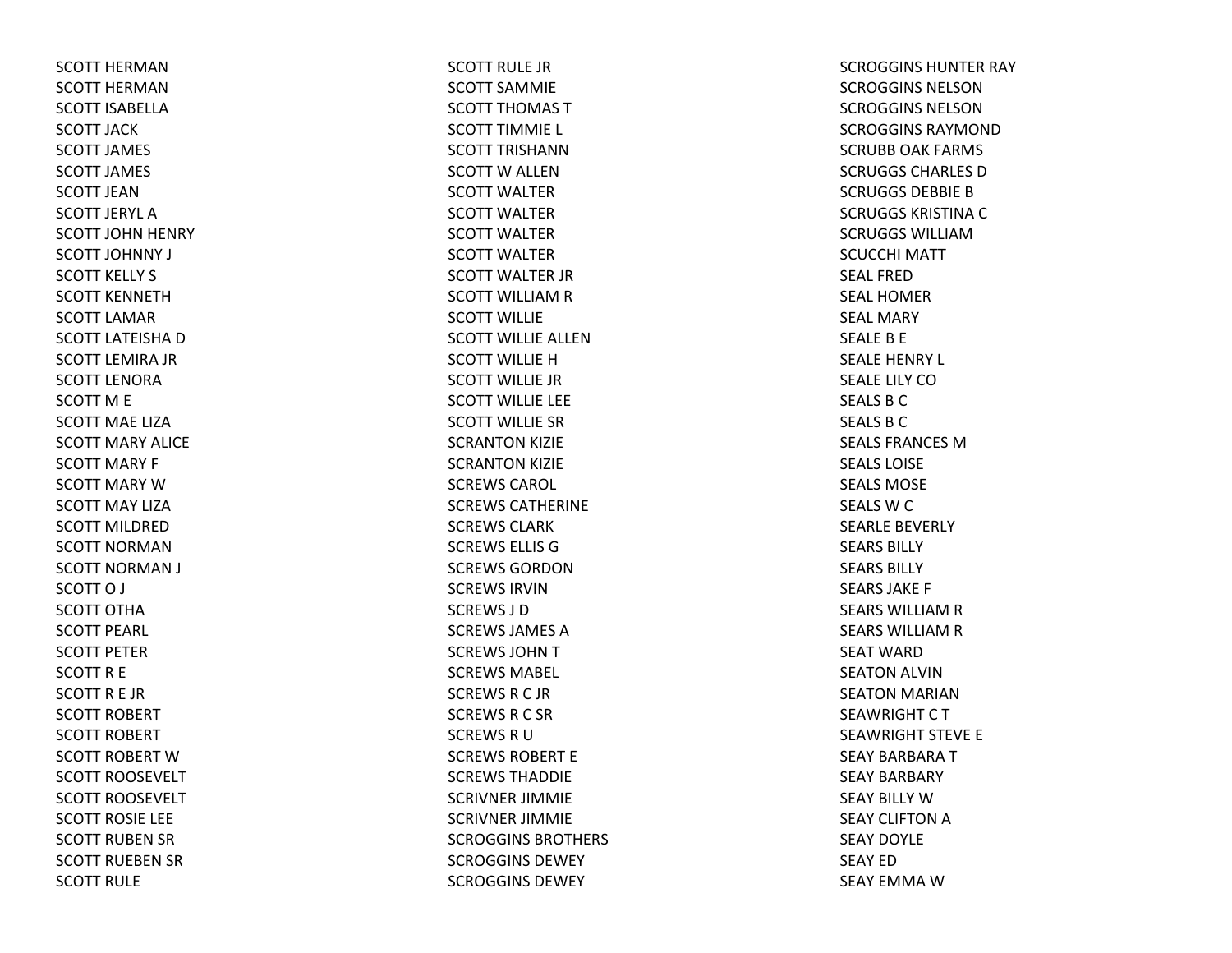SCOTT HERMANSCOTT HERMANSCOTT ISABELLASCOTT JACKSCOTT JAMES SCOTT JAMES SCOTT JEANSCOTT JERYL ASCOTT JOHN HENRY SCOTT JOHNNY J SCOTT KELLY S SCOTT KENNETHSCOTT LAMARSCOTT LATEISHA D SCOTT LEMIRA JR SCOTT LENORASCOTT M E SCOTT MAE LIZASCOTT MARY ALICESCOTT MARY F SCOTT MARY W SCOTT MAY LIZASCOTT MILDREDSCOTT NORMANSCOTT NORMAN J SCOTTO J SCOTT OTHASCOTT PEARL SCOTT PETERSCOTT R E SCOTTR E JR SCOTT ROBERT SCOTT ROBERT SCOTT ROBERT WSCOTT ROOSEVELT SCOTT ROOSEVELT SCOTT ROSIE LEE SCOTT RUBEN SR SCOTT RUEBEN SR SCOTT RULE

SCOTT RULE JRSCOTT SAMMIESCOTT THOMAS TSCOTT TIMMIE L SCOTT TRISHANNSCOTT W ALLEN SCOTT WALTERSCOTT WALTERSCOTT WALTERSCOTT WALTERSCOTT WALTER JR SCOTT WILLIAM R SCOTT WILLIESCOTT WILLIE ALLENSCOTT WILLIE H SCOTT WILLIE JRSCOTT WILLIE LEE SCOTT WILLIE SRSCRANTON KIZIE SCRANTON KIZIE SCREWS CAROL SCREWS CATHERINESCREWS CLARKSCREWS ELLIS GSCREWS GORDONSCREWS IRVINSCREWS J DSCREWS JAMES ASCREWS JOHNTSCREWS MABEL SCREWS R C JR SCREWS R C SR SCREWS R U SCREWS ROBERT ESCREWS THADDIESCRIVNER JIMMIE SCRIVNER JIMMIE SCROGGINS BROTHERS SCROGGINS DEWEYSCROGGINS DEWEY

SCROGGINS HUNTER RAY SCROGGINS NELSONSCROGGINS NELSONSCROGGINS RAYMONDSCRUBB OAK FARMS SCRUGGS CHARLES DSCRUGGS DEBBIE B SCRUGGS KRISTINA C SCRUGGS WILLIAMSCUCCHI MATTSEAL FREDSEAL HOMERSEAL MARYSEALE B E SEALE HENRY L SEALE LILY COSEALS B C SEALS B C SEALS FRANCES MSEALS LOISESEALS MOSESEALS W C SEARLE BEVERLY SEARS BILLYSEARS BILLYSEARS JAKE F SEARS WILLIAM R SEARS WILLIAM R SEAT WARDSEATON ALVIN SEATON MARIAN SEAWRIGHT C T SEAWRIGHT STEVE E SEAY BARBARATSEAY BARBARY SEAY BILLY WSEAY CLIFTON A SEAY DOYLESEAY EDSEAY EMMA W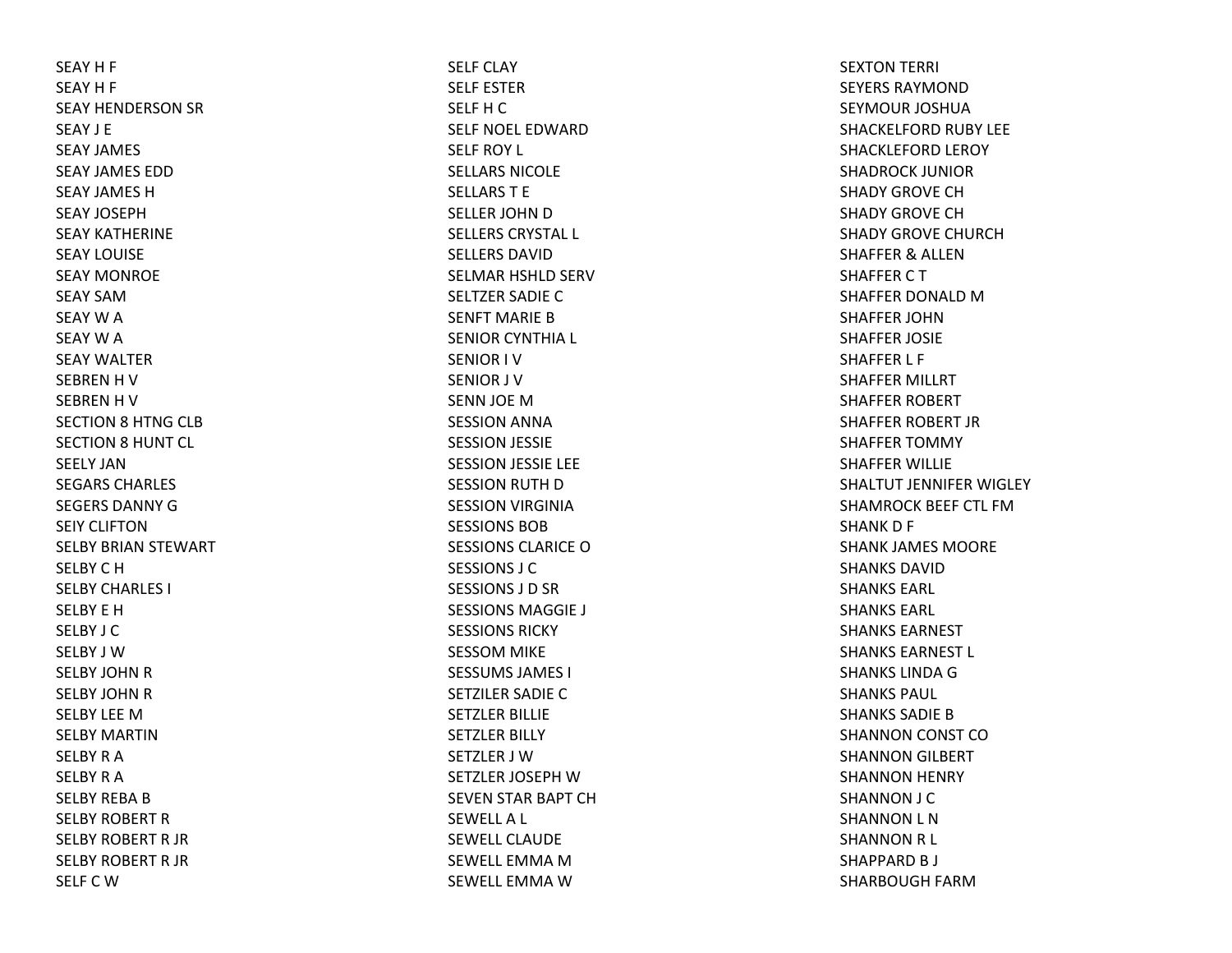SEAY H F SEAY H F SEAY HENDERSON SR SEAY J ESEAY JAMES SEAY JAMES EDDSEAY JAMES HSEAY JOSEPHSEAY KATHERINESEAY LOUISESEAY MONROESEAY SAMSEAY W A SEAY W A SEAY WALTERSEBREN H V SEBREN H V SECTION 8 HTNG CLB SECTION 8 HUNT CL SEELY JANSEGARS CHARLES SEGERS DANNY G SEIY CLIFTONSELBY BRIAN STEWART SELBY C H SELBY CHARLES I SELBY E HSELBY J CSELBY J WSELBY JOHN R SELBY JOHN R SELBY LEE M SELBY MARTINSELBY R A SELBY R A SELBY REBA B SELBY ROBERT RSELBY ROBERT R JR SELBY ROBERT R JR SELF C W

SELF CLAYSELF ESTERSELF H C SELF NOEL EDWARDSELF ROY L SELLARS NICOLESELLARST ESELLER JOHN D SELLERS CRYSTAL L SELLERS DAVIDSELMAR HSHLD SERV SELTZER SADIE CSENFT MARIE B SENIOR CYNTHIA L SENIOR I VSENIOR J VSENN JOE MSESSION ANNA SESSION JESSIE SESSION JESSIE LEE SESSION RUTH DSESSION VIRGINIA SESSIONS BOBSESSIONS CLARICE O SESSIONS J CSESSIONS J D SR SESSIONS MAGGIE J SESSIONS RICKYSESSOM MIKE SESSUMS JAMES I SETZILER SADIE CSETZLER BILLIE SETZLER BILLY SETZLER J WSETZLER JOSEPH W SEVEN STAR BAPT CH SEWELLA L SEWELL CLAUDESEWELL EMMA M SEWELL EMMA W

SEXTON TERRI SEYERS RAYMONDSEYMOUR JOSHUASHACKELFORD RUBY LEE SHACKLEFORD LEROY SHADROCK JUNIORSHADY GROVE CHSHADY GROVE CHSHADY GROVE CHURCHSHAFFER& ALLEN SHAFFER C T SHAFFER DONALD M SHAFFER JOHNSHAFFER JOSIE SHAFFER L F SHAFFER MILLRT SHAFFER ROBERT SHAFFER ROBERT JR SHAFFER TOMMY SHAFFER WILLIE SHALTUT JENNIFER WIGLEY SHAMROCK BEEF CTL FMSHANK D F SHANK JAMES MOORE SHANKS DAVIDSHANKS EARL SHANKS EARL SHANKS EARNESTSHANKS EARNEST L SHANKS LINDA G SHANKS PAUL SHANKS SADIE B SHANNON CONST COSHANNON GILBERT SHANNON HENRY SHANNON J C SHANNON L N SHANNON R L SHAPPARD B J SHARBOUGH FARM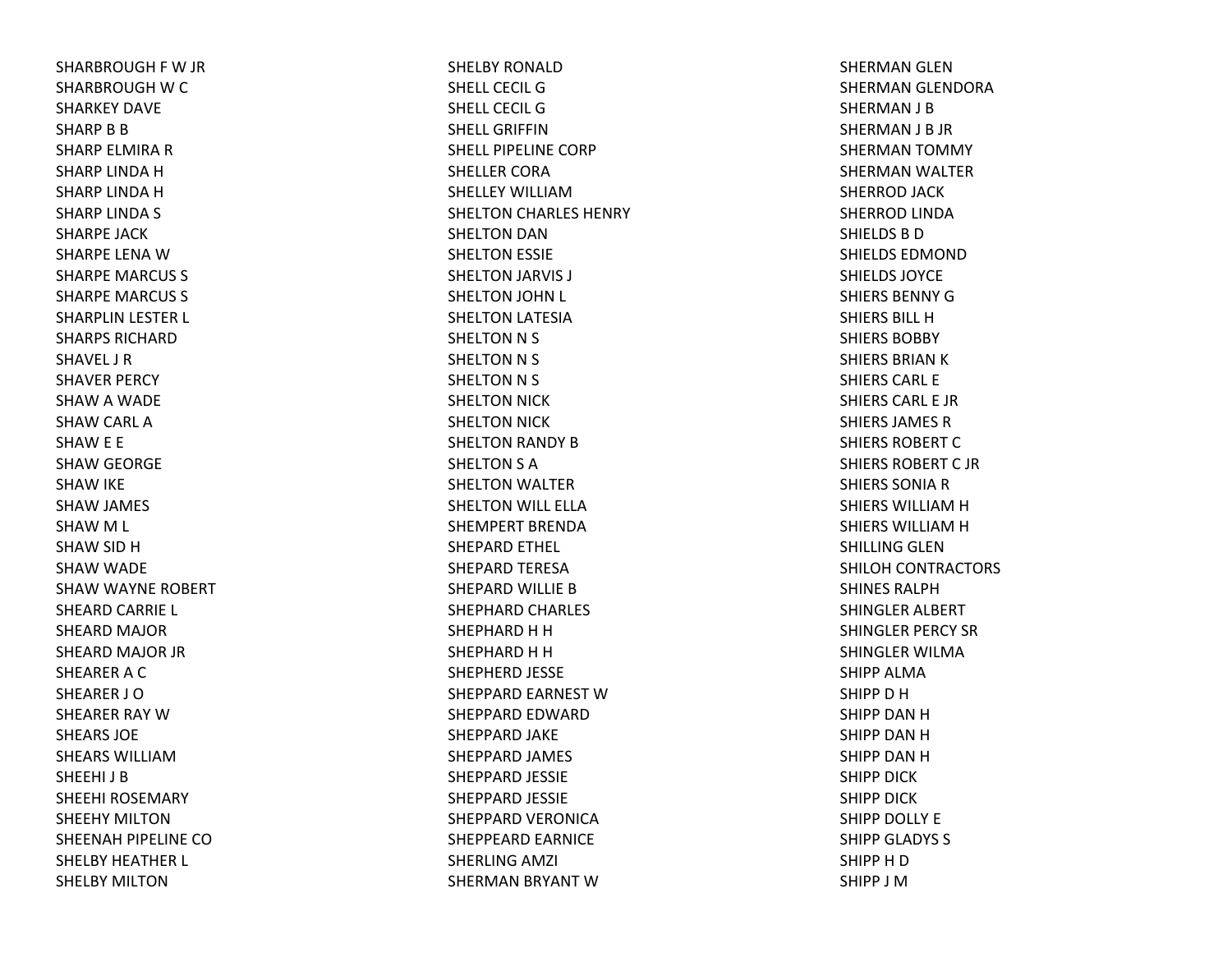SHARBROUGH F W JR SHARBROUGH W C SHARKEY DAVESHARP B B SHARP ELMIRA R SHARP LINDA H SHARP LINDA H SHARP LINDA S SHARPE JACKSHARPE LENA W SHARPE MARCUS S SHARPE MARCUS S SHARPLIN LESTER L SHARPS RICHARDSHAVEL J RSHAVER PERCY SHAW A WADE SHAW CARL ASHAW E E SHAW GEORGE SHAW IKE SHAW JAMES SHAW M L SHAW SID HSHAW WADE SHAW WAYNE ROBERT SHEARD CARRIE L SHEARD MAJOR SHEARD MAJOR JR SHEARER A C SHEARER J OSHEARER RAY WSHEARS JOESHEARS WILLIAMSHEEHI J BSHEEHI ROSEMARYSHEEHY MILTONSHEENAH PIPELINE COSHELBY HEATHER L SHELBY MILTON

SHELBY RONALDSHELL CECIL GSHELL CECIL GSHELL GRIFFINSHELL PIPELINE CORPSHELLER CORASHELLEY WILLIAMSHELTON CHARLES HENRY SHELTON DAN SHELTON ESSIE SHELTON JARVIS J SHELTON JOHN L SHELTON LATESIA SHELTON N S SHELTON N S SHELTON N S SHELTON NICK SHELTON NICK SHELTON RANDY BSHELTON S A SHELTON WALTER SHELTON WILL ELLA SHEMPERT BRENDASHEPARD ETHEL SHEPARD TERESA SHEPARD WILLIE BSHEPHARD CHARLES SHEPHARD H H SHEPHARD H H SHEPHERD JESSE SHEPPARD EARNEST WSHEPPARD EDWARD SHEPPARD JAKE SHEPPARD JAMES SHEPPARD JESSIE SHEPPARD JESSIE SHEPPARD VERONICA SHEPPEARD EARNICE SHERLING AMZI SHERMAN BRYANT W

SHERMAN GLEN SHERMAN GLENDORA SHERMAN J B SHERMAN J B JR SHERMAN TOMMY SHERMAN WALTER SHERROD JACK SHERROD LINDA SHIELDS B D SHIELDS EDMONDSHIELDS JOYCESHIERS BENNY G SHIERS BILL HSHIERS BOBBYSHIERS BRIAN K SHIERS CARL ESHIERS CARL E JRSHIERS JAMES RSHIERS ROBERT C SHIERS ROBERT C JR SHIERS SONIA R SHIERS WILLIAM H SHIERS WILLIAM H SHILLING GLENSHILOH CONTRACTORS SHINES RALPHSHINGLER ALBERT SHINGLER PERCY SR SHINGLER WILMASHIPP ALMASHIPP D H SHIPP DAN H SHIPP DAN H SHIPP DAN H SHIPP DICKSHIPP DICKSHIPP DOLLY E SHIPP GLADYS S SHIPP H D SHIPP J M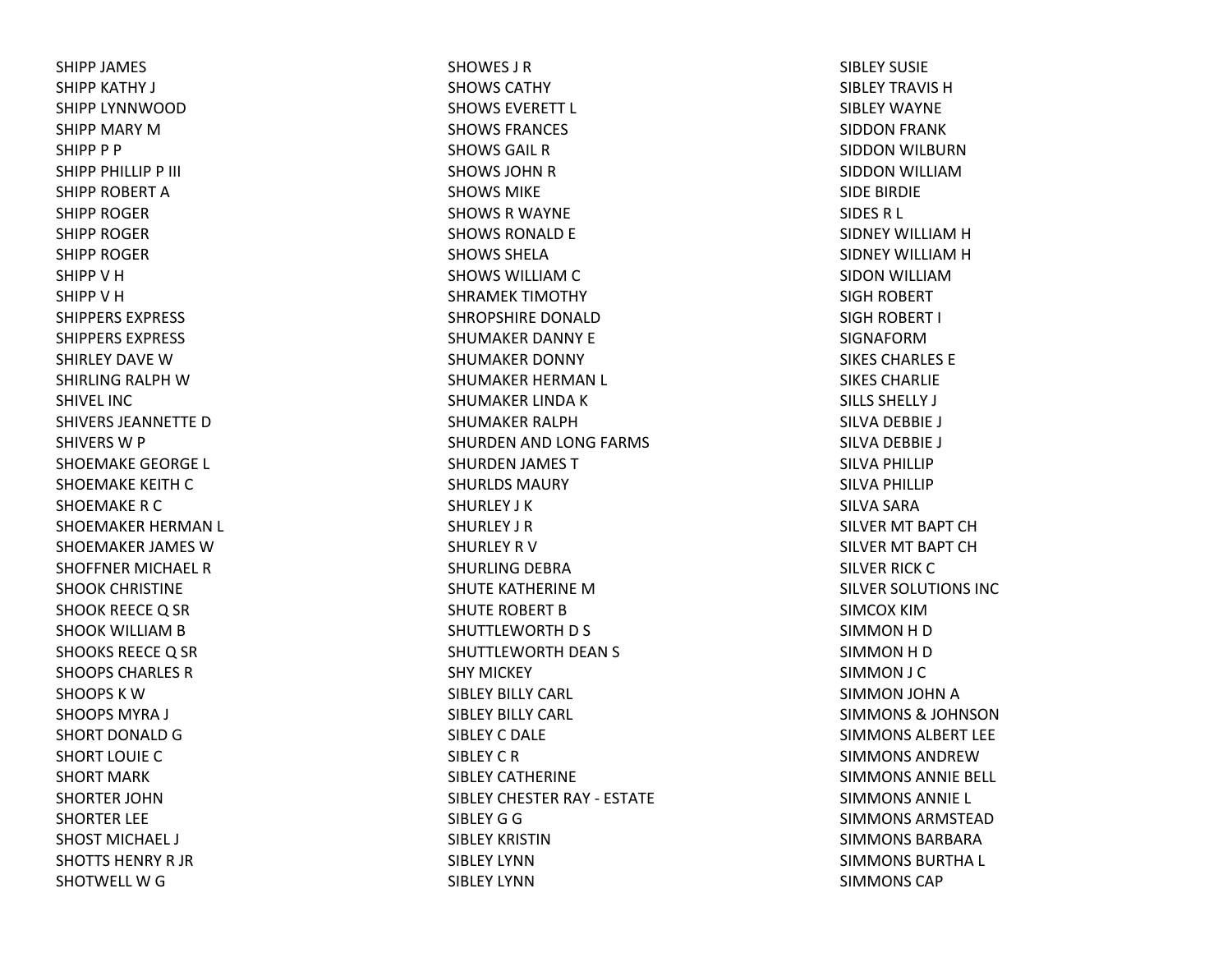SHIPP JAMES SHIPP KATHY J SHIPP LYNNWOODSHIPP MARY MSHIPP P P SHIPP PHILLIP P III SHIPP ROBERT ASHIPP ROGERSHIPP ROGERSHIPP ROGERSHIPP V H SHIPP V H SHIPPERS EXPRESS SHIPPERS EXPRESS SHIRLEY DAVE W SHIRLING RALPH WSHIVEL INCSHIVERS JEANNETTE D SHIVERS W P SHOEMAKE GEORGE L SHOEMAKE KEITH C SHOEMAKE R C SHOEMAKER HERMAN L SHOEMAKER JAMES WSHOFFNER MICHAEL RSHOOK CHRISTINE SHOOK REECE Q SR SHOOK WILLIAM B SHOOKS REECE Q SR SHOOPS CHARLES RSHOOPS K W SHOOPS MYRA J SHORT DONALD G SHORT LOUIE C SHORT MARKSHORTER JOHNSHORTER LEE SHOST MICHAEL J SHOTTS HENRY R JR SHOTWELL W G

SHOWES J RSHOWS CATHYSHOWS EVERETT L SHOWS FRANCES SHOWS GAIL RSHOWS JOHN R SHOWS MIKESHOWS R WAYNE SHOWS RONALD E SHOWS SHELASHOWS WILLIAM C SHRAMEK TIMOTHY SHROPSHIRE DONALDSHUMAKER DANNY E SHUMAKER DONNY SHUMAKER HERMAN L SHUMAKER LINDA K SHUMAKER RALPHSHURDEN AND LONG FARMS SHURDEN JAMES TSHURLDS MAURYSHURLEY J KSHURLEY J RSHURLEY R V SHURLING DEBRA SHUTE KATHERINE MSHUTE ROBERT BSHUTTLEWORTH D S SHUTTLEWORTH DEAN S SHY MICKEY SIBLEY BILLY CARL SIBLEY BILLY CARL SIBLEY C DALE SIBLEY C R SIBLEY CATHERINESIBLEY CHESTER RAY ‐ ESTATE SIBLEY G G SIBLEY KRISTINSIBLEY LYNNSIBLEY LYNN

SIBLEY SUSIESIBLEY TRAVIS HSIBLEY WAYNESIDDON FRANK SIDDON WILBURN SIDDON WILLIAMSIDE BIRDIE SIDESR L SIDNEY WILLIAM H SIDNEY WILLIAM H SIDON WILLIAMSIGH ROBERT SIGH ROBERT I SIGNAFORMSIKES CHARLES ESIKES CHARLIESILLS SHELLY J SILVA DEBBIE J SILVA DEBBIE J SILVA PHILLIP SILVA PHILLIP SILVA SARA SILVER MT BAPT CHSILVER MT BAPT CHSILVER RICK CSILVER SOLUTIONS INC SIMCOX KIMSIMMONHDSIMMONHDSIMMON J C SIMMON JOHN ASIMMONS& JOHNSON SIMMONS ALBERT LEESIMMONS ANDREWSIMMONS ANNIE BELL SIMMONS ANNIE L SIMMONS ARMSTEADSIMMONS BARBARASIMMONS BURTHA L SIMMONS CAP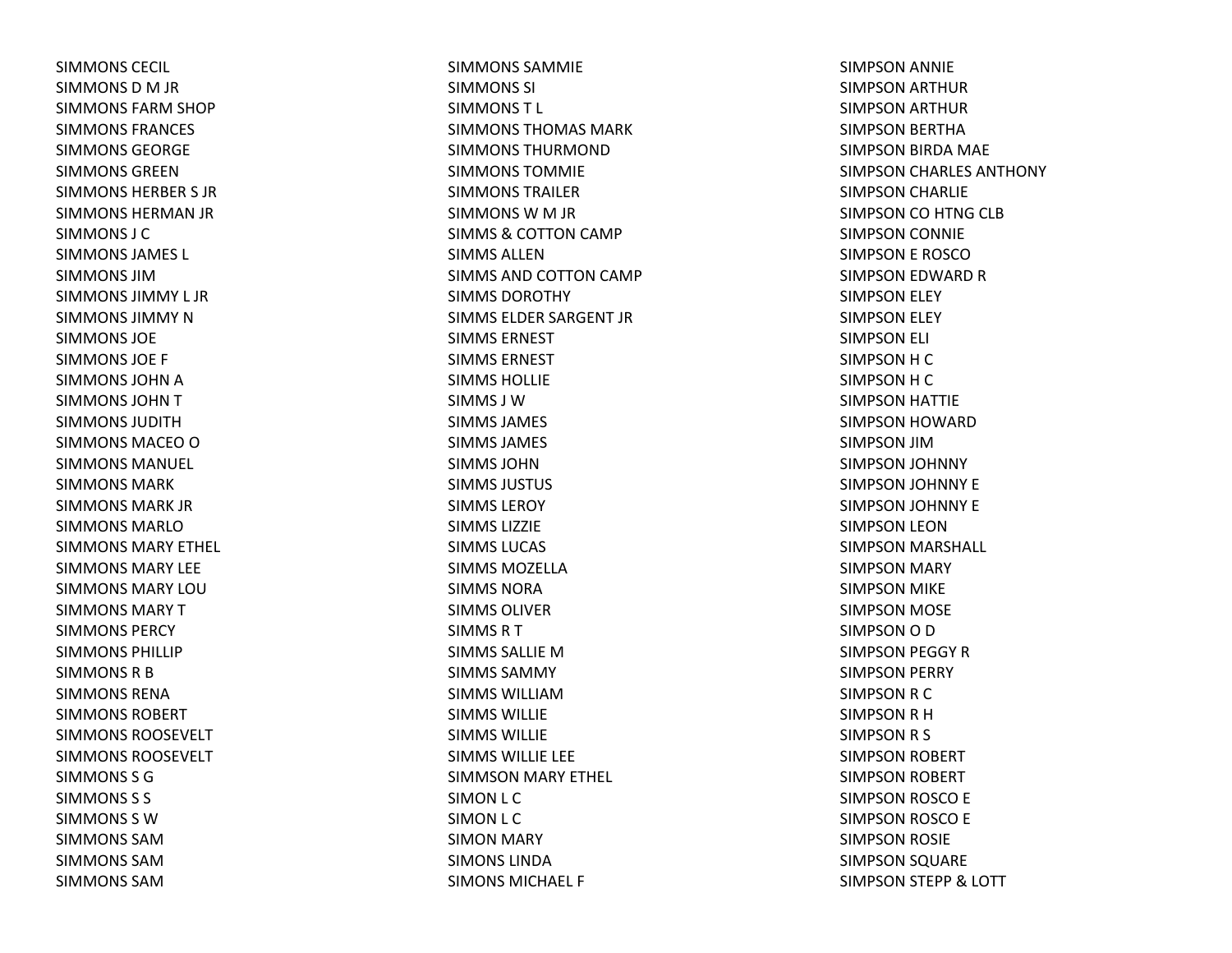SIMMONS CECIL SIMMONS D M JR SIMMONS FARM SHOP SIMMONS FRANCES SIMMONS GEORGESIMMONS GREENSIMMONS HERBER S JR SIMMONS HERMAN JR SIMMONS J CSIMMONS JAMES L SIMMONS JIMSIMMONS JIMMY L JRSIMMONS JIMMY N SIMMONS JOESIMMONS JOE F SIMMONS JOHN A SIMMONS JOHN T SIMMONS JUDITHSIMMONS MACEO O SIMMONS MANUEL SIMMONS MARKSIMMONS MARK JRSIMMONS MARLOSIMMONS MARY ETHEL SIMMONS MARY LEESIMMONS MARY LOUSIMMONS MARYTSIMMONS PERCYSIMMONS PHILLIPSIMMONS R B SIMMONS RENASIMMONS ROBERTSIMMONS ROOSEVELTSIMMONS ROOSEVELTSIMMONS S GSIMMONS S S SIMMONS S WSIMMONS SAMSIMMONS SAMSIMMONS SAM

SIMMONS SAMMIESIMMONS SI SIMMONST L SIMMONS THOMAS MARKSIMMONS THURMONDSIMMONS TOMMIESIMMONS TRAILERSIMMONS W M JR SIMMS& COTTON CAMP SIMMS ALLENSIMMS AND COTTON CAMP SIMMS DOROTHYSIMMS ELDER SARGENT JR SIMMS ERNESTSIMMS ERNESTSIMMS HOLLIESIMMS J WSIMMS JAMES SIMMS JAMESSIMMS JOHNSIMMS JUSTUS SIMMS LEROYSIMMS LIZZIESIMMS LUCAS SIMMS MOZELLASIMMS NORASIMMS OLIVERSIMMSRTSIMMS SALLIE M SIMMS SAMMYSIMMS WILLIAMSIMMS WILLIESIMMS WILLIESIMMS WILLIE LEE SIMMSON MARY ETHEL SIMON L C SIMON L C SIMON MARY SIMONS LINDASIMONS MICHAEL F

SIMPSON ANNIE SIMPSON ARTHUR SIMPSON ARTHUR SIMPSON BERTHA SIMPSON BIRDA MAE SIMPSON CHARLES ANTHONY SIMPSON CHARLIE SIMPSON CO HTNG CLB SIMPSON CONNIE SIMPSON E ROSCOSIMPSON EDWARD RSIMPSON ELEY SIMPSON ELEY SIMPSON ELI SIMPSONHCSIMPSONHCSIMPSON HATTIE SIMPSON HOWARD SIMPSON JIMSIMPSON JOHNNY SIMPSON JOHNNY E SIMPSON JOHNNY E SIMPSON LEON SIMPSON MARSHALL SIMPSON MARY SIMPSON MIKE SIMPSON MOSE SIMPSON O D SIMPSON PEGGY RSIMPSON PERRY SIMPSON R C SIMPSON R H SIMPSONR S SIMPSON ROBERT SIMPSON ROBERT SIMPSON ROSCO E SIMPSON ROSCO E SIMPSON ROSIE SIMPSON SQUARE SIMPSON STEPP & LOTT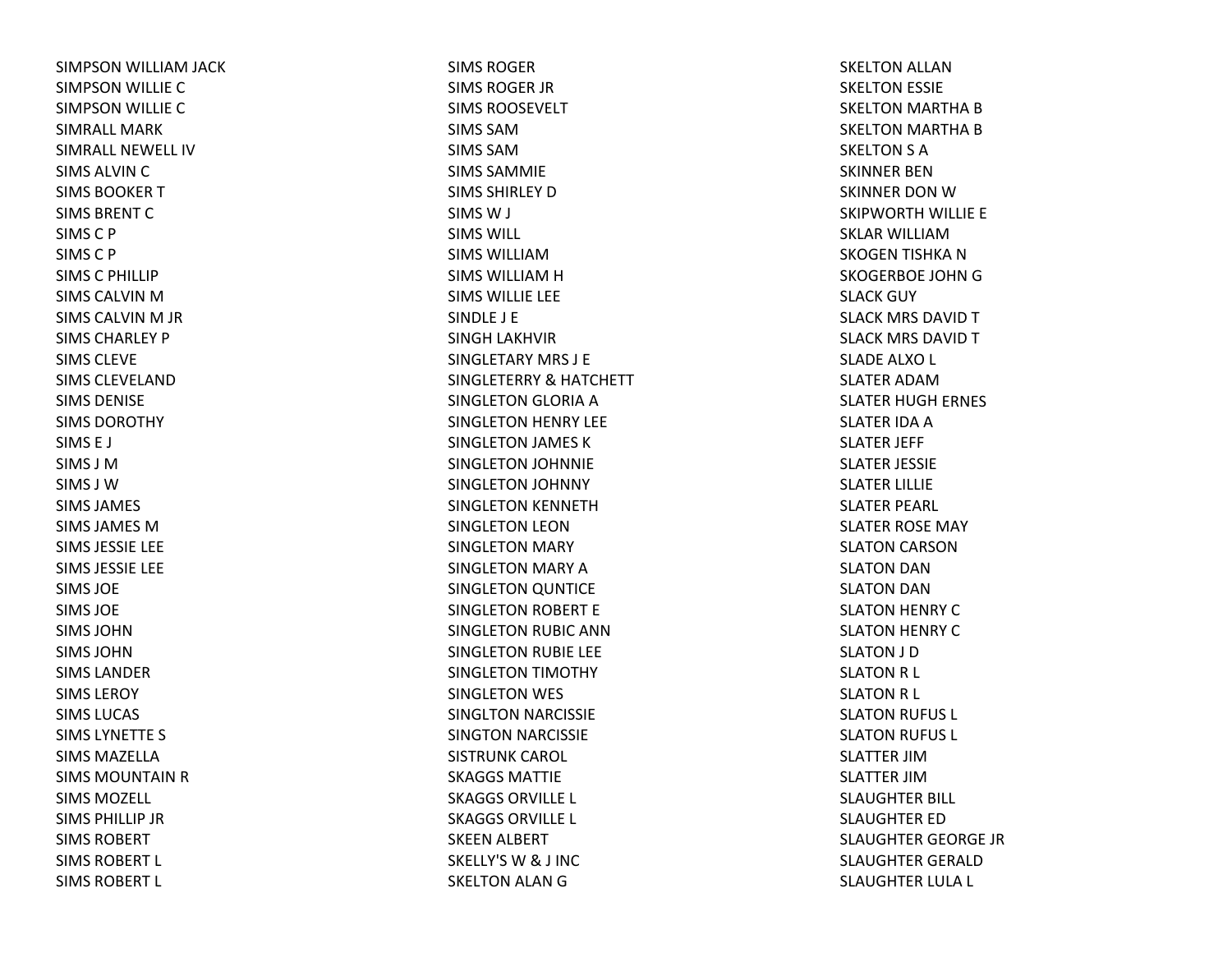SIMPSON WILLIAM JACK SIMPSON WILLIE CSIMPSON WILLIE CSIMRALL MARKSIMRALL NEWELL IVSIMS ALVIN C SIMS BOOKER T SIMS BRENT C SIMSC P SIMS C P SIMSC PHILLIP SIMS CALVIN M SIMS CALVIN M JR SIMS CHARLEY PSIMS CLEVESIMS CLEVELANDSIMS DENISESIMS DOROTHYSIMS E J SIMS J MSIMS J WSIMS JAMES SIMS JAMES MSIMS JESSIE LEE SIMS JESSIE LEE SIMS JOESIMS JOESIMS JOHNSIMS JOHNSIMS LANDERSIMS LEROYSIMS LUCAS SIMS LYNETTE S SIMS MAZELLASIMS MOUNTAIN R SIMS MOZELL SIMS PHILLIP JRSIMS ROBERTSIMS ROBERT L SIMS ROBERT L

SIMS ROGERSIMS ROGER JR SIMS ROOSEVELTSIMS SAMSIMS SAMSIMS SAMMIESIMS SHIRLEY D SIMSW J SIMS WILL SIMS WILLIAMSIMS WILLIAM H SIMS WILLIE LEE SINDLE J E SINGH LAKHVIR SINGLETARY MRS J ESINGLETERRY& HATCHETT SINGLETON GLORIA ASINGLETON HENRY LEE SINGLETON JAMES KSINGLETON JOHNNIE SINGLETON JOHNNY SINGLETON KENNETH SINGLETON LEON SINGLETON MARY SINGLETON MARY ASINGLETON QUNTICE SINGLETON ROBERT E SINGLETON RUBIC ANN SINGLETON RUBIE LEE SINGLETON TIMOTHY SINGLETON WES SINGLTON NARCISSIE SINGTON NARCISSIE SISTRUNK CAROL SKAGGS MATTIESKAGGS ORVILLE L SKAGGS ORVILLE L SKEEN ALBERT SKELLY'SW& J INC SKELTON ALAN G

SKELTON ALLAN SKELTON ESSIE SKELTON MARTHA BSKELTON MARTHA BSKELTON S A SKINNER BENSKINNER DON W SKIPWORTH WILLIE E SKLAR WILLIAMSKOGEN TISHKA NSKOGERBOE JOHN G SLACK GUY SLACK MRS DAVID T SLACK MRS DAVID T SLADE ALXO L SLATER ADAMSLATER HUGH ERNES SLATER IDA A SLATER JEFF SLATER JESSIE SLATER LILLIE SLATER PEARL SLATER ROSE MAY SLATON CARSON SLATON DAN SLATON DAN SLATON HENRY CSLATON HENRY CSLATON J D SLATON R L SLATON R L SLATON RUFUS L SLATON RUFUS L SLATTER JIMSLATTER JIMSLAUGHTER BILL SLAUGHTER EDSLAUGHTER GEORGE JR SLAUGHTER GERALDSLAUGHTER LULA L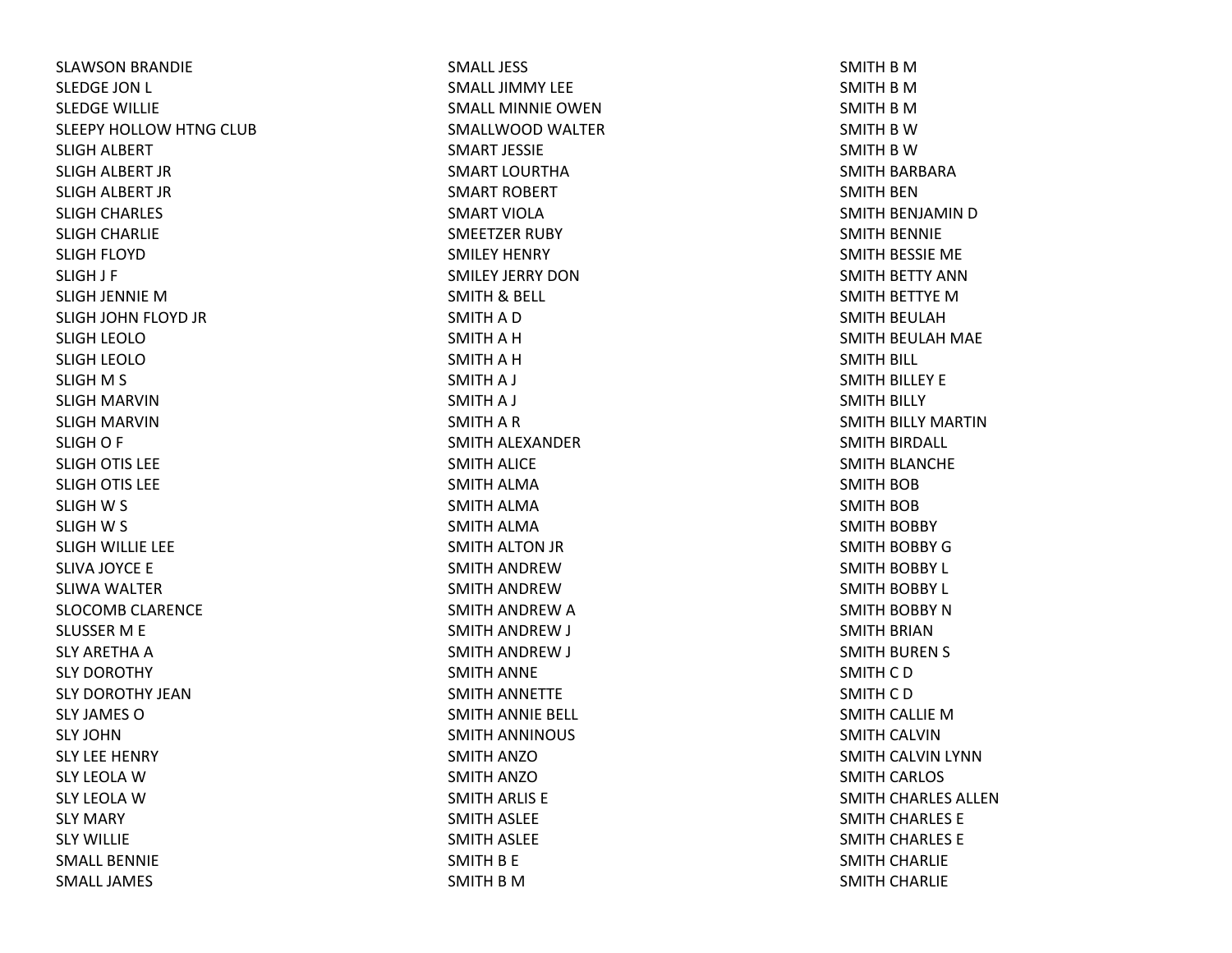SLAWSON BRANDIE SLEDGE JON L SLEDGE WILLIE SLEEPY HOLLOW HTNG CLUB SLIGH ALBERT SLIGH ALBERT JR SLIGH ALBERT JR SLIGH CHARLES SLIGH CHARLIE SLIGH FLOYD SLIGH J F SLIGH JENNIE MSLIGH JOHN FLOYD JR SLIGH LEOLOSLIGH LEOLOSLIGH M S SLIGH MARVINSLIGH MARVINSLIGH O F SLIGH OTIS LEE SLIGH OTIS LEE SLIGH W S SLIGH W S SLIGH WILLIE LEE SLIVA JOYCE E SLIWA WALTER SLOCOMB CLARENCE SLUSSER M E SLY ARETHA A SLY DOROTHY SLY DOROTHY JEANSLY JAMES OSLY JOHNSLY LEE HENRY SLY LEOLA W SLY LEOLA W SLY MARY SLY WILLIESMALL BENNIESMALL JAMES

SMALL JESSSMALL JIMMY LEESMALL MINNIE OWENSMALLWOOD WALTER SMART JESSIESMART LOURTHASMART ROBERT SMART VIOLASMEETZER RUBY SMILEY HENRY SMILEY JERRY DONSMITH& BELL SMITH A D SMITH A H SMITH A H SMITHA J SMITHA J SMITH A R SMITH ALEXANDER SMITH ALICE SMITH ALMA SMITH ALMA SMITH ALMA SMITH ALTON JR SMITH ANDREWSMITH ANDREWSMITH ANDREW A SMITH ANDREW J SMITH ANDREW J SMITH ANNE SMITH ANNETTE SMITH ANNIE BELL SMITH ANNINOUS SMITH ANZOSMITH ANZOSMITH ARLIS E SMITH ASLEE SMITH ASLEE SMITH B E SMITH B M

SMITH B M SMITH B M SMITH B M SMITH B W SMITH B W SMITH BARBARA SMITH BENSMITH BENJAMIN D SMITH BENNIE SMITH BESSIE ME SMITH BETTY ANNSMITH BETTYE MSMITH BEULAH SMITH BEULAH MAE SMITH BILL SMITH BILLEY E SMITH BILLY SMITH BILLY MARTINSMITH BIRDALL SMITH BLANCHE SMITH BOB SMITH BOB SMITH BOBBY SMITH BOBBY GSMITH BOBBY L SMITH BOBBY L SMITH BOBBY NSMITH BRIANSMITH BUREN S SMITH C D SMITH C D SMITH CALLIE MSMITH CALVINSMITH CALVIN LYNN SMITH CARLOS SMITH CHARLES ALLENSMITH CHARLES E SMITH CHARLES E SMITH CHARLIE SMITH CHARLIE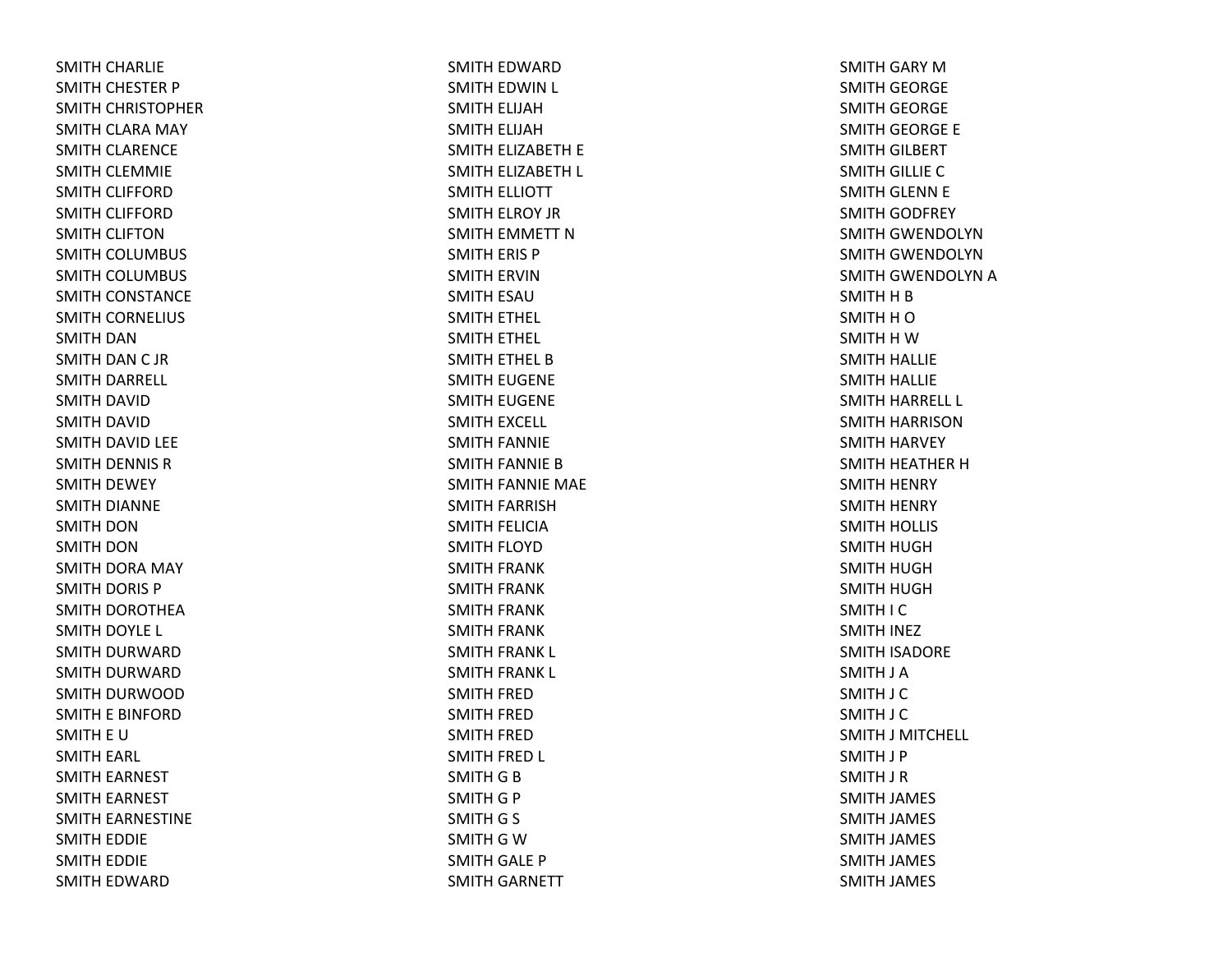SMITH CHARLIE SMITH CHESTER P SMITH CHRISTOPHER SMITH CLARA MAY SMITH CLARENCE SMITH CLEMMIE SMITH CLIFFORD SMITH CLIFFORD SMITH CLIFTONSMITH COLUMBUS SMITH COLUMBUS SMITH CONSTANCE SMITH CORNELIUS SMITH DANSMITH DAN C JR SMITH DARRELL SMITH DAVID SMITH DAVID SMITH DAVID LEE SMITH DENNIS RSMITH DEWEY SMITH DIANNE SMITH DONSMITH DONSMITH DORA MAY SMITH DORIS P SMITH DOROTHEA SMITH DOYLE L SMITH DURWARD SMITH DURWARD SMITH DURWOOD SMITH E BINFORD SMITH E USMITH EARL SMITH EARNEST SMITH EARNEST SMITH EARNESTINE SMITH EDDIE SMITH EDDIE SMITH EDWARD

SMITH EDWARD SMITH EDWIN L SMITH ELIJAH SMITH ELIJAH SMITH ELIZABETH E SMITH ELIZABETH L SMITH ELLIOTT SMITH ELROY JR SMITH EMMETT NSMITH ERIS P SMITH ERVINSMITH ESAUSMITH ETHEL SMITH ETHEL SMITH ETHEL BSMITH EUGENE SMITH EUGENE SMITH EXCELL SMITH FANNIE SMITH FANNIE BSMITH FANNIE MAE SMITH FARRISH SMITH FELICIA SMITH FLOYD SMITH FRANK SMITH FRANK SMITH FRANK SMITH FRANK SMITH FRANK L SMITH FRANK L SMITH FRED SMITH FRED SMITH FRED SMITH FRED L SMITH G B SMITH G P SMITH G S SMITH G W SMITH GALE P SMITH GARNETT

SMITH GARY MSMITH GEORGE SMITH GEORGE SMITH GEORGE E SMITH GILBERT SMITH GILLIE CSMITH GLENN E SMITH GODFREY SMITH GWENDOLYNSMITH GWENDOLYNSMITH GWENDOLYN A SMITH H B SMITH H O SMITH H W SMITH HALLIE SMITH HALLIE SMITH HARRELL L SMITH HARRISONSMITH HARVEY SMITH HEATHER HSMITH HENRY SMITH HENRY SMITH HOLLIS SMITH HUGH SMITH HUGH SMITH HUGH SMITH I C SMITH INEZ SMITH ISADORE SMITH J A SMITH J C SMITH J C SMITH J MITCHELL SMITH J P SMITH J R SMITH JAMES SMITH JAMES SMITH JAMES SMITH JAMES SMITH JAMES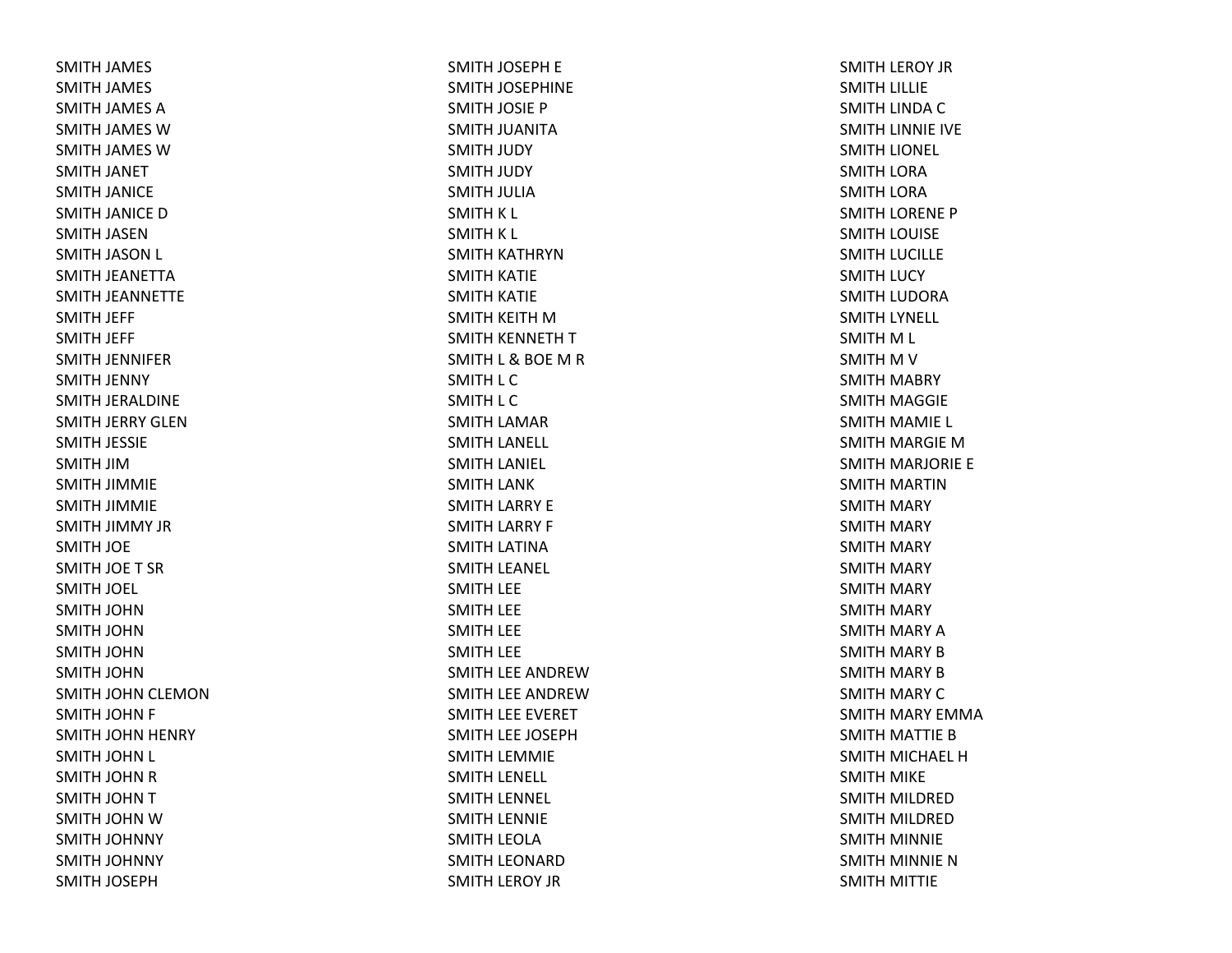SMITH JAMES SMITH JAMES SMITH JAMES ASMITH JAMES WSMITH JAMES WSMITH JANET SMITH JANICE SMITH JANICE DSMITH JASENSMITH JASON L SMITH JEANETTA SMITH JEANNETTE SMITH JEFF SMITH JEFF SMITH JENNIFER SMITH JENNY SMITH JERALDINE SMITH JERRY GLENSMITH JESSIE SMITH JIMSMITH JIMMIE SMITH JIMMIE SMITH JIMMY JR SMITH JOE SMITH JOE T SRSMITH JOEL SMITH JOHNSMITH JOHNSMITH JOHNSMITH JOHNSMITH JOHN CLEMON SMITH JOHN F SMITH JOHN HENRY SMITH JOHN L SMITH JOHN R SMITH JOHN T SMITH JOHN W SMITH JOHNNY SMITH JOHNNY SMITH JOSEPH

SMITH JOSEPH E SMITH JOSEPHINE SMITH JOSIE P SMITH JUANITA SMITH JUDY SMITH JUDY SMITH JULIA SMITH K L SMITH K L SMITH KATHRYNSMITH KATIE SMITH KATIE SMITH KEITH MSMITH KENNETH TSMITH L & BOE MRSMITH L C SMITH L C SMITH LAMAR SMITH LANELL SMITH LANIEL SMITH LANK SMITH LARRY E SMITH LARRY F SMITH LATINA SMITH LEANEL SMITH LEE SMITH LEE SMITH LEE SMITH LEE SMITH LEE ANDREWSMITH LEE ANDREWSMITH LEE EVERET SMITH LEE JOSEPH SMITH LEMMIE SMITH LENELL SMITH LENNEL SMITH LENNIE SMITH LEOLA SMITH LEONARD SMITH LEROY JR

SMITH LEROY JR SMITH LILLIE SMITH LINDA CSMITH LINNIE IVE SMITH LIONEL SMITH LORA SMITH LORA SMITH LORENE P SMITH LOUISE SMITH LUCILLE SMITH LUCY SMITH LUDORA SMITH LYNELL SMITH M L SMITH M V SMITH MABRY SMITH MAGGIE SMITH MAMIE L SMITH MARGIE MSMITH MARJORIE E SMITH MARTINSMITH MARY SMITH MARY SMITH MARY SMITH MARY SMITH MARY SMITH MARY SMITH MARY ASMITH MARY BSMITH MARY BSMITH MARY CSMITH MARY EMMA SMITH MATTIE BSMITH MICHAEL HSMITH MIKE SMITH MILDRED SMITH MILDRED SMITH MINNIE SMITH MINNIE NSMITH MITTIE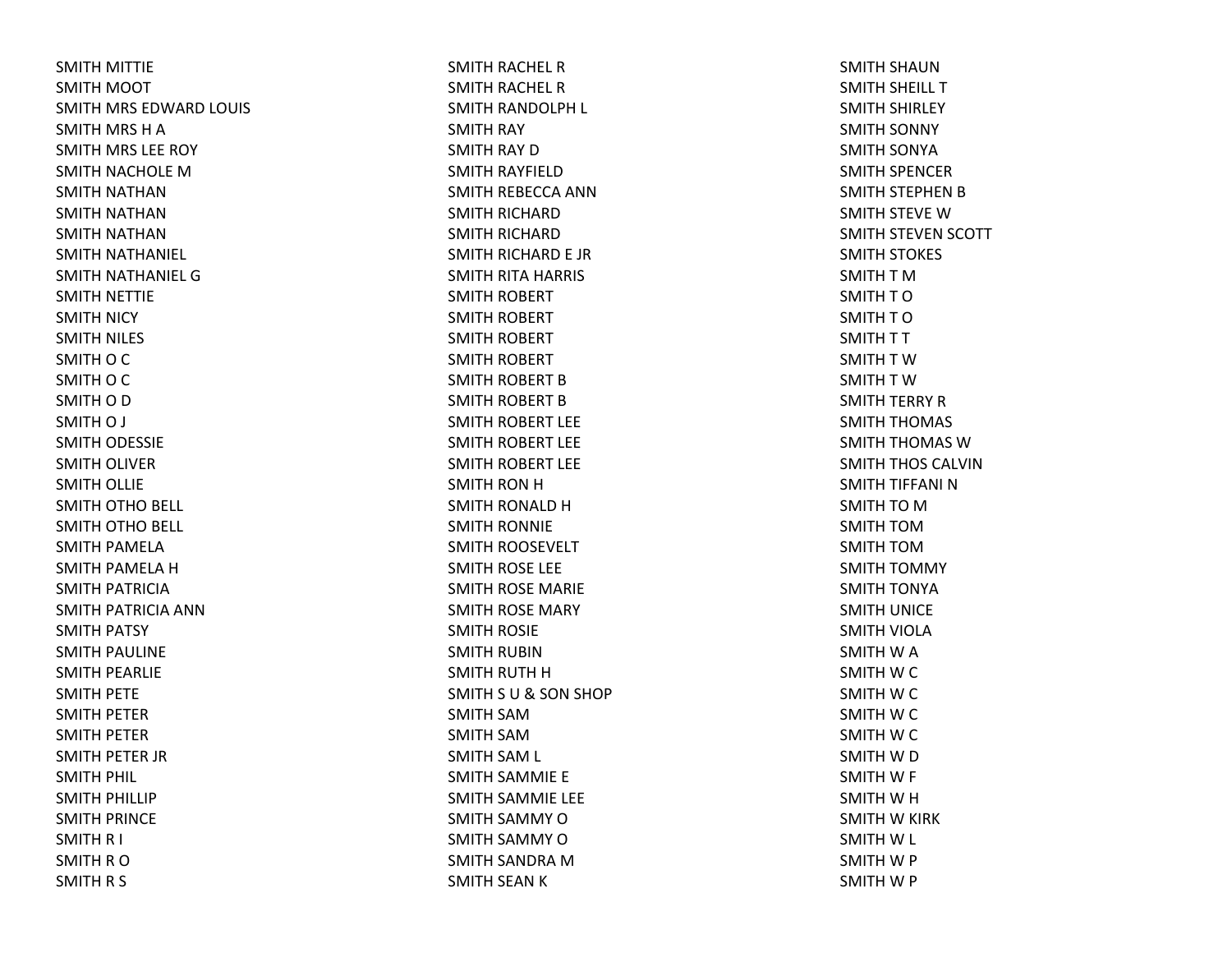SMITH MITTIE SMITH MOOT SMITH MRS EDWARD LOUIS SMITH MRS HASMITH MRS LEE ROY SMITH NACHOLE MSMITH NATHANSMITH NATHANSMITH NATHANSMITH NATHANIEL SMITH NATHANIEL GSMITH NETTIE SMITH NICY SMITH NILES SMITH O C SMITH O C SMITH O D SMITH O J SMITH ODESSIE SMITH OLIVER SMITH OLLIE SMITH OTHO BELL SMITH OTHO BELL SMITH PAMELA SMITH PAMELA HSMITH PATRICIA SMITH PATRICIA ANNSMITH PATSY SMITH PAULINE SMITH PEARLIE SMITH PETE SMITH PETER SMITH PETER SMITH PETER JR SMITH PHIL SMITH PHILLIP SMITH PRINCE SMITH R I SMITH R O SMITH R S

SMITH RACHEL RSMITH RACHEL RSMITH RANDOLPH L SMITH RAY SMITH RAY DSMITH RAYFIELD SMITH REBECCA ANNSMITH RICHARD SMITH RICHARD SMITH RICHARD E JR SMITH RITA HARRIS SMITH ROBERT SMITH ROBERT SMITH ROBERT SMITH ROBERT SMITH ROBERT BSMITH ROBERT BSMITH ROBERT LEE SMITH ROBERT LEE SMITH ROBERT LEE SMITH RON H SMITH RONALD HSMITH RONNIE SMITH ROOSEVELT SMITH ROSE LEE SMITH ROSE MARIE SMITH ROSE MARY SMITH ROSIE SMITH RUBINSMITH RUTH HSMITH S U& SON SHOP SMITH SAMSMITH SAMSMITH SAM L SMITH SAMMIE E SMITH SAMMIE LEE SMITH SAMMY OSMITH SAMMY OSMITH SANDRA MSMITH SEAN K

SMITH SHAUNSMITH SHEILL TSMITH SHIRLEY SMITH SONNY SMITH SONYA SMITH SPENCER SMITH STEPHEN B SMITH STEVE WSMITH STEVEN SCOTT SMITH STOKES SMITH T M SMITH T O SMITH T O SMITH T T SMITH T W SMITH T W SMITH TERRY RSMITH THOMAS SMITH THOMAS WSMITH THOS CALVINSMITH TIFFANI NSMITH TO M SMITH TOMSMITH TOMSMITH TOMMY SMITH TONYA SMITH UNICE SMITH VIOLA SMITH W A SMITH W C SMITH W C SMITH W C SMITH W C SMITH W D SMITH W F SMITH W H SMITH W KIRK SMITH W L SMITH W P SMITH W P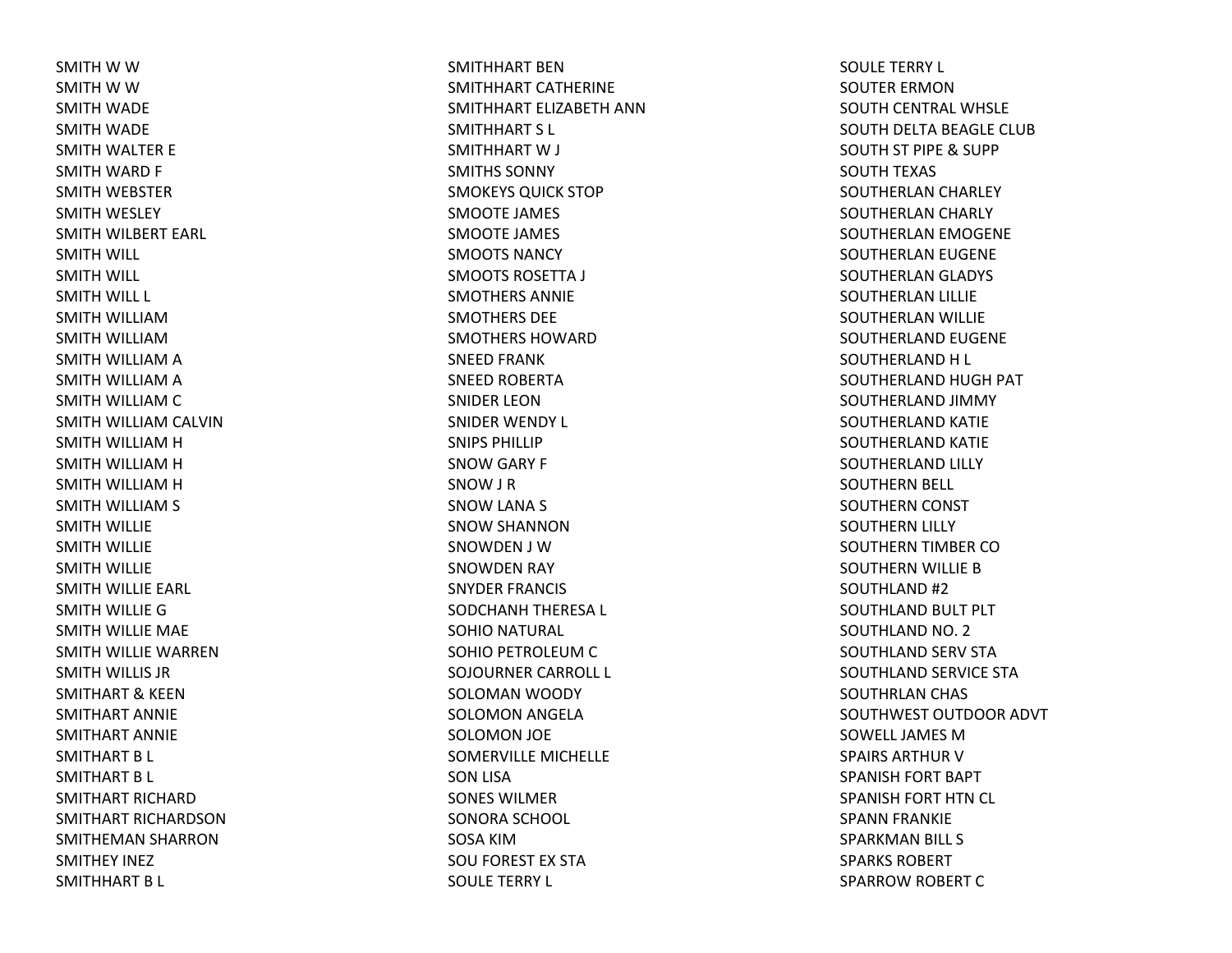SMITH W W SMITH W W SMITH WADE SMITH WADE SMITH WALTER E SMITH WARD F SMITH WEBSTER SMITH WESLEY SMITH WILBERT EARL SMITH WILL SMITH WILL SMITH WILL L SMITH WILLIAMSMITH WILLIAMSMITH WILLIAM A SMITH WILLIAM A SMITH WILLIAM C SMITH WILLIAM CALVIN SMITH WILLIAM H SMITH WILLIAM H SMITH WILLIAM H SMITH WILLIAM S SMITH WILLIE SMITH WILLIE SMITH WILLIE SMITH WILLIE EARL SMITH WILLIE GSMITH WILLIE MAE SMITH WILLIE WARRENSMITH WILLIS JR SMITHART& KEEN SMITHART ANNIESMITHART ANNIESMITHART B L SMITHART B L SMITHART RICHARDSMITHART RICHARDSONSMITHEMAN SHARRON SMITHEY INEZ SMITHHART B L

SMITHHART BENSMITHHART CATHERINESMITHHART ELIZABETH ANNSMITHHART S L SMITHHART W J SMITHS SONNYSMOKEYS QUICK STOP SMOOTE JAMES SMOOTE JAMES SMOOTS NANCYSMOOTS ROSETTA J SMOTHERS ANNIESMOTHERS DEESMOTHERS HOWARDSNEED FRANK SNEED ROBERTA SNIDER LEONSNIDER WENDY L SNIPS PHILLIPSNOW GARY F SNOW J R SNOW LANA S SNOW SHANNON SNOWDEN J WSNOWDEN RAY SNYDER FRANCIS SODCHANH THERESA L SOHIO NATURAL SOHIO PETROLEUM C SOJOURNER CARROLL L SOLOMAN WOODY SOLOMON ANGELA SOLOMON JOE SOMERVILLE MICHELLE SON LISA SONES WILMERSONORA SCHOOL SOSA KIMSOU FOREST EX STA SOULE TERRY L

SOULE TERRY L SOUTER ERMONSOUTH CENTRAL WHSLE SOUTH DELTA BEAGLE CLUB SOUTH ST PIPE & SUPP SOUTH TEXAS SOUTHERLAN CHARLEY SOUTHERLAN CHARLY SOUTHERLAN EMOGENE SOUTHERLAN EUGENE SOUTHERLAN GLADYS SOUTHERLAN LILLIE SOUTHERLAN WILLIE SOUTHERLAND EUGENE SOUTHERLAND H L SOUTHERLAND HUGH PAT SOUTHERLAND JIMMY SOUTHERLAND KATIE SOUTHERLAND KATIE SOUTHERLAND LILLY SOUTHERN BELL SOUTHERN CONST SOUTHERN LILLY SOUTHERN TIMBER COSOUTHERN WILLIE BSOUTHLAND #2 SOUTHLAND BULT PLT SOUTHLAND NO. 2 SOUTHLAND SERV STA SOUTHLAND SERVICE STA SOUTHRLAN CHAS SOUTHWEST OUTDOOR ADVT SOWELL JAMES M SPAIRS ARTHUR V SPANISH FORT BAPT SPANISH FORT HTN CL SPANN FRANKIE SPARKMAN BILL S SPARKS ROBERTSPARROW ROBERT C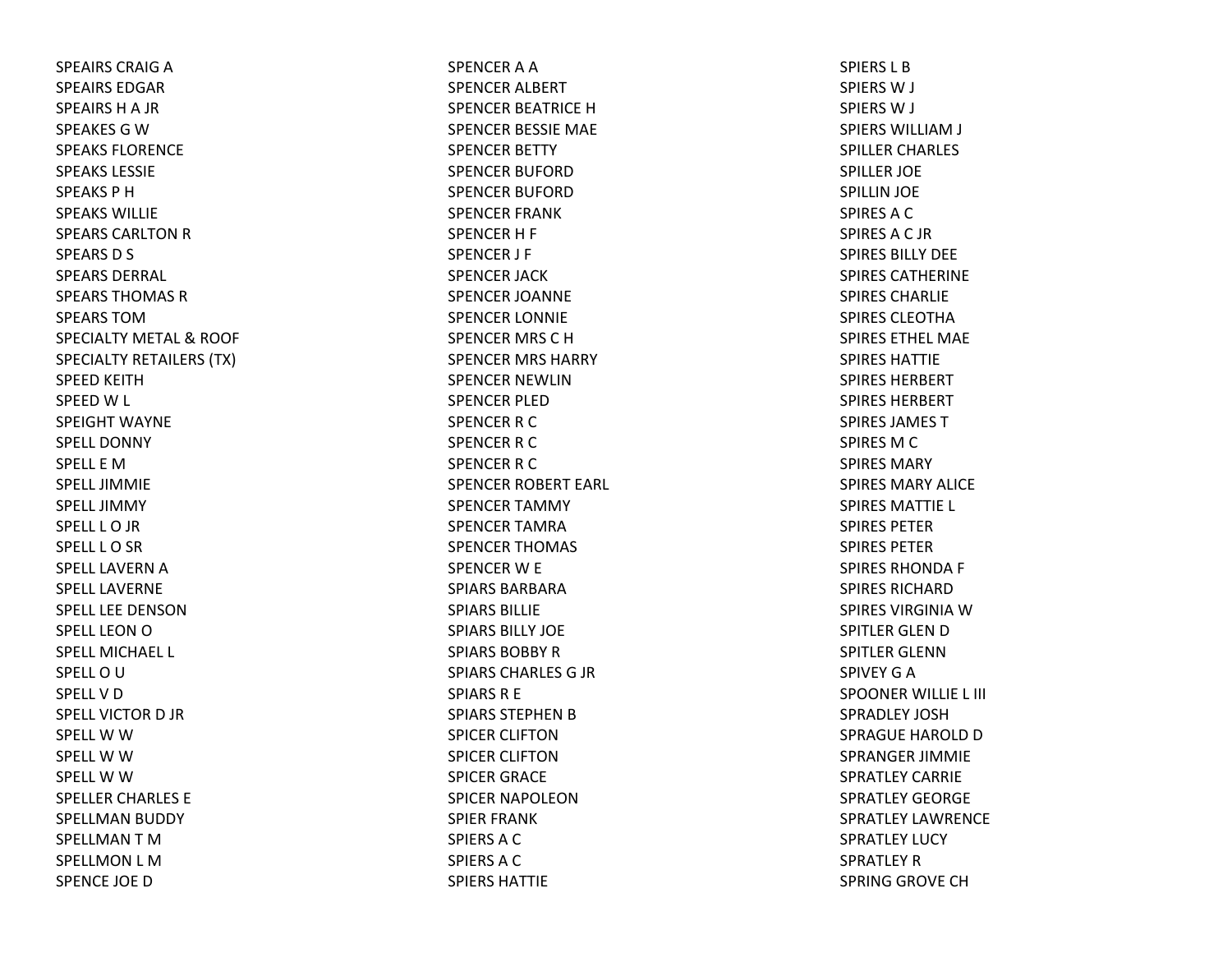SPEAIRS CRAIG A SPEAIRS EDGARSPEAIRS H A JR SPEAKES G W SPEAKS FLORENCESPEAKS LESSIESPEAKS P HSPEAKS WILLIESPEARS CARLTON R SPEARS D S SPEARS DERRAL SPEARS THOMAS RSPEARS TOMSPECIALTY METAL & ROOF SPECIALTY RETAILERS (TX) SPEED KEITHSPEED W L SPEIGHT WAYNESPELL DONNYSPELL E MSPELL JIMMIESPELL JIMMYSPELL L O JR SPELL L O SR SPELL LAVERN A SPELL LAVERNESPELL LEE DENSONSPELL LEON O SPELL MICHAEL L SPELL O U SPELLVDSPELL VICTOR D JR SPELL W W SPELL W W SPELL W W SPELLER CHARLES E SPELLMAN BUDDY SPELLMAN T M SPELLMON L MSPENCE JOE D

SPENCER A A SPENCER ALBERT SPENCER BEATRICE HSPENCER BESSIE MAE SPENCER BETTY SPENCER BUFORDSPENCER BUFORDSPENCER FRANK SPENCERH F SPENCER J F SPENCER JACK SPENCER JOANNE SPENCER LONNIE SPENCER MRS CHSPENCER MRS HARRY SPENCER NEWLINSPENCER PLEDSPENCER R C SPENCER R C SPENCER R C SPENCER ROBERT EARL SPENCER TAMMY SPENCER TAMRASPENCER THOMAS SPENCER W E SPIARS BARBARASPIARS BILLIESPIARS BILLY JOESPIARS BOBBY R SPIARS CHARLES G JR SPIARS R E SPIARS STEPHEN B SPICER CLIFTONSPICER CLIFTONSPICER GRACE SPICER NAPOLEONSPIER FRANK SPIERS A C SPIERSACSPIERS HATTIE

SPIERS L BSPIERSW J SPIERSW J SPIERS WILLIAM J SPILLER CHARLES SPILLER JOE SPILLIN JOE SPIRES A C SPIRESAC JRSPIRES BILLY DEESPIRES CATHERINESPIRES CHARLIESPIRES CLEOTHASPIRES ETHEL MAESPIRES HATTIESPIRES HERBERTSPIRES HERBERTSPIRES JAMES TSPIRES M C SPIRES MARYSPIRES MARY ALICESPIRES MATTIE L SPIRES PETERSPIRES PETERSPIRES RHONDA F SPIRES RICHARDSPIRES VIRGINIA W SPITLER GLEN D SPITLER GLENNSPIVEY G A SPOONER WILLIE L III SPRADLEY JOSHSPRAGUE HAROLD D SPRANGER JIMMIE SPRATLEY CARRIESPRATLEY GEORGESPRATLEY LAWRENCESPRATLEY LUCY SPRATLEY R SPRING GROVE CH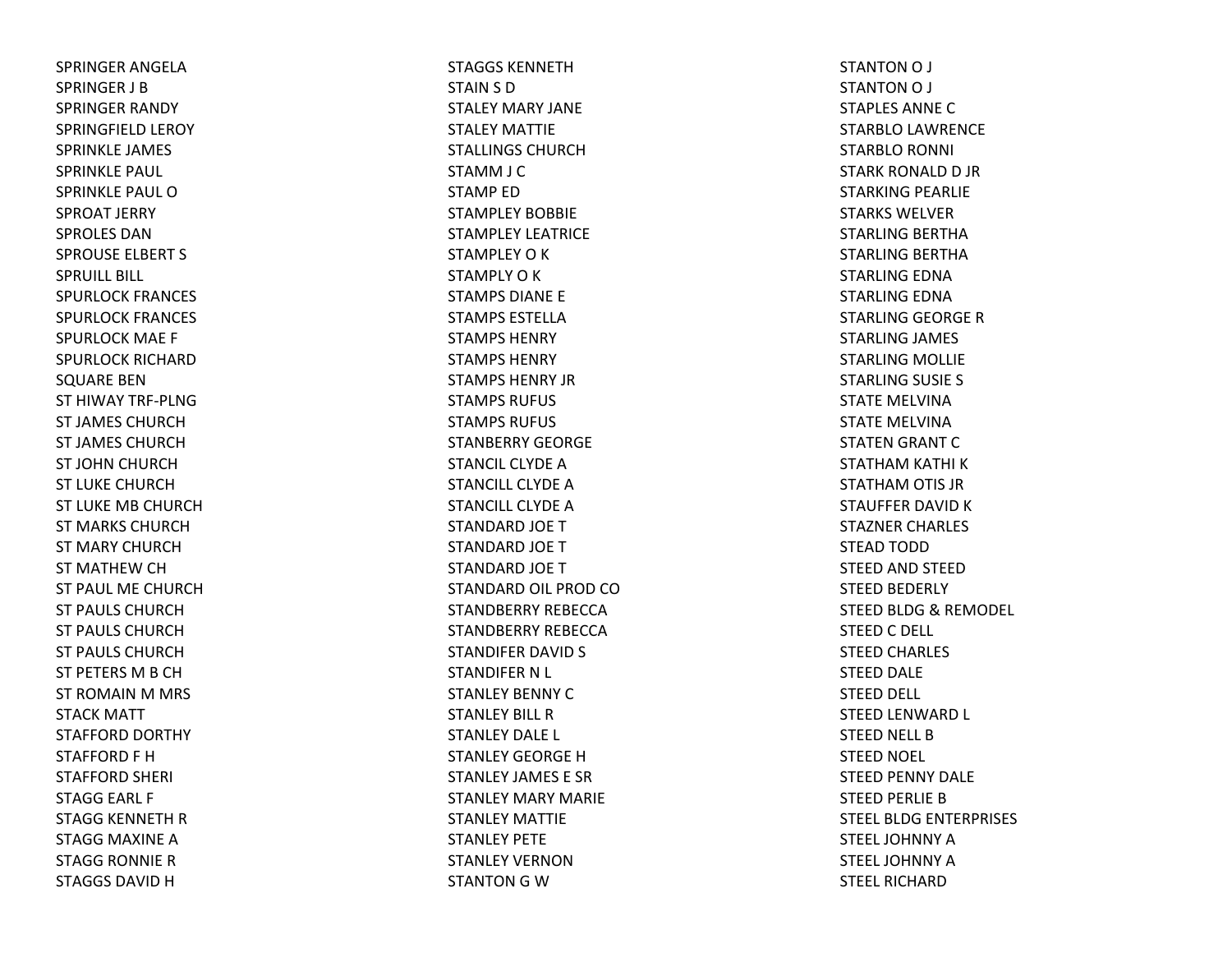SPRINGER ANGELASPRINGER J BSPRINGER RANDY SPRINGFIELD LEROY SPRINKLE JAMES SPRINKLE PAUL SPRINKLE PAUL OSPROAT JERRY SPROLES DANSPROUSE ELBERT S SPRUILL BILL SPURLOCK FRANCES SPURLOCK FRANCES SPURLOCK MAE F SPURLOCK RICHARDSQUARE BEN ST HIWAY TRF‐PLNGST JAMES CHURCHST JAMES CHURCHST JOHN CHURCH ST LUKE CHURCHST LUKE MB CHURCHST MARKS CHURCHST MARY CHURCHST MATHEW CH ST PAUL ME CHURCHST PAULS CHURCHST PAULS CHURCHST PAULS CHURCHST PETERS MB CHST ROMAIN M MRS STACK MATT STAFFORD DORTHY STAFFORD F HSTAFFORD SHERI STAGG EARL F STAGG KENNETH RSTAGG MAXINE ASTAGG RONNIE RSTAGGS DAVID H

STAGGS KENNETHSTAIN S D STALEY MARY JANESTALEY MATTIESTALLINGS CHURCHSTAMM J C STAMP EDSTAMPLEY BOBBIESTAMPLEY LEATRICESTAMPLEY O K STAMPLY O K STAMPS DIANE E STAMPS ESTELLASTAMPS HENRYSTAMPS HENRYSTAMPS HENRY JRSTAMPS RUFUS STAMPS RUFUS STANBERRY GEORGESTANCIL CLYDE A STANCILL CLYDE A STANCILL CLYDE A STANDARD JOE TSTANDARD JOE TSTANDARD JOE TSTANDARD OIL PROD COSTANDBERRY REBECCASTANDBERRY REBECCASTANDIFER DAVID S STANDIFER N L STANLEY BENNY CSTANLEY BILL RSTANLEY DALE L STANLEY GEORGE H STANLEY JAMES E SRSTANLEY MARY MARIESTANLEY MATTIESTANLEY PETESTANLEY VERNONSTANTON G W

STANTON O J STANTON O J STAPLES ANNECSTARBLO LAWRENCE STARBLO RONNI STARK RONALD D JR STARKING PEARLIE STARKS WELVERSTARLING BERTHA STARLING BERTHA STARLING EDNA STARLING EDNA STARLING GEORGE RSTARLING JAMES STARLING MOLLIE STARLING SUSIE S STATE MELVINASTATE MELVINASTATEN GRANT CSTATHAM KATHI KSTATHAM OTIS JR STAUFFER DAVID K STAZNER CHARLES STEAD TODD STEED AND STEED STEED BEDERLY STEED BLDG& REMODEL STEED C DELL STEED CHARLES STEED DALE STEED DELL STEED LENWARD L STEED NELL BSTEED NOEL STEED PENNY DALE STEED PERLIE BSTEEL BLDG ENTERPRISES STEEL JOHNNY A STEEL JOHNNY A STEEL RICHARD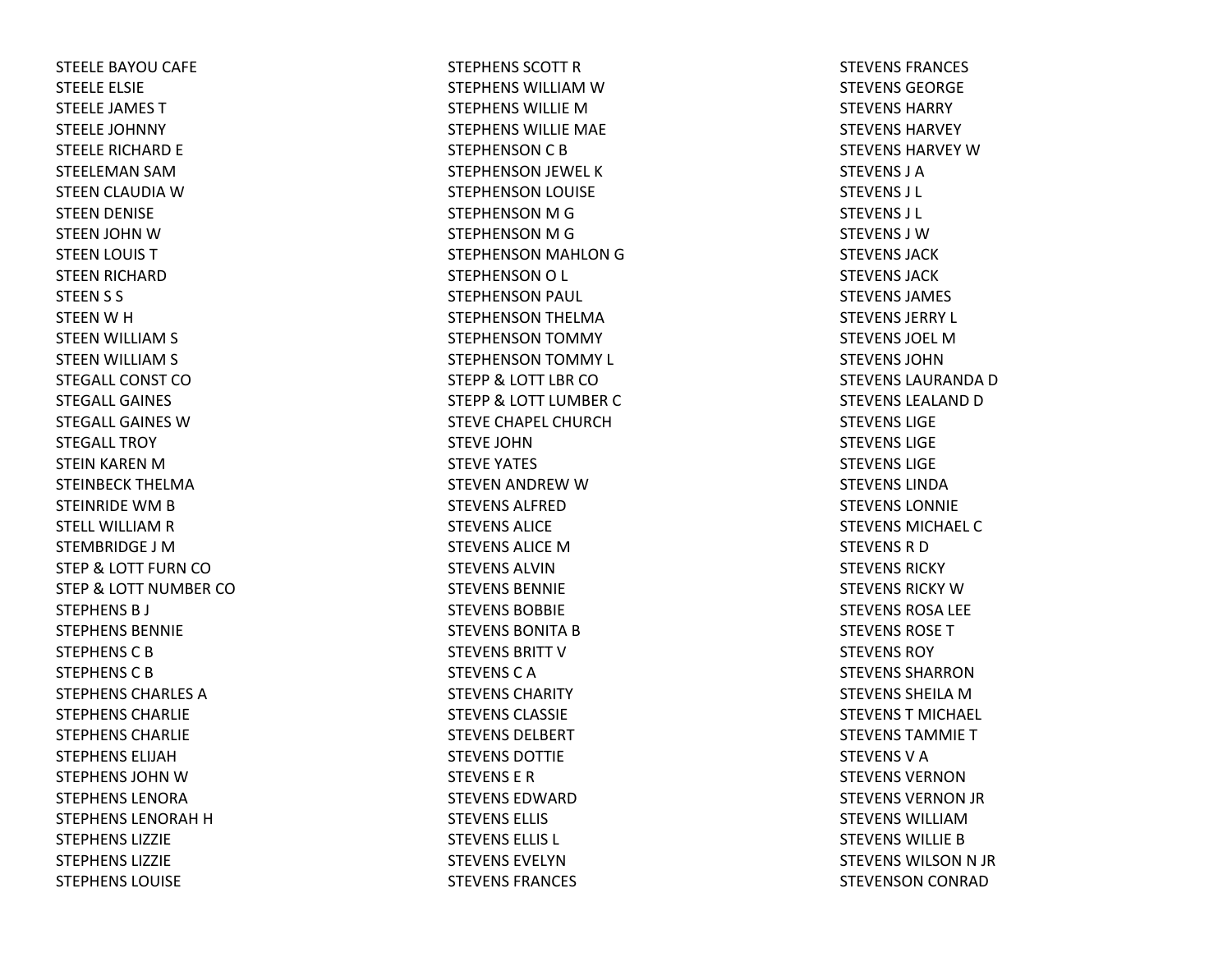STEELE BAYOU CAFE STEELE ELSIE STEELE JAMES TSTEELE JOHNNY STEELE RICHARD E STEELEMAN SAMSTEEN CLAUDIA WSTEEN DENISE STEEN JOHN WSTEEN LOUIS TSTEEN RICHARD STEEN S S STEEN W H STEEN WILLIAM S STEEN WILLIAM S STEGALL CONST COSTEGALL GAINESSTEGALL GAINES W STEGALL TROYSTEIN KAREN M STEINBECK THELMASTEINRIDE WM B STELL WILLIAM R STEMBRIDGE J MSTEP& LOTT FURN CO STEP& LOTT NUMBER CO STEPHENS B J STEPHENS BENNIESTEPHENSCBSTEPHENS C B STEPHENS CHARLES ASTEPHENS CHARLIESTEPHENS CHARLIESTEPHENS ELIJAHSTEPHENS JOHN W STEPHENS LENORASTEPHENS LENORAH H STEPHENS LIZZIESTEPHENS LIZZIESTEPHENS LOUISE

STEPHENS SCOTT R STEPHENS WILLIAM W STEPHENS WILLIE M STEPHENS WILLIE MAE STEPHENSON C B STEPHENSON JEWEL KSTEPHENSON LOUISE STEPHENSON M G STEPHENSON M G STEPHENSON MAHLON GSTEPHENSON O L STEPHENSON PAUL STEPHENSON THELMA STEPHENSON TOMMY STEPHENSON TOMMY L STEPP& LOTT LBR CO STEPP& LOTT LUMBER CSTEVE CHAPEL CHURCHSTEVE JOHNSTEVE YATES STEVEN ANDREW W STEVENS ALFREDSTEVENS ALICESTEVENS ALICE M STEVENS ALVINSTEVENS BENNIESTEVENS BOBBIESTEVENS BONITA B STEVENS BRITT V STEVENS C A STEVENS CHARITYSTEVENS CLASSIESTEVENS DELBERTSTEVENS DOTTIESTEVENS E RSTEVENS EDWARDSTEVENS ELLIS STEVENS ELLIS L STEVENS EVELYNSTEVENS FRANCES

STEVENS FRANCES STEVENS GEORGESTEVENS HARRYSTEVENS HARVEYSTEVENS HARVEY W STEVENS J ASTEVENS J L STEVENS J L STEVENS J WSTEVENS JACKSTEVENS JACKSTEVENS JAMES STEVENS JERRY L STEVENS JOEL MSTEVENS JOHNSTEVENS LAURANDA D STEVENS LEALAND D STEVENS LIGESTEVENS LIGESTEVENS LIGESTEVENS LINDASTEVENS LONNIESTEVENS MICHAEL CSTEVENS R D STEVENS RICKYSTEVENS RICKY W STEVENS ROSA LEE STEVENS ROSETSTEVENS ROYSTEVENS SHARRONSTEVENS SHEILA M STEVENST MICHAEL STEVENS TAMMIETSTEVENSVASTEVENS VERNONSTEVENS VERNON JR STEVENS WILLIAMSTEVENS WILLIE B STEVENS WILSON N JR STEVENSON CONRAD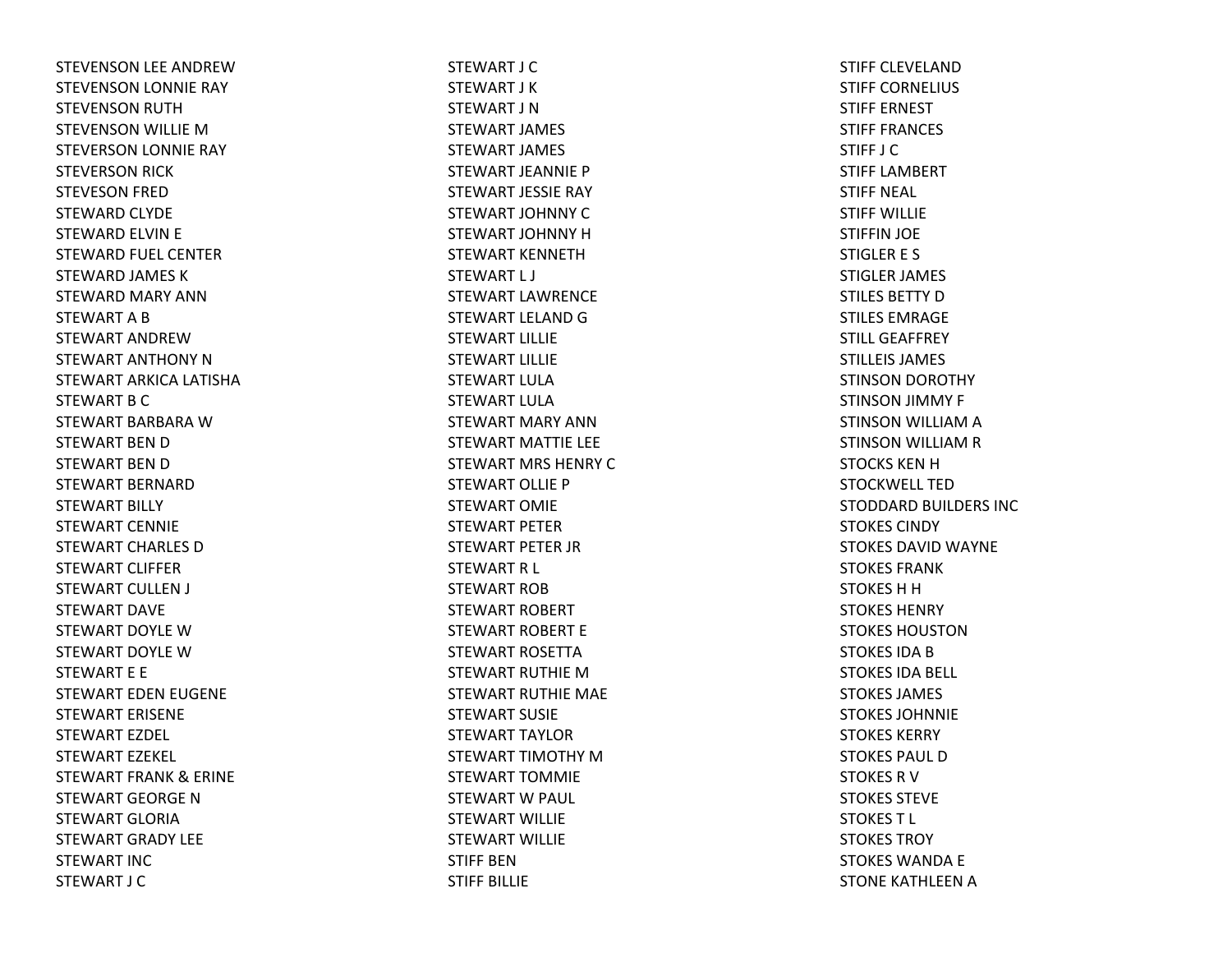STEVENSON LEE ANDREWSTEVENSON LONNIE RAY STEVENSON RUTH STEVENSON WILLIE MSTEVERSON LONNIE RAY STEVERSON RICK STEVESON FRED STEWARD CLYDE STEWARD ELVIN E STEWARD FUEL CENTER STEWARD JAMES KSTEWARD MARY ANNSTEWART A B STEWART ANDREWSTEWART ANTHONY NSTEWART ARKICA LATISHA STEWART B C STEWART BARBARA W STEWART BEN D STEWART BEN D STEWART BERNARDSTEWART BILLY STEWART CENNIESTEWART CHARLES DSTEWART CLIFFERSTEWART CULLEN J STEWART DAVESTEWART DOYLE W STEWART DOYLE W STEWART E E STEWART EDEN EUGENE STEWART ERISENESTEWART EZDEL STEWART EZEKEL STEWART FRANK& ERINE STEWART GEORGE N STEWART GLORIASTEWART GRADY LEESTEWART INCSTEWART J C

STEWART J CSTEWART J KSTEWART J NSTEWART JAMES STEWART JAMES STEWART JEANNIE PSTEWART JESSIE RAY STEWART JOHNNY CSTEWART JOHNNY HSTEWART KENNETHSTEWART L J STEWART LAWRENCESTEWART LELAND G STEWART LILLIESTEWART LILLIESTEWART LULASTEWART LULASTEWART MARY ANNSTEWART MATTIE LEE STEWART MRS HENRY CSTEWART OLLIE PSTEWART OMIESTEWART PETERSTEWART PETER JR STEWART R L STEWART ROBSTEWART ROBERT STEWART ROBERT ESTEWART ROSETTASTEWART RUTHIE M STEWART RUTHIE MAE STEWART SUSIESTEWART TAYLORSTEWART TIMOTHY MSTEWART TOMMIESTEWART W PAUL STEWART WILLIESTEWART WILLIESTIFF BENSTIFF BILLIE

STIFF CLEVELANDSTIFF CORNELIUS STIFF ERNESTSTIFF FRANCES STIFF J CSTIFF LAMBERTSTIFF NEAL STIFF WILLIESTIFFIN JOE STIGLER E S STIGLER JAMES STILES BETTY D STILES EMRAGESTILL GEAFFREYSTILLEIS JAMES STINSON DOROTHY STINSON JIMMY F STINSON WILLIAM A STINSON WILLIAM R STOCKS KEN H STOCKWELL TEDSTODDARD BUILDERS INC STOKES CINDYSTOKES DAVID WAYNE STOKES FRANKSTOKES H H STOKES HENRYSTOKES HOUSTONSTOKES IDA B STOKES IDA BELL STOKES JAMES STOKES JOHNNIESTOKES KERRYSTOKES PAUL DSTOKES R V STOKES STEVESTOKEST L STOKES TROYSTOKES WANDA E STONE KATHLEEN A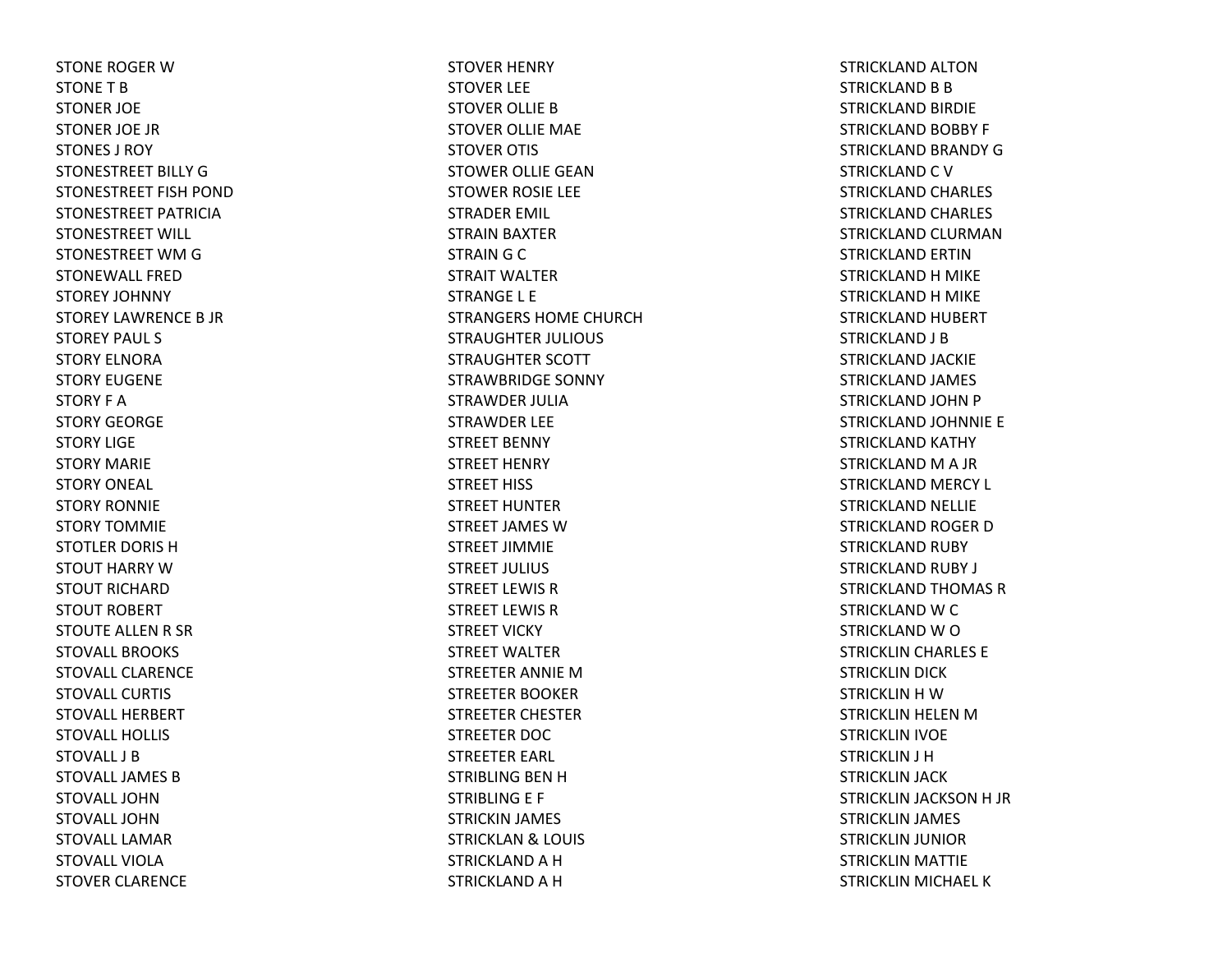STONE ROGER W STONE T B STONER JOE STONER JOE JR STONES J ROYSTONESTREET BILLY GSTONESTREET FISH POND STONESTREET PATRICIASTONESTREET WILL STONESTREET WM G STONEWALL FREDSTOREY JOHNNY STOREY LAWRENCE B JR STOREY PAUL S STORY ELNORASTORY EUGENESTORY F ASTORY GEORGESTORY LIGESTORY MARIESTORY ONEAL STORY RONNIESTORY TOMMIESTOTLER DORIS HSTOUT HARRY WSTOUT RICHARDSTOUT ROBERT STOUTE ALLEN R SR STOVALL BROOKSSTOVALL CLARENCESTOVALL CURTISSTOVALL HERBERTSTOVALL HOLLISSTOVALL J BSTOVALL JAMES B STOVALL JOHNSTOVALL JOHNSTOVALL LAMARSTOVALL VIOLASTOVER CLARENCE

STOVER HENRY STOVER LEE STOVER OLLIE BSTOVER OLLIE MAE STOVER OTIS STOWER OLLIE GEANSTOWER ROSIE LEE STRADER EMIL STRAIN BAXTER STRAIN G C STRAIT WALTERSTRANGE L E STRANGERS HOME CHURCHSTRAUGHTER JULIOUS STRAUGHTER SCOTT STRAWBRIDGE SONNY STRAWDER JULIASTRAWDER LEE STREET BENNY STREET HENRY STREET HISS STREET HUNTERSTREET JAMES WSTREET JIMMIESTREET JULIUS STREET LEWIS RSTREET LEWIS RSTREET VICKY STREET WALTERSTREETER ANNIE MSTREETER BOOKER STREETER CHESTER STREETER DOC STREETER EARL STRIBLING BEN H STRIBLING E F STRICKIN JAMES STRICKLAN& LOUIS STRICKLAND A H STRICKLAND A H

STRICKLAND ALTONSTRICKLAND B B STRICKLAND BIRDIE STRICKLAND BOBBY F STRICKLAND BRANDY GSTRICKLAND C V STRICKLAND CHARLES STRICKLAND CHARLES STRICKLAND CLURMANSTRICKLAND ERTINSTRICKLAND H MIKE STRICKLAND H MIKE STRICKLAND HUBERT STRICKLAND J B STRICKLAND JACKIE STRICKLAND JAMES STRICKLAND JOHN P STRICKLAND JOHNNIE E STRICKLAND KATHY STRICKLAND M A JR STRICKLAND MERCY L STRICKLAND NELLIE STRICKLAND ROGER DSTRICKLAND RUBY STRICKLAND RUBY J STRICKLAND THOMAS RSTRICKLAND W C STRICKLAND W O STRICKLIN CHARLES E STRICKLIN DICK STRICKLIN H W STRICKLIN HELEN MSTRICKLIN IVOE STRICKLIN J H STRICKLIN JACK STRICKLIN JACKSON H JR STRICKLIN JAMES STRICKLIN JUNIOR STRICKLIN MATTIE STRICKLIN MICHAEL K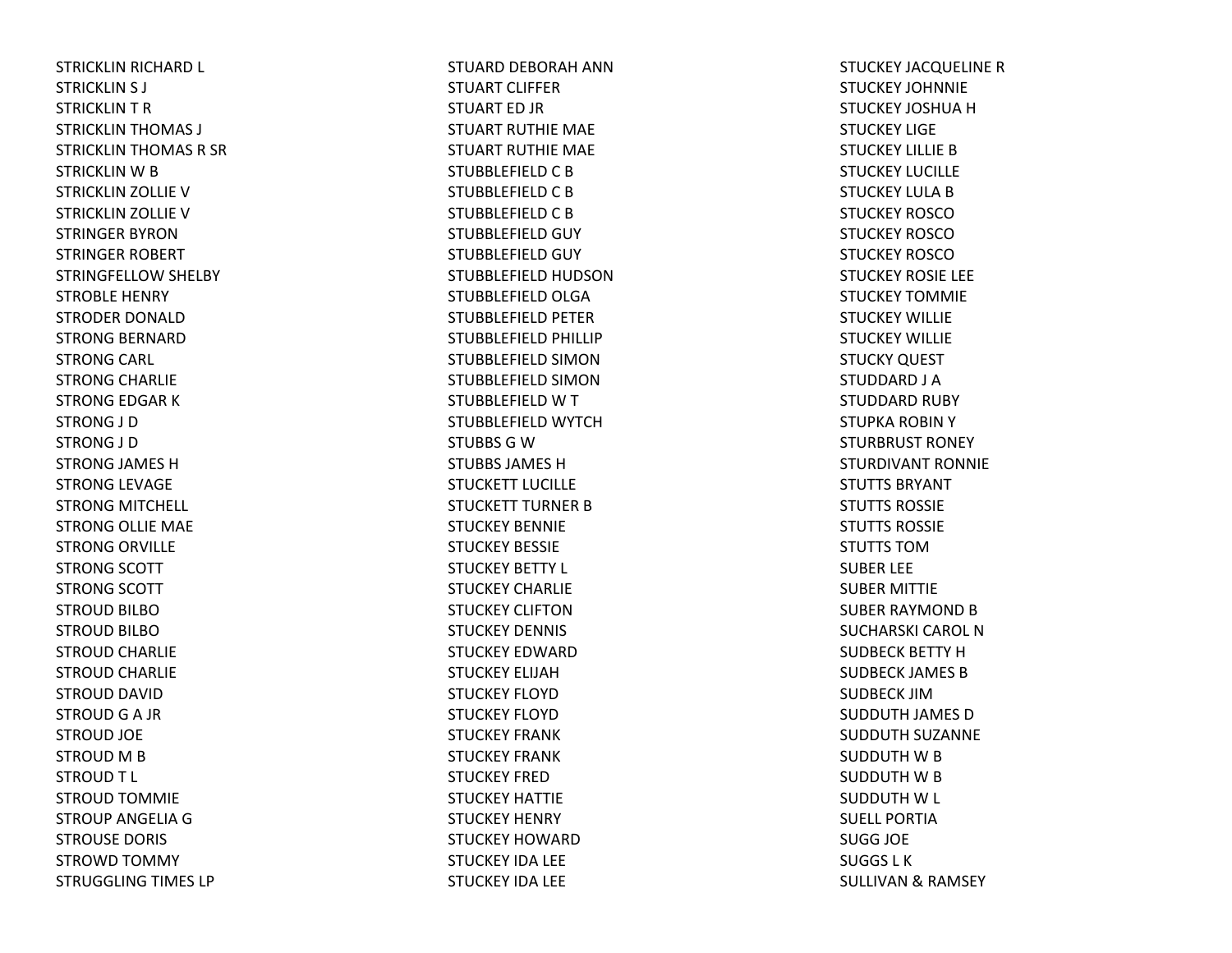STRICKLIN RICHARD L STRICKLIN S J STRICKLIN T R STRICKLIN THOMAS J STRICKLIN THOMAS R SR STRICKLIN W B STRICKLIN ZOLLIE VSTRICKLIN ZOLLIE VSTRINGER BYRONSTRINGER ROBERT STRINGFELLOW SHELBY STROBLE HENRY STRODER DONALDSTRONG BERNARD STRONG CARL STRONG CHARLIE STRONG EDGAR KSTRONG J D STRONG J D STRONG JAMES HSTRONG LEVAGE STRONG MITCHELL STRONG OLLIE MAE STRONG ORVILLE STRONG SCOTT STRONG SCOTT STROUD BILBOSTROUD BILBOSTROUD CHARLIE STROUD CHARLIE STROUD DAVID STROUD G A JR STROUD JOE STROUD M B STROUDT L STROUD TOMMIE STROUP ANGELIA G STROUSE DORIS STROWD TOMMY STRUGGLING TIMES LP

STUARD DEBORAH ANNSTUART CLIFFERSTUART ED JR STUART RUTHIE MAE STUART RUTHIE MAE STUBBLEFIELD C B STUBBLEFIELD C B STUBBLEFIELD C B STUBBLEFIELD GUY STUBBLEFIELD GUY STUBBLEFIELD HUDSONSTUBBLEFIELD OLGA STUBBLEFIELD PETER STUBBLEFIELD PHILLIP STUBBLEFIELD SIMONSTUBBLEFIELD SIMONSTUBBLEFIELD W T STUBBLEFIELD WYTCHSTUBBS G W STUBBS JAMES HSTUCKETT LUCILLESTUCKETT TURNER B STUCKEY BENNIESTUCKEY BESSIESTUCKEY BETTY L STUCKEY CHARLIESTUCKEY CLIFTONSTUCKEY DENNIS STUCKEY EDWARDSTUCKEY ELIJAHSTUCKEY FLOYDSTUCKEY FLOYDSTUCKEY FRANKSTUCKEY FRANKSTUCKEY FREDSTUCKEY HATTIESTUCKEY HENRY STUCKEY HOWARDSTUCKEY IDA LEE STUCKEY IDA LEE

STUCKEY JACQUELINE RSTUCKEY JOHNNIESTUCKEY JOSHUA H STUCKEY LIGESTUCKEY LILLIE B STUCKEY LUCILLESTUCKEY LULA B STUCKEY ROSCOSTUCKEY ROSCOSTUCKEY ROSCOSTUCKEY ROSIE LEE STUCKEY TOMMIESTUCKEY WILLIESTUCKEY WILLIESTUCKY QUEST STUDDARD J A STUDDARD RUBY STUPKA ROBINYSTURBRUST RONEY STURDIVANT RONNIESTUTTS BRYANTSTUTTS ROSSIESTUTTS ROSSIESTUTTS TOMSUBER LEE SUBER MITTIE SUBER RAYMOND B SUCHARSKI CAROL N SUDBECK BETTY HSUDBECK JAMES BSUDBECK JIMSUDDUTH JAMES DSUDDUTH SUZANNE SUDDUTH W B SUDDUTH W B SUDDUTH W L SUELL PORTIASUGG JOE SUGGS L KSULLIVAN& RAMSEY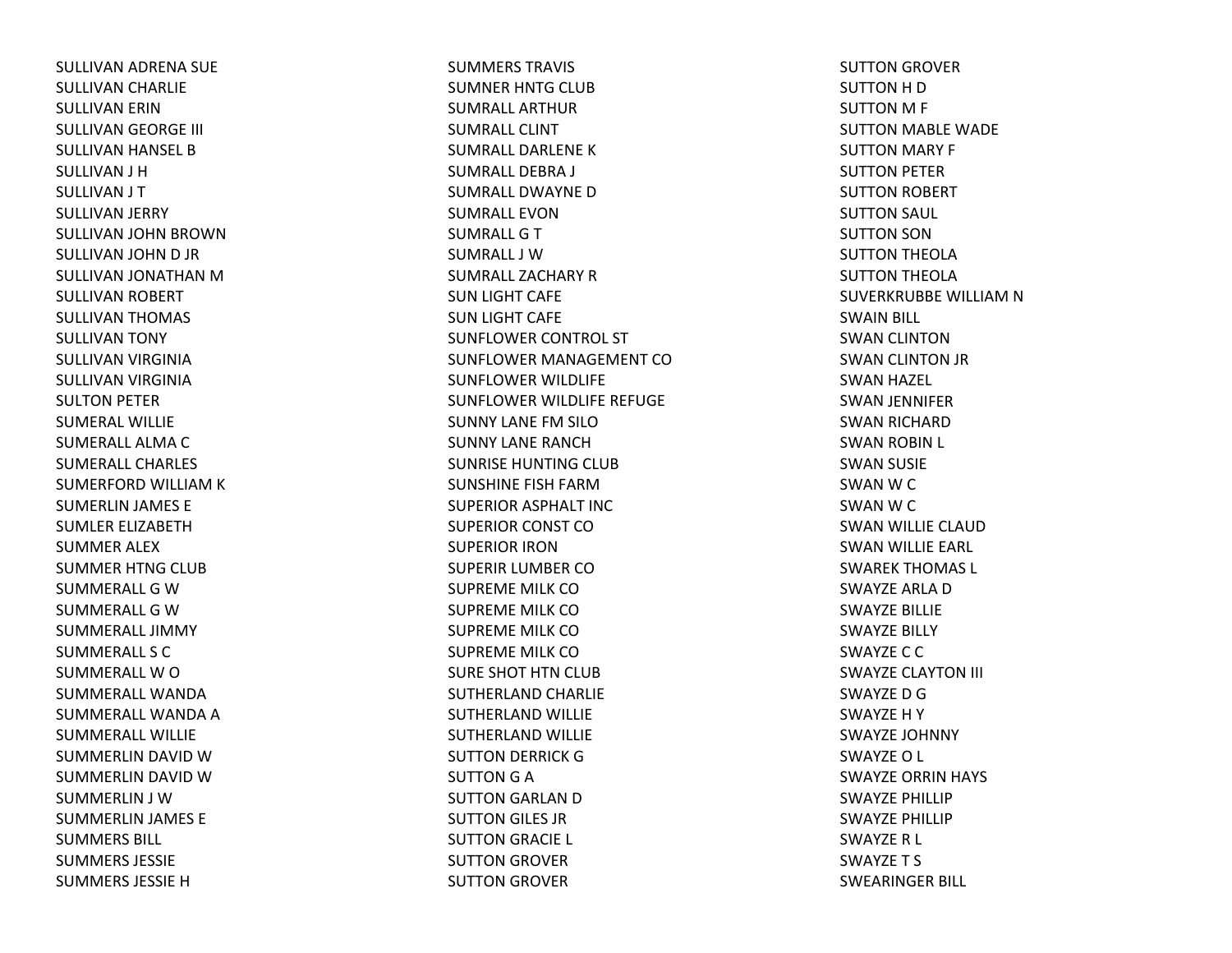SULLIVAN ADRENA SUE SULLIVAN CHARLIE SULLIVAN ERIN SULLIVAN GEORGE III SULLIVAN HANSEL B SULLIVAN J H SULLIVAN J T SULLIVAN JERRY SULLIVAN JOHN BROWN SULLIVAN JOHN D JR SULLIVAN JONATHAN MSULLIVAN ROBERT SULLIVAN THOMAS SULLIVAN TONY SULLIVAN VIRGINIA SULLIVAN VIRGINIA SULTON PETER SUMERAL WILLIESUMERALL ALMA C SUMERALL CHARLESSUMERFORD WILLIAM K SUMERLIN JAMES E SUMLER ELIZABETHSUMMER ALEX SUMMER HTNG CLUB SUMMERALL G WSUMMERALL G WSUMMERALL JIMMYSUMMERALL S CSUMMERALL W O SUMMERALL WANDASUMMERALL WANDA A SUMMERALL WILLIESUMMERLIN DAVID WSUMMERLIN DAVID WSUMMERLIN J WSUMMERLIN JAMES E SUMMERS BILL SUMMERS JESSIESUMMERS JESSIE H

SUMMERS TRAVIS SUMNER HNTG CLUB SUMRALL ARTHURSUMRALL CLINTSUMRALL DARLENE KSUMRALL DEBRA J SUMRALL DWAYNE DSUMRALL EVONSUMRALL G T SUMRALL J WSUMRALL ZACHARY RSUN LIGHT CAFE SUN LIGHT CAFE SUNFLOWER CONTROL ST SUNFLOWER MANAGEMENT COSUNFLOWER WILDLIFE SUNFLOWER WILDLIFE REFUGE SUNNY LANE FM SILO SUNNY LANE RANCHSUNRISE HUNTING CLUB SUNSHINE FISH FARMSUPERIOR ASPHALT INC SUPERIOR CONST COSUPERIOR IRONSUPERIR LUMBER COSUPREME MILK COSUPREME MILK COSUPREME MILK COSUPREME MILK COSURE SHOT HTN CLUB SUTHERLAND CHARLIE SUTHERLAND WILLIE SUTHERLAND WILLIE SUTTON DERRICK G SUTTON G A SUTTON GARLAN D SUTTON GILES JR SUTTON GRACIE L SUTTON GROVER SUTTON GROVER

SUTTON GROVER SUTTON H D SUTTON M F SUTTON MABLE WADE SUTTON MARY F SUTTON PETER SUTTON ROBERT SUTTON SAUL SUTTON SON SUTTON THEOLA SUTTON THEOLA SUVERKRUBBE WILLIAM N SWAIN BILL SWAN CLINTON SWAN CLINTON JR SWAN HAZEL SWAN JENNIFER SWAN RICHARD SWAN ROBIN L SWAN SUSIE SWAN W C SWAN W C SWAN WILLIE CLAUD SWAN WILLIE EARL SWAREK THOMAS L SWAYZE ARLA DSWAYZE BILLIE SWAYZE BILLY SWAYZE C C SWAYZE CLAYTON III SWAYZE D GSWAYZE H Y SWAYZE JOHNNY SWAYZE O L SWAYZE ORRIN HAYS SWAYZE PHILLIPSWAYZE PHILLIPSWAYZE R L SWAYZE T S SWEARINGER BILL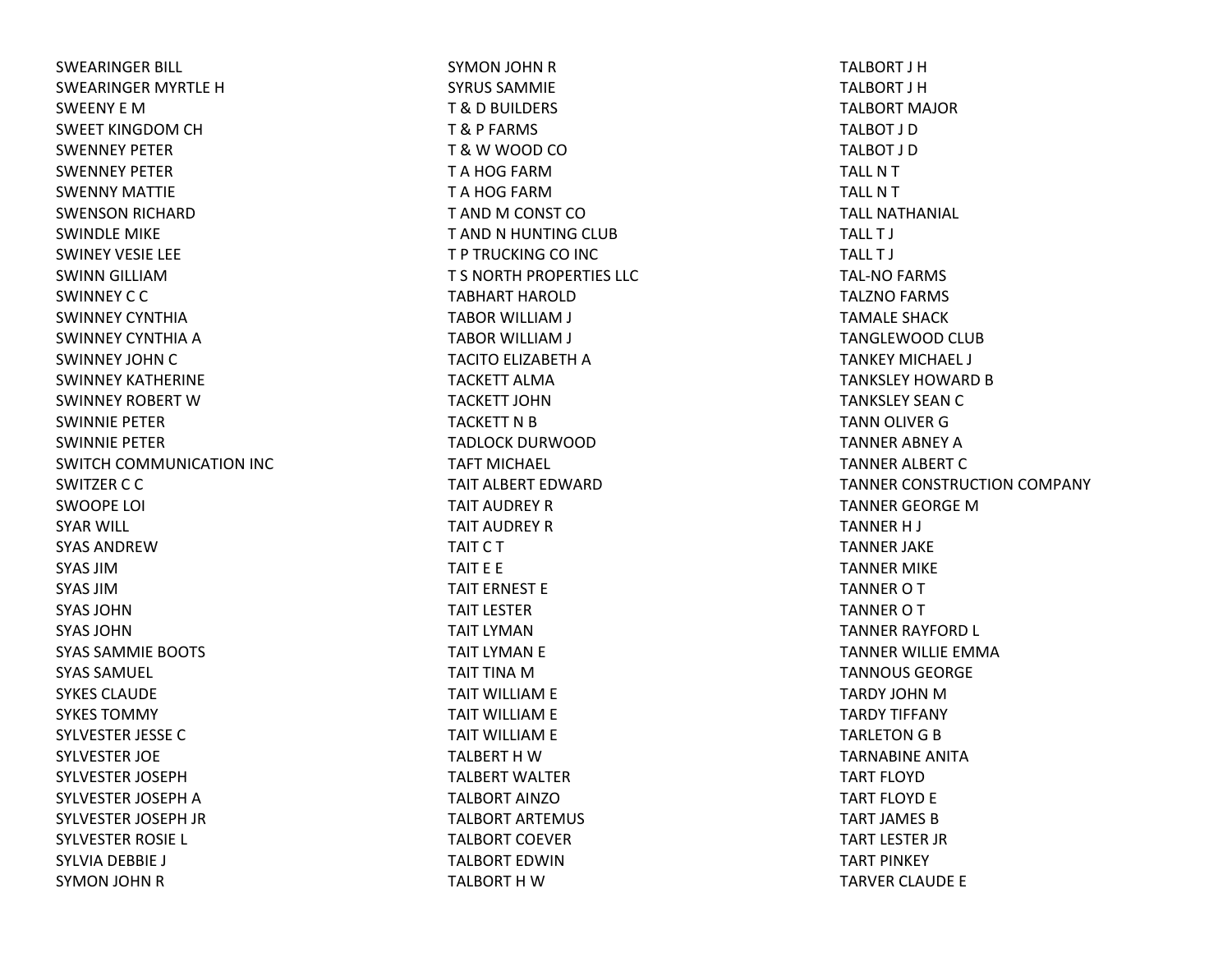SWEARINGER BILL SWEARINGER MYRTLE HSWEENY E MSWEET KINGDOM CH SWENNEY PETERSWENNEY PETERSWENNY MATTIESWENSON RICHARD SWINDLE MIKE SWINEY VESIE LEE SWINN GILLIAMSWINNEY C C SWINNEY CYNTHIASWINNEY CYNTHIA A SWINNEY JOHN C SWINNEY KATHERINESWINNEY ROBERT WSWINNIE PETERSWINNIE PETERSWITCH COMMUNICATION INC SWITZER C C SWOOPE LOI SYAR WILL SYAS ANDREWSYAS JIMSYAS JIMSYAS JOHNSYAS JOHNSYAS SAMMIE BOOTS SYAS SAMUEL SYKES CLAUDESYKES TOMMYSYLVESTER JESSE C SYLVESTER JOE SYLVESTER JOSEPHSYLVESTER JOSEPH A SYLVESTER JOSEPH JR SYLVESTER ROSIE L SYLVIA DEBBIE J SYMON JOHN R

SYMON JOHN R SYRUS SAMMIET & D BUILDERS T & P FARMS T & W WOOD CO T A HOG FARMT A HOG FARMT AND M CONST CO T AND N HUNTING CLUB T P TRUCKING CO INC T S NORTH PROPERTIES LLC TABHART HAROLDTABOR WILLIAM J TABOR WILLIAM J TACITO ELIZABETH A TACKETT ALMATACKETT JOHNTACKETT N B TADLOCK DURWOODTAFT MICHAEL TAIT ALBERT EDWARDTAIT AUDREY RTAIT AUDREY RTAIT C T TAIT E E TAIT ERNEST ETAIT LESTERTAIT LYMANTAIT LYMAN E TAIT TINA MTAIT WILLIAM E TAIT WILLIAM E TAIT WILLIAM E TALBERT H WTALBERT WALTERTALBORT AINZOTALBORT ARTEMUS TALBORT COEVERTALBORT EDWINTALBORT H W

TALBORT J HTALBORT J HTALBORT MAJORTALBOT J DTALBOT J DTALL N T TALL N T TALL NATHANIAL TALL T J TALL T J TAL‐NO FARMS TALZNO FARMS TAMALE SHACKTANGLEWOOD CLUB TANKEY MICHAEL J TANKSLEY HOWARD B TANKSLEY SEAN C TANN OLIVER G TANNER ABNEY ATANNER ALBERT C TANNER CONSTRUCTION COMPANY TANNER GEORGE MTANNER H J TANNER JAKE TANNER MIKE TANNER O T TANNER O T TANNER RAYFORD L TANNER WILLIE EMMATANNOUS GEORGETARDY JOHN MTARDY TIFFANY TARLETON G B TARNABINE ANITATART FLOYDTART FLOYD E TART JAMES BTART LESTER JR TART PINKEY TARVER CLAUDE E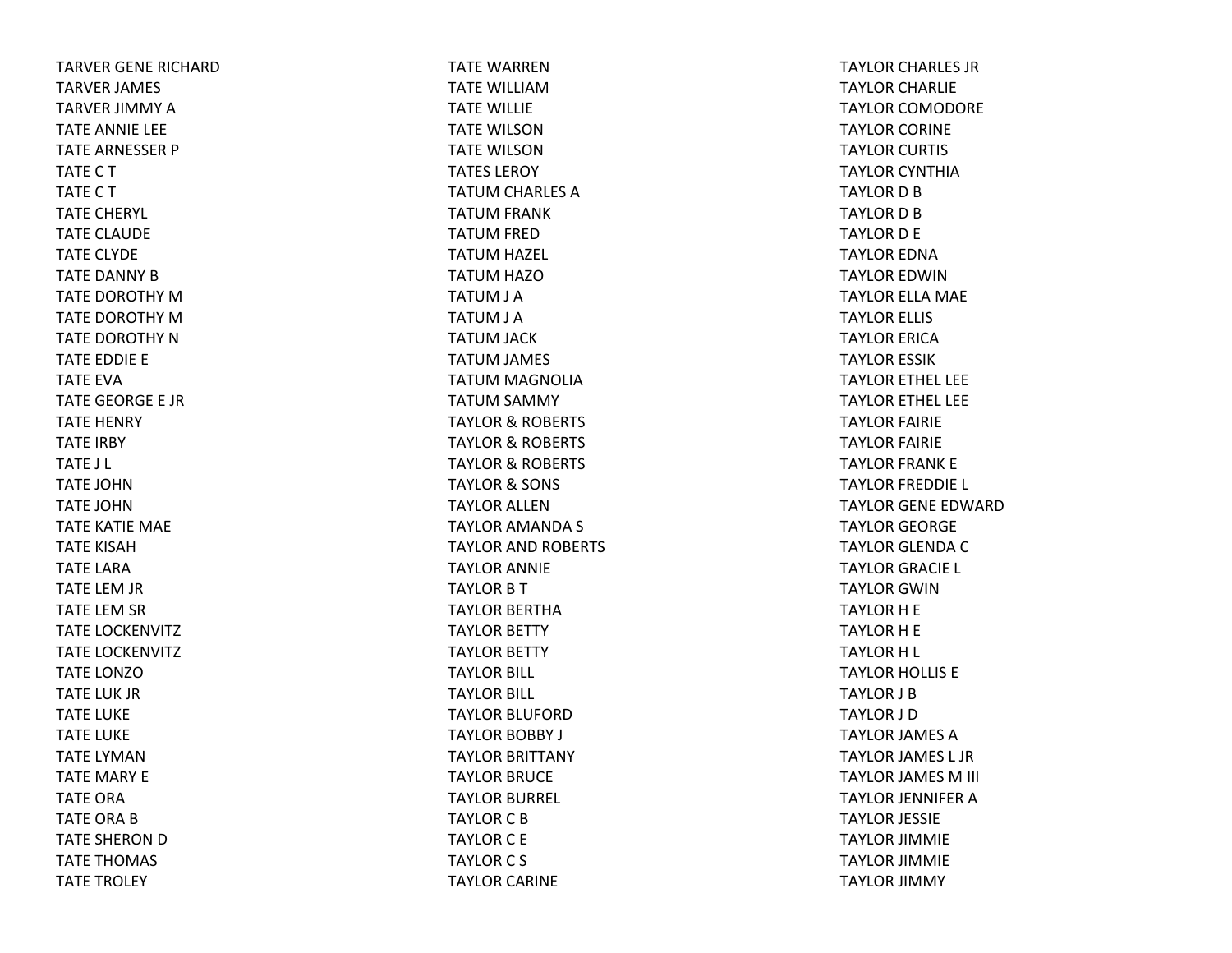TARVER GENE RICHARDTARVER JAMES TARVER JIMMY ATATE ANNIE LEE TATE ARNESSER P TATECTTATECTTATE CHERYL TATE CLAUDE TATE CLYDE TATE DANNY BTATE DOROTHY MTATE DOROTHY MTATE DOROTHY NTATE EDDIE E TATE EVATATE GEORGE E JRTATE HENRY TATE IRBY TATE J L TATE JOHNTATE JOHNTATE KATIE MAE TATE KISAHTATE LARATATE LEM JR TATE LEM SR TATE LOCKENVITZ TATE LOCKENVITZ TATE LONZOTATE LUK JRTATE LUKE TATE LUKE TATE LYMANTATE MARY E TATE ORATATE ORA B TATE SHERON D TATE THOMAS TATE TROLEY

TATE WARRENTATE WILLIAMTATE WILLIE TATE WILSONTATE WILSONTATES LEROYTATUM CHARLES ATATUM FRANK TATUM FRED TATUM HAZEL TATUM HAZO TATUM J A TATUM J A TATUM JACK TATUM JAMES TATUM MAGNOLIA TATUM SAMMY TAYLOR& ROBERTS TAYLOR& ROBERTS TAYLOR& ROBERTS TAYLOR& SONS TAYLOR ALLENTAYLOR AMANDA S TAYLOR AND ROBERTS TAYLOR ANNIE TAYLOR B T TAYLOR BERTHATAYLOR BETTY TAYLOR BETTY TAYLOR BILL TAYLOR BILL TAYLOR BLUFORDTAYLOR BOBBY J TAYLOR BRITTANY TAYLOR BRUCE TAYLOR BURREL TAYLOR C B TAYLOR C E TAYLOR C S TAYLOR CARINE

TAYLOR CHARLES JR TAYLOR CHARLIE TAYLOR COMODORE TAYLOR CORINE TAYLOR CURTIS TAYLOR CYNTHIATAYLOR D B TAYLOR D B TAYLOR D E TAYLOR EDNATAYLOR EDWINTAYLOR ELLA MAE TAYLOR ELLIS TAYLOR ERICATAYLOR ESSIK TAYLOR ETHEL LEE TAYLOR ETHEL LEE TAYLOR FAIRIE TAYLOR FAIRIE TAYLOR FRANK E TAYLOR FREDDIE L TAYLOR GENE EDWARDTAYLOR GEORGE TAYLOR GLENDA C TAYLOR GRACIE L TAYLOR GWINTAYLOR H E TAYLOR H E TAYLOR H L TAYLOR HOLLIS E TAYLOR J BTAYLOR J DTAYLOR JAMES ATAYLOR JAMES L JR TAYLOR JAMES M III TAYLOR JENNIFER A TAYLOR JESSIE TAYLOR JIMMIE TAYLOR JIMMIE TAYLOR JIMMY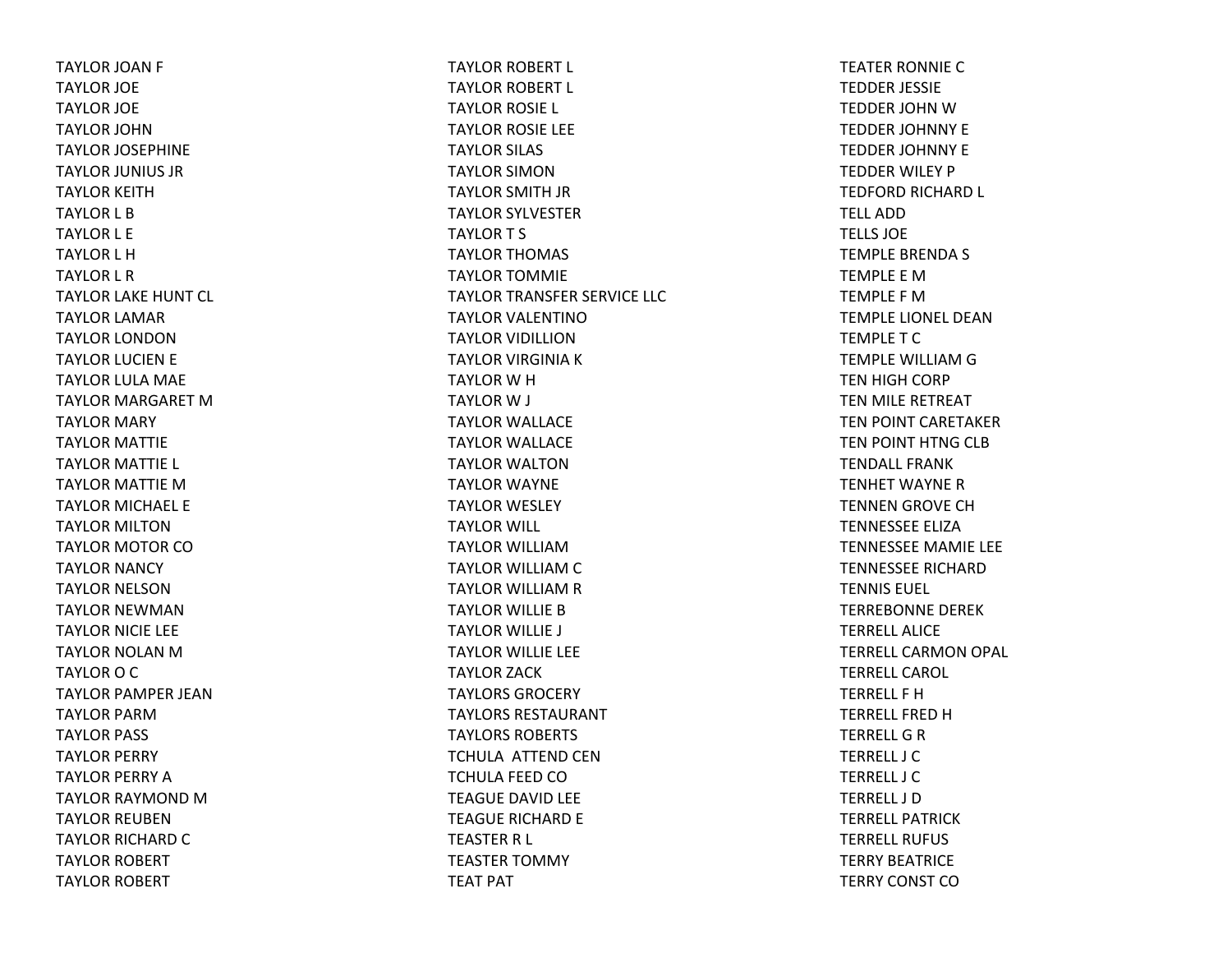TAYLOR JOAN F TAYLOR JOE TAYLOR JOE TAYLOR JOHNTAYLOR JOSEPHINE TAYLOR JUNIUS JR TAYLOR KEITHTAYLOR L BTAYLOR L E TAYLOR L HTAYLOR L R TAYLOR LAKE HUNT CL TAYLOR LAMAR TAYLOR LONDONTAYLOR LUCIEN E TAYLOR LULA MAE TAYLOR MARGARET MTAYLOR MARY TAYLOR MATTIE TAYLOR MATTIE L TAYLOR MATTIE MTAYLOR MICHAEL E TAYLOR MILTONTAYLOR MOTOR COTAYLOR NANCY TAYLOR NELSONTAYLOR NEWMANTAYLOR NICIE LEE TAYLOR NOLAN M TAYLOR O C TAYLOR PAMPER JEANTAYLOR PARMTAYLOR PASS TAYLOR PERRY TAYLOR PERRY ATAYLOR RAYMOND M TAYLOR REUBENTAYLOR RICHARD C TAYLOR ROBERT TAYLOR ROBERT

TAYLOR ROBERT L TAYLOR ROBERT L TAYLOR ROSIE L TAYLOR ROSIE LEE TAYLOR SILAS TAYLOR SIMONTAYLOR SMITH JR TAYLOR SYLVESTER TAYLORT S TAYLOR THOMAS TAYLOR TOMMIE TAYLOR TRANSFER SERVICE LLC TAYLOR VALENTINOTAYLOR VIDILLIONTAYLOR VIRGINIA K TAYLOR W H TAYLOR W J TAYLOR WALLACE TAYLOR WALLACE TAYLOR WALTONTAYLOR WAYNE TAYLOR WESLEY TAYLOR WILL TAYLOR WILLIAMTAYLOR WILLIAM C TAYLOR WILLIAM R TAYLOR WILLIE BTAYLOR WILLIE J TAYLOR WILLIE LEE TAYLOR ZACK TAYLORS GROCERYTAYLORS RESTAURANTTAYLORS ROBERTS TCHULA ATTEND CENTCHULA FEED COTEAGUE DAVID LEE TEAGUE RICHARD E TEASTER R L TEASTER TOMMY TEAT PAT

TEATER RONNIE CTEDDER JESSIE TEDDER JOHN W TEDDER JOHNNY E TEDDER JOHNNY E TEDDER WILEY P TEDFORD RICHARD L TELL ADDTELLS JOETEMPLE BRENDA S TEMPLE E MTEMPLE F MTEMPLE LIONEL DEANTEMPLETCTEMPLE WILLIAM G TEN HIGH CORP TEN MILE RETREAT TEN POINT CARETAKER TEN POINT HTNG CLB TENDALL FRANKTENHET WAYNE R TENNEN GROVE CH TENNESSEE ELIZATENNESSEE MAMIE LEE TENNESSEE RICHARDTENNIS EUEL TERREBONNE DEREKTERRELL ALICETERRELL CARMON OPAL TERRELL CAROL TERRELL F HTERRELL FRED H TERRELL G R TERRELL J CTERRELL J CTERRELL J DTERRELL PATRICKTERRELL RUFUSTERRY BEATRICETERRY CONST CO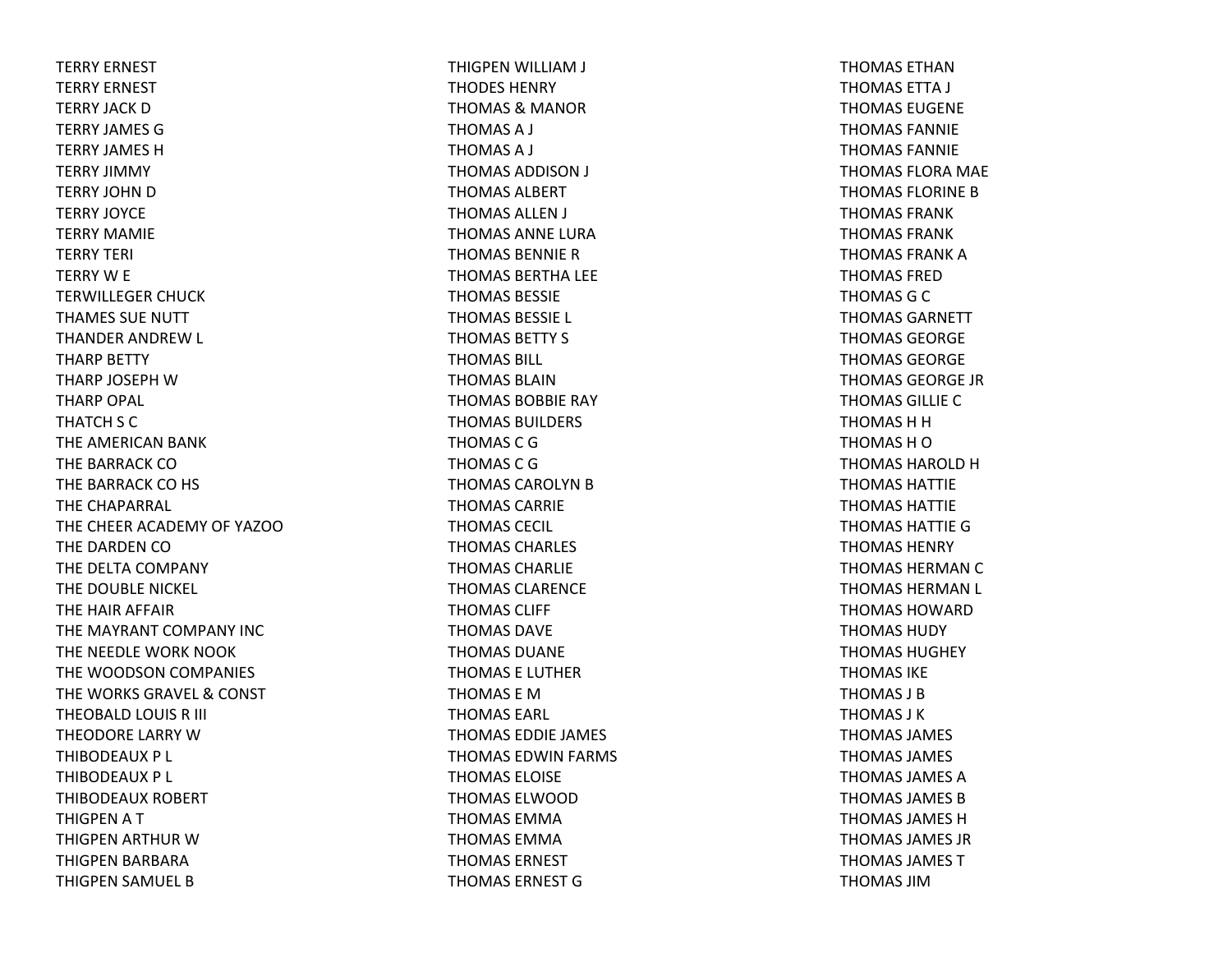TERRY ERNEST TERRY ERNEST TERRY JACK DTERRY JAMES GTERRY JAMES HTERRY JIMMY TERRY JOHN D TERRY JOYCETERRY MAMIETERRY TERI TERRY W E TERWILLEGER CHUCK THAMES SUE NUTT THANDER ANDREW L THARP BETTY THARP JOSEPH WTHARP OPAL THATCH S C THE AMERICAN BANK THE BARRACK COTHE BARRACK CO HS THE CHAPARRAL THE CHEER ACADEMY OF YAZOOTHE DARDEN COTHE DELTA COMPANY THE DOUBLE NICKEL THE HAIR AFFAIR THE MAYRANT COMPANY INCTHE NEEDLE WORK NOOK THE WOODSON COMPANIES THE WORKS GRAVEL & CONST THEOBALD LOUIS R III THEODORE LARRY WTHIBODEAUX P L THIBODEAUX P L THIBODEAUX ROBERT THIGPEN A T THIGPEN ARTHUR WTHIGPEN BARBARA THIGPEN SAMUEL B

THIGPEN WILLIAM J THODES HENRYTHOMAS & MANOR THOMAS A J THOMAS A J THOMAS ADDISON J THOMAS ALBERTTHOMAS ALLEN J THOMAS ANNE LURATHOMAS BENNIE RTHOMAS BERTHA LEE THOMAS BESSIETHOMAS BESSIE L THOMAS BETTY S THOMAS BILL THOMAS BLAINTHOMAS BOBBIE RAY THOMAS BUILDERS THOMAS C GTHOMAS C GTHOMAS CAROLYN B THOMAS CARRIETHOMAS CECIL THOMAS CHARLES THOMAS CHARLIETHOMAS CLARENCETHOMAS CLIFF THOMAS DAVETHOMAS DUANETHOMAS E LUTHERTHOMAS E MTHOMAS EARL THOMAS EDDIE JAMES THOMAS EDWIN FARMS THOMAS ELOISETHOMAS ELWOODTHOMAS EMMATHOMAS EMMATHOMAS ERNESTTHOMAS ERNEST G

THOMAS ETHANTHOMAS ETTA J THOMAS EUGENETHOMAS FANNIETHOMAS FANNIETHOMAS FLORA MAE THOMAS FLORINE BTHOMAS FRANKTHOMAS FRANKTHOMAS FRANK ATHOMAS FREDTHOMAS G C THOMAS GARNETTTHOMAS GEORGETHOMAS GEORGETHOMAS GEORGE JRTHOMAS GILLIE CTHOMAS H H THOMAS H OTHOMAS HAROLD HTHOMAS HATTIETHOMAS HATTIETHOMAS HATTIE GTHOMAS HENRYTHOMAS HERMAN C THOMAS HERMAN L THOMAS HOWARDTHOMAS HUDYTHOMAS HUGHEYTHOMAS IKETHOMAS J BTHOMAS J KTHOMAS JAMES THOMAS JAMES THOMAS JAMES ATHOMAS JAMES BTHOMAS JAMES HTHOMAS JAMES JRTHOMAS JAMES TTHOMAS JIM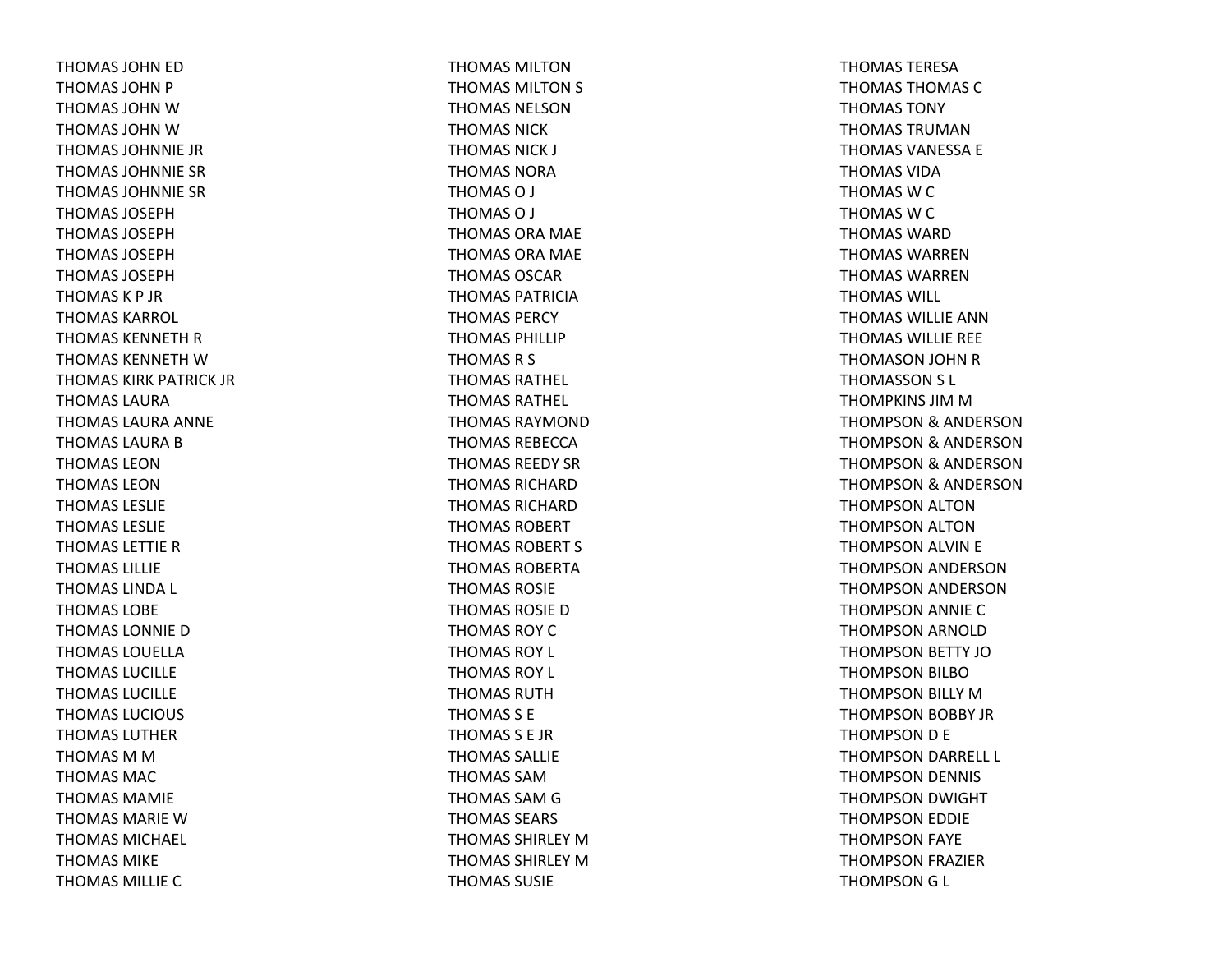THOMAS JOHN ED THOMAS JOHN P THOMAS JOHN W THOMAS JOHN W THOMAS JOHNNIE JRTHOMAS JOHNNIE SRTHOMAS JOHNNIE SRTHOMAS JOSEPHTHOMAS JOSEPHTHOMAS JOSEPHTHOMAS JOSEPHTHOMASK P JRTHOMAS KARROL THOMAS KENNETH R THOMAS KENNETH W THOMAS KIRK PATRICK JRTHOMAS LAURATHOMAS LAURA ANNE THOMAS LAURA B THOMAS LEONTHOMAS LEONTHOMAS LESLIETHOMAS LESLIETHOMAS LETTIE R THOMAS LILLIETHOMAS LINDA L THOMAS LOBETHOMAS LONNIE D THOMAS LOUELLATHOMAS LUCILLETHOMAS LUCILLETHOMAS LUCIOUS THOMAS LUTHERTHOMAS M M THOMAS MACTHOMAS MAMIETHOMAS MARIE W THOMAS MICHAEL THOMAS MIKETHOMAS MILLIE C

THOMAS MILTONTHOMAS MILTON S THOMAS NELSONTHOMAS NICKTHOMAS NICK J THOMAS NORATHOMASO J THOMASO J THOMAS ORA MAE THOMAS ORA MAE THOMAS OSCARTHOMAS PATRICIATHOMAS PERCYTHOMAS PHILLIPTHOMAS R S THOMAS RATHEL THOMAS RATHEL THOMAS RAYMONDTHOMAS REBECCATHOMAS REEDY SRTHOMAS RICHARDTHOMAS RICHARDTHOMAS ROBERTTHOMAS ROBERT S THOMAS ROBERTATHOMAS ROSIETHOMAS ROSIE D THOMAS ROYCTHOMAS ROY L THOMAS ROY L THOMAS RUTHTHOMAS S E THOMAS S E JRTHOMAS SALLIETHOMAS SAMTHOMAS SAM G THOMAS SEARS THOMAS SHIRLEY M THOMAS SHIRLEY M THOMAS SUSIE

THOMAS TERESATHOMAS THOMAS CTHOMAS TONYTHOMAS TRUMANTHOMAS VANESSA E THOMAS VIDATHOMAS W C THOMAS W C THOMAS WARDTHOMAS WARRENTHOMAS WARRENTHOMAS WILL THOMAS WILLIE ANN THOMAS WILLIE REE THOMASON JOHN RTHOMASSON S L THOMPKINS JIM M THOMPSON& ANDERSON THOMPSON& ANDERSON THOMPSON& ANDERSON THOMPSON& ANDERSON THOMPSON ALTON THOMPSON ALTON THOMPSON ALVIN E THOMPSON ANDERSON THOMPSON ANDERSON THOMPSON ANNIE CTHOMPSON ARNOLD THOMPSON BETTY JOTHOMPSON BILBOTHOMPSON BILLY MTHOMPSON BOBBY JR THOMPSON D E THOMPSON DARRELL L THOMPSON DENNIS THOMPSON DWIGHT THOMPSON EDDIE THOMPSON FAYE THOMPSON FRAZIER THOMPSON G L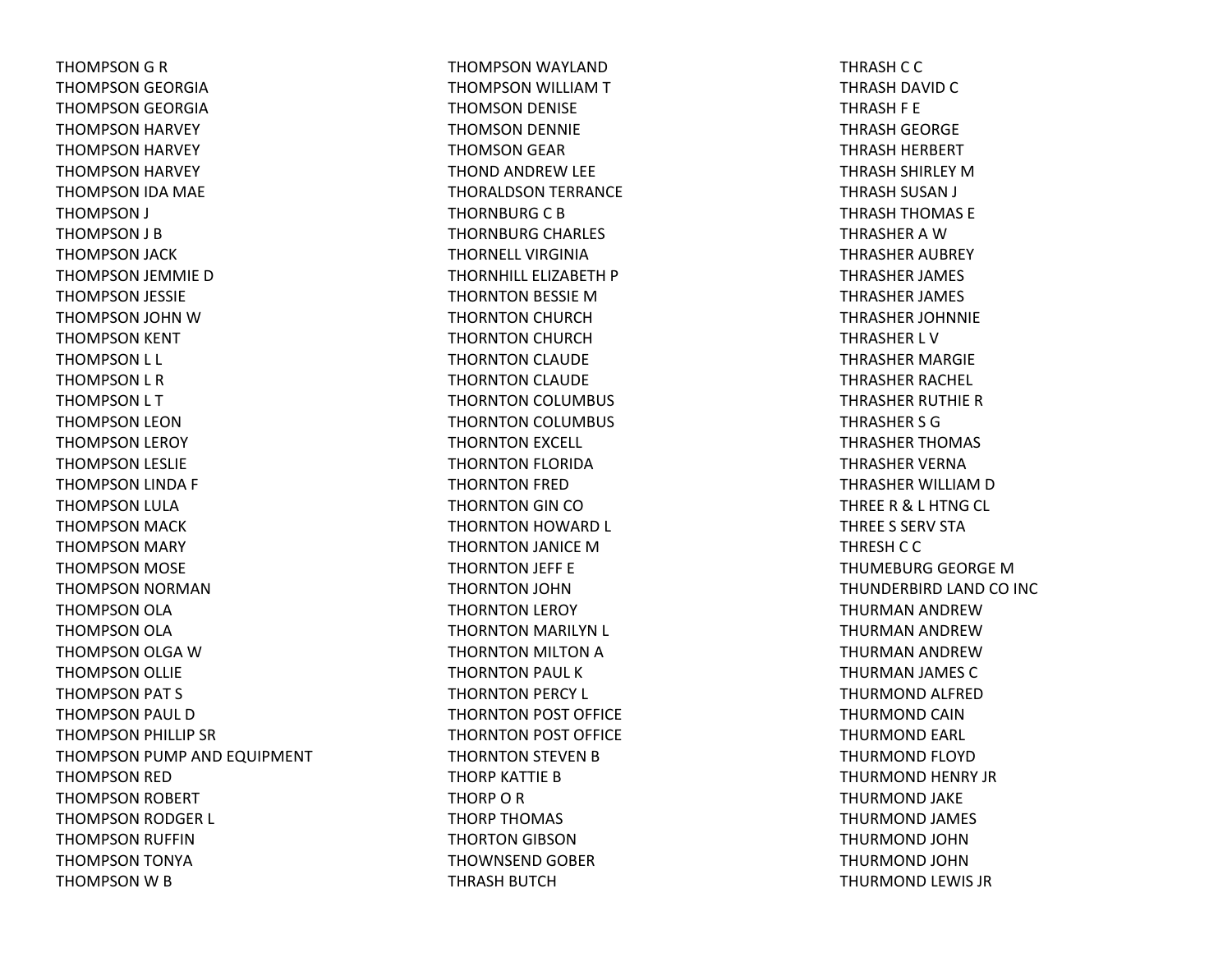THOMPSON G R THOMPSON GEORGIA THOMPSON GEORGIA THOMPSON HARVEY THOMPSON HARVEY THOMPSON HARVEY THOMPSON IDA MAE THOMPSON J THOMPSON J B THOMPSON JACK THOMPSON JEMMIE D THOMPSON JESSIE THOMPSON JOHN WTHOMPSON KENT THOMPSON L L THOMPSON L R THOMPSON L T THOMPSON LEON THOMPSON LEROY THOMPSON LESLIE THOMPSON LINDA F THOMPSON LULA THOMPSON MACK THOMPSON MARY THOMPSON MOSE THOMPSON NORMAN THOMPSON OLA THOMPSON OLA THOMPSON OLGA WTHOMPSON OLLIE THOMPSON PAT S THOMPSON PAUL D THOMPSON PHILLIP SR THOMPSON PUMP AND EQUIPMENT THOMPSON RED THOMPSON ROBERT THOMPSON RODGER L THOMPSON RUFFIN THOMPSON TONYA THOMPSON W B

THOMPSON WAYLAND THOMPSON WILLIAM T THOMSON DENISE THOMSON DENNIE THOMSON GEAR THOND ANDREW LEE THORALDSON TERRANCE THORNBURG C B THORNBURG CHARLES THORNELL VIRGINIATHORNHILL ELIZABETH P THORNTON BESSIE MTHORNTON CHURCH THORNTON CHURCH THORNTON CLAUDE THORNTON CLAUDE THORNTON COLUMBUS THORNTON COLUMBUS THORNTON EXCELL THORNTON FLORIDA THORNTON FRED THORNTON GIN COTHORNTON HOWARD L THORNTON JANICE MTHORNTON JEFF E THORNTON JOHN THORNTON LEROY THORNTON MARILYN L THORNTON MILTON A THORNTON PAUL K THORNTON PERCY L THORNTON POST OFFICE THORNTON POST OFFICE THORNTON STEVEN B THORP KATTIE BTHORP O R THORP THOMAS THORTON GIBSON THOWNSEND GOBER THRASH BUTCH

THRASH C C THRASH DAVID C THRASH F E THRASH GEORGE THRASH HERBERT THRASH SHIRLEY MTHRASH SUSAN J THRASH THOMAS E THRASHER A WTHRASHER AUBREY THRASHER JAMES THRASHER JAMES THRASHER JOHNNIE THRASHER L VTHRASHER MARGIE THRASHER RACHEL THRASHER RUTHIE R THRASHER S GTHRASHER THOMAS THRASHER VERNATHRASHER WILLIAM D THREE R & L HTNG CL THREE S SERV STATHRESH C C THUMEBURG GEORGE MTHUNDERBIRD LAND CO INC THURMAN ANDREWTHURMAN ANDREWTHURMAN ANDREWTHURMAN JAMES C THURMOND ALFRED THURMOND CAINTHURMOND EARL THURMOND FLOYD THURMOND HENRY JR THURMOND JAKE THURMOND JAMES THURMOND JOHNTHURMOND JOHNTHURMOND LEWIS JR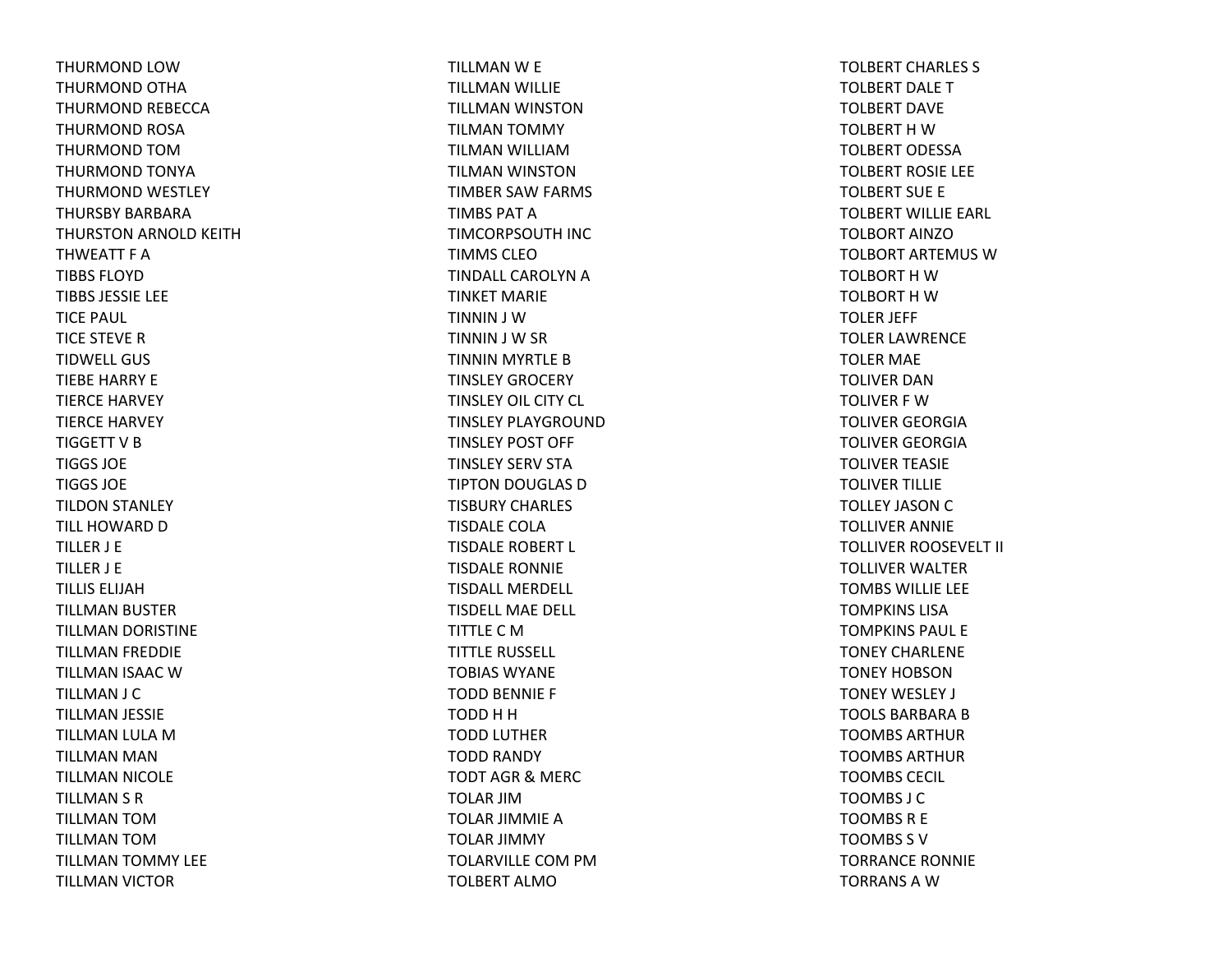THURMOND LOWTHURMOND OTHA THURMOND REBECCA THURMOND ROSA THURMOND TOMTHURMOND TONYA THURMOND WESTLEY THURSBY BARBARATHURSTON ARNOLD KEITH THWEATT F ATIBBS FLOYDTIBBS JESSIE LEE TICE PAUL TICE STEVE RTIDWELL GUSTIEBE HARRY E TIERCE HARVEY TIERCE HARVEY TIGGETT V B TIGGS JOETIGGS JOETILDON STANLEY TILL HOWARD D TILLER J E TILLER J E TILLIS ELIJAHTILLMAN BUSTER TILLMAN DORISTINE TILLMAN FREDDIE TILLMAN ISAAC WTILLMAN J C TILLMAN JESSIE TILLMAN LULA MTILLMAN MAN TILLMAN NICOLE TILLMAN S R TILLMAN TOMTILLMAN TOMTILLMAN TOMMY LEE TILLMAN VICTOR

TILLMAN W E TILLMAN WILLIE TILLMAN WINSTON TILMAN TOMMY TILMAN WILLIAMTILMAN WINSTON TIMBER SAW FARMS TIMBS PAT A TIMCORPSOUTH INC TIMMS CLEOTINDALL CAROLYN A TINKET MARIETINNIN J WTINNIN J W SR TINNIN MYRTLE BTINSLEY GROCERY TINSLEY OIL CITY CL TINSLEY PLAYGROUNDTINSLEY POST OFF TINSLEY SERV STATIPTON DOUGLAS DTISBURY CHARLES TISDALE COLATISDALE ROBERT L TISDALE RONNIE TISDALL MERDELL TISDELL MAE DELL TITTLE C M TITTLE RUSSELL TOBIAS WYANETODD BENNIE F TODD H H TODD LUTHER TODD RANDY TODT AGR& MERC TOLAR JIMTOLAR JIMMIE ATOLAR JIMMY TOLARVILLE COM PM TOLBERT ALMO

TOLBERT CHARLES S TOLBERT DALETTOLBERT DAVETOLBERT H W TOLBERT ODESSATOLBERT ROSIE LEE TOLBERT SUE E TOLBERT WILLIE EARL TOLBORT AINZOTOLBORT ARTEMUS WTOLBORT H W TOLBORT H W TOLER JEFF TOLER LAWRENCE TOLER MAE TOLIVER DANTOLIVER F WTOLIVER GEORGIATOLIVER GEORGIATOLIVER TEASIE TOLIVER TILLIE TOLLEY JASON C TOLLIVER ANNIE TOLLIVER ROOSEVELT II TOLLIVER WALTER TOMBS WILLIE LEE TOMPKINS LISATOMPKINS PAUL ETONEY CHARLENETONEY HOBSONTONEY WESLEY J TOOLS BARBARA B TOOMBS ARTHURTOOMBS ARTHURTOOMBS CECIL TOOMBS J CTOOMBSR E TOOMBS S VTORRANCE RONNIE TORRANSAW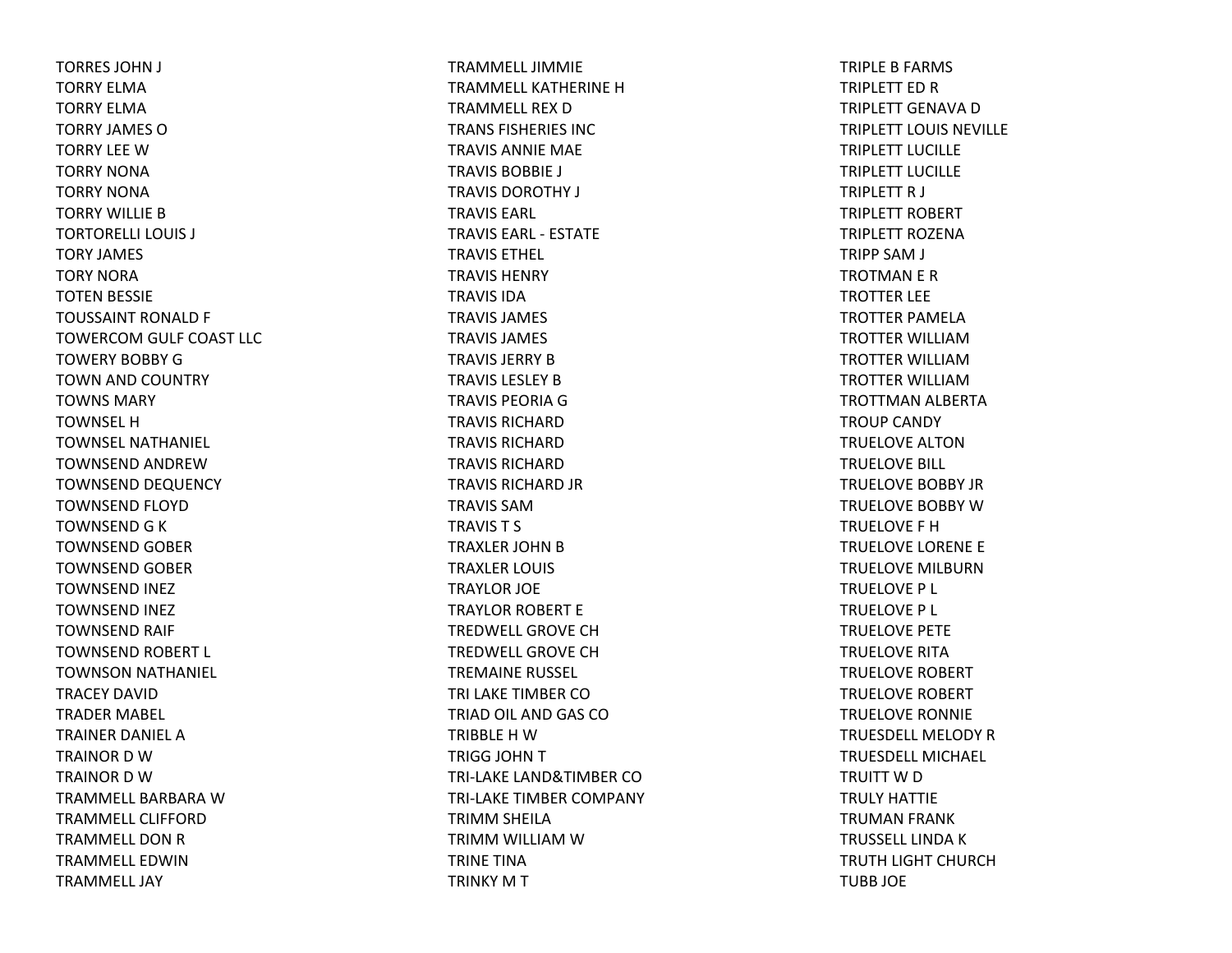TORRES JOHN J TORRY ELMATORRY ELMATORRY JAMES OTORRY LEE WTORRY NONATORRY NONATORRY WILLIE BTORTORELLI LOUIS J TORY JAMES TORY NORATOTEN BESSIE TOUSSAINT RONALD F TOWERCOM GULF COAST LLC TOWERY BOBBY GTOWN AND COUNTRY TOWNS MARYTOWNSEL HTOWNSEL NATHANIEL TOWNSEND ANDREWTOWNSEND DEQUENCY TOWNSEND FLOYD TOWNSEND G K TOWNSEND GOBER TOWNSEND GOBER TOWNSEND INEZ TOWNSEND INEZ TOWNSEND RAIF TOWNSEND ROBERT L TOWNSON NATHANIEL TRACEY DAVIDTRADER MABEL TRAINER DANIEL ATRAINOR D WTRAINOR D WTRAMMELL BARBARA WTRAMMELL CLIFFORDTRAMMELL DON R TRAMMELL EDWINTRAMMELL JAY

TRAMMELL JIMMIETRAMMELL KATHERINE HTRAMMELL REX DTRANS FISHERIES INCTRAVIS ANNIE MAE TRAVIS BOBBIE J TRAVIS DOROTHY J TRAVIS EARL TRAVIS EARL ‐ ESTATETRAVIS ETHEL TRAVIS HENRYTRAVIS IDATRAVIS JAMES TRAVIS JAMES TRAVIS JERRY BTRAVIS LESLEY BTRAVIS PEORIA GTRAVIS RICHARDTRAVIS RICHARDTRAVIS RICHARDTRAVIS RICHARD JR TRAVIS SAMTRAVIS T S TRAXLER JOHN B TRAXLER LOUIS TRAYLOR JOE TRAYLOR ROBERT E TREDWELL GROVE CHTREDWELL GROVE CHTREMAINE RUSSEL TRI LAKE TIMBER COTRIAD OIL AND GAS COTRIBBLE H WTRIGG JOHN T TRI‐LAKE LAND&TIMBER COTRI‐LAKE TIMBER COMPANY TRIMM SHEILA TRIMM WILLIAM WTRINE TINATRINKY M T

TRIPLE B FARMS TRIPLETT ED R TRIPLETT GENAVA DTRIPLETT LOUIS NEVILLETRIPLETT LUCILLETRIPLETT LUCILLETRIPLETT R J TRIPLETT ROBERT TRIPLETT ROZENATRIPP SAM J TROTMAN E R TROTTER LEE TROTTER PAMELATROTTER WILLIAMTROTTER WILLIAMTROTTER WILLIAMTROTTMAN ALBERTA TROUP CANDY TRUELOVE ALTONTRUELOVE BILL TRUELOVE BOBBY JRTRUELOVE BOBBY WTRUELOVE F HTRUELOVE LORENE E TRUELOVE MILBURNTRUELOVE P L TRUELOVE P L TRUELOVE PETE TRUELOVE RITATRUELOVE ROBERT TRUELOVE ROBERT TRUELOVE RONNIE TRUESDELL MELODY RTRUESDELL MICHAEL TRUITT W D TRULY HATTIETRUMAN FRANK TRUSSELL LINDA K TRUTH LIGHT CHURCH TUBB JOE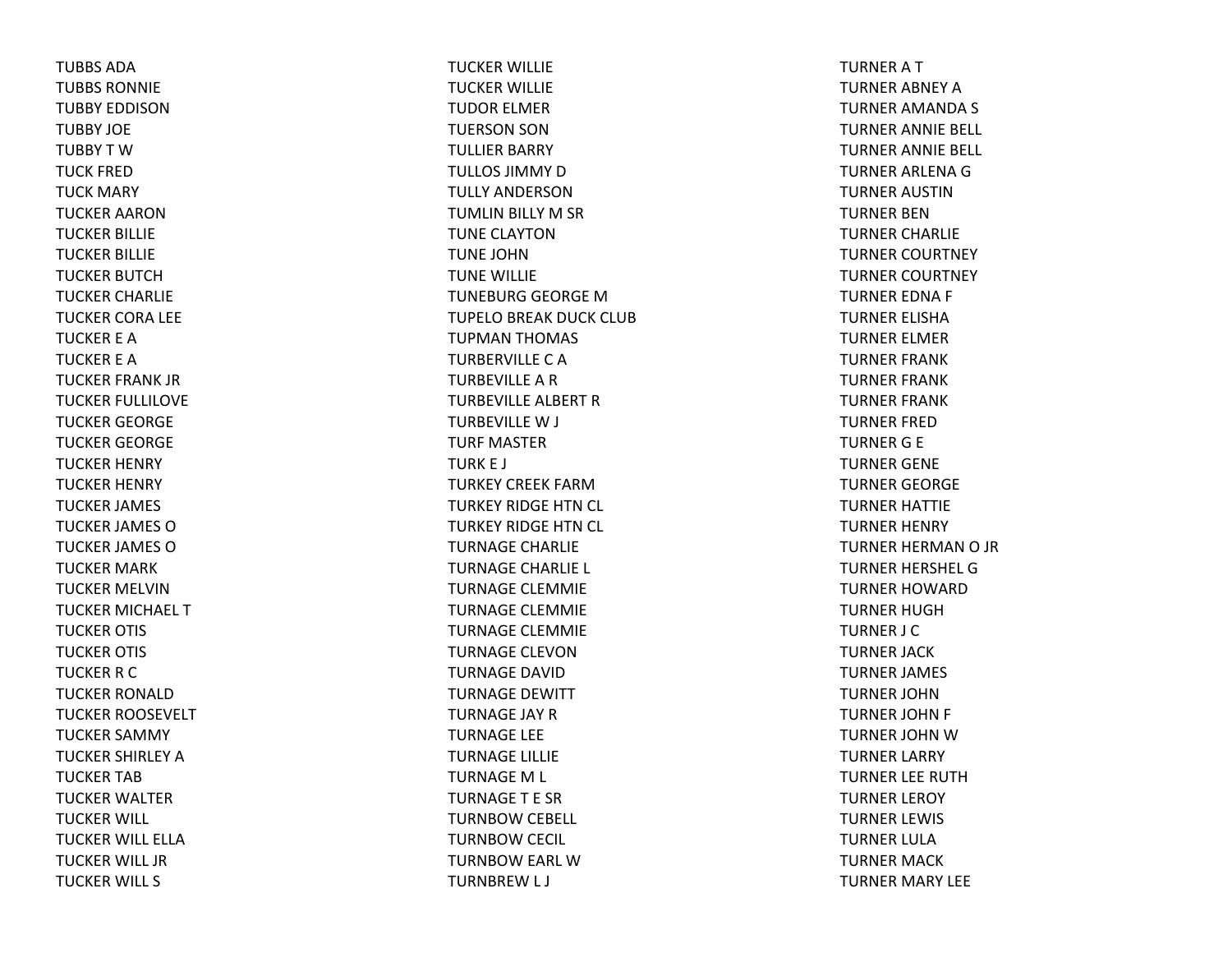TUBBS ADATUBBS RONNIETUBBY EDDISONTUBBY JOETUBBYTWTUCK FREDTUCK MARY TUCKER AARONTUCKER BILLIE TUCKER BILLIE TUCKER BUTCHTUCKER CHARLIE TUCKER CORA LEE TUCKER E ATUCKER E ATUCKER FRANK JR TUCKER FULLILOVE TUCKER GEORGE TUCKER GEORGE TUCKER HENRY TUCKER HENRY TUCKER JAMES TUCKER JAMES OTUCKER JAMES O TUCKER MARK TUCKER MELVINTUCKER MICHAEL TTUCKER OTIS TUCKER OTIS TUCKER R C TUCKER RONALDTUCKER ROOSEVELT TUCKER SAMMY TUCKER SHIRLEY ATUCKER TABTUCKER WALTER TUCKER WILL TUCKER WILL ELLATUCKER WILL JR TUCKER WILL S

TUCKER WILLIE TUCKER WILLIE TUDOR ELMER TUERSON SON TULLIER BARRY TULLOS JIMMY D TULLY ANDERSONTUMLIN BILLY M SR TUNE CLAYTONTUNE JOHNTUNE WILLIE TUNEBURG GEORGE MTUPELO BREAK DUCK CLUB TUPMAN THOMAS TURBERVILLE C A TURBEVILLE A R TURBEVILLE ALBERT RTURBEVILLE W J TURF MASTERTURK E J TURKEY CREEK FARMTURKEY RIDGE HTN CL TURKEY RIDGE HTN CL TURNAGE CHARLIE TURNAGE CHARLIE L TURNAGE CLEMMIE TURNAGE CLEMMIE TURNAGE CLEMMIE TURNAGE CLEVONTURNAGE DAVIDTURNAGE DEWITT TURNAGE JAY RTURNAGE LEE TURNAGE LILLIE TURNAGEM L TURNAGET E SRTURNBOW CEBELL TURNBOW CECIL TURNBOW EARL WTURNBREW L J

TURNERATTURNER ABNEY ATURNER AMANDA S TURNER ANNIE BELL TURNER ANNIE BELL TURNER ARLENA G TURNER AUSTINTURNER BENTURNER CHARLIE TURNER COURTNEY TURNER COURTNEY TURNER EDNA F TURNER ELISHATURNER ELMER TURNER FRANK TURNER FRANK TURNER FRANK TURNER FREDTURNER G E TURNER GENE TURNER GEORGE TURNER HATTIE TURNER HENRY TURNER HERMAN O JR TURNER HERSHEL GTURNER HOWARDTURNER HUGHTURNER J C TURNER JACK TURNER JAMES TURNER JOHNTURNER JOHN F TURNER JOHN W TURNER LARRY TURNER LEE RUTHTURNER LEROY TURNER LEWIS TURNER LULATURNER MACK TURNER MARY LEE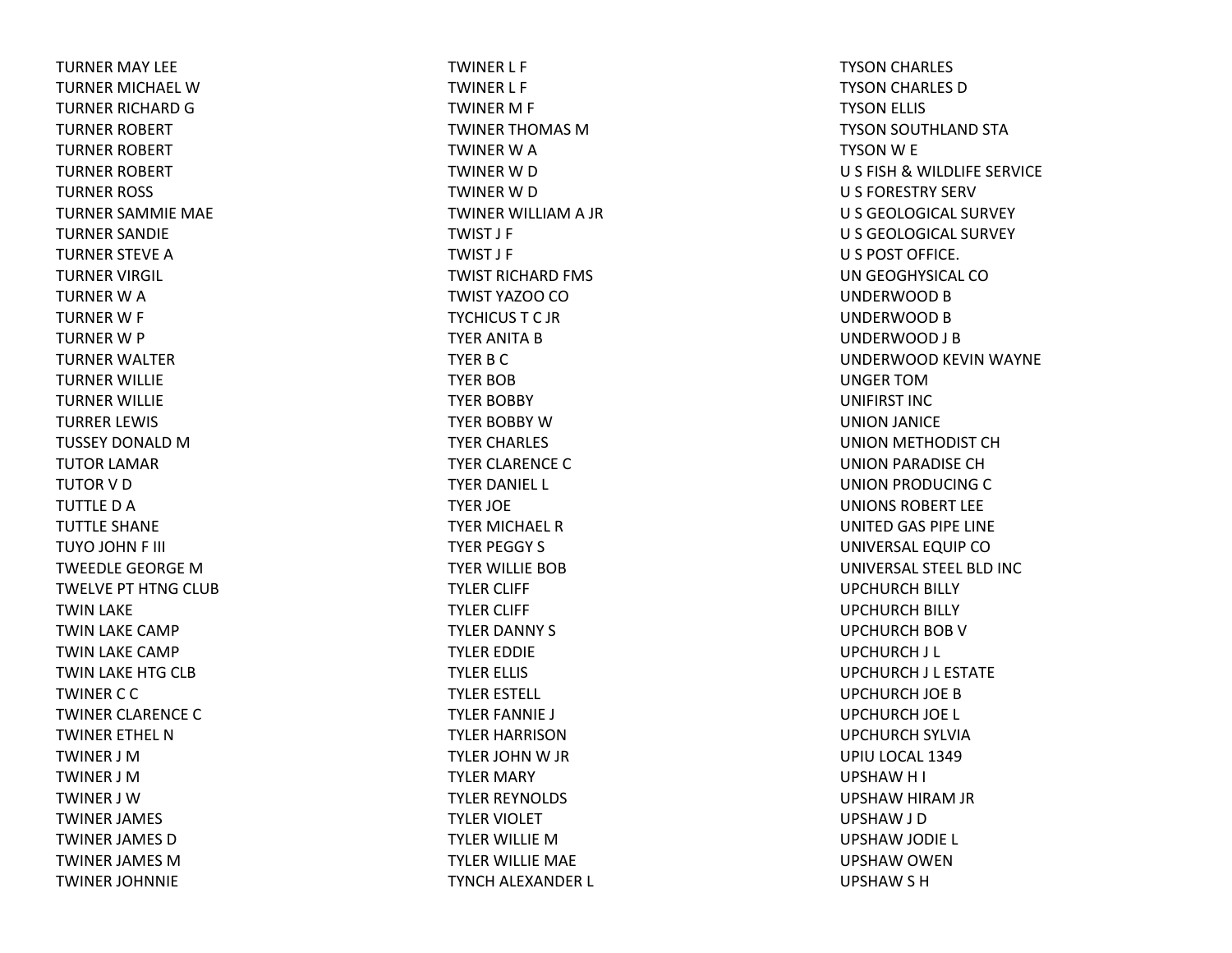TURNER MAY LEE TURNER MICHAEL WTURNER RICHARD G TURNER ROBERT TURNER ROBERT TURNER ROBERT TURNER ROSS TURNER SAMMIE MAE TURNER SANDIE TURNER STEVE ATURNER VIRGIL TURNER W A TURNER W F TURNER W P TURNER WALTER TURNER WILLIE TURNER WILLIE TURRER LEWIS TUSSEY DONALD M TUTOR LAMAR TUTOR V D TUTTLE D A TUTTLE SHANE TUYO JOHN F III TWEEDLE GEORGE MTWELVE PT HTNG CLUB TWIN LAKE TWIN LAKE CAMP TWIN LAKE CAMP TWIN LAKE HTG CLB TWINERCCTWINER CLARENCE CTWINER ETHEL NTWINER J MTWINER J MTWINER J WTWINER JAMES TWINER JAMES DTWINER JAMES MTWINER JOHNNIE

TWINER L F TWINER L F TWINER M F TWINER THOMAS MTWINER W A TWINER W D TWINER W D TWINER WILLIAM A JR TWIST J F TWIST J F TWIST RICHARD FMS TWIST YAZOO CO TYCHICUSTC JRTYER ANITA B TYER B C TYER BOBTYER BOBBY TYER BOBBY WTYER CHARLES TYER CLARENCE CTYER DANIEL L TYER JOE TYER MICHAEL RTYER PEGGY S TYER WILLIE BOBTYLER CLIFF TYLER CLIFF TYLER DANNY S TYLER EDDIE TYLER ELLIS TYLER ESTELL TYLER FANNIE J TYLER HARRISONTYLER JOHN W JR TYLER MARY TYLER REYNOLDS TYLER VIOLET TYLER WILLIE MTYLER WILLIE MAE TYNCH ALEXANDER L

TYSON CHARLES TYSON CHARLES DTYSON ELLIS TYSON SOUTHLAND STA TYSON W E U S FISH & WILDLIFE SERVICE U S FORESTRY SERV U S GEOLOGICAL SURVEY U S GEOLOGICAL SURVEY U S POST OFFICE. UN GEOGHYSICAL COUNDERWOOD B UNDERWOOD B UNDERWOOD J B UNDERWOOD KEVIN WAYNE UNGER TOMUNIFIRST INCUNION JANICE UNION METHODIST CH UNION PARADISE CH UNION PRODUCING CUNIONS ROBERT LEEUNITED GAS PIPE LINE UNIVERSAL EQUIP CO UNIVERSAL STEEL BLD INC UPCHURCH BILLY UPCHURCH BILLY UPCHURCH BOB VUPCHURCH J L UPCHURCH J L ESTATE UPCHURCH JOE BUPCHURCH JOE L UPCHURCH SYLVIA UPIU LOCAL 1349 UPSHAWH I UPSHAW HIRAM JR UPSHAW J D UPSHAW JODIE L UPSHAW OWEN UPSHAW S H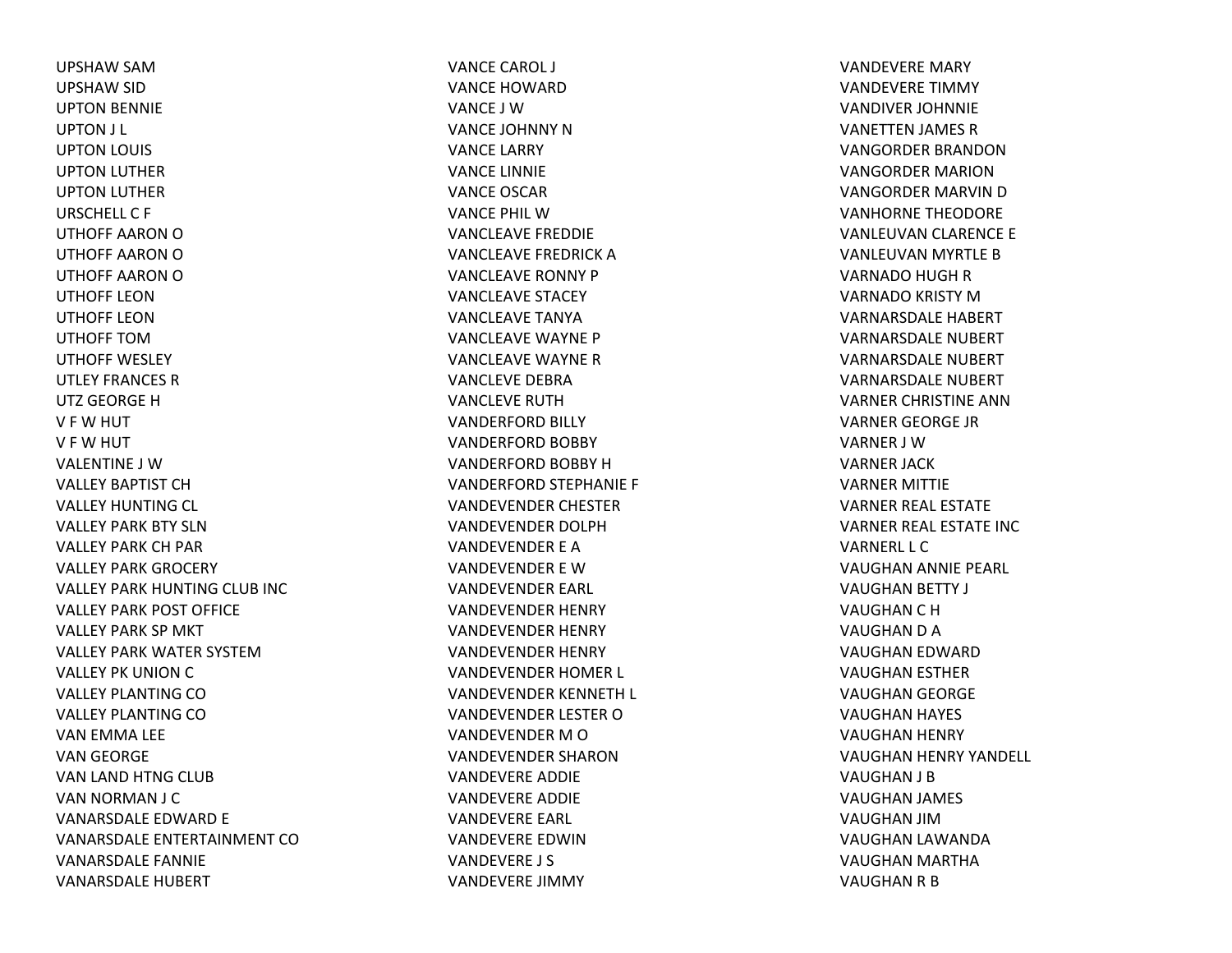UPSHAW SAM UPSHAW SID UPTON BENNIE UPTON J L UPTON LOUIS UPTON LUTHER UPTON LUTHER URSCHELL C F UTHOFF AARON OUTHOFF AARON OUTHOFF AARON OUTHOFF LEONUTHOFF LEONUTHOFF TOMUTHOFF WESLEYUTLEY FRANCES RUTZ GEORGE HV F W HUT V F W HUT VALENTINE J WVALLEY BAPTIST CHVALLEY HUNTING CL VALLEY PARK BTY SLNVALLEY PARK CH PAR VALLEY PARK GROCERY VALLEY PARK HUNTING CLUB INC VALLEY PARK POST OFFICE VALLEY PARK SP MKT VALLEY PARK WATER SYSTEMVALLEY PK UNION C VALLEY PLANTING COVALLEY PLANTING COVAN EMMA LEE VAN GEORGE VAN LAND HTNG CLUB VAN NORMAN J C VANARSDALE EDWARD E VANARSDALE ENTERTAINMENT COVANARSDALE FANNIE VANARSDALE HUBERT

VANCE CAROL J VANCE HOWARDVANCE J WVANCE JOHNNY NVANCE LARRY VANCE LINNIE VANCE OSCARVANCE PHIL WVANCLEAVE FREDDIE VANCLEAVE FREDRICK AVANCLEAVE RONNY PVANCLEAVE STACEY VANCLEAVE TANYAVANCLEAVE WAYNE PVANCLEAVE WAYNE RVANCLEVE DEBRAVANCLEVE RUTHVANDERFORD BILLY VANDERFORD BOBBY VANDERFORD BOBBY HVANDERFORD STEPHANIE F VANDEVENDER CHESTER VANDEVENDER DOLPHVANDEVENDER E AVANDEVENDER E WVANDEVENDER EARL VANDEVENDER HENRY VANDEVENDER HENRY VANDEVENDER HENRY VANDEVENDER HOMER L VANDEVENDER KENNETH L VANDEVENDER LESTER OVANDEVENDER M O VANDEVENDER SHARONVANDEVERE ADDIE VANDEVERE ADDIE VANDEVERE EARL VANDEVERE EDWINVANDEVERE J S VANDEVERE JIMMY

VANDEVERE MARY VANDEVERE TIMMY VANDIVER JOHNNIE VANETTEN JAMES R VANGORDER BRANDONVANGORDER MARIONVANGORDER MARVIN D VANHORNE THEODORE VANLEUVAN CLARENCE E VANLEUVAN MYRTLE B VARNADO HUGH R VARNADO KRISTY MVARNARSDALE HABERT VARNARSDALE NUBERT VARNARSDALE NUBERT VARNARSDALE NUBERTVARNER CHRISTINE ANNVARNER GEORGE JR VARNER J WVARNER JACK VARNER MITTIE VARNER REAL ESTATE VARNER REAL ESTATE INC VARNERL L CVAUGHAN ANNIE PEARL VAUGHAN BETTY J VAUGHAN C H VAUGHAN D A VAUGHAN EDWARD VAUGHAN ESTHER VAUGHAN GEORGE VAUGHAN HAYES VAUGHAN HENRY VAUGHAN HENRY YANDELL VAUGHAN J B VAUGHAN JAMES VAUGHAN JIMVAUGHAN LAWANDA VAUGHAN MARTHA VAUGHAN R B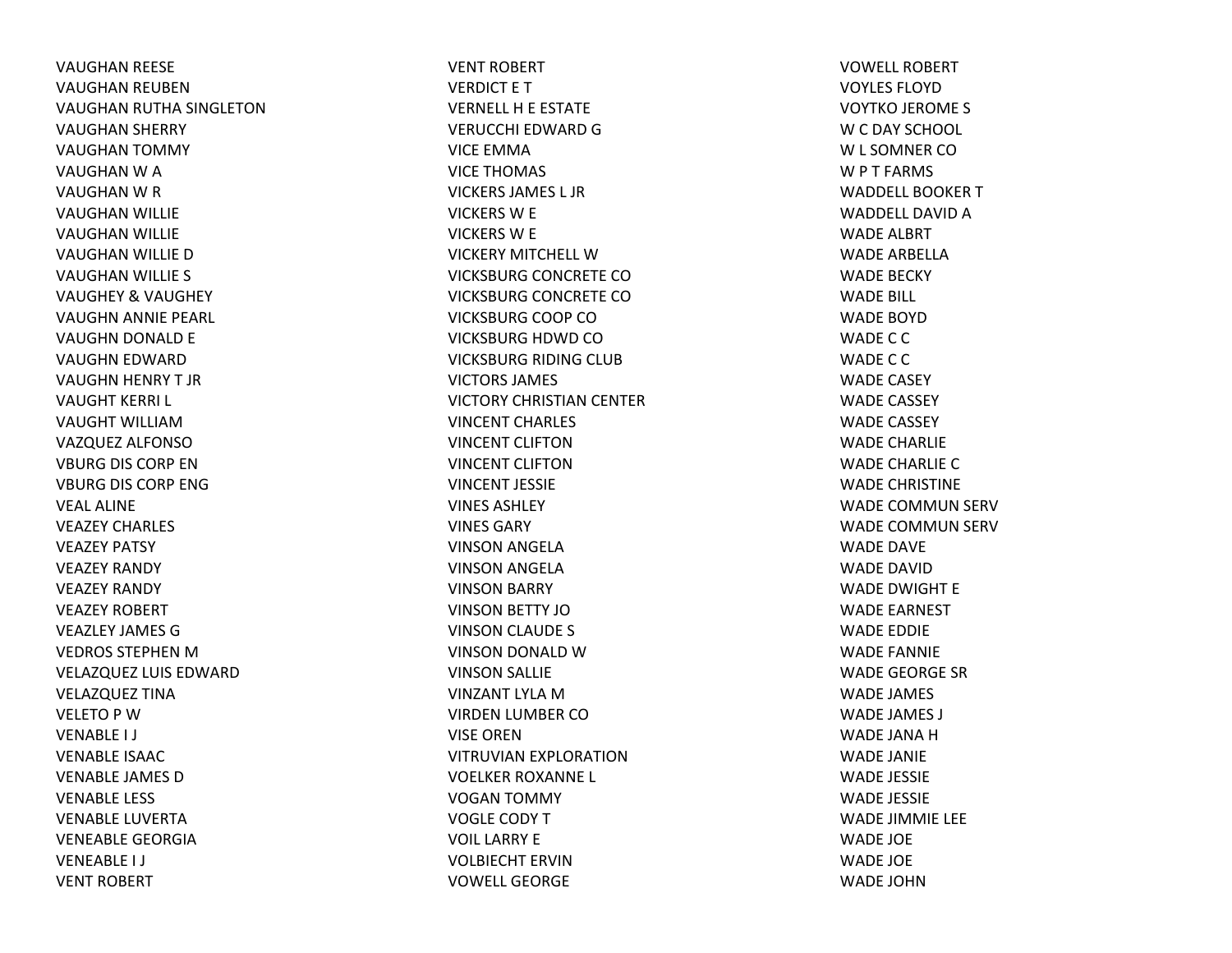VAUGHAN REESE VAUGHAN REUBEN VAUGHAN RUTHA SINGLETON VAUGHAN SHERRY VAUGHAN TOMMY VAUGHAN W A VAUGHAN W R VAUGHAN WILLIE VAUGHAN WILLIE VAUGHAN WILLIE D VAUGHAN WILLIE S VAUGHEY & VAUGHEY VAUGHN ANNIE PEARL VAUGHN DONALD E VAUGHN EDWARD VAUGHN HENRY T JR VAUGHT KERRI L VAUGHT WILLIAMVAZQUEZ ALFONSO VBURG DIS CORP ENVBURG DIS CORP ENG VEAL ALINEVEAZEY CHARLES VEAZEY PATSY VEAZEY RANDY VEAZEY RANDY VEAZEY ROBERT VEAZLEY JAMES GVEDROS STEPHEN MVELAZQUEZ LUIS EDWARD VELAZQUEZ TINA VELETO P WVENABLE I J VENABLE ISAACVENABLE JAMES DVENABLE LESS VENABLE LUVERTAVENEABLE GEORGIAVENEABLE I J VENT ROBERT

VENT ROBERT VERDICT E T VERNELL H E ESTATE VERUCCHI EDWARD GVICE EMMAVICE THOMAS VICKERS JAMES L JRVICKERS W E VICKERS W E VICKERY MITCHELL WVICKSBURG CONCRETE COVICKSBURG CONCRETE COVICKSBURG COOP COVICKSBURG HDWD COVICKSBURG RIDING CLUB VICTORS JAMES VICTORY CHRISTIAN CENTER VINCENT CHARLES VINCENT CLIFTONVINCENT CLIFTONVINCENT JESSIEVINES ASHLEYVINES GARYVINSON ANGELA VINSON ANGELA VINSON BARRY VINSON BETTY JOVINSON CLAUDE S VINSON DONALD WVINSON SALLIE VINZANT LYLA MVIRDEN LUMBER COVISE ORENVITRUVIAN EXPLORATION VOELKER ROXANNE L VOGAN TOMMY VOGLE CODY T VOIL LARRY EVOLBIECHT ERVINVOWELL GEORGE

VOWELL ROBERTVOYLES FLOYDVOYTKO JEROME S W C DAY SCHOOL W L SOMNER CO W P T FARMS WADDELL BOOKER T WADDELL DAVID A WADE ALBRT WADE ARBELLAWADE BECKY WADE BILL WADE BOYDWADE C C WADE C C WADE CASEY WADE CASSEY WADE CASSEY WADE CHARLIEWADE CHARLIE CWADE CHRISTINE WADE COMMUN SERV WADE COMMUN SERV WADE DAVE WADE DAVIDWADE DWIGHT E WADE EARNEST WADE EDDIE WADE FANNIE WADE GEORGE SRWADE JAMES WADE JAMES J WADE JANA HWADE JANIE WADE JESSIE WADE JESSIE WADE JIMMIE LEE WADE JOE WADE JOE WADE JOHN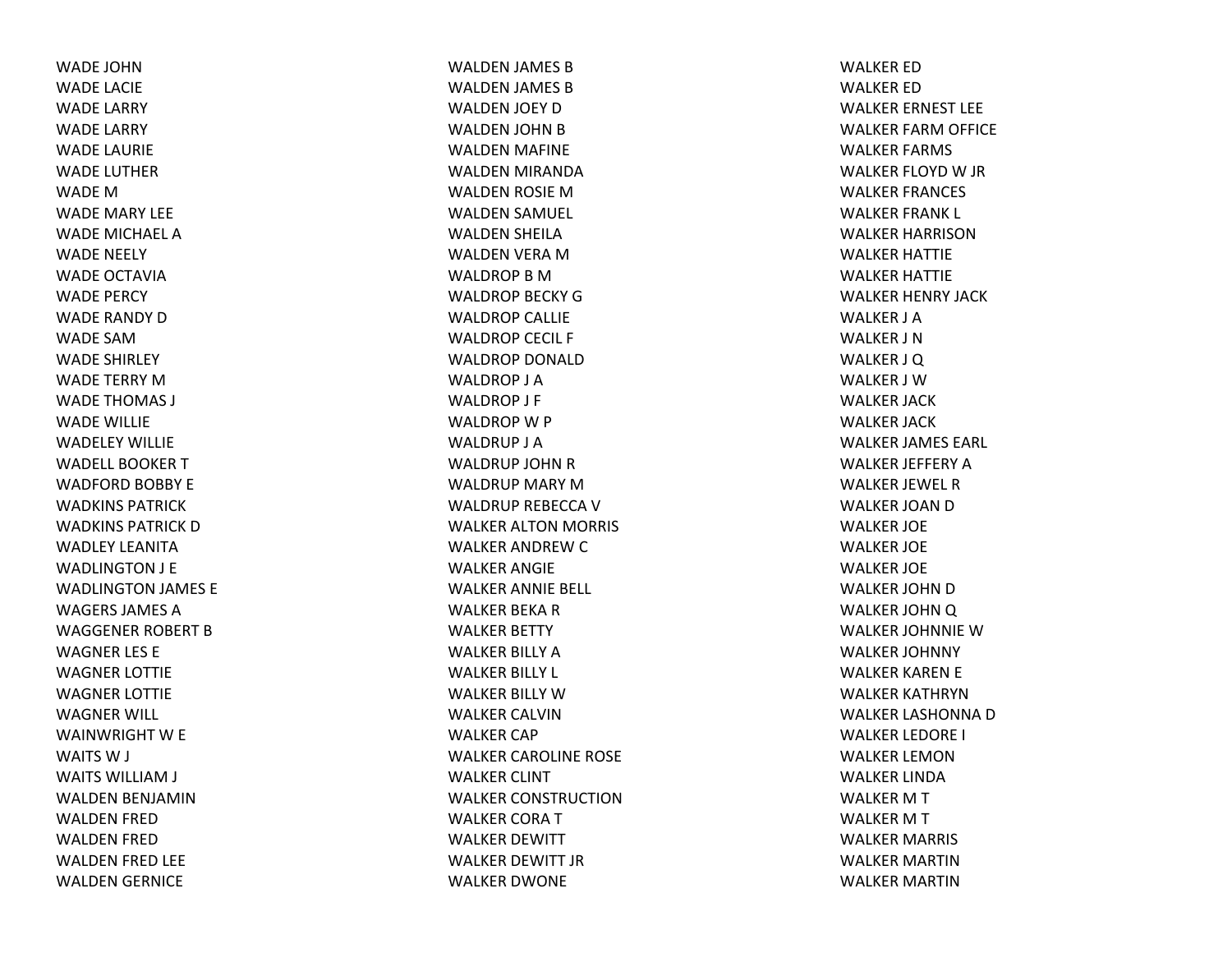WADE JOHNWADE LACIE WADE LARRY WADE LARRY WADE LAURIE WADE LUTHERWADE M WADE MARY LEE WADE MICHAEL AWADE NEELY WADE OCTAVIAWADE PERCY WADE RANDY DWADE SAMWADE SHIRLEY WADE TERRY MWADE THOMAS J WADE WILLIE WADELEY WILLIEWADELL BOOKER T WADFORD BOBBY E WADKINS PATRICKWADKINS PATRICK D WADLEY LEANITAWADLINGTON J E WADLINGTON JAMES E WAGERS JAMES AWAGGENER ROBERT BWAGNER LES E WAGNER LOTTIE WAGNER LOTTIE WAGNER WILL WAINWRIGHT W E WAITS W J WAITS WILLIAM J WALDEN BENJAMIN WALDEN FRED WALDEN FRED WALDEN FRED LEE WALDEN GERNICE

WALDEN JAMES BWALDEN JAMES BWALDEN JOEY DWALDEN JOHN BWALDEN MAFINE WALDEN MIRANDA WALDEN ROSIE MWALDEN SAMUEL WALDEN SHEILA WALDEN VERA MWALDROPBMWALDROP BECKY GWALDROP CALLIE WALDROP CECIL F WALDROP DONALDWALDROP J AWALDROP J F WALDROP W P WALDRUP J AWALDRUP JOHN R WALDRUP MARY MWALDRUP REBECCA V WALKER ALTON MORRIS WALKER ANDREW C WALKER ANGIE WALKER ANNIE BELL WALKER BEKA R WALKER BETTY WALKER BILLY AWALKER BILLY L WALKER BILLY WWALKER CALVINWALKER CAP WALKER CAROLINE ROSE WALKER CLINT WALKER CONSTRUCTIONWALKER CORATWALKER DEWITT WALKER DEWITT JR WALKER DWONE

WALKER EDWALKER EDWALKER ERNEST LEE WALKER FARM OFFICE WALKER FARMS WALKER FLOYD W JR WALKER FRANCES WALKER FRANK L WALKER HARRISONWALKER HATTIE WALKER HATTIE WALKER HENRY JACK WALKER J AWALKER J NWALKER J Q WALKER J WWALKER JACK WALKER JACK WALKER JAMES EARL WALKER JEFFERY AWALKER JEWEL RWALKER JOAN D WALKER JOE WALKER JOE WALKER JOE WALKER JOHN D WALKER JOHNQ WALKER JOHNNIE WWALKER JOHNNY WALKER KAREN E WALKER KATHRYNWALKER LASHONNA D WALKER LEDORE I WALKER LEMONWALKER LINDAWALKER M T WALKER M T WALKER MARRIS WALKER MARTINWALKER MARTIN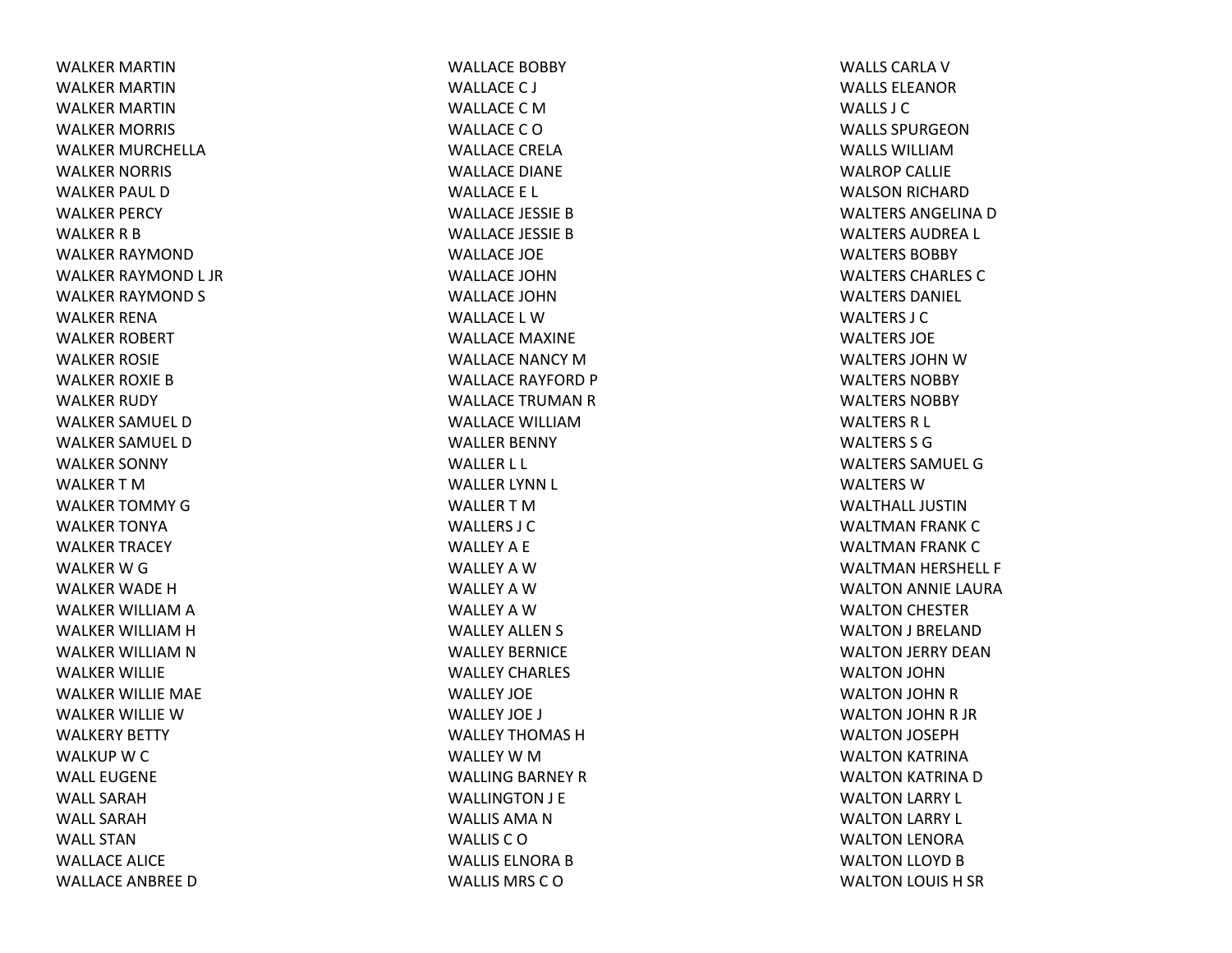WALKER MARTINWALKER MARTINWALKER MARTINWALKER MORRIS WALKER MURCHELLAWALKER NORRIS WALKER PAUL DWALKER PERCY WALKER R B WALKER RAYMONDWALKER RAYMOND L JR WALKER RAYMOND S WALKER RENAWALKER ROBERT WALKER ROSIE WALKER ROXIE BWALKER RUDY WALKER SAMUEL DWALKER SAMUEL DWALKER SONNY WALKER T M WALKER TOMMY GWALKER TONYAWALKER TRACEY WALKER W G WALKER WADE HWALKER WILLIAM A WALKER WILLIAM H WALKER WILLIAM N WALKER WILLIE WALKER WILLIE MAE WALKER WILLIE WWALKERY BETTY WALKUP W C WALL EUGENEWALL SARAHWALL SARAHWALL STANWALLACE ALICE WALLACE ANBREE D

WALLACE BOBBY WALLACE C J WALLACE C M WALLACECOWALLACE CRELAWALLACE DIANE WALLACE E L WALLACE JESSIE BWALLACE JESSIE BWALLACE JOE WALLACE JOHNWALLACE JOHNWALLACE L WWALLACE MAXINE WALLACE NANCY MWALLACE RAYFORD P WALLACE TRUMAN R WALLACE WILLIAMWALLER BENNY WALLER L L WALLER LYNN L WALLER T M WALLERS J CWALLEY A E WALLEY A W WALLEY A W WALLEY A W WALLEY ALLEN S WALLEY BERNICEWALLEY CHARLES WALLEY JOEWALLEY JOE J WALLEY THOMAS HWALLEY W M WALLING BARNEY RWALLINGTON J E WALLIS AMA N WALLIS C O WALLIS ELNORA B WALLIS MRS CO

WALLS CARLA V WALLS ELEANORWALLS J CWALLS SPURGEONWALLS WILLIAMWALROP CALLIE WALSON RICHARD WALTERS ANGELINA D WALTERS AUDREA L WALTERS BOBBYWALTERS CHARLES CWALTERS DANIEL WALTERS J CWALTERS JOEWALTERS JOHN W WALTERS NOBBYWALTERS NOBBYWALTERS R L WALTERS S GWALTERS SAMUEL GWALTERS W WALTHALL JUSTINWALTMAN FRANK CWALTMAN FRANK CWALTMAN HERSHELL F WALTON ANNIE LAURA WALTON CHESTER WALTON J BRELAND WALTON JERRY DEAN WALTON JOHN WALTON JOHN RWALTON JOHN R JR WALTON JOSEPH WALTON KATRINA WALTON KATRINA DWALTON LARRY L WALTON LARRY L WALTON LENORA WALTON LLOYD BWALTON LOUIS H SR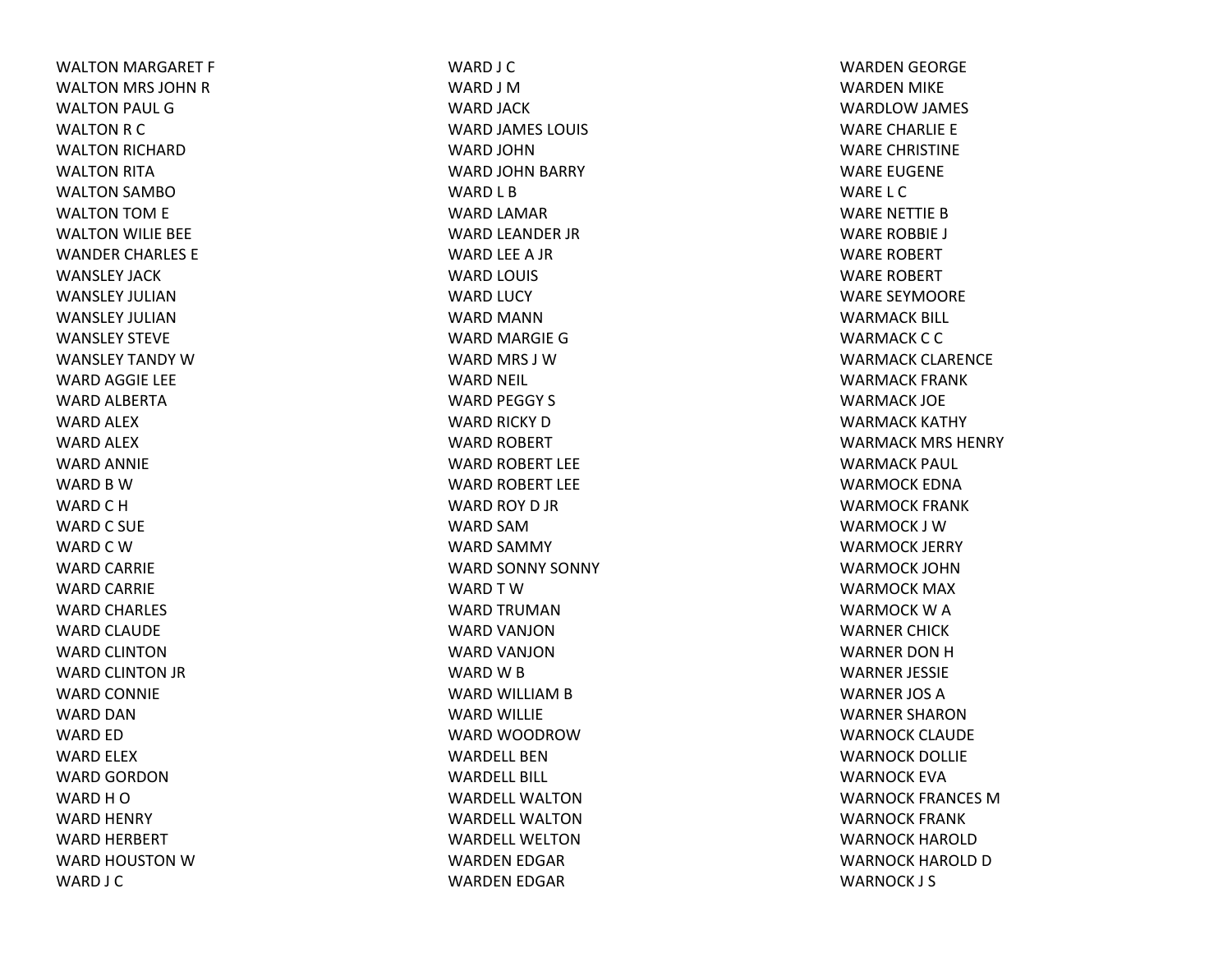WALTON MARGARET F WALTON MRS JOHN RWALTON PAUL GWALTON R C WALTON RICHARD WALTON RITA WALTON SAMBOWALTON TOM E WALTON WILIE BEE WANDER CHARLES E WANSLEY JACKWANSLEY JULIANWANSLEY JULIANWANSLEY STEVEWANSLEY TANDY WWARD AGGIE LEE WARD ALBERTA WARD ALEX WARD ALEX WARD ANNIE WARD B W WARD C H WARD C SUE WARD C W WARD CARRIE WARD CARRIE WARD CHARLES WARD CLAUDE WARD CLINTONWARD CLINTON JR WARD CONNIE WARD DANWARD ED WARD ELEX WARD GORDONWARD H O WARD HENRY WARD HERBERT WARD HOUSTON W WARD J C

WARD J C WARD J MWARD JACK WARD JAMES LOUIS WARD JOHNWARD JOHN BARRY WARD L B WARD LAMAR WARD LEANDER JR WARD LEE A JR WARD LOUIS WARD LUCY WARD MANNWARD MARGIE GWARD MRS J WWARD NEIL WARD PEGGY S WARD RICKY DWARD ROBERT WARD ROBERT LEE WARD ROBERT LEE WARD ROY D JR WARD SAMWARD SAMMY WARD SONNY SONNY WARDTWWARD TRUMANWARD VANJONWARD VANJONWARD W B WARD WILLIAM B WARD WILLIE WARD WOODROWWARDELL BENWARDELL BILL WARDELL WALTONWARDELL WALTONWARDELL WELTONWARDEN EDGAR WARDEN EDGAR

WARDEN GEORGE WARDEN MIKE WARDLOW JAMES WARE CHARLIE E WARE CHRISTINE WARE EUGENE WARE L CWARE NETTIE BWARE ROBBIE J WARE ROBERT WARE ROBERT WARE SEYMOORE WARMACK BILL WARMACK C C WARMACK CLARENCE WARMACK FRANK WARMACK JOE WARMACK KATHY WARMACK MRS HENRY WARMACK PAUL WARMOCK EDNAWARMOCK FRANK WARMOCK J WWARMOCK JERRY WARMOCK JOHNWARMOCK MAX WARMOCK W A WARNER CHICK WARNER DON H WARNER JESSIE WARNER JOS AWARNER SHARONWARNOCK CLAUDE WARNOCK DOLLIE WARNOCK EVAWARNOCK FRANCES MWARNOCK FRANK WARNOCK HAROLDWARNOCK HAROLD D WARNOCK J S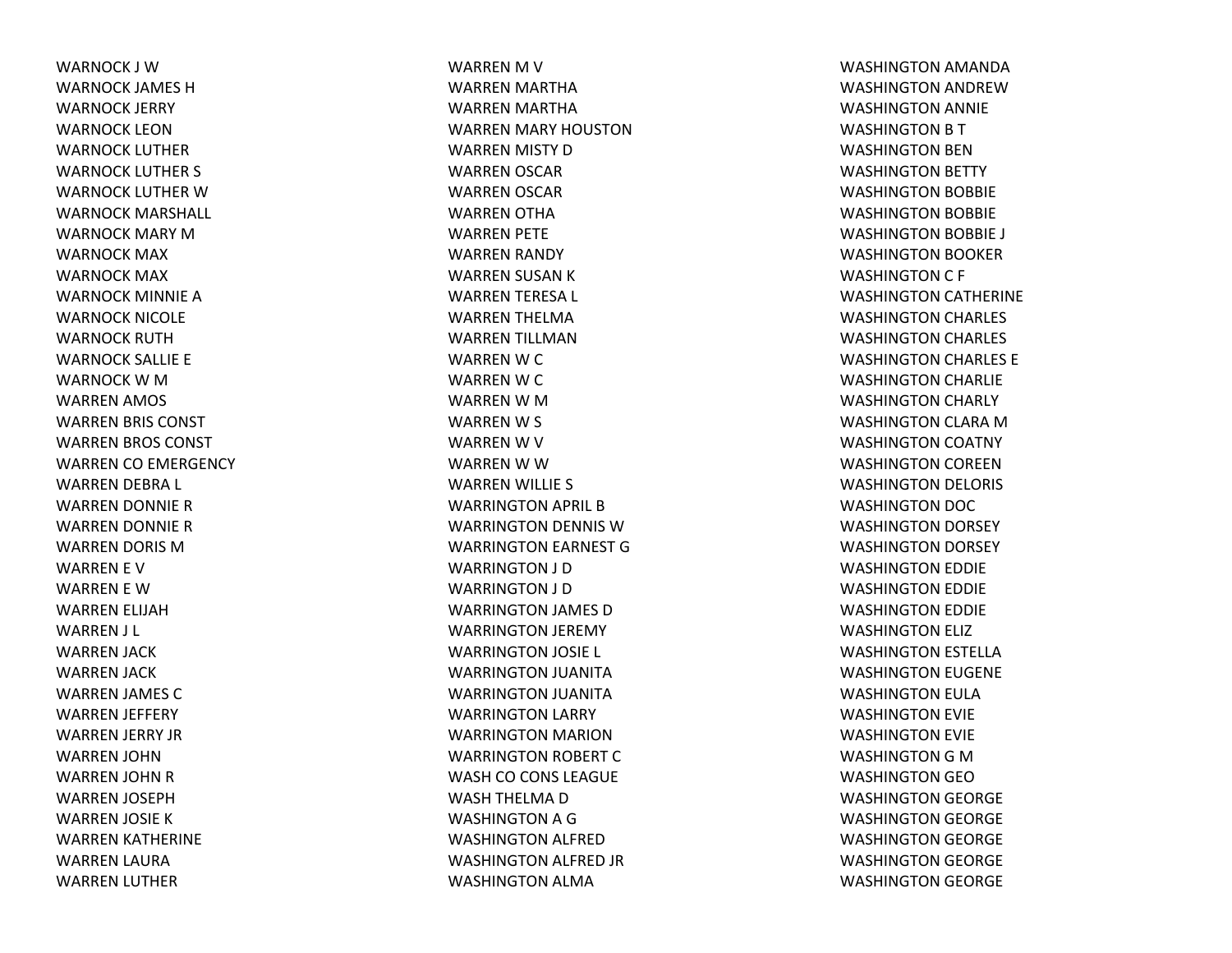WARNOCK J WWARNOCK JAMES HWARNOCK JERRY WARNOCK LEONWARNOCK LUTHERWARNOCK LUTHER S WARNOCK LUTHER W WARNOCK MARSHALL WARNOCK MARY MWARNOCK MAX WARNOCK MAX WARNOCK MINNIE AWARNOCK NICOLE WARNOCK RUTHWARNOCK SALLIE E WARNOCK W M WARREN AMOS WARREN BRIS CONST WARREN BROS CONST WARREN CO EMERGENCY WARREN DEBRA L WARREN DONNIE RWARREN DONNIE RWARREN DORIS MWARREN E V WARREN E WWARREN ELIJAH WARREN J L WARREN JACK WARREN JACK WARREN JAMES CWARREN JEFFERY WARREN JERRY JR WARREN JOHN WARREN JOHN RWARREN JOSEPH WARREN JOSIE KWARREN KATHERINE WARREN LAURA WARREN LUTHER

WARREN M V WARREN MARTHA WARREN MARTHA WARREN MARY HOUSTON WARREN MISTY DWARREN OSCAR WARREN OSCAR WARREN OTHA WARREN PETE WARREN RANDY WARREN SUSAN KWARREN TERESA L WARREN THELMA WARREN TILLMAN WARREN W C WARREN W C WARREN W M WARREN W S WARREN W V WARREN W W WARREN WILLIE S WARRINGTON APRIL BWARRINGTON DENNIS WWARRINGTON EARNEST GWARRINGTON J D WARRINGTON J D WARRINGTON JAMES DWARRINGTON JEREMY WARRINGTON JOSIE L WARRINGTON JUANITA WARRINGTON JUANITA WARRINGTON LARRY WARRINGTON MARION WARRINGTON ROBERT CWASH CO CONS LEAGUE WASH THELMA DWASHINGTON A G WASHINGTON ALFRED WASHINGTON ALFRED JR WASHINGTON ALMA

WASHINGTON AMANDA WASHINGTON ANDREWWASHINGTON ANNIE WASHINGTON B T WASHINGTON BEN WASHINGTON BETTY WASHINGTON BOBBIE WASHINGTON BOBBIE WASHINGTON BOBBIE J WASHINGTON BOOKER WASHINGTON C F WASHINGTON CATHERINE WASHINGTON CHARLES WASHINGTON CHARLES WASHINGTON CHARLES E WASHINGTON CHARLIE WASHINGTON CHARLY WASHINGTON CLARA MWASHINGTON COATNY WASHINGTON COREEN WASHINGTON DELORIS WASHINGTON DOC WASHINGTON DORSEY WASHINGTON DORSEY WASHINGTON EDDIE WASHINGTON EDDIE WASHINGTON EDDIE WASHINGTON ELIZ WASHINGTON ESTELLA WASHINGTON EUGENE WASHINGTON EULA WASHINGTON EVIE WASHINGTON EVIE WASHINGTON G M WASHINGTON GEOWASHINGTON GEORGE WASHINGTON GEORGE WASHINGTON GEORGE WASHINGTON GEORGE WASHINGTON GEORGE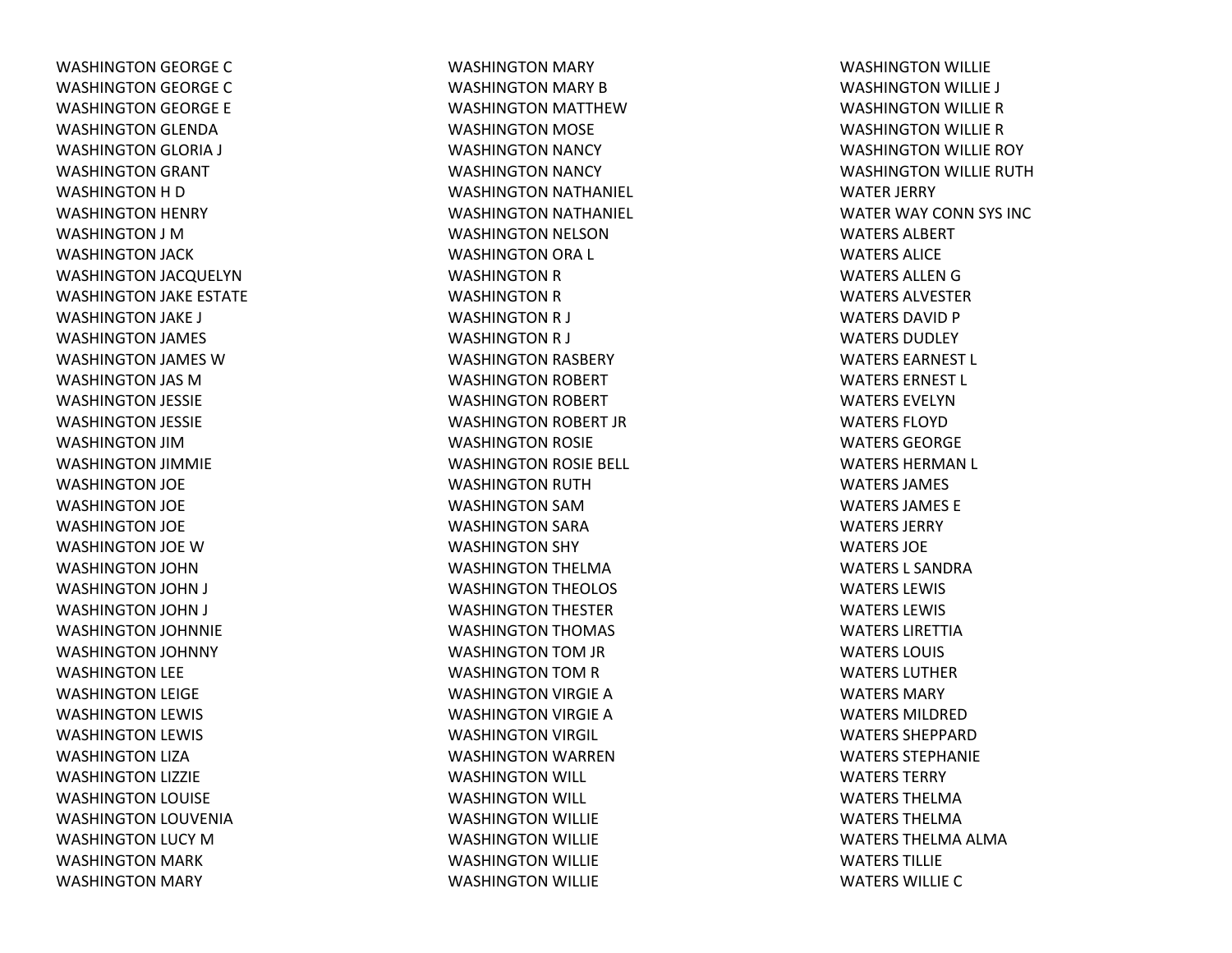WASHINGTON GEORGE CWASHINGTON GEORGE CWASHINGTON GEORGE E WASHINGTON GLENDA WASHINGTON GLORIA J WASHINGTON GRANT WASHINGTON H D WASHINGTON HENRY WASHINGTON J MWASHINGTON JACK WASHINGTON JACQUELYN WASHINGTON JAKE ESTATE WASHINGTON JAKE J WASHINGTON JAMES WASHINGTON JAMES WWASHINGTON JAS MWASHINGTON JESSIE WASHINGTON JESSIE WASHINGTON JIMWASHINGTON JIMMIE WASHINGTON JOE WASHINGTON JOE WASHINGTON JOE WASHINGTON JOE WWASHINGTON JOHN WASHINGTON JOHN J WASHINGTON JOHN J WASHINGTON JOHNNIE WASHINGTON JOHNNY WASHINGTON LEE WASHINGTON LEIGE WASHINGTON LEWIS WASHINGTON LEWIS WASHINGTON LIZA WASHINGTON LIZZIE WASHINGTON LOUISE WASHINGTON LOUVENIA WASHINGTON LUCY MWASHINGTON MARK WASHINGTON MARY

WASHINGTON MARY WASHINGTON MARY BWASHINGTON MATTHEWWASHINGTON MOSE WASHINGTON NANCY WASHINGTON NANCY WASHINGTON NATHANIEL WASHINGTON NATHANIEL WASHINGTON NELSON WASHINGTON ORA L WASHINGTON R WASHINGTON R WASHINGTON R J WASHINGTON R J WASHINGTON RASBERY WASHINGTON ROBERT WASHINGTON ROBERT WASHINGTON ROBERT JR WASHINGTON ROSIE WASHINGTON ROSIE BELL WASHINGTON RUTH WASHINGTON SAMWASHINGTON SARA WASHINGTON SHY WASHINGTON THELMA WASHINGTON THEOLOS WASHINGTON THESTER WASHINGTON THOMAS WASHINGTON TOM JR WASHINGTON TOM R WASHINGTON VIRGIE AWASHINGTON VIRGIE AWASHINGTON VIRGIL WASHINGTON WARREN WASHINGTON WILL WASHINGTON WILL WASHINGTON WILLIE WASHINGTON WILLIE WASHINGTON WILLIE WASHINGTON WILLIE

WASHINGTON WILLIE WASHINGTON WILLIE J WASHINGTON WILLIE RWASHINGTON WILLIE RWASHINGTON WILLIE ROY WASHINGTON WILLIE RUTH WATER JERRY WATER WAY CONN SYS INC WATERS ALBERTWATERS ALICEWATERS ALLEN G WATERS ALVESTERWATERS DAVID P WATERS DUDLEYWATERS EARNEST L WATERS ERNEST L WATERS EVELYNWATERS FLOYDWATERS GEORGEWATERS HERMAN L WATERS JAMES WATERS JAMES EWATERS JERRYWATERS JOEWATERS L SANDRAWATERS LEWIS WATERS LEWIS WATERS LIRETTIAWATERS LOUIS WATERS LUTHERWATERS MARYWATERS MILDRED WATERS SHEPPARDWATERS STEPHANIEWATERS TERRYWATERS THELMAWATERS THELMAWATERS THELMA ALMA WATERS TILLIEWATERS WILLIE C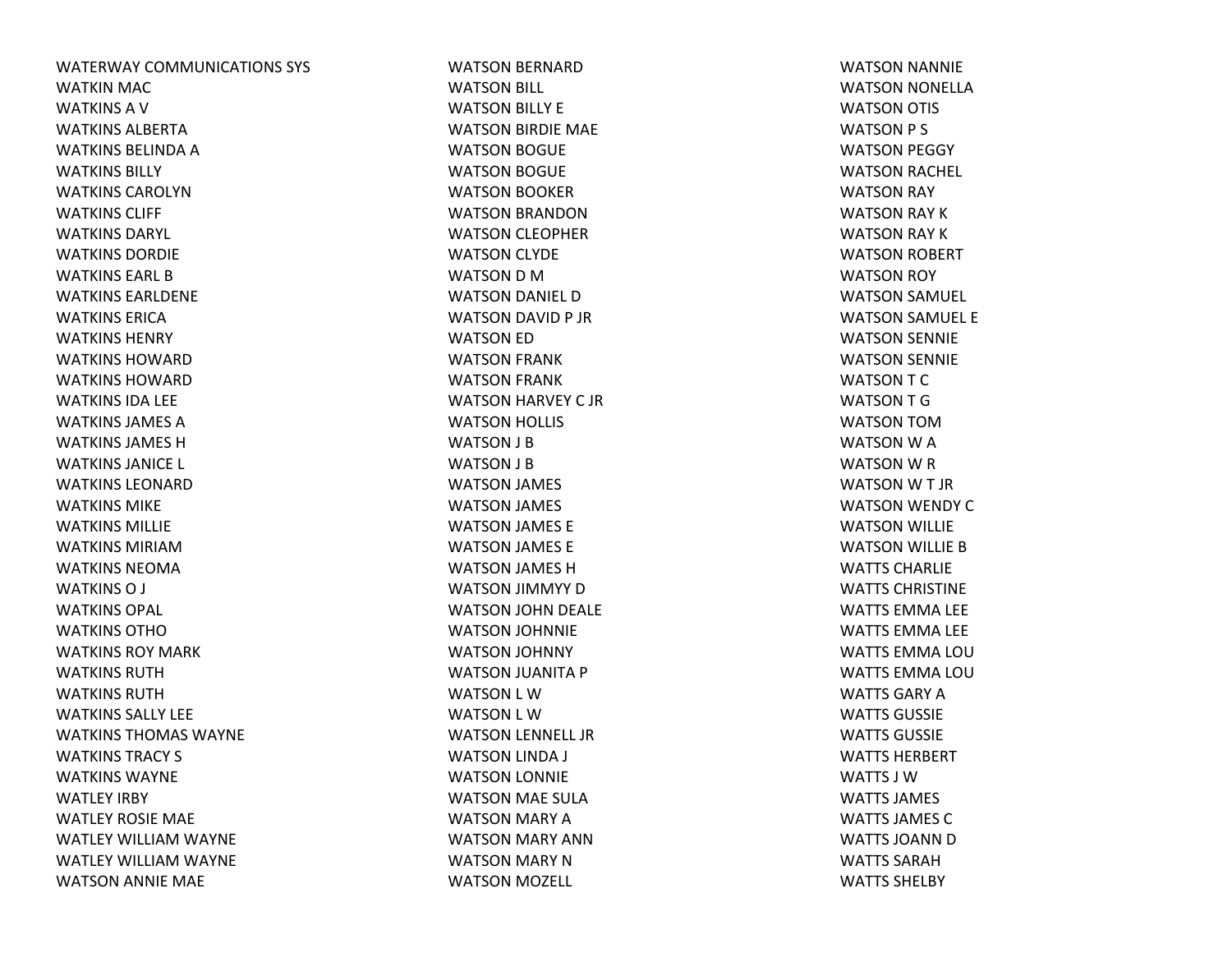WATERWAY COMMUNICATIONS SYS WATKIN MAC WATKINS A V WATKINS ALBERTAWATKINS BELINDA A WATKINS BILLYWATKINS CAROLYNWATKINS CLIFF WATKINS DARYL WATKINS DORDIEWATKINS EARL BWATKINS EARLDENEWATKINS ERICAWATKINS HENRYWATKINS HOWARDWATKINS HOWARDWATKINS IDA LEE WATKINS JAMES AWATKINS JAMES HWATKINS JANICE L WATKINS LEONARDWATKINS MIKEWATKINS MILLIEWATKINS MIRIAMWATKINS NEOMAWATKINS O J WATKINS OPAL WATKINS OTHOWATKINS ROY MARKWATKINS RUTHWATKINS RUTHWATKINS SALLY LEE WATKINS THOMAS WAYNEWATKINS TRACY S WATKINS WAYNEWATLEY IRBY WATLEY ROSIE MAE WATLEY WILLIAM WAYNE WATLEY WILLIAM WAYNE WATSON ANNIE MAE

WATSON BERNARD WATSON BILL WATSON BILLY E WATSON BIRDIE MAE WATSON BOGUE WATSON BOGUE WATSON BOOKER WATSON BRANDON WATSON CLEOPHER WATSON CLYDE WATSON D MWATSON DANIEL D WATSON DAVID P JR WATSON ED WATSON FRANK WATSON FRANK WATSON HARVEY C JR WATSON HOLLIS WATSON J B WATSON J B WATSON JAMES WATSON JAMES WATSON JAMES E WATSON JAMES E WATSON JAMES H WATSON JIMMYY D WATSON JOHN DEALE WATSON JOHNNIE WATSON JOHNNY WATSON JUANITA P WATSON L WWATSON L WWATSON LENNELL JR WATSON LINDA J WATSON LONNIE WATSON MAE SULA WATSON MARY A WATSON MARY ANN WATSON MARY N WATSON MOZELL

WATSON NANNIE WATSON NONELLA WATSON OTIS WATSON P S WATSON PEGGY WATSON RACHEL WATSON RAY WATSON RAY K WATSON RAY K WATSON ROBERT WATSON ROY WATSON SAMUEL WATSON SAMUEL E WATSON SENNIE WATSON SENNIE WATSON T C WATSON T G WATSON TOMWATSON W A WATSON W R WATSON W T JR WATSON WENDY C WATSON WILLIE WATSON WILLIE B WATTS CHARLIEWATTS CHRISTINEWATTS EMMA LEE WATTS EMMA LEE WATTS EMMA LOUWATTS EMMA LOUWATTS GARY AWATTS GUSSIEWATTS GUSSIEWATTS HERBERTWATTS J WWATTS JAMES WATTS JAMES CWATTS JOANN D WATTS SARAHWATTS SHELBY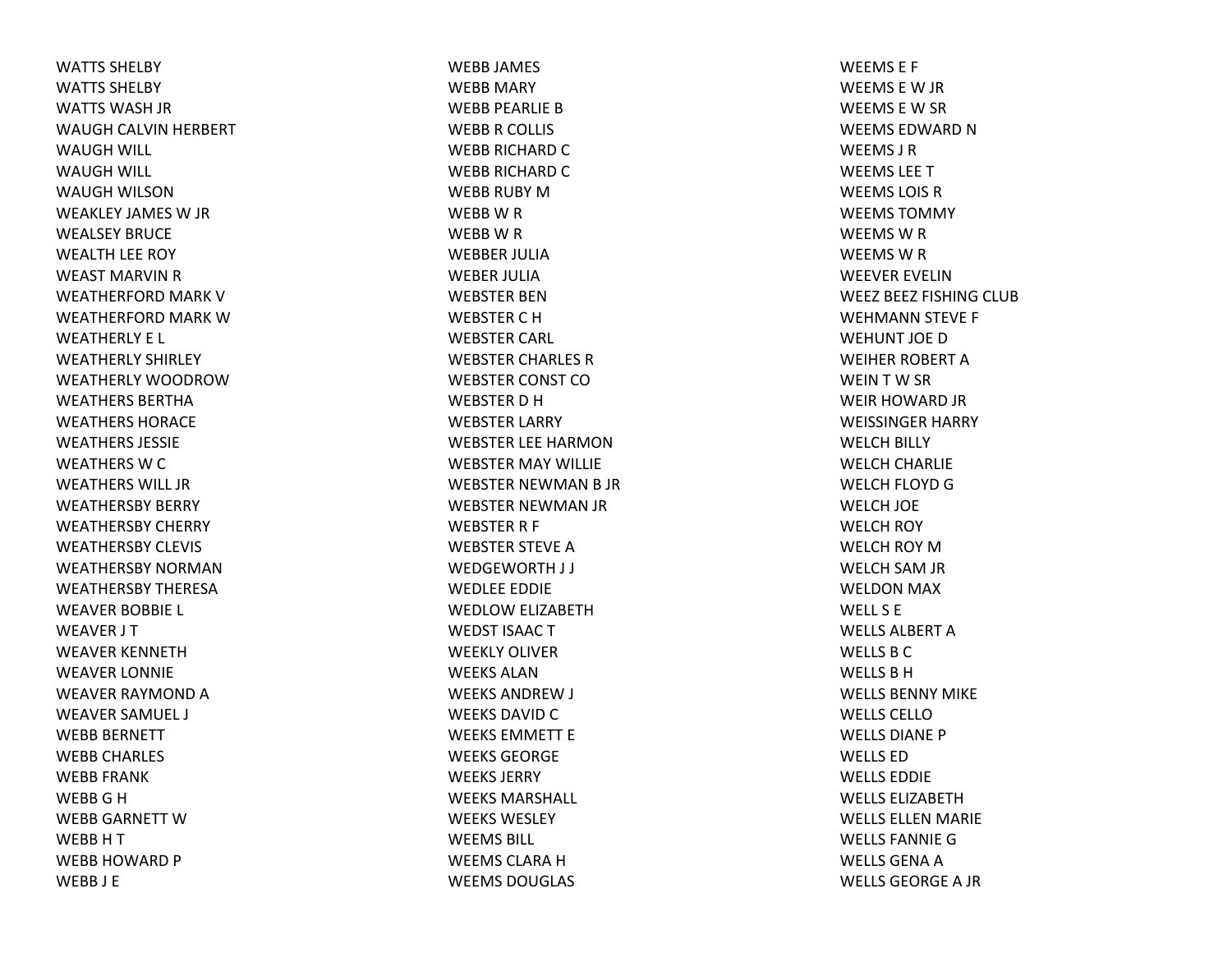WATTS SHELBYWATTS SHELBYWATTS WASH JR WAUGH CALVIN HERBERT WAUGH WILL WAUGH WILL WAUGH WILSONWEAKLEY JAMES W JR WEALSEY BRUCEWEALTH LEE ROY WEAST MARVIN R WEATHERFORD MARK VWEATHERFORD MARK WWEATHERLY E L WEATHERLY SHIRLEY WEATHERLY WOODROWWEATHERS BERTHAWEATHERS HORACEWEATHERS JESSIEWEATHERS W C WEATHERS WILL JRWEATHERSBY BERRY WEATHERSBY CHERRY WEATHERSBY CLEVIS WEATHERSBY NORMANWEATHERSBY THERESAWEAVER BOBBIE L WEAVER J T WEAVER KENNETHWEAVER LONNIE WEAVER RAYMOND A WEAVER SAMUEL J WEBB BERNETT WEBB CHARLES WEBB FRANK WEBB G H WEBB GARNETT WWEBBHTWEBB HOWARD P WEBB J E

WEBB JAMES WEBB MARY WEBB PEARLIE BWEBBR COLLIS WEBB RICHARD C WEBB RICHARD C WEBB RUBY MWEBBWRWEBBWRWEBBER JULIAWEBER JULIAWEBSTER BENWEBSTER C H WEBSTER CARL WEBSTER CHARLES RWEBSTER CONST COWEBSTER D H WEBSTER LARRY WEBSTER LEE HARMONWEBSTER MAY WILLIE WEBSTER NEWMAN B JR WEBSTER NEWMAN JR WEBSTER R F WEBSTER STEVE AWEDGEWORTH J J WEDLEE EDDIE WEDLOW ELIZABETH WEDST ISAAC T WEEKLY OLIVERWEEKS ALANWEEKS ANDREW J WEEKS DAVID C WEEKS EMMETT EWEEKS GEORGEWEEKS JERRYWEEKS MARSHALL WEEKS WESLEYWEEMS BILL WEEMS CLARA H WEEMS DOUGLAS

WEEMS E F WEEMS E W JR WEEMS E W SR WEEMS EDWARD N WEEMS J RWEEMS LEETWEEMS LOIS RWEEMS TOMMYWEEMSWRWEEMSWRWEEVER EVELINWEEZ BEEZ FISHING CLUB WEHMANN STEVE F WEHUNT JOEDWEIHER ROBERT AWEINTW SR WEIR HOWARD JR WEISSINGER HARRY WELCH BILLY WELCH CHARLIE WELCH FLOYD GWELCH JOE WELCH ROY WELCH ROY MWELCH SAM JR WELDON MAX WELL S EWELLS ALBERT A WELLS B C WELLS B H WELLS BENNY MIKEWELLS CELLO WELLS DIANE PWELLS EDWELLS EDDIEWELLS ELIZABETHWELLS ELLEN MARIE WELLS FANNIE G WELLS GENA A WELLS GEORGE A JR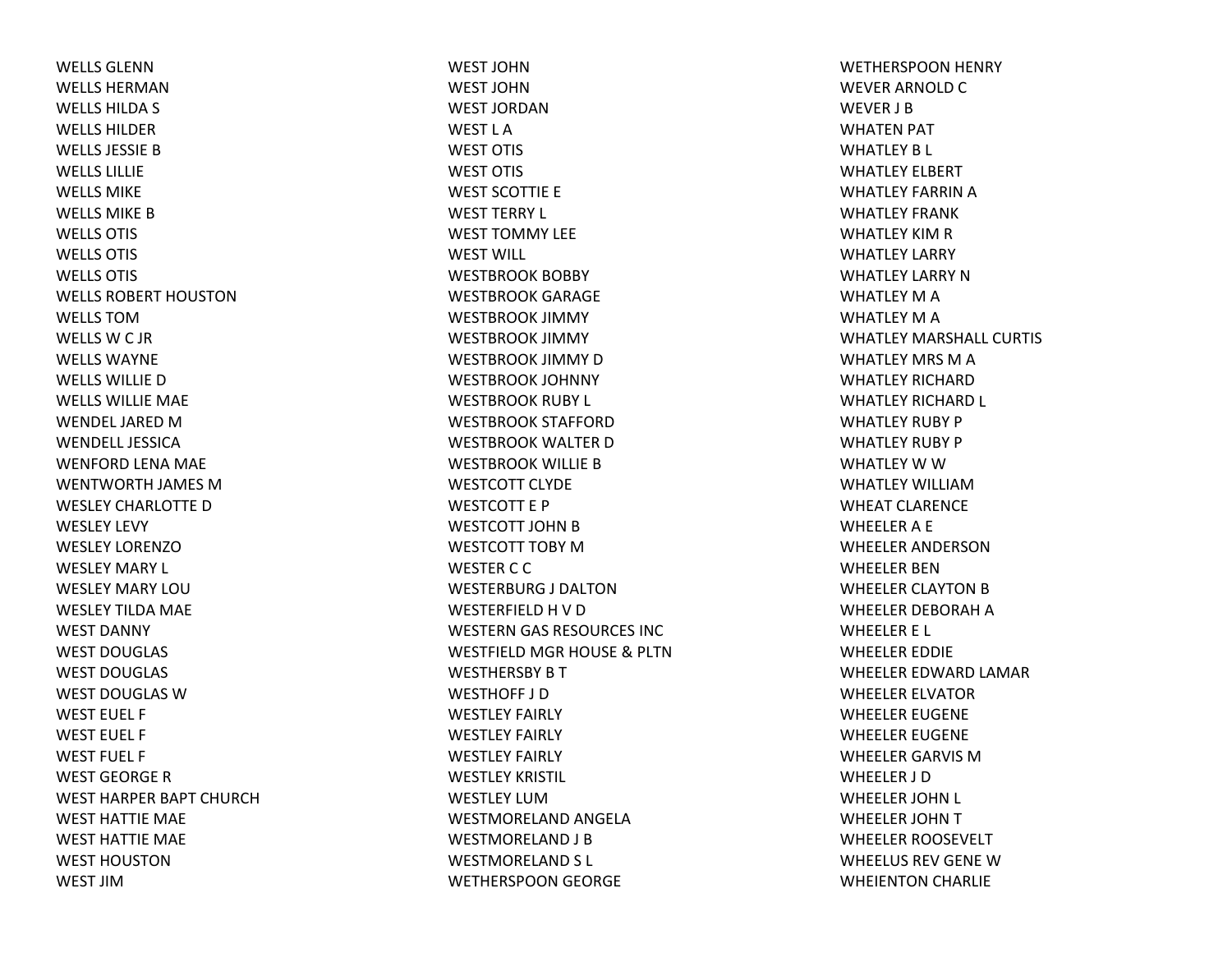WELLS GLENNWELLS HERMANWELLS HILDA S WELLS HILDERWELLS JESSIE BWELLS LILLIEWELLS MIKEWELLS MIKE BWELLS OTIS WELLS OTIS WELLS OTIS WELLS ROBERT HOUSTONWELLS TOMWELLS W C JR WELLS WAYNEWELLS WILLIE DWELLS WILLIE MAE WENDEL JARED MWENDELL JESSICAWENFORD LENA MAE WENTWORTH JAMES MWESLEY CHARLOTTE DWESLEY LEVY WESLEY LORENZOWESLEY MARY L WESLEY MARY LOUWESLEY TILDA MAE WEST DANNY WEST DOUGLAS WEST DOUGLAS WEST DOUGLAS WWEST EUEL F WEST EUEL F WEST FUEL F WEST GEORGE RWEST HARPER BAPT CHURCHWEST HATTIE MAE WEST HATTIE MAE WEST HOUSTONWEST JIM

WEST JOHNWEST JOHNWEST JORDANWEST L AWEST OTIS WEST OTIS WEST SCOTTIE E WEST TERRY L WEST TOMMY LEEWEST WILL WESTBROOK BOBBY WESTBROOK GARAGE WESTBROOK JIMMY WESTBROOK JIMMY WESTBROOK JIMMY DWESTBROOK JOHNNY WESTBROOK RUBY L WESTBROOK STAFFORDWESTBROOK WALTER DWESTBROOK WILLIE BWESTCOTT CLYDEWESTCOTT E PWESTCOTT JOHN B WESTCOTT TOBY MWESTER C C WESTERBURG J DALTONWESTERFIELD H V D WESTERN GAS RESOURCES INC WESTFIELD MGR HOUSE & PLTN WESTHERSBY B T WESTHOFF J DWESTLEY FAIRLY WESTLEY FAIRLY WESTLEY FAIRLY WESTLEY KRISTIL WESTLEY LUMWESTMORELAND ANGELA WESTMORELAND J B WESTMORELAND S L WETHERSPOON GEORGE

WETHERSPOON HENRY WEVER ARNOLD C WEVER J BWHATEN PAT WHATLEY B L WHATLEY ELBERT WHATLEY FARRIN A WHATLEY FRANKWHATLEY KIM R WHATLEY LARRY WHATLEY LARRY NWHATLEY M A WHATLEY M A WHATLEY MARSHALL CURTIS WHATLEY MRS M A WHATLEY RICHARDWHATLEY RICHARD L WHATLEY RUBY PWHATLEY RUBY PWHATLEY W W WHATLEY WILLIAMWHEAT CLARENCEWHEELER A E WHEELER ANDERSONWHEELER BENWHEELER CLAYTON B WHEELER DEBORAH A WHEELER E L WHEELER EDDIE WHEELER EDWARD LAMAR WHEELER ELVATOR WHEELER EUGENE WHEELER EUGENE WHEELER GARVIS MWHEELER J DWHEELER JOHN L WHEELER JOHN T WHEELER ROOSEVELT WHEELUS REV GENE WWHEIENTON CHARLIE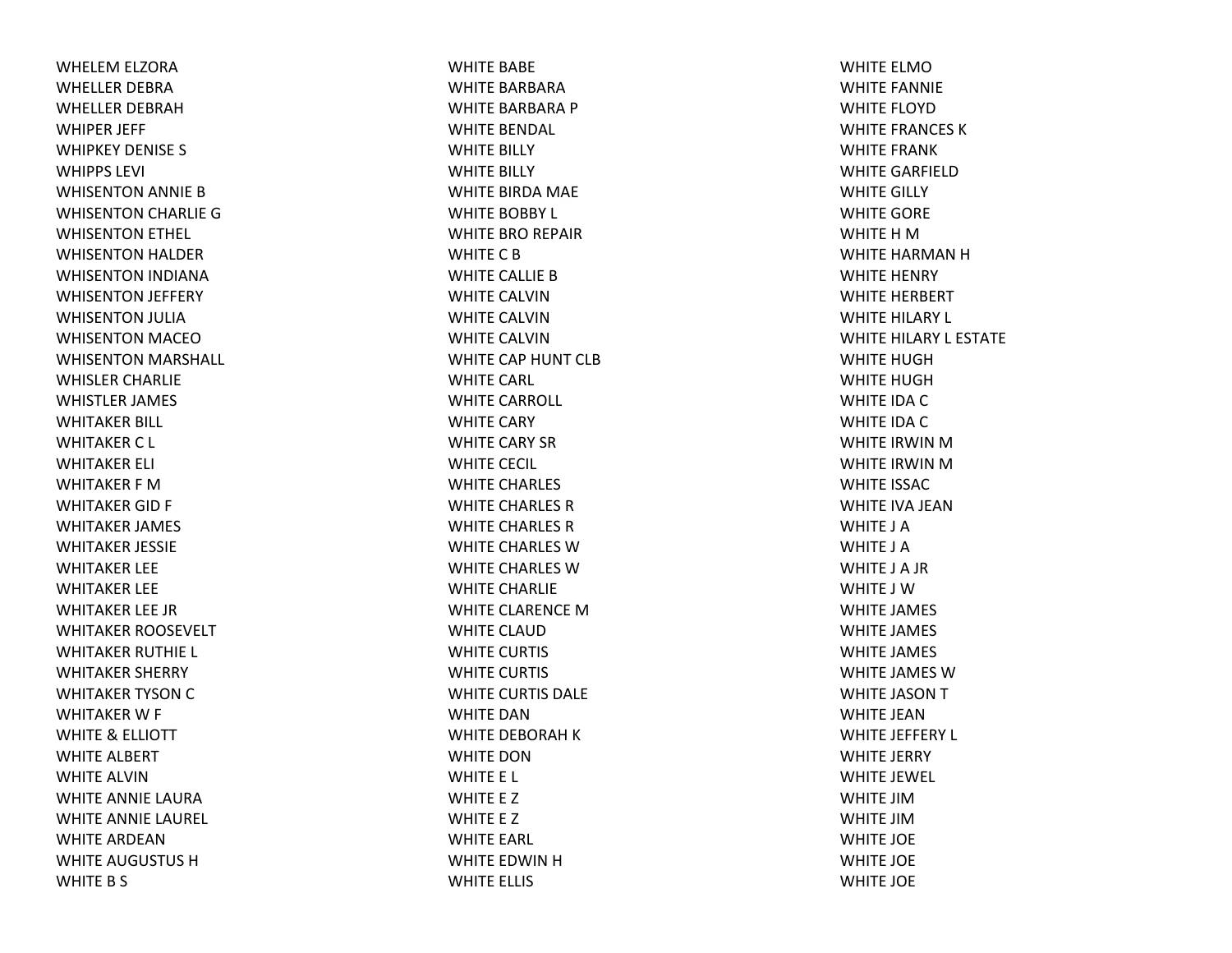WHELEM ELZORA WHELLER DEBRAWHELLER DEBRAHWHIPER JEFF WHIPKEY DENISE S WHIPPS LEVI WHISENTON ANNIE BWHISENTON CHARLIE GWHISENTON ETHEL WHISENTON HALDER WHISENTON INDIANA WHISENTON JEFFERY WHISENTON JULIA WHISENTON MACEOWHISENTON MARSHALL WHISLER CHARLIE WHISTLER JAMES WHITAKER BILL WHITAKER C L WHITAKER ELI WHITAKER F MWHITAKER GID F WHITAKER JAMES WHITAKER JESSIE WHITAKER LEE WHITAKER LEE WHITAKER LEE JR WHITAKER ROOSEVELT WHITAKER RUTHIE L WHITAKER SHERRY WHITAKER TYSON C WHITAKER W F WHITE& ELLIOTT WHITE ALBERT WHITE ALVINWHITE ANNIE LAURAWHITE ANNIE LAUREL WHITE ARDEANWHITE AUGUSTUS HWHITE B S

WHITE BABE WHITE BARBARAWHITE BARBARA P WHITE BENDAL WHITE BILLY WHITE BILLY WHITE BIRDA MAE WHITE BOBBY L WHITE BRO REPAIR WHITE C B WHITE CALLIE BWHITE CALVINWHITE CALVINWHITE CALVINWHITE CAP HUNT CLBWHITE CARL WHITE CARROLL WHITE CARY WHITE CARY SRWHITE CECIL WHITE CHARLES WHITE CHARLES RWHITE CHARLES RWHITE CHARLES WWHITE CHARLES WWHITE CHARLIE WHITE CLARENCE MWHITE CLAUDWHITE CURTIS WHITE CURTIS WHITE CURTIS DALE WHITE DANWHITE DEBORAH K WHITE DONWHITE E L WHITE E Z WHITE E Z WHITE EARL WHITE EDWIN H WHITE ELLIS

WHITE ELMOWHITE FANNIE WHITE FLOYDWHITE FRANCES KWHITE FRANKWHITE GARFIELDWHITE GILLY WHITE GORE WHITE H M WHITE HARMAN H WHITE HENRY WHITE HERBERT WHITE HILARY L WHITE HILARY L ESTATE WHITE HUGHWHITE HUGHWHITE IDA C WHITE IDA C WHITE IRWIN M WHITE IRWIN M WHITE ISSACWHITE IVA JEANWHITE J AWHITE J AWHITE J A JR WHITE J WWHITE JAMES WHITE JAMES WHITE JAMES WHITE JAMES WWHITE JASON T WHITE JEANWHITE JEFFERY L WHITE JERRY WHITE JEWEL WHITE JIMWHITE JIMWHITE JOE WHITE JOE WHITE JOE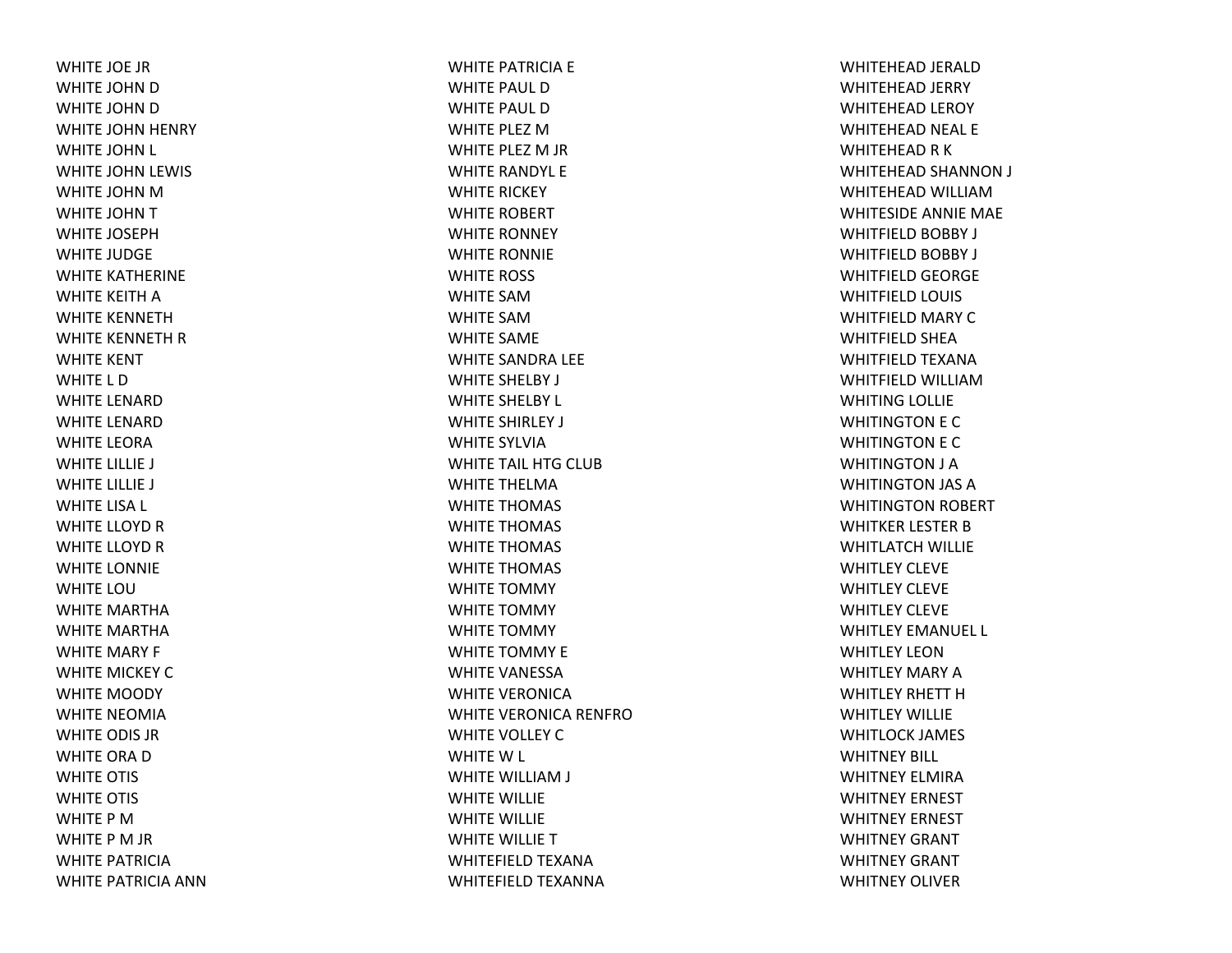WHITE JOE JRWHITE JOHN D WHITE JOHN D WHITE JOHN HENRY WHITE JOHN L WHITE JOHN LEWIS WHITE JOHN M WHITE JOHN T WHITE JOSEPHWHITE JUDGE WHITE KATHERINE WHITE KEITH A WHITE KENNETHWHITE KENNETH R WHITE KENT WHITE L DWHITE LENARDWHITE LENARDWHITE LEORAWHITE LILLIE J WHITE LILLIE J WHITE LISA L WHITE LLOYD R WHITE LLOYD R WHITE LONNIE WHITE LOUWHITE MARTHAWHITE MARTHAWHITE MARY F WHITE MICKEY CWHITE MOODY WHITE NEOMIAWHITE ODIS JRWHITE ORA D WHITE OTIS WHITE OTIS WHITE P MWHITE P M JR WHITE PATRICIAWHITE PATRICIA ANN WHITE PATRICIA E WHITE PAUL DWHITE PAUL DWHITE PLEZ MWHITE PLEZ M JR WHITE RANDYL E WHITE RICKEY WHITE ROBERT WHITE RONNEY WHITE RONNIE WHITE ROSS WHITE SAMWHITE SAMWHITE SAME WHITE SANDRA LEE WHITE SHELBY J WHITE SHELBY L WHITE SHIRLEY J WHITE SYLVIAWHITE TAIL HTG CLUB WHITE THELMAWHITE THOMAS WHITE THOMAS WHITE THOMAS WHITE THOMAS WHITE TOMMY WHITE TOMMY WHITE TOMMY WHITE TOMMY E WHITE VANESSAWHITE VERONICAWHITE VERONICA RENFROWHITE VOLLEY CWHITEW L WHITE WILLIAM J WHITE WILLIE WHITE WILLIE WHITE WILLIE TWHITEFIELD TEXANA WHITEFIELD TEXANNA

WHITEHEAD JERALD WHITEHEAD JERRY WHITEHEAD LEROY WHITEHEAD NEAL E WHITEHEAD R K WHITEHEAD SHANNON J WHITEHEAD WILLIAMWHITESIDE ANNIE MAE WHITFIELD BOBBY J WHITFIELD BOBBY J WHITFIELD GEORGE WHITFIELD LOUIS WHITFIELD MARY CWHITFIELD SHEA WHITFIELD TEXANA WHITFIELD WILLIAMWHITING LOLLIE WHITINGTON E C WHITINGTON E C WHITINGTON J A WHITINGTON JAS AWHITINGTON ROBERT WHITKER LESTER BWHITLATCH WILLIE WHITLEY CLEVEWHITLEY CLEVEWHITLEY CLEVEWHITLEY EMANUEL L WHITLEY LEONWHITLEY MARY AWHITLEY RHETT HWHITLEY WILLIEWHITLOCK JAMES WHITNEY BILL WHITNEY ELMIRAWHITNEY ERNEST WHITNEY ERNEST WHITNEY GRANT WHITNEY GRANT WHITNEY OLIVER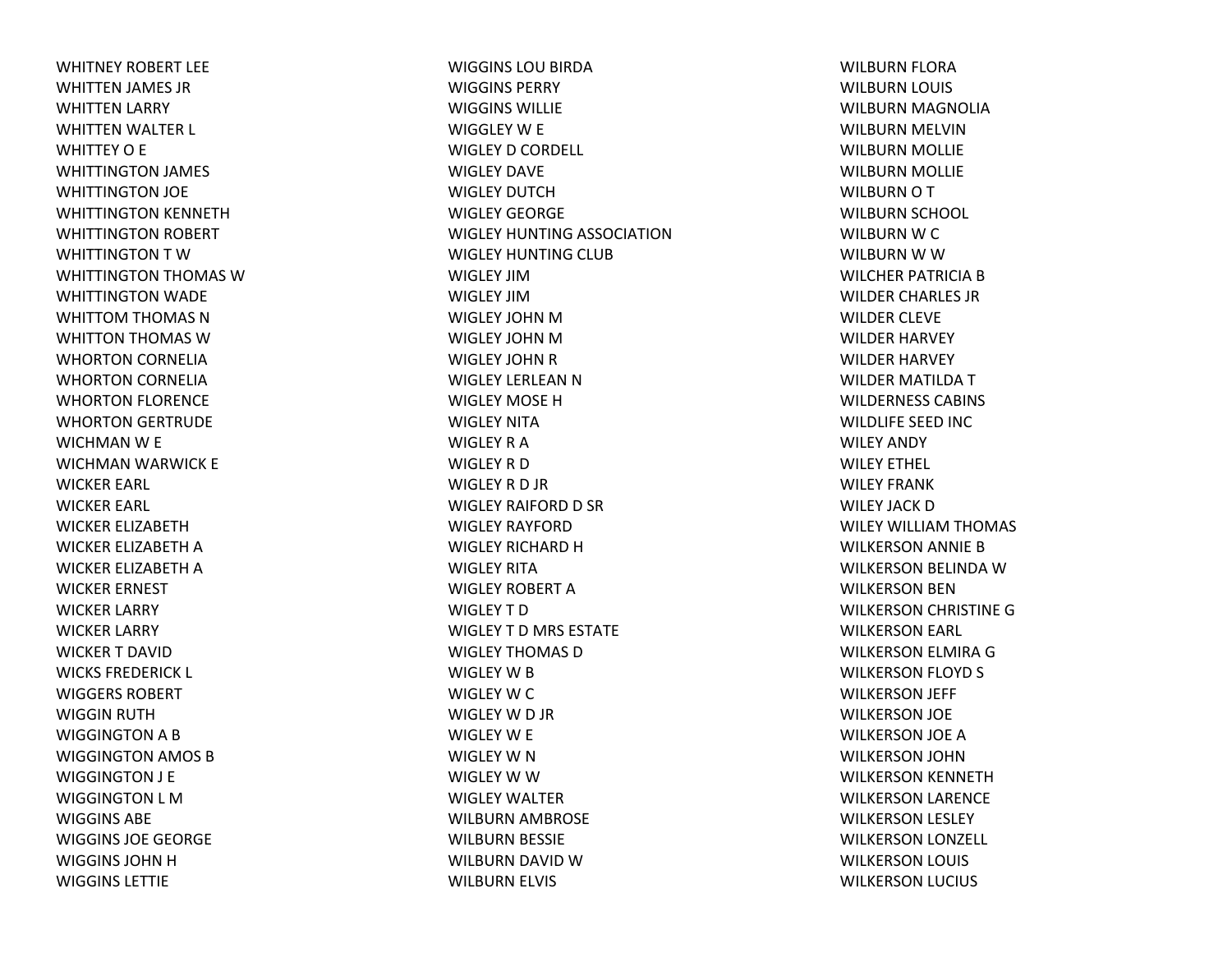WHITNEY ROBERT LEEWHITTEN JAMES JR WHITTEN LARRY WHITTEN WALTER L WHITTEY O E WHITTINGTON JAMES WHITTINGTON JOE WHITTINGTON KENNETH WHITTINGTON ROBERT WHITTINGTON T WWHITTINGTON THOMAS WWHITTINGTON WADE WHITTOM THOMAS N WHITTON THOMAS WWHORTON CORNELIA WHORTON CORNELIA WHORTON FLORENCE WHORTON GERTRUDE WICHMAN W E WICHMAN WARWICK E WICKER EARL WICKER EARL WICKER ELIZABETHWICKER ELIZABETH A WICKER ELIZABETH A WICKER ERNEST WICKER LARRY WICKER LARRY WICKER T DAVIDWICKS FREDERICK L WIGGERS ROBERTWIGGIN RUTH WIGGINGTON A B WIGGINGTON AMOS B WIGGINGTON J E WIGGINGTON L MWIGGINS ABEWIGGINS JOE GEORGE WIGGINS JOHN H WIGGINS LETTIE

WIGGINS LOU BIRDA WIGGINS PERRYWIGGINS WILLIEWIGGLEY W E WIGLEY D CORDELL WIGLEY DAVEWIGLEY DUTCHWIGLEY GEORGEWIGLEY HUNTING ASSOCIATIONWIGLEY HUNTING CLUB WIGLEY JIMWIGLEY JIMWIGLEY JOHN MWIGLEY JOHN MWIGLEY JOHN R WIGLEY LERLEAN N WIGLEY MOSE HWIGLEY NITAWIGLEY R AWIGLEY R DWIGLEY R D JR WIGLEY RAIFORD D SR WIGLEY RAYFORDWIGLEY RICHARD HWIGLEY RITAWIGLEY ROBERT AWIGLEY T DWIGLEY T D MRS ESTATE WIGLEY THOMAS DWIGLEY W B WIGLEY W C WIGLEY W D JR WIGLEY W E WIGLEY W N WIGLEY W W WIGLEY WALTERWILBURN AMBROSE WILBURN BESSIE WILBURN DAVID WWILBURN ELVIS

WILBURN FLORA WILBURN LOUIS WILBURN MAGNOLIA WILBURN MELVIN WILBURN MOLLIE WILBURN MOLLIE WILBURN O T WILBURN SCHOOL WILBURN W C WILBURN W W WILCHER PATRICIA B WILDER CHARLES JR WILDER CLEVE WILDER HARVEY WILDER HARVEY WILDER MATILDA T WILDERNESS CABINS WILDLIFE SEED INC WILEY ANDY WILEY ETHEL WILEY FRANK WILEY JACK DWILEY WILLIAM THOMAS WILKERSON ANNIE B WILKERSON BELINDA WWILKERSON BEN WILKERSON CHRISTINE G WILKERSON EARL WILKERSON ELMIRA G WILKERSON FLOYD S WILKERSON JEFF WILKERSON JOE WILKERSON JOE A WILKERSON JOHN WILKERSON KENNETH WILKERSON LARENCE WILKERSON LESLEY WILKERSON LONZELL WILKERSON LOUIS WILKERSON LUCIUS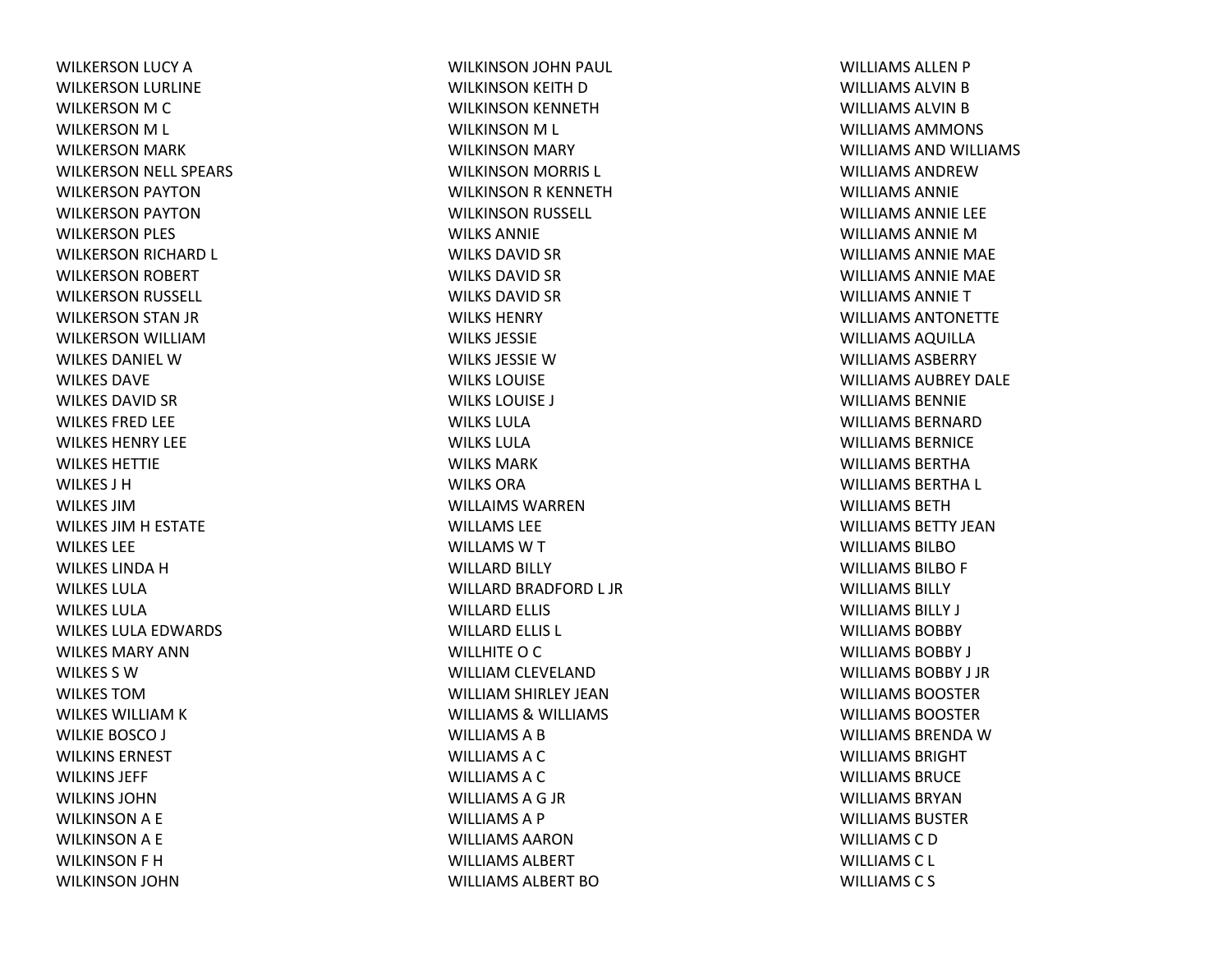WILKERSON LUCY AWILKERSON LURLINE WILKERSON M C WILKERSON M L WILKERSON MARK WILKERSON NELL SPEARS WILKERSON PAYTON WILKERSON PAYTON WILKERSON PLES WILKERSON RICHARD L WILKERSON ROBERT WILKERSON RUSSELL WILKERSON STAN JR WILKERSON WILLIAMWILKES DANIEL WWILKES DAVEWILKES DAVID SR WILKES FRED LEE WILKES HENRY LEEWILKES HETTIEWILKES J HWILKES JIMWILKES JIM H ESTATE WILKES LEEWILKES LINDA H WILKES LULAWILKES LULAWILKES LULA EDWARDS WILKES MARY ANNWILKES S WWILKES TOMWILKES WILLIAM K WILKIE BOSCO J WILKINS ERNESTWILKINS JEFF WILKINS JOHNWILKINSONA E WILKINSONA E WILKINSON F H WILKINSON JOHN

WILKINSON JOHN PAUL WILKINSON KEITH DWILKINSON KENNETH WILKINSON M L WILKINSON MARY WILKINSON MORRIS L WILKINSON R KENNETH WILKINSON RUSSELL WILKS ANNIEWILKS DAVID SR WILKS DAVID SR WILKS DAVID SR WILKS HENRYWILKS JESSIEWILKS JESSIE W WILKS LOUISEWILKS LOUISE J WILKS LULAWILKS LULAWILKS MARKWILKS ORAWILLAIMS WARRENWILLAMS LEEWILLAMSWTWILLARD BILLY WILLARD BRADFORD L JR WILLARD ELLIS WILLARD ELLIS L WILLHITE O C WILLIAM CLEVELAND WILLIAM SHIRLEY JEAN WILLIAMS& WILLIAMS WILLIAMSABWILLIAMSACWILLIAMSACWILLIAMSAG JR WILLIAMSA P WILLIAMS AARONWILLIAMS ALBERTWILLIAMS ALBERT BO

WILLIAMS ALLEN P WILLIAMS ALVIN B WILLIAMS ALVIN B WILLIAMS AMMONS WILLIAMS AND WILLIAMS WILLIAMS ANDREWWILLIAMS ANNIEWILLIAMS ANNIE LEE WILLIAMS ANNIE M WILLIAMS ANNIE MAE WILLIAMS ANNIE MAE WILLIAMS ANNIETWILLIAMS ANTONETTEWILLIAMS AQUILLA WILLIAMS ASBERRYWILLIAMS AUBREY DALEWILLIAMS BENNIEWILLIAMS BERNARDWILLIAMS BERNICEWILLIAMS BERTHAWILLIAMS BERTHA L WILLIAMS BETHWILLIAMS BETTY JEANWILLIAMS BILBOWILLIAMS BILBO F WILLIAMS BILLYWILLIAMS BILLY J WILLIAMS BOBBYWILLIAMS BOBBY J WILLIAMS BOBBY J JRWILLIAMS BOOSTERWILLIAMS BOOSTERWILLIAMS BRENDA W WILLIAMS BRIGHTWILLIAMS BRUCEWILLIAMS BRYANWILLIAMS BUSTERWILLIAMS C D WILLIAMSC L WILLIAMSC S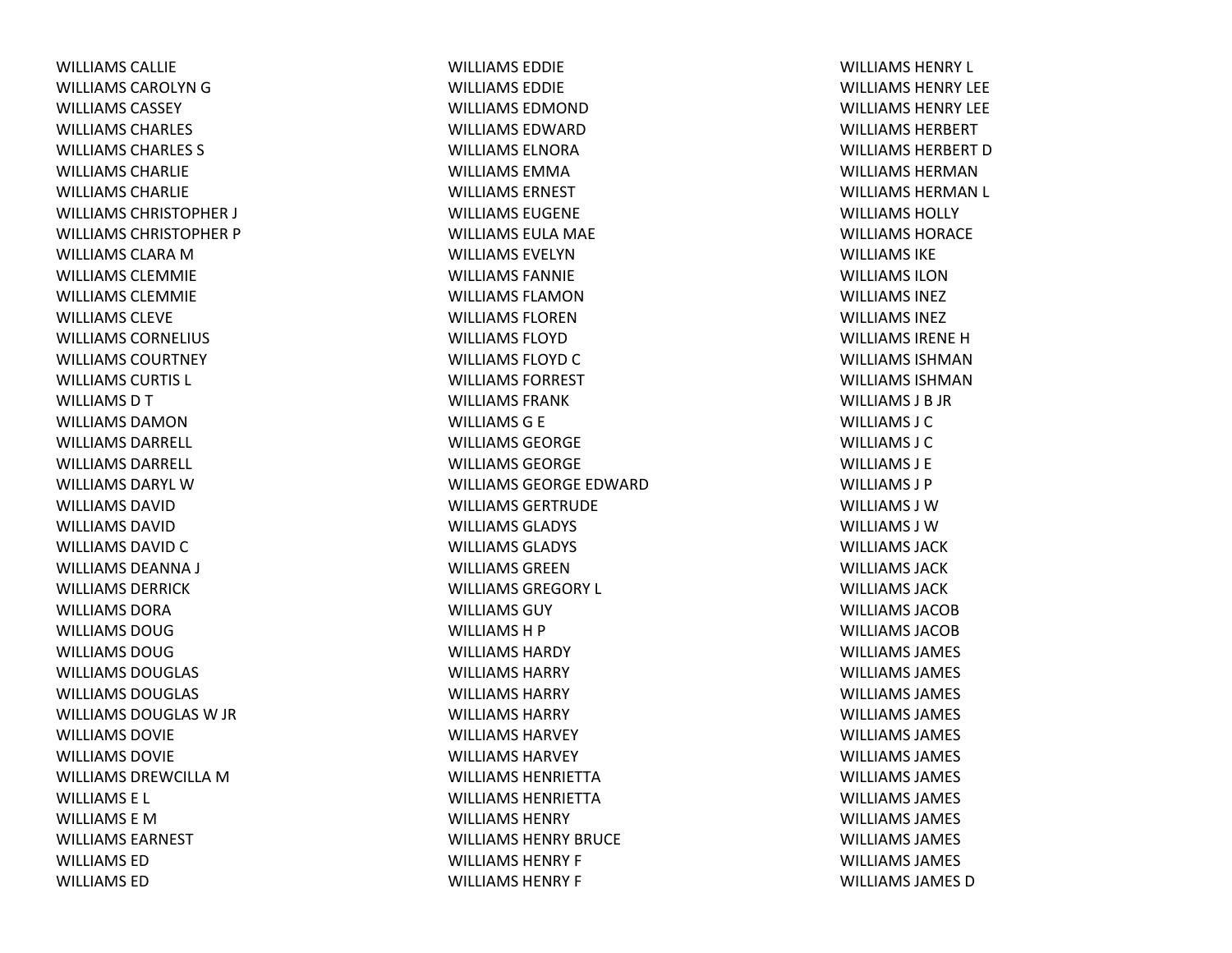WILLIAMS CALLIEWILLIAMS CAROLYN G WILLIAMS CASSEYWILLIAMS CHARLES WILLIAMS CHARLES S WILLIAMS CHARLIEWILLIAMS CHARLIEWILLIAMS CHRISTOPHER J WILLIAMS CHRISTOPHER P WILLIAMS CLARA M WILLIAMS CLEMMIEWILLIAMS CLEMMIEWILLIAMS CLEVEWILLIAMS CORNELIUS WILLIAMS COURTNEYWILLIAMS CURTIS L WILLIAMS D T WILLIAMS DAMONWILLIAMS DARRELL WILLIAMS DARRELL WILLIAMS DARYL WWILLIAMS DAVIDWILLIAMS DAVIDWILLIAMS DAVID C WILLIAMS DEANNA J WILLIAMS DERRICKWILLIAMS DORAWILLIAMS DOUGWILLIAMS DOUGWILLIAMS DOUGLAS WILLIAMS DOUGLAS WILLIAMS DOUGLAS W JR WILLIAMS DOVIEWILLIAMS DOVIEWILLIAMS DREWCILLA M WILLIAMS E L WILLIAMS E MWILLIAMS EARNESTWILLIAMS EDWILLIAMS ED

WILLIAMS EDDIEWILLIAMS EDDIEWILLIAMS EDMONDWILLIAMS EDWARDWILLIAMS ELNORAWILLIAMS EMMAWILLIAMS ERNESTWILLIAMS EUGENEWILLIAMS EULA MAE WILLIAMS EVELYNWILLIAMS FANNIEWILLIAMS FLAMONWILLIAMS FLORENWILLIAMS FLOYDWILLIAMS FLOYD C WILLIAMS FORRESTWILLIAMS FRANKWILLIAMSG E WILLIAMS GEORGEWILLIAMS GEORGEWILLIAMS GEORGE EDWARDWILLIAMS GERTRUDEWILLIAMS GLADYS WILLIAMS GLADYS WILLIAMS GREENWILLIAMS GREGORY L WILLIAMS GUYWILLIAMSH P WILLIAMS HARDYWILLIAMS HARRYWILLIAMS HARRYWILLIAMS HARRYWILLIAMS HARVEYWILLIAMS HARVEYWILLIAMS HENRIETTAWILLIAMS HENRIETTAWILLIAMS HENRYWILLIAMS HENRY BRUCEWILLIAMS HENRY F WILLIAMS HENRY F

WILLIAMS HENRY L WILLIAMS HENRY LEEWILLIAMS HENRY LEEWILLIAMS HERBERTWILLIAMS HERBERT D WILLIAMS HERMANWILLIAMS HERMAN L WILLIAMS HOLLYWILLIAMS HORACEWILLIAMS IKEWILLIAMS ILONWILLIAMS INEZWILLIAMS INEZWILLIAMS IRENEHWILLIAMS ISHMANWILLIAMS ISHMANWILLIAMS J B JR WILLIAMS J CWILLIAMS J CWILLIAMS J EWILLIAMS J PWILLIAMS J WWILLIAMS J WWILLIAMS JACKWILLIAMS JACKWILLIAMS JACKWILLIAMS JACOBWILLIAMS JACOBWILLIAMS JAMES WILLIAMS JAMES WILLIAMS JAMES WILLIAMS JAMES WILLIAMS JAMES WILLIAMS JAMES WILLIAMS JAMES WILLIAMS JAMES WILLIAMS JAMES WILLIAMS JAMES WILLIAMS JAMES WILLIAMS JAMES D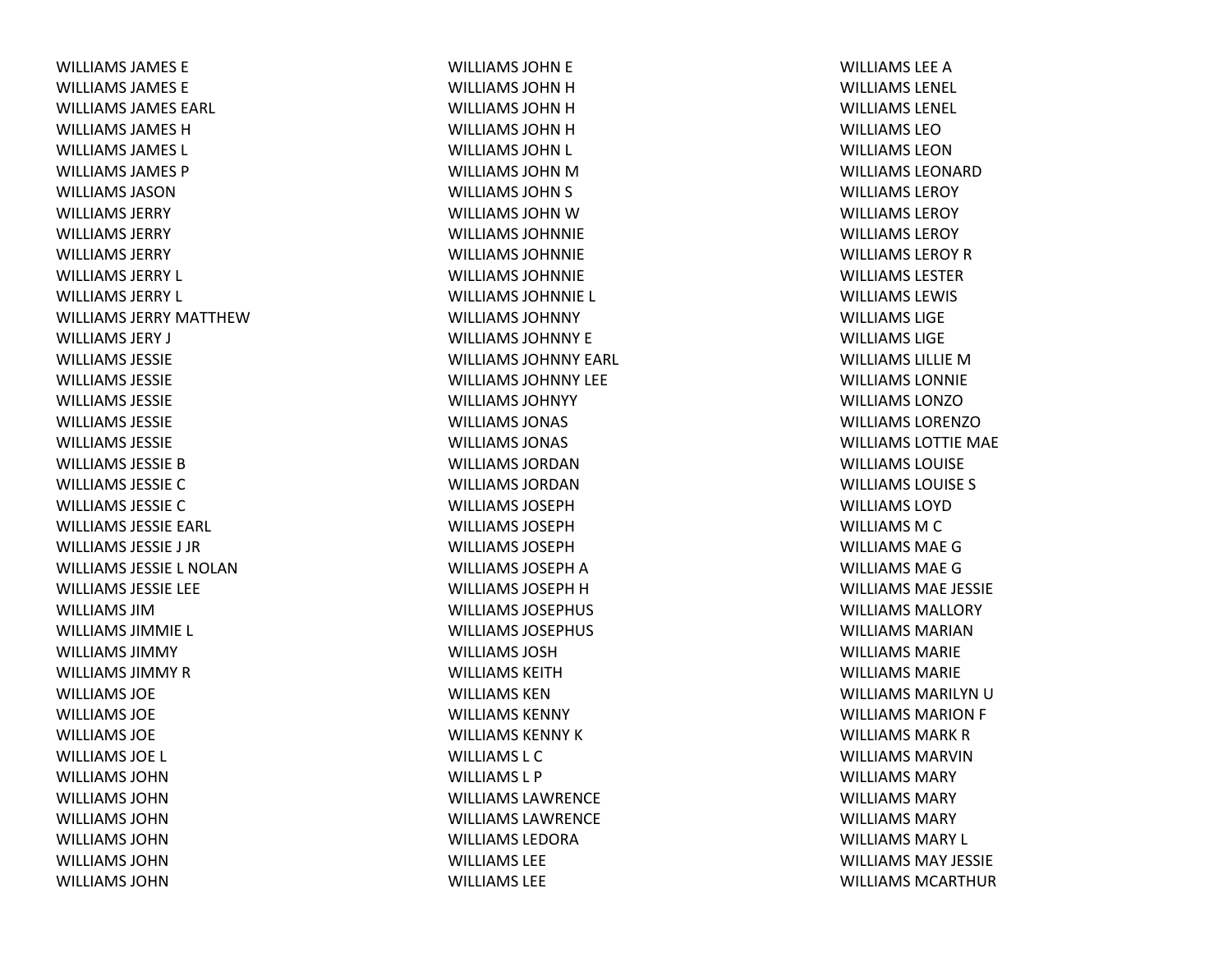WILLIAMS JAMES EWILLIAMS JAMES EWILLIAMS JAMES EARL WILLIAMS JAMES HWILLIAMS JAMES L WILLIAMS JAMES PWILLIAMS JASONWILLIAMS JERRYWILLIAMS JERRYWILLIAMS JERRYWILLIAMS JERRY L WILLIAMS JERRY L WILLIAMS JERRY MATTHEWWILLIAMS JERY J WILLIAMS JESSIEWILLIAMS JESSIEWILLIAMS JESSIEWILLIAMS JESSIEWILLIAMS JESSIEWILLIAMS JESSIE B WILLIAMS JESSIE C WILLIAMS JESSIE C WILLIAMS JESSIE EARL WILLIAMS JESSIE J JRWILLIAMS JESSIE L NOLANWILLIAMS JESSIE LEE WILLIAMS JIMWILLIAMS JIMMIE L WILLIAMS JIMMYWILLIAMS JIMMY R WILLIAMS JOEWILLIAMS JOEWILLIAMS JOEWILLIAMS JOE L WILLIAMS JOHNWILLIAMS JOHNWILLIAMS JOHNWILLIAMS JOHNWILLIAMS JOHNWILLIAMS JOHN

WILLIAMS JOHN E WILLIAMS JOHN H WILLIAMS JOHN H WILLIAMS JOHN H WILLIAMS JOHN L WILLIAMS JOHN M WILLIAMS JOHN S WILLIAMS JOHN W WILLIAMS JOHNNIEWILLIAMS JOHNNIEWILLIAMS JOHNNIEWILLIAMS JOHNNIE L WILLIAMS JOHNNYWILLIAMS JOHNNY EWILLIAMS JOHNNY EARL WILLIAMS JOHNNY LEEWILLIAMS JOHNYYWILLIAMS JONAS WILLIAMS JONAS WILLIAMS JORDANWILLIAMS JORDANWILLIAMS JOSEPHWILLIAMS JOSEPHWILLIAMS JOSEPHWILLIAMS JOSEPH A WILLIAMS JOSEPH H WILLIAMS JOSEPHUS WILLIAMS JOSEPHUS WILLIAMS JOSHWILLIAMS KEITHWILLIAMS KENWILLIAMS KENNYWILLIAMS KENNY K WILLIAMS L CWILLIAMS L PWILLIAMS LAWRENCEWILLIAMS LAWRENCEWILLIAMS LEDORAWILLIAMS LEEWILLIAMS LEE

WILLIAMS LEE A WILLIAMS LENEL WILLIAMS LENEL WILLIAMS LEOWILLIAMS LEONWILLIAMS LEONARDWILLIAMS LEROYWILLIAMS LEROYWILLIAMS LEROYWILLIAMS LEROY R WILLIAMS LESTERWILLIAMS LEWIS WILLIAMS LIGEWILLIAMS LIGEWILLIAMS LILLIE M WILLIAMS LONNIEWILLIAMS LONZOWILLIAMS LORENZOWILLIAMS LOTTIE MAE WILLIAMS LOUISEWILLIAMS LOUISE S WILLIAMS LOYDWILLIAMS M C WILLIAMS MAEGWILLIAMS MAEGWILLIAMS MAE JESSIE WILLIAMS MALLORYWILLIAMS MARIANWILLIAMS MARIEWILLIAMS MARIEWILLIAMS MARILYN U WILLIAMS MARION F WILLIAMS MARK R WILLIAMS MARVINWILLIAMS MARYWILLIAMS MARYWILLIAMS MARYWILLIAMS MARY L WILLIAMS MAY JESSIEWILLIAMS MCARTHUR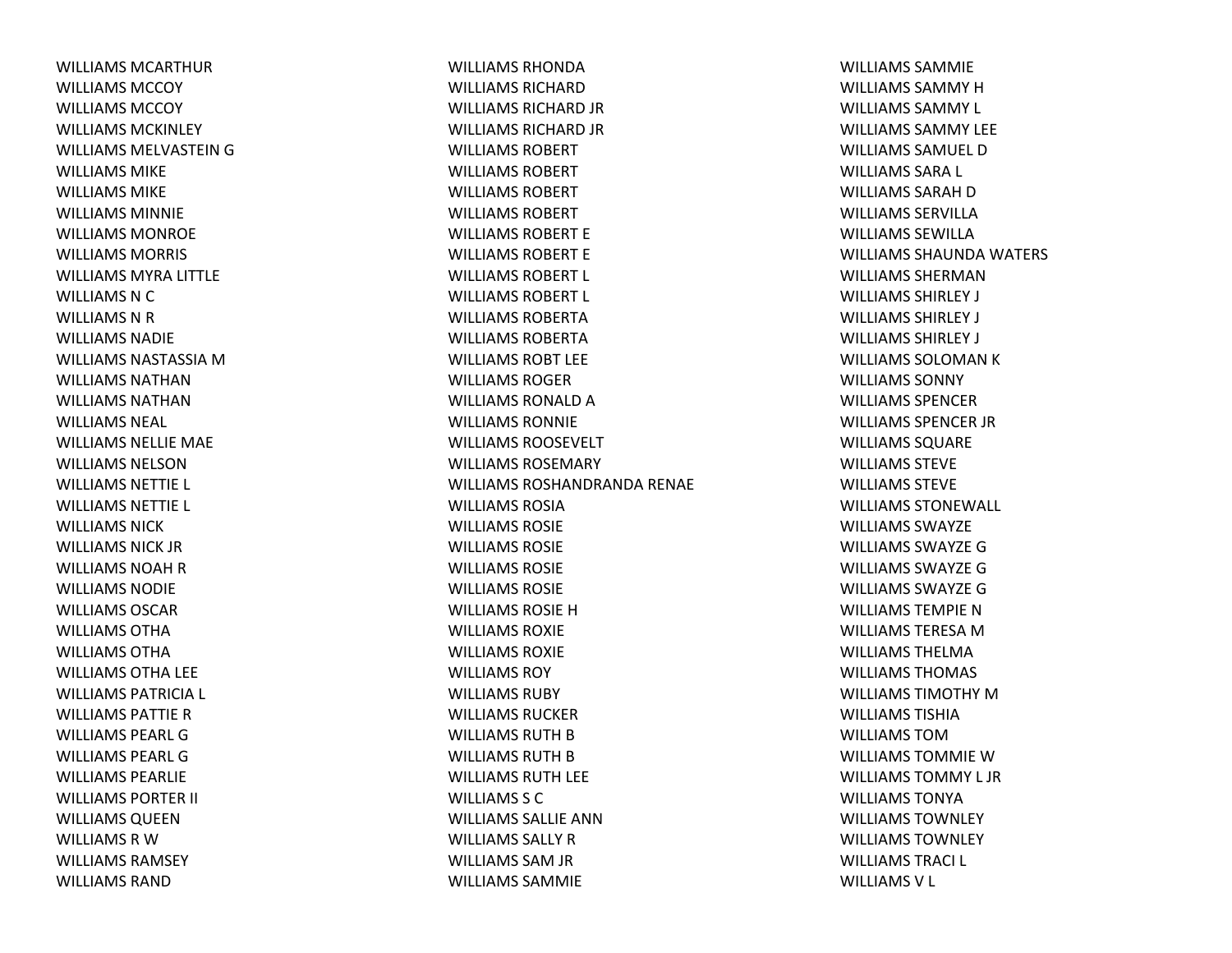WILLIAMS MCARTHURWILLIAMS MCCOYWILLIAMS MCCOYWILLIAMS MCKINLEYWILLIAMS MELVASTEIN G WILLIAMS MIKEWILLIAMS MIKEWILLIAMS MINNIEWILLIAMS MONROEWILLIAMS MORRIS WILLIAMS MYRA LITTLE WILLIAMS N C WILLIAMS N R WILLIAMS NADIEWILLIAMS NASTASSIA MWILLIAMS NATHANWILLIAMS NATHANWILLIAMS NEAL WILLIAMS NELLIE MAE WILLIAMS NELSONWILLIAMS NETTIE L WILLIAMS NETTIE L WILLIAMS NICKWILLIAMS NICK JRWILLIAMS NOAH R WILLIAMS NODIEWILLIAMS OSCARWILLIAMS OTHAWILLIAMS OTHAWILLIAMS OTHA LEE WILLIAMS PATRICIA L WILLIAMS PATTIE RWILLIAMS PEARL GWILLIAMS PEARL GWILLIAMS PEARLIEWILLIAMS PORTER II WILLIAMS QUEEN WILLIAMS R WWILLIAMS RAMSEYWILLIAMS RAND

WILLIAMS RHONDAWILLIAMS RICHARDWILLIAMS RICHARD JR WILLIAMS RICHARD JR WILLIAMS ROBERTWILLIAMS ROBERTWILLIAMS ROBERTWILLIAMS ROBERTWILLIAMS ROBERT EWILLIAMS ROBERT EWILLIAMS ROBERT L WILLIAMS ROBERT L WILLIAMS ROBERTAWILLIAMS ROBERTAWILLIAMS ROBT LEEWILLIAMS ROGERWILLIAMS RONALD A WILLIAMS RONNIEWILLIAMS ROOSEVELTWILLIAMS ROSEMARYWILLIAMS ROSHANDRANDA RENAE WILLIAMS ROSIAWILLIAMS ROSIEWILLIAMS ROSIEWILLIAMS ROSIEWILLIAMS ROSIEWILLIAMS ROSIE HWILLIAMS ROXIEWILLIAMS ROXIEWILLIAMS ROYWILLIAMS RUBYWILLIAMS RUCKERWILLIAMS RUTH B WILLIAMS RUTH B WILLIAMS RUTH LEE WILLIAMS S CWILLIAMS SALLIE ANNWILLIAMS SALLY RWILLIAMS SAM JR WILLIAMS SAMMIE

WILLIAMS SAMMIEWILLIAMS SAMMY HWILLIAMS SAMMY L WILLIAMS SAMMY LEEWILLIAMS SAMUEL DWILLIAMS SARA L WILLIAMS SARAH D WILLIAMS SERVILLAWILLIAMS SEWILLAWILLIAMS SHAUNDA WATERS WILLIAMS SHERMANWILLIAMS SHIRLEY J WILLIAMS SHIRLEY J WILLIAMS SHIRLEY J WILLIAMS SOLOMAN K WILLIAMS SONNYWILLIAMS SPENCERWILLIAMS SPENCER JR WILLIAMS SQUARE WILLIAMS STEVEWILLIAMS STEVEWILLIAMS STONEWALL WILLIAMS SWAYZEWILLIAMS SWAYZE GWILLIAMS SWAYZE GWILLIAMS SWAYZE GWILLIAMS TEMPIE NWILLIAMS TERESA MWILLIAMS THELMAWILLIAMS THOMAS WILLIAMS TIMOTHY MWILLIAMS TISHIAWILLIAMS TOMWILLIAMS TOMMIE WWILLIAMS TOMMY L JRWILLIAMS TONYAWILLIAMS TOWNLEYWILLIAMS TOWNLEYWILLIAMS TRACI L WILLIAMS V L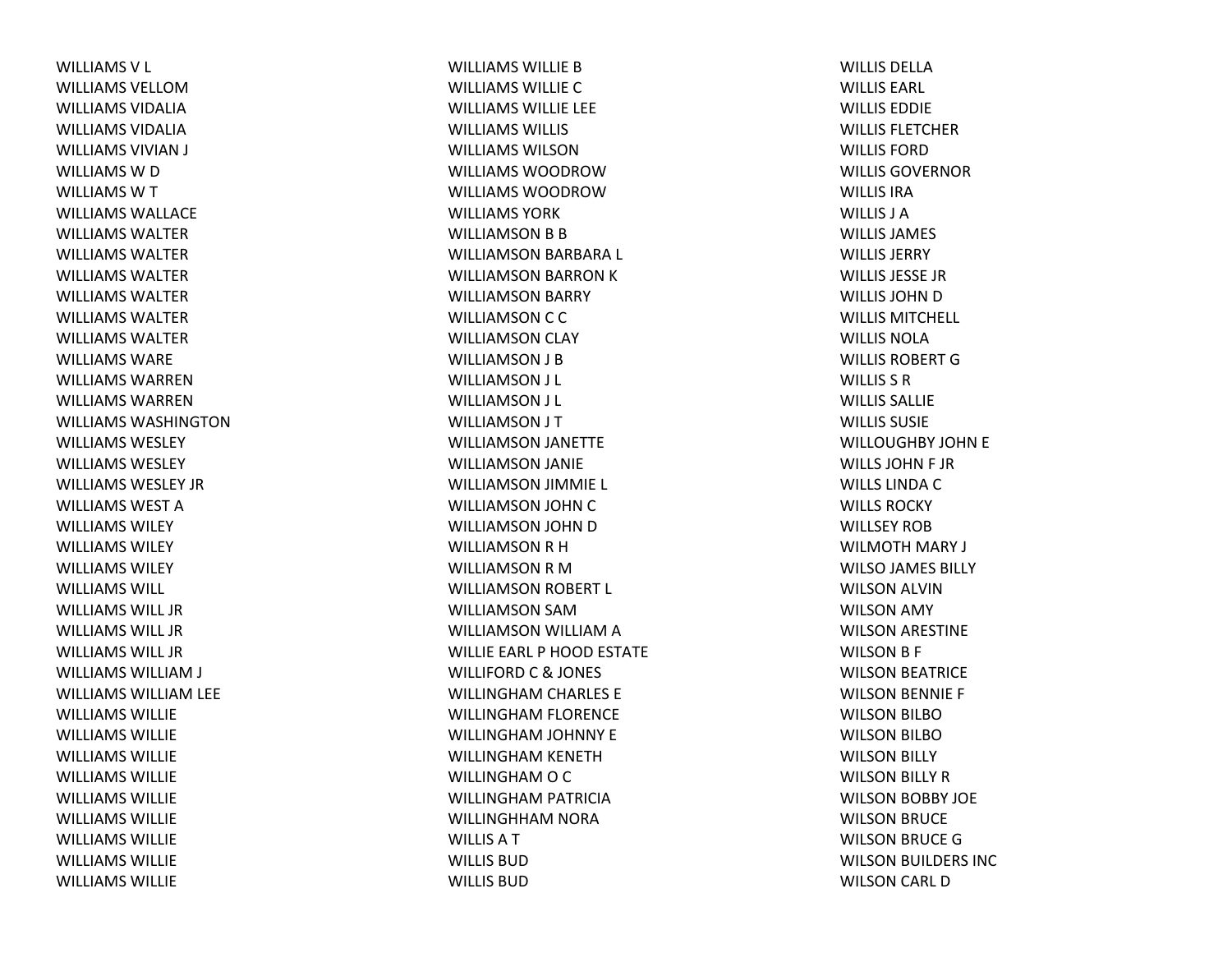WILLIAMSV L WILLIAMS VELLOMWILLIAMS VIDALIAWILLIAMS VIDALIAWILLIAMS VIVIAN J WILLIAMS W D WILLIAMSWTWILLIAMS WALLACEWILLIAMS WALTERWILLIAMS WALTERWILLIAMS WALTERWILLIAMS WALTERWILLIAMS WALTERWILLIAMS WALTERWILLIAMS WAREWILLIAMS WARRENWILLIAMS WARRENWILLIAMS WASHINGTONWILLIAMS WESLEYWILLIAMS WESLEYWILLIAMS WESLEY JRWILLIAMS WEST A WILLIAMS WILEYWILLIAMS WILEYWILLIAMS WILEYWILLIAMS WILL WILLIAMS WILL JRWILLIAMS WILL JRWILLIAMS WILL JRWILLIAMS WILLIAM J WILLIAMS WILLIAM LEE WILLIAMS WILLIEWILLIAMS WILLIEWILLIAMS WILLIEWILLIAMS WILLIEWILLIAMS WILLIEWILLIAMS WILLIEWILLIAMS WILLIEWILLIAMS WILLIEWILLIAMS WILLIE

WILLIAMS WILLIE B WILLIAMS WILLIECWILLIAMS WILLIE LEE WILLIAMS WILLISWILLIAMS WILSONWILLIAMS WOODROWWILLIAMS WOODROWWILLIAMS YORKWILLIAMSON B B WILLIAMSON BARBARA L WILLIAMSON BARRON KWILLIAMSON BARRY WILLIAMSON C C WILLIAMSON CLAY WILLIAMSON J B WILLIAMSON J L WILLIAMSON J L WILLIAMSON J T WILLIAMSON JANETTE WILLIAMSON JANIE WILLIAMSON JIMMIE L WILLIAMSON JOHN CWILLIAMSON JOHN DWILLIAMSON R H WILLIAMSON R M WILLIAMSON ROBERT L WILLIAMSON SAMWILLIAMSON WILLIAM A WILLIE EARL P HOOD ESTATE WILLIFORD C & JONES WILLINGHAM CHARLES E WILLINGHAM FLORENCE WILLINGHAM JOHNNY E WILLINGHAM KENETH WILLINGHAM O C WILLINGHAM PATRICIA WILLINGHHAM NORA WILLISATWILLIS BUDWILLIS BUD

WILLIS DELLAWILLIS EARL WILLIS EDDIEWILLIS FLETCHERWILLIS FORDWILLIS GOVERNORWILLIS IRAWILLIS J AWILLIS JAMES WILLIS JERRYWILLIS JESSE JRWILLIS JOHN D WILLIS MITCHELL WILLIS NOLAWILLIS ROBERT G WILLIS S RWILLIS SALLIEWILLIS SUSIEWILLOUGHBY JOHN E WILLS JOHN F JR WILLS LINDA C WILLS ROCKYWILLSEY ROBWILMOTH MARY J WILSO JAMES BILLY WILSON ALVIN WILSON AMY WILSON ARESTINE WILSON B F WILSON BEATRICE WILSON BENNIE F WILSON BILBOWILSON BILBOWILSON BILLY WILSON BILLY RWILSON BOBBY JOE WILSON BRUCE WILSON BRUCE GWILSON BUILDERS INC WILSON CARL D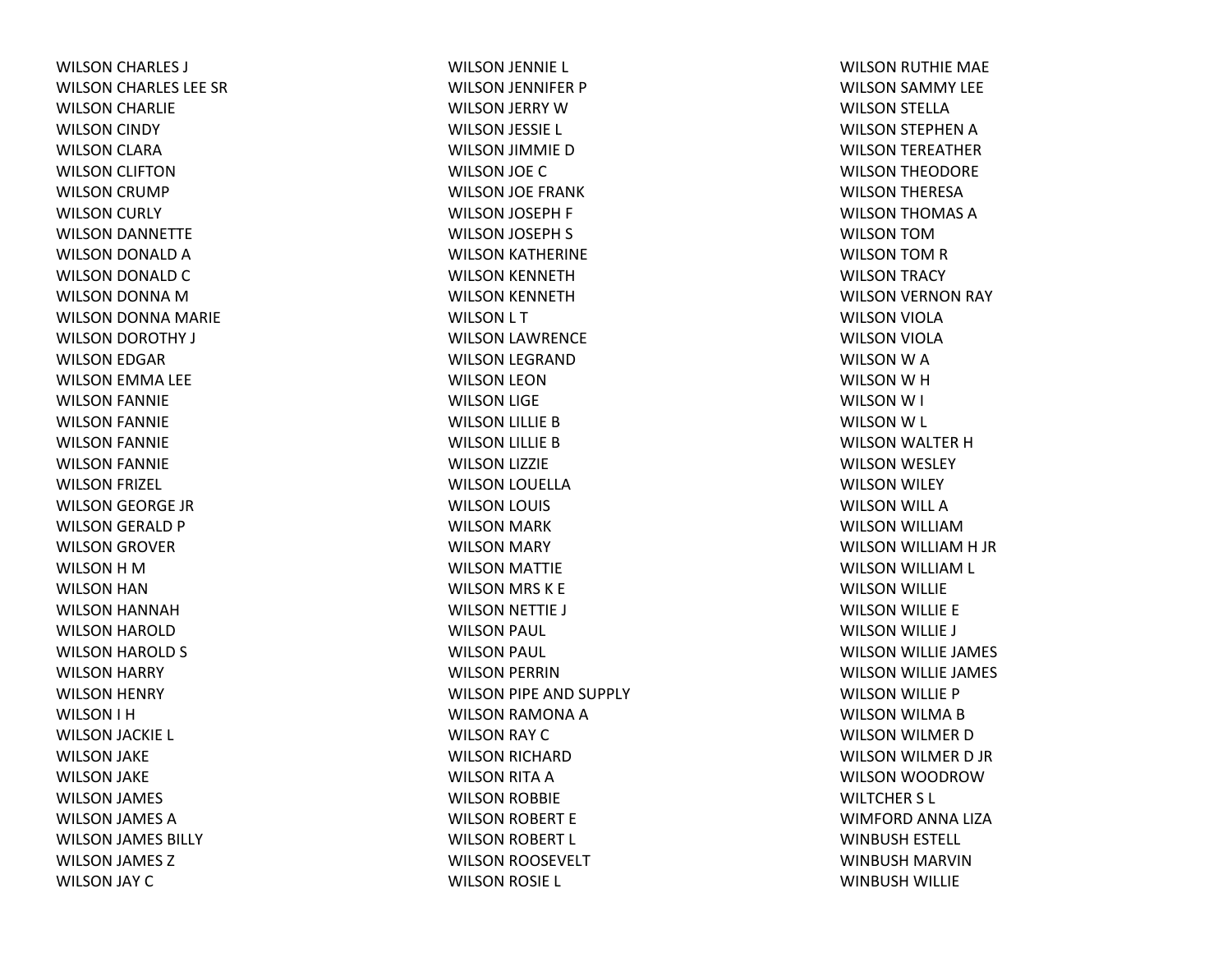WILSON CHARLES J WILSON CHARLES LEE SR WILSON CHARLIE WILSON CINDY WILSON CLARA WILSON CLIFTON WILSON CRUMP WILSON CURLY WILSON DANNETTE WILSON DONALD AWILSON DONALD CWILSON DONNA MWILSON DONNA MARIE WILSON DOROTHY J WILSON EDGAR WILSON EMMA LEE WILSON FANNIE WILSON FANNIE WILSON FANNIE WILSON FANNIE WILSON FRIZEL WILSON GEORGE JR WILSON GERALD P WILSON GROVER WILSON H M WILSON HAN WILSON HANNAH WILSON HAROLD WILSON HAROLD S WILSON HARRY WILSON HENRY WILSON I H WILSON JACKIE L WILSON JAKE WILSON JAKE WILSON JAMES WILSON JAMES AWILSON JAMES BILLY WILSON JAMES ZWILSON JAY C

WILSON JENNIE L WILSON JENNIFER P WILSON JERRY WWILSON JESSIE L WILSON JIMMIE D WILSON JOE CWILSON JOE FRANK WILSON JOSEPH F WILSON JOSEPH S WILSON KATHERINE WILSON KENNETH WILSON KENNETH WILSON L T WILSON LAWRENCE WILSON LEGRAND WILSON LEON WILSON LIGE WILSON LILLIE BWILSON LILLIE BWILSON LIZZIE WILSON LOUELLA WILSON LOUIS WILSON MARK WILSON MARY WILSON MATTIE WILSON MRS K E WILSON NETTIE J WILSON PAUL WILSON PAUL WILSON PERRIN WILSON PIPE AND SUPPLY WILSON RAMONA AWILSON RAY CWILSON RICHARD WILSON RITA AWILSON ROBBIE WILSON ROBERT E WILSON ROBERT L WILSON ROOSEVELT WILSON ROSIE L

WILSON RUTHIE MAE WILSON SAMMY LEE WILSON STELLA WILSON STEPHEN AWILSON TEREATHER WILSON THEODORE WILSON THERESA WILSON THOMAS AWILSON TOMWILSON TOM R WILSON TRACY WILSON VERNON RAY WILSON VIOLA WILSON VIOLA WILSON W A WILSON W H WILSONW I WILSON W L WILSON WALTER HWILSON WESLEY WILSON WILEY WILSON WILL AWILSON WILLIAMWILSON WILLIAM H JR WILSON WILLIAM L WILSON WILLIE WILSON WILLIE E WILSON WILLIE J WILSON WILLIE JAMES WILSON WILLIE JAMES WILSON WILLIE P WILSON WILMA BWILSON WILMER DWILSON WILMER D JR WILSON WOODROWWILTCHER S L WIMFORD ANNA LIZA WINBUSH ESTELL WINBUSH MARVINWINBUSH WILLIE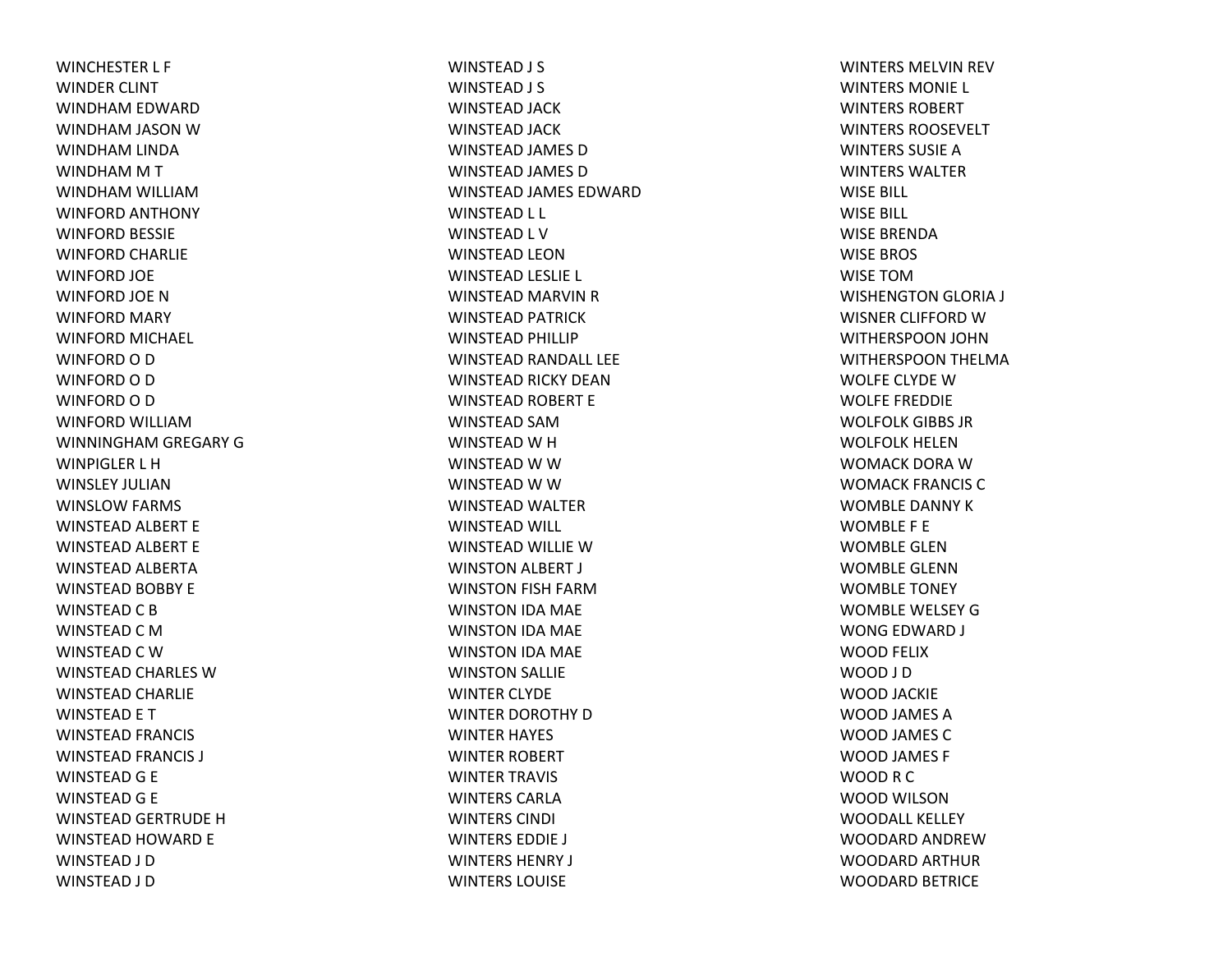WINCHESTER L F WINDER CLINT WINDHAM EDWARD WINDHAM JASON WWINDHAM LINDA WINDHAM M T WINDHAM WILLIAM WINFORD ANTHONY WINFORD BESSIE WINFORD CHARLIE WINFORD JOE WINFORD JOE NWINFORD MARY WINFORD MICHAEL WINFORD O D WINFORD O D WINFORD O D WINFORD WILLIAMWINNINGHAM GREGARY G WINPIGLER L HWINSLEY JULIANWINSLOW FARMS WINSTEAD ALBERT E WINSTEAD ALBERT E WINSTEAD ALBERTA WINSTEAD BOBBY E WINSTEAD C B WINSTEAD C MWINSTEAD C WWINSTEAD CHARLES WWINSTEAD CHARLIE WINSTEAD E T WINSTEAD FRANCIS WINSTEAD FRANCIS J WINSTEAD G E WINSTEAD G E WINSTEAD GERTRUDE HWINSTEAD HOWARD E WINSTEAD J D WINSTEAD J D

WINSTEAD J S WINSTEAD J S WINSTEAD JACK WINSTEAD JACK WINSTEAD JAMES D WINSTEAD JAMES D WINSTEAD JAMES EDWARD WINSTEAD L L WINSTEAD L V WINSTEAD LEONWINSTEAD LESLIE L WINSTEAD MARVIN R WINSTEAD PATRICK WINSTEAD PHILLIP WINSTEAD RANDALL LEE WINSTEAD RICKY DEANWINSTEAD ROBERT E WINSTEAD SAMWINSTEAD W H WINSTEAD W W WINSTEAD W W WINSTEAD WALTER WINSTEAD WILL WINSTEAD WILLIE WWINSTON ALBERT J WINSTON FISH FARMWINSTON IDA MAE WINSTON IDA MAE WINSTON IDA MAE WINSTON SALLIE WINTER CLYDE WINTER DOROTHY DWINTER HAYES WINTER ROBERT WINTER TRAVIS WINTERS CARLAWINTERS CINDI WINTERS EDDIE J WINTERS HENRY J WINTERS LOUISE

WINTERS MELVIN REV WINTERS MONIE L WINTERS ROBERTWINTERS ROOSEVELTWINTERS SUSIE AWINTERS WALTERWISE BILL WISE BILL WISE BRENDAWISE BROS WISE TOMWISHENGTON GLORIA J WISNER CLIFFORD WWITHERSPOON JOHN WITHERSPOON THELMA WOLFE CLYDE WWOLFE FREDDIE WOLFOLK GIBBS JRWOLFOLK HELENWOMACK DORA WWOMACK FRANCIS CWOMBLE DANNY KWOMBLE F E WOMBLE GLENWOMBLE GLENNWOMBLE TONEY WOMBLE WELSEY GWONG EDWARD J WOOD FELIX WOOD J D WOOD JACKIE WOOD JAMES A WOOD JAMES C WOOD JAMES F WOOD R C WOOD WILSONWOODALL KELLEYWOODARD ANDREWWOODARD ARTHUR WOODARD BETRICE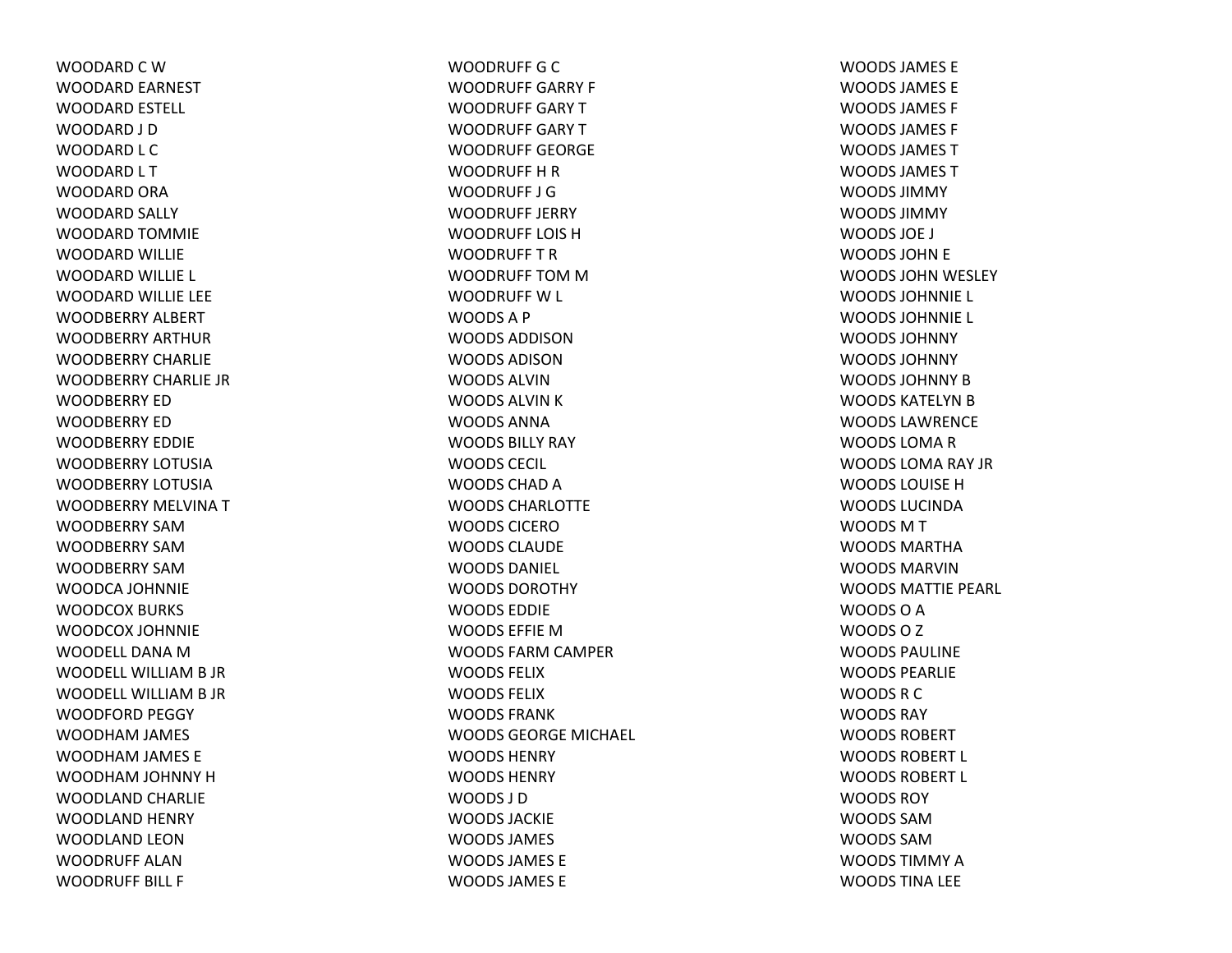WOODARD C W WOODARD EARNEST WOODARD ESTELL WOODARD J D WOODARD L C WOODARD L T WOODARD ORA WOODARD SALLY WOODARD TOMMIE WOODARD WILLIE WOODARD WILLIE L WOODARD WILLIE LEE WOODBERRY ALBERT WOODBERRY ARTHURWOODBERRY CHARLIEWOODBERRY CHARLIE JRWOODBERRY EDWOODBERRY EDWOODBERRY EDDIEWOODBERRY LOTUSIAWOODBERRY LOTUSIAWOODBERRY MELVINATWOODBERRY SAMWOODBERRY SAMWOODBERRY SAMWOODCA JOHNNIE WOODCOX BURKS WOODCOX JOHNNIE WOODELL DANA M WOODELL WILLIAM B JR WOODELL WILLIAM B JR WOODFORD PEGGY WOODHAM JAMES WOODHAM JAMES E WOODHAM JOHNNY HWOODLAND CHARLIE WOODLAND HENRY WOODLAND LEONWOODRUFF ALANWOODRUFF BILL F

WOODRUFF G C WOODRUFF GARRY F WOODRUFF GARYTWOODRUFF GARY T WOODRUFF GEORGEWOODRUFF H R WOODRUFF J GWOODRUFF JERRYWOODRUFF LOIS HWOODRUFFTRWOODRUFF TOM M WOODRUFF W L WOODSA P WOODS ADDISONWOODS ADISONWOODS ALVINWOODS ALVIN K WOODS ANNAWOODS BILLY RAY WOODS CECIL WOODS CHAD A WOODS CHARLOTTEWOODS CICEROWOODS CLAUDEWOODS DANIEL WOODS DOROTHYWOODS EDDIEWOODS EFFIE M WOODS FARM CAMPER WOODS FELIXWOODS FELIXWOODS FRANKWOODS GEORGE MICHAEL WOODS HENRYWOODS HENRYWOODS J DWOODS JACKIEWOODS JAMES WOODS JAMES EWOODS JAMES E

WOODS JAMES EWOODS JAMES EWOODS JAMES F WOODS JAMES F WOODS JAMES TWOODS JAMES TWOODS JIMMYWOODS JIMMYWOODS JOE J WOODS JOHN E WOODS JOHN WESLEY WOODS JOHNNIE L WOODS JOHNNIE L WOODS JOHNNYWOODS JOHNNYWOODS JOHNNY B WOODS KATELYN B WOODS LAWRENCEWOODS LOMA R WOODS LOMA RAY JR WOODS LOUISE H WOODS LUCINDAWOODSMTWOODS MARTHAWOODS MARVINWOODS MATTIE PEARL WOODS O A WOODSOZWOODS PAULINEWOODS PEARLIEWOODS R C WOODS RAYWOODS ROBERTWOODS ROBERT L WOODS ROBERT L WOODS ROYWOODS SAMWOODS SAMWOODS TIMMY A WOODS TINA LEE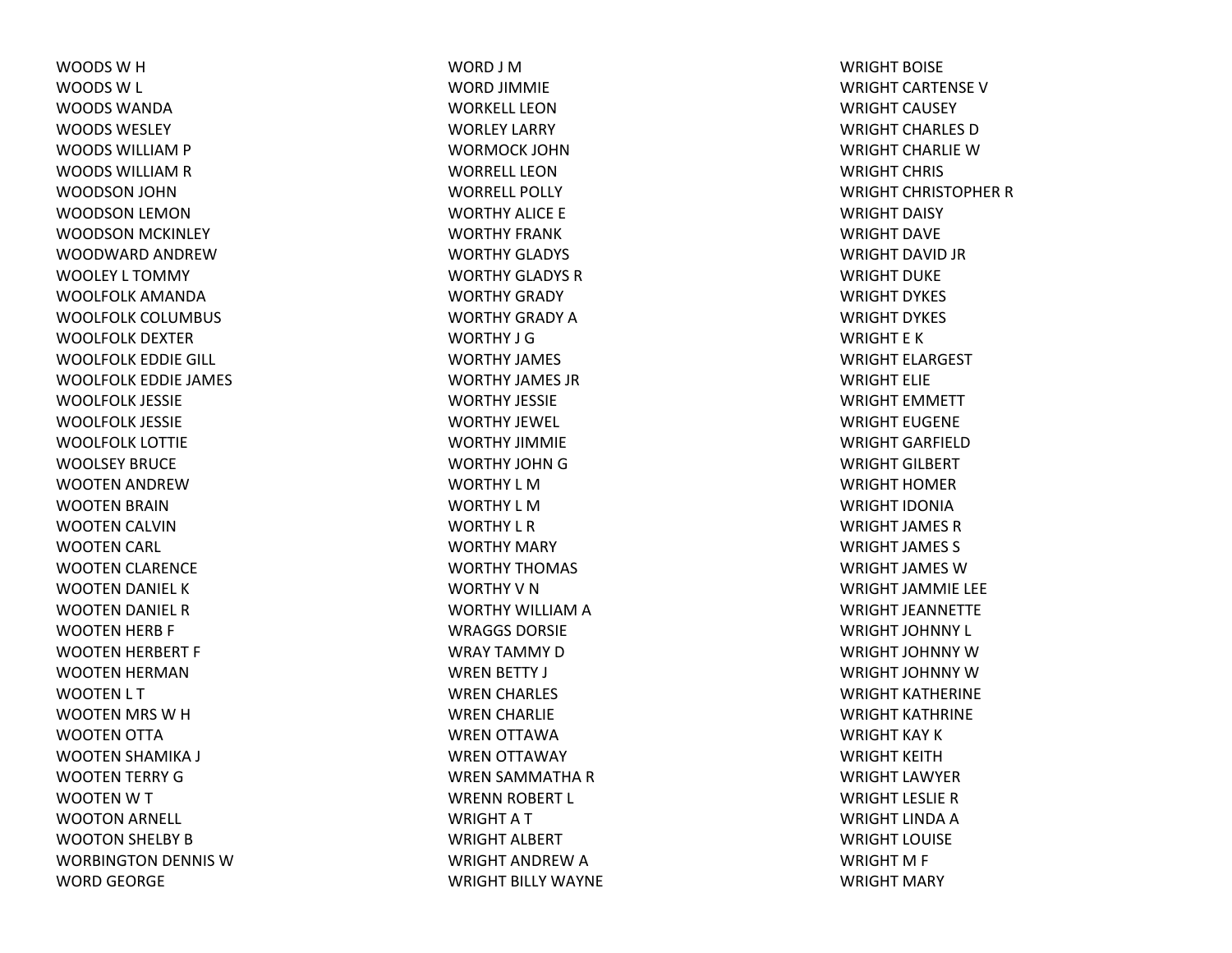WOODSWHWOODS W L WOODS WANDAWOODS WESLEYWOODS WILLIAM P WOODS WILLIAM R WOODSON JOHN WOODSON LEMON WOODSON MCKINLEY WOODWARD ANDREWWOOLEY L TOMMY WOOLFOLK AMANDAWOOLFOLK COLUMBUS WOOLFOLK DEXTERWOOLFOLK EDDIE GILL WOOLFOLK EDDIE JAMES WOOLFOLK JESSIE WOOLFOLK JESSIE WOOLFOLK LOTTIE WOOLSEY BRUCEWOOTEN ANDREWWOOTEN BRAIN WOOTEN CALVIN WOOTEN CARL WOOTEN CLARENCE WOOTEN DANIEL KWOOTEN DANIEL RWOOTEN HERB F WOOTEN HERBERT F WOOTEN HERMAN WOOTEN L T WOOTEN MRS WHWOOTEN OTTA WOOTEN SHAMIKA J WOOTEN TERRY GWOOTENWTWOOTON ARNELL WOOTON SHELBY BWORBINGTON DENNIS WWORD GEORGE

WORD J MWORD JIMMIE WORKELL LEONWORLEY LARRY WORMOCK JOHNWORRELL LEONWORRELL POLLYWORTHY ALICE E WORTHY FRANKWORTHY GLADYS WORTHY GLADYS RWORTHY GRADY WORTHY GRADY AWORTHY J GWORTHY JAMES WORTHY JAMES JRWORTHY JESSIEWORTHY JEWEL WORTHY JIMMIEWORTHY JOHN G WORTHY L MWORTHY L MWORTHY L RWORTHY MARY WORTHY THOMAS WORTHY V N WORTHY WILLIAM A WRAGGS DORSIEWRAY TAMMY DWREN BETTY J WREN CHARLES WREN CHARLIE WREN OTTAWA WREN OTTAWAY WREN SAMMATHA RWRENN ROBERT L WRIGHTATWRIGHT ALBERT WRIGHT ANDREW A WRIGHT BILLY WAYNE WRIGHT BOISEWRIGHT CARTENSEVWRIGHT CAUSEY WRIGHT CHARLES DWRIGHT CHARLIE W WRIGHT CHRIS WRIGHT CHRISTOPHER R WRIGHT DAISY WRIGHT DAVEWRIGHT DAVID JR WRIGHT DUKEWRIGHT DYKES WRIGHT DYKES WRIGHT E KWRIGHT ELARGEST WRIGHT ELIEWRIGHT EMMETT WRIGHT EUGENEWRIGHT GARFIELDWRIGHT GILBERT WRIGHT HOMERWRIGHT IDONIAWRIGHT JAMES RWRIGHT JAMES S WRIGHT JAMES WWRIGHT JAMMIE LEE WRIGHT JEANNETTEWRIGHT JOHNNY L WRIGHT JOHNNY WWRIGHT JOHNNY WWRIGHT KATHERINEWRIGHT KATHRINEWRIGHT KAY KWRIGHT KEITHWRIGHT LAWYERWRIGHT LESLIE R WRIGHT LINDA A WRIGHT LOUISEWRIGHT M F WRIGHT MARY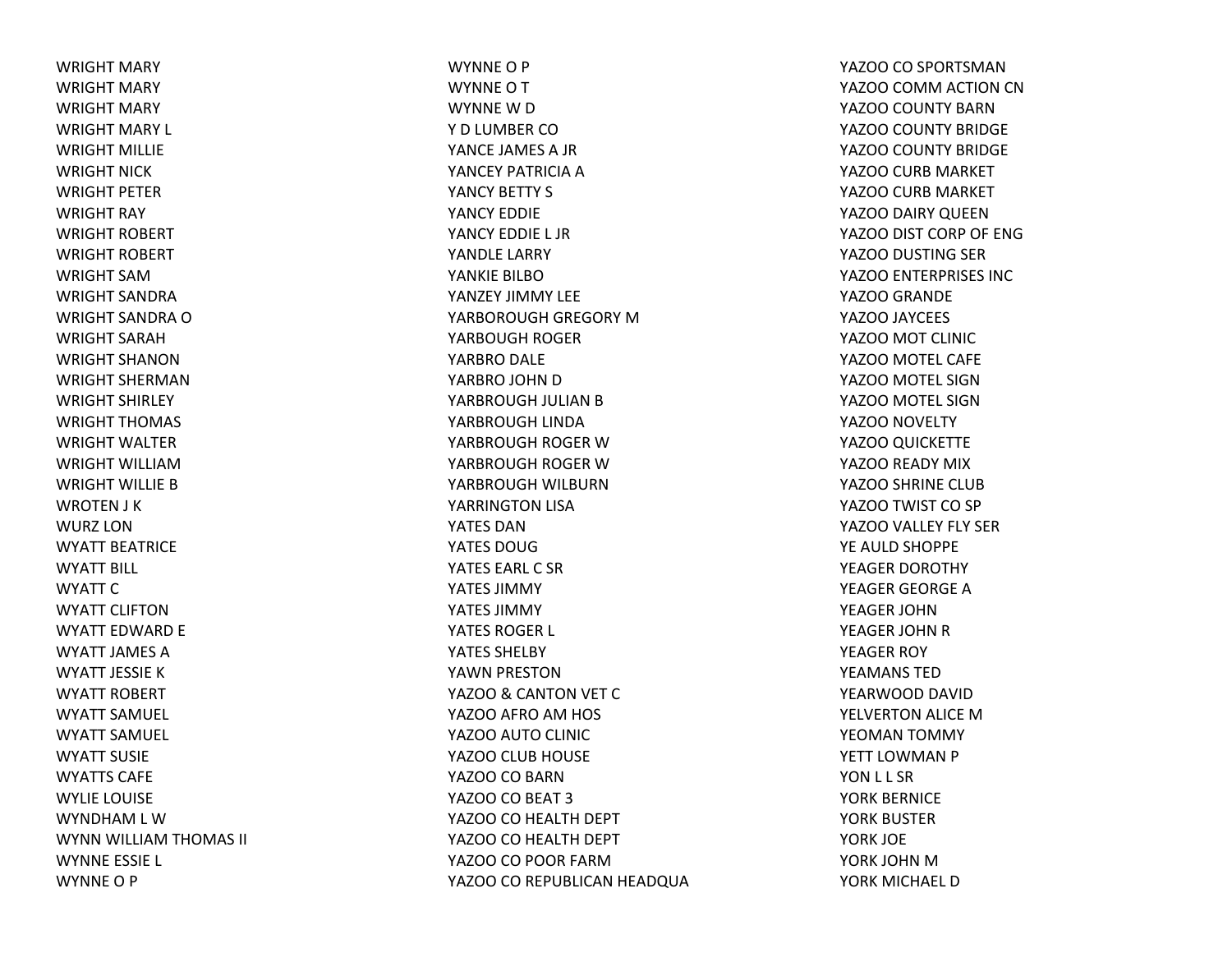WRIGHT MARY WRIGHT MARY WRIGHT MARY WRIGHT MARY L WRIGHT MILLIEWRIGHT NICKWRIGHT PETERWRIGHT RAY WRIGHT ROBERT WRIGHT ROBERT WRIGHT SAMWRIGHT SANDRAWRIGHT SANDRA OWRIGHT SARAHWRIGHT SHANONWRIGHT SHERMANWRIGHT SHIRLEY WRIGHT THOMAS WRIGHT WALTERWRIGHT WILLIAMWRIGHT WILLIE BWROTEN J K WURZ LONWYATT BEATRICEWYATT BILL WYATT CWYATT CLIFTONWYATT EDWARD E WYATT JAMES AWYATT JESSIE KWYATT ROBERT WYATT SAMUEL WYATT SAMUEL WYATT SUSIEWYATTS CAFEWYLIE LOUISE WYNDHAM L WWYNN WILLIAM THOMAS II WYNNE ESSIE L WYNNE O P

WYNNE O P WYNNE O T WYNNE W D Y D LUMBER COYANCE JAMES A JR YANCEY PATRICIA A YANCY BETTY S YANCY EDDIEYANCY EDDIE L JRYANDLE LARRY YANKIE BILBOYANZEY JIMMY LEEYARBOROUGH GREGORY MYARBOUGH ROGER YARBRO DALE YARBRO JOHN D YARBROUGH JULIAN B YARBROUGH LINDA YARBROUGH ROGER WYARBROUGH ROGER WYARBROUGH WILBURNYARRINGTON LISA YATES DANYATES DOUGYATES EARL C SRYATES JIMMYYATES JIMMYYATES ROGER L YATES SHELBYYAWN PRESTON YAZOO & CANTON VET C YAZOO AFRO AM HOS YAZOO AUTO CLINIC YAZOO CLUB HOUSE YAZOO CO BARN YAZOO CO BEAT 3 YAZOO CO HEALTH DEPT YAZOO CO HEALTH DEPT YAZOO CO POOR FARMYAZOO CO REPUBLICAN HEADQUA YAZOO CO SPORTSMAN YAZOO COMM ACTION CN YAZOO COUNTY BARN YAZOO COUNTY BRIDGE YAZOO COUNTY BRIDGE YAZOO CURB MARKET YAZOO CURB MARKET YAZOO DAIRY QUEEN YAZOO DIST CORP OF ENG YAZOO DUSTING SER YAZOO ENTERPRISES INC YAZOO GRANDE YAZOO JAYCEES YAZOO MOT CLINIC YAZOO MOTEL CAFE YAZOO MOTEL SIGN YAZOO MOTEL SIGN YAZOO NOVELTY YAZOO QUICKETTE YAZOO READY MIX YAZOO SHRINE CLUB YAZOO TWIST CO SP YAZOO VALLEY FLY SER YE AULD SHOPPE YEAGER DOROTHY YEAGER GEORGE AYEAGER JOHNYEAGER JOHN R YEAGER ROY YEAMANS TEDYEARWOOD DAVID YELVERTON ALICE MYEOMAN TOMMY YETT LOWMAN P YON L L SR YORK BERNICE YORK BUSTERYORK JOE YORK JOHN MYORK MICHAEL D